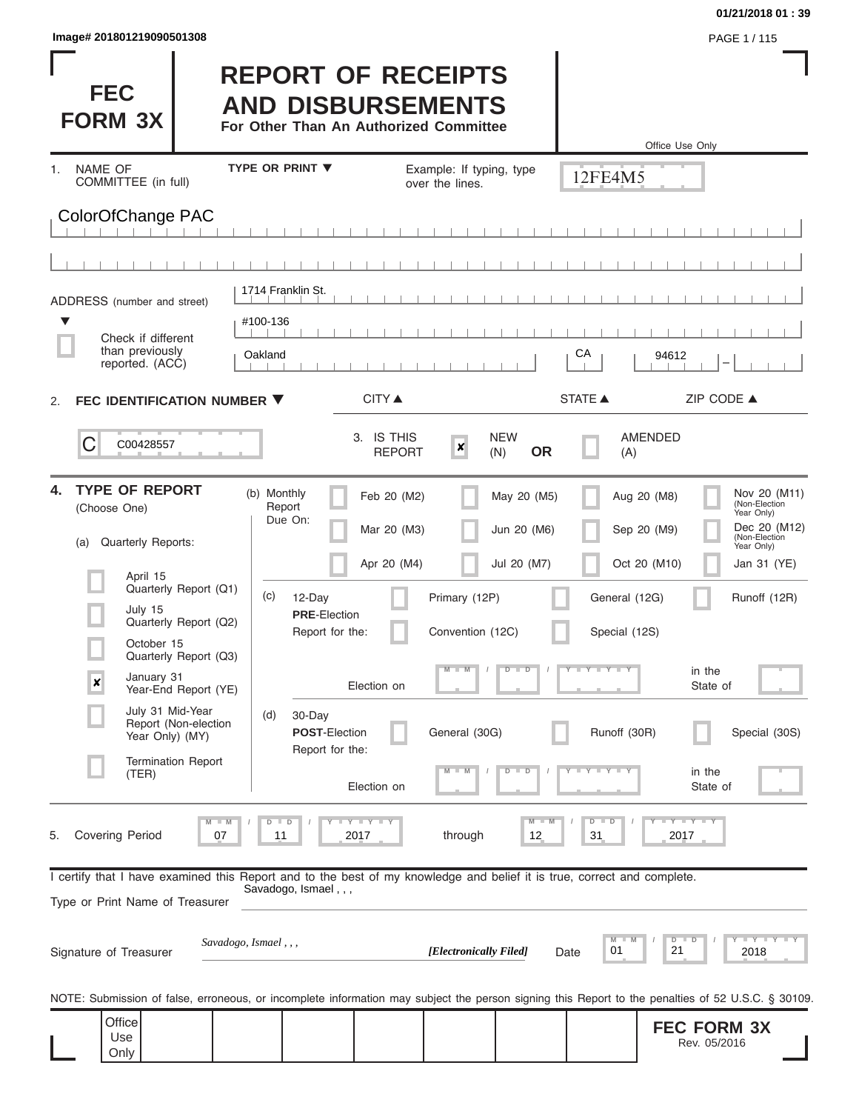$\mathbf{I}$ 

П

#### **01/21/2018 01 : 39**

**PAGE 1 / 115** 

| <b>FEC</b><br><b>FORM 3X</b>                                                                                                                               |                                                                         |                                                          | <b>REPORT OF RECEIPTS</b><br><b>AND DISBURSEMENTS</b><br>For Other Than An Authorized Committee |                                             |                                |                                | Office Use Only                    |                                                                                            |
|------------------------------------------------------------------------------------------------------------------------------------------------------------|-------------------------------------------------------------------------|----------------------------------------------------------|-------------------------------------------------------------------------------------------------|---------------------------------------------|--------------------------------|--------------------------------|------------------------------------|--------------------------------------------------------------------------------------------|
| <b>NAME OF</b><br>1.<br>COMMITTEE (in full)                                                                                                                |                                                                         | <b>TYPE OR PRINT ▼</b>                                   |                                                                                                 | Example: If typing, type<br>over the lines. |                                | 12FE4M5                        |                                    |                                                                                            |
| ColorOfChange PAC                                                                                                                                          |                                                                         |                                                          |                                                                                                 |                                             |                                |                                |                                    |                                                                                            |
|                                                                                                                                                            |                                                                         |                                                          |                                                                                                 |                                             |                                |                                |                                    |                                                                                            |
| ADDRESS (number and street)                                                                                                                                |                                                                         | 1714 Franklin St.                                        |                                                                                                 |                                             |                                |                                |                                    |                                                                                            |
| ▼<br>Check if different<br>than previously<br>reported. (ACC)                                                                                              |                                                                         | #100-136<br>Oakland                                      |                                                                                                 |                                             |                                | CA                             | 94612                              |                                                                                            |
| FEC IDENTIFICATION NUMBER ▼<br>2.                                                                                                                          |                                                                         |                                                          | CITY ▲                                                                                          |                                             |                                | <b>STATE ▲</b>                 | ZIP CODE ▲                         |                                                                                            |
| C<br>C00428557                                                                                                                                             |                                                                         |                                                          | 3. IS THIS<br><b>REPORT</b>                                                                     | ×                                           | <b>NEW</b><br><b>OR</b><br>(N) | (A)                            | <b>AMENDED</b>                     |                                                                                            |
| <b>TYPE OF REPORT</b><br>4.<br>(Choose One)<br>Quarterly Reports:<br>(a)                                                                                   |                                                                         | (b) Monthly<br>Report<br>Due On:                         | Feb 20 (M2)<br>Mar 20 (M3)                                                                      |                                             | May 20 (M5)<br>Jun 20 (M6)     |                                | Aug 20 (M8)<br>Sep 20 (M9)         | Nov 20 (M11)<br>(Non-Election<br>Year Only)<br>Dec 20 (M12)<br>(Non-Election<br>Year Only) |
| April 15<br>July 15<br>October 15                                                                                                                          | Quarterly Report (Q1)<br>Quarterly Report (Q2)<br>Quarterly Report (Q3) | (c)<br>12-Day<br><b>PRE</b> Election<br>Report for the:  | Apr 20 (M4)                                                                                     | Primary (12P)<br>Convention (12C)           | Jul 20 (M7)                    | General (12G)<br>Special (12S) | Oct 20 (M10)                       | Jan 31 (YE)<br>Runoff (12R)                                                                |
| January 31<br>$\boldsymbol{x}$                                                                                                                             | Year-End Report (YE)                                                    |                                                          | Election on                                                                                     | $M - M$                                     | $D$ $D$                        | Y FY FY FY                     | in the<br>State of                 |                                                                                            |
| July 31 Mid-Year<br>Year Only) (MY)                                                                                                                        | Report (Non-election                                                    | 30-Day<br>(d)<br><b>POST-Election</b><br>Report for the: |                                                                                                 | General (30G)                               |                                | Runoff (30R)                   |                                    | Special (30S)                                                                              |
| (TER)                                                                                                                                                      | <b>Termination Report</b>                                               |                                                          | Election on                                                                                     | $M - M$                                     | $D$ $D$                        | $T$ $Y$ $Y$ $Y$ $Y$            | in the<br>State of                 |                                                                                            |
| <b>Covering Period</b><br>5.                                                                                                                               | $M - M$<br>07                                                           | $D$ $D$<br>11                                            | $I - Y - I - Y - I - Y$<br>2017                                                                 | through                                     | $M - M$<br>12                  | $D$ $D$<br>31                  | Y FY FY FY<br>2017                 |                                                                                            |
| I certify that I have examined this Report and to the best of my knowledge and belief it is true, correct and complete.<br>Type or Print Name of Treasurer |                                                                         | Savadogo, Ismael,,,                                      |                                                                                                 |                                             |                                |                                |                                    |                                                                                            |
| Signature of Treasurer                                                                                                                                     | Savadogo, Ismael,,,                                                     |                                                          |                                                                                                 | [Electronically Filed]                      |                                | M<br>01<br>Date                | $D$ $D$<br>21                      | Y FY FY FY<br>2018                                                                         |
| NOTE: Submission of false, erroneous, or incomplete information may subject the person signing this Report to the penalties of 52 U.S.C. § 30109.          |                                                                         |                                                          |                                                                                                 |                                             |                                |                                |                                    |                                                                                            |
| Office<br>Use<br>Only                                                                                                                                      |                                                                         |                                                          |                                                                                                 |                                             |                                |                                | <b>FEC FORM 3X</b><br>Rev. 05/2016 |                                                                                            |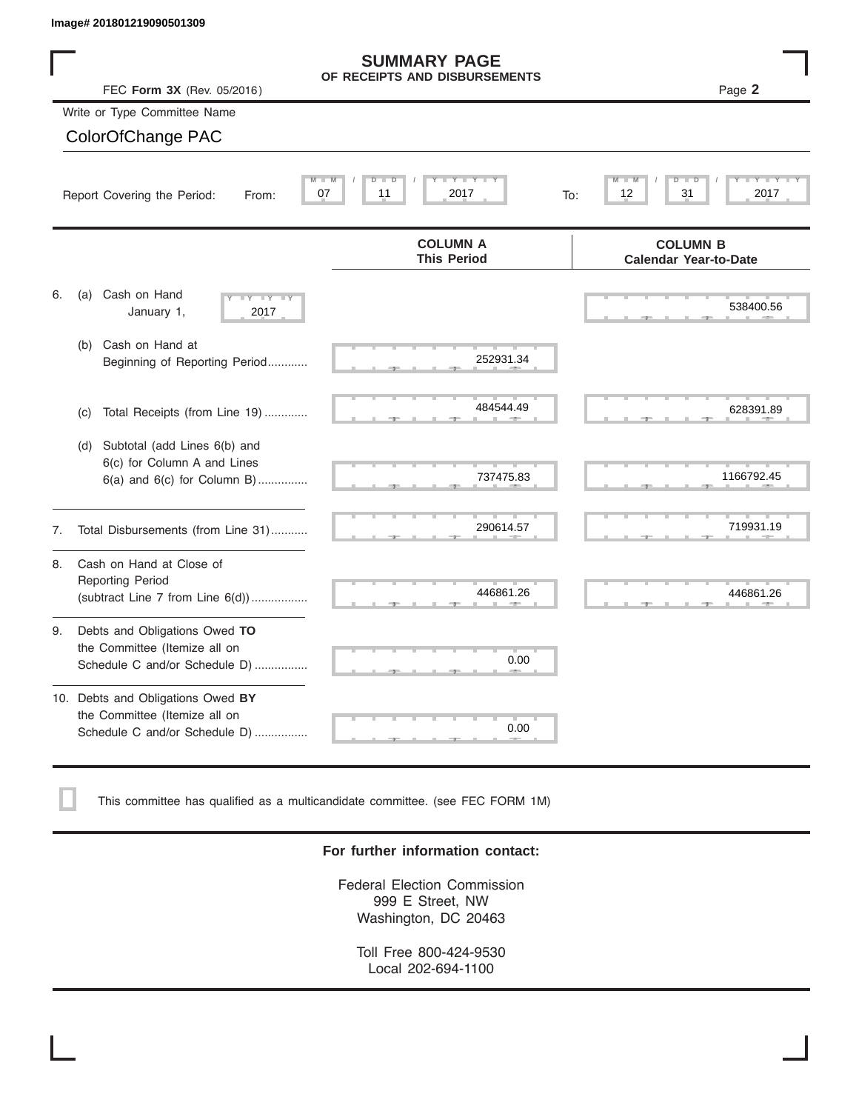|    | Image# 201801219090501309                                                                           |                                                      |                                                 |
|----|-----------------------------------------------------------------------------------------------------|------------------------------------------------------|-------------------------------------------------|
|    | FEC Form 3X (Rev. 05/2016)                                                                          | <b>SUMMARY PAGE</b><br>OF RECEIPTS AND DISBURSEMENTS | Page 2                                          |
|    | Write or Type Committee Name                                                                        |                                                      |                                                 |
|    | ColorOfChange PAC                                                                                   |                                                      |                                                 |
|    | $M -$<br>Report Covering the Period:<br>From:                                                       | Y TY<br>D<br>D<br>07<br>11<br>2017<br>To:            | D<br>31<br>2017<br>12                           |
|    |                                                                                                     | <b>COLUMN A</b><br><b>This Period</b>                | <b>COLUMN B</b><br><b>Calendar Year-to-Date</b> |
| 6. | Cash on Hand<br>(a)<br>$-Y - Y - IY$<br>January 1,<br>2017                                          |                                                      | 538400.56                                       |
|    | Cash on Hand at<br>(b)<br>Beginning of Reporting Period                                             | 252931.34                                            |                                                 |
|    | Total Receipts (from Line 19)<br>(c)                                                                | 484544.49                                            | 628391.89                                       |
|    | Subtotal (add Lines 6(b) and<br>(d)<br>6(c) for Column A and Lines<br>6(a) and 6(c) for Column B)   | 737475.83                                            | 1166792.45                                      |
| 7. | Total Disbursements (from Line 31)                                                                  | 290614.57                                            | 719931.19                                       |
| 8. | Cash on Hand at Close of<br><b>Reporting Period</b><br>(subtract Line $7$ from Line $6(d)$ )        | 446861.26                                            | 446861.26                                       |
| 9. | Debts and Obligations Owed TO<br>the Committee (Itemize all on<br>Schedule C and/or Schedule D)     | 0.00                                                 |                                                 |
|    | 10. Debts and Obligations Owed BY<br>the Committee (Itemize all on<br>Schedule C and/or Schedule D) | т<br>0.00                                            |                                                 |

This committee has qualified as a multicandidate committee. (see FEC FORM 1M)

#### **For further information contact:**

Federal Election Commission 999 E Street, NW Washington, DC 20463

Toll Free 800-424-9530 Local 202-694-1100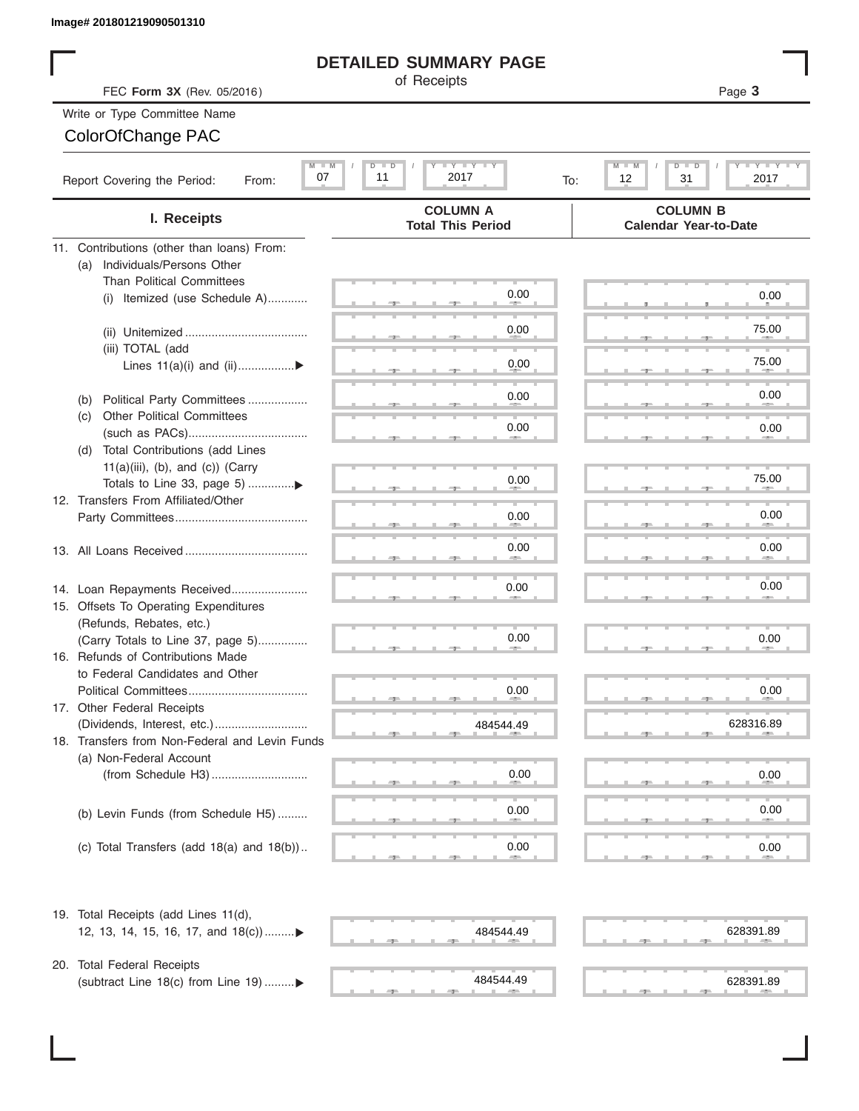#### **DETAILED SUMMARY PAGE**

#### Write or Type Committee Name ColorOfChange PAC

| Image# 201801219090501310                                                 |                                                                                        |                                                               |
|---------------------------------------------------------------------------|----------------------------------------------------------------------------------------|---------------------------------------------------------------|
|                                                                           | <b>DETAILED SUMMARY PAGE</b>                                                           |                                                               |
| FEC Form 3X (Rev. 05/2016)                                                | of Receipts                                                                            | Page 3                                                        |
| Write or Type Committee Name                                              |                                                                                        |                                                               |
| ColorOfChange PAC                                                         |                                                                                        |                                                               |
|                                                                           |                                                                                        |                                                               |
| $M$ $M$<br>07<br>Report Covering the Period:<br>From:                     | $\Box$ $\Upsilon$ $\Box$ $\Upsilon$ $\Box$ $\Upsilon$<br>D I<br>D<br>11<br>2017<br>To: | <b>LEYTEY LEY</b><br>M<br>$D$ $\Box$<br>ъ<br>12<br>31<br>2017 |
| I. Receipts                                                               | <b>COLUMN A</b><br><b>Total This Period</b>                                            | <b>COLUMN B</b><br><b>Calendar Year-to-Date</b>               |
| 11. Contributions (other than loans) From:                                |                                                                                        |                                                               |
| Individuals/Persons Other<br>(a)                                          |                                                                                        |                                                               |
| <b>Than Political Committees</b>                                          |                                                                                        |                                                               |
| Itemized (use Schedule A)<br>(i)                                          | 0.00                                                                                   | 0.00                                                          |
|                                                                           | 0.00                                                                                   | 75.00                                                         |
|                                                                           |                                                                                        |                                                               |
| (iii) TOTAL (add                                                          | 0.00                                                                                   | 75.00                                                         |
| Lines $11(a)(i)$ and $(ii)$                                               |                                                                                        |                                                               |
| Political Party Committees<br>(b)                                         | 0.00                                                                                   | 0.00                                                          |
| <b>Other Political Committees</b><br>(C)                                  |                                                                                        |                                                               |
|                                                                           | 0.00                                                                                   | 0.00                                                          |
| Total Contributions (add Lines<br>(d)                                     |                                                                                        |                                                               |
| $11(a)(iii)$ , (b), and (c)) (Carry                                       |                                                                                        | 75.00                                                         |
|                                                                           | 0.00                                                                                   |                                                               |
| 12. Transfers From Affiliated/Other                                       |                                                                                        | 0.00                                                          |
|                                                                           | 0.00                                                                                   |                                                               |
|                                                                           | 0.00                                                                                   | 0.00                                                          |
|                                                                           |                                                                                        |                                                               |
| 14. Loan Repayments Received                                              | 0.00                                                                                   | 0.00                                                          |
| 15. Offsets To Operating Expenditures                                     |                                                                                        |                                                               |
| (Refunds, Rebates, etc.)                                                  |                                                                                        |                                                               |
| (Carry Totals to Line 37, page 5)                                         | 0.00                                                                                   | 0.00                                                          |
| 16. Refunds of Contributions Made                                         |                                                                                        |                                                               |
| to Federal Candidates and Other                                           |                                                                                        |                                                               |
| Political Committees                                                      | 0.00                                                                                   | 0.00                                                          |
| 17. Other Federal Receipts                                                |                                                                                        |                                                               |
|                                                                           | 484544.49                                                                              | 628316.89                                                     |
| 18. Transfers from Non-Federal and Levin Funds<br>(a) Non-Federal Account |                                                                                        |                                                               |
|                                                                           | 0.00                                                                                   | 0.00                                                          |
|                                                                           |                                                                                        |                                                               |
| (b) Levin Funds (from Schedule H5)                                        | 0.00                                                                                   | 0.00                                                          |
|                                                                           |                                                                                        |                                                               |
| (c) Total Transfers (add $18(a)$ and $18(b)$ )                            | 0.00                                                                                   | 0.00                                                          |
|                                                                           |                                                                                        |                                                               |
| 19. Total Receipts (add Lines 11(d),                                      |                                                                                        |                                                               |
| 12, 13, 14, 15, 16, 17, and 18(c))▶                                       | 484544.49                                                                              | 628391.89                                                     |
| 20. Total Federal Receipts                                                |                                                                                        |                                                               |
| (subtract Line 18(c) from Line 19) ▶                                      | 484544.49                                                                              | 628391.89                                                     |
|                                                                           |                                                                                        |                                                               |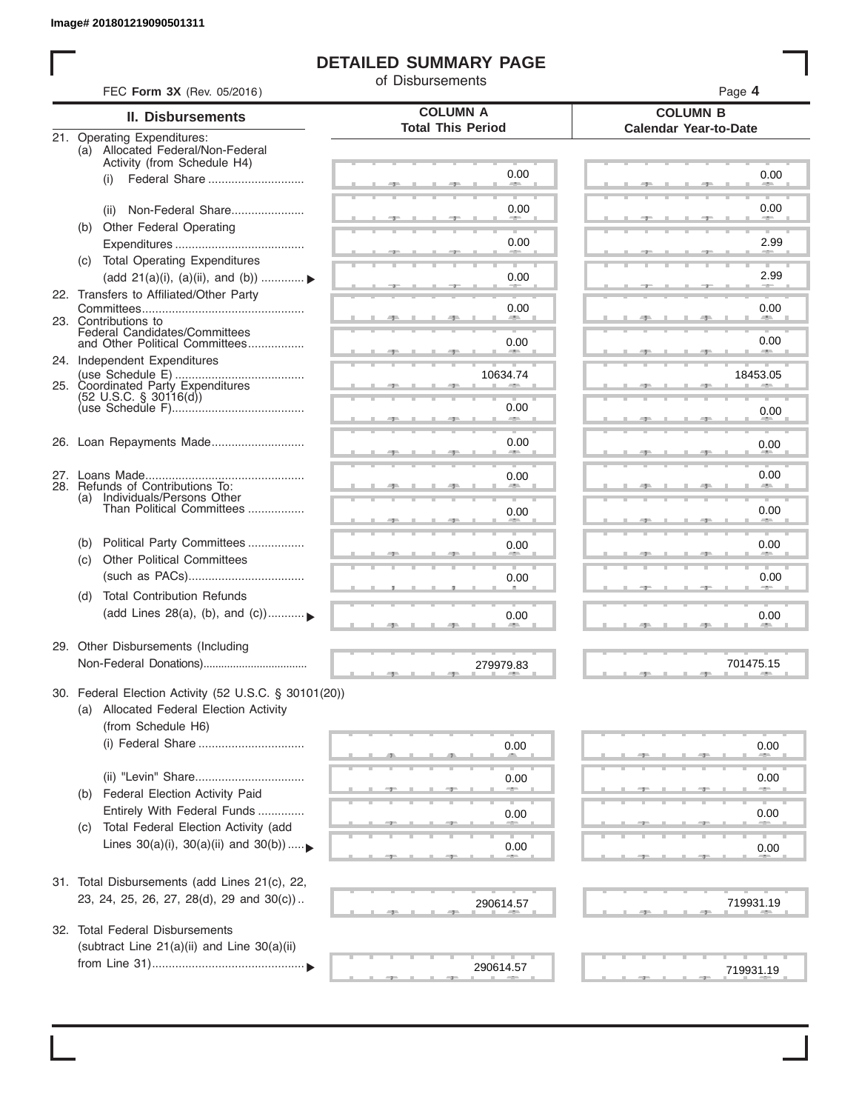I

### **DETAILED SUMMARY PAGE**

of Disbursements

|     | <b>II. Disbursements</b>                                                | <b>COLUMN A</b>          | <b>COLUMN B</b>              |
|-----|-------------------------------------------------------------------------|--------------------------|------------------------------|
|     |                                                                         | <b>Total This Period</b> | <b>Calendar Year-to-Date</b> |
|     | 21. Operating Expenditures:<br>(a) Allocated Federal/Non-Federal        |                          |                              |
|     | Activity (from Schedule H4)                                             | 0.00                     |                              |
|     | (i)                                                                     |                          | 0.00                         |
|     | Non-Federal Share<br>(ii)                                               | 0.00                     | 0.00                         |
| (b) | Other Federal Operating                                                 |                          |                              |
|     |                                                                         | 0.00                     | 2.99                         |
|     | (c) Total Operating Expenditures                                        |                          |                              |
|     | (add 21(a)(i), (a)(ii), and (b))                                        | 0.00                     | 2.99                         |
|     | 22. Transfers to Affiliated/Other Party                                 | 0.00                     | 0.00                         |
|     | 23. Contributions to                                                    | --                       | <b>AREA</b>                  |
|     | Federal Candidates/Committees<br>and Other Political Committees         | 0.00                     | 0.00                         |
|     | 24. Independent Expenditures                                            |                          | <b>ARCHITECT</b>             |
|     |                                                                         | 10634.74                 | 18453.05                     |
|     | 25. Coordinated Party Expenditures<br>$(52 \text{ U.S.C. }$ § 30116(d)) |                          |                              |
|     |                                                                         | 0.00                     | 0.00                         |
|     |                                                                         |                          |                              |
|     | 26. Loan Repayments Made                                                | 0.00                     | 0.00                         |
|     |                                                                         | 0.00                     | 0.00                         |
|     | 28. Refunds of Contributions To:                                        |                          |                              |
|     | (a) Individuals/Persons Other<br>Than Political Committees              | 0.00                     | 0.00                         |
|     |                                                                         |                          |                              |
| (b) | Political Party Committees                                              | 0.00                     | 0.00                         |
| (C) | <b>Other Political Committees</b>                                       |                          |                              |
|     |                                                                         | 0.00                     | 0.00                         |
| (d) | <b>Total Contribution Refunds</b>                                       |                          |                              |
|     | (add Lines 28(a), (b), and (c))                                         | 0.00                     | 0.00                         |
|     | 29. Other Disbursements (Including                                      |                          |                              |
|     |                                                                         | 279979.83                | 701475.15                    |
|     |                                                                         |                          |                              |
|     | 30. Federal Election Activity (52 U.S.C. § 30101(20))                   |                          |                              |
|     | (a) Allocated Federal Election Activity<br>(from Schedule H6)           |                          |                              |
|     | (i) Federal Share                                                       | 0.00                     |                              |
|     |                                                                         |                          | 0.00                         |
|     |                                                                         | 0.00                     | 0.00                         |
| (b) | Federal Election Activity Paid                                          |                          |                              |
|     | Entirely With Federal Funds                                             | 0.00                     | 0.00                         |
| (C) | Total Federal Election Activity (add                                    |                          |                              |
|     | Lines $30(a)(i)$ , $30(a)(ii)$ and $30(b))$                             | 0.00                     | 0.00                         |
|     |                                                                         |                          |                              |
|     | 31. Total Disbursements (add Lines 21(c), 22,                           |                          |                              |
|     | 23, 24, 25, 26, 27, 28(d), 29 and 30(c))                                | 290614.57                | 719931.19                    |
|     | 32. Total Federal Disbursements                                         |                          |                              |
|     | (subtract Line 21(a)(ii) and Line 30(a)(ii)                             |                          |                              |
|     |                                                                         | 290614.57                | 719931.19                    |
|     |                                                                         |                          |                              |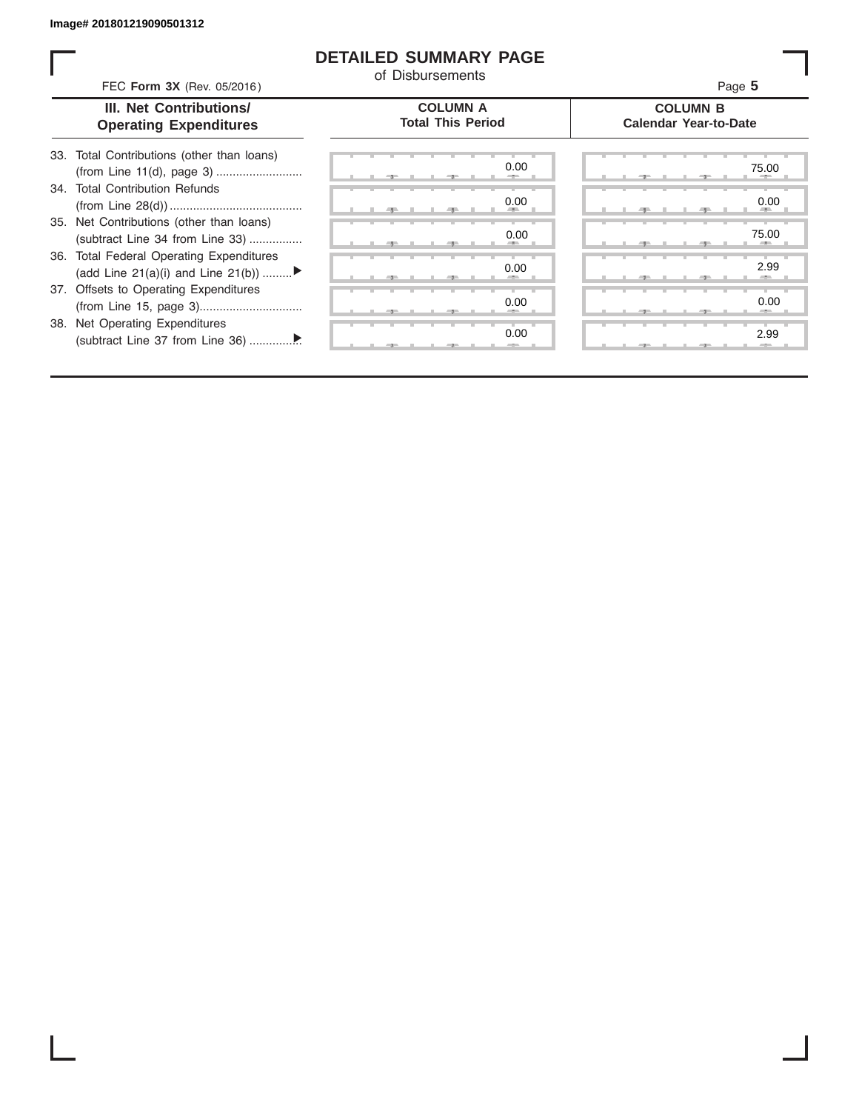I

#### **DETAILED SUMMARY PAGE**

of Disbursements

| FEC Form 3X (Rev. 05/2016)                                                     | u Disnarsenichus                            | Page 5                                          |
|--------------------------------------------------------------------------------|---------------------------------------------|-------------------------------------------------|
| III. Net Contributions/<br><b>Operating Expenditures</b>                       | <b>COLUMN A</b><br><b>Total This Period</b> | <b>COLUMN B</b><br><b>Calendar Year-to-Date</b> |
| Total Contributions (other than loans)<br>33.                                  | 0.00                                        | 75.00                                           |
| 34. Total Contribution Refunds                                                 | 0.00                                        | 0.00                                            |
| 35. Net Contributions (other than loans)<br>(subtract Line 34 from Line 33)    | 0.00                                        | 75.00                                           |
| 36. Total Federal Operating Expenditures<br>(add Line 21(a)(i) and Line 21(b)) | 0.00                                        | 2.99                                            |
| 37. Offsets to Operating Expenditures                                          | 0.00                                        | 0.00                                            |
| 38. Net Operating Expenditures                                                 | 0.00                                        | 2.99                                            |
|                                                                                |                                             |                                                 |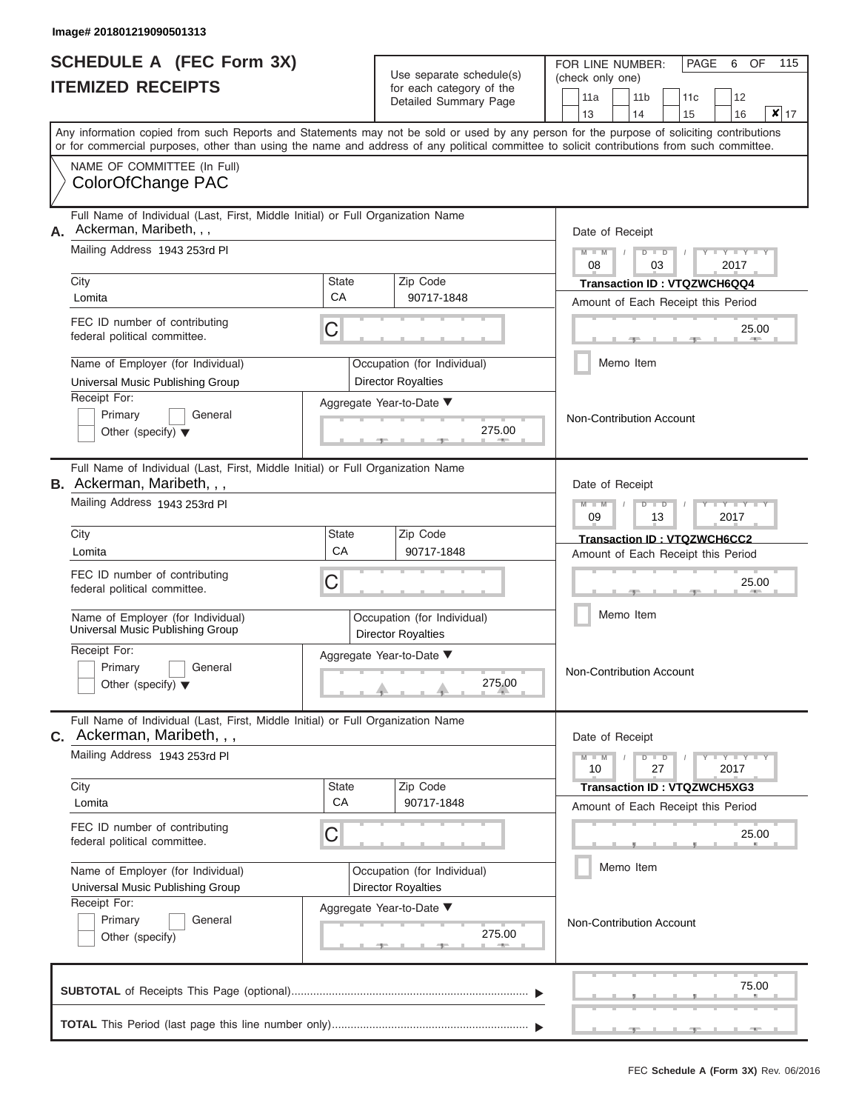|                          | <b>SCHEDULE A (FEC Form 3X)</b> |
|--------------------------|---------------------------------|
| <b>ITEMIZED RECEIPTS</b> |                                 |

| SCHEDULE A (FEC Form 3X)<br><b>ITEMIZED RECEIPTS</b>                                                             |                                                                                                                                                                                                                                                                                         | Use separate schedule(s)<br>for each category of the | 115<br>FOR LINE NUMBER:<br>PAGE<br>OF<br>6<br>(check only one) |                                                                                  |
|------------------------------------------------------------------------------------------------------------------|-----------------------------------------------------------------------------------------------------------------------------------------------------------------------------------------------------------------------------------------------------------------------------------------|------------------------------------------------------|----------------------------------------------------------------|----------------------------------------------------------------------------------|
|                                                                                                                  |                                                                                                                                                                                                                                                                                         |                                                      | Detailed Summary Page                                          | 11 <sub>b</sub><br>11a<br>12<br>11c<br>$x _{17}$<br>13<br>14<br>15<br>16         |
|                                                                                                                  | Any information copied from such Reports and Statements may not be sold or used by any person for the purpose of soliciting contributions<br>or for commercial purposes, other than using the name and address of any political committee to solicit contributions from such committee. |                                                      |                                                                |                                                                                  |
|                                                                                                                  | NAME OF COMMITTEE (In Full)<br>ColorOfChange PAC                                                                                                                                                                                                                                        |                                                      |                                                                |                                                                                  |
| Full Name of Individual (Last, First, Middle Initial) or Full Organization Name<br>Ackerman, Maribeth, , ,<br>А. |                                                                                                                                                                                                                                                                                         |                                                      |                                                                | Date of Receipt                                                                  |
|                                                                                                                  | Mailing Address 1943 253rd PI<br>City                                                                                                                                                                                                                                                   | State                                                | Zip Code                                                       | $M - M$<br>$D$ $D$<br>Y I Y I<br>08<br>2017<br>03<br>Transaction ID: VTQZWCH6QQ4 |
|                                                                                                                  | Lomita                                                                                                                                                                                                                                                                                  | CA                                                   | 90717-1848                                                     | Amount of Each Receipt this Period                                               |
|                                                                                                                  | FEC ID number of contributing<br>federal political committee.                                                                                                                                                                                                                           | С                                                    |                                                                | 25.00<br><b>AREA</b>                                                             |
|                                                                                                                  | Name of Employer (for Individual)<br>Universal Music Publishing Group                                                                                                                                                                                                                   |                                                      | Occupation (for Individual)<br><b>Director Royalties</b>       | Memo Item                                                                        |
|                                                                                                                  | Receipt For:<br>Primary<br>General<br>Other (specify) $\blacktriangledown$                                                                                                                                                                                                              |                                                      | Aggregate Year-to-Date ▼<br>275.00                             | Non-Contribution Account                                                         |
|                                                                                                                  | Full Name of Individual (Last, First, Middle Initial) or Full Organization Name<br><b>B.</b> Ackerman, Maribeth, , ,                                                                                                                                                                    |                                                      |                                                                | Date of Receipt                                                                  |
|                                                                                                                  | Mailing Address 1943 253rd Pl                                                                                                                                                                                                                                                           |                                                      |                                                                | $M - M$<br>$D$ $D$<br>Y TY<br>09<br>2017<br>13                                   |
|                                                                                                                  | City<br>Lomita                                                                                                                                                                                                                                                                          | <b>State</b><br>CA                                   | Zip Code<br>90717-1848                                         | Transaction ID: VTQZWCH6CC2<br>Amount of Each Receipt this Period                |
|                                                                                                                  | FEC ID number of contributing<br>federal political committee.                                                                                                                                                                                                                           | С                                                    |                                                                | 25.00                                                                            |
|                                                                                                                  | Name of Employer (for Individual)<br>Universal Music Publishing Group                                                                                                                                                                                                                   |                                                      | Occupation (for Individual)<br><b>Director Royalties</b>       | Memo Item                                                                        |
|                                                                                                                  | Receipt For:<br>Primary<br>General<br>Other (specify) $\blacktriangledown$                                                                                                                                                                                                              |                                                      | Aggregate Year-to-Date ▼<br>275.00                             | <b>Non-Contribution Account</b>                                                  |
|                                                                                                                  | Full Name of Individual (Last, First, Middle Initial) or Full Organization Name<br><b>C.</b> Ackerman, Maribeth, , ,                                                                                                                                                                    |                                                      |                                                                | Date of Receipt                                                                  |
|                                                                                                                  | Mailing Address 1943 253rd Pl                                                                                                                                                                                                                                                           |                                                      |                                                                | $M - M$<br>$D$ $D$<br>$+Y+Y+Y$<br>10<br>27<br>2017                               |
|                                                                                                                  | City<br>Lomita                                                                                                                                                                                                                                                                          | State<br>CA                                          | Zip Code<br>90717-1848                                         | <b>Transaction ID: VTQZWCH5XG3</b><br>Amount of Each Receipt this Period         |
|                                                                                                                  | FEC ID number of contributing<br>federal political committee.                                                                                                                                                                                                                           | С                                                    |                                                                | 25.00                                                                            |
|                                                                                                                  | Name of Employer (for Individual)<br>Universal Music Publishing Group                                                                                                                                                                                                                   |                                                      | Occupation (for Individual)<br><b>Director Royalties</b>       | Memo Item                                                                        |
|                                                                                                                  | Receipt For:<br>Primary<br>General<br>Other (specify)                                                                                                                                                                                                                                   |                                                      | Aggregate Year-to-Date ▼<br>275.00                             | Non-Contribution Account                                                         |
|                                                                                                                  |                                                                                                                                                                                                                                                                                         |                                                      |                                                                | 75.00                                                                            |
|                                                                                                                  |                                                                                                                                                                                                                                                                                         |                                                      |                                                                |                                                                                  |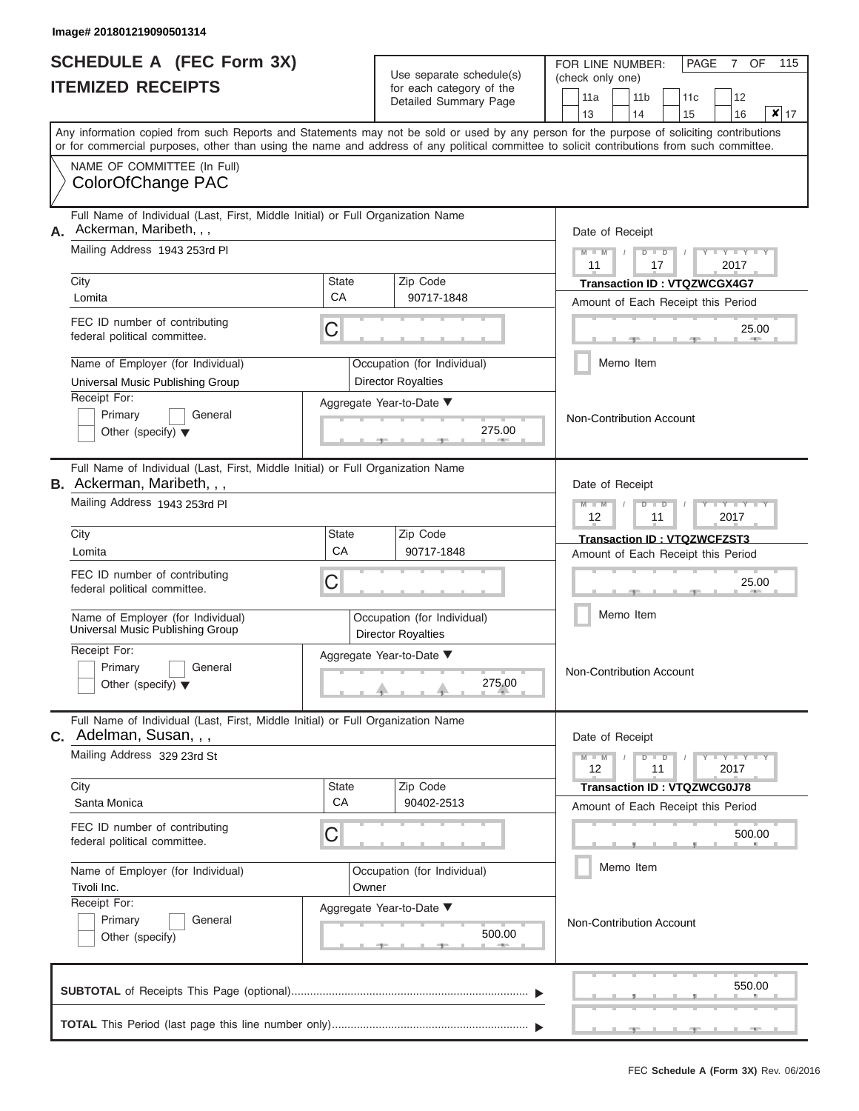|                          | <b>SCHEDULE A (FEC Form 3X)</b> |
|--------------------------|---------------------------------|
| <b>ITEMIZED RECEIPTS</b> |                                 |

| SCHEDULE A (FEC Form 3X)<br><b>ITEMIZED RECEIPTS</b>                                                                                              |                                                                                                                                                                                                                                                                                         | Use separate schedule(s)                          | FOR LINE NUMBER:<br>(check only one)                     |                       | PAGE<br>OF<br>7            | 115                                                                                                                        |  |
|---------------------------------------------------------------------------------------------------------------------------------------------------|-----------------------------------------------------------------------------------------------------------------------------------------------------------------------------------------------------------------------------------------------------------------------------------------|---------------------------------------------------|----------------------------------------------------------|-----------------------|----------------------------|----------------------------------------------------------------------------------------------------------------------------|--|
|                                                                                                                                                   |                                                                                                                                                                                                                                                                                         | for each category of the<br>Detailed Summary Page | 11a<br>13                                                | 11 <sub>b</sub><br>14 | 12<br>11c<br>16<br>15      | x 17                                                                                                                       |  |
|                                                                                                                                                   | Any information copied from such Reports and Statements may not be sold or used by any person for the purpose of soliciting contributions<br>or for commercial purposes, other than using the name and address of any political committee to solicit contributions from such committee. |                                                   |                                                          |                       |                            |                                                                                                                            |  |
|                                                                                                                                                   | NAME OF COMMITTEE (In Full)<br>ColorOfChange PAC                                                                                                                                                                                                                                        |                                                   |                                                          |                       |                            |                                                                                                                            |  |
| Full Name of Individual (Last, First, Middle Initial) or Full Organization Name<br>Ackerman, Maribeth, , ,<br>А.<br>Mailing Address 1943 253rd PI |                                                                                                                                                                                                                                                                                         |                                                   |                                                          | $M - M$               | Date of Receipt<br>$D$ $D$ | $Y - Y - I$                                                                                                                |  |
|                                                                                                                                                   | City<br>Lomita                                                                                                                                                                                                                                                                          | <b>State</b><br>CA                                | Zip Code<br>90717-1848                                   | 11                    | 17                         | 2017<br><b>Transaction ID: VTQZWCGX4G7</b><br>Amount of Each Receipt this Period                                           |  |
|                                                                                                                                                   | FEC ID number of contributing<br>federal political committee.                                                                                                                                                                                                                           | С                                                 |                                                          |                       |                            | 25.00                                                                                                                      |  |
|                                                                                                                                                   | Name of Employer (for Individual)<br>Universal Music Publishing Group                                                                                                                                                                                                                   |                                                   | Occupation (for Individual)<br><b>Director Royalties</b> |                       | Memo Item                  |                                                                                                                            |  |
|                                                                                                                                                   | Receipt For:<br>Primary<br>General<br>Other (specify) $\blacktriangledown$                                                                                                                                                                                                              |                                                   | Aggregate Year-to-Date ▼<br>275.00<br><b>Bill Allen</b>  |                       | Non-Contribution Account   |                                                                                                                            |  |
|                                                                                                                                                   | Full Name of Individual (Last, First, Middle Initial) or Full Organization Name<br><b>B.</b> Ackerman, Maribeth, , ,                                                                                                                                                                    |                                                   |                                                          |                       | Date of Receipt            |                                                                                                                            |  |
|                                                                                                                                                   | Mailing Address 1943 253rd Pl                                                                                                                                                                                                                                                           |                                                   |                                                          |                       | $D$ $\Box$ $D$<br>11       | Y T Y T<br>2017                                                                                                            |  |
|                                                                                                                                                   | City<br>Lomita                                                                                                                                                                                                                                                                          | <b>State</b><br>CA                                | Zip Code<br>90717-1848                                   |                       |                            | Transaction ID: VTQZWCFZST3<br>Amount of Each Receipt this Period                                                          |  |
|                                                                                                                                                   | FEC ID number of contributing<br>federal political committee.                                                                                                                                                                                                                           | С                                                 |                                                          |                       |                            | 25.00                                                                                                                      |  |
|                                                                                                                                                   | Name of Employer (for Individual)<br>Universal Music Publishing Group                                                                                                                                                                                                                   |                                                   | Occupation (for Individual)<br><b>Director Royalties</b> |                       | Memo Item                  |                                                                                                                            |  |
|                                                                                                                                                   | Receipt For:<br>Primary<br>General<br>Other (specify) $\blacktriangledown$                                                                                                                                                                                                              |                                                   | Aggregate Year-to-Date ▼<br>275.00                       |                       | Non-Contribution Account   |                                                                                                                            |  |
|                                                                                                                                                   | Full Name of Individual (Last, First, Middle Initial) or Full Organization Name<br><b>C.</b> Adelman, Susan, , ,                                                                                                                                                                        |                                                   |                                                          |                       | Date of Receipt            |                                                                                                                            |  |
|                                                                                                                                                   | Mailing Address 329 23rd St                                                                                                                                                                                                                                                             |                                                   |                                                          | $M - M$<br>12         | $D$ $D$<br>11              | $\blacksquare \blacksquare \mathsf{Y} \blacksquare \blacksquare \blacksquare \mathsf{Y} \blacksquare \blacksquare$<br>2017 |  |
|                                                                                                                                                   | City<br>Santa Monica                                                                                                                                                                                                                                                                    | State<br>CA                                       | Zip Code<br>90402-2513                                   |                       |                            | <b>Transaction ID: VTQZWCG0J78</b><br>Amount of Each Receipt this Period                                                   |  |
|                                                                                                                                                   | FEC ID number of contributing<br>federal political committee.                                                                                                                                                                                                                           | С                                                 |                                                          |                       |                            | 500.00                                                                                                                     |  |
|                                                                                                                                                   | Name of Employer (for Individual)<br>Tivoli Inc.                                                                                                                                                                                                                                        | Occupation (for Individual)<br>Owner              |                                                          |                       | Memo Item                  |                                                                                                                            |  |
|                                                                                                                                                   | Receipt For:<br>General<br>Primary<br>Other (specify)                                                                                                                                                                                                                                   |                                                   | Aggregate Year-to-Date ▼<br>500.00                       |                       | Non-Contribution Account   |                                                                                                                            |  |
|                                                                                                                                                   |                                                                                                                                                                                                                                                                                         |                                                   |                                                          |                       |                            | 550.00                                                                                                                     |  |
|                                                                                                                                                   |                                                                                                                                                                                                                                                                                         |                                                   |                                                          |                       |                            |                                                                                                                            |  |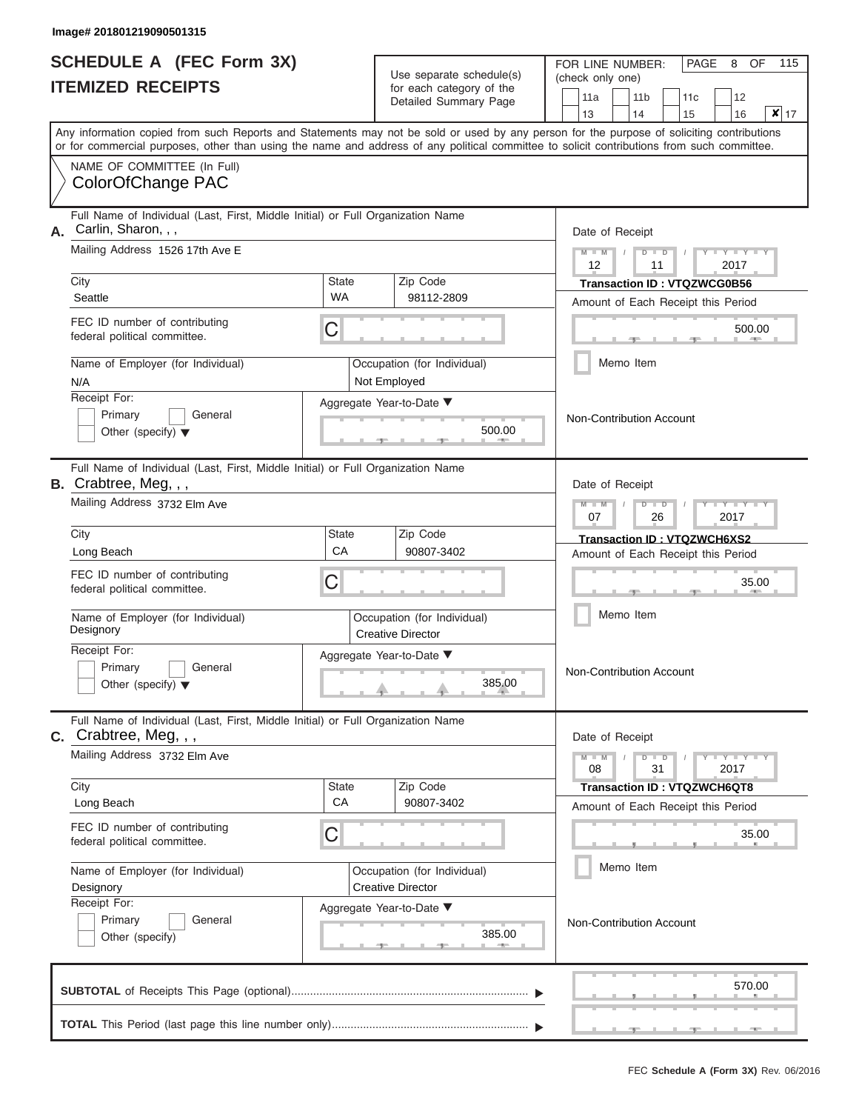|                          | <b>SCHEDULE A (FEC Form 3X)</b> |
|--------------------------|---------------------------------|
| <b>ITEMIZED RECEIPTS</b> |                                 |

| SCHEDULE A (FEC Form 3X)                                                                                 | Use separate schedule(s)                                                                                                                                                                                                                                                                | 115<br>FOR LINE NUMBER:<br><b>PAGE</b><br>OF<br>8       |  |  |
|----------------------------------------------------------------------------------------------------------|-----------------------------------------------------------------------------------------------------------------------------------------------------------------------------------------------------------------------------------------------------------------------------------------|---------------------------------------------------------|--|--|
| <b>ITEMIZED RECEIPTS</b>                                                                                 | for each category of the                                                                                                                                                                                                                                                                | (check only one)<br>11a<br>11 <sub>b</sub><br>11c<br>12 |  |  |
|                                                                                                          | Detailed Summary Page                                                                                                                                                                                                                                                                   | $\mathsf{x} _{17}$<br>13<br>14<br>15<br>16              |  |  |
|                                                                                                          | Any information copied from such Reports and Statements may not be sold or used by any person for the purpose of soliciting contributions<br>or for commercial purposes, other than using the name and address of any political committee to solicit contributions from such committee. |                                                         |  |  |
| NAME OF COMMITTEE (In Full)                                                                              |                                                                                                                                                                                                                                                                                         |                                                         |  |  |
| ColorOfChange PAC                                                                                        |                                                                                                                                                                                                                                                                                         |                                                         |  |  |
| Full Name of Individual (Last, First, Middle Initial) or Full Organization Name                          |                                                                                                                                                                                                                                                                                         |                                                         |  |  |
| Carlin, Sharon, , ,<br>Mailing Address 1526 17th Ave E                                                   | Date of Receipt<br>$M - M$<br>Y I Y I<br>$D$ $D$                                                                                                                                                                                                                                        |                                                         |  |  |
|                                                                                                          |                                                                                                                                                                                                                                                                                         |                                                         |  |  |
| City                                                                                                     | Zip Code<br><b>State</b><br><b>WA</b>                                                                                                                                                                                                                                                   | <b>Transaction ID: VTQZWCG0B56</b>                      |  |  |
| Seattle                                                                                                  | 98112-2809                                                                                                                                                                                                                                                                              | Amount of Each Receipt this Period                      |  |  |
| FEC ID number of contributing<br>federal political committee.                                            | С                                                                                                                                                                                                                                                                                       | 500.00<br><b>British Allen</b>                          |  |  |
| Name of Employer (for Individual)<br>N/A                                                                 | Occupation (for Individual)<br>Not Employed                                                                                                                                                                                                                                             | Memo Item                                               |  |  |
| Receipt For:                                                                                             | Aggregate Year-to-Date ▼                                                                                                                                                                                                                                                                |                                                         |  |  |
| Primary<br>General                                                                                       |                                                                                                                                                                                                                                                                                         | <b>Non-Contribution Account</b>                         |  |  |
| Other (specify) $\blacktriangledown$                                                                     | 500.00<br><b>CONTRACTOR</b>                                                                                                                                                                                                                                                             |                                                         |  |  |
| Full Name of Individual (Last, First, Middle Initial) or Full Organization Name<br>B. Crabtree, Meg, , , |                                                                                                                                                                                                                                                                                         | Date of Receipt                                         |  |  |
| Mailing Address 3732 Elm Ave                                                                             |                                                                                                                                                                                                                                                                                         |                                                         |  |  |
|                                                                                                          |                                                                                                                                                                                                                                                                                         | 07<br>2017<br>26                                        |  |  |
| City<br>Long Beach                                                                                       | <b>State</b><br>Zip Code<br>CA<br>90807-3402                                                                                                                                                                                                                                            | Transaction ID: VTQZWCH6XS2                             |  |  |
| FEC ID number of contributing                                                                            |                                                                                                                                                                                                                                                                                         | Amount of Each Receipt this Period                      |  |  |
| federal political committee.                                                                             | С                                                                                                                                                                                                                                                                                       | 35.00                                                   |  |  |
| Name of Employer (for Individual)                                                                        | Occupation (for Individual)                                                                                                                                                                                                                                                             | Memo Item                                               |  |  |
| Designory                                                                                                | <b>Creative Director</b>                                                                                                                                                                                                                                                                |                                                         |  |  |
| Receipt For:<br>Primary<br>General                                                                       | Aggregate Year-to-Date ▼                                                                                                                                                                                                                                                                |                                                         |  |  |
| Other (specify) $\blacktriangledown$                                                                     | 385.00                                                                                                                                                                                                                                                                                  | Non-Contribution Account                                |  |  |
|                                                                                                          |                                                                                                                                                                                                                                                                                         |                                                         |  |  |
| Full Name of Individual (Last, First, Middle Initial) or Full Organization Name<br>C. Crabtree, Meg.,,   |                                                                                                                                                                                                                                                                                         | Date of Receipt                                         |  |  |
| Mailing Address 3732 Elm Ave                                                                             |                                                                                                                                                                                                                                                                                         |                                                         |  |  |
| City                                                                                                     | Zip Code<br><b>State</b>                                                                                                                                                                                                                                                                | 08<br>31<br>2017<br><b>Transaction ID: VTQZWCH6QT8</b>  |  |  |
| Long Beach                                                                                               | CA<br>90807-3402                                                                                                                                                                                                                                                                        | Amount of Each Receipt this Period                      |  |  |
| FEC ID number of contributing                                                                            | С                                                                                                                                                                                                                                                                                       | 35.00                                                   |  |  |
| federal political committee.                                                                             |                                                                                                                                                                                                                                                                                         |                                                         |  |  |
| Name of Employer (for Individual)<br>Designory                                                           | Occupation (for Individual)<br><b>Creative Director</b>                                                                                                                                                                                                                                 | Memo Item                                               |  |  |
| Receipt For:                                                                                             | Aggregate Year-to-Date ▼                                                                                                                                                                                                                                                                |                                                         |  |  |
| Primary<br>General                                                                                       |                                                                                                                                                                                                                                                                                         | Non-Contribution Account                                |  |  |
| Other (specify)                                                                                          | 385.00<br>$-9-$                                                                                                                                                                                                                                                                         |                                                         |  |  |
|                                                                                                          |                                                                                                                                                                                                                                                                                         |                                                         |  |  |
|                                                                                                          |                                                                                                                                                                                                                                                                                         | 570.00                                                  |  |  |
|                                                                                                          |                                                                                                                                                                                                                                                                                         |                                                         |  |  |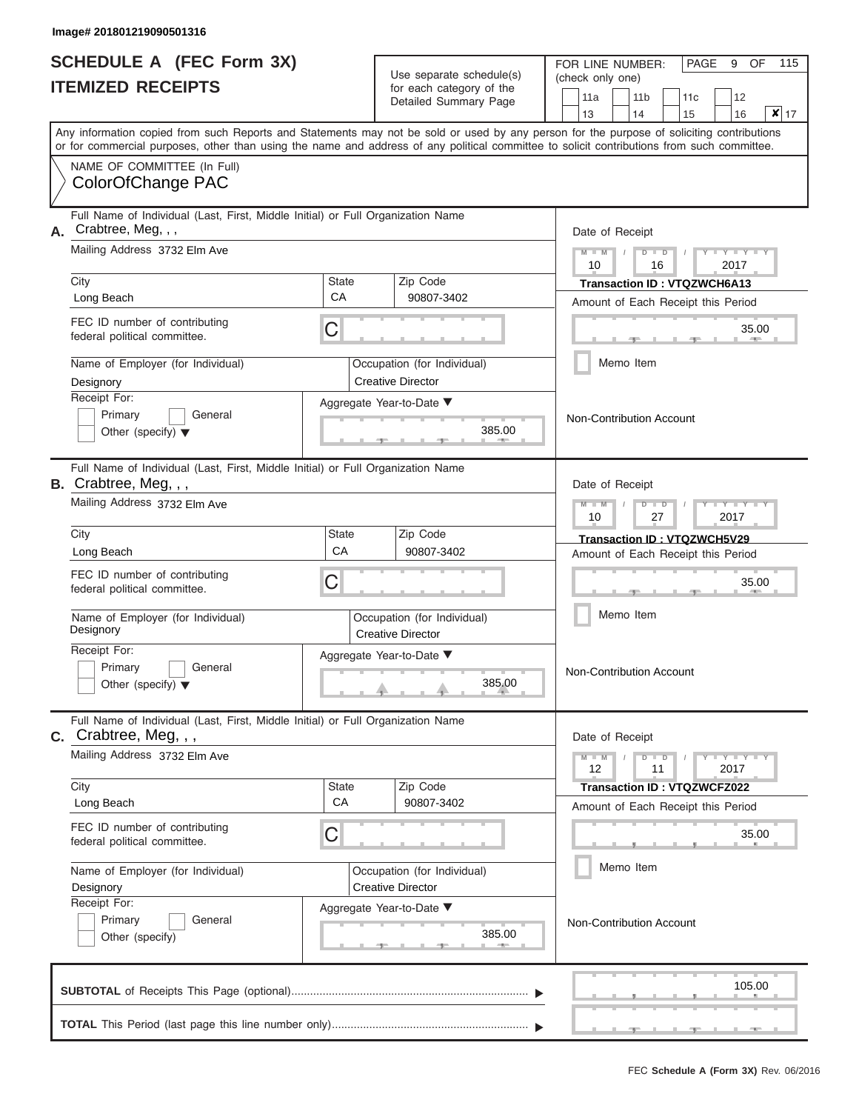# **SCHEDULE A (FEC Form 3X) ITEMIZED RECEIPTS**

 $U_{\text{eq}}$  separate schedule(s)

FOR LINE NUMBER:

PAGE 9 OF 115

| <b>ITEMIZED RECEIPTS</b>                       |                                                                                                                                                                                                                                                                                         | Use separate scriedule(s)<br>for each category of the<br>Detailed Summary Page | (check only one)<br>11a<br>11 <sub>b</sub><br>12<br>11c<br>$\vert x \vert$<br>13<br>14<br>15<br>16<br>17 |                                                           |
|------------------------------------------------|-----------------------------------------------------------------------------------------------------------------------------------------------------------------------------------------------------------------------------------------------------------------------------------------|--------------------------------------------------------------------------------|----------------------------------------------------------------------------------------------------------|-----------------------------------------------------------|
|                                                | Any information copied from such Reports and Statements may not be sold or used by any person for the purpose of soliciting contributions<br>or for commercial purposes, other than using the name and address of any political committee to solicit contributions from such committee. |                                                                                |                                                                                                          |                                                           |
|                                                | NAME OF COMMITTEE (In Full)<br>ColorOfChange PAC                                                                                                                                                                                                                                        |                                                                                |                                                                                                          |                                                           |
| А.                                             | Full Name of Individual (Last, First, Middle Initial) or Full Organization Name<br>Crabtree, Meg, , ,                                                                                                                                                                                   |                                                                                |                                                                                                          | Date of Receipt                                           |
|                                                | Mailing Address 3732 Elm Ave                                                                                                                                                                                                                                                            |                                                                                |                                                                                                          | $M - M$<br>$D$ $D$<br>$Y - Y - I$<br>10<br>2017<br>16     |
|                                                | City                                                                                                                                                                                                                                                                                    | State<br>CA                                                                    | Zip Code                                                                                                 | Transaction ID: VTQZWCH6A13                               |
|                                                | Long Beach                                                                                                                                                                                                                                                                              |                                                                                | 90807-3402                                                                                               | Amount of Each Receipt this Period                        |
|                                                | FEC ID number of contributing<br>federal political committee.                                                                                                                                                                                                                           | C                                                                              |                                                                                                          | 35.00                                                     |
|                                                | Name of Employer (for Individual)                                                                                                                                                                                                                                                       |                                                                                | Occupation (for Individual)                                                                              | Memo Item                                                 |
|                                                | Designory                                                                                                                                                                                                                                                                               |                                                                                | <b>Creative Director</b>                                                                                 |                                                           |
|                                                | Receipt For:                                                                                                                                                                                                                                                                            |                                                                                | Aggregate Year-to-Date ▼                                                                                 |                                                           |
|                                                | Primary<br>General<br>Other (specify) $\blacktriangledown$                                                                                                                                                                                                                              |                                                                                | 385.00                                                                                                   | Non-Contribution Account                                  |
|                                                | Full Name of Individual (Last, First, Middle Initial) or Full Organization Name<br>B. Crabtree, Meg, , ,                                                                                                                                                                                |                                                                                |                                                                                                          | Date of Receipt                                           |
|                                                | Mailing Address 3732 Elm Ave                                                                                                                                                                                                                                                            |                                                                                |                                                                                                          | $M - M$<br>$Y - Y$<br>$D$ $D$<br>2017<br>10<br>27         |
|                                                | City                                                                                                                                                                                                                                                                                    | Zip Code<br>State                                                              |                                                                                                          | Transaction ID: VTQZWCH5V29                               |
|                                                | Long Beach                                                                                                                                                                                                                                                                              | CA                                                                             | 90807-3402                                                                                               | Amount of Each Receipt this Period                        |
|                                                | FEC ID number of contributing<br>federal political committee.                                                                                                                                                                                                                           | C                                                                              |                                                                                                          | 35.00                                                     |
| Name of Employer (for Individual)<br>Designory |                                                                                                                                                                                                                                                                                         |                                                                                | Occupation (for Individual)<br><b>Creative Director</b>                                                  | Memo Item                                                 |
|                                                | Receipt For:<br>Primary<br>General<br>Other (specify) $\blacktriangledown$                                                                                                                                                                                                              |                                                                                | Aggregate Year-to-Date ▼<br>385.00                                                                       | Non-Contribution Account                                  |
|                                                | Full Name of Individual (Last, First, Middle Initial) or Full Organization Name<br>$c.$ Crabtree, Meg, $, ,$                                                                                                                                                                            |                                                                                |                                                                                                          | Date of Receipt                                           |
|                                                | Mailing Address 3732 Elm Ave                                                                                                                                                                                                                                                            |                                                                                |                                                                                                          | $M - M$<br>$Y = Y = Y - Y$<br>$D$ $D$<br>12<br>11<br>2017 |
|                                                | City                                                                                                                                                                                                                                                                                    | State                                                                          | Zip Code                                                                                                 | <b>Transaction ID: VTQZWCFZ022</b>                        |
|                                                | Long Beach                                                                                                                                                                                                                                                                              | CA                                                                             | 90807-3402                                                                                               | Amount of Each Receipt this Period                        |
|                                                | FEC ID number of contributing<br>С<br>federal political committee.                                                                                                                                                                                                                      |                                                                                | 35.00                                                                                                    |                                                           |
|                                                | Name of Employer (for Individual)<br>Occupation (for Individual)<br><b>Creative Director</b><br>Designory                                                                                                                                                                               |                                                                                | Memo Item                                                                                                |                                                           |
|                                                | Receipt For:<br>Primary<br>General                                                                                                                                                                                                                                                      |                                                                                | Aggregate Year-to-Date ▼                                                                                 | Non-Contribution Account                                  |
| Other (specify)                                |                                                                                                                                                                                                                                                                                         | 385.00                                                                         |                                                                                                          |                                                           |
|                                                |                                                                                                                                                                                                                                                                                         |                                                                                |                                                                                                          | 105.00                                                    |
|                                                |                                                                                                                                                                                                                                                                                         |                                                                                |                                                                                                          |                                                           |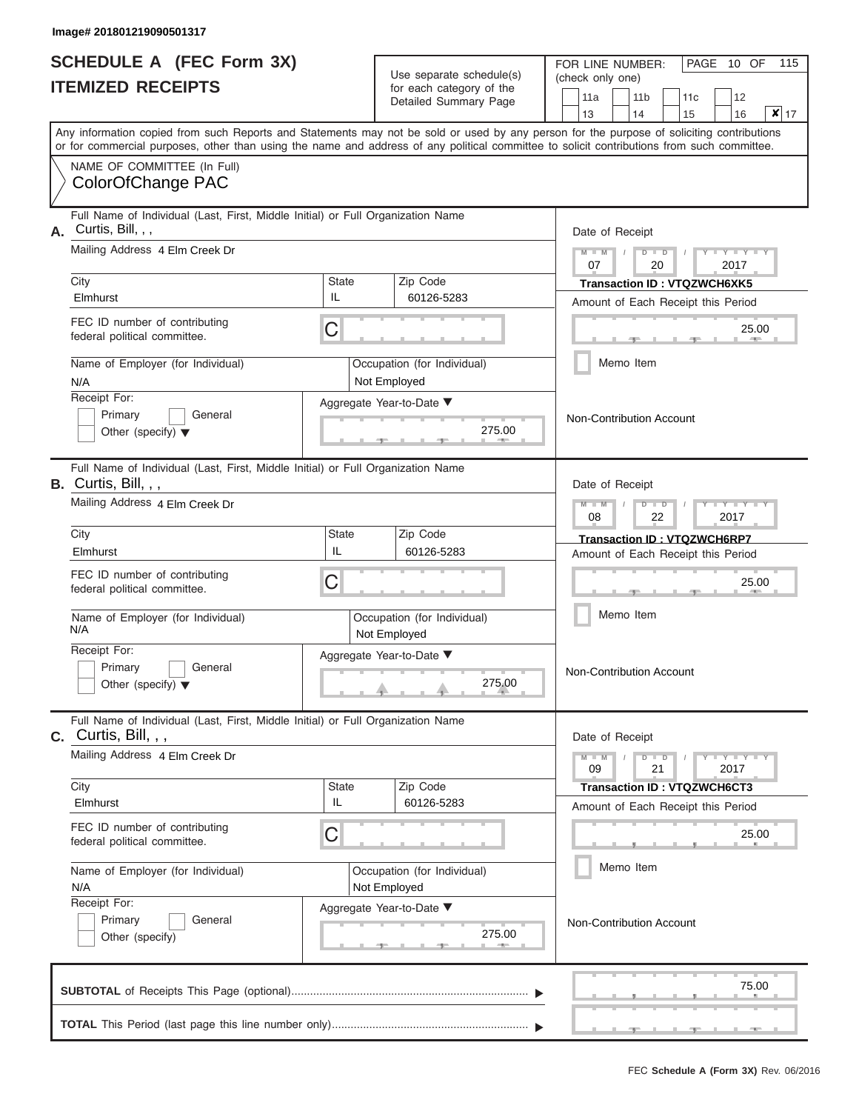|                          | <b>SCHEDULE A (FEC Form 3X)</b> |
|--------------------------|---------------------------------|
| <b>ITEMIZED RECEIPTS</b> |                                 |

| SCHEDULE A (FEC Form 3X)                                                                                   | Use separate schedule(s)                                                                                                                                                                                                                                                                | 115<br>FOR LINE NUMBER:<br>PAGE 10 OF<br>(check only one)                                |
|------------------------------------------------------------------------------------------------------------|-----------------------------------------------------------------------------------------------------------------------------------------------------------------------------------------------------------------------------------------------------------------------------------------|------------------------------------------------------------------------------------------|
| <b>ITEMIZED RECEIPTS</b>                                                                                   | for each category of the<br>Detailed Summary Page                                                                                                                                                                                                                                       | 11a<br>12<br>11 <sub>b</sub><br>11 <sub>c</sub><br>$x _{17}$<br>13<br>14<br>15<br>16     |
|                                                                                                            | Any information copied from such Reports and Statements may not be sold or used by any person for the purpose of soliciting contributions<br>or for commercial purposes, other than using the name and address of any political committee to solicit contributions from such committee. |                                                                                          |
| NAME OF COMMITTEE (In Full)<br>ColorOfChange PAC                                                           |                                                                                                                                                                                                                                                                                         |                                                                                          |
| Full Name of Individual (Last, First, Middle Initial) or Full Organization Name<br>Curtis, Bill, , ,<br>Α. |                                                                                                                                                                                                                                                                                         | Date of Receipt                                                                          |
| Mailing Address 4 Elm Creek Dr<br>City                                                                     | Zip Code<br><b>State</b>                                                                                                                                                                                                                                                                | Y LTY LT<br>$M - M$<br>$D$ $D$<br>07<br>20<br>2017                                       |
| Elmhurst                                                                                                   | IL.<br>60126-5283                                                                                                                                                                                                                                                                       | Transaction ID : VTQZWCH6XK5<br>Amount of Each Receipt this Period                       |
| FEC ID number of contributing<br>federal political committee.                                              | С                                                                                                                                                                                                                                                                                       | 25.00<br><b>CONTRACTOR</b>                                                               |
| Name of Employer (for Individual)<br>N/A                                                                   | Occupation (for Individual)<br>Not Employed                                                                                                                                                                                                                                             | Memo Item                                                                                |
| Receipt For:<br>Primary<br>General<br>Other (specify) $\blacktriangledown$                                 | Aggregate Year-to-Date ▼<br>275.00<br><b>CONTRACTOR</b>                                                                                                                                                                                                                                 | Non-Contribution Account                                                                 |
| Full Name of Individual (Last, First, Middle Initial) or Full Organization Name<br>B. Curtis, Bill, , ,    |                                                                                                                                                                                                                                                                                         | Date of Receipt                                                                          |
| Mailing Address 4 Elm Creek Dr                                                                             |                                                                                                                                                                                                                                                                                         | $M - M$<br>$D$ $D$<br>$\Box$ $\Upsilon$ $\Box$ $\Upsilon$ $\Upsilon$<br>08<br>2017<br>22 |
| City<br>Elmhurst                                                                                           | <b>State</b><br>Zip Code<br>IL<br>60126-5283                                                                                                                                                                                                                                            | Transaction ID: VTQZWCH6RP7                                                              |
| FEC ID number of contributing<br>federal political committee.                                              | С                                                                                                                                                                                                                                                                                       | Amount of Each Receipt this Period<br>25.00                                              |
| Name of Employer (for Individual)<br>N/A                                                                   | Occupation (for Individual)<br>Not Employed                                                                                                                                                                                                                                             | Memo Item                                                                                |
| Receipt For:<br>Primary<br>General<br>Other (specify) $\blacktriangledown$                                 | Aggregate Year-to-Date ▼<br>275.00                                                                                                                                                                                                                                                      | Non-Contribution Account                                                                 |
| Full Name of Individual (Last, First, Middle Initial) or Full Organization Name<br>$C.$ Curtis, Bill, , ,  |                                                                                                                                                                                                                                                                                         | Date of Receipt                                                                          |
| Mailing Address 4 Elm Creek Dr                                                                             |                                                                                                                                                                                                                                                                                         | $D$ $\Box$ $D$<br>$-1 - Y - 1 - Y - 1$<br>$M - M$<br>09<br>21<br>2017                    |
| City<br>Elmhurst                                                                                           | Zip Code<br><b>State</b><br>IL<br>60126-5283                                                                                                                                                                                                                                            | <b>Transaction ID: VTQZWCH6CT3</b><br>Amount of Each Receipt this Period                 |
| FEC ID number of contributing<br>federal political committee.                                              | С                                                                                                                                                                                                                                                                                       | 25.00                                                                                    |
| Name of Employer (for Individual)<br>N/A                                                                   | Occupation (for Individual)<br>Not Employed                                                                                                                                                                                                                                             | Memo Item                                                                                |
| Receipt For:<br>Primary<br>General<br>Other (specify)                                                      | Aggregate Year-to-Date ▼<br>275.00<br>-40-                                                                                                                                                                                                                                              | Non-Contribution Account                                                                 |
|                                                                                                            |                                                                                                                                                                                                                                                                                         | 75.00                                                                                    |
|                                                                                                            |                                                                                                                                                                                                                                                                                         |                                                                                          |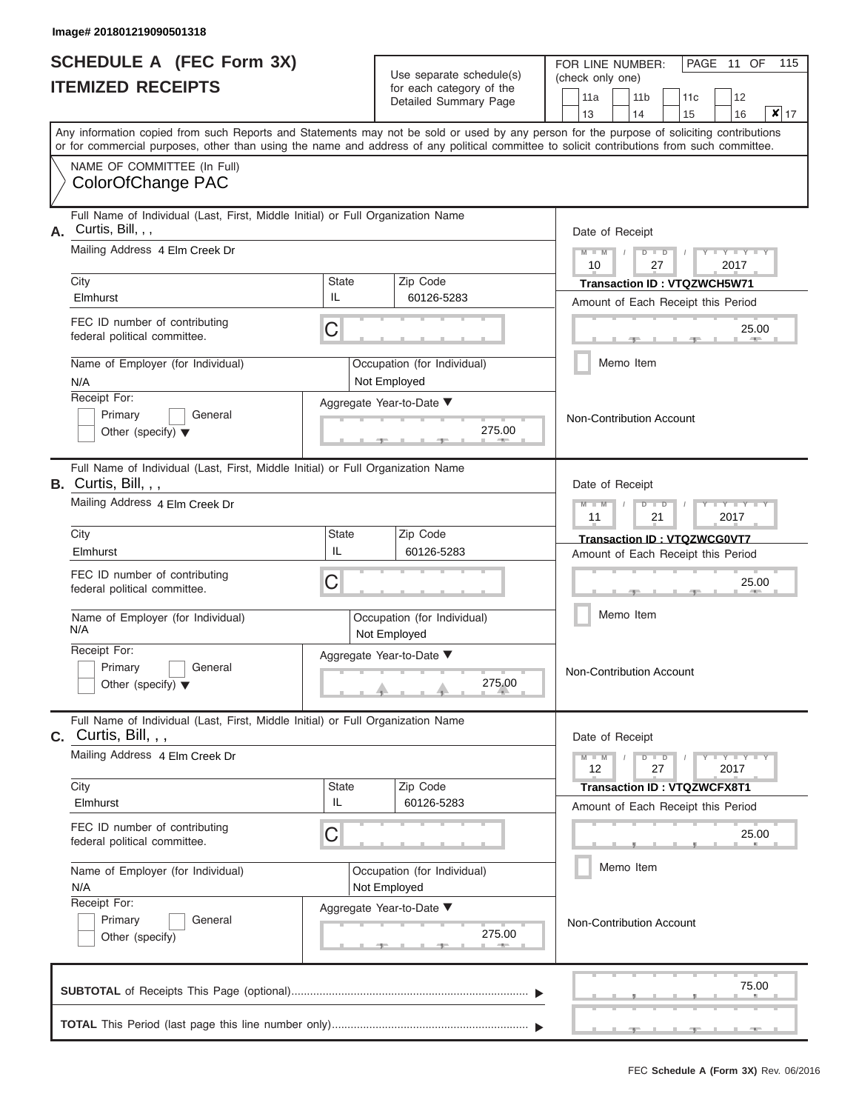|                          | <b>SCHEDULE A (FEC Form 3X)</b> |
|--------------------------|---------------------------------|
| <b>ITEMIZED RECEIPTS</b> |                                 |

| SCHEDULE A (FEC Form 3X)<br><b>ITEMIZED RECEIPTS</b>                                                       |                    | Use separate schedule(s)                          | 115<br>FOR LINE NUMBER:<br>PAGE 11 OF<br>(check only one)                                                                                                                                                                                                                               |
|------------------------------------------------------------------------------------------------------------|--------------------|---------------------------------------------------|-----------------------------------------------------------------------------------------------------------------------------------------------------------------------------------------------------------------------------------------------------------------------------------------|
|                                                                                                            |                    | for each category of the<br>Detailed Summary Page | 12<br>11a<br>11 <sub>b</sub><br>11 <sub>c</sub><br>$\mathbf{x}$ 17<br>13<br>14<br>15<br>16                                                                                                                                                                                              |
|                                                                                                            |                    |                                                   | Any information copied from such Reports and Statements may not be sold or used by any person for the purpose of soliciting contributions<br>or for commercial purposes, other than using the name and address of any political committee to solicit contributions from such committee. |
| NAME OF COMMITTEE (In Full)<br>ColorOfChange PAC                                                           |                    |                                                   |                                                                                                                                                                                                                                                                                         |
| Full Name of Individual (Last, First, Middle Initial) or Full Organization Name<br>Curtis, Bill, , ,<br>А. |                    |                                                   | Date of Receipt                                                                                                                                                                                                                                                                         |
| Mailing Address 4 Elm Creek Dr<br>City                                                                     | <b>State</b>       | Zip Code                                          | $M = M$ /<br>Y I Y I<br>$D$ $D$<br>10<br>27<br>2017                                                                                                                                                                                                                                     |
| Elmhurst                                                                                                   | IL                 | 60126-5283                                        | Transaction ID: VTQZWCH5W71<br>Amount of Each Receipt this Period                                                                                                                                                                                                                       |
| FEC ID number of contributing<br>federal political committee.                                              | C                  |                                                   | 25.00<br><b>AND I</b>                                                                                                                                                                                                                                                                   |
| Name of Employer (for Individual)<br>N/A                                                                   |                    | Occupation (for Individual)<br>Not Employed       | Memo Item                                                                                                                                                                                                                                                                               |
| Receipt For:<br>Primary<br>General<br>Other (specify) $\blacktriangledown$                                 |                    | Aggregate Year-to-Date ▼<br>275.00                | Non-Contribution Account                                                                                                                                                                                                                                                                |
| Full Name of Individual (Last, First, Middle Initial) or Full Organization Name<br>B. Curtis, Bill, , ,    |                    | Date of Receipt                                   |                                                                                                                                                                                                                                                                                         |
| Mailing Address 4 Elm Creek Dr                                                                             |                    |                                                   | $M - M$<br>$D$ $D$<br>$Y = Y$<br>11<br>21<br>2017                                                                                                                                                                                                                                       |
| City<br>Elmhurst                                                                                           | <b>State</b><br>IL | Zip Code<br>60126-5283                            | Transaction ID: VTQZWCG0VT7                                                                                                                                                                                                                                                             |
| FEC ID number of contributing<br>federal political committee.                                              | C                  |                                                   | Amount of Each Receipt this Period<br>25.00                                                                                                                                                                                                                                             |
| Name of Employer (for Individual)<br>N/A                                                                   |                    | Occupation (for Individual)<br>Not Employed       | Memo Item                                                                                                                                                                                                                                                                               |
| Receipt For:<br>Primary<br>General<br>Other (specify) $\blacktriangledown$                                 |                    | Aggregate Year-to-Date ▼<br>275.00                | Non-Contribution Account                                                                                                                                                                                                                                                                |
| Full Name of Individual (Last, First, Middle Initial) or Full Organization Name<br>C. Curtis, Bill, , ,    |                    |                                                   | Date of Receipt                                                                                                                                                                                                                                                                         |
| Mailing Address 4 Elm Creek Dr                                                                             |                    |                                                   | $M - M$<br>$D$ $\Box$ $D$<br>$T-T$ $T$ $T$ $T$ $T$ $T$<br>12<br>27<br>2017                                                                                                                                                                                                              |
| City<br>Elmhurst                                                                                           | <b>State</b><br>IL | Zip Code<br>60126-5283                            | <b>Transaction ID: VTQZWCFX8T1</b><br>Amount of Each Receipt this Period                                                                                                                                                                                                                |
| FEC ID number of contributing<br>federal political committee.                                              | С                  |                                                   | 25.00                                                                                                                                                                                                                                                                                   |
| Name of Employer (for Individual)<br>N/A                                                                   |                    | Occupation (for Individual)<br>Not Employed       | Memo Item                                                                                                                                                                                                                                                                               |
| Receipt For:<br>Primary<br>General<br>Other (specify)                                                      |                    | Aggregate Year-to-Date ▼<br>275.00                | Non-Contribution Account                                                                                                                                                                                                                                                                |
|                                                                                                            |                    |                                                   | 75.00                                                                                                                                                                                                                                                                                   |
|                                                                                                            |                    |                                                   |                                                                                                                                                                                                                                                                                         |

 ▲ ▲ ▲ , , .

a.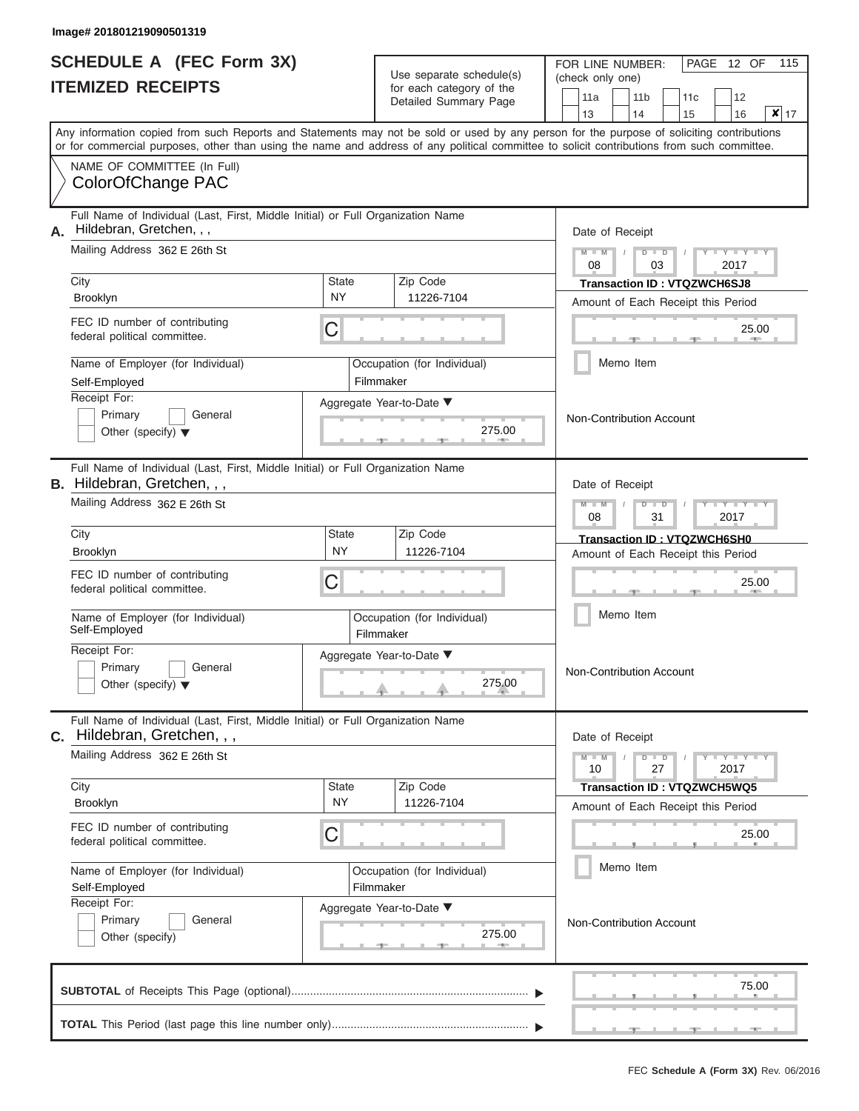|                          | <b>SCHEDULE A (FEC Form 3X)</b> |
|--------------------------|---------------------------------|
| <b>ITEMIZED RECEIPTS</b> |                                 |

| SCHEDULE A (FEC Form 3X)<br><b>ITEMIZED RECEIPTS</b> |                                                                                                                                                                                                                                                                                         | Use separate schedule(s)<br>for each category of the | 115<br>FOR LINE NUMBER:<br>PAGE 12 OF<br>(check only one)<br>11a<br>11 <sub>b</sub><br>12<br>11c |                                                                                                                                                    |
|------------------------------------------------------|-----------------------------------------------------------------------------------------------------------------------------------------------------------------------------------------------------------------------------------------------------------------------------------------|------------------------------------------------------|--------------------------------------------------------------------------------------------------|----------------------------------------------------------------------------------------------------------------------------------------------------|
|                                                      |                                                                                                                                                                                                                                                                                         | Detailed Summary Page                                | $x _{17}$<br>13<br>16<br>14<br>15                                                                |                                                                                                                                                    |
|                                                      | Any information copied from such Reports and Statements may not be sold or used by any person for the purpose of soliciting contributions<br>or for commercial purposes, other than using the name and address of any political committee to solicit contributions from such committee. |                                                      |                                                                                                  |                                                                                                                                                    |
|                                                      | NAME OF COMMITTEE (In Full)<br>ColorOfChange PAC                                                                                                                                                                                                                                        |                                                      |                                                                                                  |                                                                                                                                                    |
| А.                                                   | Full Name of Individual (Last, First, Middle Initial) or Full Organization Name<br>Hildebran, Gretchen, , ,                                                                                                                                                                             |                                                      |                                                                                                  | Date of Receipt                                                                                                                                    |
|                                                      | Mailing Address 362 E 26th St<br>City                                                                                                                                                                                                                                                   | State                                                | Zip Code                                                                                         | $M = M$ /<br>$D$ $D$<br>Y TY T<br>08<br>2017<br>03<br><b>Transaction ID: VTQZWCH6SJ8</b>                                                           |
|                                                      | <b>Brooklyn</b>                                                                                                                                                                                                                                                                         | <b>NY</b>                                            | 11226-7104                                                                                       | Amount of Each Receipt this Period                                                                                                                 |
|                                                      | FEC ID number of contributing<br>federal political committee.                                                                                                                                                                                                                           | С                                                    |                                                                                                  | 25.00<br><b>AND IN</b>                                                                                                                             |
|                                                      | Name of Employer (for Individual)<br>Self-Employed                                                                                                                                                                                                                                      |                                                      | Occupation (for Individual)<br>Filmmaker                                                         | Memo Item                                                                                                                                          |
|                                                      | Receipt For:<br>Primary<br>General<br>Other (specify) $\blacktriangledown$                                                                                                                                                                                                              |                                                      | Aggregate Year-to-Date ▼<br>275.00                                                               | Non-Contribution Account                                                                                                                           |
|                                                      | Full Name of Individual (Last, First, Middle Initial) or Full Organization Name<br><b>B.</b> Hildebran, Gretchen, , ,                                                                                                                                                                   |                                                      |                                                                                                  | Date of Receipt                                                                                                                                    |
|                                                      | Mailing Address 362 E 26th St                                                                                                                                                                                                                                                           |                                                      |                                                                                                  | $M - M$<br>$D$ $D$<br>YIYI<br>08<br>31<br>2017                                                                                                     |
|                                                      | City<br><b>Brooklyn</b>                                                                                                                                                                                                                                                                 | <b>State</b><br><b>NY</b>                            | Zip Code<br>11226-7104                                                                           | Transaction ID: VTQZWCH6SH0<br>Amount of Each Receipt this Period                                                                                  |
|                                                      | FEC ID number of contributing<br>federal political committee.                                                                                                                                                                                                                           | С                                                    |                                                                                                  | 25.00                                                                                                                                              |
|                                                      | Name of Employer (for Individual)<br>Self-Employed                                                                                                                                                                                                                                      |                                                      | Occupation (for Individual)<br>Filmmaker                                                         | Memo Item                                                                                                                                          |
|                                                      | Receipt For:<br>Primary<br>General<br>Other (specify) $\blacktriangledown$                                                                                                                                                                                                              |                                                      | Aggregate Year-to-Date ▼<br>275.00                                                               | Non-Contribution Account                                                                                                                           |
|                                                      | Full Name of Individual (Last, First, Middle Initial) or Full Organization Name<br><b>C.</b> Hildebran, Gretchen, , ,<br>Date of Receipt                                                                                                                                                |                                                      |                                                                                                  |                                                                                                                                                    |
|                                                      | Mailing Address 362 E 26th St                                                                                                                                                                                                                                                           |                                                      |                                                                                                  | $M - M$<br>$D$ $D$<br>$\blacksquare \blacksquare \mathsf{Y} \mathrel{\sqsubseteq} \mathsf{Y} \mathrel{\sqsubseteq} \mathsf{Y}$<br>10<br>27<br>2017 |
|                                                      | City<br><b>Brooklyn</b>                                                                                                                                                                                                                                                                 | State<br><b>NY</b>                                   | Zip Code<br>11226-7104                                                                           | <b>Transaction ID: VTQZWCH5WQ5</b><br>Amount of Each Receipt this Period                                                                           |
|                                                      | FEC ID number of contributing<br>federal political committee.                                                                                                                                                                                                                           | С                                                    |                                                                                                  | 25.00                                                                                                                                              |
|                                                      | Name of Employer (for Individual)<br>Self-Employed                                                                                                                                                                                                                                      |                                                      | Occupation (for Individual)<br>Filmmaker                                                         | Memo Item                                                                                                                                          |
|                                                      | Receipt For:<br>Primary<br>General<br>Other (specify)                                                                                                                                                                                                                                   |                                                      | Aggregate Year-to-Date ▼<br>275.00                                                               | Non-Contribution Account                                                                                                                           |
|                                                      |                                                                                                                                                                                                                                                                                         |                                                      |                                                                                                  | 75.00                                                                                                                                              |
|                                                      |                                                                                                                                                                                                                                                                                         |                                                      |                                                                                                  |                                                                                                                                                    |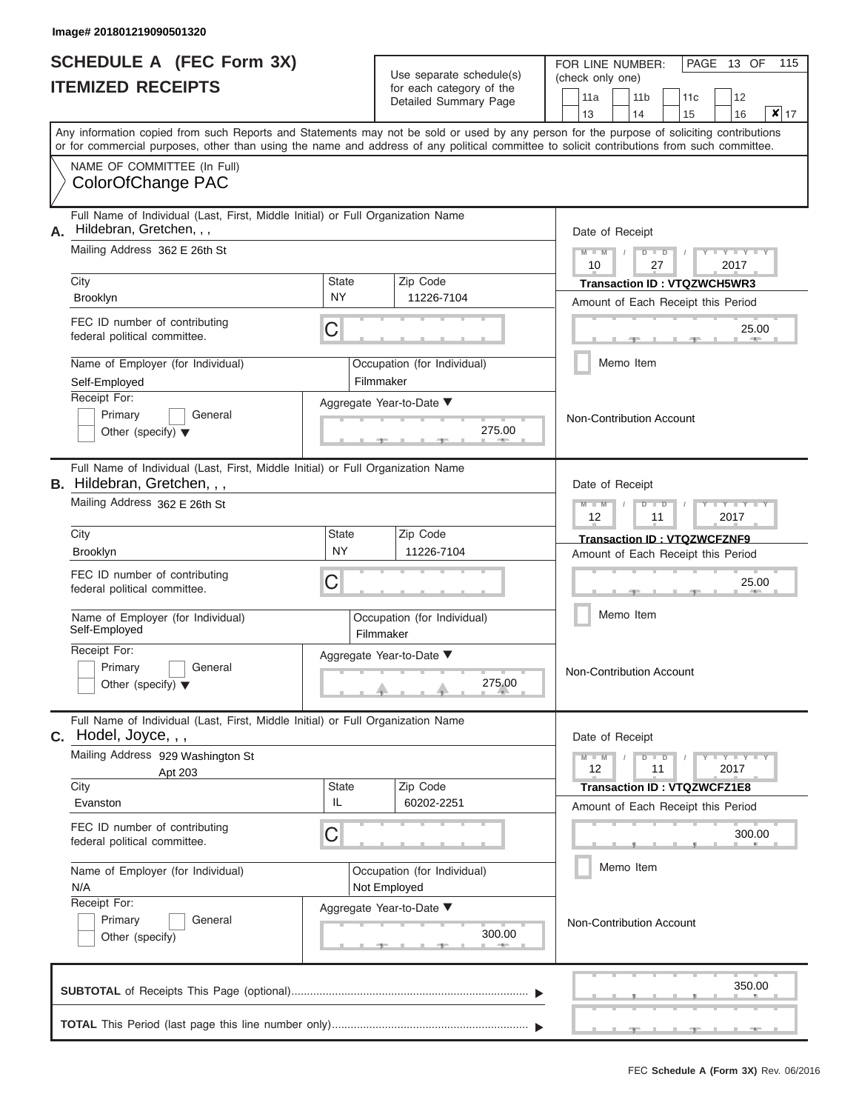|                          | <b>SCHEDULE A (FEC Form 3X)</b> |
|--------------------------|---------------------------------|
| <b>ITEMIZED RECEIPTS</b> |                                 |

| SCHEDULE A (FEC Form 3X)<br><b>ITEMIZED RECEIPTS</b> |                                                                                                                                                                                                                                                                                         | Use separate schedule(s)<br>for each category of the |                                                | 115<br>FOR LINE NUMBER:<br>PAGE 13 OF<br>(check only one)                                                  |
|------------------------------------------------------|-----------------------------------------------------------------------------------------------------------------------------------------------------------------------------------------------------------------------------------------------------------------------------------------|------------------------------------------------------|------------------------------------------------|------------------------------------------------------------------------------------------------------------|
|                                                      |                                                                                                                                                                                                                                                                                         | Detailed Summary Page                                |                                                | 11a<br>11 <sub>b</sub><br>12<br>11c<br>$x _{17}$<br>13<br>16<br>14<br>15                                   |
|                                                      | Any information copied from such Reports and Statements may not be sold or used by any person for the purpose of soliciting contributions<br>or for commercial purposes, other than using the name and address of any political committee to solicit contributions from such committee. |                                                      |                                                |                                                                                                            |
|                                                      | NAME OF COMMITTEE (In Full)<br>ColorOfChange PAC                                                                                                                                                                                                                                        |                                                      |                                                |                                                                                                            |
| А.                                                   | Full Name of Individual (Last, First, Middle Initial) or Full Organization Name<br>Hildebran, Gretchen, , ,                                                                                                                                                                             |                                                      |                                                | Date of Receipt                                                                                            |
|                                                      | Mailing Address 362 E 26th St                                                                                                                                                                                                                                                           |                                                      |                                                | $M - M$ /<br>$D$ $D$<br>Y I Y I<br>10<br>27<br>2017                                                        |
|                                                      | City<br><b>NY</b><br><b>Brooklyn</b>                                                                                                                                                                                                                                                    | Zip Code<br>State<br>11226-7104                      |                                                | <b>Transaction ID: VTQZWCH5WR3</b><br>Amount of Each Receipt this Period                                   |
|                                                      | FEC ID number of contributing<br>С<br>federal political committee.                                                                                                                                                                                                                      |                                                      |                                                | 25.00<br><b>AND IN</b>                                                                                     |
|                                                      | Name of Employer (for Individual)<br>Self-Employed                                                                                                                                                                                                                                      | Occupation (for Individual)<br>Filmmaker             |                                                | Memo Item                                                                                                  |
|                                                      | Receipt For:<br>Primary<br>General<br>Other (specify) $\blacktriangledown$                                                                                                                                                                                                              | Aggregate Year-to-Date ▼                             | 275.00                                         | Non-Contribution Account                                                                                   |
|                                                      | Full Name of Individual (Last, First, Middle Initial) or Full Organization Name<br><b>B.</b> Hildebran, Gretchen, , ,                                                                                                                                                                   |                                                      |                                                | Date of Receipt                                                                                            |
|                                                      | Mailing Address 362 E 26th St                                                                                                                                                                                                                                                           |                                                      | $M - M$<br>$D$ $D$<br>YIYI<br>12<br>2017<br>11 |                                                                                                            |
|                                                      | City<br><b>NY</b><br><b>Brooklyn</b>                                                                                                                                                                                                                                                    | State<br>Zip Code<br>11226-7104                      |                                                | <b>Transaction ID: VTQZWCFZNF9</b><br>Amount of Each Receipt this Period                                   |
|                                                      | FEC ID number of contributing<br>С<br>federal political committee.                                                                                                                                                                                                                      |                                                      |                                                | 25.00                                                                                                      |
|                                                      | Name of Employer (for Individual)<br>Self-Employed                                                                                                                                                                                                                                      | Occupation (for Individual)<br>Filmmaker             |                                                | Memo Item                                                                                                  |
|                                                      | Receipt For:<br>Primary<br>General<br>Other (specify) $\blacktriangledown$                                                                                                                                                                                                              | Aggregate Year-to-Date ▼                             | 275.00                                         | Non-Contribution Account                                                                                   |
|                                                      | Full Name of Individual (Last, First, Middle Initial) or Full Organization Name<br>$c.$ Hodel, Joyce, , ,                                                                                                                                                                               |                                                      |                                                | Date of Receipt                                                                                            |
|                                                      | Mailing Address 929 Washington St<br>Apt 203                                                                                                                                                                                                                                            |                                                      |                                                | $M - M$<br>$D$ $D$<br>$\mathbf{I} = \mathbf{Y} - \mathbf{I} - \mathbf{Y} - \mathbf{I}$<br>12<br>11<br>2017 |
|                                                      | City<br>IL<br>Evanston                                                                                                                                                                                                                                                                  | Zip Code<br><b>State</b><br>60202-2251               |                                                | <b>Transaction ID: VTQZWCFZ1E8</b><br>Amount of Each Receipt this Period                                   |
|                                                      | FEC ID number of contributing<br>С<br>federal political committee.                                                                                                                                                                                                                      |                                                      |                                                | 300.00                                                                                                     |
|                                                      | Name of Employer (for Individual)<br>N/A                                                                                                                                                                                                                                                | Occupation (for Individual)<br>Not Employed          |                                                | Memo Item                                                                                                  |
|                                                      | Receipt For:<br>Primary<br>General<br>Other (specify)                                                                                                                                                                                                                                   | Aggregate Year-to-Date ▼                             | 300.00                                         | Non-Contribution Account                                                                                   |
|                                                      |                                                                                                                                                                                                                                                                                         |                                                      |                                                | 350.00                                                                                                     |
|                                                      |                                                                                                                                                                                                                                                                                         |                                                      |                                                |                                                                                                            |

 ▲ ▲ ▲ , , .

a.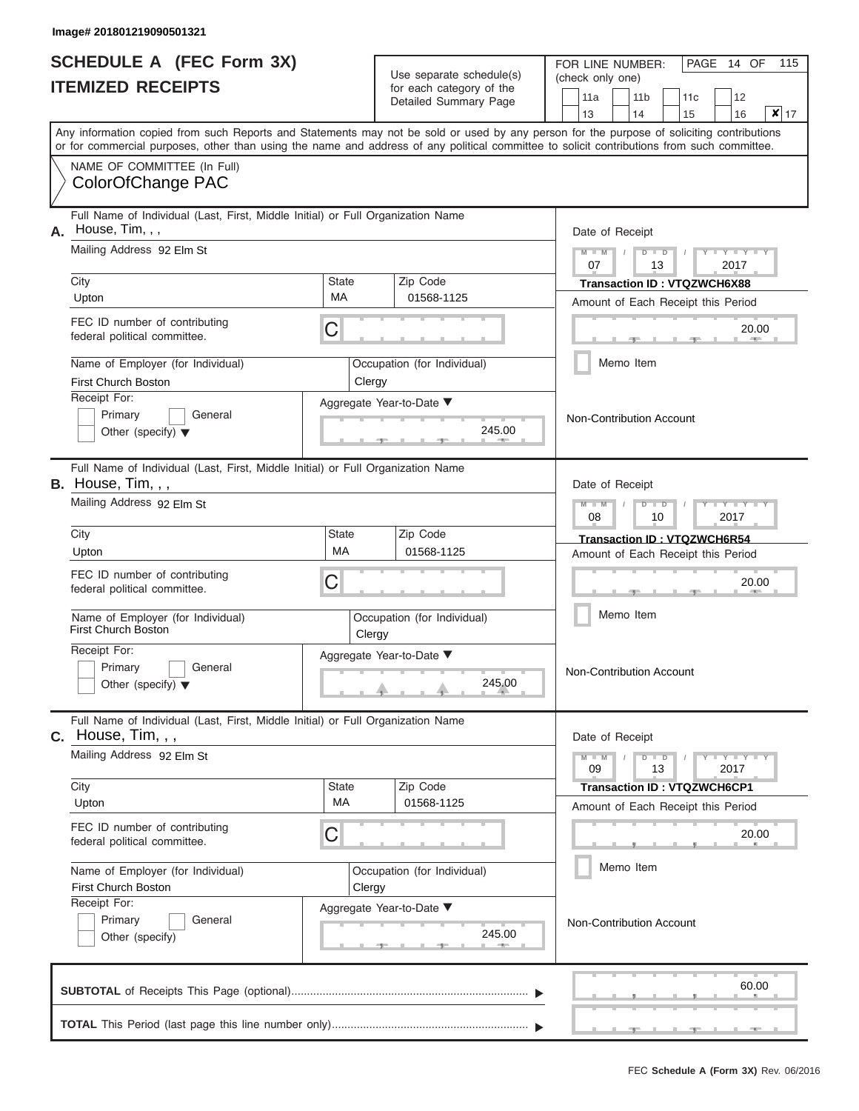|                          | <b>SCHEDULE A (FEC Form 3X)</b> |
|--------------------------|---------------------------------|
| <b>ITEMIZED RECEIPTS</b> |                                 |

| SCHEDULE A (FEC Form 3X)<br><b>ITEMIZED RECEIPTS</b>                                                     | Use separate schedule(s)<br>for each category of the                                                                                                                                                                                                                                    | 115<br>FOR LINE NUMBER:<br>PAGE<br>14 OF<br>(check only one)                                                                    |
|----------------------------------------------------------------------------------------------------------|-----------------------------------------------------------------------------------------------------------------------------------------------------------------------------------------------------------------------------------------------------------------------------------------|---------------------------------------------------------------------------------------------------------------------------------|
|                                                                                                          | Detailed Summary Page                                                                                                                                                                                                                                                                   | 11a<br>11 <sub>b</sub><br>12<br>11 <sub>c</sub><br>$\overline{\mathbf{x}}$ 17<br>13<br>16<br>14<br>15                           |
|                                                                                                          | Any information copied from such Reports and Statements may not be sold or used by any person for the purpose of soliciting contributions<br>or for commercial purposes, other than using the name and address of any political committee to solicit contributions from such committee. |                                                                                                                                 |
| NAME OF COMMITTEE (In Full)<br>ColorOfChange PAC                                                         |                                                                                                                                                                                                                                                                                         |                                                                                                                                 |
| Full Name of Individual (Last, First, Middle Initial) or Full Organization Name<br>House, Tim, , ,<br>А. |                                                                                                                                                                                                                                                                                         | Date of Receipt                                                                                                                 |
| Mailing Address 92 Elm St                                                                                |                                                                                                                                                                                                                                                                                         | $M = M$ /<br>$D$ $D$<br>Y TYT<br>07<br>13<br>2017                                                                               |
| City<br>Upton                                                                                            | Zip Code<br><b>State</b><br>MA<br>01568-1125                                                                                                                                                                                                                                            | Transaction ID: VTQZWCH6X88<br>Amount of Each Receipt this Period                                                               |
| FEC ID number of contributing<br>federal political committee.                                            | C                                                                                                                                                                                                                                                                                       | 20.00<br><b>ARCHITECT</b>                                                                                                       |
| Name of Employer (for Individual)<br>First Church Boston                                                 | Occupation (for Individual)<br>Clergy                                                                                                                                                                                                                                                   | Memo Item                                                                                                                       |
| Receipt For:<br>Primary<br>General<br>Other (specify) $\blacktriangledown$                               | Aggregate Year-to-Date ▼<br>245.00<br><b>CONTRACTOR</b>                                                                                                                                                                                                                                 | Non-Contribution Account                                                                                                        |
| Full Name of Individual (Last, First, Middle Initial) or Full Organization Name<br>B. House, Tim, , ,    |                                                                                                                                                                                                                                                                                         | Date of Receipt                                                                                                                 |
| Mailing Address 92 Elm St                                                                                |                                                                                                                                                                                                                                                                                         | $M - M$<br>$D$ $D$<br>$T - Y = T - T$<br>08<br>2017<br>10                                                                       |
| City<br>Upton                                                                                            | State<br>Zip Code<br>MA<br>01568-1125                                                                                                                                                                                                                                                   | Transaction ID: VTQZWCH6R54<br>Amount of Each Receipt this Period                                                               |
| FEC ID number of contributing<br>federal political committee.                                            | C                                                                                                                                                                                                                                                                                       | 20.00                                                                                                                           |
| Name of Employer (for Individual)<br><b>First Church Boston</b>                                          | Occupation (for Individual)<br>Clergy                                                                                                                                                                                                                                                   | Memo Item                                                                                                                       |
| Receipt For:<br>Primary<br>General<br>Other (specify) $\blacktriangledown$                               | Aggregate Year-to-Date ▼<br>245.00                                                                                                                                                                                                                                                      | Non-Contribution Account                                                                                                        |
| Full Name of Individual (Last, First, Middle Initial) or Full Organization Name<br>$C.$ House, Tim, , ,  |                                                                                                                                                                                                                                                                                         | Date of Receipt                                                                                                                 |
| Mailing Address 92 Elm St                                                                                |                                                                                                                                                                                                                                                                                         | $M - M$<br>$D$ $D$<br>$\begin{array}{cccccccccc} \bot & \gamma & \bot & \gamma & \bot & \gamma \end{array}$<br>09<br>13<br>2017 |
| City<br>Upton                                                                                            | Zip Code<br><b>State</b><br>MA<br>01568-1125                                                                                                                                                                                                                                            | Transaction ID: VTQZWCH6CP1<br>Amount of Each Receipt this Period                                                               |
| FEC ID number of contributing<br>federal political committee.                                            | C                                                                                                                                                                                                                                                                                       | 20.00                                                                                                                           |
| Name of Employer (for Individual)<br><b>First Church Boston</b>                                          | Occupation (for Individual)<br>Clergy                                                                                                                                                                                                                                                   | Memo Item                                                                                                                       |
| Receipt For:<br>Primary<br>General<br>Other (specify)                                                    | Aggregate Year-to-Date ▼<br>245.00<br>$-1$                                                                                                                                                                                                                                              | Non-Contribution Account                                                                                                        |
|                                                                                                          |                                                                                                                                                                                                                                                                                         | 60.00                                                                                                                           |
|                                                                                                          |                                                                                                                                                                                                                                                                                         |                                                                                                                                 |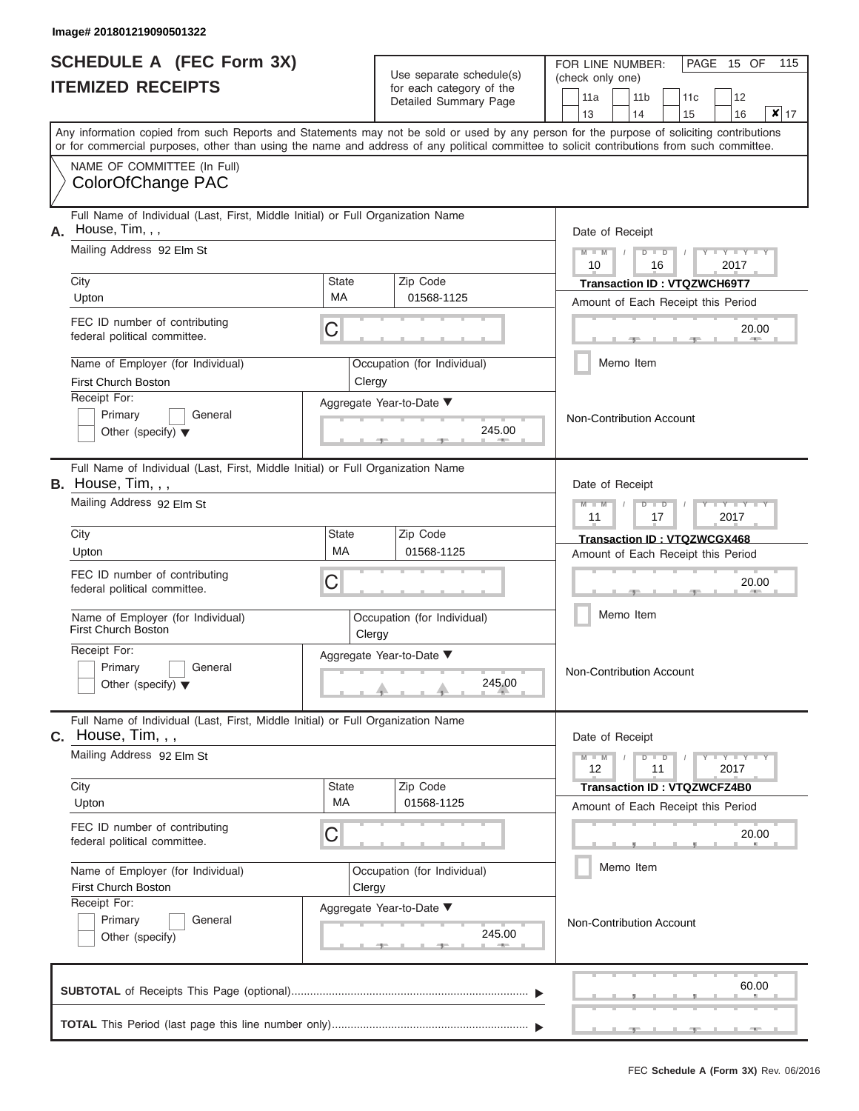|                          | <b>SCHEDULE A (FEC Form 3X)</b> |
|--------------------------|---------------------------------|
| <b>ITEMIZED RECEIPTS</b> |                                 |

Use separate schedule(s) (check only one) for each category of the

FOR LINE NUMBER:<br>(check only one)

PAGE 15 OF 115

|                                                                                                          |                          | Detailed Summary Page              | 11a<br>11 b<br>12<br>11c<br>$x _{17}$<br>13<br>14<br>15<br>16                                                                              |
|----------------------------------------------------------------------------------------------------------|--------------------------|------------------------------------|--------------------------------------------------------------------------------------------------------------------------------------------|
|                                                                                                          |                          |                                    | Any information copied from such Reports and Statements may not be sold or used by any person for the purpose of soliciting contributions  |
| NAME OF COMMITTEE (In Full)<br>ColorOfChange PAC                                                         |                          |                                    | or for commercial purposes, other than using the name and address of any political committee to solicit contributions from such committee. |
| Full Name of Individual (Last, First, Middle Initial) or Full Organization Name<br>House, Tim, , ,<br>А. | Date of Receipt          |                                    |                                                                                                                                            |
| Mailing Address 92 Elm St                                                                                |                          |                                    | $Y - Y - Y$<br>$M - M$<br>$D$ $\Box$ $D$<br>10<br>2017<br>16                                                                               |
| City<br>Upton                                                                                            | <b>State</b><br>МA       | Zip Code<br>01568-1125             | <b>Transaction ID: VTQZWCH69T7</b><br>Amount of Each Receipt this Period                                                                   |
| FEC ID number of contributing<br>federal political committee.                                            | С                        |                                    | 20.00<br><b>AND</b>                                                                                                                        |
| Name of Employer (for Individual)<br><b>First Church Boston</b>                                          | Clergy                   | Occupation (for Individual)        | Memo Item                                                                                                                                  |
| Receipt For:<br>Primary<br>General<br>Other (specify) $\blacktriangledown$                               |                          | Aggregate Year-to-Date ▼<br>245.00 | Non-Contribution Account                                                                                                                   |
| Full Name of Individual (Last, First, Middle Initial) or Full Organization Name<br>B. House, Tim, , ,    |                          |                                    | Date of Receipt                                                                                                                            |
| Mailing Address 92 Elm St                                                                                |                          |                                    | $T - Y = T - Y = T$<br>$M - M$<br>$D$ $D$<br>11<br>2017<br>17                                                                              |
| City<br>Upton                                                                                            | <b>State</b><br>МA       | Zip Code<br>01568-1125             | Transaction ID: VTQZWCGX468<br>Amount of Each Receipt this Period                                                                          |
| FEC ID number of contributing<br>federal political committee.                                            | С                        |                                    |                                                                                                                                            |
| Name of Employer (for Individual)<br><b>First Church Boston</b>                                          | Clergy                   | Occupation (for Individual)        | Memo Item                                                                                                                                  |
| Receipt For:<br>General<br>Primary<br>Other (specify) $\blacktriangledown$                               | Aggregate Year-to-Date ▼ | Non-Contribution Account           |                                                                                                                                            |
| Full Name of Individual (Last, First, Middle Initial) or Full Organization Name<br>C. House, Tim, , ,    |                          |                                    | Date of Receipt                                                                                                                            |
| Mailing Address 92 Elm St                                                                                |                          |                                    | $Y - Y - Y - Y$<br>$M - M$<br>$D$ $D$<br>12<br>11<br>2017                                                                                  |
| City<br>Upton                                                                                            | <b>State</b><br>МA       | Zip Code<br>01568-1125             | Transaction ID: VTQZWCFZ4B0<br>Amount of Each Receipt this Period                                                                          |
| FEC ID number of contributing<br>federal political committee.                                            | C                        |                                    | 20.00                                                                                                                                      |
| Name of Employer (for Individual)<br>First Church Boston                                                 | Clergy                   | Occupation (for Individual)        | Memo Item                                                                                                                                  |
| Receipt For:<br>Primary<br>General<br>Other (specify)                                                    | Non-Contribution Account |                                    |                                                                                                                                            |
|                                                                                                          |                          |                                    | 60.00                                                                                                                                      |
|                                                                                                          |                          |                                    |                                                                                                                                            |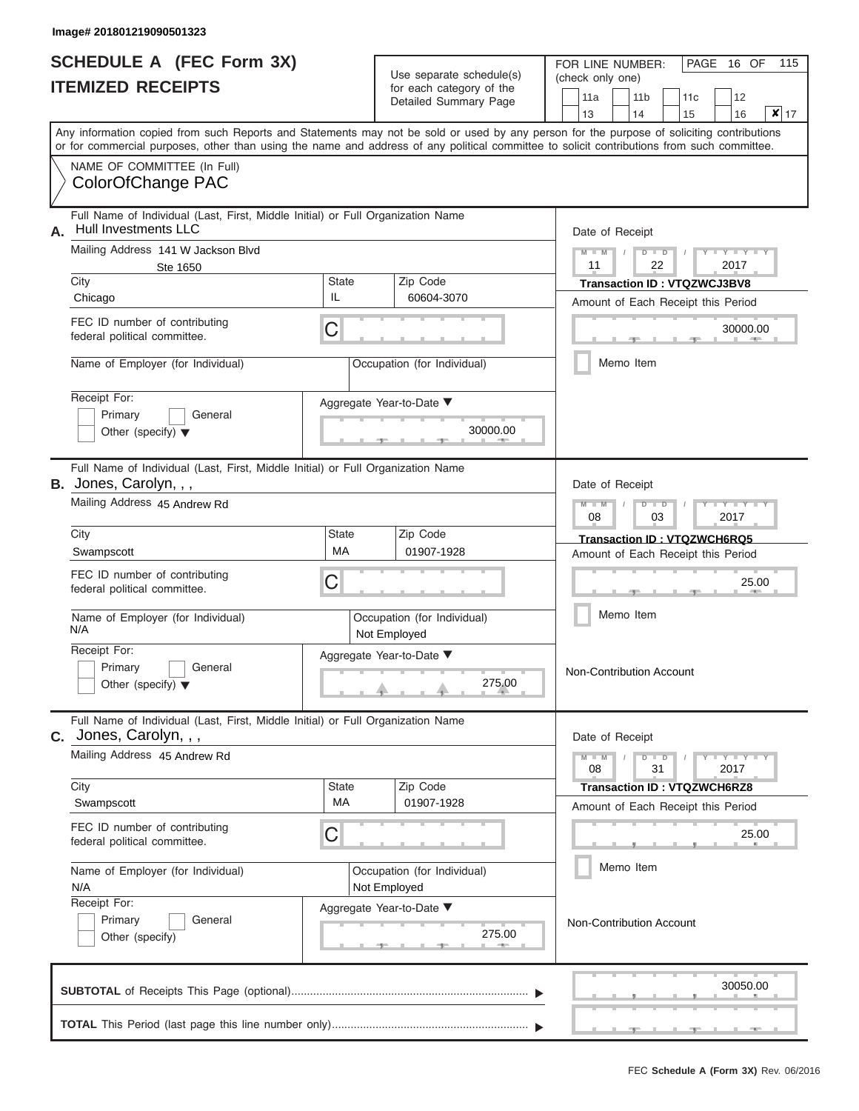|                          | <b>SCHEDULE A (FEC Form 3X)</b> |
|--------------------------|---------------------------------|
| <b>ITEMIZED RECEIPTS</b> |                                 |

| SCHEDULE A (FEC Form 3X)<br><b>ITEMIZED RECEIPTS</b>                                                                                                       |                                                                                                                                                                                                                                                                                         | Use separate schedule(s)<br>for each category of the | 115<br>FOR LINE NUMBER:<br>PAGE<br>16 OF<br>(check only one)<br>11a<br>11 <sub>b</sub><br>12<br>11c |                                                                                                                                                              |  |  |
|------------------------------------------------------------------------------------------------------------------------------------------------------------|-----------------------------------------------------------------------------------------------------------------------------------------------------------------------------------------------------------------------------------------------------------------------------------------|------------------------------------------------------|-----------------------------------------------------------------------------------------------------|--------------------------------------------------------------------------------------------------------------------------------------------------------------|--|--|
|                                                                                                                                                            |                                                                                                                                                                                                                                                                                         | Detailed Summary Page                                | $x _{17}$<br>13<br>14<br>15<br>16                                                                   |                                                                                                                                                              |  |  |
|                                                                                                                                                            | Any information copied from such Reports and Statements may not be sold or used by any person for the purpose of soliciting contributions<br>or for commercial purposes, other than using the name and address of any political committee to solicit contributions from such committee. |                                                      |                                                                                                     |                                                                                                                                                              |  |  |
|                                                                                                                                                            | NAME OF COMMITTEE (In Full)<br>ColorOfChange PAC                                                                                                                                                                                                                                        |                                                      |                                                                                                     |                                                                                                                                                              |  |  |
| Full Name of Individual (Last, First, Middle Initial) or Full Organization Name<br><b>Hull Investments LLC</b><br>А.<br>Mailing Address 141 W Jackson Blvd |                                                                                                                                                                                                                                                                                         |                                                      |                                                                                                     | Date of Receipt<br>$M - M$<br>$D$ $D$<br>$Y - Y - I$                                                                                                         |  |  |
|                                                                                                                                                            | Ste 1650<br>City<br>Chicago                                                                                                                                                                                                                                                             | State<br>IL                                          | Zip Code<br>60604-3070                                                                              | 11<br>22<br>2017<br><b>Transaction ID: VTQZWCJ3BV8</b>                                                                                                       |  |  |
|                                                                                                                                                            | FEC ID number of contributing<br>federal political committee.                                                                                                                                                                                                                           | С                                                    |                                                                                                     | Amount of Each Receipt this Period<br>30000.00                                                                                                               |  |  |
|                                                                                                                                                            | Name of Employer (for Individual)                                                                                                                                                                                                                                                       |                                                      | Occupation (for Individual)                                                                         | Memo Item                                                                                                                                                    |  |  |
|                                                                                                                                                            | Receipt For:<br>Primary<br>General<br>Other (specify) $\blacktriangledown$                                                                                                                                                                                                              |                                                      | Aggregate Year-to-Date ▼<br>30000.00                                                                |                                                                                                                                                              |  |  |
| Full Name of Individual (Last, First, Middle Initial) or Full Organization Name<br><b>B.</b> Jones, Carolyn, , ,<br>Date of Receipt                        |                                                                                                                                                                                                                                                                                         |                                                      |                                                                                                     |                                                                                                                                                              |  |  |
|                                                                                                                                                            | Mailing Address 45 Andrew Rd                                                                                                                                                                                                                                                            |                                                      |                                                                                                     | $M - M$<br>$D$ $D$<br>Y TYT<br>08<br>2017<br>03                                                                                                              |  |  |
|                                                                                                                                                            | City<br>Swampscott                                                                                                                                                                                                                                                                      | State<br><b>MA</b>                                   | Zip Code<br>01907-1928                                                                              | Transaction ID: VTQZWCH6RQ5<br>Amount of Each Receipt this Period                                                                                            |  |  |
| FEC ID number of contributing<br>С<br>federal political committee.                                                                                         |                                                                                                                                                                                                                                                                                         |                                                      |                                                                                                     | 25.00                                                                                                                                                        |  |  |
|                                                                                                                                                            | Name of Employer (for Individual)<br>N/A                                                                                                                                                                                                                                                |                                                      | Occupation (for Individual)<br>Not Employed                                                         | Memo Item                                                                                                                                                    |  |  |
|                                                                                                                                                            | Receipt For:<br>Primary<br>General<br>Other (specify) $\blacktriangledown$                                                                                                                                                                                                              | Aggregate Year-to-Date ▼<br>275.00                   |                                                                                                     |                                                                                                                                                              |  |  |
|                                                                                                                                                            | Full Name of Individual (Last, First, Middle Initial) or Full Organization Name<br><b>C.</b> Jones, Carolyn, , ,                                                                                                                                                                        |                                                      |                                                                                                     | Date of Receipt                                                                                                                                              |  |  |
|                                                                                                                                                            | Mailing Address 45 Andrew Rd<br>City                                                                                                                                                                                                                                                    | State                                                | Zip Code                                                                                            | $M - M$<br>$D$ $D$<br>$\blacksquare \blacksquare \mathsf{Y} \blacksquare \blacksquare \blacksquare \mathsf{Y} \blacksquare \blacksquare$<br>08<br>31<br>2017 |  |  |
|                                                                                                                                                            | Swampscott                                                                                                                                                                                                                                                                              | MA                                                   | 01907-1928                                                                                          | <b>Transaction ID: VTQZWCH6RZ8</b><br>Amount of Each Receipt this Period                                                                                     |  |  |
| FEC ID number of contributing<br>С<br>federal political committee.                                                                                         |                                                                                                                                                                                                                                                                                         |                                                      |                                                                                                     | 25.00                                                                                                                                                        |  |  |
| Name of Employer (for Individual)<br>N/A                                                                                                                   |                                                                                                                                                                                                                                                                                         |                                                      | Occupation (for Individual)<br>Not Employed                                                         | Memo Item                                                                                                                                                    |  |  |
| Receipt For:<br>Aggregate Year-to-Date ▼<br>Primary<br>General<br>Other (specify)                                                                          |                                                                                                                                                                                                                                                                                         |                                                      | 275.00                                                                                              | Non-Contribution Account                                                                                                                                     |  |  |
|                                                                                                                                                            | 30050.00                                                                                                                                                                                                                                                                                |                                                      |                                                                                                     |                                                                                                                                                              |  |  |
|                                                                                                                                                            |                                                                                                                                                                                                                                                                                         |                                                      |                                                                                                     |                                                                                                                                                              |  |  |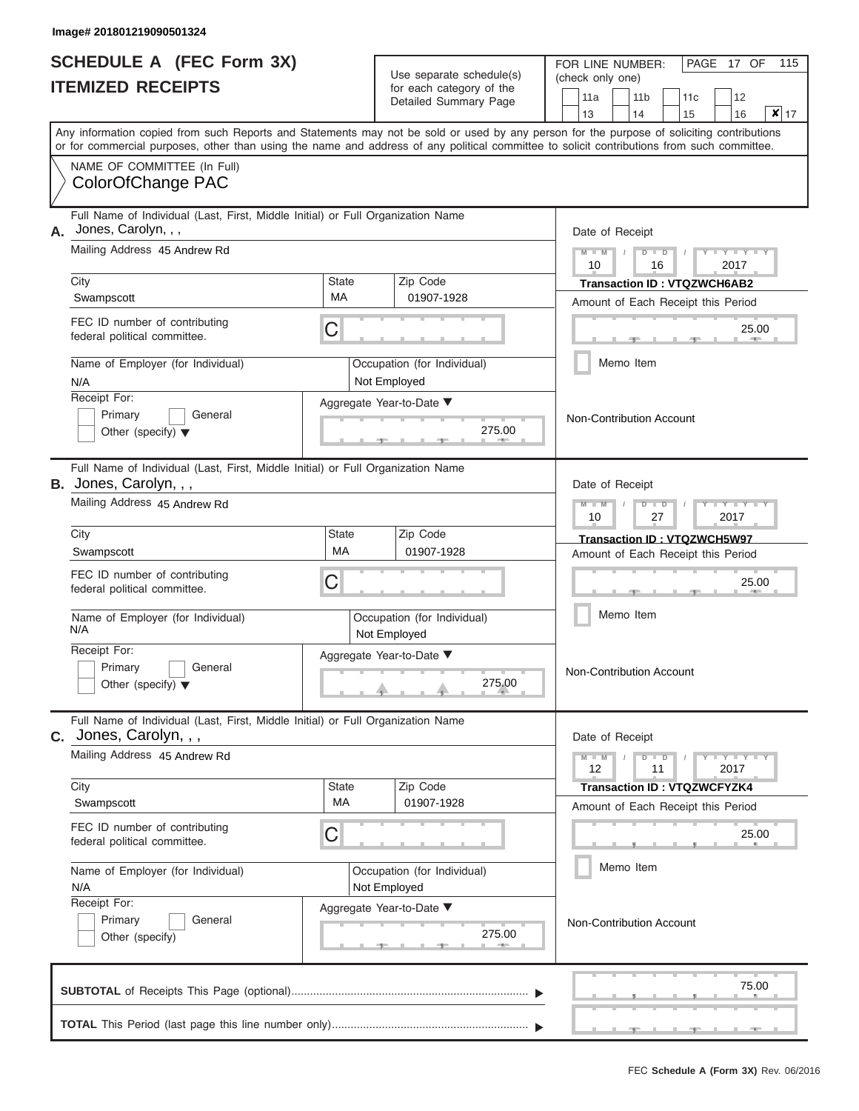# **SCHEDULE A (FEC Form 3X) ITEMIZED RECEIPTS**

FOR LINE NUMBER:  $|$  PAGE 17 OF 115

|                                                                            |                                                                                                                                                                                                                                                                                         |                                             | Use separate schedule(s)                          | (check only one)                |  |                                                                          |           |                                                                                                                  |                  |    |
|----------------------------------------------------------------------------|-----------------------------------------------------------------------------------------------------------------------------------------------------------------------------------------------------------------------------------------------------------------------------------------|---------------------------------------------|---------------------------------------------------|---------------------------------|--|--------------------------------------------------------------------------|-----------|------------------------------------------------------------------------------------------------------------------|------------------|----|
|                                                                            | <b>ITEMIZED RECEIPTS</b>                                                                                                                                                                                                                                                                |                                             | for each category of the<br>Detailed Summary Page | 11a<br>13                       |  | 11 <sub>b</sub><br>14                                                    | 11c<br>15 | 12<br>16                                                                                                         | $\boldsymbol{x}$ | 17 |
|                                                                            | Any information copied from such Reports and Statements may not be sold or used by any person for the purpose of soliciting contributions<br>or for commercial purposes, other than using the name and address of any political committee to solicit contributions from such committee. |                                             |                                                   |                                 |  |                                                                          |           |                                                                                                                  |                  |    |
|                                                                            | NAME OF COMMITTEE (In Full)<br>ColorOfChange PAC                                                                                                                                                                                                                                        |                                             |                                                   |                                 |  |                                                                          |           |                                                                                                                  |                  |    |
| А.                                                                         | Full Name of Individual (Last, First, Middle Initial) or Full Organization Name<br>Jones, Carolyn, , ,                                                                                                                                                                                  |                                             |                                                   | Date of Receipt                 |  |                                                                          |           |                                                                                                                  |                  |    |
|                                                                            | Mailing Address 45 Andrew Rd                                                                                                                                                                                                                                                            |                                             |                                                   | $M - M$<br>10                   |  | $D$ $D$<br>16                                                            |           | 2017                                                                                                             |                  |    |
|                                                                            | City<br>Swampscott                                                                                                                                                                                                                                                                      | State<br>МA                                 | Zip Code<br>01907-1928                            |                                 |  | Transaction ID: VTQZWCH6AB2<br>Amount of Each Receipt this Period        |           |                                                                                                                  |                  |    |
|                                                                            | FEC ID number of contributing<br>federal political committee.                                                                                                                                                                                                                           | С                                           |                                                   |                                 |  |                                                                          |           |                                                                                                                  | 25.00            |    |
|                                                                            | Name of Employer (for Individual)<br>N/A                                                                                                                                                                                                                                                |                                             | Occupation (for Individual)<br>Not Employed       |                                 |  | Memo Item                                                                |           |                                                                                                                  |                  |    |
| Receipt For:<br>Primary<br>General<br>Other (specify) $\blacktriangledown$ |                                                                                                                                                                                                                                                                                         |                                             | Aggregate Year-to-Date ▼<br>275.00                | <b>Non-Contribution Account</b> |  |                                                                          |           |                                                                                                                  |                  |    |
|                                                                            | Full Name of Individual (Last, First, Middle Initial) or Full Organization Name<br>B. Jones, Carolyn, , ,                                                                                                                                                                               |                                             |                                                   | Date of Receipt                 |  |                                                                          |           |                                                                                                                  |                  |    |
|                                                                            | Mailing Address 45 Andrew Rd                                                                                                                                                                                                                                                            |                                             |                                                   | $M - M$<br>10                   |  | $D$ $D$<br>27                                                            |           | 2017                                                                                                             |                  |    |
|                                                                            | City<br>Swampscott                                                                                                                                                                                                                                                                      | State<br><b>MA</b>                          | Zip Code<br>01907-1928                            |                                 |  | Transaction ID: VTQZWCH5W97<br>Amount of Each Receipt this Period        |           |                                                                                                                  |                  |    |
|                                                                            | FEC ID number of contributing<br>С<br>federal political committee.                                                                                                                                                                                                                      |                                             |                                                   |                                 |  |                                                                          |           |                                                                                                                  | 25.00            |    |
|                                                                            | Name of Employer (for Individual)<br>N/A                                                                                                                                                                                                                                                | Occupation (for Individual)<br>Not Employed |                                                   |                                 |  | Memo Item                                                                |           |                                                                                                                  |                  |    |
|                                                                            | Receipt For:<br>Primary<br>General<br>Other (specify) $\blacktriangledown$                                                                                                                                                                                                              | Aggregate Year-to-Date ▼<br>275.00          |                                                   |                                 |  | Non-Contribution Account                                                 |           |                                                                                                                  |                  |    |
|                                                                            | Full Name of Individual (Last, First, Middle Initial) or Full Organization Name<br>$c.$ Jones, Carolyn, $,$ ,                                                                                                                                                                           |                                             |                                                   | Date of Receipt                 |  |                                                                          |           |                                                                                                                  |                  |    |
|                                                                            | Mailing Address 45 Andrew Rd                                                                                                                                                                                                                                                            |                                             |                                                   | $M - M$<br>12                   |  | $D$ $D$<br>11                                                            |           | $\blacksquare \blacksquare \mathsf{Y} \mathrel{\sqsubseteq} \mathsf{Y} \mathrel{\sqsubseteq} \mathsf{Y}$<br>2017 |                  |    |
|                                                                            | City<br>Swampscott                                                                                                                                                                                                                                                                      | <b>State</b><br>МA                          | Zip Code<br>01907-1928                            |                                 |  | <b>Transaction ID: VTQZWCFYZK4</b><br>Amount of Each Receipt this Period |           |                                                                                                                  |                  |    |
|                                                                            | FEC ID number of contributing<br>С<br>federal political committee.                                                                                                                                                                                                                      |                                             |                                                   |                                 |  |                                                                          |           |                                                                                                                  | 25.00            |    |
|                                                                            | Name of Employer (for Individual)<br>N/A                                                                                                                                                                                                                                                | Occupation (for Individual)<br>Not Employed |                                                   | Memo Item                       |  |                                                                          |           |                                                                                                                  |                  |    |
| Receipt For:<br>Primary<br>General<br>Other (specify)                      |                                                                                                                                                                                                                                                                                         | Aggregate Year-to-Date ▼<br>275.00          |                                                   |                                 |  | Non-Contribution Account                                                 |           |                                                                                                                  |                  |    |
|                                                                            |                                                                                                                                                                                                                                                                                         |                                             |                                                   |                                 |  |                                                                          |           |                                                                                                                  | 75.00            |    |
|                                                                            |                                                                                                                                                                                                                                                                                         |                                             |                                                   |                                 |  |                                                                          |           |                                                                                                                  |                  |    |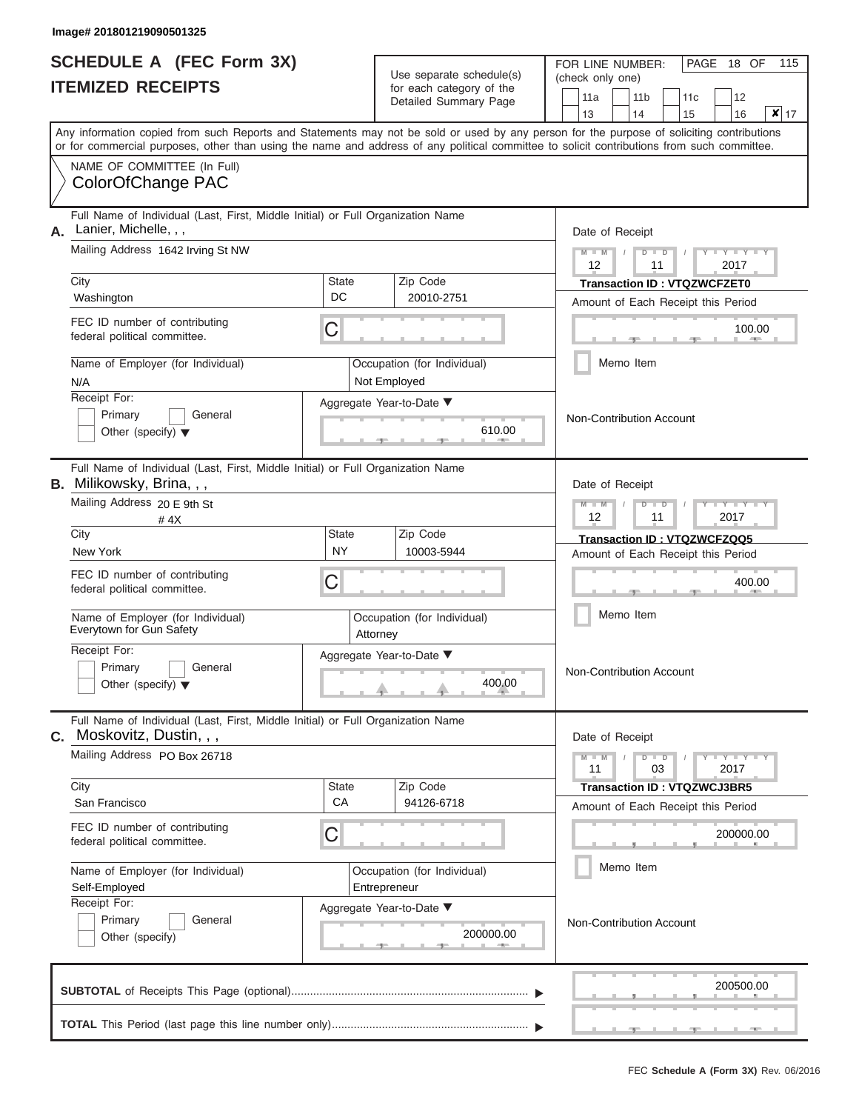# **SCHEDULE A (FEC Form 3X) ITEMIZED RECEIPTS**

Г

| SCHEDULE A (FEC Form 3X)<br><b>ITEMIZED RECEIPTS</b>                                                                                       |                                                                        | Use separate schedule(s)<br>for each category of the | FOR LINE NUMBER:<br>PAGE 18 OF<br>115<br>(check only one)                                                                                 |  |  |  |
|--------------------------------------------------------------------------------------------------------------------------------------------|------------------------------------------------------------------------|------------------------------------------------------|-------------------------------------------------------------------------------------------------------------------------------------------|--|--|--|
|                                                                                                                                            |                                                                        | Detailed Summary Page                                | 11a<br>11 <sub>b</sub><br>11c<br>12<br>$x _{17}$<br>13<br>14<br>16<br>15                                                                  |  |  |  |
| or for commercial purposes, other than using the name and address of any political committee to solicit contributions from such committee. |                                                                        |                                                      | Any information copied from such Reports and Statements may not be sold or used by any person for the purpose of soliciting contributions |  |  |  |
| NAME OF COMMITTEE (In Full)<br>ColorOfChange PAC                                                                                           |                                                                        |                                                      |                                                                                                                                           |  |  |  |
| Full Name of Individual (Last, First, Middle Initial) or Full Organization Name<br>Lanier, Michelle, , ,<br>А.                             |                                                                        |                                                      | Date of Receipt                                                                                                                           |  |  |  |
| Mailing Address 1642 Irving St NW                                                                                                          |                                                                        |                                                      | $T - Y$<br>$M - M$<br>$D$ $D$<br>12<br>11<br>2017                                                                                         |  |  |  |
| City                                                                                                                                       | State                                                                  | Zip Code                                             | <b>Transaction ID: VTQZWCFZET0</b>                                                                                                        |  |  |  |
| Washington                                                                                                                                 | DC                                                                     | 20010-2751                                           | Amount of Each Receipt this Period                                                                                                        |  |  |  |
| FEC ID number of contributing<br>federal political committee.                                                                              | С                                                                      |                                                      | 100.00                                                                                                                                    |  |  |  |
| Name of Employer (for Individual)<br>N/A                                                                                                   |                                                                        | Occupation (for Individual)<br>Not Employed          | Memo Item                                                                                                                                 |  |  |  |
| Receipt For:<br>Primary<br>General<br>Other (specify) $\blacktriangledown$                                                                 |                                                                        | Aggregate Year-to-Date ▼<br>610.00                   | <b>Non-Contribution Account</b>                                                                                                           |  |  |  |
| Full Name of Individual (Last, First, Middle Initial) or Full Organization Name<br>B. Milikowsky, Brina, , ,                               |                                                                        |                                                      | Date of Receipt                                                                                                                           |  |  |  |
| Mailing Address 20 E 9th St<br>#4X                                                                                                         | $M - M$<br>$\overline{\phantom{a}}$<br>$\Box$<br>ъ<br>12<br>11<br>2017 |                                                      |                                                                                                                                           |  |  |  |
| City                                                                                                                                       | State                                                                  | Zip Code                                             | Transaction ID: VTQZWCFZQQ5                                                                                                               |  |  |  |
| <b>NY</b><br>New York                                                                                                                      |                                                                        | 10003-5944                                           | Amount of Each Receipt this Period                                                                                                        |  |  |  |
| FEC ID number of contributing<br>federal political committee.                                                                              | С                                                                      |                                                      | 400.00                                                                                                                                    |  |  |  |
| Name of Employer (for Individual)<br>Everytown for Gun Safety                                                                              |                                                                        | Occupation (for Individual)<br>Attorney              | Memo Item                                                                                                                                 |  |  |  |
| Receipt For:                                                                                                                               |                                                                        | Aggregate Year-to-Date ▼                             |                                                                                                                                           |  |  |  |
| Primary<br>General<br>Other (specify) $\blacktriangledown$                                                                                 |                                                                        | 400.00<br><u>. a</u>                                 | Non-Contribution Account                                                                                                                  |  |  |  |
| Full Name of Individual (Last, First, Middle Initial) or Full Organization Name<br>Moskovitz, Dustin, , ,<br>С.                            |                                                                        |                                                      | Date of Receipt                                                                                                                           |  |  |  |
| Mailing Address PO Box 26718                                                                                                               |                                                                        |                                                      | $M - M$<br>$T - Y = T - Y$<br>$D$ $D$<br>11<br>03<br>2017                                                                                 |  |  |  |
| City                                                                                                                                       | State                                                                  | Zip Code                                             | <b>Transaction ID: VTQZWCJ3BR5</b>                                                                                                        |  |  |  |
| San Francisco                                                                                                                              | CA                                                                     | 94126-6718                                           | Amount of Each Receipt this Period                                                                                                        |  |  |  |
| FEC ID number of contributing<br>federal political committee.                                                                              | 200000.00                                                              |                                                      |                                                                                                                                           |  |  |  |
| Name of Employer (for Individual)<br>Self-Employed<br>Entrepreneur                                                                         |                                                                        | Occupation (for Individual)                          | Memo Item                                                                                                                                 |  |  |  |
| Receipt For:<br>Primary<br>General<br>Other (specify)                                                                                      |                                                                        | Aggregate Year-to-Date ▼<br>200000.00                | Non-Contribution Account                                                                                                                  |  |  |  |
|                                                                                                                                            |                                                                        |                                                      | 200500.00                                                                                                                                 |  |  |  |
|                                                                                                                                            |                                                                        |                                                      |                                                                                                                                           |  |  |  |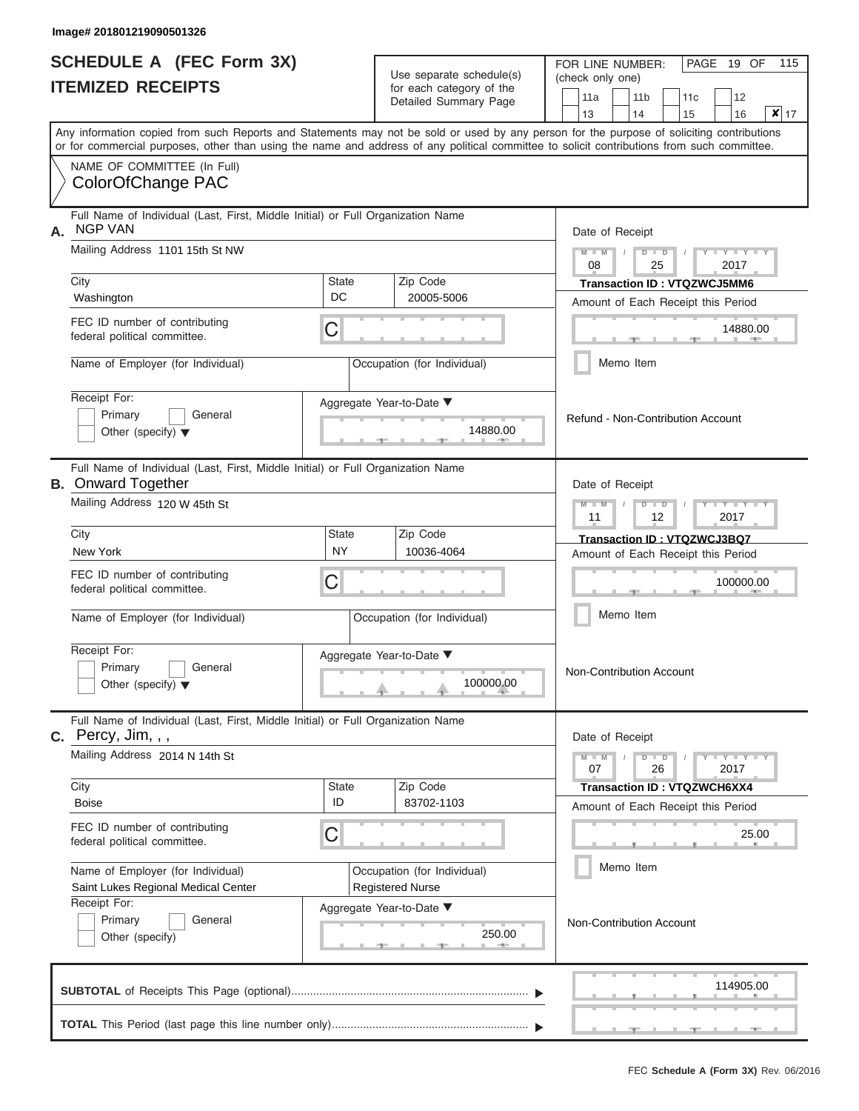|                          | <b>SCHEDULE A (FEC Form 3X)</b> |
|--------------------------|---------------------------------|
| <b>ITEMIZED RECEIPTS</b> |                                 |

FOR LINE NUMBER:

PAGE 19 OF 115

| <b>ITEMIZED RECEIPTS</b>                                                                                |                                                                                                              |                           | Ose separate surreguels)<br>for each category of the<br>Detailed Summary Page | (check only one)<br>11a<br>11 <sub>b</sub><br>12<br>11c<br>$\overline{\mathbf{x}}$ 17<br>13<br>14<br>15<br>16                                                                                                                                                                           |
|---------------------------------------------------------------------------------------------------------|--------------------------------------------------------------------------------------------------------------|---------------------------|-------------------------------------------------------------------------------|-----------------------------------------------------------------------------------------------------------------------------------------------------------------------------------------------------------------------------------------------------------------------------------------|
|                                                                                                         |                                                                                                              |                           |                                                                               | Any information copied from such Reports and Statements may not be sold or used by any person for the purpose of soliciting contributions<br>or for commercial purposes, other than using the name and address of any political committee to solicit contributions from such committee. |
|                                                                                                         | NAME OF COMMITTEE (In Full)<br>ColorOfChange PAC                                                             |                           |                                                                               |                                                                                                                                                                                                                                                                                         |
| Full Name of Individual (Last, First, Middle Initial) or Full Organization Name<br><b>NGP VAN</b><br>Α. |                                                                                                              |                           |                                                                               | Date of Receipt                                                                                                                                                                                                                                                                         |
|                                                                                                         | Mailing Address 1101 15th St NW                                                                              |                           |                                                                               | D<br>$\blacksquare$<br>2017<br>08<br>25                                                                                                                                                                                                                                                 |
|                                                                                                         | City<br>Washington                                                                                           | <b>State</b><br>DC        | Zip Code<br>20005-5006                                                        | Transaction ID: VTQZWCJ5MM6<br>Amount of Each Receipt this Period                                                                                                                                                                                                                       |
|                                                                                                         | FEC ID number of contributing<br>federal political committee.                                                | С                         |                                                                               | 14880.00                                                                                                                                                                                                                                                                                |
|                                                                                                         | Name of Employer (for Individual)                                                                            |                           | Occupation (for Individual)                                                   | Memo Item                                                                                                                                                                                                                                                                               |
|                                                                                                         | Receipt For:<br>Primary<br>General<br>Other (specify) $\blacktriangledown$                                   |                           | Aggregate Year-to-Date ▼<br>14880.00                                          | Refund - Non-Contribution Account                                                                                                                                                                                                                                                       |
|                                                                                                         | Full Name of Individual (Last, First, Middle Initial) or Full Organization Name<br><b>B.</b> Onward Together |                           |                                                                               | Date of Receipt                                                                                                                                                                                                                                                                         |
|                                                                                                         | Mailing Address 120 W 45th St                                                                                |                           |                                                                               | $Y - Y$<br>$-W$<br>$\overline{D}$<br>$\Box$<br>2017<br>11<br>12                                                                                                                                                                                                                         |
|                                                                                                         | City<br>New York                                                                                             | <b>State</b><br><b>NY</b> | Zip Code<br>10036-4064                                                        | Transaction ID: VTQZWCJ3BQ7<br>Amount of Each Receipt this Period                                                                                                                                                                                                                       |
|                                                                                                         | FEC ID number of contributing<br>federal political committee.                                                | С                         |                                                                               | 100000.00                                                                                                                                                                                                                                                                               |
|                                                                                                         | Name of Employer (for Individual)                                                                            |                           | Occupation (for Individual)                                                   | Memo Item                                                                                                                                                                                                                                                                               |
|                                                                                                         | Receipt For:<br>Primary<br>General<br>Other (specify) $\blacktriangledown$                                   |                           | Aggregate Year-to-Date ▼<br>100000.00                                         | Non-Contribution Account                                                                                                                                                                                                                                                                |
|                                                                                                         | Full Name of Individual (Last, First, Middle Initial) or Full Organization Name<br><b>C.</b> Percy, Jim, , , |                           |                                                                               | Date of Receipt                                                                                                                                                                                                                                                                         |
|                                                                                                         | Mailing Address 2014 N 14th St                                                                               |                           |                                                                               | $-Y - Y - Y$<br>$M - M$<br>$\overline{D}$<br>$\Box$<br>26<br>2017<br>07                                                                                                                                                                                                                 |
|                                                                                                         | City<br><b>Boise</b>                                                                                         | <b>State</b><br>ID        | Zip Code<br>83702-1103                                                        | <b>Transaction ID: VTQZWCH6XX4</b><br>Amount of Each Receipt this Period                                                                                                                                                                                                                |
| FEC ID number of contributing<br>С<br>federal political committee.                                      |                                                                                                              |                           |                                                                               | 25.00                                                                                                                                                                                                                                                                                   |
| Name of Employer (for Individual)<br>Saint Lukes Regional Medical Center                                |                                                                                                              |                           | Occupation (for Individual)<br><b>Registered Nurse</b>                        | Memo Item                                                                                                                                                                                                                                                                               |
| Receipt For:<br>Primary<br>General<br>Other (specify)                                                   |                                                                                                              |                           | Aggregate Year-to-Date ▼<br>250.00                                            | Non-Contribution Account                                                                                                                                                                                                                                                                |
|                                                                                                         |                                                                                                              |                           |                                                                               | 114905.00                                                                                                                                                                                                                                                                               |
|                                                                                                         |                                                                                                              |                           |                                                                               |                                                                                                                                                                                                                                                                                         |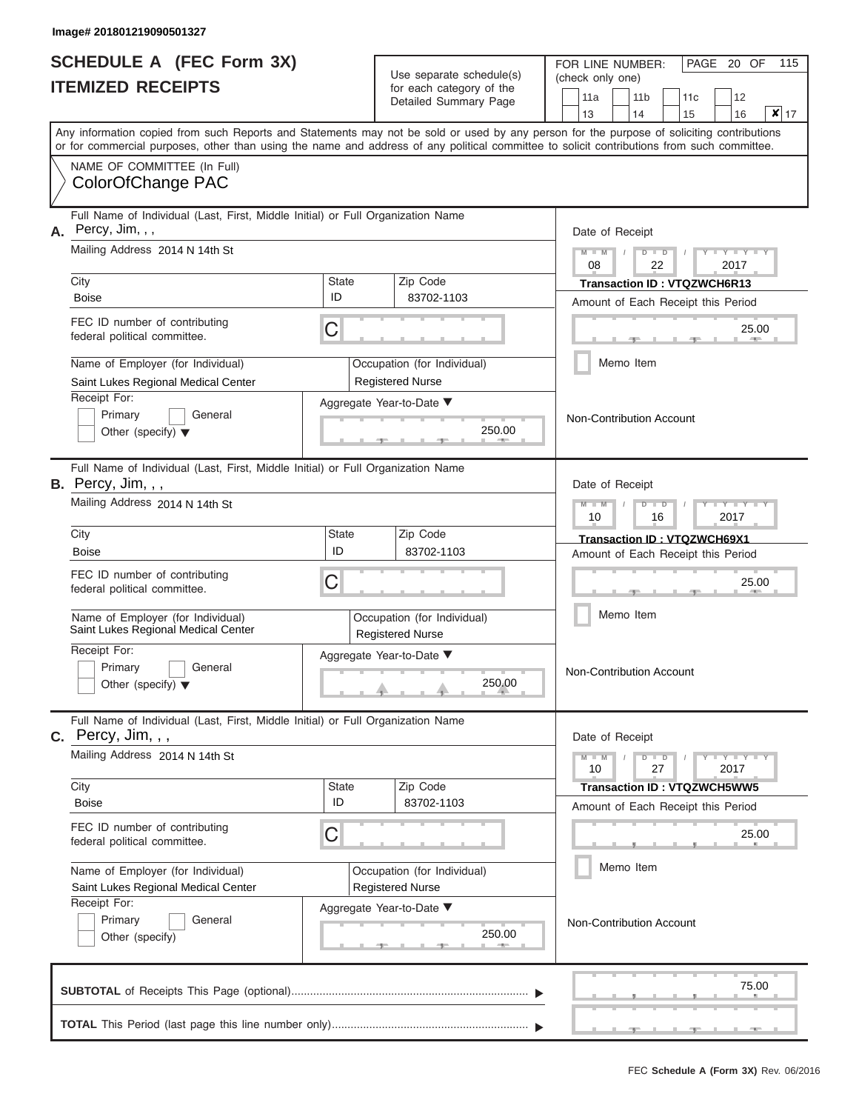|                          | <b>SCHEDULE A (FEC Form 3X)</b> |
|--------------------------|---------------------------------|
| <b>ITEMIZED RECEIPTS</b> |                                 |

| SCHEDULE A (FEC Form 3X)<br><b>ITEMIZED RECEIPTS</b>                                                   |                                                                                                                                                                                                                                                                                         | Use separate schedule(s)<br>for each category of the | FOR LINE NUMBER:<br>(check only one)<br>11a            | 115<br>PAGE 20 OF<br>11 <sub>b</sub><br>12<br>11c |                                                                          |  |  |
|--------------------------------------------------------------------------------------------------------|-----------------------------------------------------------------------------------------------------------------------------------------------------------------------------------------------------------------------------------------------------------------------------------------|------------------------------------------------------|--------------------------------------------------------|---------------------------------------------------|--------------------------------------------------------------------------|--|--|
|                                                                                                        |                                                                                                                                                                                                                                                                                         | Detailed Summary Page                                | 13                                                     | $x _{17}$<br>14<br>15<br>16                       |                                                                          |  |  |
|                                                                                                        | Any information copied from such Reports and Statements may not be sold or used by any person for the purpose of soliciting contributions<br>or for commercial purposes, other than using the name and address of any political committee to solicit contributions from such committee. |                                                      |                                                        |                                                   |                                                                          |  |  |
|                                                                                                        | NAME OF COMMITTEE (In Full)<br>ColorOfChange PAC                                                                                                                                                                                                                                        |                                                      |                                                        |                                                   |                                                                          |  |  |
| А.                                                                                                     | Full Name of Individual (Last, First, Middle Initial) or Full Organization Name<br>Percy, Jim, , ,                                                                                                                                                                                      |                                                      |                                                        |                                                   | Date of Receipt                                                          |  |  |
|                                                                                                        | Mailing Address 2014 N 14th St                                                                                                                                                                                                                                                          |                                                      |                                                        | $M = M$ /<br>08                                   | $D$ $D$<br>Y TY T<br>22<br>2017                                          |  |  |
|                                                                                                        | City<br><b>Boise</b>                                                                                                                                                                                                                                                                    | State<br>ID                                          | Zip Code<br>83702-1103                                 |                                                   | <b>Transaction ID: VTQZWCH6R13</b><br>Amount of Each Receipt this Period |  |  |
|                                                                                                        | FEC ID number of contributing<br>federal political committee.                                                                                                                                                                                                                           | С                                                    |                                                        |                                                   | 25.00<br><b>AND IN</b>                                                   |  |  |
|                                                                                                        | Name of Employer (for Individual)<br>Saint Lukes Regional Medical Center                                                                                                                                                                                                                |                                                      | Occupation (for Individual)<br><b>Registered Nurse</b> |                                                   | Memo Item                                                                |  |  |
| Receipt For:<br>Primary<br>General<br>Other (specify) $\blacktriangledown$                             |                                                                                                                                                                                                                                                                                         | Aggregate Year-to-Date ▼<br>250.00                   |                                                        | Non-Contribution Account                          |                                                                          |  |  |
|                                                                                                        | Full Name of Individual (Last, First, Middle Initial) or Full Organization Name<br><b>B.</b> Percy, Jim, , ,                                                                                                                                                                            |                                                      |                                                        |                                                   | Date of Receipt                                                          |  |  |
|                                                                                                        | Mailing Address 2014 N 14th St                                                                                                                                                                                                                                                          |                                                      |                                                        | $M - M$<br>10                                     | $D$ $D$<br>Y TYT<br>2017<br>16                                           |  |  |
|                                                                                                        | City<br><b>Boise</b>                                                                                                                                                                                                                                                                    | <b>State</b><br>ID                                   | Zip Code<br>83702-1103                                 |                                                   | Transaction ID: VTQZWCH69X1<br>Amount of Each Receipt this Period        |  |  |
| FEC ID number of contributing<br>С<br>federal political committee.                                     |                                                                                                                                                                                                                                                                                         |                                                      |                                                        |                                                   | 25.00                                                                    |  |  |
|                                                                                                        | Name of Employer (for Individual)<br>Saint Lukes Regional Medical Center                                                                                                                                                                                                                |                                                      | Occupation (for Individual)<br><b>Registered Nurse</b> |                                                   | Memo Item                                                                |  |  |
| Receipt For:<br>Aggregate Year-to-Date ▼<br>Primary<br>General<br>Other (specify) $\blacktriangledown$ |                                                                                                                                                                                                                                                                                         |                                                      | 250.00                                                 |                                                   | <b>Non-Contribution Account</b>                                          |  |  |
|                                                                                                        | Full Name of Individual (Last, First, Middle Initial) or Full Organization Name<br>$C.$ Percy, Jim, , ,                                                                                                                                                                                 |                                                      |                                                        |                                                   | Date of Receipt                                                          |  |  |
|                                                                                                        | Mailing Address 2014 N 14th St                                                                                                                                                                                                                                                          |                                                      |                                                        | $M - M$<br>10                                     | $D$ $D$<br>$+Y+Y+Y$<br>27<br>2017                                        |  |  |
|                                                                                                        | City<br>Boise                                                                                                                                                                                                                                                                           | State<br>ID                                          | Zip Code<br>83702-1103                                 |                                                   | Transaction ID: VTQZWCH5WW5<br>Amount of Each Receipt this Period        |  |  |
| FEC ID number of contributing<br>С<br>federal political committee.                                     |                                                                                                                                                                                                                                                                                         |                                                      |                                                        |                                                   | 25.00                                                                    |  |  |
|                                                                                                        | Name of Employer (for Individual)<br>Saint Lukes Regional Medical Center                                                                                                                                                                                                                |                                                      | Occupation (for Individual)<br><b>Registered Nurse</b> |                                                   | Memo Item                                                                |  |  |
| Receipt For:<br>Aggregate Year-to-Date ▼<br>Primary<br>General<br>250.00<br>Other (specify)            |                                                                                                                                                                                                                                                                                         |                                                      |                                                        |                                                   | Non-Contribution Account                                                 |  |  |
|                                                                                                        | 75.00                                                                                                                                                                                                                                                                                   |                                                      |                                                        |                                                   |                                                                          |  |  |
|                                                                                                        |                                                                                                                                                                                                                                                                                         |                                                      |                                                        |                                                   |                                                                          |  |  |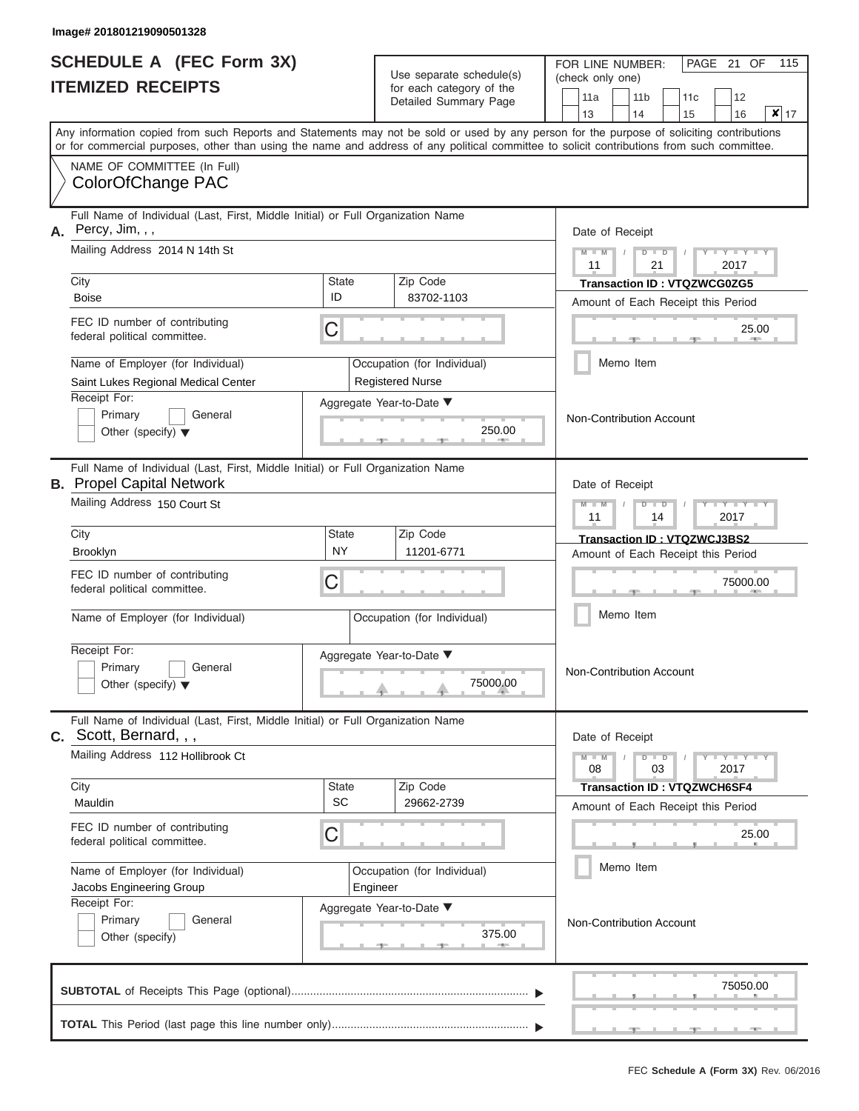|                          | <b>SCHEDULE A (FEC Form 3X)</b> |
|--------------------------|---------------------------------|
| <b>ITEMIZED RECEIPTS</b> |                                 |

| SCHEDULE A (FEC Form 3X)<br><b>ITEMIZED RECEIPTS</b>                                                     |                                                                                                                                                                                                                                                                                         | Use separate schedule(s)<br>for each category of the | FOR LINE NUMBER:<br>(check only one)                   | 115<br>PAGE 21 OF                                           |                                                                           |  |  |
|----------------------------------------------------------------------------------------------------------|-----------------------------------------------------------------------------------------------------------------------------------------------------------------------------------------------------------------------------------------------------------------------------------------|------------------------------------------------------|--------------------------------------------------------|-------------------------------------------------------------|---------------------------------------------------------------------------|--|--|
|                                                                                                          |                                                                                                                                                                                                                                                                                         | Detailed Summary Page                                | 11a<br>13                                              | 11 <sub>b</sub><br>12<br>11c<br>$x _{17}$<br>14<br>15<br>16 |                                                                           |  |  |
|                                                                                                          | Any information copied from such Reports and Statements may not be sold or used by any person for the purpose of soliciting contributions<br>or for commercial purposes, other than using the name and address of any political committee to solicit contributions from such committee. |                                                      |                                                        |                                                             |                                                                           |  |  |
|                                                                                                          | NAME OF COMMITTEE (In Full)<br>ColorOfChange PAC                                                                                                                                                                                                                                        |                                                      |                                                        |                                                             |                                                                           |  |  |
| Full Name of Individual (Last, First, Middle Initial) or Full Organization Name<br>Percy, Jim, , ,<br>А. |                                                                                                                                                                                                                                                                                         |                                                      |                                                        | Date of Receipt                                             |                                                                           |  |  |
|                                                                                                          | Mailing Address 2014 N 14th St<br>City                                                                                                                                                                                                                                                  | State                                                | Zip Code                                               | $M - M$<br>11                                               | $D$ $D$<br>Y I Y I<br>21<br>2017<br><b>Transaction ID: VTQZWCG0ZG5</b>    |  |  |
|                                                                                                          | <b>Boise</b>                                                                                                                                                                                                                                                                            | ID                                                   | 83702-1103                                             |                                                             | Amount of Each Receipt this Period                                        |  |  |
|                                                                                                          | FEC ID number of contributing<br>С<br>federal political committee.                                                                                                                                                                                                                      |                                                      |                                                        |                                                             | 25.00<br><b>AND IN</b>                                                    |  |  |
|                                                                                                          | Name of Employer (for Individual)<br>Saint Lukes Regional Medical Center                                                                                                                                                                                                                |                                                      | Occupation (for Individual)<br><b>Registered Nurse</b> |                                                             | Memo Item                                                                 |  |  |
| Receipt For:<br>Primary<br>General<br>Other (specify) $\blacktriangledown$                               |                                                                                                                                                                                                                                                                                         |                                                      | Aggregate Year-to-Date ▼<br>250.00                     |                                                             | Non-Contribution Account                                                  |  |  |
|                                                                                                          | Full Name of Individual (Last, First, Middle Initial) or Full Organization Name<br><b>B.</b> Propel Capital Network                                                                                                                                                                     |                                                      |                                                        | Date of Receipt                                             |                                                                           |  |  |
|                                                                                                          | Mailing Address 150 Court St                                                                                                                                                                                                                                                            |                                                      |                                                        |                                                             | $D$ $D$<br>Y TY<br>2017<br>14                                             |  |  |
|                                                                                                          | City<br><b>Brooklyn</b>                                                                                                                                                                                                                                                                 | <b>State</b><br><b>NY</b>                            | Zip Code<br>11201-6771                                 |                                                             | Transaction ID: VTQZWCJ3BS2<br>Amount of Each Receipt this Period         |  |  |
| FEC ID number of contributing<br>С<br>federal political committee.                                       |                                                                                                                                                                                                                                                                                         |                                                      |                                                        |                                                             | 75000.00                                                                  |  |  |
| Name of Employer (for Individual)                                                                        |                                                                                                                                                                                                                                                                                         |                                                      | Occupation (for Individual)                            |                                                             | Memo Item                                                                 |  |  |
| Receipt For:<br>Primary<br>General<br>Other (specify) $\blacktriangledown$                               |                                                                                                                                                                                                                                                                                         |                                                      | Aggregate Year-to-Date ▼<br>75000.00                   |                                                             | <b>Non-Contribution Account</b>                                           |  |  |
|                                                                                                          | Full Name of Individual (Last, First, Middle Initial) or Full Organization Name<br>$c.$ Scott, Bernard, , ,                                                                                                                                                                             |                                                      |                                                        | Date of Receipt                                             |                                                                           |  |  |
|                                                                                                          | Mailing Address 112 Hollibrook Ct                                                                                                                                                                                                                                                       |                                                      |                                                        | $M - M$<br>08                                               | $D$ $D$<br>$-1$ $-1$ $-1$ $-1$ $-1$ $-1$<br>03<br>2017                    |  |  |
|                                                                                                          | City<br>Mauldin                                                                                                                                                                                                                                                                         | State<br><b>SC</b>                                   | Zip Code<br>29662-2739                                 |                                                             | <b>Transaction ID : VTQZWCH6SF4</b><br>Amount of Each Receipt this Period |  |  |
| FEC ID number of contributing<br>С<br>federal political committee.                                       |                                                                                                                                                                                                                                                                                         |                                                      |                                                        |                                                             | 25.00                                                                     |  |  |
|                                                                                                          | Name of Employer (for Individual)<br>Jacobs Engineering Group                                                                                                                                                                                                                           |                                                      | Occupation (for Individual)<br>Engineer                |                                                             | Memo Item                                                                 |  |  |
| Receipt For:<br>Primary<br>General<br>Other (specify)                                                    |                                                                                                                                                                                                                                                                                         |                                                      | Aggregate Year-to-Date ▼<br>375.00                     |                                                             | Non-Contribution Account                                                  |  |  |
|                                                                                                          | 75050.00                                                                                                                                                                                                                                                                                |                                                      |                                                        |                                                             |                                                                           |  |  |
|                                                                                                          |                                                                                                                                                                                                                                                                                         |                                                      |                                                        |                                                             |                                                                           |  |  |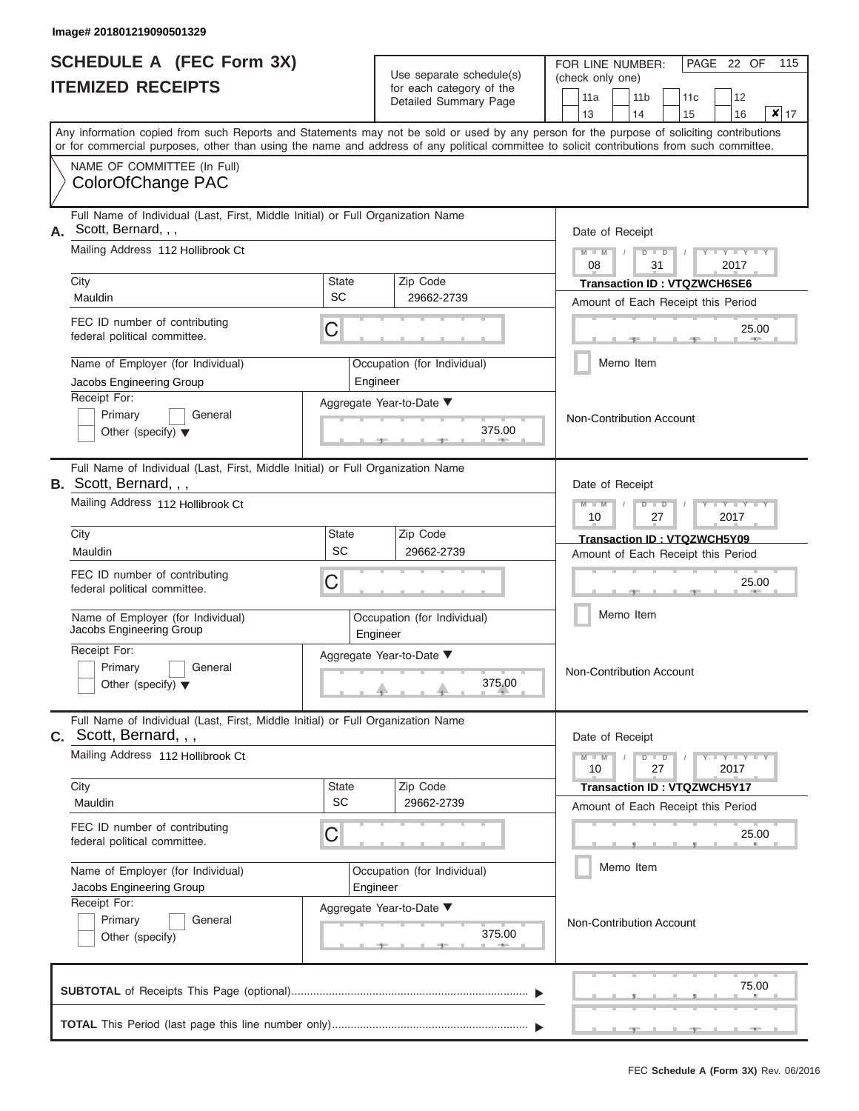|                          | <b>SCHEDULE A (FEC Form 3X)</b> |
|--------------------------|---------------------------------|
| <b>ITEMIZED RECEIPTS</b> |                                 |

Use separate schedule(s)<br>for each category of the

FOR LINE NUMBER:<br>(check only one)

PAGE 22 OF 115

|    | IILMILLU NLVLIF IJ                                                                                                                                                                                                                                                                      |              | ior each calegory or the<br>Detailed Summary Page | 11a                                   |  | 11 <sub>b</sub> | 11c                                |  | 12                      |                            |  |  |  |
|----|-----------------------------------------------------------------------------------------------------------------------------------------------------------------------------------------------------------------------------------------------------------------------------------------|--------------|---------------------------------------------------|---------------------------------------|--|-----------------|------------------------------------|--|-------------------------|----------------------------|--|--|--|
|    |                                                                                                                                                                                                                                                                                         |              |                                                   | 13                                    |  | 14              | 15                                 |  | 16                      | $\overline{\mathsf{x}}$ 17 |  |  |  |
|    | Any information copied from such Reports and Statements may not be sold or used by any person for the purpose of soliciting contributions<br>or for commercial purposes, other than using the name and address of any political committee to solicit contributions from such committee. |              |                                                   |                                       |  |                 |                                    |  |                         |                            |  |  |  |
|    | NAME OF COMMITTEE (In Full)                                                                                                                                                                                                                                                             |              |                                                   |                                       |  |                 |                                    |  |                         |                            |  |  |  |
|    | ColorOfChange PAC                                                                                                                                                                                                                                                                       |              |                                                   |                                       |  |                 |                                    |  |                         |                            |  |  |  |
| А. | Full Name of Individual (Last, First, Middle Initial) or Full Organization Name<br>Scott, Bernard, , ,                                                                                                                                                                                  |              |                                                   | Date of Receipt                       |  |                 |                                    |  |                         |                            |  |  |  |
|    | Mailing Address 112 Hollibrook Ct                                                                                                                                                                                                                                                       |              |                                                   | $M - M$<br>08                         |  | $D$ $D$<br>31   |                                    |  | 2017                    |                            |  |  |  |
|    | City                                                                                                                                                                                                                                                                                    | <b>State</b> | Zip Code                                          |                                       |  |                 | <b>Transaction ID: VTQZWCH6SE6</b> |  |                         |                            |  |  |  |
|    | Mauldin                                                                                                                                                                                                                                                                                 | <b>SC</b>    | 29662-2739                                        |                                       |  |                 | Amount of Each Receipt this Period |  |                         |                            |  |  |  |
|    | FEC ID number of contributing<br>federal political committee.                                                                                                                                                                                                                           | С            |                                                   |                                       |  |                 |                                    |  | 25.00                   |                            |  |  |  |
|    | Name of Employer (for Individual)<br>Jacobs Engineering Group                                                                                                                                                                                                                           |              | Occupation (for Individual)<br>Engineer           |                                       |  | Memo Item       |                                    |  |                         |                            |  |  |  |
|    | Receipt For:                                                                                                                                                                                                                                                                            |              | Aggregate Year-to-Date ▼                          |                                       |  |                 |                                    |  |                         |                            |  |  |  |
|    | Primary<br>General                                                                                                                                                                                                                                                                      |              |                                                   | Non-Contribution Account              |  |                 |                                    |  |                         |                            |  |  |  |
|    | Other (specify) $\blacktriangledown$                                                                                                                                                                                                                                                    |              | 375.00                                            |                                       |  |                 |                                    |  |                         |                            |  |  |  |
|    | Full Name of Individual (Last, First, Middle Initial) or Full Organization Name<br>B. Scott, Bernard, , ,                                                                                                                                                                               |              |                                                   | Date of Receipt                       |  |                 |                                    |  |                         |                            |  |  |  |
|    | Mailing Address 112 Hollibrook Ct                                                                                                                                                                                                                                                       |              |                                                   | $M - M$<br>$\Box$<br>10<br>27<br>2017 |  |                 |                                    |  |                         |                            |  |  |  |
|    | City                                                                                                                                                                                                                                                                                    | <b>State</b> | Zip Code                                          |                                       |  |                 | Transaction ID: VTQZWCH5Y09        |  |                         |                            |  |  |  |
|    | Mauldin                                                                                                                                                                                                                                                                                 | <b>SC</b>    | 29662-2739                                        |                                       |  |                 | Amount of Each Receipt this Period |  |                         |                            |  |  |  |
|    | FEC ID number of contributing<br>federal political committee.                                                                                                                                                                                                                           | С            |                                                   |                                       |  |                 |                                    |  | 25.00                   |                            |  |  |  |
|    | Name of Employer (for Individual)<br>Jacobs Engineering Group                                                                                                                                                                                                                           |              | Occupation (for Individual)<br>Engineer           |                                       |  | Memo Item       |                                    |  |                         |                            |  |  |  |
|    | Receipt For:                                                                                                                                                                                                                                                                            |              | Aggregate Year-to-Date ▼                          |                                       |  |                 |                                    |  |                         |                            |  |  |  |
|    | Primary<br>General<br>Other (specify) $\blacktriangledown$                                                                                                                                                                                                                              |              | 375.00                                            | Non-Contribution Account              |  |                 |                                    |  |                         |                            |  |  |  |
|    | Full Name of Individual (Last, First, Middle Initial) or Full Organization Name<br><b>C.</b> Scott, Bernard, , ,                                                                                                                                                                        |              |                                                   | Date of Receipt                       |  |                 |                                    |  |                         |                            |  |  |  |
|    | Mailing Address 112 Hollibrook Ct                                                                                                                                                                                                                                                       |              |                                                   | $M - M$<br>10                         |  | $D$ $D$<br>27   |                                    |  | $Y$ $Y$ $Y$ $Y$<br>2017 |                            |  |  |  |
|    | City                                                                                                                                                                                                                                                                                    | <b>State</b> | Zip Code                                          |                                       |  |                 | <b>Transaction ID: VTQZWCH5Y17</b> |  |                         |                            |  |  |  |
|    | Mauldin                                                                                                                                                                                                                                                                                 | SC           | 29662-2739                                        |                                       |  |                 | Amount of Each Receipt this Period |  |                         |                            |  |  |  |
|    | FEC ID number of contributing<br>federal political committee.                                                                                                                                                                                                                           | С            |                                                   |                                       |  |                 |                                    |  | 25.00                   |                            |  |  |  |
|    | Name of Employer (for Individual)<br>Jacobs Engineering Group                                                                                                                                                                                                                           |              | Occupation (for Individual)<br>Engineer           |                                       |  | Memo Item       |                                    |  |                         |                            |  |  |  |
|    | Receipt For:                                                                                                                                                                                                                                                                            |              | Aggregate Year-to-Date ▼                          |                                       |  |                 |                                    |  |                         |                            |  |  |  |
|    | Primary<br>General<br>Other (specify)                                                                                                                                                                                                                                                   |              | 375.00<br>$-$                                     | Non-Contribution Account              |  |                 |                                    |  |                         |                            |  |  |  |
|    |                                                                                                                                                                                                                                                                                         |              |                                                   |                                       |  |                 |                                    |  | 75.00                   |                            |  |  |  |
|    |                                                                                                                                                                                                                                                                                         |              |                                                   |                                       |  |                 |                                    |  |                         |                            |  |  |  |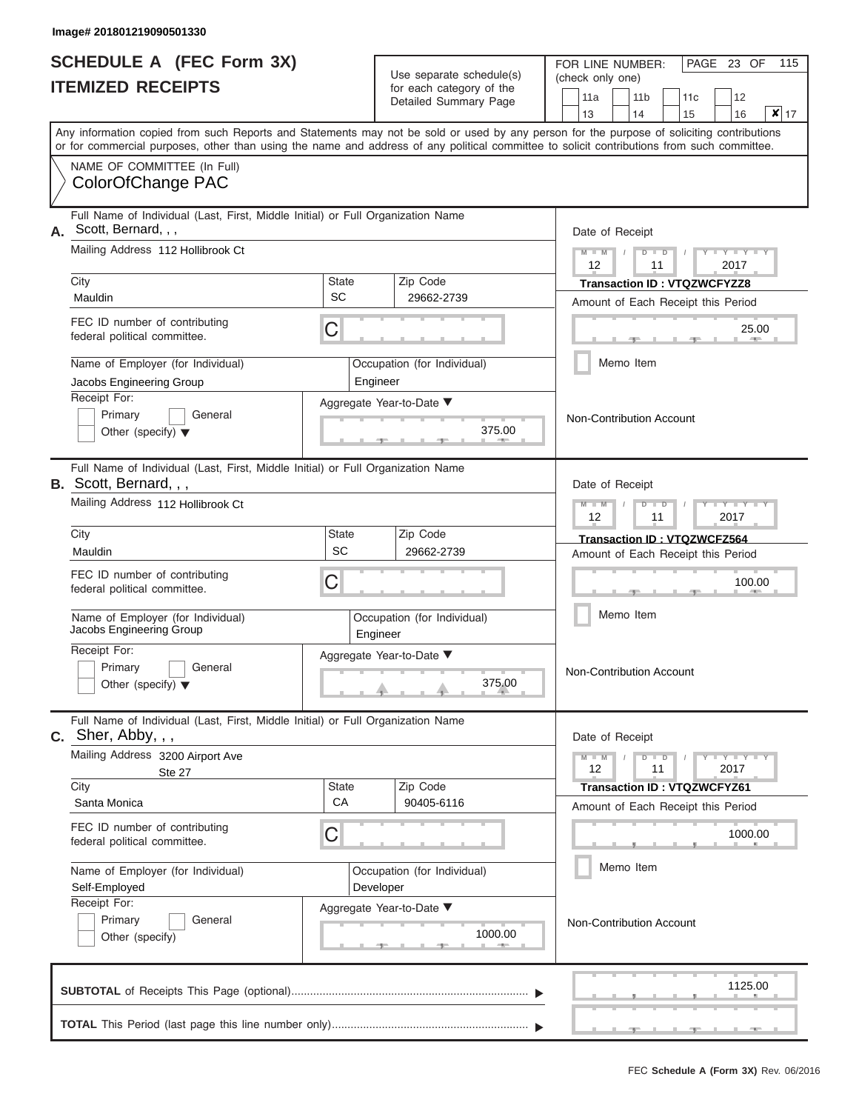|                          | <b>SCHEDULE A (FEC Form 3X)</b> |
|--------------------------|---------------------------------|
| <b>ITEMIZED RECEIPTS</b> |                                 |

|    | SCHEDULE A (FEC Form 3X)<br><b>ITEMIZED RECEIPTS</b>                                                                                                                                                                                                                                    |             | Use separate schedule(s)<br>for each category of the | 115<br>FOR LINE NUMBER:<br>PAGE 23 OF<br>(check only one)                            |  |  |  |  |  |  |
|----|-----------------------------------------------------------------------------------------------------------------------------------------------------------------------------------------------------------------------------------------------------------------------------------------|-------------|------------------------------------------------------|--------------------------------------------------------------------------------------|--|--|--|--|--|--|
|    |                                                                                                                                                                                                                                                                                         |             | Detailed Summary Page                                | 11a<br>11 <sub>b</sub><br>12<br>11 <sub>c</sub><br>$x _{17}$<br>13<br>14<br>16<br>15 |  |  |  |  |  |  |
|    | Any information copied from such Reports and Statements may not be sold or used by any person for the purpose of soliciting contributions<br>or for commercial purposes, other than using the name and address of any political committee to solicit contributions from such committee. |             |                                                      |                                                                                      |  |  |  |  |  |  |
|    | NAME OF COMMITTEE (In Full)<br>ColorOfChange PAC                                                                                                                                                                                                                                        |             |                                                      |                                                                                      |  |  |  |  |  |  |
| А. | Full Name of Individual (Last, First, Middle Initial) or Full Organization Name<br>Scott, Bernard, , ,                                                                                                                                                                                  |             |                                                      | Date of Receipt                                                                      |  |  |  |  |  |  |
|    | Mailing Address 112 Hollibrook Ct                                                                                                                                                                                                                                                       |             |                                                      | $M - M$<br>Y I Y I<br>$D$ $D$<br>11<br>2017<br>12                                    |  |  |  |  |  |  |
|    | City<br>Mauldin                                                                                                                                                                                                                                                                         | State<br>SC | Zip Code<br>29662-2739                               | Transaction ID: VTQZWCFYZZ8<br>Amount of Each Receipt this Period                    |  |  |  |  |  |  |
|    | FEC ID number of contributing<br>federal political committee.                                                                                                                                                                                                                           | С           |                                                      | 25.00<br><b>AND IN</b>                                                               |  |  |  |  |  |  |
|    | Name of Employer (for Individual)<br>Jacobs Engineering Group                                                                                                                                                                                                                           |             | Occupation (for Individual)<br>Engineer              | Memo Item                                                                            |  |  |  |  |  |  |
|    | Receipt For:<br>Primary<br>General<br>Other (specify) $\blacktriangledown$                                                                                                                                                                                                              |             | Aggregate Year-to-Date ▼<br>375.00                   | Non-Contribution Account                                                             |  |  |  |  |  |  |
|    | Full Name of Individual (Last, First, Middle Initial) or Full Organization Name<br>B. Scott, Bernard, , ,                                                                                                                                                                               |             |                                                      | Date of Receipt                                                                      |  |  |  |  |  |  |
|    | Mailing Address 112 Hollibrook Ct                                                                                                                                                                                                                                                       |             |                                                      | $M - M$<br>$D$ $D$<br>$Y - I - Y$<br>12<br>2017<br>11                                |  |  |  |  |  |  |
|    | City<br>Mauldin                                                                                                                                                                                                                                                                         | State<br>SC | Zip Code<br>29662-2739                               | Transaction ID: VTQZWCFZ564<br>Amount of Each Receipt this Period                    |  |  |  |  |  |  |
|    | FEC ID number of contributing<br>federal political committee.                                                                                                                                                                                                                           | С           |                                                      | 100.00                                                                               |  |  |  |  |  |  |
|    | Name of Employer (for Individual)<br>Jacobs Engineering Group                                                                                                                                                                                                                           |             | Occupation (for Individual)<br>Engineer              | Memo Item                                                                            |  |  |  |  |  |  |
|    | Receipt For:<br>Primary<br>General<br>Other (specify) $\blacktriangledown$                                                                                                                                                                                                              |             | Aggregate Year-to-Date ▼<br>375.00                   | Non-Contribution Account                                                             |  |  |  |  |  |  |
|    | Full Name of Individual (Last, First, Middle Initial) or Full Organization Name<br>$C.$ Sher, Abby, , ,                                                                                                                                                                                 |             |                                                      | Date of Receipt                                                                      |  |  |  |  |  |  |
|    | Mailing Address 3200 Airport Ave<br>Ste 27                                                                                                                                                                                                                                              |             |                                                      | $M - M$<br>$D$ $\Box$ $D$<br>$T-T$ $T$ $T$ $T$ $T$ $T$<br>12<br>11<br>2017           |  |  |  |  |  |  |
|    | City<br>Santa Monica                                                                                                                                                                                                                                                                    | State<br>CA | Zip Code<br>90405-6116                               | <b>Transaction ID: VTQZWCFYZ61</b><br>Amount of Each Receipt this Period             |  |  |  |  |  |  |
|    | FEC ID number of contributing<br>federal political committee.                                                                                                                                                                                                                           | С           |                                                      | 1000.00                                                                              |  |  |  |  |  |  |
|    | Name of Employer (for Individual)<br>Self-Employed                                                                                                                                                                                                                                      |             | Occupation (for Individual)<br>Developer             | Memo Item                                                                            |  |  |  |  |  |  |
|    | Receipt For:<br>Primary<br>General<br>Other (specify)                                                                                                                                                                                                                                   |             | Aggregate Year-to-Date ▼<br>1000.00                  | Non-Contribution Account                                                             |  |  |  |  |  |  |
|    |                                                                                                                                                                                                                                                                                         |             |                                                      | 1125.00                                                                              |  |  |  |  |  |  |
|    |                                                                                                                                                                                                                                                                                         |             |                                                      |                                                                                      |  |  |  |  |  |  |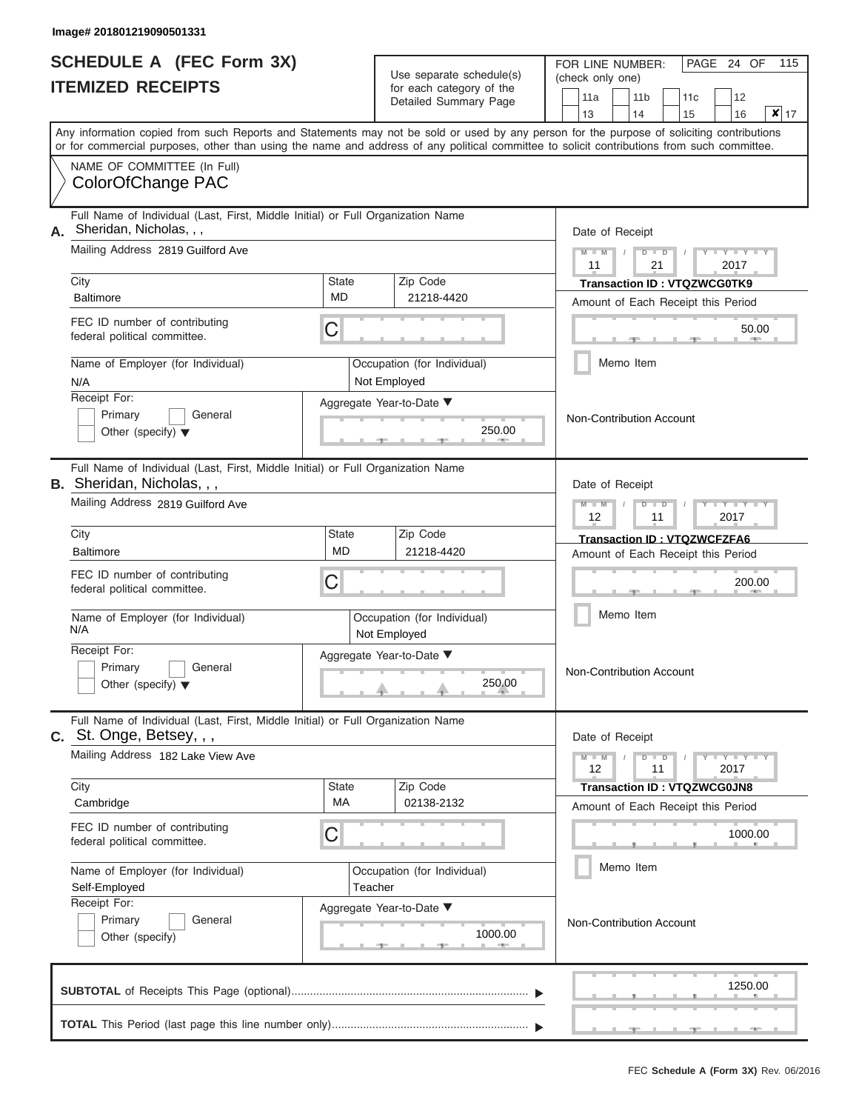|                          | <b>SCHEDULE A (FEC Form 3X)</b> |
|--------------------------|---------------------------------|
| <b>ITEMIZED RECEIPTS</b> |                                 |

Use separate schedule(s)<br>for each category of the

FOR LINE NUMBER:<br>(check only one)

PAGE 24 OF 115

|    | IILMILLY INLVLII I                                                                                                                                                                                                                                                                      |                           | ivi cavii valcyviy vi liic<br>Detailed Summary Page |  | 11a                                                                       |  | 11 <sub>b</sub> |    | 11 <sub>c</sub>                                                          |  | 12                |                 |  |  |  |  |
|----|-----------------------------------------------------------------------------------------------------------------------------------------------------------------------------------------------------------------------------------------------------------------------------------------|---------------------------|-----------------------------------------------------|--|---------------------------------------------------------------------------|--|-----------------|----|--------------------------------------------------------------------------|--|-------------------|-----------------|--|--|--|--|
|    |                                                                                                                                                                                                                                                                                         |                           |                                                     |  | 13                                                                        |  | 14              |    | 15                                                                       |  | 16                | $\mathbf{x}$ 17 |  |  |  |  |
|    | Any information copied from such Reports and Statements may not be sold or used by any person for the purpose of soliciting contributions<br>or for commercial purposes, other than using the name and address of any political committee to solicit contributions from such committee. |                           |                                                     |  |                                                                           |  |                 |    |                                                                          |  |                   |                 |  |  |  |  |
|    | NAME OF COMMITTEE (In Full)<br>ColorOfChange PAC                                                                                                                                                                                                                                        |                           |                                                     |  |                                                                           |  |                 |    |                                                                          |  |                   |                 |  |  |  |  |
| А. | Full Name of Individual (Last, First, Middle Initial) or Full Organization Name<br>Sheridan, Nicholas, , ,                                                                                                                                                                              |                           |                                                     |  | Date of Receipt                                                           |  |                 |    |                                                                          |  |                   |                 |  |  |  |  |
|    | Mailing Address 2819 Guilford Ave                                                                                                                                                                                                                                                       |                           |                                                     |  | $M - M$<br>$- Y$<br>$D$ $D$<br>11<br>21<br>2017                           |  |                 |    |                                                                          |  |                   |                 |  |  |  |  |
|    | City<br><b>Baltimore</b>                                                                                                                                                                                                                                                                | <b>State</b><br><b>MD</b> | Zip Code<br>21218-4420                              |  |                                                                           |  |                 |    | <b>Transaction ID: VTQZWCG0TK9</b><br>Amount of Each Receipt this Period |  |                   |                 |  |  |  |  |
|    | FEC ID number of contributing<br>federal political committee.                                                                                                                                                                                                                           | C                         |                                                     |  |                                                                           |  |                 |    |                                                                          |  | 50.00             |                 |  |  |  |  |
|    | Name of Employer (for Individual)<br>N/A                                                                                                                                                                                                                                                |                           | Occupation (for Individual)<br>Not Employed         |  |                                                                           |  | Memo Item       |    |                                                                          |  |                   |                 |  |  |  |  |
|    | Receipt For:<br>Primary<br>General<br>Other (specify) $\blacktriangledown$                                                                                                                                                                                                              |                           | Aggregate Year-to-Date ▼<br>250.00<br><b>AREA</b>   |  | Non-Contribution Account                                                  |  |                 |    |                                                                          |  |                   |                 |  |  |  |  |
|    | Full Name of Individual (Last, First, Middle Initial) or Full Organization Name<br>B. Sheridan, Nicholas, , ,                                                                                                                                                                           |                           |                                                     |  |                                                                           |  | Date of Receipt |    |                                                                          |  |                   |                 |  |  |  |  |
|    | Mailing Address 2819 Guilford Ave                                                                                                                                                                                                                                                       |                           |                                                     |  | $M - M$<br>$D$ $\Box$ $D$<br>$\overline{\phantom{a}}$<br>12<br>11<br>2017 |  |                 |    |                                                                          |  |                   |                 |  |  |  |  |
|    | City<br><b>Baltimore</b>                                                                                                                                                                                                                                                                | <b>State</b><br><b>MD</b> | Zip Code<br>21218-4420                              |  |                                                                           |  |                 |    | <b>Transaction ID: VTQZWCFZFA6</b><br>Amount of Each Receipt this Period |  |                   |                 |  |  |  |  |
|    | FEC ID number of contributing<br>federal political committee.                                                                                                                                                                                                                           | С                         |                                                     |  | 200.00                                                                    |  |                 |    |                                                                          |  |                   |                 |  |  |  |  |
|    | Name of Employer (for Individual)<br>N/A                                                                                                                                                                                                                                                |                           | Occupation (for Individual)<br>Not Employed         |  |                                                                           |  | Memo Item       |    |                                                                          |  |                   |                 |  |  |  |  |
|    | Receipt For:<br>Primary<br>General<br>Other (specify) $\blacktriangledown$                                                                                                                                                                                                              |                           | Aggregate Year-to-Date ▼<br>250.00                  |  | <b>Non-Contribution Account</b>                                           |  |                 |    |                                                                          |  |                   |                 |  |  |  |  |
|    | Full Name of Individual (Last, First, Middle Initial) or Full Organization Name<br>C. St. Onge, Betsey, , ,                                                                                                                                                                             |                           |                                                     |  |                                                                           |  | Date of Receipt |    |                                                                          |  |                   |                 |  |  |  |  |
|    | Mailing Address 182 Lake View Ave                                                                                                                                                                                                                                                       |                           |                                                     |  | $M - M$<br>12                                                             |  | $D$ $D$         | 11 |                                                                          |  | $Y = Y =$<br>2017 |                 |  |  |  |  |
|    | City<br>Cambridge                                                                                                                                                                                                                                                                       | State<br>МA               | Zip Code<br>02138-2132                              |  |                                                                           |  |                 |    | <b>Transaction ID: VTQZWCG0JN8</b><br>Amount of Each Receipt this Period |  |                   |                 |  |  |  |  |
|    | FEC ID number of contributing<br>federal political committee.                                                                                                                                                                                                                           | С                         |                                                     |  |                                                                           |  |                 |    |                                                                          |  | 1000.00           |                 |  |  |  |  |
|    | Name of Employer (for Individual)<br>Self-Employed                                                                                                                                                                                                                                      | Teacher                   | Occupation (for Individual)                         |  |                                                                           |  | Memo Item       |    |                                                                          |  |                   |                 |  |  |  |  |
|    | Receipt For:<br>Primary<br>General<br>Other (specify)                                                                                                                                                                                                                                   |                           | Aggregate Year-to-Date ▼<br>1000.00                 |  | Non-Contribution Account                                                  |  |                 |    |                                                                          |  |                   |                 |  |  |  |  |
|    |                                                                                                                                                                                                                                                                                         |                           |                                                     |  |                                                                           |  |                 |    |                                                                          |  | 1250.00           |                 |  |  |  |  |
|    |                                                                                                                                                                                                                                                                                         |                           |                                                     |  |                                                                           |  |                 |    |                                                                          |  |                   |                 |  |  |  |  |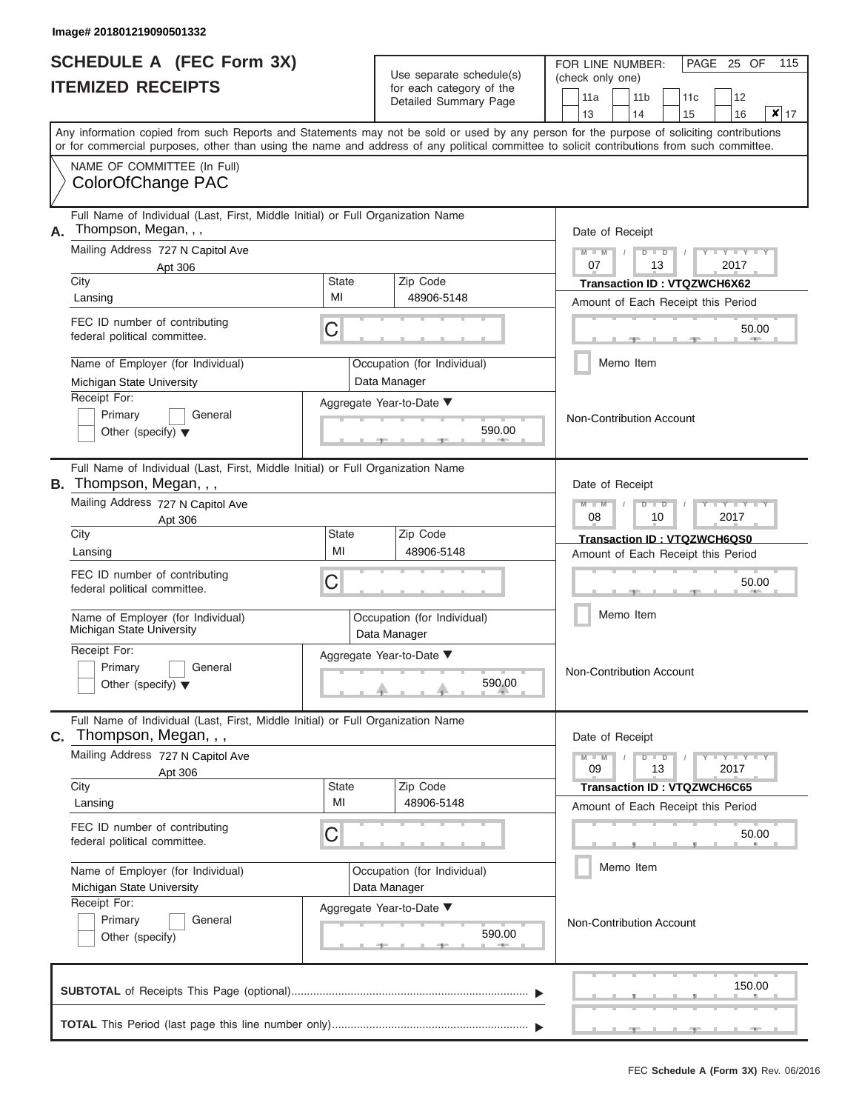# **SCHEDULE A (FEC Form 3X) ITEMIZED RECEIPTS**

FOR LINE NUMBER:

PAGE 25 OF 115

| <b>ITEMIZED RECEIPTS</b>                                                   |                                                                                 | Use separate schedule(s)<br>for each category of the | (check only one)                                                                                                                                                                                                                                                                        |  |  |  |  |  |  |  |  |  |
|----------------------------------------------------------------------------|---------------------------------------------------------------------------------|------------------------------------------------------|-----------------------------------------------------------------------------------------------------------------------------------------------------------------------------------------------------------------------------------------------------------------------------------------|--|--|--|--|--|--|--|--|--|
|                                                                            |                                                                                 | Detailed Summary Page                                | 11a<br>11 <sub>b</sub><br>12<br>11c<br>$\vert x \vert$<br>13<br>14<br>15<br>16<br>17                                                                                                                                                                                                    |  |  |  |  |  |  |  |  |  |
|                                                                            |                                                                                 |                                                      | Any information copied from such Reports and Statements may not be sold or used by any person for the purpose of soliciting contributions<br>or for commercial purposes, other than using the name and address of any political committee to solicit contributions from such committee. |  |  |  |  |  |  |  |  |  |
| NAME OF COMMITTEE (In Full)<br>ColorOfChange PAC                           |                                                                                 |                                                      |                                                                                                                                                                                                                                                                                         |  |  |  |  |  |  |  |  |  |
| Thompson, Megan, , ,<br>А.                                                 | Full Name of Individual (Last, First, Middle Initial) or Full Organization Name |                                                      | Date of Receipt                                                                                                                                                                                                                                                                         |  |  |  |  |  |  |  |  |  |
| Mailing Address 727 N Capitol Ave<br>Apt 306                               |                                                                                 |                                                      | $M - M$<br>$D$ $D$<br>07<br>13<br>2017                                                                                                                                                                                                                                                  |  |  |  |  |  |  |  |  |  |
| City<br>Lansing                                                            | <b>State</b><br>MI                                                              | Zip Code<br>48906-5148                               | Transaction ID: VTQZWCH6X62<br>Amount of Each Receipt this Period                                                                                                                                                                                                                       |  |  |  |  |  |  |  |  |  |
| FEC ID number of contributing<br>federal political committee.              | С                                                                               |                                                      | 50.00                                                                                                                                                                                                                                                                                   |  |  |  |  |  |  |  |  |  |
| Name of Employer (for Individual)<br>Michigan State University             |                                                                                 | Occupation (for Individual)<br>Data Manager          | Memo Item                                                                                                                                                                                                                                                                               |  |  |  |  |  |  |  |  |  |
| Receipt For:<br>Primary<br>General<br>Other (specify) $\blacktriangledown$ |                                                                                 | Aggregate Year-to-Date ▼<br>590.00                   | Non-Contribution Account                                                                                                                                                                                                                                                                |  |  |  |  |  |  |  |  |  |
| B. Thompson, Megan, ,,                                                     | Full Name of Individual (Last, First, Middle Initial) or Full Organization Name |                                                      | Date of Receipt                                                                                                                                                                                                                                                                         |  |  |  |  |  |  |  |  |  |
| Mailing Address 727 N Capitol Ave<br>Apt 306                               |                                                                                 |                                                      | $M$ $M$<br>ъ<br>$\Box$<br>08<br>2017<br>10                                                                                                                                                                                                                                              |  |  |  |  |  |  |  |  |  |
| City<br>Lansing                                                            | State<br>MI                                                                     | Zip Code<br>48906-5148                               | Transaction ID: VTQZWCH6QS0<br>Amount of Each Receipt this Period                                                                                                                                                                                                                       |  |  |  |  |  |  |  |  |  |
| FEC ID number of contributing<br>federal political committee.              | С                                                                               |                                                      | 50.00                                                                                                                                                                                                                                                                                   |  |  |  |  |  |  |  |  |  |
| Name of Employer (for Individual)<br>Michigan State University             |                                                                                 | Occupation (for Individual)<br>Data Manager          | Memo Item                                                                                                                                                                                                                                                                               |  |  |  |  |  |  |  |  |  |
| Receipt For:<br>Primary<br>General<br>Other (specify) $\blacktriangledown$ |                                                                                 | Aggregate Year-to-Date ▼<br>590.00                   | Non-Contribution Account                                                                                                                                                                                                                                                                |  |  |  |  |  |  |  |  |  |
| Thompson, Megan, , ,<br>С.                                                 | Full Name of Individual (Last, First, Middle Initial) or Full Organization Name |                                                      | Date of Receipt                                                                                                                                                                                                                                                                         |  |  |  |  |  |  |  |  |  |
| Mailing Address 727 N Capitol Ave<br>Apt 306<br>City                       | <b>State</b>                                                                    | Zip Code                                             | $M - M$<br>$D$ $D$<br>$Y + Y + Y + Y$<br>09<br>13<br>2017                                                                                                                                                                                                                               |  |  |  |  |  |  |  |  |  |
| Lansing                                                                    | MI                                                                              | 48906-5148                                           | <b>Transaction ID: VTQZWCH6C65</b><br>Amount of Each Receipt this Period                                                                                                                                                                                                                |  |  |  |  |  |  |  |  |  |
| FEC ID number of contributing<br>federal political committee.              | С                                                                               |                                                      | 50.00                                                                                                                                                                                                                                                                                   |  |  |  |  |  |  |  |  |  |
| Name of Employer (for Individual)<br>Michigan State University             |                                                                                 | Occupation (for Individual)<br>Data Manager          | Memo Item                                                                                                                                                                                                                                                                               |  |  |  |  |  |  |  |  |  |
| Receipt For:<br>Primary<br>General<br>Other (specify)                      |                                                                                 | Aggregate Year-to-Date ▼<br>590.00                   | Non-Contribution Account                                                                                                                                                                                                                                                                |  |  |  |  |  |  |  |  |  |
|                                                                            |                                                                                 |                                                      | 150.00                                                                                                                                                                                                                                                                                  |  |  |  |  |  |  |  |  |  |
|                                                                            |                                                                                 |                                                      |                                                                                                                                                                                                                                                                                         |  |  |  |  |  |  |  |  |  |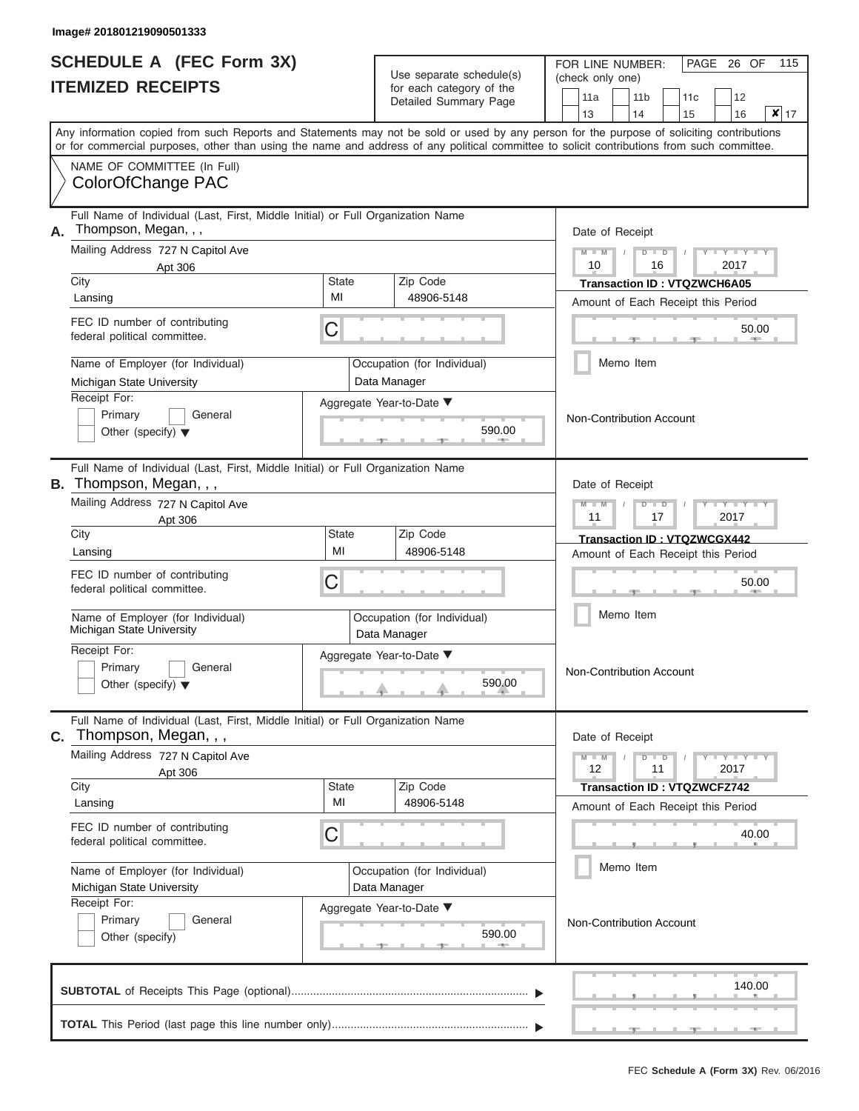# **SCHEDULE A (FEC Form 3X) ITEMIZED RECEIPTS**

 $Use$  separate schedule(s)

FOR LINE NUMBER:

PAGE 26 OF 115

|    | <b>ITEMIZED RECEIPTS</b>                                                                                                                                                                                                                                                                |                    | Ose separate scriegue(s)<br>for each category of the<br>Detailed Summary Page | (check only one)<br>11a<br>11 <sub>b</sub><br>12<br>11c<br>$x _{17}$<br>13<br>14<br>15<br>16              |
|----|-----------------------------------------------------------------------------------------------------------------------------------------------------------------------------------------------------------------------------------------------------------------------------------------|--------------------|-------------------------------------------------------------------------------|-----------------------------------------------------------------------------------------------------------|
|    | Any information copied from such Reports and Statements may not be sold or used by any person for the purpose of soliciting contributions<br>or for commercial purposes, other than using the name and address of any political committee to solicit contributions from such committee. |                    |                                                                               |                                                                                                           |
|    | NAME OF COMMITTEE (In Full)<br>ColorOfChange PAC                                                                                                                                                                                                                                        |                    |                                                                               |                                                                                                           |
| Α. | Full Name of Individual (Last, First, Middle Initial) or Full Organization Name<br>Thompson, Megan, , ,                                                                                                                                                                                 |                    |                                                                               | Date of Receipt                                                                                           |
|    | Mailing Address 727 N Capitol Ave<br>Apt 306                                                                                                                                                                                                                                            |                    |                                                                               | $- Y$<br>$M - M$<br>D<br>$\blacksquare$<br>10<br>16<br>2017                                               |
|    | City                                                                                                                                                                                                                                                                                    | State<br>MI        | Zip Code                                                                      | <b>Transaction ID: VTQZWCH6A05</b>                                                                        |
|    | Lansing                                                                                                                                                                                                                                                                                 |                    | 48906-5148                                                                    | Amount of Each Receipt this Period                                                                        |
|    | FEC ID number of contributing<br>federal political committee.                                                                                                                                                                                                                           | С                  |                                                                               | 50.00                                                                                                     |
|    | Name of Employer (for Individual)                                                                                                                                                                                                                                                       |                    | Occupation (for Individual)                                                   | Memo Item                                                                                                 |
|    | Michigan State University                                                                                                                                                                                                                                                               |                    | Data Manager                                                                  |                                                                                                           |
|    | Receipt For:<br>Primary<br>General<br>Other (specify) $\blacktriangledown$                                                                                                                                                                                                              |                    | Aggregate Year-to-Date ▼<br>590.00                                            | Non-Contribution Account                                                                                  |
|    | Full Name of Individual (Last, First, Middle Initial) or Full Organization Name<br>B. Thompson, Megan, , ,                                                                                                                                                                              |                    |                                                                               | Date of Receipt                                                                                           |
|    | Mailing Address 727 N Capitol Ave<br>Apt 306                                                                                                                                                                                                                                            |                    |                                                                               | $M - M$<br>$\overline{\phantom{a}}$<br>$D$ $D$<br>11<br>2017<br>17                                        |
|    | City                                                                                                                                                                                                                                                                                    | State              | Zip Code                                                                      | Transaction ID: VTQZWCGX442                                                                               |
|    | Lansing                                                                                                                                                                                                                                                                                 | MI                 | 48906-5148                                                                    | Amount of Each Receipt this Period                                                                        |
|    | FEC ID number of contributing<br>federal political committee.                                                                                                                                                                                                                           | C                  |                                                                               | 50.00                                                                                                     |
|    | Name of Employer (for Individual)<br>Michigan State University                                                                                                                                                                                                                          |                    | Occupation (for Individual)<br>Data Manager                                   | Memo Item                                                                                                 |
|    | Receipt For:<br>Primary<br>General<br>Other (specify) $\blacktriangledown$                                                                                                                                                                                                              |                    | Aggregate Year-to-Date ▼<br>590.00                                            | Non-Contribution Account                                                                                  |
| C. | Full Name of Individual (Last, First, Middle Initial) or Full Organization Name<br>Thompson, Megan, , ,                                                                                                                                                                                 |                    |                                                                               | Date of Receipt                                                                                           |
|    | Mailing Address 727 N Capitol Ave<br>Apt 306                                                                                                                                                                                                                                            |                    |                                                                               | $M - M$<br>$\mathbf{I} = \mathbf{Y} + \mathbf{Y} + \mathbf{I}$<br>$\overline{D}$<br>ъ<br>12<br>11<br>2017 |
|    | City                                                                                                                                                                                                                                                                                    | <b>State</b><br>MI | Zip Code                                                                      | <b>Transaction ID: VTQZWCFZ742</b>                                                                        |
|    | Lansing                                                                                                                                                                                                                                                                                 |                    | 48906-5148                                                                    | Amount of Each Receipt this Period                                                                        |
|    | FEC ID number of contributing<br>federal political committee.                                                                                                                                                                                                                           | С                  |                                                                               | 40.00                                                                                                     |
|    | Name of Employer (for Individual)<br>Michigan State University                                                                                                                                                                                                                          |                    | Occupation (for Individual)<br>Data Manager                                   | Memo Item                                                                                                 |
|    | Receipt For:<br>Aggregate Year-to-Date ▼<br>Primary<br>General<br>590.00<br>Other (specify)                                                                                                                                                                                             |                    |                                                                               | Non-Contribution Account                                                                                  |
|    |                                                                                                                                                                                                                                                                                         |                    |                                                                               | 140.00                                                                                                    |
|    |                                                                                                                                                                                                                                                                                         |                    |                                                                               |                                                                                                           |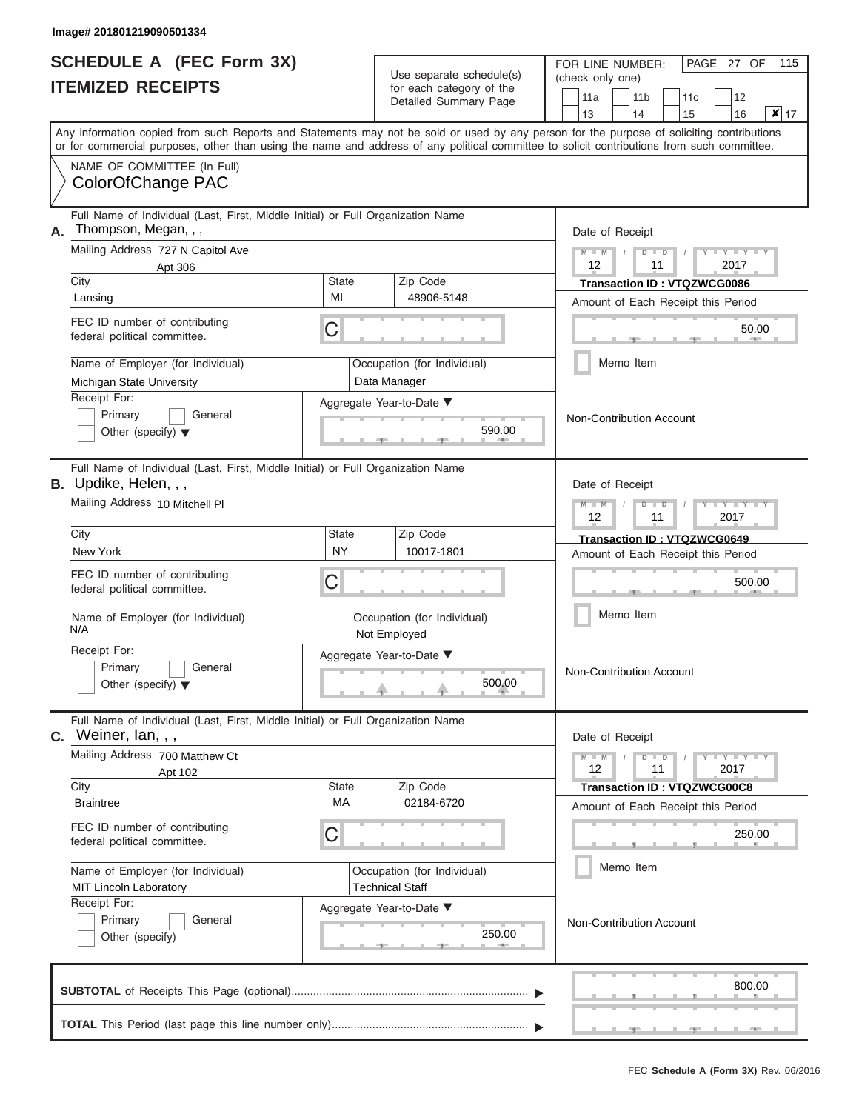# **SCHEDULE A (FEC Form 3X)**

FOR LINE NUMBER:

PAGE 27 OF 115

| <b>ITEMIZED RECEIPTS</b>                                                                                        |                    | Use separate schedule(s)                              | (check only one)                                                                                                                                                                                                                                                                        |  |  |  |  |  |  |  |  |  |
|-----------------------------------------------------------------------------------------------------------------|--------------------|-------------------------------------------------------|-----------------------------------------------------------------------------------------------------------------------------------------------------------------------------------------------------------------------------------------------------------------------------------------|--|--|--|--|--|--|--|--|--|
|                                                                                                                 |                    | for each category of the<br>Detailed Summary Page     | 11a<br>11 <sub>b</sub><br>12<br>11c<br>$x _{17}$<br>13<br>14<br>16<br>15                                                                                                                                                                                                                |  |  |  |  |  |  |  |  |  |
|                                                                                                                 |                    |                                                       | Any information copied from such Reports and Statements may not be sold or used by any person for the purpose of soliciting contributions<br>or for commercial purposes, other than using the name and address of any political committee to solicit contributions from such committee. |  |  |  |  |  |  |  |  |  |
| NAME OF COMMITTEE (In Full)<br>ColorOfChange PAC                                                                |                    |                                                       |                                                                                                                                                                                                                                                                                         |  |  |  |  |  |  |  |  |  |
| Full Name of Individual (Last, First, Middle Initial) or Full Organization Name<br>Thompson, Megan, , ,<br>А.   |                    |                                                       | Date of Receipt                                                                                                                                                                                                                                                                         |  |  |  |  |  |  |  |  |  |
| Mailing Address 727 N Capitol Ave<br>Apt 306                                                                    |                    |                                                       | $M - M$<br>$D$ $D$<br>$\overline{\phantom{a}}$<br>12<br>11<br>2017                                                                                                                                                                                                                      |  |  |  |  |  |  |  |  |  |
| City<br>Lansing                                                                                                 | <b>State</b><br>MI | Zip Code<br>48906-5148                                | <b>Transaction ID: VTQZWCG0086</b><br>Amount of Each Receipt this Period                                                                                                                                                                                                                |  |  |  |  |  |  |  |  |  |
| FEC ID number of contributing<br>federal political committee.                                                   | С                  |                                                       | 50.00<br><b>COLLA</b>                                                                                                                                                                                                                                                                   |  |  |  |  |  |  |  |  |  |
| Name of Employer (for Individual)<br>Michigan State University                                                  |                    | Occupation (for Individual)<br>Data Manager           | Memo Item                                                                                                                                                                                                                                                                               |  |  |  |  |  |  |  |  |  |
| Receipt For:<br>Primary<br>General<br>Other (specify) $\blacktriangledown$                                      |                    | Aggregate Year-to-Date ▼<br>590.00                    | <b>Non-Contribution Account</b>                                                                                                                                                                                                                                                         |  |  |  |  |  |  |  |  |  |
| Full Name of Individual (Last, First, Middle Initial) or Full Organization Name<br><b>B.</b> Updike, Helen, , , |                    |                                                       | Date of Receipt                                                                                                                                                                                                                                                                         |  |  |  |  |  |  |  |  |  |
| Mailing Address 10 Mitchell PI                                                                                  |                    |                                                       | $M - M$<br>D<br>$\Box$<br>$\overline{\phantom{a}}$ $\overline{\phantom{a}}$<br>12<br>2017<br>11                                                                                                                                                                                         |  |  |  |  |  |  |  |  |  |
| City<br>New York                                                                                                | State<br><b>NY</b> | Zip Code<br>10017-1801                                | Transaction ID: VTQZWCG0649<br>Amount of Each Receipt this Period                                                                                                                                                                                                                       |  |  |  |  |  |  |  |  |  |
| FEC ID number of contributing<br>federal political committee.                                                   | С                  |                                                       | 500.00<br>Memo Item                                                                                                                                                                                                                                                                     |  |  |  |  |  |  |  |  |  |
| Name of Employer (for Individual)<br>N/A                                                                        |                    | Occupation (for Individual)<br>Not Employed           |                                                                                                                                                                                                                                                                                         |  |  |  |  |  |  |  |  |  |
| Receipt For:<br>Primary<br>General<br>Other (specify) $\blacktriangledown$                                      |                    | Aggregate Year-to-Date ▼<br>500.00                    | Non-Contribution Account                                                                                                                                                                                                                                                                |  |  |  |  |  |  |  |  |  |
| Full Name of Individual (Last, First, Middle Initial) or Full Organization Name<br>Weiner, Ian, , ,<br>С.       |                    |                                                       | Date of Receipt                                                                                                                                                                                                                                                                         |  |  |  |  |  |  |  |  |  |
| Mailing Address 700 Matthew Ct<br>Apt 102                                                                       |                    |                                                       | $M - M$<br>$D$ $D$<br>$T - Y = Y - T Y$<br>11<br>2017<br>12                                                                                                                                                                                                                             |  |  |  |  |  |  |  |  |  |
| City<br><b>Braintree</b>                                                                                        | <b>State</b><br>МA | Zip Code<br>02184-6720                                | <b>Transaction ID: VTQZWCG00C8</b><br>Amount of Each Receipt this Period                                                                                                                                                                                                                |  |  |  |  |  |  |  |  |  |
| FEC ID number of contributing<br>federal political committee.                                                   | C                  |                                                       | 250.00                                                                                                                                                                                                                                                                                  |  |  |  |  |  |  |  |  |  |
| Name of Employer (for Individual)<br><b>MIT Lincoln Laboratory</b>                                              |                    | Occupation (for Individual)<br><b>Technical Staff</b> | Memo Item<br><b>Non-Contribution Account</b>                                                                                                                                                                                                                                            |  |  |  |  |  |  |  |  |  |
| Receipt For:<br>Primary<br>General<br>Other (specify)                                                           |                    | Aggregate Year-to-Date ▼<br>250.00                    |                                                                                                                                                                                                                                                                                         |  |  |  |  |  |  |  |  |  |
|                                                                                                                 |                    |                                                       | 800.00                                                                                                                                                                                                                                                                                  |  |  |  |  |  |  |  |  |  |
|                                                                                                                 |                    |                                                       |                                                                                                                                                                                                                                                                                         |  |  |  |  |  |  |  |  |  |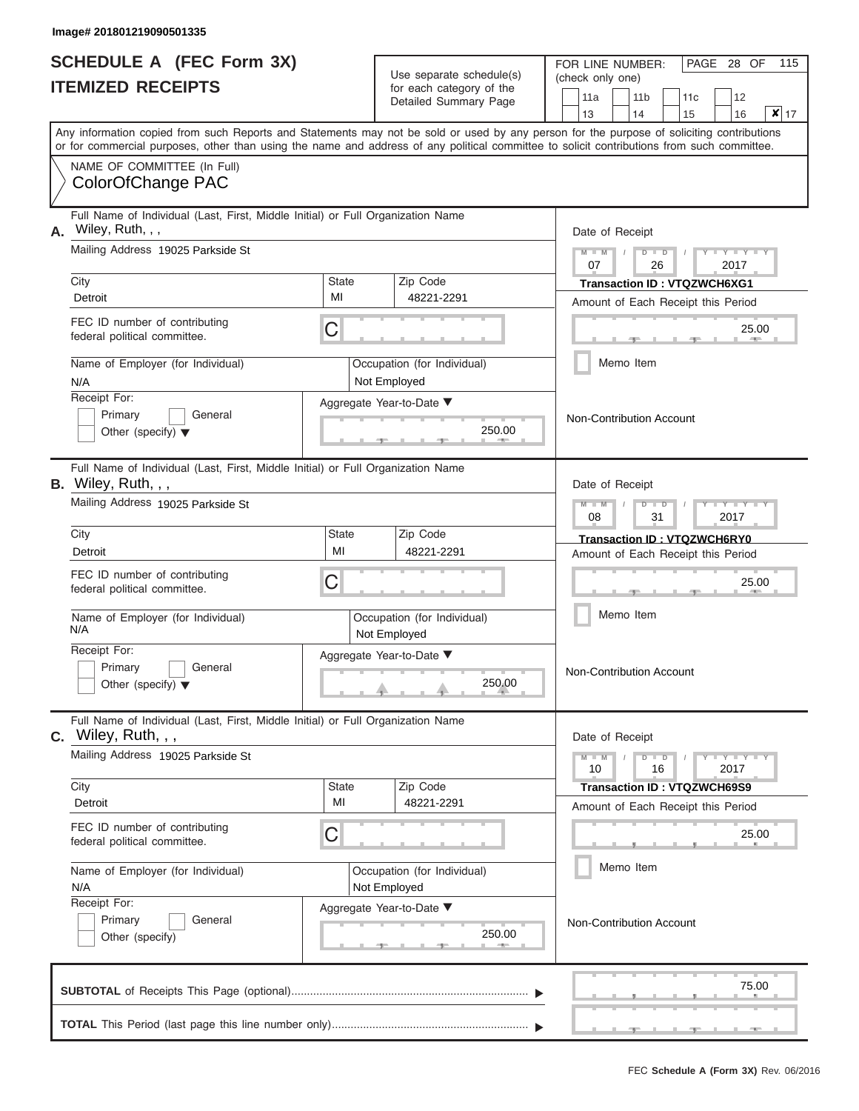|                          | <b>SCHEDULE A (FEC Form 3X)</b> |
|--------------------------|---------------------------------|
| <b>ITEMIZED RECEIPTS</b> |                                 |

| SCHEDULE A (FEC Form 3X)<br><b>ITEMIZED RECEIPTS</b>                                                                                       |                    | Use separate schedule(s)                          | 115<br>FOR LINE NUMBER:<br>PAGE 28 OF<br>(check only one)                                                                                 |
|--------------------------------------------------------------------------------------------------------------------------------------------|--------------------|---------------------------------------------------|-------------------------------------------------------------------------------------------------------------------------------------------|
|                                                                                                                                            |                    | for each category of the<br>Detailed Summary Page | 12<br>11a<br>11 <sub>b</sub><br>11 <sub>c</sub><br>$\mathbf{x}$ 17<br>13<br>14<br>15<br>16                                                |
| or for commercial purposes, other than using the name and address of any political committee to solicit contributions from such committee. |                    |                                                   | Any information copied from such Reports and Statements may not be sold or used by any person for the purpose of soliciting contributions |
| NAME OF COMMITTEE (In Full)<br>ColorOfChange PAC                                                                                           |                    |                                                   |                                                                                                                                           |
| Full Name of Individual (Last, First, Middle Initial) or Full Organization Name<br>Wiley, Ruth, , ,<br>А.                                  |                    |                                                   | Date of Receipt                                                                                                                           |
| Mailing Address 19025 Parkside St                                                                                                          |                    |                                                   | $D$ $D$<br>Y I Y I<br>$M - M$<br>07<br>26<br>2017                                                                                         |
| City<br>Detroit                                                                                                                            | <b>State</b><br>MI | Zip Code<br>48221-2291                            | Transaction ID: VTQZWCH6XG1<br>Amount of Each Receipt this Period                                                                         |
| FEC ID number of contributing<br>federal political committee.                                                                              | C                  |                                                   | 25.00<br><b>AND I</b>                                                                                                                     |
| Name of Employer (for Individual)<br>N/A                                                                                                   |                    | Occupation (for Individual)<br>Not Employed       | Memo Item                                                                                                                                 |
| Receipt For:<br>Primary<br>General<br>Other (specify) $\blacktriangledown$                                                                 |                    | Aggregate Year-to-Date ▼<br>250.00                | Non-Contribution Account                                                                                                                  |
| Full Name of Individual (Last, First, Middle Initial) or Full Organization Name<br>B. Wiley, Ruth, , ,                                     |                    |                                                   | Date of Receipt                                                                                                                           |
| Mailing Address 19025 Parkside St                                                                                                          |                    |                                                   | $M - M$<br>$D$ $D$<br>Y TYT<br>08<br>31<br>2017                                                                                           |
| City<br>Detroit                                                                                                                            | <b>State</b><br>MI | Zip Code<br>48221-2291                            | Transaction ID: VTQZWCH6RY0<br>Amount of Each Receipt this Period                                                                         |
| FEC ID number of contributing<br>federal political committee.                                                                              | С                  |                                                   | 25.00                                                                                                                                     |
| Name of Employer (for Individual)<br>N/A                                                                                                   |                    | Occupation (for Individual)<br>Not Employed       | Memo Item                                                                                                                                 |
| Receipt For:<br>Primary<br>General<br>Other (specify) $\blacktriangledown$                                                                 |                    | Aggregate Year-to-Date ▼<br>250.00                | Non-Contribution Account                                                                                                                  |
| Full Name of Individual (Last, First, Middle Initial) or Full Organization Name<br>C. Wiley, Ruth, , ,                                     |                    |                                                   | Date of Receipt                                                                                                                           |
| Mailing Address 19025 Parkside St                                                                                                          |                    |                                                   | $M - M$<br>$D$ $\Box$ $D$<br>$T-T$ $T$ $T$ $T$ $T$ $T$<br>10<br>16<br>2017                                                                |
| City<br>Detroit                                                                                                                            | <b>State</b><br>MI | Zip Code<br>48221-2291                            | <b>Transaction ID: VTQZWCH69S9</b><br>Amount of Each Receipt this Period                                                                  |
| FEC ID number of contributing<br>federal political committee.                                                                              | С                  |                                                   | 25.00                                                                                                                                     |
| Name of Employer (for Individual)<br>N/A                                                                                                   |                    | Occupation (for Individual)<br>Not Employed       | Memo Item                                                                                                                                 |
| Receipt For:<br>Primary<br>General<br>Other (specify)                                                                                      |                    | Aggregate Year-to-Date ▼<br>250.00                | Non-Contribution Account                                                                                                                  |
|                                                                                                                                            |                    |                                                   | 75.00                                                                                                                                     |
|                                                                                                                                            |                    |                                                   |                                                                                                                                           |

 ▲ ▲ ▲ , , .

л.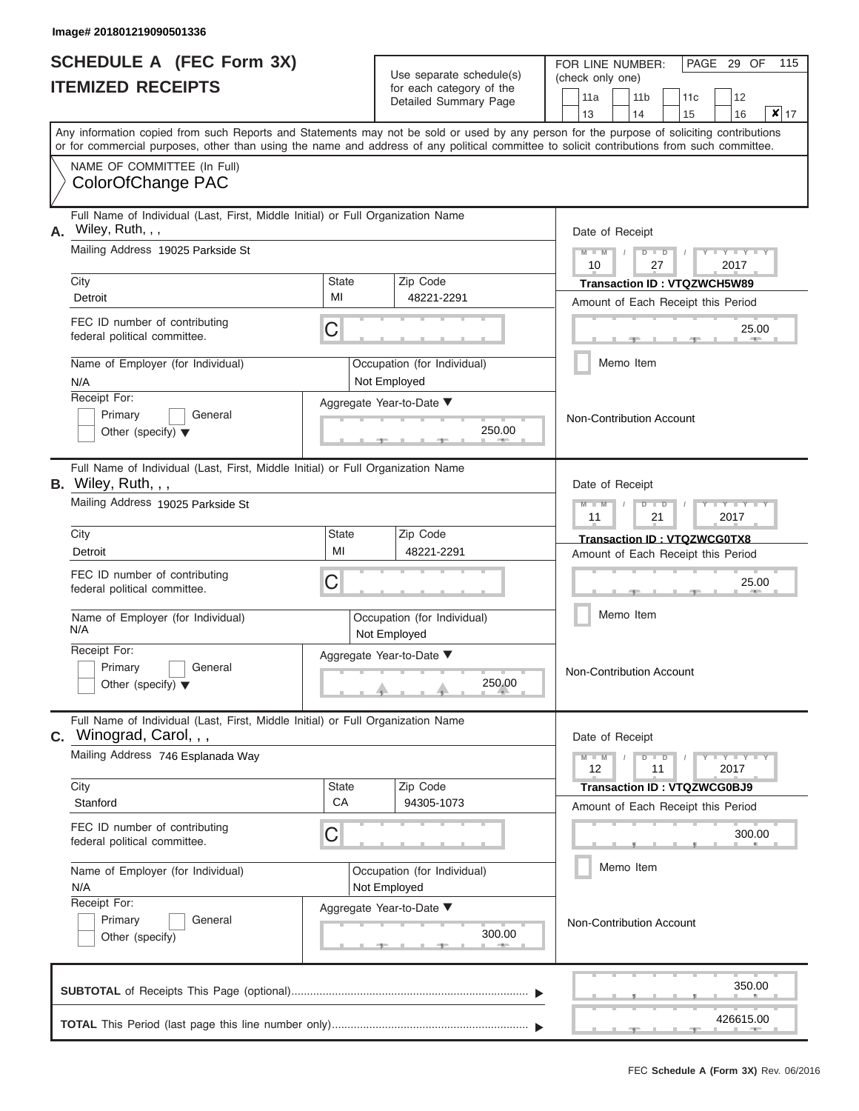|                          | <b>SCHEDULE A (FEC Form 3X)</b> |
|--------------------------|---------------------------------|
| <b>ITEMIZED RECEIPTS</b> |                                 |

Use separate schedule(s)<br>for each category of the

FOR LINE NUMBER:<br>(check only one)

PAGE 29 OF 115

|                | IILMILLU INLVLII IV                                                                                                                                                                                                                                                                     |                    | ivi cavii valcyviy vi liic<br>Detailed Summary Page |                                        | 11a                                            |  | 11 <sub>b</sub>          | 11 <sub>c</sub>                                                          |  | 12                   |                    |  |  |  |  |  |  |
|----------------|-----------------------------------------------------------------------------------------------------------------------------------------------------------------------------------------------------------------------------------------------------------------------------------------|--------------------|-----------------------------------------------------|----------------------------------------|------------------------------------------------|--|--------------------------|--------------------------------------------------------------------------|--|----------------------|--------------------|--|--|--|--|--|--|
|                |                                                                                                                                                                                                                                                                                         |                    |                                                     |                                        | 13                                             |  | 14                       | 15                                                                       |  | 16                   | $\mathbf{x}$<br>17 |  |  |  |  |  |  |
|                | Any information copied from such Reports and Statements may not be sold or used by any person for the purpose of soliciting contributions<br>or for commercial purposes, other than using the name and address of any political committee to solicit contributions from such committee. |                    |                                                     |                                        |                                                |  |                          |                                                                          |  |                      |                    |  |  |  |  |  |  |
|                | NAME OF COMMITTEE (In Full)<br>ColorOfChange PAC                                                                                                                                                                                                                                        |                    |                                                     |                                        |                                                |  |                          |                                                                          |  |                      |                    |  |  |  |  |  |  |
| Α.             | Full Name of Individual (Last, First, Middle Initial) or Full Organization Name<br>Wiley, Ruth, , ,                                                                                                                                                                                     |                    |                                                     |                                        | Date of Receipt                                |  |                          |                                                                          |  |                      |                    |  |  |  |  |  |  |
|                | Mailing Address 19025 Parkside St                                                                                                                                                                                                                                                       |                    |                                                     | $M - M$<br>$D$ $D$<br>10<br>27<br>2017 |                                                |  |                          |                                                                          |  |                      |                    |  |  |  |  |  |  |
|                | City<br>Detroit                                                                                                                                                                                                                                                                         | <b>State</b><br>MI | Zip Code<br>48221-2291                              |                                        |                                                |  |                          | <b>Transaction ID: VTQZWCH5W89</b><br>Amount of Each Receipt this Period |  |                      |                    |  |  |  |  |  |  |
|                | FEC ID number of contributing<br>federal political committee.                                                                                                                                                                                                                           | C                  |                                                     |                                        |                                                |  |                          |                                                                          |  | 25.00<br><b>AREA</b> |                    |  |  |  |  |  |  |
|                | Name of Employer (for Individual)<br>N/A                                                                                                                                                                                                                                                |                    | Occupation (for Individual)<br>Not Employed         |                                        |                                                |  | Memo Item                |                                                                          |  |                      |                    |  |  |  |  |  |  |
|                | Receipt For:<br>Primary<br>General<br>Other (specify) $\blacktriangledown$                                                                                                                                                                                                              |                    | Aggregate Year-to-Date ▼<br>250.00<br><b>AND</b>    |                                        |                                                |  | Non-Contribution Account |                                                                          |  |                      |                    |  |  |  |  |  |  |
|                | Full Name of Individual (Last, First, Middle Initial) or Full Organization Name<br>B. Wiley, Ruth, , ,                                                                                                                                                                                  |                    |                                                     |                                        |                                                |  | Date of Receipt          |                                                                          |  |                      |                    |  |  |  |  |  |  |
|                | Mailing Address 19025 Parkside St                                                                                                                                                                                                                                                       |                    |                                                     |                                        | $M - M$<br>$D$ $D$<br>$-Y$<br>11<br>21<br>2017 |  |                          |                                                                          |  |                      |                    |  |  |  |  |  |  |
|                | City<br>Detroit                                                                                                                                                                                                                                                                         | <b>State</b><br>MI | Zip Code<br>48221-2291                              |                                        |                                                |  |                          | Transaction ID: VTQZWCG0TX8<br>Amount of Each Receipt this Period        |  |                      |                    |  |  |  |  |  |  |
|                | FEC ID number of contributing<br>federal political committee.                                                                                                                                                                                                                           | C                  |                                                     |                                        | 25.00                                          |  |                          |                                                                          |  |                      |                    |  |  |  |  |  |  |
|                | Name of Employer (for Individual)<br>N/A                                                                                                                                                                                                                                                |                    | Occupation (for Individual)<br>Not Employed         |                                        | Memo Item                                      |  |                          |                                                                          |  |                      |                    |  |  |  |  |  |  |
|                | Receipt For:<br>Primary<br>General<br>Other (specify) $\blacktriangledown$                                                                                                                                                                                                              |                    | Aggregate Year-to-Date ▼<br>250.00                  |                                        | Non-Contribution Account                       |  |                          |                                                                          |  |                      |                    |  |  |  |  |  |  |
| $\mathbf{C}$ . | Full Name of Individual (Last, First, Middle Initial) or Full Organization Name<br>Winograd, Carol, , ,                                                                                                                                                                                 |                    |                                                     |                                        |                                                |  | Date of Receipt          |                                                                          |  |                      |                    |  |  |  |  |  |  |
|                | Mailing Address 746 Esplanada Way                                                                                                                                                                                                                                                       |                    |                                                     |                                        | $M - M$<br>12                                  |  | $D$ $D$<br>11            |                                                                          |  | $Y - Y - Y$<br>2017  |                    |  |  |  |  |  |  |
|                | City<br>Stanford                                                                                                                                                                                                                                                                        | <b>State</b><br>CA | Zip Code<br>94305-1073                              |                                        |                                                |  |                          | <b>Transaction ID: VTQZWCG0BJ9</b><br>Amount of Each Receipt this Period |  |                      |                    |  |  |  |  |  |  |
|                | FEC ID number of contributing<br>federal political committee.                                                                                                                                                                                                                           | С                  |                                                     |                                        |                                                |  |                          |                                                                          |  | 300.00               |                    |  |  |  |  |  |  |
|                | Name of Employer (for Individual)<br>N/A<br>Receipt For:                                                                                                                                                                                                                                |                    | Occupation (for Individual)<br>Not Employed         |                                        |                                                |  | Memo Item                |                                                                          |  |                      |                    |  |  |  |  |  |  |
|                | Primary<br>General<br>Other (specify)                                                                                                                                                                                                                                                   |                    | Aggregate Year-to-Date ▼<br>300.00                  |                                        |                                                |  | Non-Contribution Account |                                                                          |  |                      |                    |  |  |  |  |  |  |
|                |                                                                                                                                                                                                                                                                                         |                    |                                                     |                                        |                                                |  |                          |                                                                          |  | 350.00               |                    |  |  |  |  |  |  |
|                |                                                                                                                                                                                                                                                                                         |                    |                                                     |                                        |                                                |  |                          |                                                                          |  | 426615.00            |                    |  |  |  |  |  |  |

 ▲ ▲ ▲ , , .

л.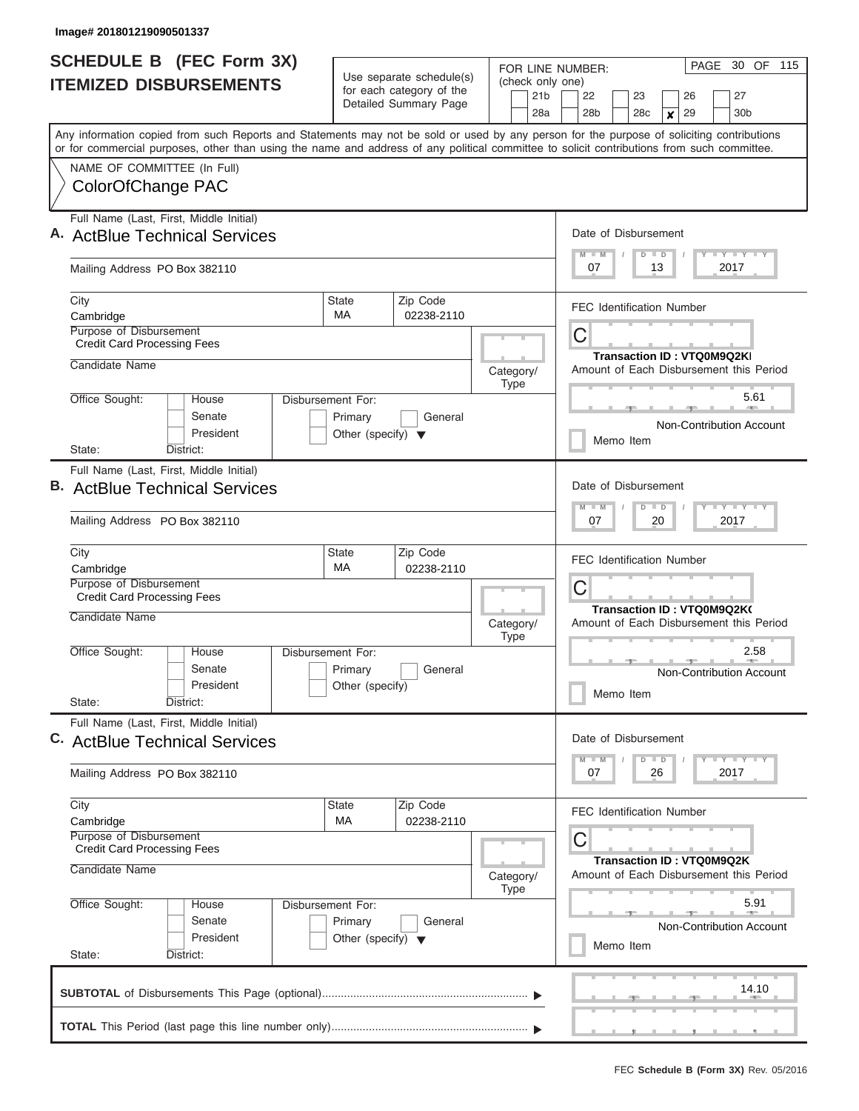| <b>SCHEDULE B</b> (FEC Form 3X)                                                                                                                                                                                                                                                         |                                                                      | Use separate schedule(s)                                 | FOR LINE NUMBER:                           | PAGE 30 OF 115                                                               |  |  |  |  |  |
|-----------------------------------------------------------------------------------------------------------------------------------------------------------------------------------------------------------------------------------------------------------------------------------------|----------------------------------------------------------------------|----------------------------------------------------------|--------------------------------------------|------------------------------------------------------------------------------|--|--|--|--|--|
| <b>ITEMIZED DISBURSEMENTS</b>                                                                                                                                                                                                                                                           |                                                                      | for each category of the<br>Detailed Summary Page        | (check only one)<br>21 <sub>b</sub><br>28a | 27<br>22<br>23<br>26<br>28 <sub>b</sub><br>28c<br>30 <sub>b</sub><br>29<br>X |  |  |  |  |  |
| Any information copied from such Reports and Statements may not be sold or used by any person for the purpose of soliciting contributions<br>or for commercial purposes, other than using the name and address of any political committee to solicit contributions from such committee. |                                                                      |                                                          |                                            |                                                                              |  |  |  |  |  |
| NAME OF COMMITTEE (In Full)<br>ColorOfChange PAC                                                                                                                                                                                                                                        |                                                                      |                                                          |                                            |                                                                              |  |  |  |  |  |
| Full Name (Last, First, Middle Initial)<br><b>ActBlue Technical Services</b>                                                                                                                                                                                                            |                                                                      | Date of Disbursement<br>Y FY FY FY<br>$D$ $D$<br>$M$ $M$ |                                            |                                                                              |  |  |  |  |  |
| Mailing Address PO Box 382110                                                                                                                                                                                                                                                           |                                                                      |                                                          |                                            | 2017<br>07<br>13                                                             |  |  |  |  |  |
| City<br>Cambridge                                                                                                                                                                                                                                                                       | State<br>MA                                                          | Zip Code<br>02238-2110                                   |                                            | <b>FEC Identification Number</b>                                             |  |  |  |  |  |
| Purpose of Disbursement<br><b>Credit Card Processing Fees</b>                                                                                                                                                                                                                           |                                                                      |                                                          |                                            | C<br><b>Transaction ID: VTQ0M9Q2KI</b>                                       |  |  |  |  |  |
| Candidate Name                                                                                                                                                                                                                                                                          |                                                                      |                                                          | Category/<br><b>Type</b>                   | Amount of Each Disbursement this Period                                      |  |  |  |  |  |
| Office Sought:<br>House<br>Senate<br>President                                                                                                                                                                                                                                          | Disbursement For:<br>Primary<br>Other (specify) $\blacktriangledown$ | General                                                  |                                            | 5.61<br>Non-Contribution Account                                             |  |  |  |  |  |
| State:<br>District:                                                                                                                                                                                                                                                                     |                                                                      |                                                          |                                            | Memo Item                                                                    |  |  |  |  |  |
| Full Name (Last, First, Middle Initial)<br><b>B.</b> ActBlue Technical Services<br>Mailing Address PO Box 382110                                                                                                                                                                        |                                                                      |                                                          |                                            | Date of Disbursement<br>Y FY FY FY<br>$M - M$<br>$D$ $D$<br>07<br>20<br>2017 |  |  |  |  |  |
| City                                                                                                                                                                                                                                                                                    | State                                                                | Zip Code                                                 |                                            |                                                                              |  |  |  |  |  |
| Cambridge<br>Purpose of Disbursement<br><b>Credit Card Processing Fees</b>                                                                                                                                                                                                              | MA                                                                   | 02238-2110                                               |                                            | <b>FEC Identification Number</b><br>C                                        |  |  |  |  |  |
| Candidate Name                                                                                                                                                                                                                                                                          |                                                                      |                                                          | Category/<br><b>Type</b>                   | Transaction ID: VTQ0M9Q2K(<br>Amount of Each Disbursement this Period        |  |  |  |  |  |
| Office Sought:<br>House<br>Senate<br>President<br>State:<br>District:                                                                                                                                                                                                                   | Disbursement For:<br>Primary<br>Other (specify)                      | General                                                  |                                            | 2.58<br><b>Allen</b><br>Non-Contribution Account<br>Memo Item                |  |  |  |  |  |
| Full Name (Last, First, Middle Initial)<br>C. ActBlue Technical Services                                                                                                                                                                                                                |                                                                      |                                                          |                                            | Date of Disbursement                                                         |  |  |  |  |  |
| Mailing Address PO Box 382110                                                                                                                                                                                                                                                           |                                                                      |                                                          |                                            | $D$ $D$<br>$Y$ $Y$ $Y$ $Y$ $Y$<br>$M$ $M$<br>07<br>26<br>2017                |  |  |  |  |  |
| City<br>Cambridge                                                                                                                                                                                                                                                                       | State<br>МA                                                          | Zip Code<br>02238-2110                                   |                                            | <b>FEC Identification Number</b>                                             |  |  |  |  |  |
| Purpose of Disbursement<br><b>Credit Card Processing Fees</b>                                                                                                                                                                                                                           |                                                                      |                                                          |                                            | С<br>Transaction ID: VTQ0M9Q2K                                               |  |  |  |  |  |
| Candidate Name                                                                                                                                                                                                                                                                          |                                                                      |                                                          | Category/<br><b>Type</b>                   | Amount of Each Disbursement this Period                                      |  |  |  |  |  |
| Office Sought:<br>House<br>Senate<br>President<br>State:<br>District:                                                                                                                                                                                                                   | Disbursement For:<br>Primary<br>Other (specify) $\blacktriangledown$ | General                                                  |                                            | 5.91<br><b>Non-Contribution Account</b><br>Memo Item                         |  |  |  |  |  |
|                                                                                                                                                                                                                                                                                         |                                                                      |                                                          |                                            | 14.10                                                                        |  |  |  |  |  |
|                                                                                                                                                                                                                                                                                         |                                                                      |                                                          |                                            | .                                                                            |  |  |  |  |  |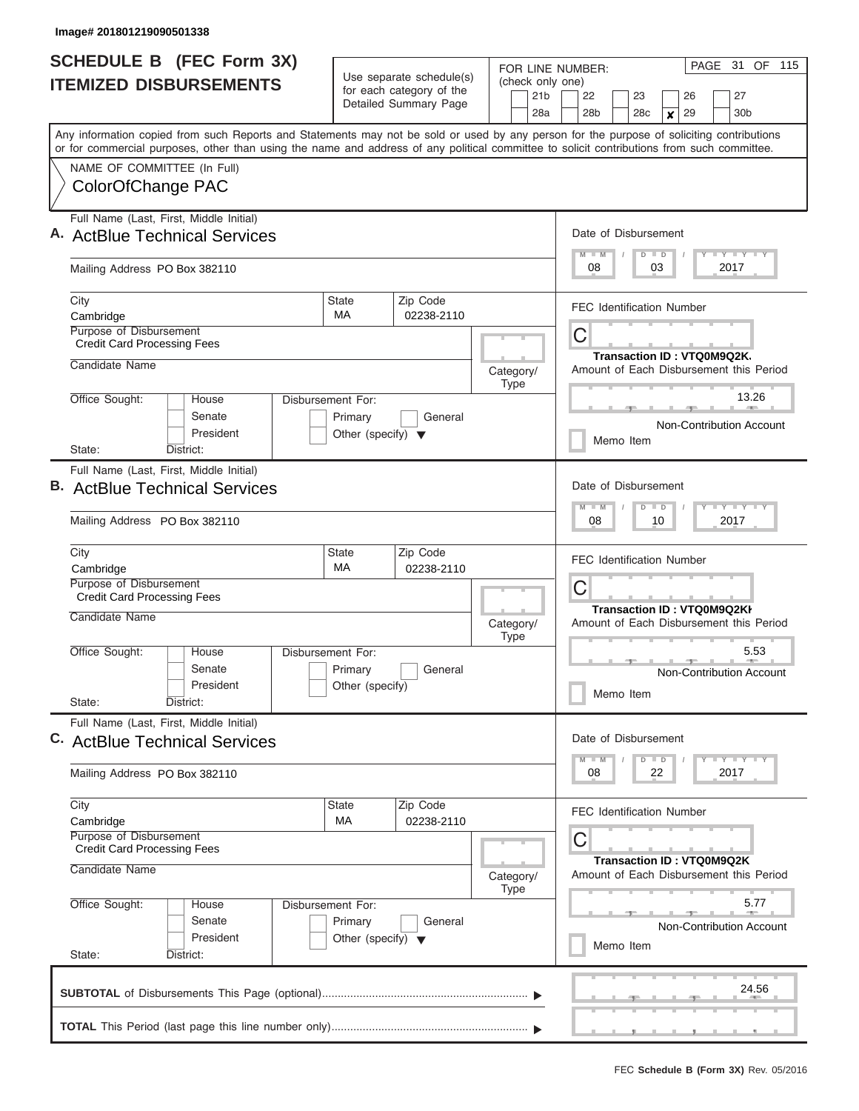|                                                                          | SCHEDULE B (FEC Form 3X)                                                                                                                                                                                                                                                                |                                                      |                        | PAGE 31 OF 115<br>FOR LINE NUMBER: |                          |                 |                                          |                                  |  |                 |    |                        |  |                                                                       |  |
|--------------------------------------------------------------------------|-----------------------------------------------------------------------------------------------------------------------------------------------------------------------------------------------------------------------------------------------------------------------------------------|------------------------------------------------------|------------------------|------------------------------------|--------------------------|-----------------|------------------------------------------|----------------------------------|--|-----------------|----|------------------------|--|-----------------------------------------------------------------------|--|
|                                                                          | <b>ITEMIZED DISBURSEMENTS</b>                                                                                                                                                                                                                                                           | Use separate schedule(s)<br>for each category of the |                        |                                    |                          | 21 <sub>b</sub> | (check only one)<br>22<br>23<br>27<br>26 |                                  |  |                 |    |                        |  |                                                                       |  |
|                                                                          |                                                                                                                                                                                                                                                                                         |                                                      | Detailed Summary Page  |                                    |                          | 28a             |                                          | 28 <sub>b</sub>                  |  | 28 <sub>c</sub> |    | 29<br>$\boldsymbol{x}$ |  | 30 <sub>b</sub>                                                       |  |
|                                                                          | Any information copied from such Reports and Statements may not be sold or used by any person for the purpose of soliciting contributions<br>or for commercial purposes, other than using the name and address of any political committee to solicit contributions from such committee. |                                                      |                        |                                    |                          |                 |                                          |                                  |  |                 |    |                        |  |                                                                       |  |
|                                                                          | NAME OF COMMITTEE (In Full)                                                                                                                                                                                                                                                             |                                                      |                        |                                    |                          |                 |                                          |                                  |  |                 |    |                        |  |                                                                       |  |
|                                                                          | ColorOfChange PAC                                                                                                                                                                                                                                                                       |                                                      |                        |                                    |                          |                 |                                          |                                  |  |                 |    |                        |  |                                                                       |  |
| Full Name (Last, First, Middle Initial)<br>A. ActBlue Technical Services |                                                                                                                                                                                                                                                                                         |                                                      |                        |                                    |                          |                 | Date of Disbursement                     |                                  |  |                 |    |                        |  |                                                                       |  |
|                                                                          | Mailing Address PO Box 382110                                                                                                                                                                                                                                                           |                                                      |                        |                                    |                          |                 |                                          | $M$ $M$<br>08                    |  | $D$ $D$         | 03 |                        |  | <b>TEY LY LY</b><br>2017                                              |  |
| City                                                                     | Cambridge                                                                                                                                                                                                                                                                               | State<br><b>MA</b>                                   | Zip Code<br>02238-2110 |                                    |                          |                 |                                          | <b>FEC Identification Number</b> |  |                 |    |                        |  |                                                                       |  |
|                                                                          | Purpose of Disbursement<br><b>Credit Card Processing Fees</b>                                                                                                                                                                                                                           |                                                      |                        |                                    |                          |                 |                                          | С                                |  |                 |    |                        |  | Transaction ID: VTQ0M9Q2K.                                            |  |
|                                                                          | Candidate Name                                                                                                                                                                                                                                                                          |                                                      |                        | Category/                          | <b>Type</b>              |                 |                                          |                                  |  |                 |    |                        |  | Amount of Each Disbursement this Period                               |  |
|                                                                          | Office Sought:<br><b>House</b><br>Senate                                                                                                                                                                                                                                                | Disbursement For:<br>Primary                         | General                |                                    |                          |                 |                                          |                                  |  |                 |    |                        |  | 13.26<br>Non-Contribution Account                                     |  |
|                                                                          | President<br>District:<br>State:                                                                                                                                                                                                                                                        | Other (specify) $\blacktriangledown$                 |                        |                                    |                          |                 |                                          |                                  |  | Memo Item       |    |                        |  |                                                                       |  |
|                                                                          | Full Name (Last, First, Middle Initial)                                                                                                                                                                                                                                                 |                                                      |                        |                                    |                          |                 |                                          |                                  |  |                 |    |                        |  |                                                                       |  |
|                                                                          | <b>ActBlue Technical Services</b>                                                                                                                                                                                                                                                       |                                                      |                        |                                    |                          |                 |                                          | Date of Disbursement             |  |                 |    |                        |  |                                                                       |  |
|                                                                          | Mailing Address PO Box 382110                                                                                                                                                                                                                                                           |                                                      |                        |                                    |                          |                 |                                          | $M - M$<br>08                    |  | $D$ $D$         | 10 |                        |  | $T - Y = T - Y = T - Y$<br>2017                                       |  |
| City                                                                     | Cambridge                                                                                                                                                                                                                                                                               | <b>State</b><br>МA                                   | Zip Code<br>02238-2110 |                                    |                          |                 |                                          | <b>FEC Identification Number</b> |  |                 |    |                        |  |                                                                       |  |
|                                                                          | Purpose of Disbursement<br><b>Credit Card Processing Fees</b>                                                                                                                                                                                                                           |                                                      |                        |                                    |                          |                 | C<br>Transaction ID: VTQ0M9Q2KI          |                                  |  |                 |    |                        |  |                                                                       |  |
|                                                                          | Candidate Name                                                                                                                                                                                                                                                                          |                                                      |                        | Category/                          | <b>Type</b>              |                 |                                          |                                  |  |                 |    |                        |  | Amount of Each Disbursement this Period                               |  |
|                                                                          | Office Sought:<br>House<br>Senate                                                                                                                                                                                                                                                       | Disbursement For:<br>Primary                         | General                |                                    |                          |                 |                                          |                                  |  |                 |    |                        |  | 5.53<br><b>Non-Contribution Account</b>                               |  |
|                                                                          | President<br>State:<br>District:                                                                                                                                                                                                                                                        | Other (specify)                                      |                        |                                    |                          |                 |                                          |                                  |  | Memo Item       |    |                        |  |                                                                       |  |
|                                                                          | Full Name (Last, First, Middle Initial)<br>C. ActBlue Technical Services                                                                                                                                                                                                                |                                                      |                        |                                    |                          |                 |                                          | Date of Disbursement             |  |                 |    |                        |  |                                                                       |  |
|                                                                          |                                                                                                                                                                                                                                                                                         |                                                      |                        |                                    |                          |                 |                                          | $M - M$                          |  | $D$ $D$         |    |                        |  | <b>LY LY LY</b>                                                       |  |
|                                                                          | Mailing Address PO Box 382110                                                                                                                                                                                                                                                           |                                                      |                        |                                    |                          |                 |                                          | 08                               |  |                 | 22 |                        |  | 2017                                                                  |  |
| City                                                                     | Cambridge                                                                                                                                                                                                                                                                               | <b>State</b><br>MA                                   | Zip Code<br>02238-2110 |                                    |                          |                 |                                          | <b>FEC Identification Number</b> |  |                 |    |                        |  |                                                                       |  |
|                                                                          | Purpose of Disbursement<br><b>Credit Card Processing Fees</b>                                                                                                                                                                                                                           |                                                      |                        |                                    |                          |                 |                                          | С                                |  |                 |    |                        |  |                                                                       |  |
|                                                                          | Candidate Name                                                                                                                                                                                                                                                                          |                                                      |                        |                                    | Category/<br><b>Type</b> |                 |                                          |                                  |  |                 |    |                        |  | Transaction ID : VTQ0M9Q2K<br>Amount of Each Disbursement this Period |  |
|                                                                          | Office Sought:<br>Disbursement For:<br>House                                                                                                                                                                                                                                            |                                                      |                        |                                    |                          |                 |                                          |                                  |  |                 |    |                        |  | 5.77                                                                  |  |
|                                                                          | Senate<br>President<br>State:<br>District:                                                                                                                                                                                                                                              | Primary<br>Other (specify) $\blacktriangledown$      | General                |                                    |                          |                 |                                          |                                  |  | Memo Item       |    |                        |  | <b>Non-Contribution Account</b>                                       |  |
|                                                                          |                                                                                                                                                                                                                                                                                         |                                                      |                        |                                    |                          |                 |                                          |                                  |  |                 |    |                        |  | 24.56                                                                 |  |
|                                                                          |                                                                                                                                                                                                                                                                                         |                                                      |                        |                                    |                          |                 |                                          |                                  |  |                 |    |                        |  |                                                                       |  |
|                                                                          |                                                                                                                                                                                                                                                                                         |                                                      |                        |                                    |                          |                 |                                          |                                  |  |                 |    |                        |  |                                                                       |  |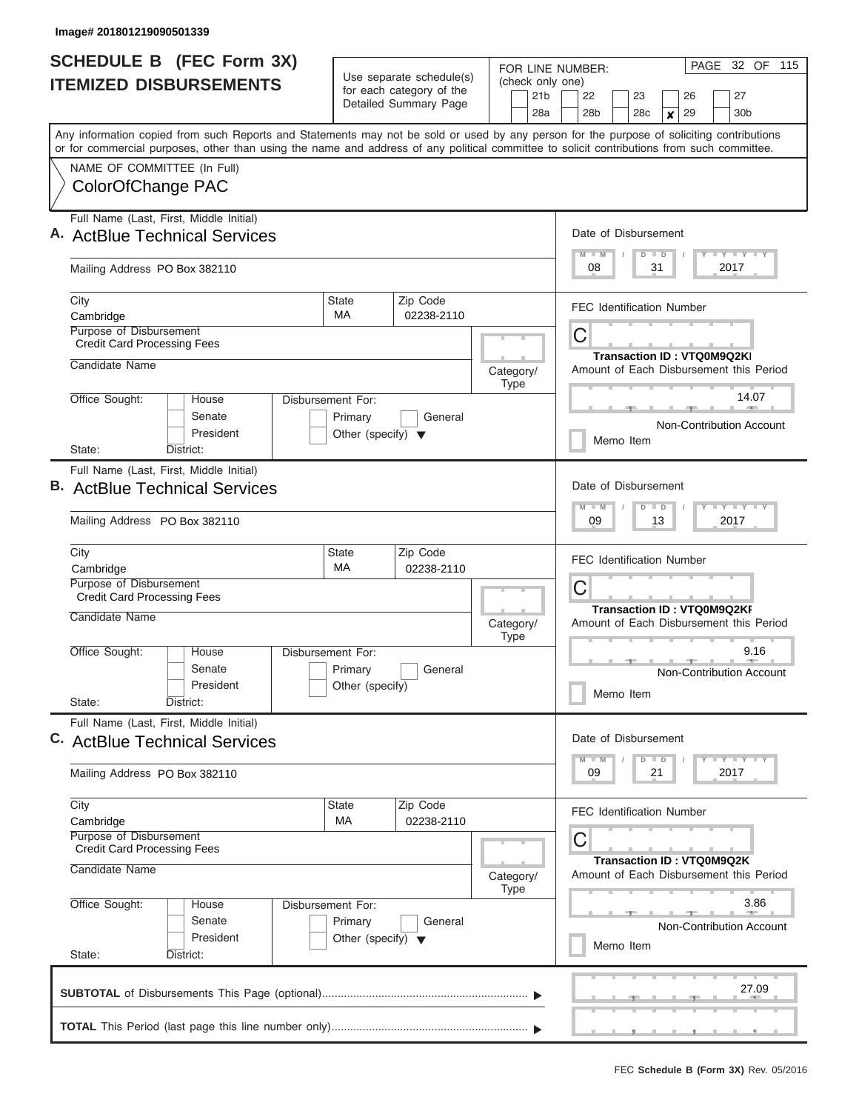|                                                                          | SCHEDULE B (FEC Form 3X)                                                                                                                                                                                                                                                                |                                                      |                        | FOR LINE NUMBER: |                                                            | PAGE 32 OF 115  |                                          |                 |  |                                 |    |                                   |  |                                         |  |
|--------------------------------------------------------------------------|-----------------------------------------------------------------------------------------------------------------------------------------------------------------------------------------------------------------------------------------------------------------------------------------|------------------------------------------------------|------------------------|------------------|------------------------------------------------------------|-----------------|------------------------------------------|-----------------|--|---------------------------------|----|-----------------------------------|--|-----------------------------------------|--|
|                                                                          | <b>ITEMIZED DISBURSEMENTS</b>                                                                                                                                                                                                                                                           | Use separate schedule(s)<br>for each category of the |                        |                  |                                                            | 21 <sub>b</sub> | (check only one)<br>22<br>23<br>27<br>26 |                 |  |                                 |    |                                   |  |                                         |  |
|                                                                          |                                                                                                                                                                                                                                                                                         |                                                      | Detailed Summary Page  |                  |                                                            | 28a             |                                          | 28 <sub>b</sub> |  | 28 <sub>c</sub>                 |    | 29<br>$\boldsymbol{x}$            |  | 30 <sub>b</sub>                         |  |
|                                                                          | Any information copied from such Reports and Statements may not be sold or used by any person for the purpose of soliciting contributions<br>or for commercial purposes, other than using the name and address of any political committee to solicit contributions from such committee. |                                                      |                        |                  |                                                            |                 |                                          |                 |  |                                 |    |                                   |  |                                         |  |
|                                                                          | NAME OF COMMITTEE (In Full)                                                                                                                                                                                                                                                             |                                                      |                        |                  |                                                            |                 |                                          |                 |  |                                 |    |                                   |  |                                         |  |
|                                                                          | ColorOfChange PAC                                                                                                                                                                                                                                                                       |                                                      |                        |                  |                                                            |                 |                                          |                 |  |                                 |    |                                   |  |                                         |  |
| Full Name (Last, First, Middle Initial)<br>A. ActBlue Technical Services |                                                                                                                                                                                                                                                                                         |                                                      |                        |                  |                                                            |                 | Date of Disbursement                     |                 |  |                                 |    |                                   |  |                                         |  |
|                                                                          | Mailing Address PO Box 382110                                                                                                                                                                                                                                                           |                                                      |                        |                  | <b>TEY LY LY</b><br>$M$ $M$<br>$D$ $D$<br>2017<br>08<br>31 |                 |                                          |                 |  |                                 |    |                                   |  |                                         |  |
|                                                                          | City<br>Cambridge                                                                                                                                                                                                                                                                       | State<br><b>MA</b>                                   | Zip Code<br>02238-2110 |                  |                                                            |                 |                                          |                 |  |                                 |    | <b>FEC Identification Number</b>  |  |                                         |  |
|                                                                          | Purpose of Disbursement<br><b>Credit Card Processing Fees</b>                                                                                                                                                                                                                           |                                                      |                        |                  |                                                            |                 | С                                        |                 |  |                                 |    |                                   |  |                                         |  |
|                                                                          | Candidate Name                                                                                                                                                                                                                                                                          |                                                      |                        |                  | Category/                                                  |                 |                                          |                 |  |                                 |    | <b>Transaction ID: VTQ0M9Q2KI</b> |  | Amount of Each Disbursement this Period |  |
|                                                                          |                                                                                                                                                                                                                                                                                         |                                                      |                        |                  | <b>Type</b>                                                |                 |                                          |                 |  |                                 |    |                                   |  |                                         |  |
|                                                                          | Office Sought:<br><b>House</b><br>Senate                                                                                                                                                                                                                                                | Disbursement For:<br>Primary                         | General                |                  |                                                            |                 |                                          |                 |  |                                 |    |                                   |  | 14.07                                   |  |
|                                                                          | President<br>District:<br>State:                                                                                                                                                                                                                                                        | Other (specify) $\blacktriangledown$                 |                        |                  |                                                            |                 |                                          |                 |  | Memo Item                       |    |                                   |  | Non-Contribution Account                |  |
|                                                                          | Full Name (Last, First, Middle Initial)                                                                                                                                                                                                                                                 |                                                      |                        |                  |                                                            |                 |                                          |                 |  |                                 |    |                                   |  |                                         |  |
|                                                                          | <b>ActBlue Technical Services</b>                                                                                                                                                                                                                                                       |                                                      |                        |                  |                                                            |                 |                                          | $M - M$         |  | Date of Disbursement<br>$D$ $D$ |    |                                   |  | $T - Y = T - Y = T - Y$                 |  |
|                                                                          | Mailing Address PO Box 382110                                                                                                                                                                                                                                                           |                                                      |                        |                  |                                                            |                 |                                          | 09              |  |                                 | 13 |                                   |  | 2017                                    |  |
|                                                                          | City<br>Cambridge                                                                                                                                                                                                                                                                       | <b>State</b><br>МA                                   | Zip Code<br>02238-2110 |                  |                                                            |                 |                                          |                 |  |                                 |    | <b>FEC Identification Number</b>  |  |                                         |  |
|                                                                          | Purpose of Disbursement                                                                                                                                                                                                                                                                 |                                                      |                        |                  |                                                            |                 | C                                        |                 |  |                                 |    |                                   |  |                                         |  |
|                                                                          | <b>Credit Card Processing Fees</b><br>Candidate Name                                                                                                                                                                                                                                    |                                                      |                        |                  |                                                            |                 | Transaction ID: VTQ0M9Q2KI               |                 |  |                                 |    |                                   |  |                                         |  |
|                                                                          |                                                                                                                                                                                                                                                                                         |                                                      |                        |                  | Category/<br><b>Type</b>                                   |                 |                                          |                 |  |                                 |    |                                   |  | Amount of Each Disbursement this Period |  |
|                                                                          | Office Sought:<br>House                                                                                                                                                                                                                                                                 | Disbursement For:                                    |                        |                  |                                                            |                 |                                          |                 |  |                                 |    |                                   |  | 9.16                                    |  |
|                                                                          | Senate<br>Primary<br>General<br>President<br>Other (specify)                                                                                                                                                                                                                            |                                                      |                        |                  |                                                            |                 |                                          |                 |  |                                 |    |                                   |  | <b>Non-Contribution Account</b>         |  |
|                                                                          | State:<br>District:                                                                                                                                                                                                                                                                     |                                                      |                        |                  |                                                            |                 |                                          |                 |  | Memo Item                       |    |                                   |  |                                         |  |
|                                                                          | Full Name (Last, First, Middle Initial)<br>C. ActBlue Technical Services                                                                                                                                                                                                                |                                                      |                        |                  |                                                            |                 |                                          |                 |  | Date of Disbursement            |    |                                   |  |                                         |  |
|                                                                          |                                                                                                                                                                                                                                                                                         |                                                      |                        |                  |                                                            |                 |                                          | $M - M$         |  | $D$ $D$                         |    |                                   |  | $T$ $Y$ $Y$ $Y$ $T$                     |  |
|                                                                          | Mailing Address PO Box 382110                                                                                                                                                                                                                                                           |                                                      |                        |                  |                                                            |                 |                                          | 09              |  |                                 | 21 |                                   |  | 2017                                    |  |
|                                                                          | City                                                                                                                                                                                                                                                                                    | <b>State</b>                                         | Zip Code               |                  |                                                            |                 |                                          |                 |  |                                 |    | <b>FEC Identification Number</b>  |  |                                         |  |
|                                                                          | Cambridge<br>Purpose of Disbursement                                                                                                                                                                                                                                                    | МA                                                   | 02238-2110             |                  |                                                            |                 | С                                        |                 |  |                                 |    |                                   |  |                                         |  |
|                                                                          | <b>Credit Card Processing Fees</b>                                                                                                                                                                                                                                                      |                                                      |                        |                  |                                                            |                 | Transaction ID: VTQ0M9Q2K                |                 |  |                                 |    |                                   |  |                                         |  |
|                                                                          | Candidate Name                                                                                                                                                                                                                                                                          |                                                      |                        |                  | Category/<br><b>Type</b>                                   |                 |                                          |                 |  |                                 |    |                                   |  | Amount of Each Disbursement this Period |  |
|                                                                          | Office Sought:<br>Disbursement For:<br>House                                                                                                                                                                                                                                            |                                                      |                        |                  |                                                            |                 |                                          |                 |  |                                 |    |                                   |  | 3.86                                    |  |
|                                                                          | Senate<br>President                                                                                                                                                                                                                                                                     | Primary<br>Other (specify) $\blacktriangledown$      | General                |                  |                                                            |                 |                                          |                 |  |                                 |    |                                   |  | <b>Non-Contribution Account</b>         |  |
|                                                                          | State:<br>District:                                                                                                                                                                                                                                                                     |                                                      |                        |                  |                                                            |                 |                                          |                 |  | Memo Item                       |    |                                   |  |                                         |  |
|                                                                          |                                                                                                                                                                                                                                                                                         |                                                      |                        |                  |                                                            |                 |                                          |                 |  |                                 |    |                                   |  | 27.09                                   |  |
|                                                                          |                                                                                                                                                                                                                                                                                         |                                                      |                        |                  |                                                            |                 |                                          |                 |  |                                 |    |                                   |  |                                         |  |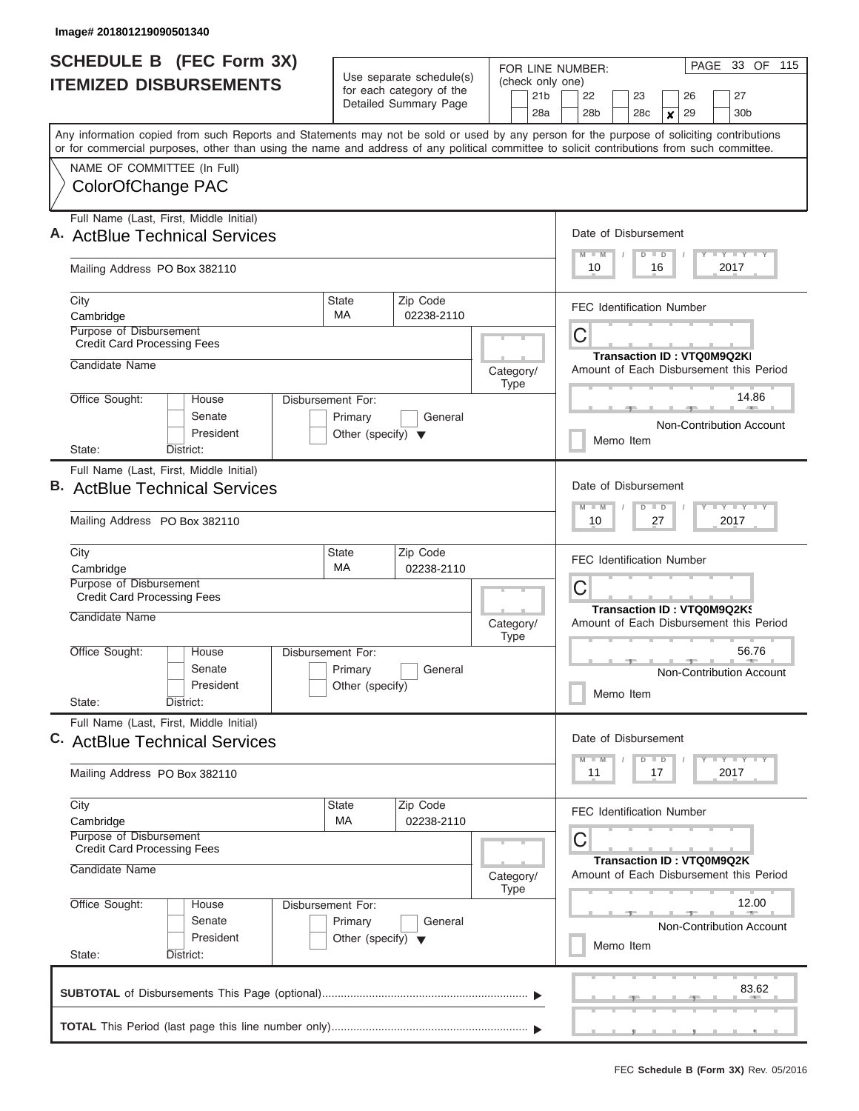| <b>SCHEDULE B</b> (FEC Form 3X)                                                                                                                                           | Use separate schedule(s)             | FOR LINE NUMBER:              |                                                                      |  |  |  |  |  |  |
|---------------------------------------------------------------------------------------------------------------------------------------------------------------------------|--------------------------------------|-------------------------------|----------------------------------------------------------------------|--|--|--|--|--|--|
| <b>ITEMIZED DISBURSEMENTS</b>                                                                                                                                             | for each category of the             | (check only one)<br>21b       | 22<br>23<br>26<br>27                                                 |  |  |  |  |  |  |
|                                                                                                                                                                           | Detailed Summary Page                | 28a                           | 28 <sub>b</sub><br>29<br>30 <sub>b</sub><br>28 <sub>c</sub><br>×     |  |  |  |  |  |  |
| Any information copied from such Reports and Statements may not be sold or used by any person for the purpose of soliciting contributions                                 |                                      |                               |                                                                      |  |  |  |  |  |  |
| or for commercial purposes, other than using the name and address of any political committee to solicit contributions from such committee.<br>NAME OF COMMITTEE (In Full) |                                      |                               |                                                                      |  |  |  |  |  |  |
| ColorOfChange PAC                                                                                                                                                         |                                      |                               |                                                                      |  |  |  |  |  |  |
|                                                                                                                                                                           |                                      |                               |                                                                      |  |  |  |  |  |  |
| Full Name (Last, First, Middle Initial)<br>A. ActBlue Technical Services                                                                                                  |                                      | Date of Disbursement          |                                                                      |  |  |  |  |  |  |
|                                                                                                                                                                           |                                      |                               | Y LY LY LY<br>$M$ $M$<br>$D$ $D$                                     |  |  |  |  |  |  |
| Mailing Address PO Box 382110                                                                                                                                             |                                      |                               | 10<br>16<br>2017                                                     |  |  |  |  |  |  |
| City                                                                                                                                                                      | Zip Code<br><b>State</b><br>МA       |                               | <b>FEC Identification Number</b>                                     |  |  |  |  |  |  |
| Cambridge<br>Purpose of Disbursement                                                                                                                                      | 02238-2110                           |                               |                                                                      |  |  |  |  |  |  |
| <b>Credit Card Processing Fees</b>                                                                                                                                        |                                      |                               | С<br>Transaction ID: VTQ0M9Q2KI                                      |  |  |  |  |  |  |
| Candidate Name                                                                                                                                                            |                                      | Category/                     | Amount of Each Disbursement this Period                              |  |  |  |  |  |  |
| Office Sought:<br>House<br>Disbursement For:                                                                                                                              |                                      | Type                          | 14.86                                                                |  |  |  |  |  |  |
| Senate                                                                                                                                                                    | Primary<br>General                   |                               |                                                                      |  |  |  |  |  |  |
| President                                                                                                                                                                 | Other (specify) $\blacktriangledown$ |                               | <b>Non-Contribution Account</b><br>Memo Item                         |  |  |  |  |  |  |
| State:<br>District:                                                                                                                                                       |                                      |                               |                                                                      |  |  |  |  |  |  |
| Full Name (Last, First, Middle Initial)<br><b>B.</b> ActBlue Technical Services                                                                                           |                                      |                               | Date of Disbursement                                                 |  |  |  |  |  |  |
|                                                                                                                                                                           |                                      | $Y - Y$<br>$M - M$<br>$D$ $D$ |                                                                      |  |  |  |  |  |  |
| Mailing Address PO Box 382110                                                                                                                                             |                                      |                               | 10<br>27<br>2017                                                     |  |  |  |  |  |  |
| City                                                                                                                                                                      | Zip Code<br><b>State</b><br>MA       |                               | <b>FEC Identification Number</b>                                     |  |  |  |  |  |  |
| Cambridge<br>Purpose of Disbursement                                                                                                                                      | 02238-2110                           |                               | С                                                                    |  |  |  |  |  |  |
| <b>Credit Card Processing Fees</b>                                                                                                                                        |                                      |                               | Transaction ID: VTQ0M9Q2KS                                           |  |  |  |  |  |  |
| Candidate Name                                                                                                                                                            |                                      | Category/<br><b>Type</b>      | Amount of Each Disbursement this Period                              |  |  |  |  |  |  |
| Office Sought:<br>House<br>Disbursement For:                                                                                                                              |                                      |                               | 56.76                                                                |  |  |  |  |  |  |
| Senate                                                                                                                                                                    | Primary<br>General                   |                               | Non-Contribution Account                                             |  |  |  |  |  |  |
| President<br>State:<br>District:                                                                                                                                          | Other (specify)                      |                               | Memo Item                                                            |  |  |  |  |  |  |
| Full Name (Last, First, Middle Initial)                                                                                                                                   |                                      |                               |                                                                      |  |  |  |  |  |  |
| C. ActBlue Technical Services                                                                                                                                             |                                      |                               | Date of Disbursement                                                 |  |  |  |  |  |  |
| Mailing Address PO Box 382110                                                                                                                                             |                                      |                               | <b>LY LY LY</b><br>$M - M$<br>$D$ $D$<br>11<br>17<br>2017            |  |  |  |  |  |  |
| City                                                                                                                                                                      | <b>State</b><br>Zip Code             |                               |                                                                      |  |  |  |  |  |  |
| Cambridge                                                                                                                                                                 | МA<br>02238-2110                     |                               | <b>FEC Identification Number</b>                                     |  |  |  |  |  |  |
| Purpose of Disbursement<br><b>Credit Card Processing Fees</b>                                                                                                             |                                      |                               | С                                                                    |  |  |  |  |  |  |
| Candidate Name                                                                                                                                                            |                                      | Category/                     | Transaction ID: VTQ0M9Q2K<br>Amount of Each Disbursement this Period |  |  |  |  |  |  |
|                                                                                                                                                                           |                                      | Type                          |                                                                      |  |  |  |  |  |  |
| Office Sought:<br>House<br>Disbursement For:<br>Senate                                                                                                                    | Primary<br>General                   |                               | 12.00                                                                |  |  |  |  |  |  |
| President                                                                                                                                                                 | Other (specify) $\blacktriangledown$ |                               | <b>Non-Contribution Account</b>                                      |  |  |  |  |  |  |
| State:<br>District:                                                                                                                                                       |                                      |                               | Memo Item                                                            |  |  |  |  |  |  |
|                                                                                                                                                                           |                                      |                               | 83.62                                                                |  |  |  |  |  |  |
|                                                                                                                                                                           |                                      |                               |                                                                      |  |  |  |  |  |  |
|                                                                                                                                                                           |                                      |                               |                                                                      |  |  |  |  |  |  |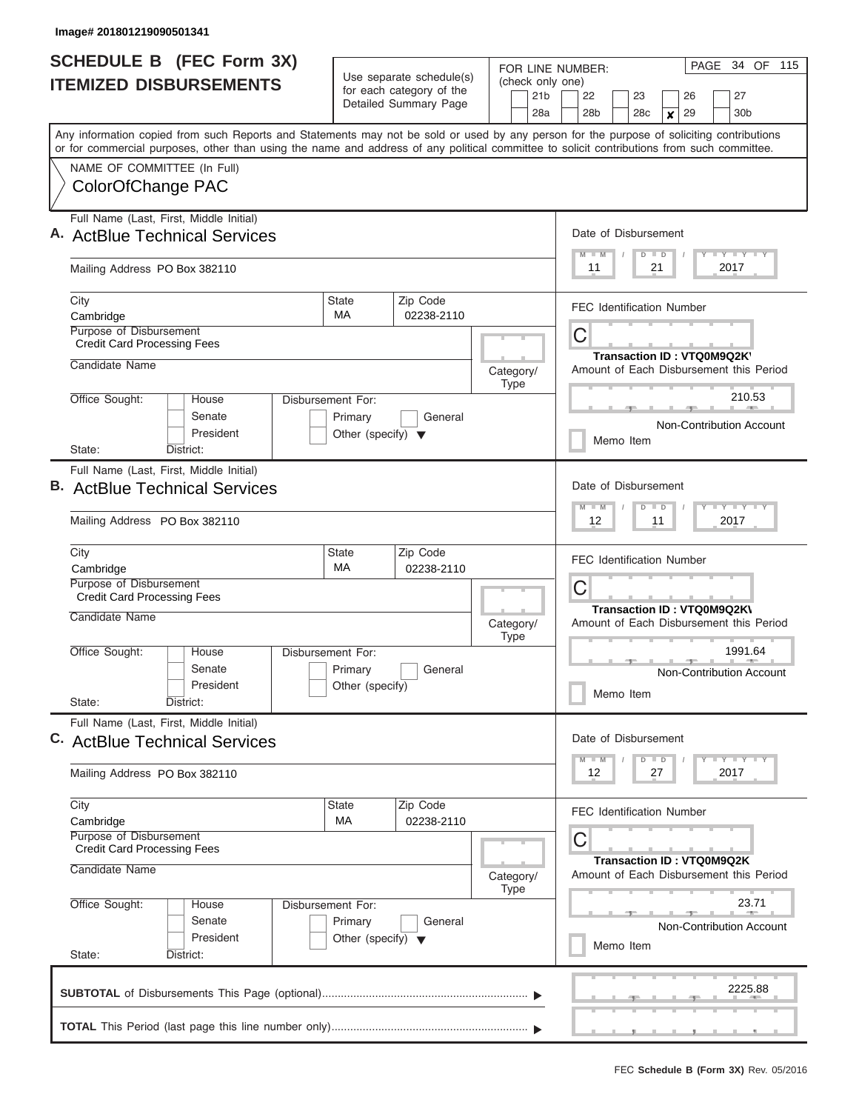|                                                                                              | <b>SCHEDULE B (FEC Form 3X)</b><br><b>ITEMIZED DISBURSEMENTS</b> |                                                                      | Use separate schedule(s)<br>for each category of the<br>Detailed Summary Page | (check only one)<br>21 <sub>b</sub><br>28a                                 | PAGE 34 OF 115<br>FOR LINE NUMBER:<br>22<br>23<br>26<br>27<br>28 <sub>b</sub><br>29<br>30 <sub>b</sub><br>28 <sub>c</sub><br>×                                                                                                                                                          |  |  |  |  |  |
|----------------------------------------------------------------------------------------------|------------------------------------------------------------------|----------------------------------------------------------------------|-------------------------------------------------------------------------------|----------------------------------------------------------------------------|-----------------------------------------------------------------------------------------------------------------------------------------------------------------------------------------------------------------------------------------------------------------------------------------|--|--|--|--|--|
|                                                                                              |                                                                  |                                                                      |                                                                               |                                                                            | Any information copied from such Reports and Statements may not be sold or used by any person for the purpose of soliciting contributions<br>or for commercial purposes, other than using the name and address of any political committee to solicit contributions from such committee. |  |  |  |  |  |
| NAME OF COMMITTEE (In Full)<br>ColorOfChange PAC                                             |                                                                  |                                                                      |                                                                               |                                                                            |                                                                                                                                                                                                                                                                                         |  |  |  |  |  |
| Full Name (Last, First, Middle Initial)<br>A. ActBlue Technical Services                     |                                                                  |                                                                      | Date of Disbursement<br>Y I Y I Y I Y<br>$M - M$<br>$D$ $D$                   |                                                                            |                                                                                                                                                                                                                                                                                         |  |  |  |  |  |
| Mailing Address PO Box 382110                                                                |                                                                  |                                                                      |                                                                               |                                                                            | 11<br>21<br>2017                                                                                                                                                                                                                                                                        |  |  |  |  |  |
| City<br>Cambridge                                                                            |                                                                  | State<br>MA                                                          | Zip Code<br>02238-2110                                                        |                                                                            | <b>FEC Identification Number</b>                                                                                                                                                                                                                                                        |  |  |  |  |  |
| Purpose of Disbursement<br><b>Credit Card Processing Fees</b><br>Candidate Name              |                                                                  |                                                                      |                                                                               |                                                                            | С<br>Transaction ID: VTQ0M9Q2K                                                                                                                                                                                                                                                          |  |  |  |  |  |
| Office Sought:                                                                               | House                                                            | Disbursement For:                                                    |                                                                               | Category/<br><b>Type</b>                                                   | Amount of Each Disbursement this Period<br>210.53                                                                                                                                                                                                                                       |  |  |  |  |  |
|                                                                                              | Senate<br>President                                              |                                                                      | Non-Contribution Account<br>Memo Item                                         |                                                                            |                                                                                                                                                                                                                                                                                         |  |  |  |  |  |
| State:<br>Full Name (Last, First, Middle Initial)<br><b>ActBlue Technical Services</b><br>в. | District:                                                        |                                                                      | Date of Disbursement<br>$M - M$<br>$D$ $D$                                    |                                                                            |                                                                                                                                                                                                                                                                                         |  |  |  |  |  |
| Mailing Address PO Box 382110                                                                |                                                                  |                                                                      |                                                                               |                                                                            | 12<br>11<br>2017                                                                                                                                                                                                                                                                        |  |  |  |  |  |
| City<br>Cambridge                                                                            |                                                                  | State<br>MA                                                          | Zip Code<br>02238-2110                                                        |                                                                            | <b>FEC Identification Number</b>                                                                                                                                                                                                                                                        |  |  |  |  |  |
| Purpose of Disbursement<br><b>Credit Card Processing Fees</b><br>Candidate Name              |                                                                  |                                                                      | Category/                                                                     | C<br>Transaction ID: VTQ0M9Q2K\<br>Amount of Each Disbursement this Period |                                                                                                                                                                                                                                                                                         |  |  |  |  |  |
| Office Sought:<br>State:                                                                     | House<br>Senate<br>President<br>District:                        | Disbursement For:<br>Primary<br>Other (specify)                      | General                                                                       | <b>Type</b>                                                                | 1991.64<br>Non-Contribution Account<br>Memo Item                                                                                                                                                                                                                                        |  |  |  |  |  |
| Full Name (Last, First, Middle Initial)<br>C. ActBlue Technical Services                     |                                                                  |                                                                      |                                                                               |                                                                            | Date of Disbursement<br>$\frac{1}{2}$ $\frac{1}{2}$ $\frac{1}{2}$ $\frac{1}{2}$ $\frac{1}{2}$ $\frac{1}{2}$ $\frac{1}{2}$ $\frac{1}{2}$ $\frac{1}{2}$ $\frac{1}{2}$ $\frac{1}{2}$ $\frac{1}{2}$ $\frac{1}{2}$<br>$M$ $M$<br>$D$ $D$                                                     |  |  |  |  |  |
| Mailing Address PO Box 382110                                                                |                                                                  |                                                                      |                                                                               |                                                                            | 2017<br>12<br>27                                                                                                                                                                                                                                                                        |  |  |  |  |  |
| City<br>Cambridge                                                                            |                                                                  | State<br>МA                                                          | Zip Code<br>02238-2110                                                        |                                                                            | <b>FEC Identification Number</b>                                                                                                                                                                                                                                                        |  |  |  |  |  |
| Purpose of Disbursement<br><b>Credit Card Processing Fees</b><br>Candidate Name<br>Category/ |                                                                  |                                                                      |                                                                               |                                                                            | C<br>Transaction ID: VTQ0M9Q2K<br>Amount of Each Disbursement this Period                                                                                                                                                                                                               |  |  |  |  |  |
| Office Sought:<br>State:                                                                     | House<br>Senate<br>President<br>District:                        | Disbursement For:<br>Primary<br>Other (specify) $\blacktriangledown$ | General                                                                       | <b>Type</b>                                                                | 23.71<br><b>Non-Contribution Account</b><br>Memo Item                                                                                                                                                                                                                                   |  |  |  |  |  |
|                                                                                              |                                                                  |                                                                      |                                                                               |                                                                            | 2225.88                                                                                                                                                                                                                                                                                 |  |  |  |  |  |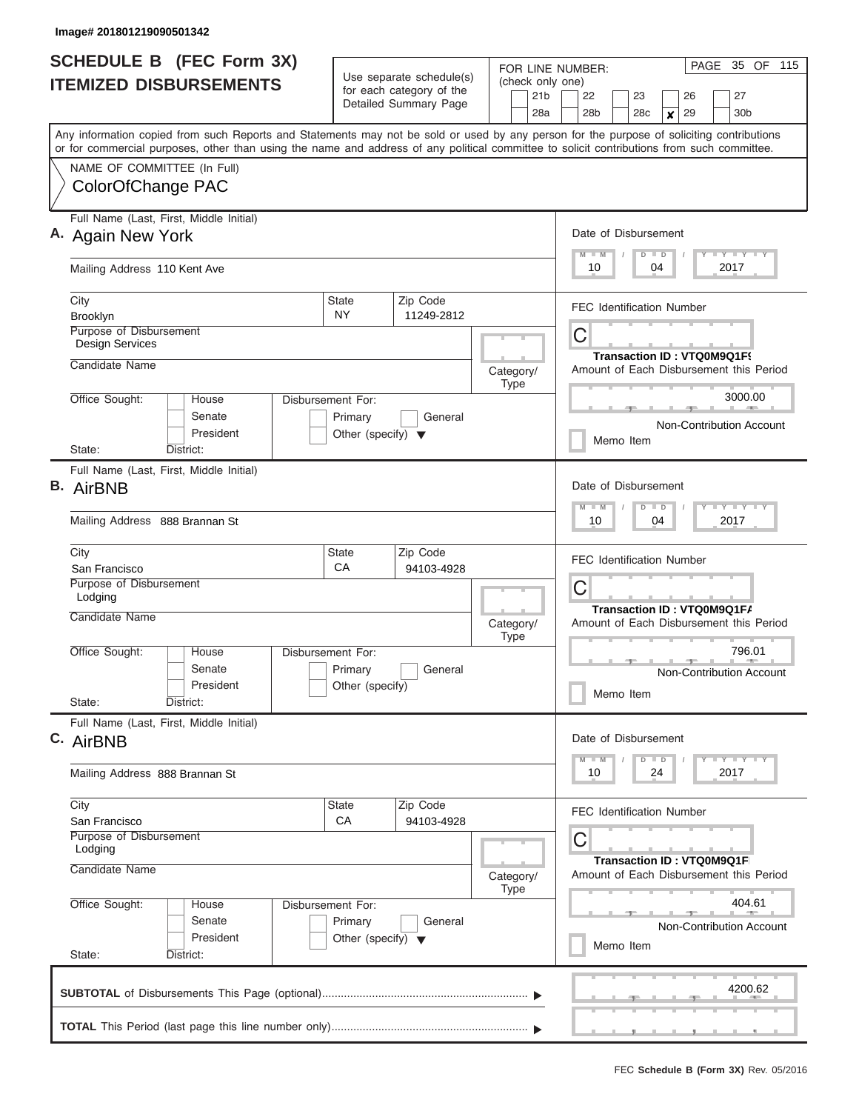| <b>SCHEDULE B (FEC Form 3X)</b><br><b>ITEMIZED DISBURSEMENTS</b>                                                                                                                                                                                                                                                       | Use separate schedule(s)<br>for each category of the<br>Detailed Summary Page      | FOR LINE NUMBER:<br>(check only one)<br>21b<br>28a                                                                 | PAGE<br>35 OF<br>115<br>22<br>23<br>27<br>26<br>28 <sub>b</sub><br>28c<br>29<br>30 <sub>b</sub><br>$\boldsymbol{x}$  |  |  |  |  |  |
|------------------------------------------------------------------------------------------------------------------------------------------------------------------------------------------------------------------------------------------------------------------------------------------------------------------------|------------------------------------------------------------------------------------|--------------------------------------------------------------------------------------------------------------------|----------------------------------------------------------------------------------------------------------------------|--|--|--|--|--|
| Any information copied from such Reports and Statements may not be sold or used by any person for the purpose of soliciting contributions<br>or for commercial purposes, other than using the name and address of any political committee to solicit contributions from such committee.<br>NAME OF COMMITTEE (In Full) |                                                                                    |                                                                                                                    |                                                                                                                      |  |  |  |  |  |
| ColorOfChange PAC                                                                                                                                                                                                                                                                                                      |                                                                                    |                                                                                                                    |                                                                                                                      |  |  |  |  |  |
| Full Name (Last, First, Middle Initial)<br>A. Again New York<br>Mailing Address 110 Kent Ave                                                                                                                                                                                                                           | Date of Disbursement<br><b>TEY LY LY</b><br>$M$ $M$<br>$D$ $D$<br>10<br>04<br>2017 |                                                                                                                    |                                                                                                                      |  |  |  |  |  |
| City<br><b>State</b><br><b>NY</b><br>Brooklyn<br><b>Purpose of Disbursement</b>                                                                                                                                                                                                                                        |                                                                                    | <b>FEC Identification Number</b>                                                                                   |                                                                                                                      |  |  |  |  |  |
| <b>Design Services</b><br>Candidate Name                                                                                                                                                                                                                                                                               |                                                                                    | Category/<br>Type                                                                                                  | С<br>Transaction ID: VTQ0M9Q1F9<br>Amount of Each Disbursement this Period                                           |  |  |  |  |  |
| Office Sought:<br>Disbursement For:<br>House<br>Senate<br>President<br>State:<br>District:                                                                                                                                                                                                                             | Primary<br>General<br>Other (specify) $\blacktriangledown$                         |                                                                                                                    | 3000.00<br>Non-Contribution Account<br>Memo Item                                                                     |  |  |  |  |  |
| Full Name (Last, First, Middle Initial)<br><b>B.</b> AirBNB<br>Mailing Address 888 Brannan St                                                                                                                                                                                                                          |                                                                                    | Date of Disbursement<br>$T - Y$ $T - Y$ $T - Y$<br>$M - M$<br>$\overline{D}$<br>$\blacksquare$<br>2017<br>10<br>04 |                                                                                                                      |  |  |  |  |  |
| City<br>San Francisco<br>Purpose of Disbursement<br>Lodging                                                                                                                                                                                                                                                            | Zip Code<br><b>State</b><br>СA<br>94103-4928                                       |                                                                                                                    | <b>FEC Identification Number</b><br>С<br>Transaction ID: VTQ0M9Q1F/                                                  |  |  |  |  |  |
| Candidate Name<br>Office Sought:<br>Disbursement For:<br>House<br>Senate<br>President<br>State:<br>District:                                                                                                                                                                                                           | Primary<br>General<br>Other (specify)                                              | Category/<br><b>Type</b>                                                                                           | Amount of Each Disbursement this Period<br>796.01<br>Non-Contribution Account<br>Memo Item                           |  |  |  |  |  |
| Full Name (Last, First, Middle Initial)<br>C. AirBNB<br>Mailing Address 888 Brannan St                                                                                                                                                                                                                                 |                                                                                    |                                                                                                                    | Date of Disbursement<br>$T - Y$ $T - Y$<br>$M - M$<br>$D \parallel D$<br>10<br>24<br>2017                            |  |  |  |  |  |
| City<br>San Francisco<br>Purpose of Disbursement<br>Lodging<br>Candidate Name                                                                                                                                                                                                                                          | <b>State</b><br>Zip Code<br>CA<br>94103-4928                                       | Category/                                                                                                          | <b>FEC Identification Number</b><br>С<br><b>Transaction ID: VTQ0M9Q1F</b><br>Amount of Each Disbursement this Period |  |  |  |  |  |
| Office Sought:<br>Disbursement For:<br>House<br>Senate<br>President<br>State:<br>District:                                                                                                                                                                                                                             | Primary<br>General<br>Other (specify) $\blacktriangledown$                         | Type                                                                                                               | 404.61<br><b>Non-Contribution Account</b><br>Memo Item                                                               |  |  |  |  |  |
|                                                                                                                                                                                                                                                                                                                        |                                                                                    |                                                                                                                    | 4200.62                                                                                                              |  |  |  |  |  |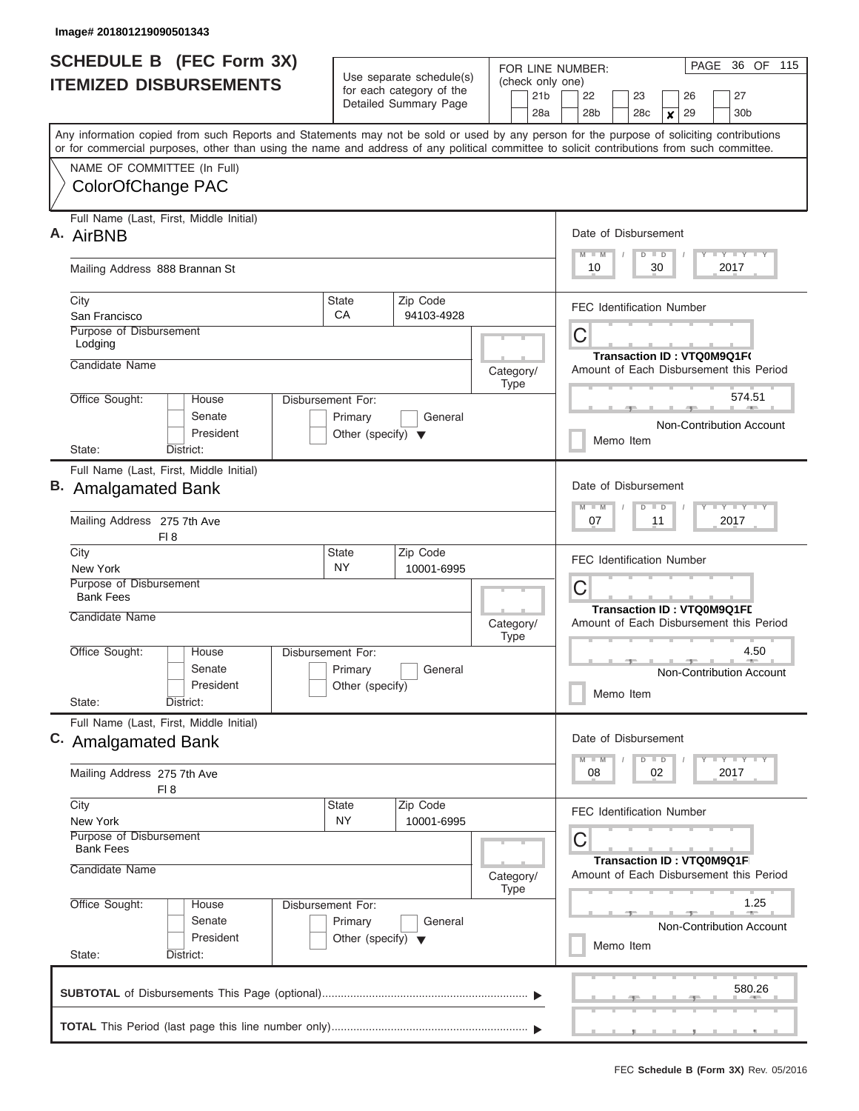| <b>SCHEDULE B</b> (FEC Form 3X)                                                                                                            |                                                      | FOR LINE NUMBER:                                     | 36 OF 115<br>PAGE                                                            |  |  |  |  |  |  |  |
|--------------------------------------------------------------------------------------------------------------------------------------------|------------------------------------------------------|------------------------------------------------------|------------------------------------------------------------------------------|--|--|--|--|--|--|--|
| <b>ITEMIZED DISBURSEMENTS</b>                                                                                                              | Use separate schedule(s)<br>for each category of the | (check only one)<br>21b                              | 22<br>23<br>26<br>27                                                         |  |  |  |  |  |  |  |
|                                                                                                                                            | Detailed Summary Page                                | 28a                                                  | 28 <sub>b</sub><br>29<br>30 <sub>b</sub><br>28 <sub>c</sub><br>×             |  |  |  |  |  |  |  |
| Any information copied from such Reports and Statements may not be sold or used by any person for the purpose of soliciting contributions  |                                                      |                                                      |                                                                              |  |  |  |  |  |  |  |
| or for commercial purposes, other than using the name and address of any political committee to solicit contributions from such committee. |                                                      |                                                      |                                                                              |  |  |  |  |  |  |  |
| NAME OF COMMITTEE (In Full)                                                                                                                |                                                      |                                                      |                                                                              |  |  |  |  |  |  |  |
| ColorOfChange PAC                                                                                                                          |                                                      |                                                      |                                                                              |  |  |  |  |  |  |  |
| Full Name (Last, First, Middle Initial)                                                                                                    |                                                      |                                                      |                                                                              |  |  |  |  |  |  |  |
| A. AirBNB                                                                                                                                  |                                                      |                                                      | Date of Disbursement                                                         |  |  |  |  |  |  |  |
| Mailing Address 888 Brannan St                                                                                                             |                                                      | Y LY LY LY<br>$M$ $M$<br>$D$ $D$<br>30<br>10<br>2017 |                                                                              |  |  |  |  |  |  |  |
| City                                                                                                                                       | Zip Code<br><b>State</b>                             |                                                      | <b>FEC Identification Number</b>                                             |  |  |  |  |  |  |  |
| San Francisco                                                                                                                              | CA<br>94103-4928                                     |                                                      |                                                                              |  |  |  |  |  |  |  |
| Purpose of Disbursement<br>Lodging                                                                                                         |                                                      |                                                      | С                                                                            |  |  |  |  |  |  |  |
| Candidate Name                                                                                                                             |                                                      |                                                      | Transaction ID: VTQ0M9Q1F(                                                   |  |  |  |  |  |  |  |
|                                                                                                                                            |                                                      | Category/<br>Type                                    | Amount of Each Disbursement this Period                                      |  |  |  |  |  |  |  |
| Office Sought:<br><b>House</b><br>Disbursement For:                                                                                        |                                                      |                                                      | 574.51                                                                       |  |  |  |  |  |  |  |
| Senate                                                                                                                                     | Primary<br>General                                   |                                                      | <b>Non-Contribution Account</b>                                              |  |  |  |  |  |  |  |
| President                                                                                                                                  | Other (specify) $\blacktriangledown$                 |                                                      | Memo Item                                                                    |  |  |  |  |  |  |  |
| District:<br>State:                                                                                                                        |                                                      |                                                      |                                                                              |  |  |  |  |  |  |  |
| Full Name (Last, First, Middle Initial)<br><b>B.</b> Amalgamated Bank                                                                      |                                                      |                                                      | Date of Disbursement                                                         |  |  |  |  |  |  |  |
|                                                                                                                                            |                                                      |                                                      | $Y - Y$<br>$M - M$<br>$D$ $D$                                                |  |  |  |  |  |  |  |
| Mailing Address 275 7th Ave<br>FI 8                                                                                                        |                                                      |                                                      | 07<br>11<br>2017                                                             |  |  |  |  |  |  |  |
| City                                                                                                                                       | Zip Code<br><b>State</b>                             |                                                      | <b>FEC Identification Number</b>                                             |  |  |  |  |  |  |  |
| New York<br>Purpose of Disbursement                                                                                                        | <b>NY</b><br>10001-6995                              |                                                      |                                                                              |  |  |  |  |  |  |  |
| <b>Bank Fees</b>                                                                                                                           |                                                      |                                                      | С                                                                            |  |  |  |  |  |  |  |
| Candidate Name                                                                                                                             |                                                      | Category/<br><b>Type</b>                             | <b>Transaction ID: VTQ0M9Q1FL</b><br>Amount of Each Disbursement this Period |  |  |  |  |  |  |  |
| Office Sought:<br>House<br>Disbursement For:                                                                                               |                                                      |                                                      | 4.50                                                                         |  |  |  |  |  |  |  |
| Senate                                                                                                                                     | Primary<br>General                                   |                                                      | Non-Contribution Account                                                     |  |  |  |  |  |  |  |
| President                                                                                                                                  | Other (specify)                                      |                                                      | Memo Item                                                                    |  |  |  |  |  |  |  |
| State:<br>District:                                                                                                                        |                                                      |                                                      |                                                                              |  |  |  |  |  |  |  |
| Full Name (Last, First, Middle Initial)<br>C. Amalgamated Bank                                                                             |                                                      |                                                      | Date of Disbursement                                                         |  |  |  |  |  |  |  |
|                                                                                                                                            |                                                      |                                                      | $T$ $Y$ $T$ $Y$ $T$ $Y$<br>$M - M$<br>$D$ $D$                                |  |  |  |  |  |  |  |
| Mailing Address 275 7th Ave<br>FI 8                                                                                                        |                                                      |                                                      | 08<br>02<br>2017                                                             |  |  |  |  |  |  |  |
| City                                                                                                                                       | <b>State</b><br>Zip Code                             |                                                      | FEC Identification Number                                                    |  |  |  |  |  |  |  |
| New York<br>Purpose of Disbursement<br><b>Bank Fees</b>                                                                                    | NY.<br>10001-6995                                    |                                                      | С                                                                            |  |  |  |  |  |  |  |
| Candidate Name                                                                                                                             |                                                      |                                                      | Transaction ID: VTQ0M9Q1F                                                    |  |  |  |  |  |  |  |
|                                                                                                                                            |                                                      | Category/<br>Type                                    | Amount of Each Disbursement this Period                                      |  |  |  |  |  |  |  |
| Office Sought:<br>House<br>Disbursement For:                                                                                               |                                                      |                                                      | 1.25                                                                         |  |  |  |  |  |  |  |
| Senate<br>Primary                                                                                                                          |                                                      | <b>Non-Contribution Account</b>                      |                                                                              |  |  |  |  |  |  |  |
| President                                                                                                                                  | Other (specify) $\blacktriangledown$                 |                                                      | Memo Item                                                                    |  |  |  |  |  |  |  |
| State:<br>District:                                                                                                                        |                                                      |                                                      |                                                                              |  |  |  |  |  |  |  |
|                                                                                                                                            |                                                      |                                                      | 580.26                                                                       |  |  |  |  |  |  |  |
|                                                                                                                                            |                                                      |                                                      |                                                                              |  |  |  |  |  |  |  |
|                                                                                                                                            |                                                      |                                                      | .                                                                            |  |  |  |  |  |  |  |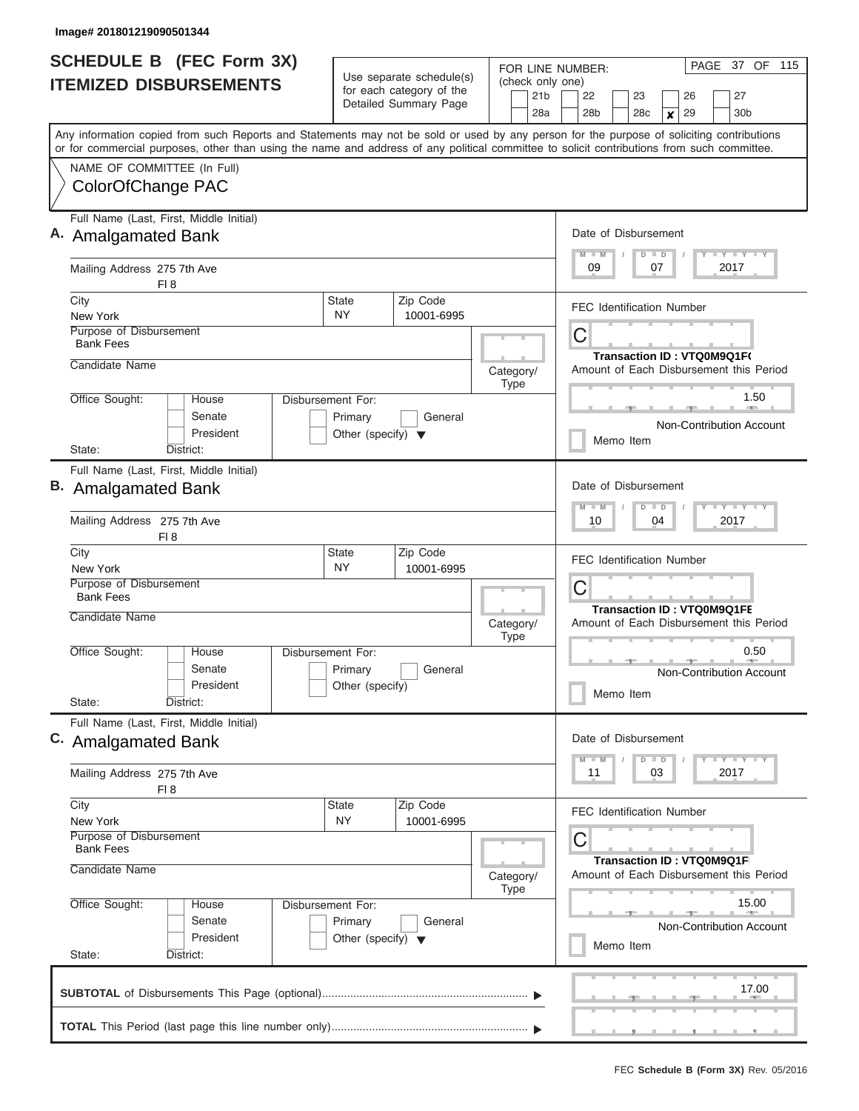| <b>SCHEDULE B</b> (FEC Form 3X)                                                                                                                                                                                                                                                         | Use separate schedule(s)                                   | 37 OF 115<br>PAGE<br>FOR LINE NUMBER:<br>(check only one) |                                                                                          |  |  |  |  |  |  |  |  |  |  |  |
|-----------------------------------------------------------------------------------------------------------------------------------------------------------------------------------------------------------------------------------------------------------------------------------------|------------------------------------------------------------|-----------------------------------------------------------|------------------------------------------------------------------------------------------|--|--|--|--|--|--|--|--|--|--|--|
| <b>ITEMIZED DISBURSEMENTS</b>                                                                                                                                                                                                                                                           | for each category of the<br>Detailed Summary Page          | 21b<br>28a                                                | 22<br>23<br>26<br>27<br>28 <sub>b</sub><br>29<br>30 <sub>b</sub><br>28 <sub>c</sub><br>× |  |  |  |  |  |  |  |  |  |  |  |
| Any information copied from such Reports and Statements may not be sold or used by any person for the purpose of soliciting contributions<br>or for commercial purposes, other than using the name and address of any political committee to solicit contributions from such committee. |                                                            |                                                           |                                                                                          |  |  |  |  |  |  |  |  |  |  |  |
| NAME OF COMMITTEE (In Full)<br>ColorOfChange PAC                                                                                                                                                                                                                                        |                                                            |                                                           |                                                                                          |  |  |  |  |  |  |  |  |  |  |  |
| Full Name (Last, First, Middle Initial)<br>A. Amalgamated Bank                                                                                                                                                                                                                          |                                                            |                                                           | Date of Disbursement<br>Y LY LY LY<br>$M$ $M$<br>$D$ $D$                                 |  |  |  |  |  |  |  |  |  |  |  |
| Mailing Address 275 7th Ave<br>FI 8                                                                                                                                                                                                                                                     |                                                            |                                                           | 09<br>07<br>2017                                                                         |  |  |  |  |  |  |  |  |  |  |  |
| City<br>New York<br>Purpose of Disbursement<br><b>Bank Fees</b>                                                                                                                                                                                                                         | Zip Code<br><b>State</b><br>NY.<br>10001-6995              |                                                           | <b>FEC Identification Number</b><br>С                                                    |  |  |  |  |  |  |  |  |  |  |  |
| Candidate Name                                                                                                                                                                                                                                                                          |                                                            | Category/<br>Type                                         | Transaction ID: VTQ0M9Q1F(<br>Amount of Each Disbursement this Period                    |  |  |  |  |  |  |  |  |  |  |  |
| Office Sought:<br><b>House</b><br>Disbursement For:<br>Senate<br>President<br>State:<br>District:                                                                                                                                                                                       |                                                            | 1.50<br><b>Non-Contribution Account</b><br>Memo Item      |                                                                                          |  |  |  |  |  |  |  |  |  |  |  |
| Full Name (Last, First, Middle Initial)<br><b>B.</b> Amalgamated Bank                                                                                                                                                                                                                   |                                                            |                                                           | Date of Disbursement<br>$T$ $T$ $T$ $T$ $T$ $T$ $T$ $T$ $T$<br>$M - M$<br>$D$ $D$        |  |  |  |  |  |  |  |  |  |  |  |
| Mailing Address 275 7th Ave<br>FI 8                                                                                                                                                                                                                                                     |                                                            |                                                           | 10<br>04<br>2017                                                                         |  |  |  |  |  |  |  |  |  |  |  |
| City<br>New York<br>Purpose of Disbursement<br><b>Bank Fees</b>                                                                                                                                                                                                                         | Zip Code<br><b>State</b><br><b>NY</b><br>10001-6995        |                                                           | <b>FEC Identification Number</b><br>С                                                    |  |  |  |  |  |  |  |  |  |  |  |
| Candidate Name                                                                                                                                                                                                                                                                          |                                                            | Category/<br><b>Type</b>                                  | <b>Transaction ID: VTQ0M9Q1FE</b><br>Amount of Each Disbursement this Period             |  |  |  |  |  |  |  |  |  |  |  |
| Office Sought:<br>House<br>Senate<br>President<br>State:<br>District:                                                                                                                                                                                                                   | Disbursement For:<br>Primary<br>General<br>Other (specify) |                                                           | 0.50<br><b>Non-Contribution Account</b><br>Memo Item                                     |  |  |  |  |  |  |  |  |  |  |  |
| Full Name (Last, First, Middle Initial)<br>C. Amalgamated Bank                                                                                                                                                                                                                          |                                                            |                                                           | Date of Disbursement<br>$T$ $Y$ $T$ $Y$ $T$ $Y$<br>$M$ $M$<br>$D$ $D$                    |  |  |  |  |  |  |  |  |  |  |  |
| Mailing Address 275 7th Ave<br>FI 8                                                                                                                                                                                                                                                     |                                                            |                                                           | 11<br>03<br>2017                                                                         |  |  |  |  |  |  |  |  |  |  |  |
| City<br>New York<br>Purpose of Disbursement<br><b>Bank Fees</b>                                                                                                                                                                                                                         | <b>State</b><br>Zip Code<br>NY<br>10001-6995               |                                                           | FEC Identification Number<br>С<br>Transaction ID: VTQ0M9Q1F                              |  |  |  |  |  |  |  |  |  |  |  |
| Candidate Name                                                                                                                                                                                                                                                                          | Category/<br>Type                                          | Amount of Each Disbursement this Period                   |                                                                                          |  |  |  |  |  |  |  |  |  |  |  |
| Office Sought:<br>House<br>Disbursement For:<br>Senate<br>President<br>State:<br>District:                                                                                                                                                                                              |                                                            | 15.00<br><b>Non-Contribution Account</b><br>Memo Item     |                                                                                          |  |  |  |  |  |  |  |  |  |  |  |
|                                                                                                                                                                                                                                                                                         |                                                            |                                                           | 17.00                                                                                    |  |  |  |  |  |  |  |  |  |  |  |
|                                                                                                                                                                                                                                                                                         |                                                            |                                                           | _________                                                                                |  |  |  |  |  |  |  |  |  |  |  |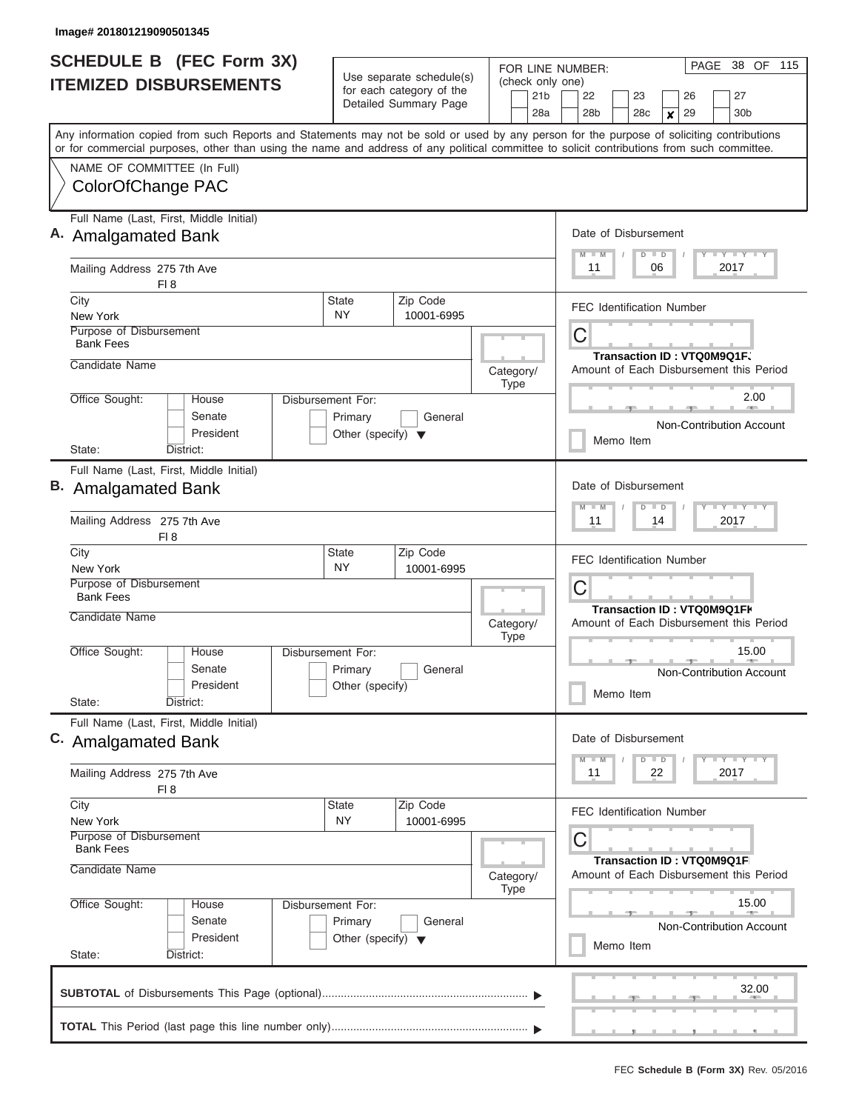| <b>SCHEDULE B</b> (FEC Form 3X)                                                                                                            | Use separate schedule(s)                                   | 38 OF 115<br>PAGE<br>FOR LINE NUMBER:                                |                                                                                   |  |  |  |  |  |  |  |  |  |  |
|--------------------------------------------------------------------------------------------------------------------------------------------|------------------------------------------------------------|----------------------------------------------------------------------|-----------------------------------------------------------------------------------|--|--|--|--|--|--|--|--|--|--|
| <b>ITEMIZED DISBURSEMENTS</b>                                                                                                              | for each category of the                                   | (check only one)<br>21b                                              | 22<br>23<br>26<br>27                                                              |  |  |  |  |  |  |  |  |  |  |
|                                                                                                                                            | Detailed Summary Page                                      | 28a                                                                  | 28 <sub>b</sub><br>29<br>30 <sub>b</sub><br>28 <sub>c</sub><br>×                  |  |  |  |  |  |  |  |  |  |  |
| Any information copied from such Reports and Statements may not be sold or used by any person for the purpose of soliciting contributions  |                                                            |                                                                      |                                                                                   |  |  |  |  |  |  |  |  |  |  |
| or for commercial purposes, other than using the name and address of any political committee to solicit contributions from such committee. |                                                            |                                                                      |                                                                                   |  |  |  |  |  |  |  |  |  |  |
| NAME OF COMMITTEE (In Full)                                                                                                                |                                                            |                                                                      |                                                                                   |  |  |  |  |  |  |  |  |  |  |
| ColorOfChange PAC                                                                                                                          |                                                            |                                                                      |                                                                                   |  |  |  |  |  |  |  |  |  |  |
| Full Name (Last, First, Middle Initial)                                                                                                    |                                                            |                                                                      |                                                                                   |  |  |  |  |  |  |  |  |  |  |
| A. Amalgamated Bank                                                                                                                        |                                                            | Date of Disbursement<br>Y LY LY LY<br>$M$ $M$<br>$D$ $D$             |                                                                                   |  |  |  |  |  |  |  |  |  |  |
| Mailing Address 275 7th Ave<br>FI 8                                                                                                        |                                                            |                                                                      | 11<br>06<br>2017                                                                  |  |  |  |  |  |  |  |  |  |  |
| City                                                                                                                                       | Zip Code<br><b>State</b>                                   |                                                                      | <b>FEC Identification Number</b>                                                  |  |  |  |  |  |  |  |  |  |  |
| New York<br>Purpose of Disbursement                                                                                                        | NY.<br>10001-6995                                          |                                                                      |                                                                                   |  |  |  |  |  |  |  |  |  |  |
| <b>Bank Fees</b>                                                                                                                           |                                                            |                                                                      | С                                                                                 |  |  |  |  |  |  |  |  |  |  |
| Candidate Name                                                                                                                             |                                                            | Category/                                                            | Transaction ID: VTQ0M9Q1F.<br>Amount of Each Disbursement this Period             |  |  |  |  |  |  |  |  |  |  |
|                                                                                                                                            |                                                            | Type                                                                 |                                                                                   |  |  |  |  |  |  |  |  |  |  |
| Office Sought:<br><b>House</b><br>Disbursement For:                                                                                        |                                                            |                                                                      | 2.00                                                                              |  |  |  |  |  |  |  |  |  |  |
| Senate<br>President                                                                                                                        | Primary<br>General<br>Other (specify) $\blacktriangledown$ |                                                                      | <b>Non-Contribution Account</b>                                                   |  |  |  |  |  |  |  |  |  |  |
| State:<br>District:                                                                                                                        |                                                            |                                                                      |                                                                                   |  |  |  |  |  |  |  |  |  |  |
| Full Name (Last, First, Middle Initial)                                                                                                    |                                                            |                                                                      |                                                                                   |  |  |  |  |  |  |  |  |  |  |
| <b>B.</b> Amalgamated Bank                                                                                                                 |                                                            |                                                                      | Date of Disbursement<br>$T$ $T$ $T$ $T$ $T$ $T$ $T$ $T$ $T$<br>$M - M$<br>$D$ $D$ |  |  |  |  |  |  |  |  |  |  |
| Mailing Address 275 7th Ave<br>FI 8                                                                                                        |                                                            |                                                                      | 11<br>14<br>2017<br><b>FEC Identification Number</b>                              |  |  |  |  |  |  |  |  |  |  |
| City                                                                                                                                       | Zip Code<br><b>State</b><br><b>NY</b>                      |                                                                      |                                                                                   |  |  |  |  |  |  |  |  |  |  |
| New York<br>Purpose of Disbursement                                                                                                        | 10001-6995                                                 |                                                                      | С                                                                                 |  |  |  |  |  |  |  |  |  |  |
| <b>Bank Fees</b>                                                                                                                           |                                                            |                                                                      |                                                                                   |  |  |  |  |  |  |  |  |  |  |
| Candidate Name                                                                                                                             |                                                            | Category/<br><b>Type</b>                                             | Transaction ID: VTQ0M9Q1FK<br>Amount of Each Disbursement this Period             |  |  |  |  |  |  |  |  |  |  |
| Office Sought:<br>House<br>Disbursement For:                                                                                               |                                                            |                                                                      | 15.00                                                                             |  |  |  |  |  |  |  |  |  |  |
| Senate                                                                                                                                     | Primary<br>General                                         |                                                                      | <b>Non-Contribution Account</b>                                                   |  |  |  |  |  |  |  |  |  |  |
| President<br>State:<br>District:                                                                                                           | Other (specify)                                            |                                                                      | Memo Item                                                                         |  |  |  |  |  |  |  |  |  |  |
| Full Name (Last, First, Middle Initial)                                                                                                    |                                                            |                                                                      |                                                                                   |  |  |  |  |  |  |  |  |  |  |
| C. Amalgamated Bank                                                                                                                        |                                                            |                                                                      | Date of Disbursement<br>$T$ $Y$ $T$ $Y$ $T$ $Y$<br>$M$ $M$<br>$D$ $D$             |  |  |  |  |  |  |  |  |  |  |
| Mailing Address 275 7th Ave<br>FI 8                                                                                                        |                                                            |                                                                      | 11<br>22<br>2017                                                                  |  |  |  |  |  |  |  |  |  |  |
| City                                                                                                                                       | <b>State</b><br>Zip Code                                   |                                                                      | FEC Identification Number                                                         |  |  |  |  |  |  |  |  |  |  |
| New York<br>Purpose of Disbursement<br><b>Bank Fees</b>                                                                                    | NY<br>10001-6995                                           |                                                                      | С                                                                                 |  |  |  |  |  |  |  |  |  |  |
| Candidate Name                                                                                                                             |                                                            | Transaction ID: VTQ0M9Q1F<br>Amount of Each Disbursement this Period |                                                                                   |  |  |  |  |  |  |  |  |  |  |
|                                                                                                                                            |                                                            | Category/<br>Type                                                    |                                                                                   |  |  |  |  |  |  |  |  |  |  |
| Office Sought:<br>House<br>Disbursement For:                                                                                               |                                                            |                                                                      | 15.00                                                                             |  |  |  |  |  |  |  |  |  |  |
| Senate                                                                                                                                     | Primary<br>General<br>Other (specify) $\blacktriangledown$ |                                                                      | <b>Non-Contribution Account</b>                                                   |  |  |  |  |  |  |  |  |  |  |
| President<br>State:<br>District:                                                                                                           |                                                            | Memo Item                                                            |                                                                                   |  |  |  |  |  |  |  |  |  |  |
|                                                                                                                                            |                                                            |                                                                      |                                                                                   |  |  |  |  |  |  |  |  |  |  |
|                                                                                                                                            |                                                            |                                                                      | 32.00                                                                             |  |  |  |  |  |  |  |  |  |  |
|                                                                                                                                            |                                                            |                                                                      |                                                                                   |  |  |  |  |  |  |  |  |  |  |
|                                                                                                                                            |                                                            |                                                                      |                                                                                   |  |  |  |  |  |  |  |  |  |  |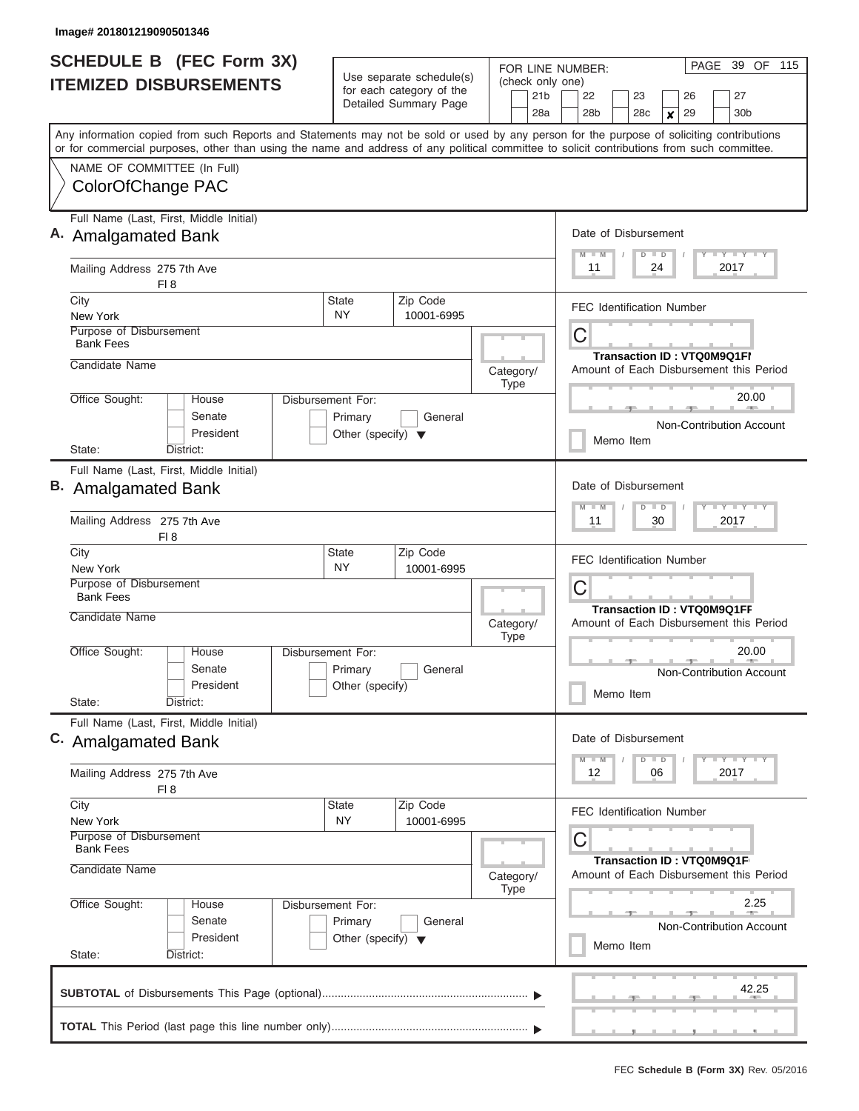|                  | <b>SCHEDULE B</b> (FEC Form 3X)                                                                                                            | Use separate schedule(s)                                   | 39 OF 115<br>PAGE<br>FOR LINE NUMBER:                                |                                                                       |  |  |  |  |  |  |  |  |  |  |  |
|------------------|--------------------------------------------------------------------------------------------------------------------------------------------|------------------------------------------------------------|----------------------------------------------------------------------|-----------------------------------------------------------------------|--|--|--|--|--|--|--|--|--|--|--|
|                  | <b>ITEMIZED DISBURSEMENTS</b>                                                                                                              | for each category of the                                   | (check only one)<br>21b                                              | 22<br>23<br>26<br>27                                                  |  |  |  |  |  |  |  |  |  |  |  |
|                  |                                                                                                                                            | Detailed Summary Page                                      | 28a                                                                  | 28 <sub>b</sub><br>29<br>30 <sub>b</sub><br>28 <sub>c</sub><br>×      |  |  |  |  |  |  |  |  |  |  |  |
|                  | Any information copied from such Reports and Statements may not be sold or used by any person for the purpose of soliciting contributions  |                                                            |                                                                      |                                                                       |  |  |  |  |  |  |  |  |  |  |  |
|                  | or for commercial purposes, other than using the name and address of any political committee to solicit contributions from such committee. |                                                            |                                                                      |                                                                       |  |  |  |  |  |  |  |  |  |  |  |
|                  | NAME OF COMMITTEE (In Full)<br>ColorOfChange PAC                                                                                           |                                                            |                                                                      |                                                                       |  |  |  |  |  |  |  |  |  |  |  |
|                  |                                                                                                                                            |                                                            |                                                                      |                                                                       |  |  |  |  |  |  |  |  |  |  |  |
|                  | Full Name (Last, First, Middle Initial)                                                                                                    |                                                            |                                                                      | Date of Disbursement                                                  |  |  |  |  |  |  |  |  |  |  |  |
|                  | A. Amalgamated Bank                                                                                                                        |                                                            |                                                                      | Y LY LY LY<br>$M$ $M$<br>$D$ $D$                                      |  |  |  |  |  |  |  |  |  |  |  |
|                  | Mailing Address 275 7th Ave<br>FI 8                                                                                                        |                                                            |                                                                      | 11<br>24<br>2017                                                      |  |  |  |  |  |  |  |  |  |  |  |
| City<br>New York |                                                                                                                                            | Zip Code<br><b>State</b><br>NY.<br>10001-6995              |                                                                      | <b>FEC Identification Number</b>                                      |  |  |  |  |  |  |  |  |  |  |  |
|                  | Purpose of Disbursement                                                                                                                    |                                                            |                                                                      | С                                                                     |  |  |  |  |  |  |  |  |  |  |  |
|                  | <b>Bank Fees</b>                                                                                                                           |                                                            |                                                                      | <b>Transaction ID: VTQ0M9Q1FI</b>                                     |  |  |  |  |  |  |  |  |  |  |  |
|                  | Candidate Name                                                                                                                             |                                                            | Category/                                                            | Amount of Each Disbursement this Period                               |  |  |  |  |  |  |  |  |  |  |  |
|                  | Office Sought:<br><b>House</b>                                                                                                             | Disbursement For:                                          | Type                                                                 | 20.00                                                                 |  |  |  |  |  |  |  |  |  |  |  |
|                  | Senate                                                                                                                                     | Primary<br>General                                         |                                                                      |                                                                       |  |  |  |  |  |  |  |  |  |  |  |
|                  | President                                                                                                                                  | Other (specify) $\blacktriangledown$                       |                                                                      | <b>Non-Contribution Account</b><br>Memo Item                          |  |  |  |  |  |  |  |  |  |  |  |
| State:           | District:                                                                                                                                  |                                                            |                                                                      |                                                                       |  |  |  |  |  |  |  |  |  |  |  |
|                  | Full Name (Last, First, Middle Initial)                                                                                                    |                                                            | Date of Disbursement                                                 |                                                                       |  |  |  |  |  |  |  |  |  |  |  |
|                  | <b>B.</b> Amalgamated Bank                                                                                                                 |                                                            |                                                                      | $T$ $T$ $T$ $T$ $T$ $T$ $T$ $T$ $T$<br>$M - M$<br>$D$ $D$             |  |  |  |  |  |  |  |  |  |  |  |
|                  | Mailing Address 275 7th Ave<br>FI 8                                                                                                        |                                                            |                                                                      | 11<br>30<br>2017                                                      |  |  |  |  |  |  |  |  |  |  |  |
| City             |                                                                                                                                            | Zip Code<br><b>State</b>                                   |                                                                      | <b>FEC Identification Number</b>                                      |  |  |  |  |  |  |  |  |  |  |  |
| New York         | Purpose of Disbursement                                                                                                                    | <b>NY</b><br>10001-6995                                    |                                                                      |                                                                       |  |  |  |  |  |  |  |  |  |  |  |
|                  | <b>Bank Fees</b>                                                                                                                           |                                                            |                                                                      | С<br><b>Transaction ID: VTQ0M9Q1FF</b>                                |  |  |  |  |  |  |  |  |  |  |  |
|                  | Candidate Name                                                                                                                             |                                                            | Category/<br><b>Type</b>                                             | Amount of Each Disbursement this Period                               |  |  |  |  |  |  |  |  |  |  |  |
|                  | Office Sought:<br>House                                                                                                                    | Disbursement For:                                          |                                                                      | 20.00                                                                 |  |  |  |  |  |  |  |  |  |  |  |
|                  | Senate<br>President                                                                                                                        | Primary<br>General<br>Other (specify)                      |                                                                      | <b>Non-Contribution Account</b>                                       |  |  |  |  |  |  |  |  |  |  |  |
| State:           | District:                                                                                                                                  |                                                            |                                                                      | Memo Item                                                             |  |  |  |  |  |  |  |  |  |  |  |
|                  | Full Name (Last, First, Middle Initial)                                                                                                    |                                                            |                                                                      |                                                                       |  |  |  |  |  |  |  |  |  |  |  |
|                  | C. Amalgamated Bank                                                                                                                        |                                                            |                                                                      | Date of Disbursement<br>$T$ $Y$ $T$ $Y$ $T$ $Y$<br>$M - M$<br>$D$ $D$ |  |  |  |  |  |  |  |  |  |  |  |
|                  | Mailing Address 275 7th Ave<br>FI 8                                                                                                        |                                                            |                                                                      | 12<br>06<br>2017                                                      |  |  |  |  |  |  |  |  |  |  |  |
| City             |                                                                                                                                            | <b>State</b><br>Zip Code                                   |                                                                      | FEC Identification Number                                             |  |  |  |  |  |  |  |  |  |  |  |
| New York         | Purpose of Disbursement<br><b>Bank Fees</b>                                                                                                | NY<br>10001-6995                                           |                                                                      | С                                                                     |  |  |  |  |  |  |  |  |  |  |  |
|                  | Candidate Name                                                                                                                             |                                                            | Transaction ID: VTQ0M9Q1F<br>Amount of Each Disbursement this Period |                                                                       |  |  |  |  |  |  |  |  |  |  |  |
|                  |                                                                                                                                            |                                                            | Category/<br>Type                                                    |                                                                       |  |  |  |  |  |  |  |  |  |  |  |
|                  | Office Sought:<br>House                                                                                                                    | Disbursement For:                                          |                                                                      | 2.25                                                                  |  |  |  |  |  |  |  |  |  |  |  |
|                  | Senate<br>President                                                                                                                        | Primary<br>General<br>Other (specify) $\blacktriangledown$ |                                                                      | <b>Non-Contribution Account</b>                                       |  |  |  |  |  |  |  |  |  |  |  |
| State:           | District:                                                                                                                                  |                                                            | Memo Item                                                            |                                                                       |  |  |  |  |  |  |  |  |  |  |  |
|                  |                                                                                                                                            |                                                            |                                                                      | 42.25                                                                 |  |  |  |  |  |  |  |  |  |  |  |
|                  |                                                                                                                                            |                                                            |                                                                      |                                                                       |  |  |  |  |  |  |  |  |  |  |  |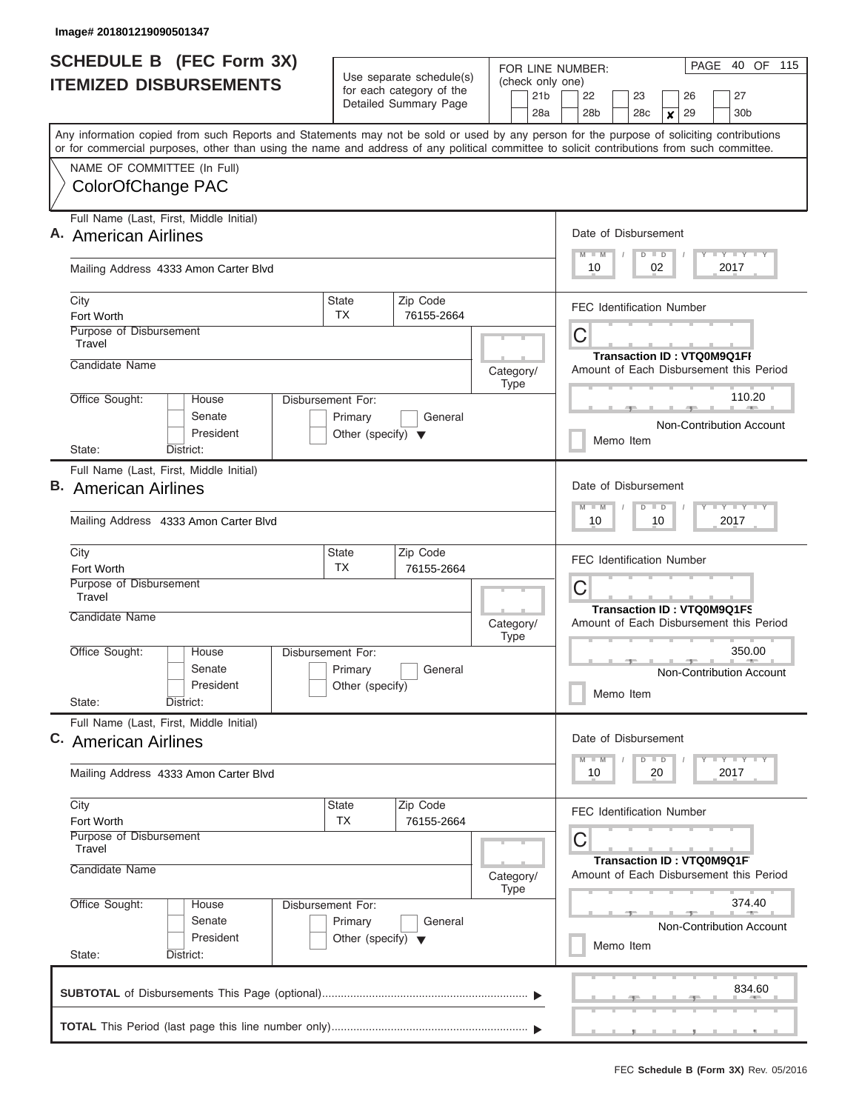| <b>SCHEDULE B (FEC Form 3X)</b><br><b>ITEMIZED DISBURSEMENTS</b>                                                                                                                                                                                                                                                                            | Use separate schedule(s)<br>for each category of the<br>Detailed Summary Page | FOR LINE NUMBER:<br>(check only one)<br>21 <sub>b</sub><br>28a                                                | 40 OF 115<br>PAGE<br>22<br>23<br>27<br>26<br>28b<br>28 <sub>c</sub><br>29<br>30 <sub>b</sub><br>×                     |  |  |  |  |  |  |  |  |  |  |
|---------------------------------------------------------------------------------------------------------------------------------------------------------------------------------------------------------------------------------------------------------------------------------------------------------------------------------------------|-------------------------------------------------------------------------------|---------------------------------------------------------------------------------------------------------------|-----------------------------------------------------------------------------------------------------------------------|--|--|--|--|--|--|--|--|--|--|
| Any information copied from such Reports and Statements may not be sold or used by any person for the purpose of soliciting contributions<br>or for commercial purposes, other than using the name and address of any political committee to solicit contributions from such committee.<br>NAME OF COMMITTEE (In Full)<br>ColorOfChange PAC |                                                                               |                                                                                                               |                                                                                                                       |  |  |  |  |  |  |  |  |  |  |
| Full Name (Last, First, Middle Initial)<br>A. American Airlines<br>Mailing Address 4333 Amon Carter Blvd                                                                                                                                                                                                                                    |                                                                               |                                                                                                               | Date of Disbursement<br>$T - Y = Y - I - Y$<br>$M$ $M$<br>$D$ $D$<br>10<br>02<br>2017                                 |  |  |  |  |  |  |  |  |  |  |
| City<br>Fort Worth<br>Purpose of Disbursement<br>Travel<br>Candidate Name                                                                                                                                                                                                                                                                   | Zip Code<br>State<br>TX<br>76155-2664                                         | Category/<br><b>Type</b>                                                                                      | <b>FEC Identification Number</b><br>C<br><b>Transaction ID: VTQ0M9Q1FI</b><br>Amount of Each Disbursement this Period |  |  |  |  |  |  |  |  |  |  |
| Office Sought:<br>Disbursement For:<br>House<br>Senate<br>President<br>State:<br>District:                                                                                                                                                                                                                                                  |                                                                               | 110.20<br>Non-Contribution Account<br>Memo Item                                                               |                                                                                                                       |  |  |  |  |  |  |  |  |  |  |
| Full Name (Last, First, Middle Initial)<br><b>B.</b> American Airlines<br>Mailing Address 4333 Amon Carter Blvd                                                                                                                                                                                                                             |                                                                               |                                                                                                               | Date of Disbursement<br>$T$ $Y$ $T$ $Y$ $T$<br>$M - M$<br>$\overline{D}$<br>$\Box$<br>2017<br>10<br>10                |  |  |  |  |  |  |  |  |  |  |
| City<br>Fort Worth<br>Purpose of Disbursement<br>Travel<br>Candidate Name                                                                                                                                                                                                                                                                   | Zip Code<br><b>State</b><br>TX<br>76155-2664                                  | Category/                                                                                                     | <b>FEC Identification Number</b><br>C<br><b>Transaction ID: VTQ0M9Q1FS</b><br>Amount of Each Disbursement this Period |  |  |  |  |  |  |  |  |  |  |
| Office Sought:<br>House<br>Senate<br>President<br>State:<br>District:                                                                                                                                                                                                                                                                       | <b>Disbursement For:</b><br>Primary<br>General<br>Other (specify)             | <b>Type</b>                                                                                                   | 350.00<br><b>Non-Contribution Account</b><br>Memo Item                                                                |  |  |  |  |  |  |  |  |  |  |
| Full Name (Last, First, Middle Initial)<br>C. American Airlines<br>Mailing Address 4333 Amon Carter Blvd                                                                                                                                                                                                                                    |                                                                               |                                                                                                               | Date of Disbursement<br>$T - Y$ $T - Y$<br>$M$ $M$<br>$D \parallel D$<br>10<br>20<br>2017                             |  |  |  |  |  |  |  |  |  |  |
| City<br>State<br>Fort Worth<br>Purpose of Disbursement<br>Travel<br>Candidate Name                                                                                                                                                                                                                                                          | Category/<br><b>Type</b>                                                      | <b>FEC Identification Number</b><br>C<br>Transaction ID: VTQ0M9Q1F<br>Amount of Each Disbursement this Period |                                                                                                                       |  |  |  |  |  |  |  |  |  |  |
| Office Sought:<br>Disbursement For:<br>House<br>Senate<br>President<br>State:<br>District:                                                                                                                                                                                                                                                  |                                                                               | 374.40<br><b>Non-Contribution Account</b><br>Memo Item                                                        |                                                                                                                       |  |  |  |  |  |  |  |  |  |  |
|                                                                                                                                                                                                                                                                                                                                             |                                                                               |                                                                                                               | 834.60<br><u>. , , , , , , , , , , ,</u>                                                                              |  |  |  |  |  |  |  |  |  |  |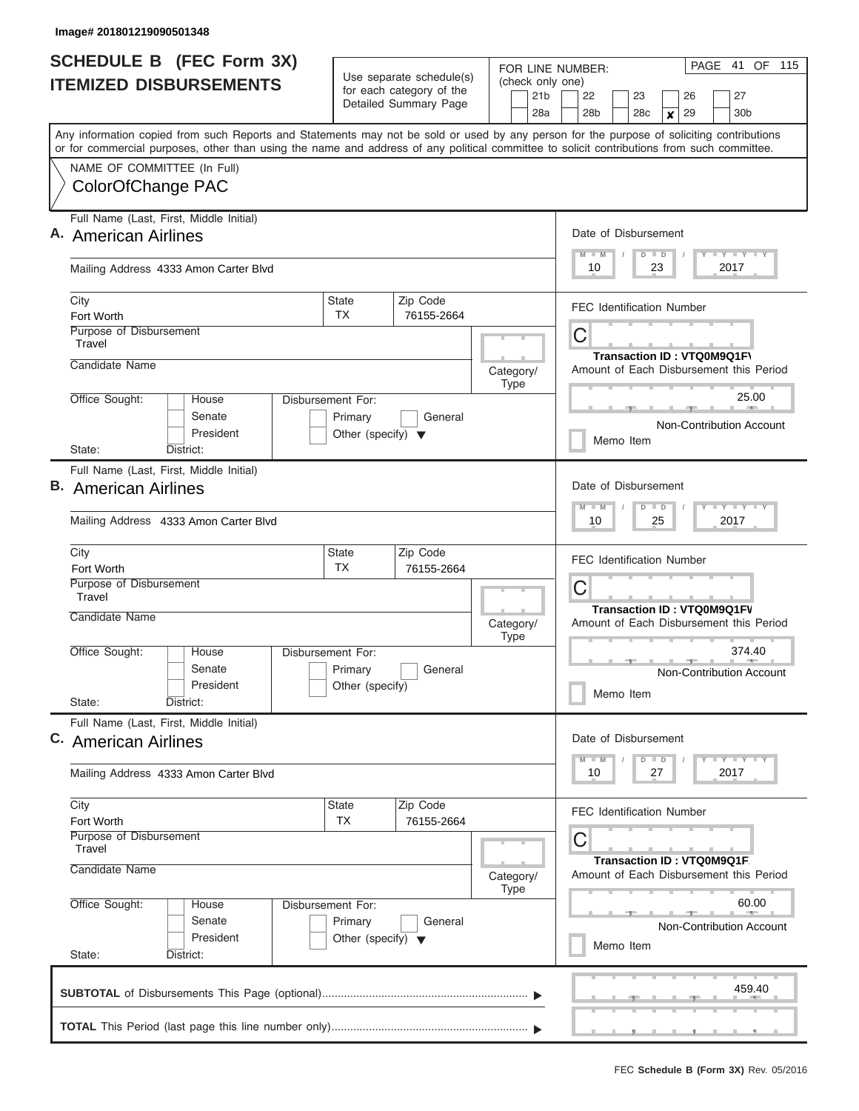| <b>SCHEDULE B</b> (FEC Form 3X)                                                                                                            |                                                      |                                                                      | PAGE 41 OF 115<br>FOR LINE NUMBER:                                            |  |  |  |  |  |  |  |  |  |  |  |
|--------------------------------------------------------------------------------------------------------------------------------------------|------------------------------------------------------|----------------------------------------------------------------------|-------------------------------------------------------------------------------|--|--|--|--|--|--|--|--|--|--|--|
| <b>ITEMIZED DISBURSEMENTS</b>                                                                                                              | Use separate schedule(s)<br>for each category of the | (check only one)<br>21 <sub>b</sub>                                  | 22<br>23<br>27<br>26                                                          |  |  |  |  |  |  |  |  |  |  |  |
|                                                                                                                                            | Detailed Summary Page                                | 28a                                                                  | 28 <sub>b</sub><br>28c<br>29<br>30 <sub>b</sub><br>$\boldsymbol{x}$           |  |  |  |  |  |  |  |  |  |  |  |
| Any information copied from such Reports and Statements may not be sold or used by any person for the purpose of soliciting contributions  |                                                      |                                                                      |                                                                               |  |  |  |  |  |  |  |  |  |  |  |
| or for commercial purposes, other than using the name and address of any political committee to solicit contributions from such committee. |                                                      |                                                                      |                                                                               |  |  |  |  |  |  |  |  |  |  |  |
| NAME OF COMMITTEE (In Full)<br>ColorOfChange PAC                                                                                           |                                                      |                                                                      |                                                                               |  |  |  |  |  |  |  |  |  |  |  |
|                                                                                                                                            |                                                      |                                                                      |                                                                               |  |  |  |  |  |  |  |  |  |  |  |
| Full Name (Last, First, Middle Initial)                                                                                                    |                                                      |                                                                      | Date of Disbursement                                                          |  |  |  |  |  |  |  |  |  |  |  |
| A. American Airlines                                                                                                                       |                                                      |                                                                      | Y LY LY LY<br>$M$ $M$<br>$D$ $D$                                              |  |  |  |  |  |  |  |  |  |  |  |
| Mailing Address 4333 Amon Carter Blvd                                                                                                      |                                                      |                                                                      | 10<br>23<br>2017                                                              |  |  |  |  |  |  |  |  |  |  |  |
| City                                                                                                                                       | Zip Code<br><b>State</b>                             |                                                                      | <b>FEC Identification Number</b>                                              |  |  |  |  |  |  |  |  |  |  |  |
| Fort Worth<br>Purpose of Disbursement                                                                                                      | TX.<br>76155-2664                                    |                                                                      |                                                                               |  |  |  |  |  |  |  |  |  |  |  |
| Travel                                                                                                                                     |                                                      | С                                                                    |                                                                               |  |  |  |  |  |  |  |  |  |  |  |
| Candidate Name                                                                                                                             |                                                      | Category/                                                            | Transaction ID: VTQ0M9Q1F\<br>Amount of Each Disbursement this Period         |  |  |  |  |  |  |  |  |  |  |  |
|                                                                                                                                            |                                                      | Type                                                                 |                                                                               |  |  |  |  |  |  |  |  |  |  |  |
| Office Sought:<br>House<br>Senate                                                                                                          | <b>Disbursement For:</b><br>Primary<br>General       |                                                                      | 25.00                                                                         |  |  |  |  |  |  |  |  |  |  |  |
| President                                                                                                                                  | Other (specify) $\blacktriangledown$                 |                                                                      | Non-Contribution Account<br>Memo Item                                         |  |  |  |  |  |  |  |  |  |  |  |
| District:<br>State:                                                                                                                        |                                                      |                                                                      |                                                                               |  |  |  |  |  |  |  |  |  |  |  |
| Full Name (Last, First, Middle Initial)                                                                                                    |                                                      |                                                                      |                                                                               |  |  |  |  |  |  |  |  |  |  |  |
| <b>B.</b> American Airlines                                                                                                                |                                                      | Date of Disbursement                                                 |                                                                               |  |  |  |  |  |  |  |  |  |  |  |
| Mailing Address 4333 Amon Carter Blvd                                                                                                      |                                                      |                                                                      | $T$ $T$ $T$ $T$ $T$ $T$ $T$ $T$ $T$<br>$M - M$<br>$D$ $D$<br>10<br>25<br>2017 |  |  |  |  |  |  |  |  |  |  |  |
| City<br>Fort Worth                                                                                                                         | Zip Code<br><b>State</b><br><b>TX</b><br>76155-2664  |                                                                      | <b>FEC Identification Number</b>                                              |  |  |  |  |  |  |  |  |  |  |  |
| Purpose of Disbursement<br>Travel                                                                                                          |                                                      |                                                                      | С                                                                             |  |  |  |  |  |  |  |  |  |  |  |
| Candidate Name                                                                                                                             |                                                      |                                                                      | <b>Transaction ID: VTQ0M9Q1FV</b>                                             |  |  |  |  |  |  |  |  |  |  |  |
|                                                                                                                                            |                                                      | Category/<br><b>Type</b>                                             | Amount of Each Disbursement this Period                                       |  |  |  |  |  |  |  |  |  |  |  |
| Office Sought:<br>House                                                                                                                    | Disbursement For:                                    |                                                                      | 374.40                                                                        |  |  |  |  |  |  |  |  |  |  |  |
| Senate                                                                                                                                     | Primary<br>General                                   |                                                                      | Non-Contribution Account                                                      |  |  |  |  |  |  |  |  |  |  |  |
| President<br>State:<br>District:                                                                                                           | Other (specify)                                      |                                                                      | Memo Item                                                                     |  |  |  |  |  |  |  |  |  |  |  |
| Full Name (Last, First, Middle Initial)                                                                                                    |                                                      |                                                                      |                                                                               |  |  |  |  |  |  |  |  |  |  |  |
| C. American Airlines                                                                                                                       |                                                      |                                                                      | Date of Disbursement                                                          |  |  |  |  |  |  |  |  |  |  |  |
|                                                                                                                                            |                                                      |                                                                      | $T - Y$ $T - Y$<br>$M - M$<br>$D$ $D$                                         |  |  |  |  |  |  |  |  |  |  |  |
| Mailing Address 4333 Amon Carter Blvd                                                                                                      |                                                      |                                                                      | 10<br>27<br>2017                                                              |  |  |  |  |  |  |  |  |  |  |  |
| City                                                                                                                                       | <b>State</b><br>Zip Code                             |                                                                      | <b>FEC Identification Number</b>                                              |  |  |  |  |  |  |  |  |  |  |  |
| Fort Worth<br><b>Purpose of Disbursement</b>                                                                                               | <b>TX</b><br>76155-2664                              |                                                                      |                                                                               |  |  |  |  |  |  |  |  |  |  |  |
| Travel                                                                                                                                     |                                                      |                                                                      | С                                                                             |  |  |  |  |  |  |  |  |  |  |  |
| Candidate Name                                                                                                                             | Category/                                            | Transaction ID: VTQ0M9Q1F<br>Amount of Each Disbursement this Period |                                                                               |  |  |  |  |  |  |  |  |  |  |  |
|                                                                                                                                            | Type                                                 |                                                                      |                                                                               |  |  |  |  |  |  |  |  |  |  |  |
| Office Sought:<br>House<br>Senate                                                                                                          | Disbursement For:<br>Primary<br>General              |                                                                      | 60.00                                                                         |  |  |  |  |  |  |  |  |  |  |  |
| President                                                                                                                                  | Other (specify) $\blacktriangledown$                 |                                                                      | <b>Non-Contribution Account</b><br>Memo Item                                  |  |  |  |  |  |  |  |  |  |  |  |
| State:<br>District:                                                                                                                        |                                                      |                                                                      |                                                                               |  |  |  |  |  |  |  |  |  |  |  |
|                                                                                                                                            |                                                      |                                                                      | 459.40                                                                        |  |  |  |  |  |  |  |  |  |  |  |
|                                                                                                                                            |                                                      |                                                                      |                                                                               |  |  |  |  |  |  |  |  |  |  |  |
|                                                                                                                                            |                                                      |                                                                      |                                                                               |  |  |  |  |  |  |  |  |  |  |  |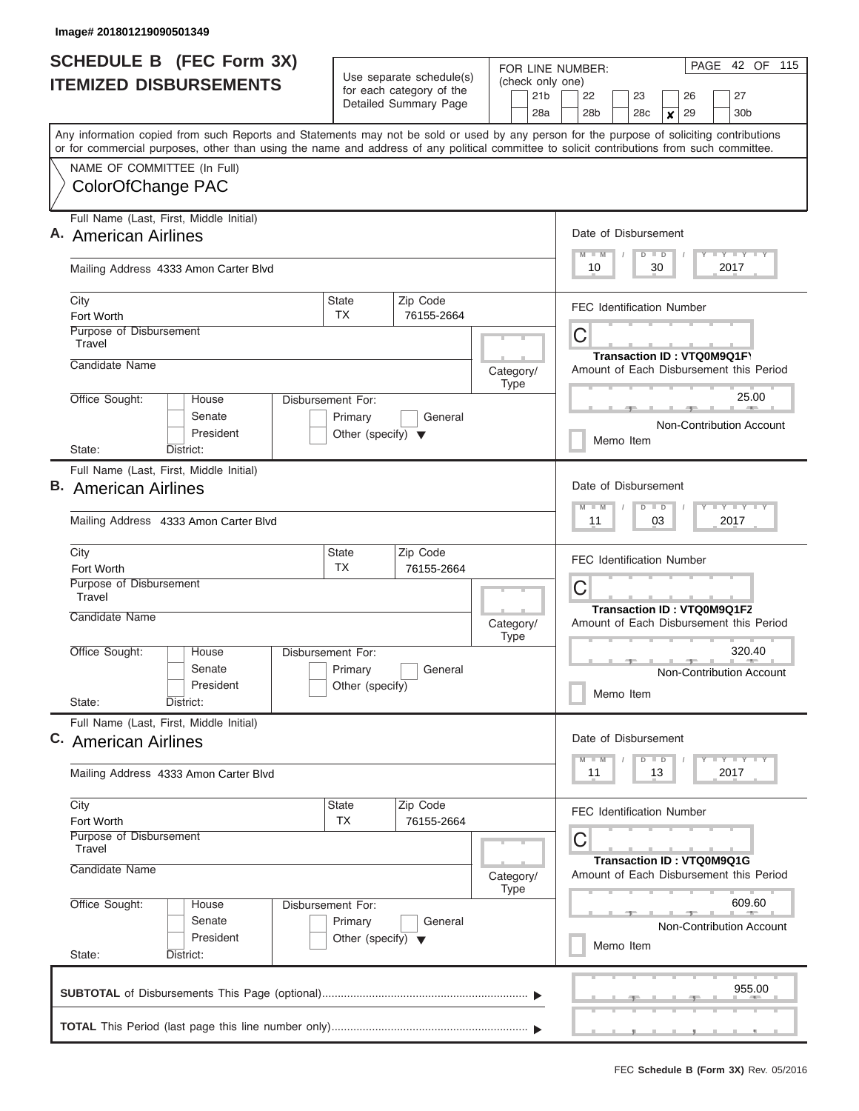| <b>SCHEDULE B</b> (FEC Form 3X)                                                                                                                                           |                                                 |                                                      |                          |                                     | FOR LINE NUMBER:                                                                  |                      |                 | PAGE 42 OF 115   |    |                                  |                                         |  |  |  |  |  |
|---------------------------------------------------------------------------------------------------------------------------------------------------------------------------|-------------------------------------------------|------------------------------------------------------|--------------------------|-------------------------------------|-----------------------------------------------------------------------------------|----------------------|-----------------|------------------|----|----------------------------------|-----------------------------------------|--|--|--|--|--|
| <b>ITEMIZED DISBURSEMENTS</b>                                                                                                                                             |                                                 | Use separate schedule(s)<br>for each category of the |                          | (check only one)<br>21 <sub>b</sub> | 22                                                                                |                      | 23              |                  | 26 | 27                               |                                         |  |  |  |  |  |
|                                                                                                                                                                           |                                                 | Detailed Summary Page                                |                          | 28a                                 | 28b                                                                               |                      | 28 <sub>c</sub> | $\boldsymbol{x}$ | 29 | 30 <sub>b</sub>                  |                                         |  |  |  |  |  |
| Any information copied from such Reports and Statements may not be sold or used by any person for the purpose of soliciting contributions                                 |                                                 |                                                      |                          |                                     |                                                                                   |                      |                 |                  |    |                                  |                                         |  |  |  |  |  |
| or for commercial purposes, other than using the name and address of any political committee to solicit contributions from such committee.<br>NAME OF COMMITTEE (In Full) |                                                 |                                                      |                          |                                     |                                                                                   |                      |                 |                  |    |                                  |                                         |  |  |  |  |  |
| ColorOfChange PAC                                                                                                                                                         |                                                 |                                                      |                          |                                     |                                                                                   |                      |                 |                  |    |                                  |                                         |  |  |  |  |  |
| Full Name (Last, First, Middle Initial)                                                                                                                                   |                                                 |                                                      |                          |                                     |                                                                                   | Date of Disbursement |                 |                  |    |                                  |                                         |  |  |  |  |  |
| A. American Airlines                                                                                                                                                      |                                                 |                                                      |                          |                                     | $M$ $M$                                                                           |                      | $D$ $D$         |                  |    | Y LY LY LY                       |                                         |  |  |  |  |  |
| Mailing Address 4333 Amon Carter Blvd                                                                                                                                     |                                                 |                                                      |                          |                                     | 10<br>30<br>2017                                                                  |                      |                 |                  |    |                                  |                                         |  |  |  |  |  |
| City<br>Fort Worth                                                                                                                                                        | <b>State</b><br>TX.                             | Zip Code<br>76155-2664                               |                          |                                     | <b>FEC Identification Number</b>                                                  |                      |                 |                  |    |                                  |                                         |  |  |  |  |  |
| Purpose of Disbursement<br>Travel                                                                                                                                         |                                                 |                                                      |                          |                                     | С                                                                                 |                      |                 |                  |    |                                  |                                         |  |  |  |  |  |
| Candidate Name                                                                                                                                                            |                                                 |                                                      | Category/<br><b>Type</b> |                                     |                                                                                   |                      |                 |                  |    | Transaction ID: VTQ0M9Q1F\       | Amount of Each Disbursement this Period |  |  |  |  |  |
| Office Sought:<br>House                                                                                                                                                   | Disbursement For:                               |                                                      |                          |                                     |                                                                                   |                      |                 |                  |    |                                  | 25.00                                   |  |  |  |  |  |
| Senate<br>President                                                                                                                                                       | Primary<br>Other (specify) $\blacktriangledown$ | General                                              |                          |                                     |                                                                                   | Memo Item            |                 |                  |    |                                  | Non-Contribution Account                |  |  |  |  |  |
| District:<br>State:                                                                                                                                                       |                                                 |                                                      |                          |                                     |                                                                                   |                      |                 |                  |    |                                  |                                         |  |  |  |  |  |
| Full Name (Last, First, Middle Initial)<br><b>B.</b> American Airlines                                                                                                    |                                                 |                                                      | Date of Disbursement     |                                     |                                                                                   |                      |                 |                  |    |                                  |                                         |  |  |  |  |  |
| Mailing Address 4333 Amon Carter Blvd                                                                                                                                     |                                                 |                                                      |                          |                                     | $M - M$<br>11                                                                     |                      | $D$ $D$<br>03   |                  |    | $T$ $Y$ $T$ $Y$ $T$<br>2017      |                                         |  |  |  |  |  |
|                                                                                                                                                                           |                                                 |                                                      |                          |                                     |                                                                                   |                      |                 |                  |    |                                  |                                         |  |  |  |  |  |
| City<br>Fort Worth                                                                                                                                                        | <b>State</b><br>TX                              | Zip Code<br>76155-2664                               |                          |                                     | <b>FEC Identification Number</b>                                                  |                      |                 |                  |    |                                  |                                         |  |  |  |  |  |
| Purpose of Disbursement<br>Travel                                                                                                                                         |                                                 |                                                      |                          |                                     | С<br><b>Transaction ID: VTQ0M9Q1FZ</b><br>Amount of Each Disbursement this Period |                      |                 |                  |    |                                  |                                         |  |  |  |  |  |
| Candidate Name                                                                                                                                                            |                                                 |                                                      | Category/<br><b>Type</b> |                                     |                                                                                   |                      |                 |                  |    |                                  |                                         |  |  |  |  |  |
| Office Sought:<br>House                                                                                                                                                   | Disbursement For:                               |                                                      |                          |                                     | 320.40<br>Non-Contribution Account                                                |                      |                 |                  |    |                                  |                                         |  |  |  |  |  |
| Senate<br>President                                                                                                                                                       | Primary<br>Other (specify)                      | General                                              |                          |                                     |                                                                                   |                      |                 |                  |    |                                  |                                         |  |  |  |  |  |
| State:<br>District:                                                                                                                                                       |                                                 |                                                      |                          |                                     |                                                                                   | Memo Item            |                 |                  |    |                                  |                                         |  |  |  |  |  |
| Full Name (Last, First, Middle Initial)<br>C. American Airlines                                                                                                           |                                                 |                                                      |                          |                                     | Date of Disbursement                                                              |                      |                 |                  |    |                                  |                                         |  |  |  |  |  |
| Mailing Address 4333 Amon Carter Blvd                                                                                                                                     |                                                 |                                                      |                          |                                     | $M$ $M$<br>11                                                                     |                      | $D$ $D$<br>13   |                  |    | <b>LY LY LY</b><br>2017          |                                         |  |  |  |  |  |
| City                                                                                                                                                                      | <b>State</b>                                    | Zip Code                                             |                          |                                     | <b>FEC Identification Number</b>                                                  |                      |                 |                  |    |                                  |                                         |  |  |  |  |  |
| Fort Worth<br>Purpose of Disbursement<br>Travel                                                                                                                           | <b>TX</b>                                       | 76155-2664                                           |                          |                                     | С                                                                                 |                      |                 |                  |    |                                  |                                         |  |  |  |  |  |
| Candidate Name                                                                                                                                                            |                                                 |                                                      | Category/                |                                     |                                                                                   |                      |                 |                  |    | <b>Transaction ID: VTQ0M9Q1G</b> | Amount of Each Disbursement this Period |  |  |  |  |  |
| Office Sought:<br>House                                                                                                                                                   | Type<br>Disbursement For:                       |                                                      |                          |                                     |                                                                                   |                      |                 |                  |    | 609.60                           |                                         |  |  |  |  |  |
| Senate                                                                                                                                                                    | Primary<br>Other (specify) $\blacktriangledown$ | General                                              |                          |                                     | <b>Non-Contribution Account</b>                                                   |                      |                 |                  |    |                                  |                                         |  |  |  |  |  |
| President<br>State:<br>District:                                                                                                                                          |                                                 |                                                      | Memo Item                |                                     |                                                                                   |                      |                 |                  |    |                                  |                                         |  |  |  |  |  |
|                                                                                                                                                                           |                                                 |                                                      |                          |                                     |                                                                                   |                      |                 |                  |    |                                  | 955.00                                  |  |  |  |  |  |
|                                                                                                                                                                           |                                                 |                                                      |                          |                                     |                                                                                   |                      |                 |                  |    |                                  |                                         |  |  |  |  |  |
|                                                                                                                                                                           |                                                 |                                                      |                          |                                     |                                                                                   |                      |                 |                  |    |                                  |                                         |  |  |  |  |  |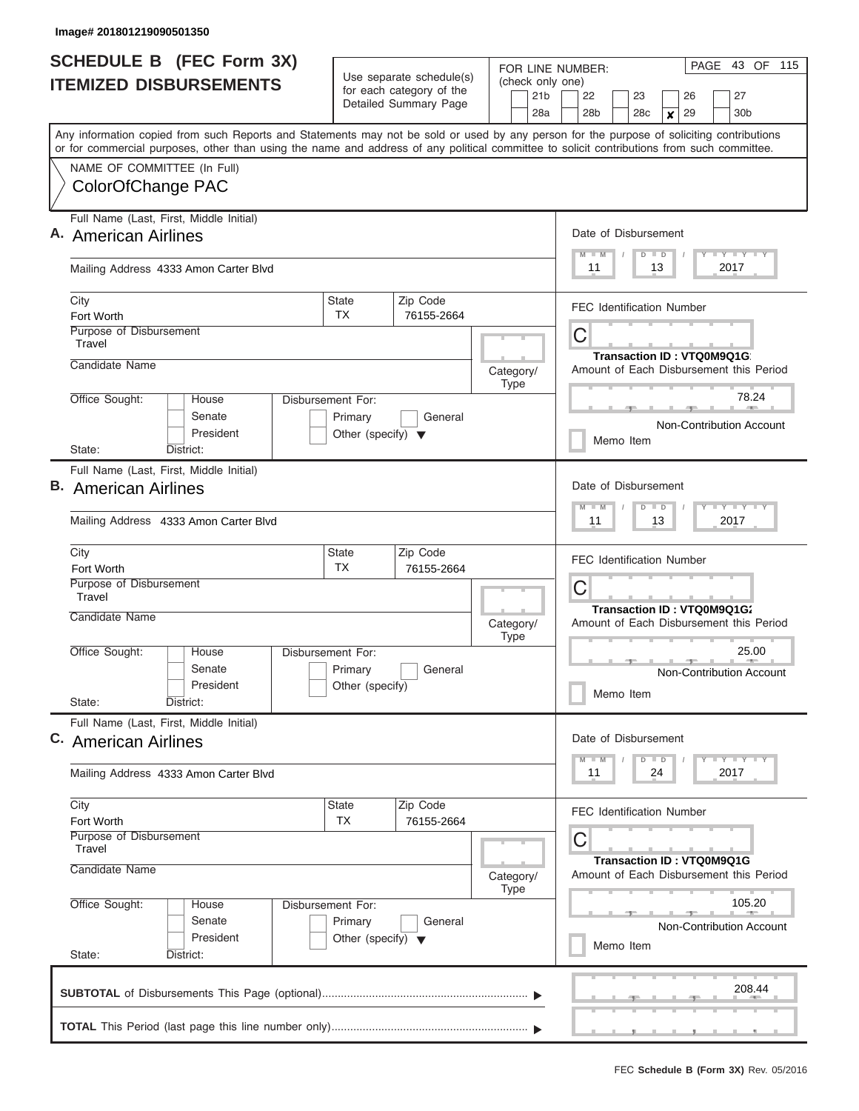|                                                  | <b>SCHEDULE B</b> (FEC Form 3X)                                                                                                            |                                                                      |                                                      |                          |  | PAGE 43 OF 115<br>FOR LINE NUMBER:  |                                                                        |                                 |                            |                  |    |  |                                         |  |  |  |  |
|--------------------------------------------------|--------------------------------------------------------------------------------------------------------------------------------------------|----------------------------------------------------------------------|------------------------------------------------------|--------------------------|--|-------------------------------------|------------------------------------------------------------------------|---------------------------------|----------------------------|------------------|----|--|-----------------------------------------|--|--|--|--|
|                                                  | <b>ITEMIZED DISBURSEMENTS</b>                                                                                                              |                                                                      | Use separate schedule(s)<br>for each category of the |                          |  | (check only one)<br>21 <sub>b</sub> | 22                                                                     |                                 | 23                         |                  | 26 |  | 27                                      |  |  |  |  |
|                                                  |                                                                                                                                            |                                                                      | Detailed Summary Page                                |                          |  | 28a                                 | 28 <sub>b</sub>                                                        |                                 | 28c                        | $\boldsymbol{x}$ | 29 |  | 30 <sub>b</sub>                         |  |  |  |  |
|                                                  | Any information copied from such Reports and Statements may not be sold or used by any person for the purpose of soliciting contributions  |                                                                      |                                                      |                          |  |                                     |                                                                        |                                 |                            |                  |    |  |                                         |  |  |  |  |
|                                                  | or for commercial purposes, other than using the name and address of any political committee to solicit contributions from such committee. |                                                                      |                                                      |                          |  |                                     |                                                                        |                                 |                            |                  |    |  |                                         |  |  |  |  |
| NAME OF COMMITTEE (In Full)<br>ColorOfChange PAC |                                                                                                                                            |                                                                      |                                                      |                          |  |                                     |                                                                        |                                 |                            |                  |    |  |                                         |  |  |  |  |
|                                                  |                                                                                                                                            |                                                                      |                                                      |                          |  |                                     |                                                                        |                                 |                            |                  |    |  |                                         |  |  |  |  |
|                                                  | Full Name (Last, First, Middle Initial)                                                                                                    |                                                                      |                                                      |                          |  |                                     | Date of Disbursement                                                   |                                 |                            |                  |    |  |                                         |  |  |  |  |
| A. American Airlines                             |                                                                                                                                            |                                                                      |                                                      |                          |  |                                     | $M$ $M$                                                                |                                 | $D$ $D$                    |                  |    |  | Y L Y L Y L Y                           |  |  |  |  |
|                                                  | Mailing Address 4333 Amon Carter Blvd                                                                                                      |                                                                      |                                                      |                          |  |                                     | 11                                                                     |                                 |                            | 13               |    |  | 2017                                    |  |  |  |  |
| City                                             |                                                                                                                                            | <b>State</b>                                                         | Zip Code                                             |                          |  | <b>FEC Identification Number</b>    |                                                                        |                                 |                            |                  |    |  |                                         |  |  |  |  |
| Fort Worth<br>Purpose of Disbursement            |                                                                                                                                            | TX.                                                                  | 76155-2664                                           |                          |  |                                     |                                                                        |                                 |                            |                  |    |  |                                         |  |  |  |  |
| Travel                                           |                                                                                                                                            |                                                                      |                                                      |                          |  | С                                   |                                                                        |                                 |                            |                  |    |  |                                         |  |  |  |  |
| Candidate Name                                   |                                                                                                                                            |                                                                      |                                                      | Category/                |  |                                     |                                                                        |                                 | Transaction ID: VTQ0M9Q1G  |                  |    |  | Amount of Each Disbursement this Period |  |  |  |  |
|                                                  |                                                                                                                                            |                                                                      |                                                      | Type                     |  |                                     |                                                                        |                                 |                            |                  |    |  | 78.24                                   |  |  |  |  |
| Office Sought:                                   | House<br>Senate                                                                                                                            | Disbursement For:<br>Primary                                         | General                                              |                          |  |                                     |                                                                        |                                 |                            |                  |    |  |                                         |  |  |  |  |
|                                                  | President                                                                                                                                  | Other (specify) $\blacktriangledown$                                 |                                                      |                          |  |                                     |                                                                        |                                 | Memo Item                  |                  |    |  | Non-Contribution Account                |  |  |  |  |
| State:                                           | District:                                                                                                                                  |                                                                      |                                                      |                          |  |                                     |                                                                        |                                 |                            |                  |    |  |                                         |  |  |  |  |
| Full Name (Last, First, Middle Initial)          |                                                                                                                                            |                                                                      |                                                      |                          |  |                                     |                                                                        |                                 |                            |                  |    |  |                                         |  |  |  |  |
| <b>B.</b> American Airlines                      |                                                                                                                                            |                                                                      |                                                      |                          |  |                                     | Date of Disbursement<br>$T$ $T$ $T$ $T$ $T$ $T$ $T$ $T$ $T$<br>$M - M$ |                                 |                            |                  |    |  |                                         |  |  |  |  |
|                                                  | Mailing Address 4333 Amon Carter Blvd                                                                                                      |                                                                      |                                                      |                          |  |                                     | $D$ $D$<br>11<br>13<br>2017<br><b>FEC Identification Number</b>        |                                 |                            |                  |    |  |                                         |  |  |  |  |
| City                                             |                                                                                                                                            | <b>State</b><br><b>TX</b>                                            | Zip Code                                             |                          |  |                                     |                                                                        |                                 |                            |                  |    |  |                                         |  |  |  |  |
| Fort Worth<br>Purpose of Disbursement            |                                                                                                                                            |                                                                      | 76155-2664                                           |                          |  |                                     | С                                                                      |                                 |                            |                  |    |  |                                         |  |  |  |  |
| Travel                                           |                                                                                                                                            |                                                                      |                                                      |                          |  |                                     |                                                                        |                                 | Transaction ID: VTQ0M9Q1G2 |                  |    |  |                                         |  |  |  |  |
| Candidate Name                                   |                                                                                                                                            |                                                                      |                                                      | Category/<br><b>Type</b> |  |                                     |                                                                        |                                 |                            |                  |    |  | Amount of Each Disbursement this Period |  |  |  |  |
| Office Sought:                                   | House                                                                                                                                      | Disbursement For:                                                    |                                                      |                          |  |                                     | 25.00                                                                  |                                 |                            |                  |    |  |                                         |  |  |  |  |
|                                                  | Senate<br>President                                                                                                                        | Primary<br>Other (specify)                                           | General                                              |                          |  |                                     |                                                                        |                                 |                            |                  |    |  | Non-Contribution Account                |  |  |  |  |
| State:                                           | District:                                                                                                                                  |                                                                      |                                                      |                          |  |                                     |                                                                        |                                 | Memo Item                  |                  |    |  |                                         |  |  |  |  |
|                                                  | Full Name (Last, First, Middle Initial)                                                                                                    |                                                                      |                                                      |                          |  |                                     |                                                                        |                                 |                            |                  |    |  |                                         |  |  |  |  |
| C. American Airlines                             |                                                                                                                                            |                                                                      |                                                      |                          |  |                                     | Date of Disbursement                                                   |                                 |                            |                  |    |  |                                         |  |  |  |  |
|                                                  | Mailing Address 4333 Amon Carter Blvd                                                                                                      |                                                                      |                                                      |                          |  |                                     | $M - M$<br>11                                                          |                                 | $D$ $D$                    | 24               |    |  | $T - Y$ $T - Y$<br>2017                 |  |  |  |  |
| City                                             |                                                                                                                                            | <b>State</b>                                                         | Zip Code                                             |                          |  |                                     | <b>FEC Identification Number</b>                                       |                                 |                            |                  |    |  |                                         |  |  |  |  |
| Fort Worth<br><b>Purpose of Disbursement</b>     |                                                                                                                                            | <b>TX</b>                                                            | 76155-2664                                           |                          |  |                                     |                                                                        |                                 |                            |                  |    |  |                                         |  |  |  |  |
| Travel                                           |                                                                                                                                            |                                                                      |                                                      |                          |  |                                     | С                                                                      |                                 |                            |                  |    |  |                                         |  |  |  |  |
| Candidate Name                                   | Category/                                                                                                                                  | Transaction ID: VTQ0M9Q1G<br>Amount of Each Disbursement this Period |                                                      |                          |  |                                     |                                                                        |                                 |                            |                  |    |  |                                         |  |  |  |  |
| Office Sought:                                   |                                                                                                                                            | 105.20                                                               |                                                      |                          |  |                                     |                                                                        |                                 |                            |                  |    |  |                                         |  |  |  |  |
|                                                  |                                                                                                                                            |                                                                      |                                                      |                          |  |                                     |                                                                        | <b>Non-Contribution Account</b> |                            |                  |    |  |                                         |  |  |  |  |
| State:                                           |                                                                                                                                            |                                                                      |                                                      | Memo Item                |  |                                     |                                                                        |                                 |                            |                  |    |  |                                         |  |  |  |  |
|                                                  | District:                                                                                                                                  |                                                                      |                                                      |                          |  |                                     |                                                                        |                                 |                            |                  |    |  | 208.44                                  |  |  |  |  |
|                                                  |                                                                                                                                            |                                                                      |                                                      |                          |  |                                     |                                                                        |                                 |                            |                  |    |  | .                                       |  |  |  |  |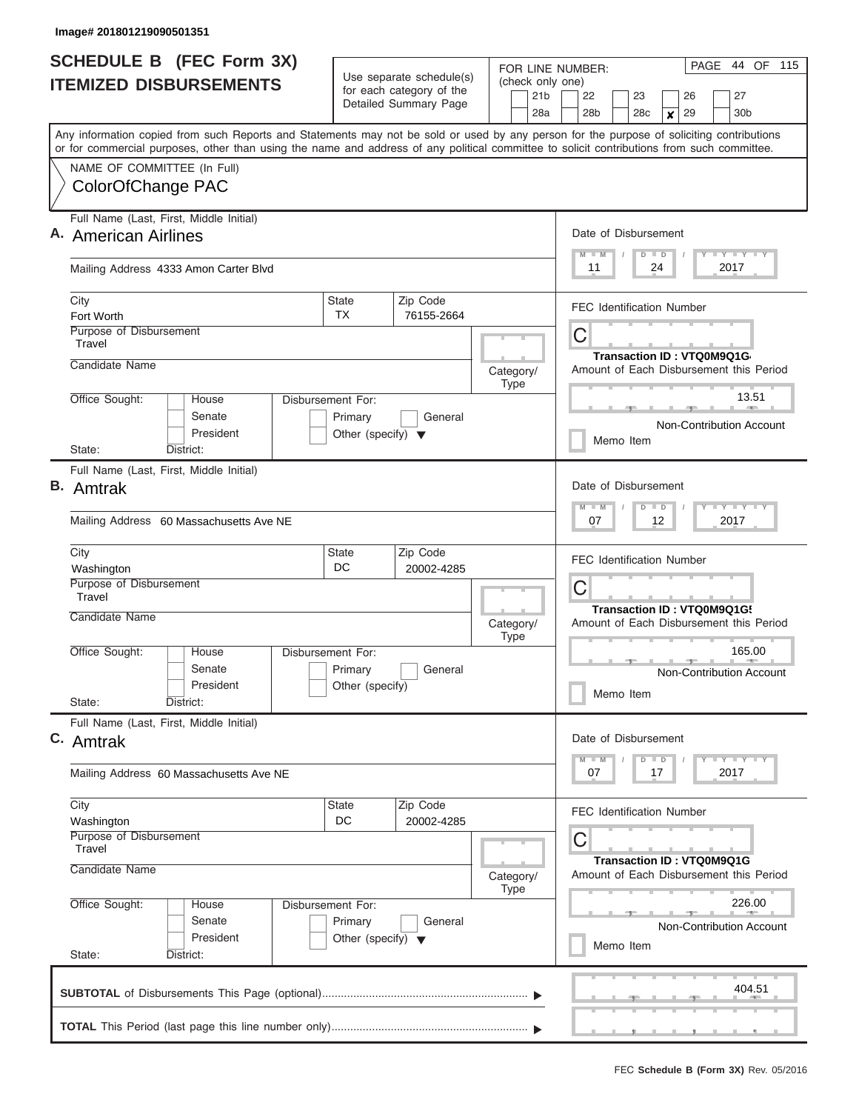| <b>SCHEDULE B (FEC Form 3X)</b>                                                                                                                                                                                                                                                         |                                                                      | Use separate schedule(s)                          | FOR LINE NUMBER:                                         | 44 OF 115<br>PAGE                                                                                     |  |  |  |  |  |  |  |  |  |
|-----------------------------------------------------------------------------------------------------------------------------------------------------------------------------------------------------------------------------------------------------------------------------------------|----------------------------------------------------------------------|---------------------------------------------------|----------------------------------------------------------|-------------------------------------------------------------------------------------------------------|--|--|--|--|--|--|--|--|--|
| <b>ITEMIZED DISBURSEMENTS</b>                                                                                                                                                                                                                                                           |                                                                      | for each category of the<br>Detailed Summary Page | (check only one)<br>21 <sub>b</sub><br>28a               | 22<br>27<br>23<br>26<br>28 <sub>b</sub><br>28c<br>29<br>30 <sub>b</sub><br>×                          |  |  |  |  |  |  |  |  |  |
| Any information copied from such Reports and Statements may not be sold or used by any person for the purpose of soliciting contributions<br>or for commercial purposes, other than using the name and address of any political committee to solicit contributions from such committee. |                                                                      |                                                   |                                                          |                                                                                                       |  |  |  |  |  |  |  |  |  |
| NAME OF COMMITTEE (In Full)<br>ColorOfChange PAC                                                                                                                                                                                                                                        |                                                                      |                                                   |                                                          |                                                                                                       |  |  |  |  |  |  |  |  |  |
| Full Name (Last, First, Middle Initial)<br>A. American Airlines                                                                                                                                                                                                                         |                                                                      |                                                   | Date of Disbursement<br>Y LY LY LY<br>$M$ $M$<br>$D$ $D$ |                                                                                                       |  |  |  |  |  |  |  |  |  |
| Mailing Address 4333 Amon Carter Blvd                                                                                                                                                                                                                                                   |                                                                      |                                                   |                                                          | 24<br>2017<br>11                                                                                      |  |  |  |  |  |  |  |  |  |
| City<br>Fort Worth<br>Purpose of Disbursement                                                                                                                                                                                                                                           | <b>State</b><br><b>TX</b>                                            | Zip Code<br>76155-2664                            |                                                          | <b>FEC Identification Number</b>                                                                      |  |  |  |  |  |  |  |  |  |
| Travel<br>Candidate Name                                                                                                                                                                                                                                                                |                                                                      |                                                   | Category/                                                | C<br>Transaction ID: VTQ0M9Q1G<br>Amount of Each Disbursement this Period                             |  |  |  |  |  |  |  |  |  |
| Office Sought:<br>House<br>Senate<br>President                                                                                                                                                                                                                                          | Disbursement For:<br>Primary<br>Other (specify) $\blacktriangledown$ | General                                           | <b>Type</b>                                              | 13.51<br>Non-Contribution Account<br>Memo Item                                                        |  |  |  |  |  |  |  |  |  |
| District:<br>State:<br>Full Name (Last, First, Middle Initial)<br>В.<br>Amtrak                                                                                                                                                                                                          |                                                                      |                                                   |                                                          |                                                                                                       |  |  |  |  |  |  |  |  |  |
| Mailing Address 60 Massachusetts Ave NE                                                                                                                                                                                                                                                 |                                                                      |                                                   |                                                          | Date of Disbursement<br>$T - Y$ $T - Y$ $T - Y$<br>$M - M$<br>$\blacksquare$<br>D<br>07<br>12<br>2017 |  |  |  |  |  |  |  |  |  |
| City<br>Washington<br>Purpose of Disbursement                                                                                                                                                                                                                                           | <b>State</b><br>DC.                                                  | Zip Code<br>20002-4285                            |                                                          | <b>FEC Identification Number</b>                                                                      |  |  |  |  |  |  |  |  |  |
| Travel<br>Candidate Name                                                                                                                                                                                                                                                                |                                                                      |                                                   | Category/                                                | C<br>Transaction ID: VTQ0M9Q1G!<br>Amount of Each Disbursement this Period                            |  |  |  |  |  |  |  |  |  |
| Office Sought:<br>House<br>Senate<br>President<br>State:<br>District:                                                                                                                                                                                                                   | Disbursement For:<br>Primary<br>Other (specify)                      | General                                           | <b>Type</b>                                              | 165.00<br><b>Non-Contribution Account</b><br>Memo Item                                                |  |  |  |  |  |  |  |  |  |
| Full Name (Last, First, Middle Initial)<br>C. Amtrak                                                                                                                                                                                                                                    |                                                                      |                                                   |                                                          | Date of Disbursement                                                                                  |  |  |  |  |  |  |  |  |  |
| Mailing Address 60 Massachusetts Ave NE                                                                                                                                                                                                                                                 |                                                                      |                                                   |                                                          | $T - Y$ $T - Y$<br>$M - M$<br>$D$ $D$<br>2017<br>07<br>17                                             |  |  |  |  |  |  |  |  |  |
| City<br>Washington                                                                                                                                                                                                                                                                      | <b>State</b><br>DC                                                   | Zip Code<br>20002-4285                            |                                                          | <b>FEC Identification Number</b>                                                                      |  |  |  |  |  |  |  |  |  |
| Purpose of Disbursement<br>Travel<br>Candidate Name                                                                                                                                                                                                                                     |                                                                      |                                                   | Category/<br>Type                                        | С<br>Transaction ID: VTQ0M9Q1G<br>Amount of Each Disbursement this Period                             |  |  |  |  |  |  |  |  |  |
| Office Sought:<br>House<br>Senate<br>President<br>State:<br>District:                                                                                                                                                                                                                   | Disbursement For:<br>Primary<br>Other (specify) $\blacktriangledown$ | General                                           |                                                          | 226.00<br>Non-Contribution Account<br>Memo Item                                                       |  |  |  |  |  |  |  |  |  |
|                                                                                                                                                                                                                                                                                         |                                                                      |                                                   |                                                          | 404.51                                                                                                |  |  |  |  |  |  |  |  |  |
|                                                                                                                                                                                                                                                                                         |                                                                      |                                                   |                                                          | , , ,                                                                                                 |  |  |  |  |  |  |  |  |  |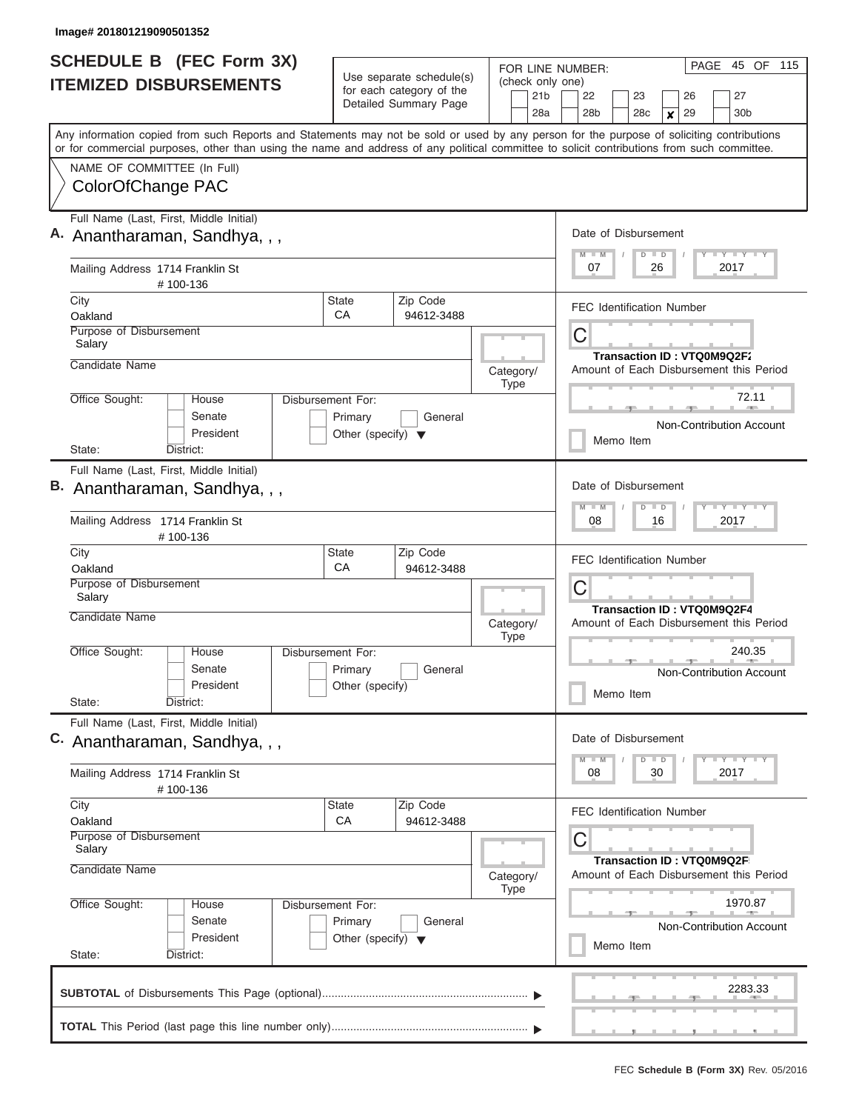| <b>SCHEDULE B</b> (FEC Form 3X)<br><b>ITEMIZED DISBURSEMENTS</b>                                                                                                                                                                                                                                                       |                                                                      | Use separate schedule(s)<br>for each category of the<br>Detailed Summary Page | FOR LINE NUMBER:<br>(check only one)<br>21 <sub>b</sub><br>28a            | 45 OF 115<br>PAGE<br>27<br>22<br>23<br>26<br>28 <sub>b</sub><br>28c<br>29<br>30 <sub>b</sub><br>×                                         |  |  |  |  |  |  |  |  |  |  |
|------------------------------------------------------------------------------------------------------------------------------------------------------------------------------------------------------------------------------------------------------------------------------------------------------------------------|----------------------------------------------------------------------|-------------------------------------------------------------------------------|---------------------------------------------------------------------------|-------------------------------------------------------------------------------------------------------------------------------------------|--|--|--|--|--|--|--|--|--|--|
| Any information copied from such Reports and Statements may not be sold or used by any person for the purpose of soliciting contributions<br>or for commercial purposes, other than using the name and address of any political committee to solicit contributions from such committee.<br>NAME OF COMMITTEE (In Full) |                                                                      |                                                                               |                                                                           |                                                                                                                                           |  |  |  |  |  |  |  |  |  |  |
| ColorOfChange PAC                                                                                                                                                                                                                                                                                                      |                                                                      |                                                                               |                                                                           |                                                                                                                                           |  |  |  |  |  |  |  |  |  |  |
| Full Name (Last, First, Middle Initial)<br>A. Anantharaman, Sandhya, , ,                                                                                                                                                                                                                                               |                                                                      |                                                                               |                                                                           | Date of Disbursement<br>Y I Y I Y I Y<br>$M$ $M$<br>$D$ $D$                                                                               |  |  |  |  |  |  |  |  |  |  |
| Mailing Address 1714 Franklin St<br>#100-136                                                                                                                                                                                                                                                                           |                                                                      |                                                                               |                                                                           | 07<br>26<br>2017                                                                                                                          |  |  |  |  |  |  |  |  |  |  |
| City<br>Oakland                                                                                                                                                                                                                                                                                                        | State<br>CA                                                          | Zip Code<br>94612-3488                                                        |                                                                           | <b>FEC Identification Number</b>                                                                                                          |  |  |  |  |  |  |  |  |  |  |
| Purpose of Disbursement<br>Salary<br>Candidate Name                                                                                                                                                                                                                                                                    |                                                                      |                                                                               | Category/                                                                 | С<br>Transaction ID: VTQ0M9Q2F2<br>Amount of Each Disbursement this Period                                                                |  |  |  |  |  |  |  |  |  |  |
| Office Sought:<br>House<br>Senate<br>President                                                                                                                                                                                                                                                                         | Disbursement For:<br>Primary<br>Other (specify) $\blacktriangledown$ | General                                                                       | Type                                                                      | 72.11<br>Non-Contribution Account<br>Memo Item                                                                                            |  |  |  |  |  |  |  |  |  |  |
| District:<br>State:                                                                                                                                                                                                                                                                                                    |                                                                      |                                                                               |                                                                           |                                                                                                                                           |  |  |  |  |  |  |  |  |  |  |
| Full Name (Last, First, Middle Initial)<br>B. Anantharaman, Sandhya, , ,                                                                                                                                                                                                                                               |                                                                      |                                                                               |                                                                           | Date of Disbursement<br>$M - M$<br>Y FY FY FY<br>$D$ $D$                                                                                  |  |  |  |  |  |  |  |  |  |  |
| Mailing Address 1714 Franklin St<br>#100-136                                                                                                                                                                                                                                                                           |                                                                      |                                                                               |                                                                           | 08<br>16<br>2017<br><b>FEC Identification Number</b><br>С<br><b>Transaction ID: VTQ0M9Q2F4</b><br>Amount of Each Disbursement this Period |  |  |  |  |  |  |  |  |  |  |
| City<br>Oakland                                                                                                                                                                                                                                                                                                        | <b>State</b><br>CA                                                   | Zip Code<br>94612-3488                                                        |                                                                           |                                                                                                                                           |  |  |  |  |  |  |  |  |  |  |
| Purpose of Disbursement<br>Salary<br>Candidate Name                                                                                                                                                                                                                                                                    |                                                                      |                                                                               |                                                                           |                                                                                                                                           |  |  |  |  |  |  |  |  |  |  |
| Office Sought:<br>House<br>Senate<br>President<br>State:<br>District:                                                                                                                                                                                                                                                  | Disbursement For:<br>Primary<br>Other (specify)                      | General                                                                       | Category/<br><b>Type</b>                                                  | 240.35<br>Non-Contribution Account<br>Memo Item                                                                                           |  |  |  |  |  |  |  |  |  |  |
| Full Name (Last, First, Middle Initial)<br>C. Anantharaman, Sandhya, , ,                                                                                                                                                                                                                                               |                                                                      |                                                                               |                                                                           | Date of Disbursement<br>$\mathbf{I}$ $\mathbf{Y}$ $\mathbf{I}$ $\mathbf{Y}$ $\mathbf{I}$ $\mathbf{Y}$<br>$M$ $M$<br>$D$ $D$               |  |  |  |  |  |  |  |  |  |  |
| Mailing Address 1714 Franklin St<br>#100-136                                                                                                                                                                                                                                                                           |                                                                      |                                                                               |                                                                           | 08<br>30<br>2017                                                                                                                          |  |  |  |  |  |  |  |  |  |  |
| City<br>Oakland                                                                                                                                                                                                                                                                                                        | State<br>CA                                                          | Zip Code<br>94612-3488                                                        |                                                                           | <b>FEC Identification Number</b>                                                                                                          |  |  |  |  |  |  |  |  |  |  |
| Purpose of Disbursement<br>Salary<br>Candidate Name                                                                                                                                                                                                                                                                    |                                                                      | Category/<br><b>Type</b>                                                      | С<br>Transaction ID: VTQ0M9Q2F<br>Amount of Each Disbursement this Period |                                                                                                                                           |  |  |  |  |  |  |  |  |  |  |
| Office Sought:<br>Disbursement For:<br>House<br>Senate<br>President<br>State:<br>District:                                                                                                                                                                                                                             |                                                                      | 1970.87<br>Non-Contribution Account<br>Memo Item                              |                                                                           |                                                                                                                                           |  |  |  |  |  |  |  |  |  |  |
|                                                                                                                                                                                                                                                                                                                        |                                                                      |                                                                               |                                                                           |                                                                                                                                           |  |  |  |  |  |  |  |  |  |  |
|                                                                                                                                                                                                                                                                                                                        |                                                                      |                                                                               |                                                                           |                                                                                                                                           |  |  |  |  |  |  |  |  |  |  |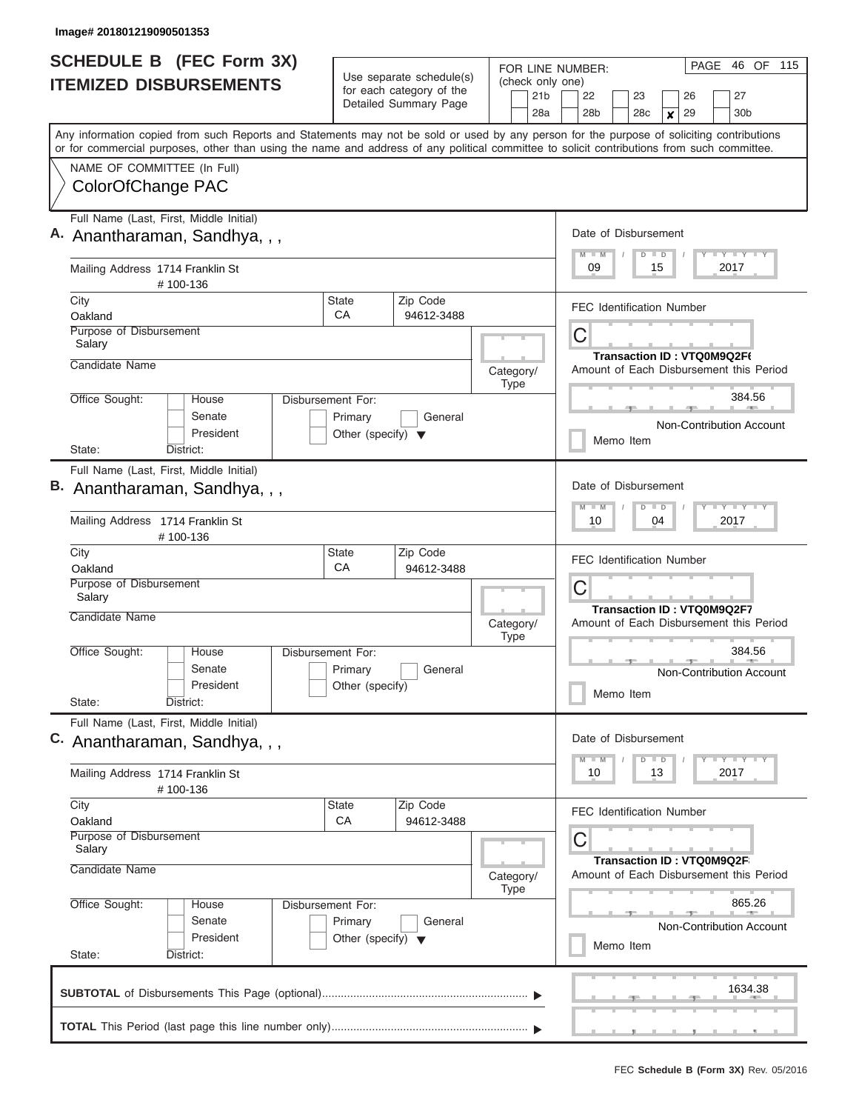| <b>SCHEDULE B</b> (FEC Form 3X)<br><b>ITEMIZED DISBURSEMENTS</b>                                                                                                                                                                                                                                                                            |                                                 | Use separate schedule(s)<br>for each category of the<br>Detailed Summary Page | FOR LINE NUMBER:<br>(check only one)<br>21 <sub>b</sub><br>28a | 46 OF 115<br>PAGE<br>27<br>22<br>23<br>26<br>28 <sub>b</sub><br>28c<br>29<br>30 <sub>b</sub><br>×                       |  |  |  |  |  |  |  |  |  |  |
|---------------------------------------------------------------------------------------------------------------------------------------------------------------------------------------------------------------------------------------------------------------------------------------------------------------------------------------------|-------------------------------------------------|-------------------------------------------------------------------------------|----------------------------------------------------------------|-------------------------------------------------------------------------------------------------------------------------|--|--|--|--|--|--|--|--|--|--|
| Any information copied from such Reports and Statements may not be sold or used by any person for the purpose of soliciting contributions<br>or for commercial purposes, other than using the name and address of any political committee to solicit contributions from such committee.<br>NAME OF COMMITTEE (In Full)<br>ColorOfChange PAC |                                                 |                                                                               |                                                                |                                                                                                                         |  |  |  |  |  |  |  |  |  |  |
|                                                                                                                                                                                                                                                                                                                                             |                                                 |                                                                               |                                                                |                                                                                                                         |  |  |  |  |  |  |  |  |  |  |
| Full Name (Last, First, Middle Initial)<br>A. Anantharaman, Sandhya, , ,                                                                                                                                                                                                                                                                    |                                                 |                                                                               |                                                                | Date of Disbursement<br>$M$ $M$<br>Y I Y I Y I Y<br>$D$ $D$                                                             |  |  |  |  |  |  |  |  |  |  |
| Mailing Address 1714 Franklin St<br>#100-136                                                                                                                                                                                                                                                                                                |                                                 |                                                                               |                                                                | 09<br>15<br>2017                                                                                                        |  |  |  |  |  |  |  |  |  |  |
| City<br>Oakland                                                                                                                                                                                                                                                                                                                             | State<br>CA                                     | Zip Code<br>94612-3488                                                        |                                                                | <b>FEC Identification Number</b>                                                                                        |  |  |  |  |  |  |  |  |  |  |
| Purpose of Disbursement<br>Salary<br>Candidate Name                                                                                                                                                                                                                                                                                         |                                                 |                                                                               |                                                                | С<br>Transaction ID: VTQ0M9Q2F6                                                                                         |  |  |  |  |  |  |  |  |  |  |
|                                                                                                                                                                                                                                                                                                                                             | Category/<br>Type                               | Amount of Each Disbursement this Period                                       |                                                                |                                                                                                                         |  |  |  |  |  |  |  |  |  |  |
| Office Sought:<br>Disbursement For:<br>House<br>Senate<br>President                                                                                                                                                                                                                                                                         | General<br>Other (specify) $\blacktriangledown$ |                                                                               | 384.56<br>Non-Contribution Account<br>Memo Item                |                                                                                                                         |  |  |  |  |  |  |  |  |  |  |
| District:<br>State:                                                                                                                                                                                                                                                                                                                         |                                                 |                                                                               |                                                                |                                                                                                                         |  |  |  |  |  |  |  |  |  |  |
| Full Name (Last, First, Middle Initial)<br>B. Anantharaman, Sandhya, , ,                                                                                                                                                                                                                                                                    |                                                 |                                                                               |                                                                | Date of Disbursement<br><b>TEY TEY TEY</b><br>$M - M$<br>$D$ $D$                                                        |  |  |  |  |  |  |  |  |  |  |
| Mailing Address 1714 Franklin St<br>#100-136                                                                                                                                                                                                                                                                                                |                                                 |                                                                               |                                                                | 10<br>04<br>2017                                                                                                        |  |  |  |  |  |  |  |  |  |  |
| City<br>Oakland                                                                                                                                                                                                                                                                                                                             | <b>State</b><br>CA                              | Zip Code<br>94612-3488                                                        |                                                                | <b>FEC Identification Number</b>                                                                                        |  |  |  |  |  |  |  |  |  |  |
| Purpose of Disbursement<br>Salary                                                                                                                                                                                                                                                                                                           |                                                 |                                                                               |                                                                | С<br><b>Transaction ID: VTQ0M9Q2F7</b>                                                                                  |  |  |  |  |  |  |  |  |  |  |
| Candidate Name                                                                                                                                                                                                                                                                                                                              |                                                 |                                                                               | Category/<br><b>Type</b>                                       | Amount of Each Disbursement this Period                                                                                 |  |  |  |  |  |  |  |  |  |  |
| Office Sought:<br>House<br>Senate<br>President<br>State:<br>District:                                                                                                                                                                                                                                                                       | Disbursement For:<br>Primary<br>Other (specify) | General                                                                       |                                                                | 384.56<br>Non-Contribution Account<br>Memo Item                                                                         |  |  |  |  |  |  |  |  |  |  |
| Full Name (Last, First, Middle Initial)<br>C. Anantharaman, Sandhya, , ,                                                                                                                                                                                                                                                                    |                                                 |                                                                               |                                                                | Date of Disbursement                                                                                                    |  |  |  |  |  |  |  |  |  |  |
| Mailing Address 1714 Franklin St<br>#100-136                                                                                                                                                                                                                                                                                                |                                                 |                                                                               |                                                                | $\mathbf{I}$ $\mathbf{Y}$ $\mathbf{I}$ $\mathbf{Y}$ $\mathbf{I}$ $\mathbf{Y}$<br>$M$ $M$<br>$D$ $D$<br>10<br>13<br>2017 |  |  |  |  |  |  |  |  |  |  |
| City<br>Oakland                                                                                                                                                                                                                                                                                                                             | State<br>CA                                     | Zip Code<br>94612-3488                                                        |                                                                | <b>FEC Identification Number</b>                                                                                        |  |  |  |  |  |  |  |  |  |  |
| Purpose of Disbursement<br>Salary                                                                                                                                                                                                                                                                                                           |                                                 |                                                                               |                                                                | С<br>Transaction ID: VTQ0M9Q2F                                                                                          |  |  |  |  |  |  |  |  |  |  |
| Candidate Name                                                                                                                                                                                                                                                                                                                              |                                                 |                                                                               | Category/<br><b>Type</b>                                       | Amount of Each Disbursement this Period                                                                                 |  |  |  |  |  |  |  |  |  |  |
| Office Sought:<br>Disbursement For:<br>House<br>Senate<br>President<br>State:<br>District:                                                                                                                                                                                                                                                  |                                                 | 865.26<br>Non-Contribution Account<br>Memo Item                               |                                                                |                                                                                                                         |  |  |  |  |  |  |  |  |  |  |
|                                                                                                                                                                                                                                                                                                                                             |                                                 |                                                                               |                                                                | 1634.38                                                                                                                 |  |  |  |  |  |  |  |  |  |  |
|                                                                                                                                                                                                                                                                                                                                             |                                                 |                                                                               |                                                                |                                                                                                                         |  |  |  |  |  |  |  |  |  |  |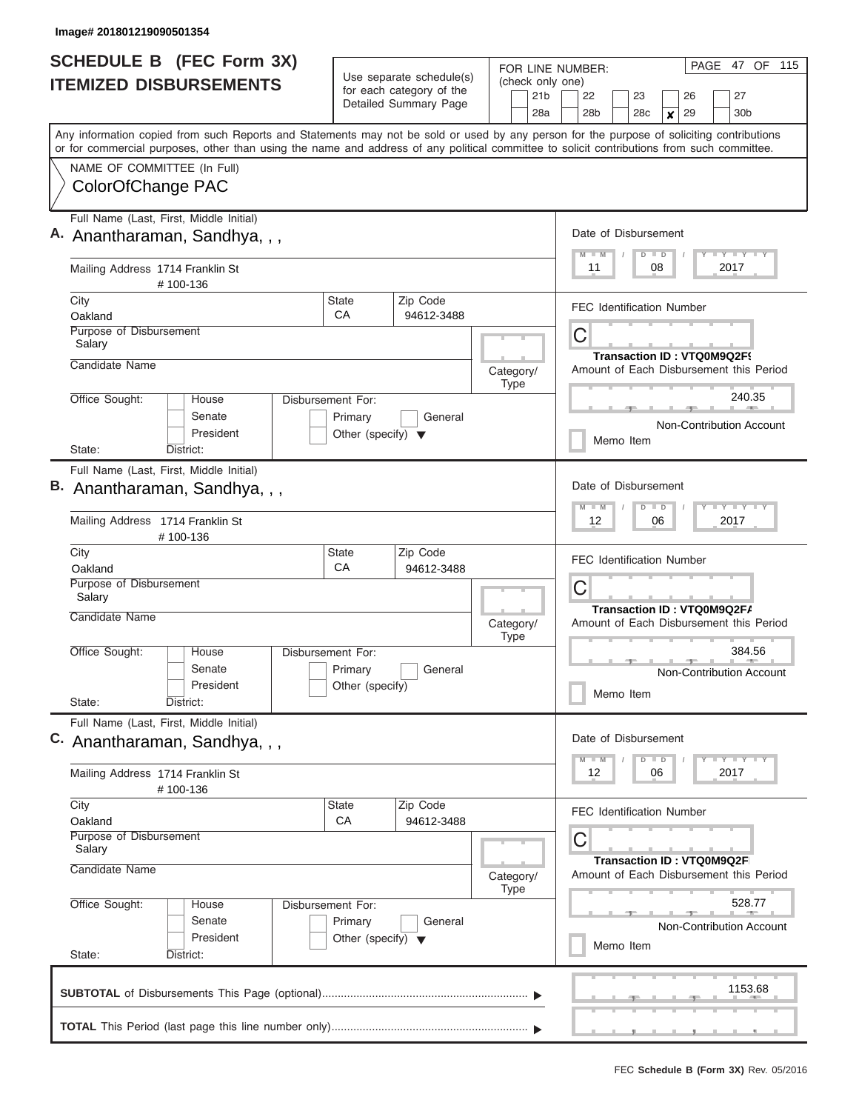| <b>SCHEDULE B</b> (FEC Form 3X)<br><b>ITEMIZED DISBURSEMENTS</b>                                                                                                                                                                                                                                                       |                                                 | Use separate schedule(s)<br>for each category of the<br>Detailed Summary Page | FOR LINE NUMBER:<br>(check only one)<br>21 <sub>b</sub><br>28a | 47 OF 115<br>PAGE<br>27<br>22<br>23<br>26<br>28 <sub>b</sub><br>28c<br>29<br>30 <sub>b</sub><br>×                       |  |  |  |  |  |  |  |  |  |  |
|------------------------------------------------------------------------------------------------------------------------------------------------------------------------------------------------------------------------------------------------------------------------------------------------------------------------|-------------------------------------------------|-------------------------------------------------------------------------------|----------------------------------------------------------------|-------------------------------------------------------------------------------------------------------------------------|--|--|--|--|--|--|--|--|--|--|
| Any information copied from such Reports and Statements may not be sold or used by any person for the purpose of soliciting contributions<br>or for commercial purposes, other than using the name and address of any political committee to solicit contributions from such committee.<br>NAME OF COMMITTEE (In Full) |                                                 |                                                                               |                                                                |                                                                                                                         |  |  |  |  |  |  |  |  |  |  |
| ColorOfChange PAC                                                                                                                                                                                                                                                                                                      |                                                 |                                                                               |                                                                |                                                                                                                         |  |  |  |  |  |  |  |  |  |  |
| Full Name (Last, First, Middle Initial)<br>A. Anantharaman, Sandhya, , ,                                                                                                                                                                                                                                               |                                                 |                                                                               |                                                                | Date of Disbursement<br>Y I Y I Y I Y<br>$M$ $M$<br>$D$ $D$                                                             |  |  |  |  |  |  |  |  |  |  |
| Mailing Address 1714 Franklin St<br>#100-136                                                                                                                                                                                                                                                                           |                                                 |                                                                               |                                                                | 11<br>08<br>2017                                                                                                        |  |  |  |  |  |  |  |  |  |  |
| City<br>Oakland                                                                                                                                                                                                                                                                                                        | State<br>CA                                     | Zip Code<br>94612-3488                                                        |                                                                | <b>FEC Identification Number</b>                                                                                        |  |  |  |  |  |  |  |  |  |  |
| Purpose of Disbursement<br>Salary<br>Candidate Name                                                                                                                                                                                                                                                                    |                                                 |                                                                               | Category/                                                      | С<br>Transaction ID: VTQ0M9Q2F9<br>Amount of Each Disbursement this Period                                              |  |  |  |  |  |  |  |  |  |  |
| Office Sought:<br>Disbursement For:<br>House                                                                                                                                                                                                                                                                           | Type                                            | 240.35                                                                        |                                                                |                                                                                                                         |  |  |  |  |  |  |  |  |  |  |
| Senate<br>President                                                                                                                                                                                                                                                                                                    |                                                 | Non-Contribution Account<br>Memo Item                                         |                                                                |                                                                                                                         |  |  |  |  |  |  |  |  |  |  |
| District:<br>State:<br>Full Name (Last, First, Middle Initial)                                                                                                                                                                                                                                                         |                                                 |                                                                               |                                                                |                                                                                                                         |  |  |  |  |  |  |  |  |  |  |
| B. Anantharaman, Sandhya, , ,                                                                                                                                                                                                                                                                                          |                                                 |                                                                               |                                                                | Date of Disbursement<br><b>TEY TEY TEY</b><br>$M - M$<br>$D$ $D$                                                        |  |  |  |  |  |  |  |  |  |  |
| Mailing Address 1714 Franklin St<br>#100-136                                                                                                                                                                                                                                                                           |                                                 |                                                                               |                                                                | 12<br>06<br>2017                                                                                                        |  |  |  |  |  |  |  |  |  |  |
| City<br>Oakland                                                                                                                                                                                                                                                                                                        | <b>State</b><br>CA                              | Zip Code<br>94612-3488                                                        |                                                                | <b>FEC Identification Number</b>                                                                                        |  |  |  |  |  |  |  |  |  |  |
| Purpose of Disbursement<br>Salary<br>Candidate Name                                                                                                                                                                                                                                                                    |                                                 |                                                                               |                                                                | С<br>Transaction ID: VTQ0M9Q2F/                                                                                         |  |  |  |  |  |  |  |  |  |  |
|                                                                                                                                                                                                                                                                                                                        |                                                 |                                                                               | Category/<br><b>Type</b>                                       | Amount of Each Disbursement this Period                                                                                 |  |  |  |  |  |  |  |  |  |  |
| Office Sought:<br>House<br>Senate<br>President<br>State:<br>District:                                                                                                                                                                                                                                                  | Disbursement For:<br>Primary<br>Other (specify) | General                                                                       |                                                                | 384.56<br>Non-Contribution Account<br>Memo Item                                                                         |  |  |  |  |  |  |  |  |  |  |
| Full Name (Last, First, Middle Initial)<br>C. Anantharaman, Sandhya, , ,                                                                                                                                                                                                                                               |                                                 |                                                                               |                                                                | Date of Disbursement                                                                                                    |  |  |  |  |  |  |  |  |  |  |
| Mailing Address 1714 Franklin St<br>#100-136                                                                                                                                                                                                                                                                           |                                                 |                                                                               |                                                                | $\mathbf{I}$ $\mathbf{Y}$ $\mathbf{I}$ $\mathbf{Y}$ $\mathbf{I}$ $\mathbf{Y}$<br>$M$ $M$<br>$D$ $D$<br>12<br>06<br>2017 |  |  |  |  |  |  |  |  |  |  |
| City<br>Oakland                                                                                                                                                                                                                                                                                                        | State<br>CA                                     | Zip Code<br>94612-3488                                                        |                                                                | <b>FEC Identification Number</b>                                                                                        |  |  |  |  |  |  |  |  |  |  |
| Purpose of Disbursement<br>Salary                                                                                                                                                                                                                                                                                      |                                                 |                                                                               |                                                                | С<br>Transaction ID: VTQ0M9Q2FI                                                                                         |  |  |  |  |  |  |  |  |  |  |
| Candidate Name                                                                                                                                                                                                                                                                                                         | Category/                                       |                                                                               |                                                                |                                                                                                                         |  |  |  |  |  |  |  |  |  |  |
| Office Sought:<br>Disbursement For:<br>House<br>Senate<br>President<br>State:<br>District:                                                                                                                                                                                                                             |                                                 | 528.77<br>Non-Contribution Account<br>Memo Item                               |                                                                |                                                                                                                         |  |  |  |  |  |  |  |  |  |  |
|                                                                                                                                                                                                                                                                                                                        |                                                 |                                                                               |                                                                | 1153.68                                                                                                                 |  |  |  |  |  |  |  |  |  |  |
|                                                                                                                                                                                                                                                                                                                        |                                                 |                                                                               |                                                                |                                                                                                                         |  |  |  |  |  |  |  |  |  |  |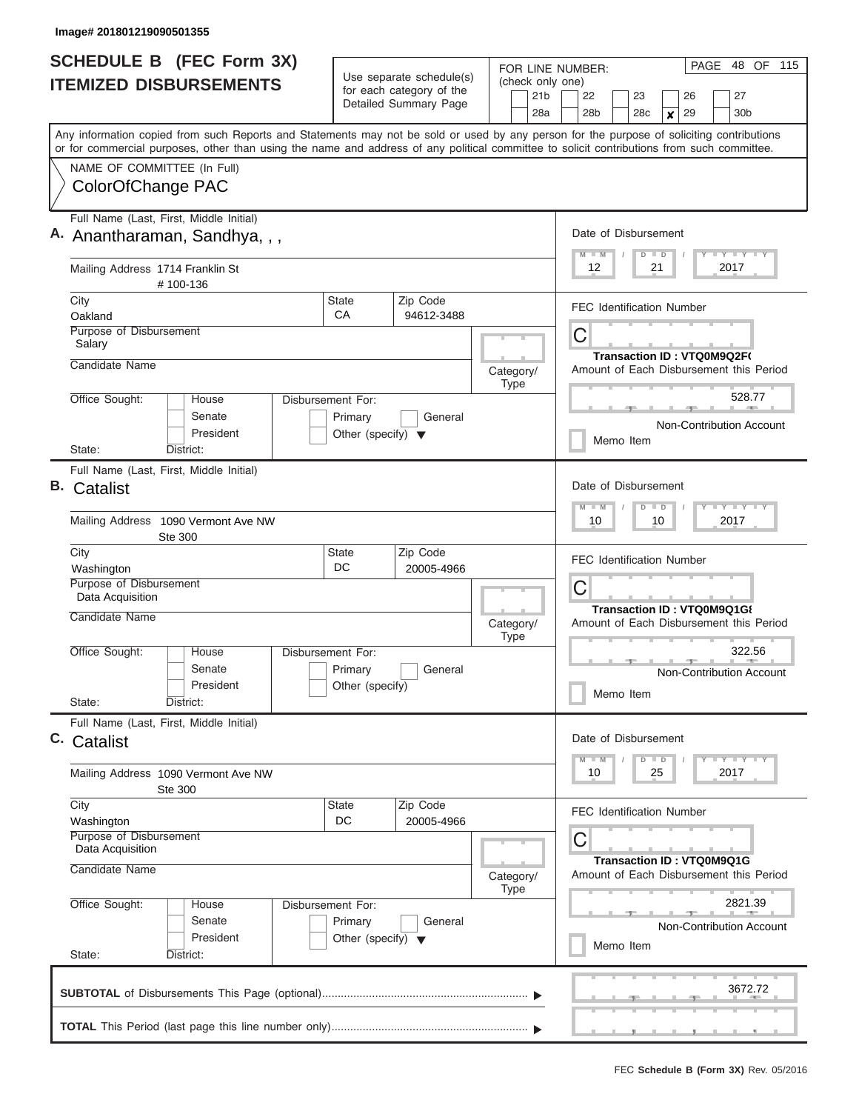|    | <b>SCHEDULE B</b> (FEC Form 3X)                                                                                                            |                                      | Use separate schedule(s) |                                  |             |                 | PAGE<br>FOR LINE NUMBER:<br>(check only one)           |                                                                            |                                         |                                                                      |           |               |                  |    |                            |      | 48 OF 115                       |  |  |
|----|--------------------------------------------------------------------------------------------------------------------------------------------|--------------------------------------|--------------------------|----------------------------------|-------------|-----------------|--------------------------------------------------------|----------------------------------------------------------------------------|-----------------------------------------|----------------------------------------------------------------------|-----------|---------------|------------------|----|----------------------------|------|---------------------------------|--|--|
|    | <b>ITEMIZED DISBURSEMENTS</b>                                                                                                              |                                      | for each category of the |                                  |             | 21 <sub>b</sub> |                                                        |                                                                            | 22                                      |                                                                      | 23        |               |                  | 26 |                            |      | 27                              |  |  |
|    |                                                                                                                                            |                                      | Detailed Summary Page    |                                  |             | 28a             |                                                        |                                                                            | 28 <sub>b</sub>                         |                                                                      | 28c       |               | $\boldsymbol{x}$ | 29 |                            |      | 30 <sub>b</sub>                 |  |  |
|    | Any information copied from such Reports and Statements may not be sold or used by any person for the purpose of soliciting contributions  |                                      |                          |                                  |             |                 |                                                        |                                                                            |                                         |                                                                      |           |               |                  |    |                            |      |                                 |  |  |
|    | or for commercial purposes, other than using the name and address of any political committee to solicit contributions from such committee. |                                      |                          |                                  |             |                 |                                                        |                                                                            |                                         |                                                                      |           |               |                  |    |                            |      |                                 |  |  |
|    | NAME OF COMMITTEE (In Full)<br>ColorOfChange PAC                                                                                           |                                      |                          |                                  |             |                 |                                                        |                                                                            |                                         |                                                                      |           |               |                  |    |                            |      |                                 |  |  |
|    |                                                                                                                                            |                                      |                          |                                  |             |                 |                                                        |                                                                            |                                         |                                                                      |           |               |                  |    |                            |      |                                 |  |  |
|    | Full Name (Last, First, Middle Initial)                                                                                                    |                                      |                          |                                  |             |                 | Date of Disbursement                                   |                                                                            |                                         |                                                                      |           |               |                  |    |                            |      |                                 |  |  |
|    | A. Anantharaman, Sandhya, , ,                                                                                                              |                                      |                          |                                  |             |                 |                                                        |                                                                            | $M$ $M$                                 |                                                                      |           | $D$ $D$       |                  |    |                            |      | Y I Y I Y I Y                   |  |  |
|    | Mailing Address 1714 Franklin St<br>#100-136                                                                                               |                                      |                          |                                  |             |                 | 12<br>21<br>2017                                       |                                                                            |                                         |                                                                      |           |               |                  |    |                            |      |                                 |  |  |
|    | City                                                                                                                                       | <b>State</b><br>CA                   | Zip Code                 | <b>FEC Identification Number</b> |             |                 |                                                        |                                                                            |                                         |                                                                      |           |               |                  |    |                            |      |                                 |  |  |
|    | Oakland<br>Purpose of Disbursement                                                                                                         |                                      | 94612-3488               |                                  |             |                 |                                                        |                                                                            |                                         |                                                                      |           |               |                  |    |                            |      |                                 |  |  |
|    | Salary                                                                                                                                     |                                      |                          |                                  |             |                 |                                                        | С                                                                          |                                         |                                                                      |           |               |                  |    |                            |      |                                 |  |  |
|    | Candidate Name                                                                                                                             |                                      |                          | Category/                        |             |                 |                                                        |                                                                            | Amount of Each Disbursement this Period |                                                                      |           |               |                  |    | Transaction ID: VTQ0M9Q2F( |      |                                 |  |  |
|    |                                                                                                                                            |                                      |                          |                                  | Type        |                 |                                                        |                                                                            |                                         |                                                                      |           |               |                  |    |                            |      |                                 |  |  |
|    | Office Sought:<br><b>House</b><br>Disbursement For:<br>Senate                                                                              | Primary                              | General                  |                                  |             |                 |                                                        |                                                                            |                                         |                                                                      |           |               |                  |    |                            |      | 528.77                          |  |  |
|    | President                                                                                                                                  | Other (specify) $\blacktriangledown$ |                          |                                  |             |                 |                                                        |                                                                            |                                         |                                                                      |           |               |                  |    |                            |      | Non-Contribution Account        |  |  |
|    | District:<br>State:                                                                                                                        |                                      |                          |                                  |             |                 |                                                        |                                                                            |                                         | Memo Item                                                            |           |               |                  |    |                            |      |                                 |  |  |
|    | Full Name (Last, First, Middle Initial)                                                                                                    |                                      |                          |                                  |             |                 |                                                        |                                                                            |                                         |                                                                      |           |               |                  |    |                            |      |                                 |  |  |
| В. | Catalist                                                                                                                                   |                                      |                          |                                  |             |                 | Date of Disbursement<br>$T$ $Y$ $T$ $Y$ $T$<br>$D$ $D$ |                                                                            |                                         |                                                                      |           |               |                  |    |                            |      |                                 |  |  |
|    | Mailing Address 1090 Vermont Ave NW<br>Ste 300                                                                                             |                                      |                          |                                  |             |                 |                                                        |                                                                            | $M - M$<br>10                           |                                                                      |           | 10            |                  |    |                            | 2017 |                                 |  |  |
|    | City                                                                                                                                       | <b>State</b>                         | Zip Code                 |                                  |             |                 |                                                        | <b>FEC Identification Number</b>                                           |                                         |                                                                      |           |               |                  |    |                            |      |                                 |  |  |
|    | Washington<br>Purpose of Disbursement                                                                                                      | DC                                   | 20005-4966               |                                  |             |                 |                                                        |                                                                            |                                         |                                                                      |           |               |                  |    |                            |      |                                 |  |  |
|    | Data Acquisition                                                                                                                           |                                      |                          |                                  |             |                 |                                                        | С<br>Transaction ID: VTQ0M9Q1G{<br>Amount of Each Disbursement this Period |                                         |                                                                      |           |               |                  |    |                            |      |                                 |  |  |
|    | Candidate Name                                                                                                                             |                                      |                          | Category/                        | <b>Type</b> |                 |                                                        |                                                                            |                                         |                                                                      |           |               |                  |    |                            |      |                                 |  |  |
|    | Office Sought:<br>House<br>Disbursement For:                                                                                               |                                      |                          |                                  |             |                 |                                                        |                                                                            |                                         |                                                                      |           |               |                  |    |                            |      | 322.56                          |  |  |
|    | Senate<br>President                                                                                                                        | Primary<br>Other (specify)           | General                  |                                  |             |                 |                                                        |                                                                            |                                         |                                                                      |           |               |                  |    |                            |      | Non-Contribution Account        |  |  |
|    | State:<br>District:                                                                                                                        |                                      |                          |                                  |             |                 |                                                        |                                                                            |                                         | Memo Item                                                            |           |               |                  |    |                            |      |                                 |  |  |
|    | Full Name (Last, First, Middle Initial)                                                                                                    |                                      |                          |                                  |             |                 |                                                        |                                                                            |                                         |                                                                      |           |               |                  |    |                            |      |                                 |  |  |
|    | C. Catalist                                                                                                                                |                                      |                          |                                  |             |                 |                                                        |                                                                            | Date of Disbursement                    |                                                                      |           |               |                  |    |                            |      |                                 |  |  |
|    | Mailing Address 1090 Vermont Ave NW<br>Ste 300                                                                                             |                                      |                          |                                  |             |                 |                                                        |                                                                            | $M - M$<br>10                           |                                                                      |           | $D$ $D$<br>25 |                  |    |                            | 2017 | $T - Y$ $T - Y$                 |  |  |
|    | City                                                                                                                                       | <b>State</b>                         | Zip Code                 |                                  |             |                 |                                                        |                                                                            | FEC Identification Number               |                                                                      |           |               |                  |    |                            |      |                                 |  |  |
|    | Washington<br>Purpose of Disbursement                                                                                                      | DC                                   | 20005-4966               |                                  |             |                 |                                                        |                                                                            |                                         |                                                                      |           |               |                  |    |                            |      |                                 |  |  |
|    | Data Acquisition                                                                                                                           |                                      |                          |                                  |             |                 |                                                        |                                                                            | С                                       |                                                                      |           |               |                  |    |                            |      |                                 |  |  |
|    | Candidate Name<br>Category/<br>Type                                                                                                        |                                      |                          |                                  |             |                 |                                                        |                                                                            |                                         | Transaction ID: VTQ0M9Q1G<br>Amount of Each Disbursement this Period |           |               |                  |    |                            |      |                                 |  |  |
|    | Office Sought:<br>House<br>Disbursement For:                                                                                               | 2821.39                              |                          |                                  |             |                 |                                                        |                                                                            |                                         |                                                                      |           |               |                  |    |                            |      |                                 |  |  |
|    | Senate<br>President                                                                                                                        | Primary                              | General                  |                                  |             |                 |                                                        |                                                                            |                                         |                                                                      |           |               |                  |    |                            |      | <b>Non-Contribution Account</b> |  |  |
|    | Other (specify) $\blacktriangledown$<br>State:<br>District:                                                                                |                                      |                          |                                  |             |                 |                                                        |                                                                            |                                         |                                                                      | Memo Item |               |                  |    |                            |      |                                 |  |  |
|    |                                                                                                                                            |                                      |                          |                                  |             |                 |                                                        |                                                                            |                                         |                                                                      |           |               |                  |    |                            |      | 3672.72                         |  |  |
|    |                                                                                                                                            |                                      |                          |                                  |             |                 |                                                        |                                                                            |                                         |                                                                      |           |               |                  |    |                            |      | <u>. , ,</u>                    |  |  |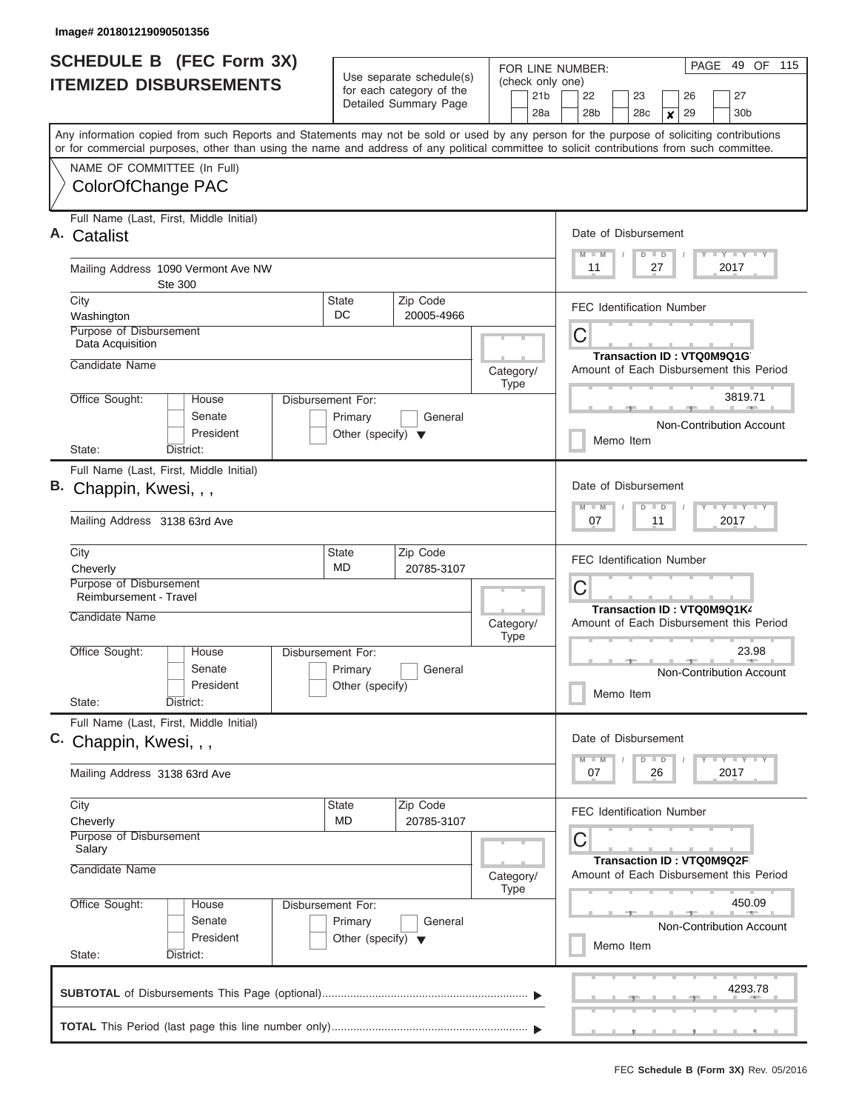| <b>SCHEDULE B</b> (FEC Form 3X)<br><b>ITEMIZED DISBURSEMENTS</b>                                                                                                                                                                                                                        |                                                                      | Use separate schedule(s)                          | FOR LINE NUMBER:<br>(check only one) | 49 OF 115<br>PAGE                                                                           |
|-----------------------------------------------------------------------------------------------------------------------------------------------------------------------------------------------------------------------------------------------------------------------------------------|----------------------------------------------------------------------|---------------------------------------------------|--------------------------------------|---------------------------------------------------------------------------------------------|
|                                                                                                                                                                                                                                                                                         |                                                                      | for each category of the<br>Detailed Summary Page | 21 <sub>b</sub><br>28a               | 22<br>27<br>23<br>26<br>28 <sub>b</sub><br>30 <sub>b</sub><br>28c<br>29<br>$\boldsymbol{x}$ |
| Any information copied from such Reports and Statements may not be sold or used by any person for the purpose of soliciting contributions<br>or for commercial purposes, other than using the name and address of any political committee to solicit contributions from such committee. |                                                                      |                                                   |                                      |                                                                                             |
| NAME OF COMMITTEE (In Full)<br>ColorOfChange PAC                                                                                                                                                                                                                                        |                                                                      |                                                   |                                      |                                                                                             |
| Full Name (Last, First, Middle Initial)<br>Catalist                                                                                                                                                                                                                                     |                                                                      |                                                   |                                      | Date of Disbursement<br>Y FY FY FY<br>$M - M$<br>$D$ $D$                                    |
| Mailing Address 1090 Vermont Ave NW<br>Ste 300                                                                                                                                                                                                                                          |                                                                      |                                                   |                                      | 2017<br>11<br>27                                                                            |
| City<br>Washington                                                                                                                                                                                                                                                                      | <b>State</b><br>DC.                                                  | Zip Code<br>20005-4966                            |                                      | <b>FEC Identification Number</b>                                                            |
| Purpose of Disbursement<br>Data Acquisition<br>Candidate Name                                                                                                                                                                                                                           |                                                                      |                                                   | Category/                            | C<br>Transaction ID: VTQ0M9Q1G<br>Amount of Each Disbursement this Period                   |
| Office Sought:<br>House<br>Senate                                                                                                                                                                                                                                                       | Disbursement For:<br>Primary                                         | General                                           | <b>Type</b>                          | 3819.71<br>Non-Contribution Account                                                         |
| President<br>State:<br>District:                                                                                                                                                                                                                                                        | Other (specify) $\blacktriangledown$                                 |                                                   |                                      | Memo Item                                                                                   |
| Full Name (Last, First, Middle Initial)<br>В.<br>Chappin, Kwesi, , ,<br>Mailing Address 3138 63rd Ave                                                                                                                                                                                   |                                                                      |                                                   |                                      | Date of Disbursement<br>Y FY FY FY<br>$M - M$<br>$D$ $D$<br>2017<br>07<br>11                |
|                                                                                                                                                                                                                                                                                         |                                                                      |                                                   |                                      |                                                                                             |
| City<br>Cheverly                                                                                                                                                                                                                                                                        | State<br>MD                                                          | Zip Code<br>20785-3107                            |                                      | <b>FEC Identification Number</b>                                                            |
| Purpose of Disbursement<br>Reimbursement - Travel<br>Candidate Name                                                                                                                                                                                                                     |                                                                      |                                                   | Category/                            | C<br>Transaction ID: VTQ0M9Q1K4<br>Amount of Each Disbursement this Period                  |
| Office Sought:<br>House<br>Senate<br>President<br>State:<br>District:                                                                                                                                                                                                                   | Disbursement For:<br>Primary<br>Other (specify)                      | General                                           | <b>Type</b>                          | 23.98<br>Non-Contribution Account<br>Memo Item                                              |
| Full Name (Last, First, Middle Initial)<br>C. Chappin, Kwesi, , ,                                                                                                                                                                                                                       |                                                                      |                                                   |                                      | Date of Disbursement<br>$Y$ $Y$ $Y$ $Y$ $Y$ $Y$<br>$M - M$<br>$D$ $D$                       |
| Mailing Address 3138 63rd Ave                                                                                                                                                                                                                                                           |                                                                      |                                                   |                                      | 2017<br>07<br>26                                                                            |
| City<br>Cheverly<br>Purpose of Disbursement<br>Salary                                                                                                                                                                                                                                   | State<br>MD                                                          | Zip Code<br>20785-3107                            |                                      | <b>FEC Identification Number</b><br>С<br><b>Transaction ID: VTQ0M9Q2F</b>                   |
| Candidate Name                                                                                                                                                                                                                                                                          |                                                                      |                                                   | Category/<br><b>Type</b>             | Amount of Each Disbursement this Period                                                     |
| Office Sought:<br>House<br>Senate<br>President<br>State:<br>District:                                                                                                                                                                                                                   | Disbursement For:<br>Primary<br>Other (specify) $\blacktriangledown$ | General                                           |                                      | 450.09<br>Non-Contribution Account<br>Memo Item                                             |
|                                                                                                                                                                                                                                                                                         |                                                                      |                                                   |                                      | 4293.78                                                                                     |
|                                                                                                                                                                                                                                                                                         |                                                                      |                                                   |                                      |                                                                                             |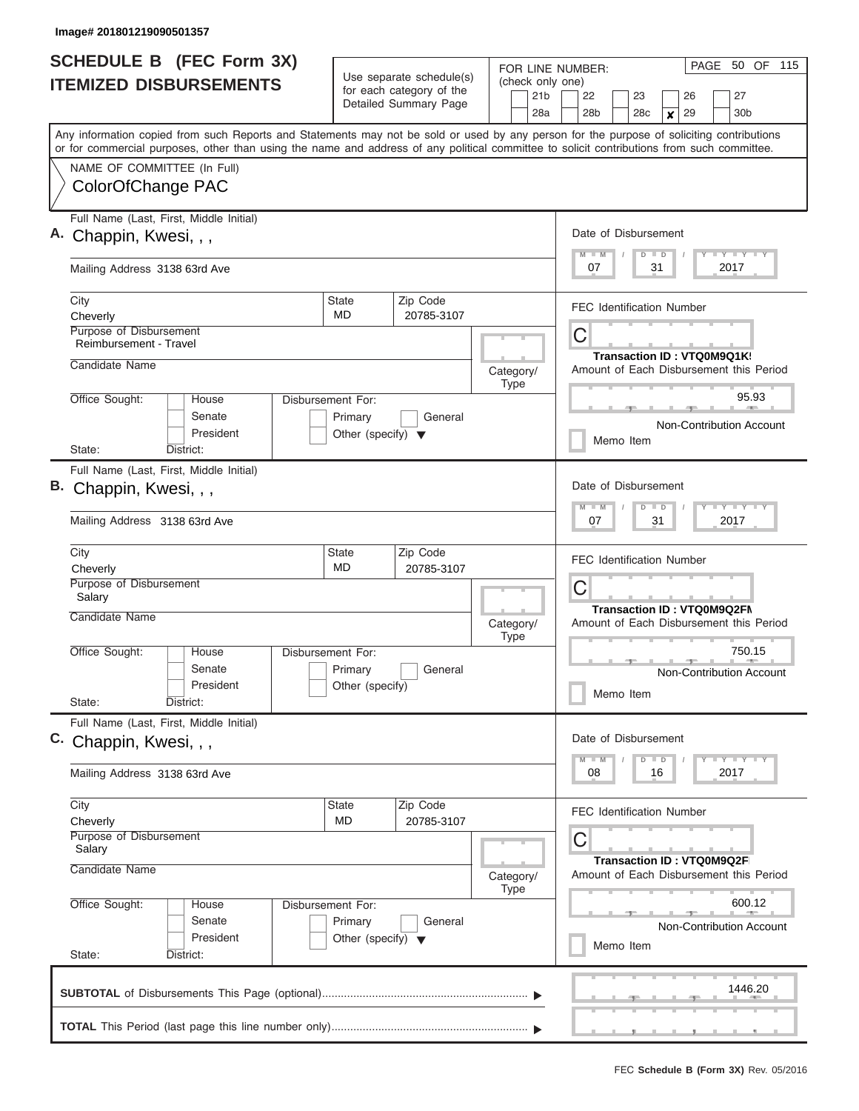| <b>SCHEDULE B (FEC Form 3X)</b><br><b>ITEMIZED DISBURSEMENTS</b>                                                                                                                                                                                                                        |                                                                      | Use separate schedule(s)<br>for each category of the | FOR LINE NUMBER:<br>(check only one)<br>21 <sub>b</sub> | 50 OF 115<br>PAGE<br>22<br>23<br>26<br>27                                    |
|-----------------------------------------------------------------------------------------------------------------------------------------------------------------------------------------------------------------------------------------------------------------------------------------|----------------------------------------------------------------------|------------------------------------------------------|---------------------------------------------------------|------------------------------------------------------------------------------|
|                                                                                                                                                                                                                                                                                         |                                                                      | Detailed Summary Page                                | 28a                                                     | 29<br>28 <sub>b</sub><br>28c<br>30 <sub>b</sub><br>X                         |
| Any information copied from such Reports and Statements may not be sold or used by any person for the purpose of soliciting contributions<br>or for commercial purposes, other than using the name and address of any political committee to solicit contributions from such committee. |                                                                      |                                                      |                                                         |                                                                              |
| NAME OF COMMITTEE (In Full)<br>ColorOfChange PAC                                                                                                                                                                                                                                        |                                                                      |                                                      |                                                         |                                                                              |
| Full Name (Last, First, Middle Initial)<br>A. Chappin, Kwesi, , ,                                                                                                                                                                                                                       |                                                                      |                                                      |                                                         | Date of Disbursement<br>Y L Y L Y L Y<br>$M$ $M$<br>$D$ $D$                  |
| Mailing Address 3138 63rd Ave                                                                                                                                                                                                                                                           |                                                                      |                                                      |                                                         | 07<br>31<br>2017                                                             |
| City<br>Cheverly                                                                                                                                                                                                                                                                        | <b>State</b><br>MD                                                   | Zip Code<br>20785-3107                               |                                                         | <b>FEC Identification Number</b>                                             |
| Purpose of Disbursement<br>Reimbursement - Travel<br>Candidate Name                                                                                                                                                                                                                     |                                                                      |                                                      |                                                         | C<br>Transaction ID: VTQ0M9Q1K                                               |
| Office Sought:<br>House                                                                                                                                                                                                                                                                 | Disbursement For:                                                    |                                                      | Category/<br><b>Type</b>                                | Amount of Each Disbursement this Period<br>95.93                             |
| Senate<br>President                                                                                                                                                                                                                                                                     | Primary<br>Other (specify) $\blacktriangledown$                      | General                                              |                                                         | Non-Contribution Account<br>Memo Item                                        |
| State:<br>District:                                                                                                                                                                                                                                                                     |                                                                      |                                                      |                                                         |                                                                              |
| Full Name (Last, First, Middle Initial)<br>B. Chappin, Kwesi, , ,<br>Mailing Address 3138 63rd Ave                                                                                                                                                                                      |                                                                      |                                                      |                                                         | Date of Disbursement<br>Y FY FY FY<br>$M - M$<br>$D$ $D$<br>07<br>31<br>2017 |
| City<br>Cheverly                                                                                                                                                                                                                                                                        | <b>State</b><br>MD                                                   | Zip Code<br>20785-3107                               |                                                         | <b>FEC Identification Number</b>                                             |
| Purpose of Disbursement<br>Salary                                                                                                                                                                                                                                                       |                                                                      |                                                      |                                                         | С<br>Transaction ID: VTQ0M9Q2FN                                              |
| Candidate Name                                                                                                                                                                                                                                                                          |                                                                      |                                                      | Category/<br><b>Type</b>                                | Amount of Each Disbursement this Period                                      |
| Office Sought:<br>House<br>Senate<br>President<br>State:<br>District:                                                                                                                                                                                                                   | Disbursement For:<br>Primary<br>Other (specify)                      | General                                              |                                                         | 750.15<br>Non-Contribution Account<br>Memo Item                              |
| Full Name (Last, First, Middle Initial)<br>C. Chappin, Kwesi, , ,                                                                                                                                                                                                                       |                                                                      |                                                      |                                                         | Date of Disbursement<br>$Y$ $Y$ $Y$ $Y$ $Y$<br>$M$ $M$<br>$D$ $D$            |
| Mailing Address 3138 63rd Ave                                                                                                                                                                                                                                                           |                                                                      |                                                      |                                                         | 2017<br>08<br>16                                                             |
| City<br>Cheverly                                                                                                                                                                                                                                                                        | State<br><b>MD</b>                                                   | Zip Code<br>20785-3107                               |                                                         | <b>FEC Identification Number</b>                                             |
| <b>Purpose of Disbursement</b><br>Salary<br>Candidate Name                                                                                                                                                                                                                              |                                                                      |                                                      | Category/                                               | С<br>Transaction ID: VTQ0M9Q2F<br>Amount of Each Disbursement this Period    |
| Office Sought:<br>House<br>Senate<br>President                                                                                                                                                                                                                                          | Disbursement For:<br>Primary<br>Other (specify) $\blacktriangledown$ | General                                              | <b>Type</b>                                             | 600.12<br>Non-Contribution Account<br>Memo Item                              |
| State:<br>District:                                                                                                                                                                                                                                                                     |                                                                      |                                                      |                                                         |                                                                              |
|                                                                                                                                                                                                                                                                                         |                                                                      |                                                      |                                                         | 1446.20                                                                      |
|                                                                                                                                                                                                                                                                                         |                                                                      |                                                      |                                                         |                                                                              |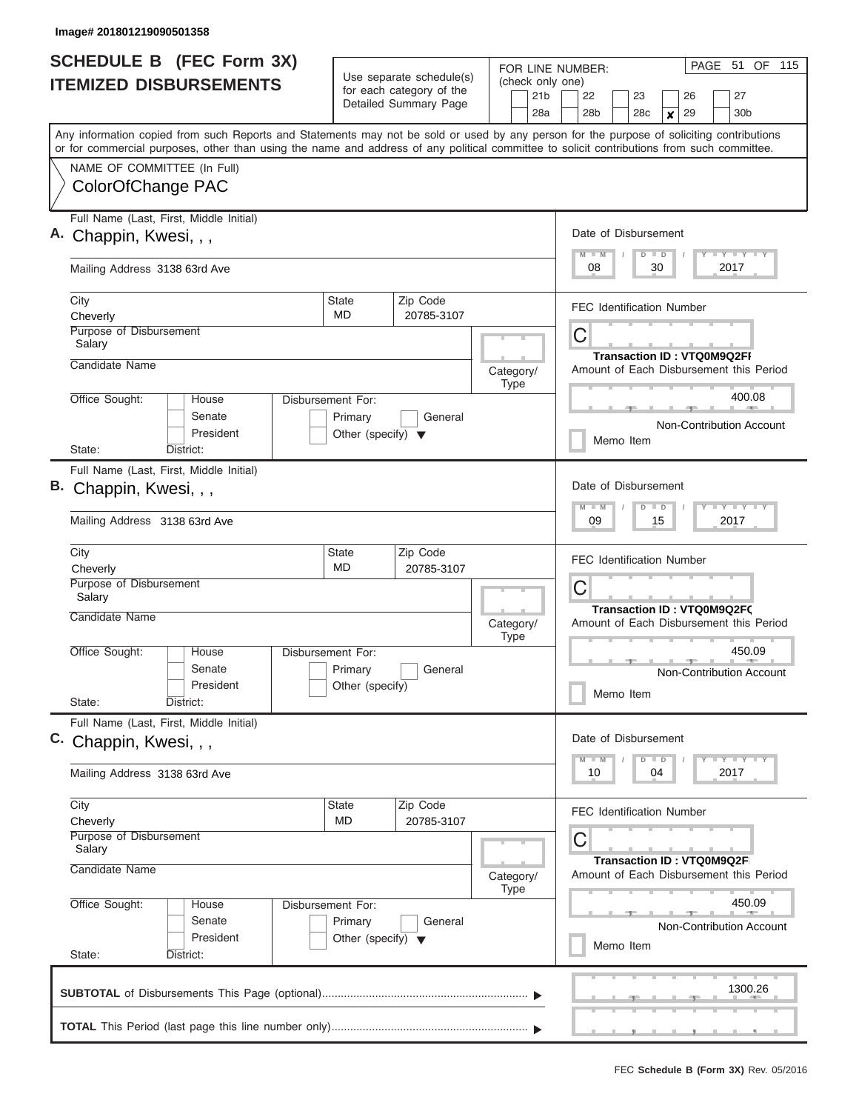| <b>SCHEDULE B (FEC Form 3X)</b><br><b>ITEMIZED DISBURSEMENTS</b>                                                                                                                                                                                                                                                                            |                                                                      | Use separate schedule(s)<br>for each category of the<br>Detailed Summary Page | FOR LINE NUMBER:<br>(check only one)<br>21 <sub>b</sub><br>28a | 51 OF 115<br>PAGE<br>27<br>22<br>23<br>26<br>29<br>28 <sub>b</sub><br>28c<br>30 <sub>b</sub><br>× |
|---------------------------------------------------------------------------------------------------------------------------------------------------------------------------------------------------------------------------------------------------------------------------------------------------------------------------------------------|----------------------------------------------------------------------|-------------------------------------------------------------------------------|----------------------------------------------------------------|---------------------------------------------------------------------------------------------------|
| Any information copied from such Reports and Statements may not be sold or used by any person for the purpose of soliciting contributions<br>or for commercial purposes, other than using the name and address of any political committee to solicit contributions from such committee.<br>NAME OF COMMITTEE (In Full)<br>ColorOfChange PAC |                                                                      |                                                                               |                                                                |                                                                                                   |
| Full Name (Last, First, Middle Initial)<br>A. Chappin, Kwesi, , ,                                                                                                                                                                                                                                                                           |                                                                      |                                                                               |                                                                | Date of Disbursement<br>Y LY LY LY<br>$M$ $M$<br>$D$ $D$                                          |
| Mailing Address 3138 63rd Ave<br>City                                                                                                                                                                                                                                                                                                       | <b>State</b>                                                         | Zip Code                                                                      |                                                                | 08<br>2017<br>30<br><b>FEC Identification Number</b>                                              |
| Cheverly<br>Purpose of Disbursement<br>Salary<br>Candidate Name                                                                                                                                                                                                                                                                             | <b>MD</b>                                                            | 20785-3107                                                                    | Category/                                                      | C<br><b>Transaction ID: VTQ0M9Q2FI</b><br>Amount of Each Disbursement this Period                 |
| Office Sought:<br>House<br>Senate<br>President<br>District:<br>State:                                                                                                                                                                                                                                                                       | Disbursement For:<br>Primary<br>Other (specify) $\blacktriangledown$ | General                                                                       | <b>Type</b>                                                    | 400.08<br><b>Non-Contribution Account</b><br>Memo Item                                            |
| Full Name (Last, First, Middle Initial)<br>B. Chappin, Kwesi, , ,<br>Mailing Address 3138 63rd Ave                                                                                                                                                                                                                                          |                                                                      |                                                                               |                                                                | Date of Disbursement<br>Y FY FY FY<br>$M - M$<br>$D$ $D$<br>09<br>15<br>2017                      |
| City<br>Cheverly<br>Purpose of Disbursement<br>Salary<br>Candidate Name                                                                                                                                                                                                                                                                     | State<br>MD                                                          | Zip Code<br>20785-3107                                                        |                                                                | <b>FEC Identification Number</b><br>C<br><b>Transaction ID: VTQ0M9Q2FC</b>                        |
| Office Sought:<br>House<br>Senate<br>President<br>State:<br>District:                                                                                                                                                                                                                                                                       | Disbursement For:<br>Primary<br>Other (specify)                      | General                                                                       | Category/<br><b>Type</b>                                       | Amount of Each Disbursement this Period<br>450.09<br>Non-Contribution Account<br>Memo Item        |
| Full Name (Last, First, Middle Initial)<br>C. Chappin, Kwesi, , ,<br>Mailing Address 3138 63rd Ave                                                                                                                                                                                                                                          |                                                                      |                                                                               |                                                                | Date of Disbursement<br>$Y$ $Y$ $Y$ $Y$ $Y$ $Y$<br>$M$ $M$<br>$D$ $D$<br>2017<br>10<br>04         |
| City<br>Cheverly<br>Purpose of Disbursement<br>Salary                                                                                                                                                                                                                                                                                       | State<br>MD                                                          | Zip Code<br>20785-3107                                                        |                                                                | <b>FEC Identification Number</b><br>С<br>Transaction ID: VTQ0M9Q2F                                |
| Candidate Name<br>Office Sought:<br>House<br>Senate<br>President<br>State:<br>District:                                                                                                                                                                                                                                                     | Disbursement For:<br>Primary<br>Other (specify) $\blacktriangledown$ | General                                                                       | Category/<br><b>Type</b>                                       | Amount of Each Disbursement this Period<br>450.09<br>Non-Contribution Account<br>Memo Item        |
|                                                                                                                                                                                                                                                                                                                                             |                                                                      |                                                                               |                                                                | 1300.26                                                                                           |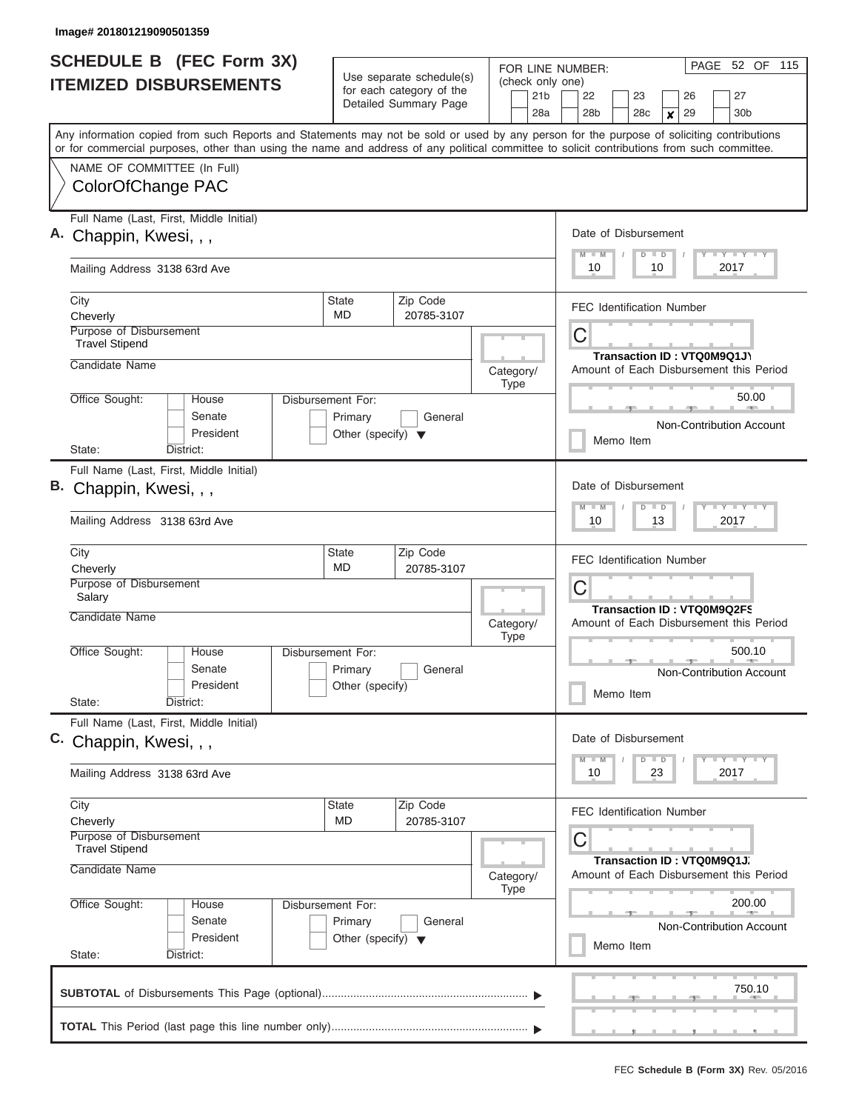| <b>SCHEDULE B (FEC Form 3X)</b><br><b>ITEMIZED DISBURSEMENTS</b>                                                                           |                                                 | Use separate schedule(s)<br>for each category of the<br>Detailed Summary Page | FOR LINE NUMBER:<br>(check only one)<br>21 <sub>b</sub> | PAGE 52 OF<br>115<br>27<br>22<br>23<br>26                |
|--------------------------------------------------------------------------------------------------------------------------------------------|-------------------------------------------------|-------------------------------------------------------------------------------|---------------------------------------------------------|----------------------------------------------------------|
| Any information copied from such Reports and Statements may not be sold or used by any person for the purpose of soliciting contributions  |                                                 |                                                                               | 28a                                                     | 29<br>28 <sub>b</sub><br>28c<br>30 <sub>b</sub><br>X     |
| or for commercial purposes, other than using the name and address of any political committee to solicit contributions from such committee. |                                                 |                                                                               |                                                         |                                                          |
| NAME OF COMMITTEE (In Full)                                                                                                                |                                                 |                                                                               |                                                         |                                                          |
| ColorOfChange PAC                                                                                                                          |                                                 |                                                                               |                                                         |                                                          |
| Full Name (Last, First, Middle Initial)                                                                                                    |                                                 |                                                                               |                                                         |                                                          |
| A. Chappin, Kwesi, , ,                                                                                                                     |                                                 |                                                                               |                                                         | Date of Disbursement                                     |
| Mailing Address 3138 63rd Ave                                                                                                              |                                                 |                                                                               |                                                         | Y LY LY LY<br>$M$ $M$<br>$D$ $D$<br>10<br>10<br>2017     |
| City<br>Cheverly                                                                                                                           | <b>State</b><br><b>MD</b>                       | Zip Code<br>20785-3107                                                        |                                                         | <b>FEC Identification Number</b>                         |
| Purpose of Disbursement<br><b>Travel Stipend</b>                                                                                           |                                                 |                                                                               |                                                         | C                                                        |
| Candidate Name                                                                                                                             |                                                 |                                                                               |                                                         | Transaction ID: VTQ0M9Q1J\                               |
|                                                                                                                                            |                                                 |                                                                               | Category/<br><b>Type</b>                                | Amount of Each Disbursement this Period                  |
| Office Sought:<br><b>House</b>                                                                                                             | Disbursement For:                               |                                                                               |                                                         | 50.00                                                    |
| Senate<br>President                                                                                                                        | Primary<br>Other (specify) $\blacktriangledown$ | General                                                                       |                                                         | Non-Contribution Account                                 |
| State:<br>District:                                                                                                                        |                                                 |                                                                               |                                                         | Memo Item                                                |
| Full Name (Last, First, Middle Initial)                                                                                                    |                                                 |                                                                               |                                                         |                                                          |
| B. Chappin, Kwesi, , ,                                                                                                                     |                                                 |                                                                               |                                                         | Date of Disbursement                                     |
| Mailing Address 3138 63rd Ave                                                                                                              |                                                 |                                                                               |                                                         | Y FY FY FY<br>$M - M$<br>$D$ $D$<br>10<br>13<br>2017     |
| City<br>Cheverly                                                                                                                           | State<br>MD                                     | Zip Code<br>20785-3107                                                        |                                                         | <b>FEC Identification Number</b>                         |
| Purpose of Disbursement<br>Salary                                                                                                          |                                                 |                                                                               |                                                         | C<br><b>Transaction ID: VTQ0M9Q2FS</b>                   |
| Candidate Name                                                                                                                             |                                                 |                                                                               | Category/<br><b>Type</b>                                | Amount of Each Disbursement this Period                  |
| Office Sought:<br>House<br>Senate<br>President<br>State:<br>District:                                                                      | Disbursement For:<br>Primary<br>Other (specify) | General                                                                       |                                                         | 500.10<br>Non-Contribution Account<br>Memo Item          |
| Full Name (Last, First, Middle Initial)                                                                                                    |                                                 |                                                                               |                                                         |                                                          |
| C. Chappin, Kwesi, , ,                                                                                                                     |                                                 |                                                                               |                                                         | Date of Disbursement<br>Y LY LY LY<br>$M$ $M$<br>$D$ $D$ |
| Mailing Address 3138 63rd Ave                                                                                                              |                                                 |                                                                               |                                                         | 2017<br>10<br>23                                         |
| City                                                                                                                                       | State                                           | Zip Code                                                                      |                                                         | <b>FEC Identification Number</b>                         |
| Cheverly<br>Purpose of Disbursement                                                                                                        | MD.                                             | 20785-3107                                                                    |                                                         | С                                                        |
| <b>Travel Stipend</b>                                                                                                                      |                                                 |                                                                               |                                                         | Transaction ID: VTQ0M9Q1J.                               |
| Candidate Name                                                                                                                             |                                                 |                                                                               | Category/                                               | Amount of Each Disbursement this Period                  |
| Office Sought:<br>House                                                                                                                    | Disbursement For:                               |                                                                               | <b>Type</b>                                             | 200.00                                                   |
| Senate                                                                                                                                     | Primary                                         | General                                                                       |                                                         | Non-Contribution Account                                 |
| President                                                                                                                                  | Other (specify) $\blacktriangledown$            |                                                                               |                                                         | Memo Item                                                |
| State:<br>District:                                                                                                                        |                                                 |                                                                               |                                                         |                                                          |
|                                                                                                                                            |                                                 |                                                                               |                                                         | 750.10                                                   |
|                                                                                                                                            |                                                 |                                                                               |                                                         |                                                          |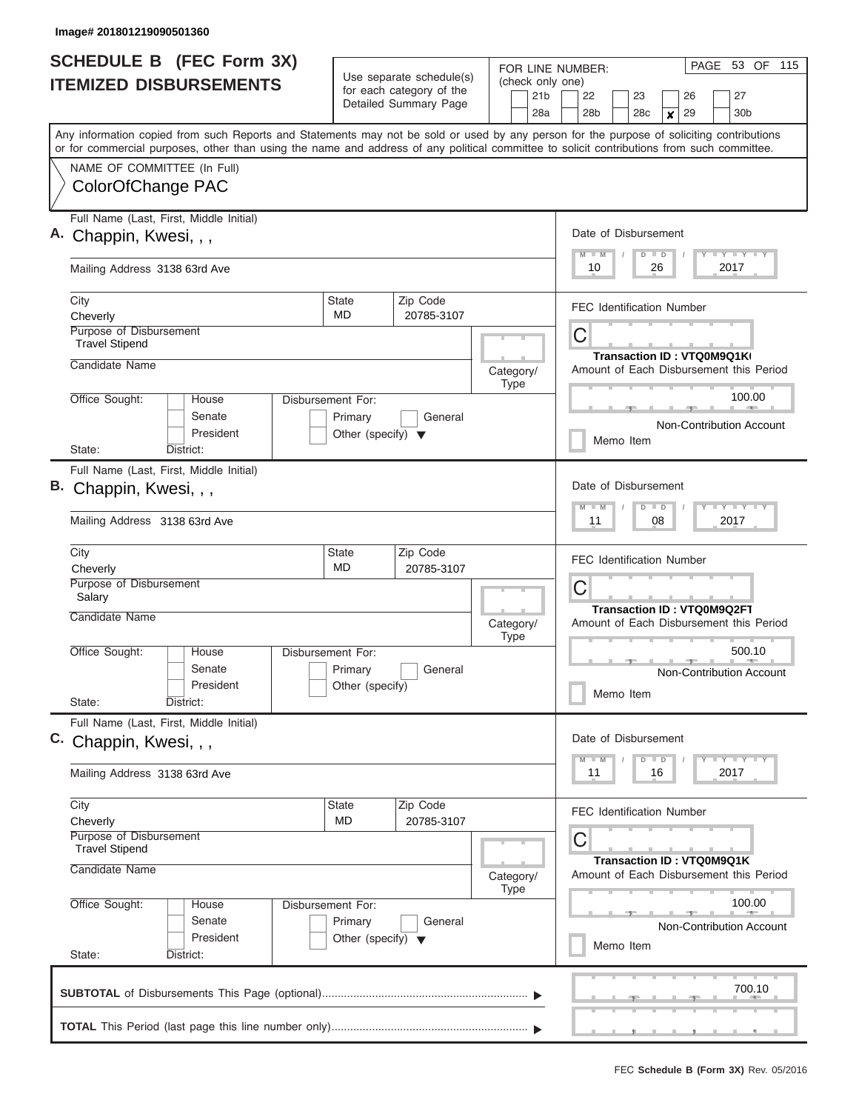| <b>SCHEDULE B (FEC Form 3X)</b><br><b>ITEMIZED DISBURSEMENTS</b>                                                                                                                                                                                                                        |                                      | Use separate schedule(s)<br>for each category of the<br>Detailed Summary Page | FOR LINE NUMBER:<br>(check only one)<br>21 <sub>b</sub> | PAGE 53 OF<br>115<br>27<br>22<br>23<br>26                             |  |  |  |  |  |  |
|-----------------------------------------------------------------------------------------------------------------------------------------------------------------------------------------------------------------------------------------------------------------------------------------|--------------------------------------|-------------------------------------------------------------------------------|---------------------------------------------------------|-----------------------------------------------------------------------|--|--|--|--|--|--|
|                                                                                                                                                                                                                                                                                         |                                      |                                                                               | 28a                                                     | 29<br>28 <sub>b</sub><br>28c<br>30 <sub>b</sub><br>X                  |  |  |  |  |  |  |
| Any information copied from such Reports and Statements may not be sold or used by any person for the purpose of soliciting contributions<br>or for commercial purposes, other than using the name and address of any political committee to solicit contributions from such committee. |                                      |                                                                               |                                                         |                                                                       |  |  |  |  |  |  |
| NAME OF COMMITTEE (In Full)                                                                                                                                                                                                                                                             |                                      |                                                                               |                                                         |                                                                       |  |  |  |  |  |  |
| ColorOfChange PAC                                                                                                                                                                                                                                                                       |                                      |                                                                               |                                                         |                                                                       |  |  |  |  |  |  |
| Full Name (Last, First, Middle Initial)                                                                                                                                                                                                                                                 |                                      |                                                                               |                                                         |                                                                       |  |  |  |  |  |  |
| A. Chappin, Kwesi, , ,                                                                                                                                                                                                                                                                  |                                      |                                                                               |                                                         | Date of Disbursement                                                  |  |  |  |  |  |  |
| Mailing Address 3138 63rd Ave                                                                                                                                                                                                                                                           |                                      |                                                                               |                                                         | Y LY LY LY<br>$M$ $M$<br>$D$ $D$<br>10<br>26<br>2017                  |  |  |  |  |  |  |
| City<br>Cheverly                                                                                                                                                                                                                                                                        | <b>State</b><br><b>MD</b>            | Zip Code<br>20785-3107                                                        |                                                         | <b>FEC Identification Number</b>                                      |  |  |  |  |  |  |
| Purpose of Disbursement<br><b>Travel Stipend</b>                                                                                                                                                                                                                                        |                                      |                                                                               |                                                         | C                                                                     |  |  |  |  |  |  |
| Candidate Name                                                                                                                                                                                                                                                                          |                                      |                                                                               |                                                         | Transaction ID: VTQ0M9Q1KI<br>Amount of Each Disbursement this Period |  |  |  |  |  |  |
|                                                                                                                                                                                                                                                                                         |                                      |                                                                               | Category/<br><b>Type</b>                                |                                                                       |  |  |  |  |  |  |
| Office Sought:<br><b>House</b><br>Senate                                                                                                                                                                                                                                                | Disbursement For:<br>Primary         | General                                                                       |                                                         | 100.00                                                                |  |  |  |  |  |  |
| President                                                                                                                                                                                                                                                                               | Other (specify) $\blacktriangledown$ |                                                                               |                                                         | Non-Contribution Account<br>Memo Item                                 |  |  |  |  |  |  |
| State:<br>District:                                                                                                                                                                                                                                                                     |                                      |                                                                               |                                                         |                                                                       |  |  |  |  |  |  |
| Full Name (Last, First, Middle Initial)                                                                                                                                                                                                                                                 |                                      |                                                                               |                                                         |                                                                       |  |  |  |  |  |  |
| B. Chappin, Kwesi, , ,                                                                                                                                                                                                                                                                  |                                      |                                                                               |                                                         | Date of Disbursement<br>Y FY FY FY<br>$M - M$<br>$D$ $D$              |  |  |  |  |  |  |
| Mailing Address 3138 63rd Ave                                                                                                                                                                                                                                                           |                                      |                                                                               |                                                         | 08<br>11<br>2017                                                      |  |  |  |  |  |  |
| City                                                                                                                                                                                                                                                                                    | State<br>MD                          | Zip Code                                                                      |                                                         | <b>FEC Identification Number</b>                                      |  |  |  |  |  |  |
| Cheverly<br>Purpose of Disbursement                                                                                                                                                                                                                                                     |                                      | 20785-3107                                                                    |                                                         | C                                                                     |  |  |  |  |  |  |
| Salary                                                                                                                                                                                                                                                                                  |                                      |                                                                               |                                                         | <b>Transaction ID: VTQ0M9Q2FT</b>                                     |  |  |  |  |  |  |
| Candidate Name                                                                                                                                                                                                                                                                          |                                      |                                                                               | Category/<br><b>Type</b>                                | Amount of Each Disbursement this Period                               |  |  |  |  |  |  |
| Office Sought:<br>House                                                                                                                                                                                                                                                                 | Disbursement For:                    |                                                                               |                                                         | 500.10                                                                |  |  |  |  |  |  |
| Senate                                                                                                                                                                                                                                                                                  | Primary                              | General                                                                       |                                                         | Non-Contribution Account                                              |  |  |  |  |  |  |
| President<br>State:<br>District:                                                                                                                                                                                                                                                        | Other (specify)                      |                                                                               |                                                         | Memo Item                                                             |  |  |  |  |  |  |
| Full Name (Last, First, Middle Initial)                                                                                                                                                                                                                                                 |                                      |                                                                               |                                                         |                                                                       |  |  |  |  |  |  |
| C. Chappin, Kwesi, , ,                                                                                                                                                                                                                                                                  |                                      |                                                                               |                                                         | Date of Disbursement                                                  |  |  |  |  |  |  |
| Mailing Address 3138 63rd Ave                                                                                                                                                                                                                                                           |                                      |                                                                               |                                                         | Y LY LY LY<br>$M$ $M$<br>$D$ $D$<br>2017<br>11<br>16                  |  |  |  |  |  |  |
| City                                                                                                                                                                                                                                                                                    | State                                | Zip Code                                                                      |                                                         | <b>FEC Identification Number</b>                                      |  |  |  |  |  |  |
| Cheverly<br>Purpose of Disbursement                                                                                                                                                                                                                                                     | MD.                                  | 20785-3107                                                                    |                                                         |                                                                       |  |  |  |  |  |  |
| <b>Travel Stipend</b>                                                                                                                                                                                                                                                                   |                                      |                                                                               |                                                         | С                                                                     |  |  |  |  |  |  |
| Candidate Name                                                                                                                                                                                                                                                                          |                                      |                                                                               | Category/                                               | Transaction ID: VTQ0M9Q1K<br>Amount of Each Disbursement this Period  |  |  |  |  |  |  |
| Office Sought:<br>House                                                                                                                                                                                                                                                                 | Disbursement For:                    |                                                                               | <b>Type</b>                                             | 100.00                                                                |  |  |  |  |  |  |
| Senate                                                                                                                                                                                                                                                                                  | Primary                              | General                                                                       |                                                         | Non-Contribution Account                                              |  |  |  |  |  |  |
| President                                                                                                                                                                                                                                                                               | Other (specify) $\blacktriangledown$ |                                                                               |                                                         | Memo Item                                                             |  |  |  |  |  |  |
| State:<br>District:                                                                                                                                                                                                                                                                     |                                      |                                                                               |                                                         |                                                                       |  |  |  |  |  |  |
|                                                                                                                                                                                                                                                                                         |                                      |                                                                               |                                                         | 700.10                                                                |  |  |  |  |  |  |
|                                                                                                                                                                                                                                                                                         |                                      |                                                                               |                                                         |                                                                       |  |  |  |  |  |  |
|                                                                                                                                                                                                                                                                                         |                                      |                                                                               |                                                         |                                                                       |  |  |  |  |  |  |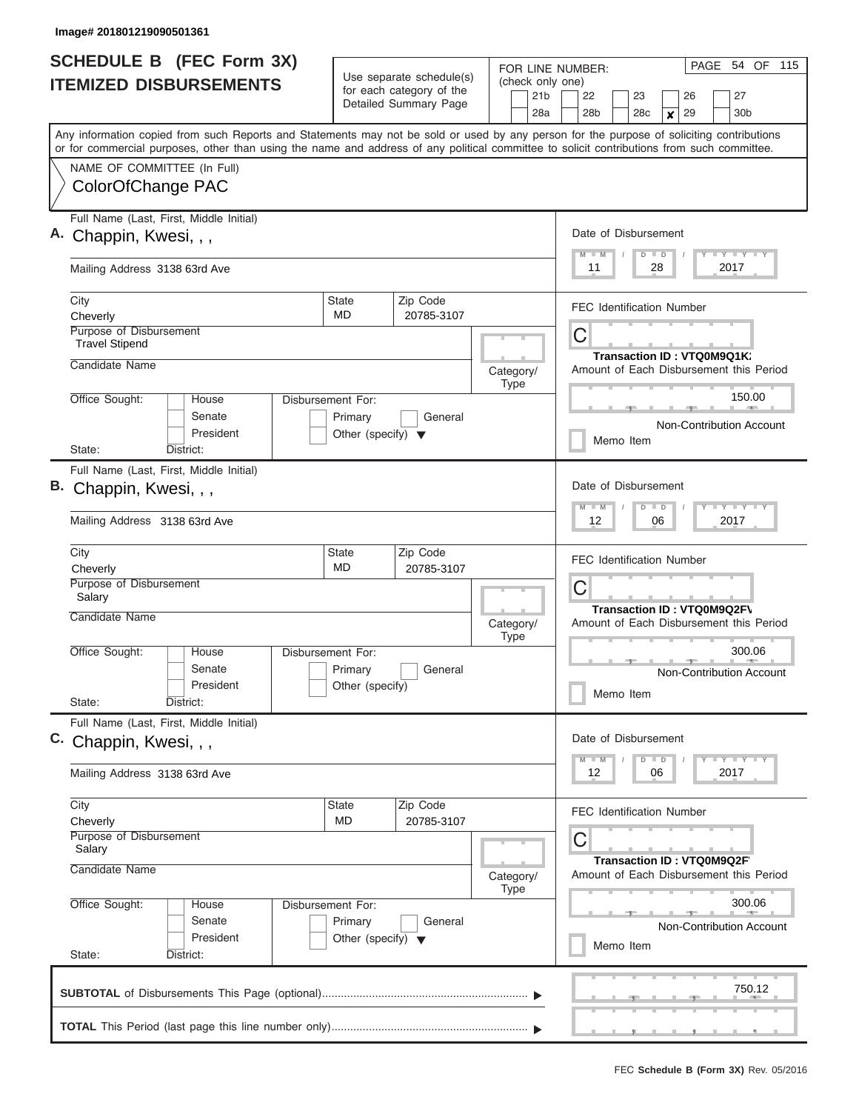| <b>SCHEDULE B</b> (FEC Form 3X)                                                                                                            |                                                 |                                                      | FOR LINE NUMBER:         | PAGE 54 OF 115                                                                            |
|--------------------------------------------------------------------------------------------------------------------------------------------|-------------------------------------------------|------------------------------------------------------|--------------------------|-------------------------------------------------------------------------------------------|
| <b>ITEMIZED DISBURSEMENTS</b>                                                                                                              |                                                 | Use separate schedule(s)<br>for each category of the | (check only one)         |                                                                                           |
|                                                                                                                                            |                                                 | Detailed Summary Page                                | 21 <sub>b</sub><br>28a   | 22<br>27<br>23<br>26<br>28 <sub>b</sub><br>29<br>30 <sub>b</sub><br>28c<br>$\pmb{\times}$ |
| Any information copied from such Reports and Statements may not be sold or used by any person for the purpose of soliciting contributions  |                                                 |                                                      |                          |                                                                                           |
| or for commercial purposes, other than using the name and address of any political committee to solicit contributions from such committee. |                                                 |                                                      |                          |                                                                                           |
| NAME OF COMMITTEE (In Full)                                                                                                                |                                                 |                                                      |                          |                                                                                           |
| ColorOfChange PAC                                                                                                                          |                                                 |                                                      |                          |                                                                                           |
| Full Name (Last, First, Middle Initial)                                                                                                    |                                                 |                                                      |                          | Date of Disbursement                                                                      |
| A. Chappin, Kwesi, , ,                                                                                                                     |                                                 |                                                      |                          | Y I Y I Y I Y<br>$D$ $D$<br>$M$ $M$                                                       |
| Mailing Address 3138 63rd Ave                                                                                                              |                                                 |                                                      |                          | 2017<br>11<br>28                                                                          |
| City                                                                                                                                       | State<br><b>MD</b>                              | Zip Code                                             |                          | <b>FEC Identification Number</b>                                                          |
| Cheverly<br>Purpose of Disbursement                                                                                                        |                                                 | 20785-3107                                           |                          | C                                                                                         |
| <b>Travel Stipend</b>                                                                                                                      |                                                 |                                                      |                          | Transaction ID: VTQ0M9Q1K:                                                                |
| Candidate Name                                                                                                                             |                                                 |                                                      | Category/<br><b>Type</b> | Amount of Each Disbursement this Period                                                   |
| Office Sought:<br>House                                                                                                                    | Disbursement For:                               |                                                      |                          | 150.00<br><b>Burnett</b>                                                                  |
| Senate<br>President                                                                                                                        | Primary<br>Other (specify) $\blacktriangledown$ | General                                              |                          | Non-Contribution Account                                                                  |
| State:<br>District:                                                                                                                        |                                                 |                                                      |                          | Memo Item                                                                                 |
| Full Name (Last, First, Middle Initial)                                                                                                    |                                                 |                                                      |                          |                                                                                           |
| B. Chappin, Kwesi, , ,                                                                                                                     |                                                 |                                                      |                          | Date of Disbursement<br>$Y - Y - Y - Y - I - Y$<br>$M - M$<br>$D$ $D$                     |
| Mailing Address 3138 63rd Ave                                                                                                              |                                                 |                                                      |                          | 2017<br>12<br>06                                                                          |
| City                                                                                                                                       | State                                           | Zip Code                                             |                          | <b>FEC Identification Number</b>                                                          |
| Cheverly<br>Purpose of Disbursement                                                                                                        | <b>MD</b>                                       | 20785-3107                                           |                          | C                                                                                         |
| Salary                                                                                                                                     |                                                 |                                                      |                          | <b>Transaction ID: VTQ0M9Q2FV</b>                                                         |
| Candidate Name                                                                                                                             |                                                 |                                                      | Category/<br><b>Type</b> | Amount of Each Disbursement this Period                                                   |
| Office Sought:<br>House                                                                                                                    | Disbursement For:                               |                                                      |                          | 300.06                                                                                    |
| Senate                                                                                                                                     | Primary                                         | General                                              |                          | Non-Contribution Account                                                                  |
| President<br>State:<br>District:                                                                                                           | Other (specify)                                 |                                                      |                          | Memo Item                                                                                 |
| Full Name (Last, First, Middle Initial)                                                                                                    |                                                 |                                                      |                          | Date of Disbursement                                                                      |
| C. Chappin, Kwesi, , ,                                                                                                                     |                                                 |                                                      |                          | $Y$ $Y$ $Y$ $Y$ $Y$ $Y$<br>$D$ $D$<br>$M$ $M$                                             |
| Mailing Address 3138 63rd Ave                                                                                                              |                                                 |                                                      |                          | 2017<br>12<br>06                                                                          |
| City                                                                                                                                       | State                                           | Zip Code                                             |                          | <b>FEC Identification Number</b>                                                          |
| Cheverly<br>Purpose of Disbursement                                                                                                        | MD                                              | 20785-3107                                           |                          |                                                                                           |
| Salary                                                                                                                                     |                                                 |                                                      |                          | C<br><b>Transaction ID: VTQ0M9Q2F</b>                                                     |
| Candidate Name                                                                                                                             |                                                 |                                                      | Category/<br><b>Type</b> | Amount of Each Disbursement this Period                                                   |
| Office Sought:<br>House                                                                                                                    | Disbursement For:                               |                                                      |                          | 300.06                                                                                    |
| Senate                                                                                                                                     | Primary                                         | General                                              |                          | Non-Contribution Account                                                                  |
| President<br>State:<br>District:                                                                                                           | Other (specify) $\blacktriangledown$            |                                                      |                          | Memo Item                                                                                 |
|                                                                                                                                            |                                                 |                                                      |                          |                                                                                           |
|                                                                                                                                            |                                                 |                                                      |                          | 750.12                                                                                    |
|                                                                                                                                            |                                                 |                                                      |                          |                                                                                           |
|                                                                                                                                            |                                                 |                                                      |                          | <u>.</u>                                                                                  |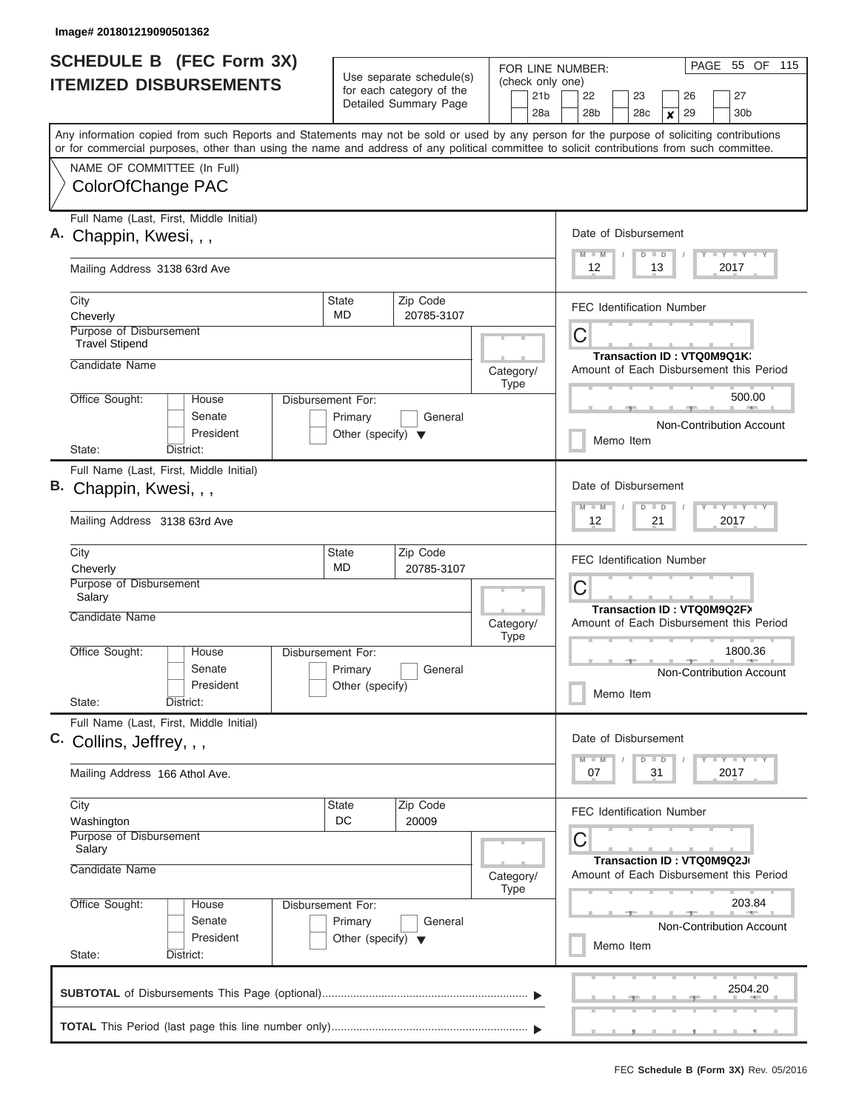|                                                                    | <b>SCHEDULE B (FEC Form 3X)</b><br><b>ITEMIZED DISBURSEMENTS</b> |                                                                      | Use separate schedule(s)<br>for each category of the | FOR LINE NUMBER:<br>(check only one)<br>21 <sub>b</sub> | 55 OF<br>115<br>PAGE<br>27<br>22<br>23<br>26                                                                                                                                                                                                                                            |
|--------------------------------------------------------------------|------------------------------------------------------------------|----------------------------------------------------------------------|------------------------------------------------------|---------------------------------------------------------|-----------------------------------------------------------------------------------------------------------------------------------------------------------------------------------------------------------------------------------------------------------------------------------------|
|                                                                    |                                                                  |                                                                      | Detailed Summary Page                                | 28a                                                     | 29<br>28 <sub>b</sub><br>28c<br>30 <sub>b</sub><br>X                                                                                                                                                                                                                                    |
|                                                                    |                                                                  |                                                                      |                                                      |                                                         | Any information copied from such Reports and Statements may not be sold or used by any person for the purpose of soliciting contributions<br>or for commercial purposes, other than using the name and address of any political committee to solicit contributions from such committee. |
| ColorOfChange PAC                                                  | NAME OF COMMITTEE (In Full)                                      |                                                                      |                                                      |                                                         |                                                                                                                                                                                                                                                                                         |
| A. Chappin, Kwesi, , ,                                             | Full Name (Last, First, Middle Initial)                          |                                                                      |                                                      |                                                         | Date of Disbursement<br>Y LY LY LY<br>$M$ $M$<br>$D$ $D$                                                                                                                                                                                                                                |
| Mailing Address 3138 63rd Ave                                      |                                                                  |                                                                      |                                                      |                                                         | 12<br>13<br>2017                                                                                                                                                                                                                                                                        |
| City<br>Cheverly                                                   |                                                                  | <b>State</b><br><b>MD</b>                                            | Zip Code<br>20785-3107                               |                                                         | <b>FEC Identification Number</b>                                                                                                                                                                                                                                                        |
| Purpose of Disbursement<br><b>Travel Stipend</b><br>Candidate Name |                                                                  |                                                                      |                                                      | Category/                                               | C<br>Transaction ID: VTQ0M9Q1K:<br>Amount of Each Disbursement this Period                                                                                                                                                                                                              |
| Office Sought:                                                     | <b>House</b><br>Senate<br>President                              | Disbursement For:<br>Primary<br>Other (specify) $\blacktriangledown$ | General                                              | <b>Type</b>                                             | 500.00<br>Non-Contribution Account<br>Memo Item                                                                                                                                                                                                                                         |
| State:<br>B. Chappin, Kwesi, , ,                                   | District:<br>Full Name (Last, First, Middle Initial)             |                                                                      |                                                      |                                                         | Date of Disbursement                                                                                                                                                                                                                                                                    |
|                                                                    | Mailing Address 3138 63rd Ave                                    |                                                                      |                                                      |                                                         | Y FY FY FY<br>$M - M$<br>$D$ $D$<br>21<br>12<br>2017                                                                                                                                                                                                                                    |
| City<br>Cheverly<br>Purpose of Disbursement<br>Salary              |                                                                  | State<br>MD                                                          | Zip Code<br>20785-3107                               |                                                         | <b>FEC Identification Number</b><br>C                                                                                                                                                                                                                                                   |
| Candidate Name                                                     |                                                                  |                                                                      |                                                      | Category/<br><b>Type</b>                                | Transaction ID: VTQ0M9Q2FX<br>Amount of Each Disbursement this Period                                                                                                                                                                                                                   |
| Office Sought:<br>State:                                           | House<br>Senate<br>President<br>District:                        | Disbursement For:<br>Primary<br>Other (specify)                      | General                                              |                                                         | 1800.36<br>Non-Contribution Account<br>Memo Item                                                                                                                                                                                                                                        |
| C. Collins, Jeffrey, , ,                                           | Full Name (Last, First, Middle Initial)                          |                                                                      |                                                      |                                                         | Date of Disbursement<br>Y LY LY LY<br>$M$ $M$<br>$D$ $D$                                                                                                                                                                                                                                |
| Mailing Address 166 Athol Ave.                                     |                                                                  |                                                                      |                                                      |                                                         | 2017<br>07<br>31                                                                                                                                                                                                                                                                        |
| City<br>Washington<br>Purpose of Disbursement                      |                                                                  | State<br>DC                                                          | Zip Code<br>20009                                    |                                                         | <b>FEC Identification Number</b><br>С                                                                                                                                                                                                                                                   |
| Salary<br>Candidate Name                                           |                                                                  |                                                                      |                                                      | Category/<br><b>Type</b>                                | Transaction ID: VTQ0M9Q2J<br>Amount of Each Disbursement this Period                                                                                                                                                                                                                    |
| Office Sought:<br>State:                                           | House<br>Senate<br>President<br>District:                        | Disbursement For:<br>Primary<br>Other (specify) $\blacktriangledown$ | General                                              |                                                         | 203.84<br>Non-Contribution Account<br>Memo Item                                                                                                                                                                                                                                         |
|                                                                    |                                                                  |                                                                      |                                                      |                                                         | 2504.20                                                                                                                                                                                                                                                                                 |
|                                                                    |                                                                  |                                                                      |                                                      |                                                         |                                                                                                                                                                                                                                                                                         |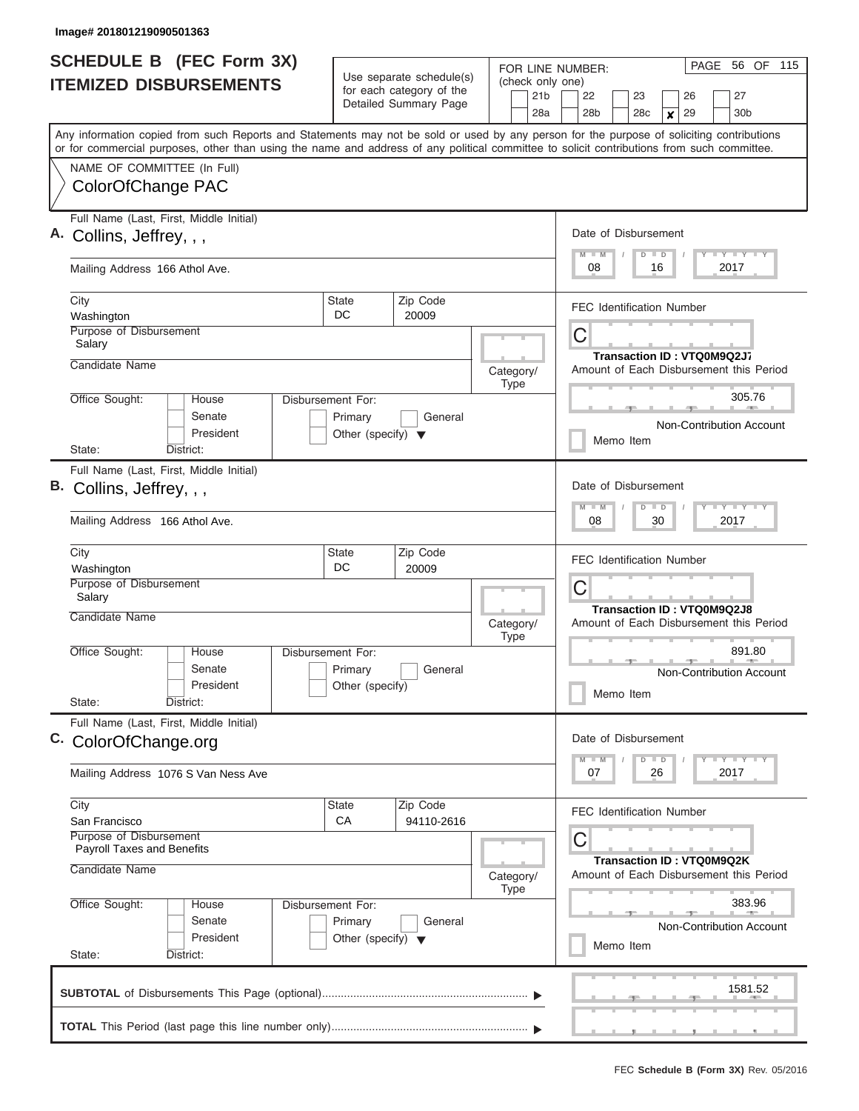|    | <b>SCHEDULE B (FEC Form 3X)</b><br><b>ITEMIZED DISBURSEMENTS</b>                                                                                                                                                                                                                        |                                                                      | Use separate schedule(s)<br>for each category of the<br>Detailed Summary Page | (check only one)<br>21 <sub>b</sub> | PAGE<br>56 OF 115<br>FOR LINE NUMBER:<br>22<br>27<br>23<br>26        |  |  |  |  |  |  |
|----|-----------------------------------------------------------------------------------------------------------------------------------------------------------------------------------------------------------------------------------------------------------------------------------------|----------------------------------------------------------------------|-------------------------------------------------------------------------------|-------------------------------------|----------------------------------------------------------------------|--|--|--|--|--|--|
|    |                                                                                                                                                                                                                                                                                         |                                                                      |                                                                               | 28a                                 | 29<br>28b<br>28c<br>30 <sub>b</sub><br>X                             |  |  |  |  |  |  |
|    | Any information copied from such Reports and Statements may not be sold or used by any person for the purpose of soliciting contributions<br>or for commercial purposes, other than using the name and address of any political committee to solicit contributions from such committee. |                                                                      |                                                                               |                                     |                                                                      |  |  |  |  |  |  |
|    | NAME OF COMMITTEE (In Full)                                                                                                                                                                                                                                                             |                                                                      |                                                                               |                                     |                                                                      |  |  |  |  |  |  |
|    | ColorOfChange PAC                                                                                                                                                                                                                                                                       |                                                                      |                                                                               |                                     |                                                                      |  |  |  |  |  |  |
|    | Full Name (Last, First, Middle Initial)<br>A. Collins, Jeffrey, , ,                                                                                                                                                                                                                     |                                                                      |                                                                               |                                     | Date of Disbursement                                                 |  |  |  |  |  |  |
|    | Mailing Address 166 Athol Ave.                                                                                                                                                                                                                                                          |                                                                      |                                                                               |                                     | Y FY FY FY<br>$M$ $M$<br>$D$ $D$<br>08<br>16<br>2017                 |  |  |  |  |  |  |
|    | City<br>Washington                                                                                                                                                                                                                                                                      | State<br>DC.                                                         | Zip Code<br>20009                                                             |                                     | <b>FEC Identification Number</b>                                     |  |  |  |  |  |  |
|    | Purpose of Disbursement<br>Salary                                                                                                                                                                                                                                                       |                                                                      |                                                                               |                                     | C<br>Transaction ID: VTQ0M9Q2J7                                      |  |  |  |  |  |  |
|    | Candidate Name                                                                                                                                                                                                                                                                          |                                                                      |                                                                               | Category/<br><b>Type</b>            | Amount of Each Disbursement this Period                              |  |  |  |  |  |  |
|    | Office Sought:<br>House<br>Senate<br>President                                                                                                                                                                                                                                          | Disbursement For:<br>Primary<br>Other (specify) $\blacktriangledown$ | General                                                                       |                                     | 305.76<br>Non-Contribution Account                                   |  |  |  |  |  |  |
|    | State:<br>District:                                                                                                                                                                                                                                                                     |                                                                      |                                                                               |                                     | Memo Item                                                            |  |  |  |  |  |  |
| В. | Full Name (Last, First, Middle Initial)<br>Collins, Jeffrey, , ,                                                                                                                                                                                                                        |                                                                      |                                                                               |                                     | Date of Disbursement<br>Y FY FY FY<br>$M - M$<br>$D$ $D$             |  |  |  |  |  |  |
|    | Mailing Address 166 Athol Ave.                                                                                                                                                                                                                                                          |                                                                      |                                                                               |                                     | 2017<br>08<br>30                                                     |  |  |  |  |  |  |
|    | City<br>Washington                                                                                                                                                                                                                                                                      | <b>State</b><br>DC                                                   | Zip Code<br>20009                                                             |                                     | <b>FEC Identification Number</b>                                     |  |  |  |  |  |  |
|    | Purpose of Disbursement<br>Salary                                                                                                                                                                                                                                                       |                                                                      |                                                                               |                                     | С<br><b>Transaction ID: VTQ0M9Q2J8</b>                               |  |  |  |  |  |  |
|    | Candidate Name                                                                                                                                                                                                                                                                          |                                                                      |                                                                               | Category/<br><b>Type</b>            | Amount of Each Disbursement this Period                              |  |  |  |  |  |  |
|    | Office Sought:<br>House<br>Senate<br>President<br>State:<br>District:                                                                                                                                                                                                                   | Disbursement For:<br>Primary<br>Other (specify)                      | General                                                                       |                                     | 891.80<br>Non-Contribution Account<br>Memo Item                      |  |  |  |  |  |  |
|    | Full Name (Last, First, Middle Initial)                                                                                                                                                                                                                                                 |                                                                      |                                                                               |                                     |                                                                      |  |  |  |  |  |  |
|    | C. ColorOfChange.org                                                                                                                                                                                                                                                                    |                                                                      |                                                                               |                                     | Date of Disbursement<br>$Y$ $Y$ $Y$ $Y$ $Y$<br>$M$ $M$<br>$D$ $D$    |  |  |  |  |  |  |
|    | Mailing Address 1076 S Van Ness Ave                                                                                                                                                                                                                                                     |                                                                      |                                                                               |                                     | 2017<br>07<br>26                                                     |  |  |  |  |  |  |
|    | City<br>San Francisco                                                                                                                                                                                                                                                                   | State<br><b>CA</b>                                                   | Zip Code<br>94110-2616                                                        |                                     | <b>FEC Identification Number</b>                                     |  |  |  |  |  |  |
|    | Purpose of Disbursement<br><b>Payroll Taxes and Benefits</b>                                                                                                                                                                                                                            |                                                                      |                                                                               |                                     | С                                                                    |  |  |  |  |  |  |
|    | Candidate Name                                                                                                                                                                                                                                                                          |                                                                      |                                                                               | Category/<br><b>Type</b>            | Transaction ID: VTQ0M9Q2K<br>Amount of Each Disbursement this Period |  |  |  |  |  |  |
|    | Office Sought:<br>House<br>Senate<br>President                                                                                                                                                                                                                                          | Disbursement For:<br>Primary<br>Other (specify) $\blacktriangledown$ | General                                                                       |                                     | 383.96<br>Non-Contribution Account<br>Memo Item                      |  |  |  |  |  |  |
|    | State:<br>District:                                                                                                                                                                                                                                                                     |                                                                      |                                                                               |                                     |                                                                      |  |  |  |  |  |  |
|    |                                                                                                                                                                                                                                                                                         |                                                                      |                                                                               |                                     | 1581.52                                                              |  |  |  |  |  |  |
|    |                                                                                                                                                                                                                                                                                         |                                                                      |                                                                               |                                     |                                                                      |  |  |  |  |  |  |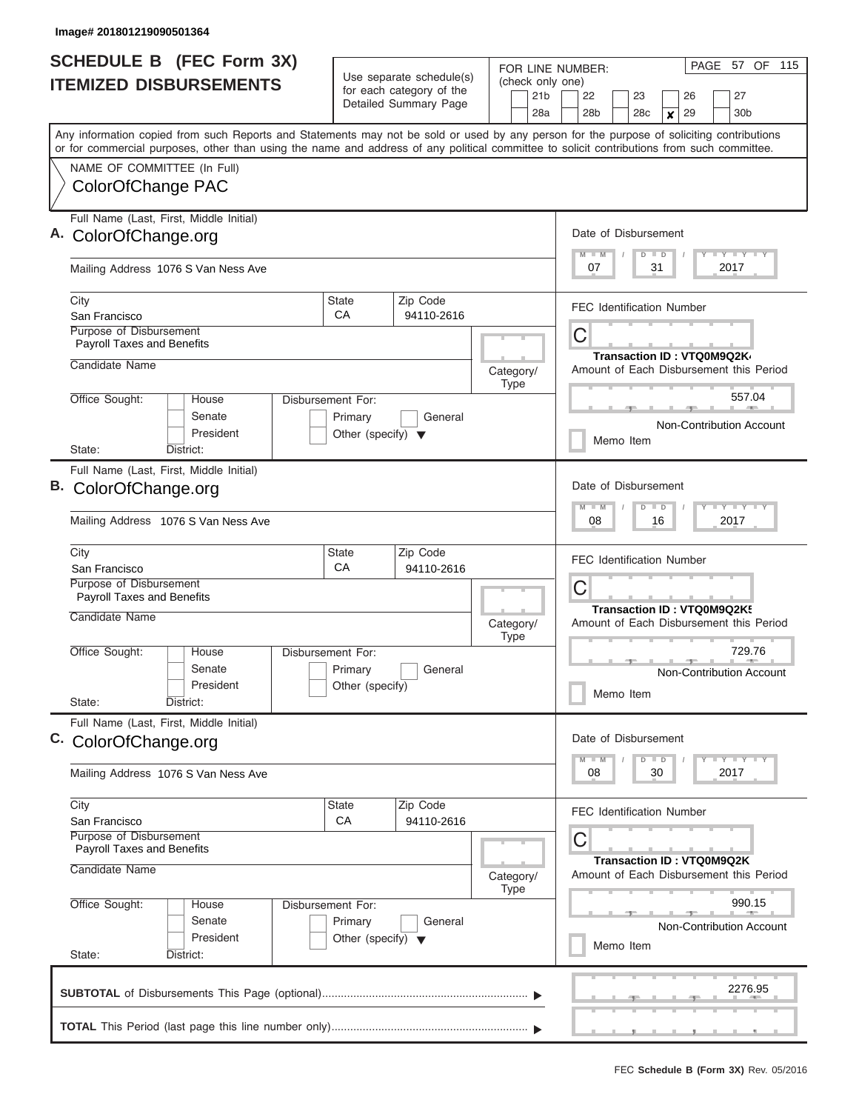| Use separate schedule(s)<br>(check only one)<br><b>ITEMIZED DISBURSEMENTS</b><br>for each category of the<br>21 <sub>b</sub><br>22<br>23<br>27<br>26<br>Detailed Summary Page<br>28 <sub>b</sub><br>28c<br>28a<br>29<br>30 <sub>b</sub><br>$\boldsymbol{x}$<br>Any information copied from such Reports and Statements may not be sold or used by any person for the purpose of soliciting contributions<br>or for commercial purposes, other than using the name and address of any political committee to solicit contributions from such committee.<br>NAME OF COMMITTEE (In Full)<br>ColorOfChange PAC<br>Full Name (Last, First, Middle Initial)<br>Date of Disbursement<br>A. ColorOfChange.org<br>$T$ $Y$ $T$ $Y$ $T$ $Y$<br>$M$ $M$<br>$D$ $D$<br>Mailing Address 1076 S Van Ness Ave<br>07<br>31<br>2017<br>Zip Code<br><b>State</b><br>City<br><b>FEC Identification Number</b><br>CA<br>94110-2616<br>San Francisco<br>Purpose of Disbursement<br>С<br><b>Payroll Taxes and Benefits</b><br>Transaction ID: VTQ0M9Q2K<br>Candidate Name<br>Amount of Each Disbursement this Period<br>Category/<br>Type<br>Office Sought:<br>557.04<br>House<br>Disbursement For:<br>Senate<br>Primary<br>General<br>Non-Contribution Account<br>President<br>Other (specify) $\blacktriangledown$<br>Memo Item<br>District:<br>State:<br>Full Name (Last, First, Middle Initial)<br>B. ColorOfChange.org<br>Date of Disbursement<br>$T$ $Y$ $T$ $Y$ $T$<br>$M - M$<br>$D$ $D$<br>Mailing Address 1076 S Van Ness Ave<br>08<br>16<br>2017<br>City<br>Zip Code<br><b>State</b><br><b>FEC Identification Number</b><br>CA<br>94110-2616<br>San Francisco<br>Purpose of Disbursement<br>С<br><b>Payroll Taxes and Benefits</b><br>Transaction ID: VTQ0M9Q2K!<br>Candidate Name<br>Amount of Each Disbursement this Period<br>Category/<br><b>Type</b><br>Office Sought:<br>729.76<br>House<br><b>Disbursement For:</b><br>Senate<br>Primary<br>General<br>Non-Contribution Account<br>President<br>Other (specify)<br>Memo Item<br>State:<br>District:<br>Full Name (Last, First, Middle Initial)<br>Date of Disbursement<br>C. ColorOfChange.org<br>$\mathbf{I}$ $\mathbf{Y}$ $\mathbf{I}$ $\mathbf{Y}$ $\mathbf{I}$ $\mathbf{Y}$<br>$M - M$<br>$D$ $D$<br>08<br>30<br>2017<br>Mailing Address 1076 S Van Ness Ave<br>City<br><b>State</b><br>Zip Code<br><b>FEC Identification Number</b><br>CA<br>San Francisco<br>94110-2616<br><b>Purpose of Disbursement</b><br>С<br>Payroll Taxes and Benefits<br>Transaction ID: VTQ0M9Q2K<br>Candidate Name<br>Amount of Each Disbursement this Period<br>Category/<br>Type<br>Office Sought:<br>990.15<br>House<br>Disbursement For:<br>Senate<br>Primary<br>General<br><b>Non-Contribution Account</b><br>President<br>Other (specify) $\blacktriangledown$<br>Memo Item<br>State:<br>District:<br>2276.95 |  | SCHEDULE B (FEC Form 3X) |  |  |  |  | PAGE 57 OF 115<br>FOR LINE NUMBER: |  |  |  |  |  |  |  |  |  |  |  |
|-----------------------------------------------------------------------------------------------------------------------------------------------------------------------------------------------------------------------------------------------------------------------------------------------------------------------------------------------------------------------------------------------------------------------------------------------------------------------------------------------------------------------------------------------------------------------------------------------------------------------------------------------------------------------------------------------------------------------------------------------------------------------------------------------------------------------------------------------------------------------------------------------------------------------------------------------------------------------------------------------------------------------------------------------------------------------------------------------------------------------------------------------------------------------------------------------------------------------------------------------------------------------------------------------------------------------------------------------------------------------------------------------------------------------------------------------------------------------------------------------------------------------------------------------------------------------------------------------------------------------------------------------------------------------------------------------------------------------------------------------------------------------------------------------------------------------------------------------------------------------------------------------------------------------------------------------------------------------------------------------------------------------------------------------------------------------------------------------------------------------------------------------------------------------------------------------------------------------------------------------------------------------------------------------------------------------------------------------------------------------------------------------------------------------------------------------------------------------------------------------------------------------------------------------------------------------------------------------------------------------------------------------------------------------------------------------------------------------------------------------------------------------------------------------------------------------------------------------|--|--------------------------|--|--|--|--|------------------------------------|--|--|--|--|--|--|--|--|--|--|--|
|                                                                                                                                                                                                                                                                                                                                                                                                                                                                                                                                                                                                                                                                                                                                                                                                                                                                                                                                                                                                                                                                                                                                                                                                                                                                                                                                                                                                                                                                                                                                                                                                                                                                                                                                                                                                                                                                                                                                                                                                                                                                                                                                                                                                                                                                                                                                                                                                                                                                                                                                                                                                                                                                                                                                                                                                                                               |  |                          |  |  |  |  |                                    |  |  |  |  |  |  |  |  |  |  |  |
|                                                                                                                                                                                                                                                                                                                                                                                                                                                                                                                                                                                                                                                                                                                                                                                                                                                                                                                                                                                                                                                                                                                                                                                                                                                                                                                                                                                                                                                                                                                                                                                                                                                                                                                                                                                                                                                                                                                                                                                                                                                                                                                                                                                                                                                                                                                                                                                                                                                                                                                                                                                                                                                                                                                                                                                                                                               |  |                          |  |  |  |  |                                    |  |  |  |  |  |  |  |  |  |  |  |
|                                                                                                                                                                                                                                                                                                                                                                                                                                                                                                                                                                                                                                                                                                                                                                                                                                                                                                                                                                                                                                                                                                                                                                                                                                                                                                                                                                                                                                                                                                                                                                                                                                                                                                                                                                                                                                                                                                                                                                                                                                                                                                                                                                                                                                                                                                                                                                                                                                                                                                                                                                                                                                                                                                                                                                                                                                               |  |                          |  |  |  |  |                                    |  |  |  |  |  |  |  |  |  |  |  |
|                                                                                                                                                                                                                                                                                                                                                                                                                                                                                                                                                                                                                                                                                                                                                                                                                                                                                                                                                                                                                                                                                                                                                                                                                                                                                                                                                                                                                                                                                                                                                                                                                                                                                                                                                                                                                                                                                                                                                                                                                                                                                                                                                                                                                                                                                                                                                                                                                                                                                                                                                                                                                                                                                                                                                                                                                                               |  |                          |  |  |  |  |                                    |  |  |  |  |  |  |  |  |  |  |  |
|                                                                                                                                                                                                                                                                                                                                                                                                                                                                                                                                                                                                                                                                                                                                                                                                                                                                                                                                                                                                                                                                                                                                                                                                                                                                                                                                                                                                                                                                                                                                                                                                                                                                                                                                                                                                                                                                                                                                                                                                                                                                                                                                                                                                                                                                                                                                                                                                                                                                                                                                                                                                                                                                                                                                                                                                                                               |  |                          |  |  |  |  |                                    |  |  |  |  |  |  |  |  |  |  |  |
|                                                                                                                                                                                                                                                                                                                                                                                                                                                                                                                                                                                                                                                                                                                                                                                                                                                                                                                                                                                                                                                                                                                                                                                                                                                                                                                                                                                                                                                                                                                                                                                                                                                                                                                                                                                                                                                                                                                                                                                                                                                                                                                                                                                                                                                                                                                                                                                                                                                                                                                                                                                                                                                                                                                                                                                                                                               |  |                          |  |  |  |  |                                    |  |  |  |  |  |  |  |  |  |  |  |
|                                                                                                                                                                                                                                                                                                                                                                                                                                                                                                                                                                                                                                                                                                                                                                                                                                                                                                                                                                                                                                                                                                                                                                                                                                                                                                                                                                                                                                                                                                                                                                                                                                                                                                                                                                                                                                                                                                                                                                                                                                                                                                                                                                                                                                                                                                                                                                                                                                                                                                                                                                                                                                                                                                                                                                                                                                               |  |                          |  |  |  |  |                                    |  |  |  |  |  |  |  |  |  |  |  |
|                                                                                                                                                                                                                                                                                                                                                                                                                                                                                                                                                                                                                                                                                                                                                                                                                                                                                                                                                                                                                                                                                                                                                                                                                                                                                                                                                                                                                                                                                                                                                                                                                                                                                                                                                                                                                                                                                                                                                                                                                                                                                                                                                                                                                                                                                                                                                                                                                                                                                                                                                                                                                                                                                                                                                                                                                                               |  |                          |  |  |  |  |                                    |  |  |  |  |  |  |  |  |  |  |  |
|                                                                                                                                                                                                                                                                                                                                                                                                                                                                                                                                                                                                                                                                                                                                                                                                                                                                                                                                                                                                                                                                                                                                                                                                                                                                                                                                                                                                                                                                                                                                                                                                                                                                                                                                                                                                                                                                                                                                                                                                                                                                                                                                                                                                                                                                                                                                                                                                                                                                                                                                                                                                                                                                                                                                                                                                                                               |  |                          |  |  |  |  |                                    |  |  |  |  |  |  |  |  |  |  |  |
|                                                                                                                                                                                                                                                                                                                                                                                                                                                                                                                                                                                                                                                                                                                                                                                                                                                                                                                                                                                                                                                                                                                                                                                                                                                                                                                                                                                                                                                                                                                                                                                                                                                                                                                                                                                                                                                                                                                                                                                                                                                                                                                                                                                                                                                                                                                                                                                                                                                                                                                                                                                                                                                                                                                                                                                                                                               |  |                          |  |  |  |  |                                    |  |  |  |  |  |  |  |  |  |  |  |
|                                                                                                                                                                                                                                                                                                                                                                                                                                                                                                                                                                                                                                                                                                                                                                                                                                                                                                                                                                                                                                                                                                                                                                                                                                                                                                                                                                                                                                                                                                                                                                                                                                                                                                                                                                                                                                                                                                                                                                                                                                                                                                                                                                                                                                                                                                                                                                                                                                                                                                                                                                                                                                                                                                                                                                                                                                               |  |                          |  |  |  |  |                                    |  |  |  |  |  |  |  |  |  |  |  |
|                                                                                                                                                                                                                                                                                                                                                                                                                                                                                                                                                                                                                                                                                                                                                                                                                                                                                                                                                                                                                                                                                                                                                                                                                                                                                                                                                                                                                                                                                                                                                                                                                                                                                                                                                                                                                                                                                                                                                                                                                                                                                                                                                                                                                                                                                                                                                                                                                                                                                                                                                                                                                                                                                                                                                                                                                                               |  |                          |  |  |  |  |                                    |  |  |  |  |  |  |  |  |  |  |  |
|                                                                                                                                                                                                                                                                                                                                                                                                                                                                                                                                                                                                                                                                                                                                                                                                                                                                                                                                                                                                                                                                                                                                                                                                                                                                                                                                                                                                                                                                                                                                                                                                                                                                                                                                                                                                                                                                                                                                                                                                                                                                                                                                                                                                                                                                                                                                                                                                                                                                                                                                                                                                                                                                                                                                                                                                                                               |  |                          |  |  |  |  |                                    |  |  |  |  |  |  |  |  |  |  |  |
|                                                                                                                                                                                                                                                                                                                                                                                                                                                                                                                                                                                                                                                                                                                                                                                                                                                                                                                                                                                                                                                                                                                                                                                                                                                                                                                                                                                                                                                                                                                                                                                                                                                                                                                                                                                                                                                                                                                                                                                                                                                                                                                                                                                                                                                                                                                                                                                                                                                                                                                                                                                                                                                                                                                                                                                                                                               |  |                          |  |  |  |  |                                    |  |  |  |  |  |  |  |  |  |  |  |
|                                                                                                                                                                                                                                                                                                                                                                                                                                                                                                                                                                                                                                                                                                                                                                                                                                                                                                                                                                                                                                                                                                                                                                                                                                                                                                                                                                                                                                                                                                                                                                                                                                                                                                                                                                                                                                                                                                                                                                                                                                                                                                                                                                                                                                                                                                                                                                                                                                                                                                                                                                                                                                                                                                                                                                                                                                               |  |                          |  |  |  |  |                                    |  |  |  |  |  |  |  |  |  |  |  |
|                                                                                                                                                                                                                                                                                                                                                                                                                                                                                                                                                                                                                                                                                                                                                                                                                                                                                                                                                                                                                                                                                                                                                                                                                                                                                                                                                                                                                                                                                                                                                                                                                                                                                                                                                                                                                                                                                                                                                                                                                                                                                                                                                                                                                                                                                                                                                                                                                                                                                                                                                                                                                                                                                                                                                                                                                                               |  |                          |  |  |  |  |                                    |  |  |  |  |  |  |  |  |  |  |  |
|                                                                                                                                                                                                                                                                                                                                                                                                                                                                                                                                                                                                                                                                                                                                                                                                                                                                                                                                                                                                                                                                                                                                                                                                                                                                                                                                                                                                                                                                                                                                                                                                                                                                                                                                                                                                                                                                                                                                                                                                                                                                                                                                                                                                                                                                                                                                                                                                                                                                                                                                                                                                                                                                                                                                                                                                                                               |  |                          |  |  |  |  |                                    |  |  |  |  |  |  |  |  |  |  |  |
|                                                                                                                                                                                                                                                                                                                                                                                                                                                                                                                                                                                                                                                                                                                                                                                                                                                                                                                                                                                                                                                                                                                                                                                                                                                                                                                                                                                                                                                                                                                                                                                                                                                                                                                                                                                                                                                                                                                                                                                                                                                                                                                                                                                                                                                                                                                                                                                                                                                                                                                                                                                                                                                                                                                                                                                                                                               |  |                          |  |  |  |  |                                    |  |  |  |  |  |  |  |  |  |  |  |
|                                                                                                                                                                                                                                                                                                                                                                                                                                                                                                                                                                                                                                                                                                                                                                                                                                                                                                                                                                                                                                                                                                                                                                                                                                                                                                                                                                                                                                                                                                                                                                                                                                                                                                                                                                                                                                                                                                                                                                                                                                                                                                                                                                                                                                                                                                                                                                                                                                                                                                                                                                                                                                                                                                                                                                                                                                               |  |                          |  |  |  |  |                                    |  |  |  |  |  |  |  |  |  |  |  |
|                                                                                                                                                                                                                                                                                                                                                                                                                                                                                                                                                                                                                                                                                                                                                                                                                                                                                                                                                                                                                                                                                                                                                                                                                                                                                                                                                                                                                                                                                                                                                                                                                                                                                                                                                                                                                                                                                                                                                                                                                                                                                                                                                                                                                                                                                                                                                                                                                                                                                                                                                                                                                                                                                                                                                                                                                                               |  |                          |  |  |  |  |                                    |  |  |  |  |  |  |  |  |  |  |  |
|                                                                                                                                                                                                                                                                                                                                                                                                                                                                                                                                                                                                                                                                                                                                                                                                                                                                                                                                                                                                                                                                                                                                                                                                                                                                                                                                                                                                                                                                                                                                                                                                                                                                                                                                                                                                                                                                                                                                                                                                                                                                                                                                                                                                                                                                                                                                                                                                                                                                                                                                                                                                                                                                                                                                                                                                                                               |  |                          |  |  |  |  |                                    |  |  |  |  |  |  |  |  |  |  |  |
|                                                                                                                                                                                                                                                                                                                                                                                                                                                                                                                                                                                                                                                                                                                                                                                                                                                                                                                                                                                                                                                                                                                                                                                                                                                                                                                                                                                                                                                                                                                                                                                                                                                                                                                                                                                                                                                                                                                                                                                                                                                                                                                                                                                                                                                                                                                                                                                                                                                                                                                                                                                                                                                                                                                                                                                                                                               |  |                          |  |  |  |  |                                    |  |  |  |  |  |  |  |  |  |  |  |
|                                                                                                                                                                                                                                                                                                                                                                                                                                                                                                                                                                                                                                                                                                                                                                                                                                                                                                                                                                                                                                                                                                                                                                                                                                                                                                                                                                                                                                                                                                                                                                                                                                                                                                                                                                                                                                                                                                                                                                                                                                                                                                                                                                                                                                                                                                                                                                                                                                                                                                                                                                                                                                                                                                                                                                                                                                               |  |                          |  |  |  |  |                                    |  |  |  |  |  |  |  |  |  |  |  |
|                                                                                                                                                                                                                                                                                                                                                                                                                                                                                                                                                                                                                                                                                                                                                                                                                                                                                                                                                                                                                                                                                                                                                                                                                                                                                                                                                                                                                                                                                                                                                                                                                                                                                                                                                                                                                                                                                                                                                                                                                                                                                                                                                                                                                                                                                                                                                                                                                                                                                                                                                                                                                                                                                                                                                                                                                                               |  |                          |  |  |  |  |                                    |  |  |  |  |  |  |  |  |  |  |  |
|                                                                                                                                                                                                                                                                                                                                                                                                                                                                                                                                                                                                                                                                                                                                                                                                                                                                                                                                                                                                                                                                                                                                                                                                                                                                                                                                                                                                                                                                                                                                                                                                                                                                                                                                                                                                                                                                                                                                                                                                                                                                                                                                                                                                                                                                                                                                                                                                                                                                                                                                                                                                                                                                                                                                                                                                                                               |  |                          |  |  |  |  |                                    |  |  |  |  |  |  |  |  |  |  |  |
|                                                                                                                                                                                                                                                                                                                                                                                                                                                                                                                                                                                                                                                                                                                                                                                                                                                                                                                                                                                                                                                                                                                                                                                                                                                                                                                                                                                                                                                                                                                                                                                                                                                                                                                                                                                                                                                                                                                                                                                                                                                                                                                                                                                                                                                                                                                                                                                                                                                                                                                                                                                                                                                                                                                                                                                                                                               |  |                          |  |  |  |  |                                    |  |  |  |  |  |  |  |  |  |  |  |
|                                                                                                                                                                                                                                                                                                                                                                                                                                                                                                                                                                                                                                                                                                                                                                                                                                                                                                                                                                                                                                                                                                                                                                                                                                                                                                                                                                                                                                                                                                                                                                                                                                                                                                                                                                                                                                                                                                                                                                                                                                                                                                                                                                                                                                                                                                                                                                                                                                                                                                                                                                                                                                                                                                                                                                                                                                               |  |                          |  |  |  |  |                                    |  |  |  |  |  |  |  |  |  |  |  |
|                                                                                                                                                                                                                                                                                                                                                                                                                                                                                                                                                                                                                                                                                                                                                                                                                                                                                                                                                                                                                                                                                                                                                                                                                                                                                                                                                                                                                                                                                                                                                                                                                                                                                                                                                                                                                                                                                                                                                                                                                                                                                                                                                                                                                                                                                                                                                                                                                                                                                                                                                                                                                                                                                                                                                                                                                                               |  |                          |  |  |  |  |                                    |  |  |  |  |  |  |  |  |  |  |  |
|                                                                                                                                                                                                                                                                                                                                                                                                                                                                                                                                                                                                                                                                                                                                                                                                                                                                                                                                                                                                                                                                                                                                                                                                                                                                                                                                                                                                                                                                                                                                                                                                                                                                                                                                                                                                                                                                                                                                                                                                                                                                                                                                                                                                                                                                                                                                                                                                                                                                                                                                                                                                                                                                                                                                                                                                                                               |  |                          |  |  |  |  |                                    |  |  |  |  |  |  |  |  |  |  |  |
|                                                                                                                                                                                                                                                                                                                                                                                                                                                                                                                                                                                                                                                                                                                                                                                                                                                                                                                                                                                                                                                                                                                                                                                                                                                                                                                                                                                                                                                                                                                                                                                                                                                                                                                                                                                                                                                                                                                                                                                                                                                                                                                                                                                                                                                                                                                                                                                                                                                                                                                                                                                                                                                                                                                                                                                                                                               |  |                          |  |  |  |  |                                    |  |  |  |  |  |  |  |  |  |  |  |
|                                                                                                                                                                                                                                                                                                                                                                                                                                                                                                                                                                                                                                                                                                                                                                                                                                                                                                                                                                                                                                                                                                                                                                                                                                                                                                                                                                                                                                                                                                                                                                                                                                                                                                                                                                                                                                                                                                                                                                                                                                                                                                                                                                                                                                                                                                                                                                                                                                                                                                                                                                                                                                                                                                                                                                                                                                               |  |                          |  |  |  |  |                                    |  |  |  |  |  |  |  |  |  |  |  |
|                                                                                                                                                                                                                                                                                                                                                                                                                                                                                                                                                                                                                                                                                                                                                                                                                                                                                                                                                                                                                                                                                                                                                                                                                                                                                                                                                                                                                                                                                                                                                                                                                                                                                                                                                                                                                                                                                                                                                                                                                                                                                                                                                                                                                                                                                                                                                                                                                                                                                                                                                                                                                                                                                                                                                                                                                                               |  |                          |  |  |  |  |                                    |  |  |  |  |  |  |  |  |  |  |  |
|                                                                                                                                                                                                                                                                                                                                                                                                                                                                                                                                                                                                                                                                                                                                                                                                                                                                                                                                                                                                                                                                                                                                                                                                                                                                                                                                                                                                                                                                                                                                                                                                                                                                                                                                                                                                                                                                                                                                                                                                                                                                                                                                                                                                                                                                                                                                                                                                                                                                                                                                                                                                                                                                                                                                                                                                                                               |  |                          |  |  |  |  |                                    |  |  |  |  |  |  |  |  |  |  |  |
|                                                                                                                                                                                                                                                                                                                                                                                                                                                                                                                                                                                                                                                                                                                                                                                                                                                                                                                                                                                                                                                                                                                                                                                                                                                                                                                                                                                                                                                                                                                                                                                                                                                                                                                                                                                                                                                                                                                                                                                                                                                                                                                                                                                                                                                                                                                                                                                                                                                                                                                                                                                                                                                                                                                                                                                                                                               |  |                          |  |  |  |  |                                    |  |  |  |  |  |  |  |  |  |  |  |
|                                                                                                                                                                                                                                                                                                                                                                                                                                                                                                                                                                                                                                                                                                                                                                                                                                                                                                                                                                                                                                                                                                                                                                                                                                                                                                                                                                                                                                                                                                                                                                                                                                                                                                                                                                                                                                                                                                                                                                                                                                                                                                                                                                                                                                                                                                                                                                                                                                                                                                                                                                                                                                                                                                                                                                                                                                               |  |                          |  |  |  |  |                                    |  |  |  |  |  |  |  |  |  |  |  |
|                                                                                                                                                                                                                                                                                                                                                                                                                                                                                                                                                                                                                                                                                                                                                                                                                                                                                                                                                                                                                                                                                                                                                                                                                                                                                                                                                                                                                                                                                                                                                                                                                                                                                                                                                                                                                                                                                                                                                                                                                                                                                                                                                                                                                                                                                                                                                                                                                                                                                                                                                                                                                                                                                                                                                                                                                                               |  |                          |  |  |  |  |                                    |  |  |  |  |  |  |  |  |  |  |  |
|                                                                                                                                                                                                                                                                                                                                                                                                                                                                                                                                                                                                                                                                                                                                                                                                                                                                                                                                                                                                                                                                                                                                                                                                                                                                                                                                                                                                                                                                                                                                                                                                                                                                                                                                                                                                                                                                                                                                                                                                                                                                                                                                                                                                                                                                                                                                                                                                                                                                                                                                                                                                                                                                                                                                                                                                                                               |  |                          |  |  |  |  |                                    |  |  |  |  |  |  |  |  |  |  |  |
|                                                                                                                                                                                                                                                                                                                                                                                                                                                                                                                                                                                                                                                                                                                                                                                                                                                                                                                                                                                                                                                                                                                                                                                                                                                                                                                                                                                                                                                                                                                                                                                                                                                                                                                                                                                                                                                                                                                                                                                                                                                                                                                                                                                                                                                                                                                                                                                                                                                                                                                                                                                                                                                                                                                                                                                                                                               |  |                          |  |  |  |  |                                    |  |  |  |  |  |  |  |  |  |  |  |
|                                                                                                                                                                                                                                                                                                                                                                                                                                                                                                                                                                                                                                                                                                                                                                                                                                                                                                                                                                                                                                                                                                                                                                                                                                                                                                                                                                                                                                                                                                                                                                                                                                                                                                                                                                                                                                                                                                                                                                                                                                                                                                                                                                                                                                                                                                                                                                                                                                                                                                                                                                                                                                                                                                                                                                                                                                               |  |                          |  |  |  |  |                                    |  |  |  |  |  |  |  |  |  |  |  |
|                                                                                                                                                                                                                                                                                                                                                                                                                                                                                                                                                                                                                                                                                                                                                                                                                                                                                                                                                                                                                                                                                                                                                                                                                                                                                                                                                                                                                                                                                                                                                                                                                                                                                                                                                                                                                                                                                                                                                                                                                                                                                                                                                                                                                                                                                                                                                                                                                                                                                                                                                                                                                                                                                                                                                                                                                                               |  |                          |  |  |  |  |                                    |  |  |  |  |  |  |  |  |  |  |  |
|                                                                                                                                                                                                                                                                                                                                                                                                                                                                                                                                                                                                                                                                                                                                                                                                                                                                                                                                                                                                                                                                                                                                                                                                                                                                                                                                                                                                                                                                                                                                                                                                                                                                                                                                                                                                                                                                                                                                                                                                                                                                                                                                                                                                                                                                                                                                                                                                                                                                                                                                                                                                                                                                                                                                                                                                                                               |  |                          |  |  |  |  |                                    |  |  |  |  |  |  |  |  |  |  |  |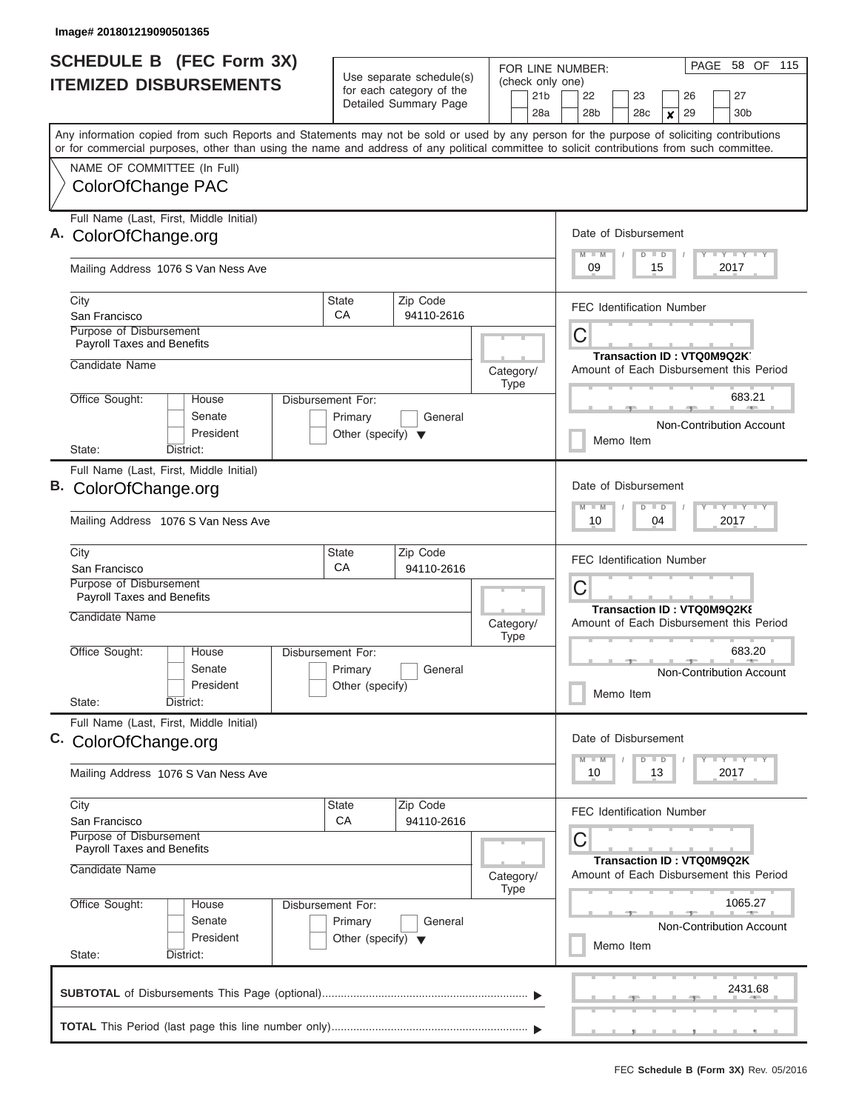| SCHEDULE B (FEC Form 3X)                                                                                                                   |                                      |                                                      | FOR LINE NUMBER: |             |                 |  | 58 OF 115<br>PAGE                                                 |                                         |           |  |         |    |                              |                            |  |                                                                               |  |  |
|--------------------------------------------------------------------------------------------------------------------------------------------|--------------------------------------|------------------------------------------------------|------------------|-------------|-----------------|--|-------------------------------------------------------------------|-----------------------------------------|-----------|--|---------|----|------------------------------|----------------------------|--|-------------------------------------------------------------------------------|--|--|
| <b>ITEMIZED DISBURSEMENTS</b>                                                                                                              |                                      | Use separate schedule(s)<br>for each category of the |                  |             | 21 <sub>b</sub> |  | (check only one)<br>22<br>23                                      |                                         |           |  |         |    |                              |                            |  | 27                                                                            |  |  |
|                                                                                                                                            |                                      | Detailed Summary Page                                |                  |             | 28a             |  |                                                                   | 28 <sub>b</sub>                         |           |  | 28c     |    | 26<br>29<br>$\boldsymbol{x}$ |                            |  | 30 <sub>b</sub>                                                               |  |  |
| Any information copied from such Reports and Statements may not be sold or used by any person for the purpose of soliciting contributions  |                                      |                                                      |                  |             |                 |  |                                                                   |                                         |           |  |         |    |                              |                            |  |                                                                               |  |  |
| or for commercial purposes, other than using the name and address of any political committee to solicit contributions from such committee. |                                      |                                                      |                  |             |                 |  |                                                                   |                                         |           |  |         |    |                              |                            |  |                                                                               |  |  |
| NAME OF COMMITTEE (In Full)                                                                                                                |                                      |                                                      |                  |             |                 |  |                                                                   |                                         |           |  |         |    |                              |                            |  |                                                                               |  |  |
| ColorOfChange PAC                                                                                                                          |                                      |                                                      |                  |             |                 |  |                                                                   |                                         |           |  |         |    |                              |                            |  |                                                                               |  |  |
| Full Name (Last, First, Middle Initial)                                                                                                    |                                      |                                                      |                  |             |                 |  |                                                                   |                                         |           |  |         |    |                              |                            |  |                                                                               |  |  |
| A. ColorOfChange.org                                                                                                                       |                                      |                                                      |                  |             |                 |  |                                                                   | Date of Disbursement                    |           |  |         |    |                              |                            |  |                                                                               |  |  |
| Mailing Address 1076 S Van Ness Ave                                                                                                        |                                      |                                                      |                  |             |                 |  | $T$ $Y$ $T$ $Y$ $T$ $Y$<br>$M$ $M$<br>$D$ $D$<br>09<br>15<br>2017 |                                         |           |  |         |    |                              |                            |  |                                                                               |  |  |
| City                                                                                                                                       | <b>State</b>                         | Zip Code                                             |                  |             |                 |  |                                                                   | <b>FEC Identification Number</b>        |           |  |         |    |                              |                            |  |                                                                               |  |  |
| San Francisco<br>Purpose of Disbursement                                                                                                   | CA                                   | 94110-2616                                           |                  |             |                 |  |                                                                   |                                         |           |  |         |    |                              |                            |  |                                                                               |  |  |
| <b>Payroll Taxes and Benefits</b>                                                                                                          |                                      |                                                      |                  |             |                 |  |                                                                   | С                                       |           |  |         |    |                              |                            |  |                                                                               |  |  |
| Candidate Name                                                                                                                             |                                      |                                                      | Category/        |             |                 |  |                                                                   | Amount of Each Disbursement this Period |           |  |         |    |                              | Transaction ID: VTQ0M9Q2K. |  |                                                                               |  |  |
|                                                                                                                                            |                                      |                                                      |                  | Type        |                 |  |                                                                   |                                         |           |  |         |    |                              |                            |  |                                                                               |  |  |
| Office Sought:<br>House<br>Disbursement For:                                                                                               |                                      |                                                      |                  |             |                 |  |                                                                   |                                         |           |  |         |    |                              |                            |  | 683.21                                                                        |  |  |
| Senate                                                                                                                                     | Primary                              | General                                              |                  |             |                 |  |                                                                   |                                         |           |  |         |    |                              |                            |  | Non-Contribution Account                                                      |  |  |
| President<br>District:<br>State:                                                                                                           | Other (specify) $\blacktriangledown$ |                                                      |                  |             |                 |  |                                                                   |                                         | Memo Item |  |         |    |                              |                            |  |                                                                               |  |  |
| Full Name (Last, First, Middle Initial)                                                                                                    |                                      |                                                      |                  |             |                 |  |                                                                   |                                         |           |  |         |    |                              |                            |  |                                                                               |  |  |
| B. ColorOfChange.org                                                                                                                       |                                      |                                                      |                  |             |                 |  |                                                                   | Date of Disbursement                    |           |  |         |    |                              |                            |  |                                                                               |  |  |
|                                                                                                                                            |                                      |                                                      |                  |             |                 |  |                                                                   | $M - M$                                 |           |  | $D$ $D$ |    |                              |                            |  | $T - Y$ $T - Y$ $T - Y$                                                       |  |  |
| Mailing Address 1076 S Van Ness Ave                                                                                                        |                                      |                                                      |                  |             |                 |  |                                                                   | 10                                      |           |  |         | 04 |                              |                            |  | 2017                                                                          |  |  |
| City                                                                                                                                       | <b>State</b><br>CA                   | Zip Code<br>94110-2616                               |                  |             |                 |  |                                                                   | <b>FEC Identification Number</b>        |           |  |         |    |                              |                            |  |                                                                               |  |  |
| San Francisco<br>Purpose of Disbursement                                                                                                   |                                      |                                                      |                  |             |                 |  | С                                                                 |                                         |           |  |         |    |                              |                            |  |                                                                               |  |  |
| <b>Payroll Taxes and Benefits</b>                                                                                                          |                                      |                                                      |                  |             |                 |  |                                                                   | Transaction ID: VTQ0M9Q2K8              |           |  |         |    |                              |                            |  |                                                                               |  |  |
| Candidate Name                                                                                                                             |                                      |                                                      | Category/        | <b>Type</b> |                 |  |                                                                   | Amount of Each Disbursement this Period |           |  |         |    |                              |                            |  |                                                                               |  |  |
| Office Sought:<br>House<br><b>Disbursement For:</b>                                                                                        |                                      |                                                      |                  |             |                 |  |                                                                   |                                         |           |  |         |    |                              |                            |  | 683.20                                                                        |  |  |
| Senate                                                                                                                                     | Primary                              | General                                              |                  |             |                 |  |                                                                   | Non-Contribution Account                |           |  |         |    |                              |                            |  |                                                                               |  |  |
| President<br>State:<br>District:                                                                                                           | Other (specify)                      |                                                      |                  |             |                 |  |                                                                   |                                         | Memo Item |  |         |    |                              |                            |  |                                                                               |  |  |
| Full Name (Last, First, Middle Initial)                                                                                                    |                                      |                                                      |                  |             |                 |  |                                                                   |                                         |           |  |         |    |                              |                            |  |                                                                               |  |  |
| C. ColorOfChange.org                                                                                                                       |                                      |                                                      |                  |             |                 |  |                                                                   | Date of Disbursement                    |           |  |         |    |                              |                            |  |                                                                               |  |  |
|                                                                                                                                            |                                      |                                                      |                  |             |                 |  |                                                                   | $M - M$                                 |           |  | $D$ $D$ |    |                              |                            |  | $\mathbf{I}$ $\mathbf{Y}$ $\mathbf{I}$ $\mathbf{Y}$ $\mathbf{I}$ $\mathbf{Y}$ |  |  |
| Mailing Address 1076 S Van Ness Ave                                                                                                        |                                      |                                                      |                  |             |                 |  |                                                                   | 10                                      |           |  |         | 13 |                              |                            |  | 2017                                                                          |  |  |
| City                                                                                                                                       | <b>State</b>                         | Zip Code                                             |                  |             |                 |  |                                                                   | <b>FEC Identification Number</b>        |           |  |         |    |                              |                            |  |                                                                               |  |  |
| San Francisco<br><b>Purpose of Disbursement</b>                                                                                            | CA                                   | 94110-2616                                           |                  |             |                 |  |                                                                   |                                         |           |  |         |    |                              |                            |  |                                                                               |  |  |
| Payroll Taxes and Benefits                                                                                                                 |                                      |                                                      |                  |             |                 |  |                                                                   | С                                       |           |  |         |    |                              |                            |  |                                                                               |  |  |
| Candidate Name                                                                                                                             |                                      |                                                      | Category/        | Type        |                 |  |                                                                   | Amount of Each Disbursement this Period |           |  |         |    |                              | Transaction ID: VTQ0M9Q2K  |  |                                                                               |  |  |
| Office Sought:<br>House<br>Disbursement For:                                                                                               |                                      |                                                      |                  |             |                 |  |                                                                   |                                         |           |  |         |    |                              |                            |  | 1065.27                                                                       |  |  |
| Senate                                                                                                                                     | Primary                              | General                                              |                  |             |                 |  |                                                                   |                                         |           |  |         |    |                              |                            |  | <b>Non-Contribution Account</b>                                               |  |  |
| President                                                                                                                                  | Other (specify) $\blacktriangledown$ |                                                      |                  |             |                 |  |                                                                   |                                         | Memo Item |  |         |    |                              |                            |  |                                                                               |  |  |
| State:<br>District:                                                                                                                        |                                      |                                                      |                  |             |                 |  |                                                                   |                                         |           |  |         |    |                              |                            |  |                                                                               |  |  |
|                                                                                                                                            |                                      |                                                      |                  |             |                 |  |                                                                   |                                         |           |  |         |    |                              |                            |  | 2431.68                                                                       |  |  |
|                                                                                                                                            |                                      |                                                      |                  |             |                 |  |                                                                   |                                         |           |  |         |    |                              |                            |  | , , , , , , , ,                                                               |  |  |
|                                                                                                                                            |                                      |                                                      |                  |             |                 |  |                                                                   |                                         |           |  |         |    |                              |                            |  |                                                                               |  |  |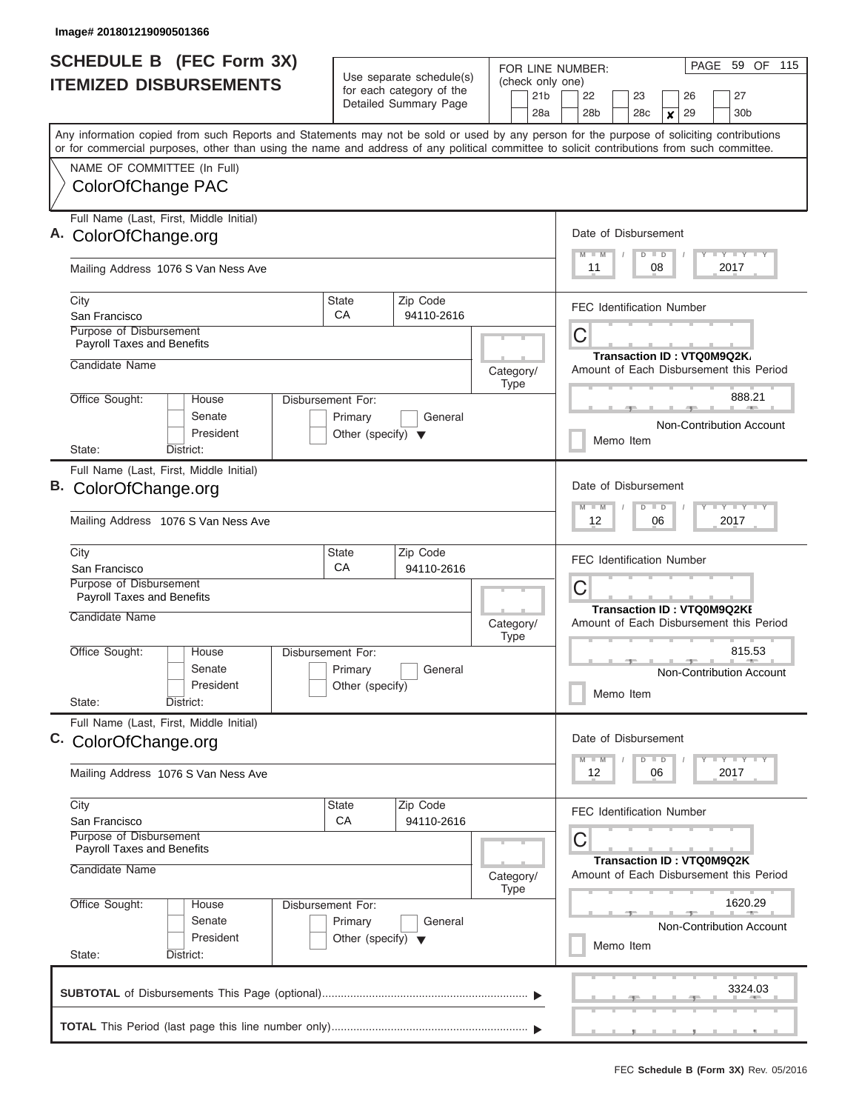| SCHEDULE B (FEC Form 3X)                                                                                                                   |                                                      | FOR LINE NUMBER:                    | 59 OF 115<br>PAGE                                                                                   |  |  |  |  |  |  |  |
|--------------------------------------------------------------------------------------------------------------------------------------------|------------------------------------------------------|-------------------------------------|-----------------------------------------------------------------------------------------------------|--|--|--|--|--|--|--|
| <b>ITEMIZED DISBURSEMENTS</b>                                                                                                              | Use separate schedule(s)<br>for each category of the | (check only one)<br>21 <sub>b</sub> | 22<br>23<br>27<br>26                                                                                |  |  |  |  |  |  |  |
|                                                                                                                                            | Detailed Summary Page                                | 28a                                 | 28 <sub>b</sub><br>28c<br>29<br>30 <sub>b</sub><br>$\boldsymbol{x}$                                 |  |  |  |  |  |  |  |
| Any information copied from such Reports and Statements may not be sold or used by any person for the purpose of soliciting contributions  |                                                      |                                     |                                                                                                     |  |  |  |  |  |  |  |
| or for commercial purposes, other than using the name and address of any political committee to solicit contributions from such committee. |                                                      |                                     |                                                                                                     |  |  |  |  |  |  |  |
| NAME OF COMMITTEE (In Full)                                                                                                                |                                                      |                                     |                                                                                                     |  |  |  |  |  |  |  |
| ColorOfChange PAC                                                                                                                          |                                                      |                                     |                                                                                                     |  |  |  |  |  |  |  |
| Full Name (Last, First, Middle Initial)                                                                                                    |                                                      |                                     |                                                                                                     |  |  |  |  |  |  |  |
| A. ColorOfChange.org                                                                                                                       |                                                      |                                     | Date of Disbursement                                                                                |  |  |  |  |  |  |  |
| Mailing Address 1076 S Van Ness Ave                                                                                                        |                                                      |                                     | $T$ $Y$ $T$ $Y$ $T$ $Y$<br>$M$ $M$<br>$D$ $D$<br>11<br>08<br>2017                                   |  |  |  |  |  |  |  |
| City                                                                                                                                       | Zip Code<br><b>State</b>                             |                                     | <b>FEC Identification Number</b>                                                                    |  |  |  |  |  |  |  |
| San Francisco<br>Purpose of Disbursement                                                                                                   | CA<br>94110-2616                                     |                                     |                                                                                                     |  |  |  |  |  |  |  |
| <b>Payroll Taxes and Benefits</b>                                                                                                          |                                                      |                                     | С                                                                                                   |  |  |  |  |  |  |  |
| Candidate Name                                                                                                                             |                                                      |                                     | Transaction ID: VTQ0M9Q2K<br>Amount of Each Disbursement this Period                                |  |  |  |  |  |  |  |
|                                                                                                                                            |                                                      | Category/<br>Type                   |                                                                                                     |  |  |  |  |  |  |  |
| Office Sought:<br>House                                                                                                                    | Disbursement For:                                    |                                     | 888.21                                                                                              |  |  |  |  |  |  |  |
| Senate                                                                                                                                     | Primary<br>General                                   |                                     | Non-Contribution Account                                                                            |  |  |  |  |  |  |  |
| President<br>District:<br>State:                                                                                                           | Other (specify) $\blacktriangledown$                 |                                     | Memo Item                                                                                           |  |  |  |  |  |  |  |
| Full Name (Last, First, Middle Initial)                                                                                                    |                                                      |                                     |                                                                                                     |  |  |  |  |  |  |  |
| B. ColorOfChange.org                                                                                                                       |                                                      |                                     | Date of Disbursement                                                                                |  |  |  |  |  |  |  |
|                                                                                                                                            |                                                      |                                     | $T$ $Y$ $T$ $Y$ $T$<br>$M - M$<br>$D$ $D$                                                           |  |  |  |  |  |  |  |
| Mailing Address 1076 S Van Ness Ave                                                                                                        |                                                      |                                     | 12<br>06<br>2017                                                                                    |  |  |  |  |  |  |  |
| City                                                                                                                                       | Zip Code<br><b>State</b><br>CA                       |                                     | <b>FEC Identification Number</b>                                                                    |  |  |  |  |  |  |  |
| San Francisco<br>Purpose of Disbursement                                                                                                   | 94110-2616                                           |                                     |                                                                                                     |  |  |  |  |  |  |  |
| <b>Payroll Taxes and Benefits</b>                                                                                                          |                                                      |                                     | С                                                                                                   |  |  |  |  |  |  |  |
| Candidate Name                                                                                                                             |                                                      | Category/<br><b>Type</b>            | <b>Transaction ID: VTQ0M9Q2KI</b><br>Amount of Each Disbursement this Period                        |  |  |  |  |  |  |  |
| Office Sought:<br>House                                                                                                                    | <b>Disbursement For:</b>                             |                                     | 815.53                                                                                              |  |  |  |  |  |  |  |
| Senate                                                                                                                                     | Primary<br>General                                   |                                     | Non-Contribution Account                                                                            |  |  |  |  |  |  |  |
| President<br>State:<br>District:                                                                                                           | Other (specify)                                      |                                     | Memo Item                                                                                           |  |  |  |  |  |  |  |
|                                                                                                                                            |                                                      |                                     |                                                                                                     |  |  |  |  |  |  |  |
| Full Name (Last, First, Middle Initial)<br>C. ColorOfChange.org                                                                            |                                                      |                                     | Date of Disbursement                                                                                |  |  |  |  |  |  |  |
|                                                                                                                                            |                                                      |                                     | $\mathbf{I}$ $\mathbf{Y}$ $\mathbf{I}$ $\mathbf{Y}$ $\mathbf{I}$ $\mathbf{Y}$<br>$M - M$<br>$D$ $D$ |  |  |  |  |  |  |  |
| Mailing Address 1076 S Van Ness Ave                                                                                                        |                                                      |                                     | 12<br>06<br>2017                                                                                    |  |  |  |  |  |  |  |
| City                                                                                                                                       | <b>State</b><br>Zip Code                             |                                     | <b>FEC Identification Number</b>                                                                    |  |  |  |  |  |  |  |
| San Francisco<br><b>Purpose of Disbursement</b>                                                                                            | CA<br>94110-2616                                     |                                     |                                                                                                     |  |  |  |  |  |  |  |
| Payroll Taxes and Benefits                                                                                                                 |                                                      |                                     | С                                                                                                   |  |  |  |  |  |  |  |
| Candidate Name                                                                                                                             |                                                      | Category/<br>Type                   | Transaction ID: VTQ0M9Q2K<br>Amount of Each Disbursement this Period                                |  |  |  |  |  |  |  |
| Office Sought:<br>House                                                                                                                    | Disbursement For:                                    |                                     | 1620.29                                                                                             |  |  |  |  |  |  |  |
| Senate                                                                                                                                     | Primary<br>General                                   |                                     | <b>Non-Contribution Account</b>                                                                     |  |  |  |  |  |  |  |
| President                                                                                                                                  | Other (specify) $\blacktriangledown$                 |                                     | Memo Item                                                                                           |  |  |  |  |  |  |  |
| State:<br>District:                                                                                                                        |                                                      |                                     |                                                                                                     |  |  |  |  |  |  |  |
|                                                                                                                                            |                                                      |                                     | 3324.03                                                                                             |  |  |  |  |  |  |  |
|                                                                                                                                            |                                                      |                                     |                                                                                                     |  |  |  |  |  |  |  |
|                                                                                                                                            |                                                      |                                     | , , , , , , , ,                                                                                     |  |  |  |  |  |  |  |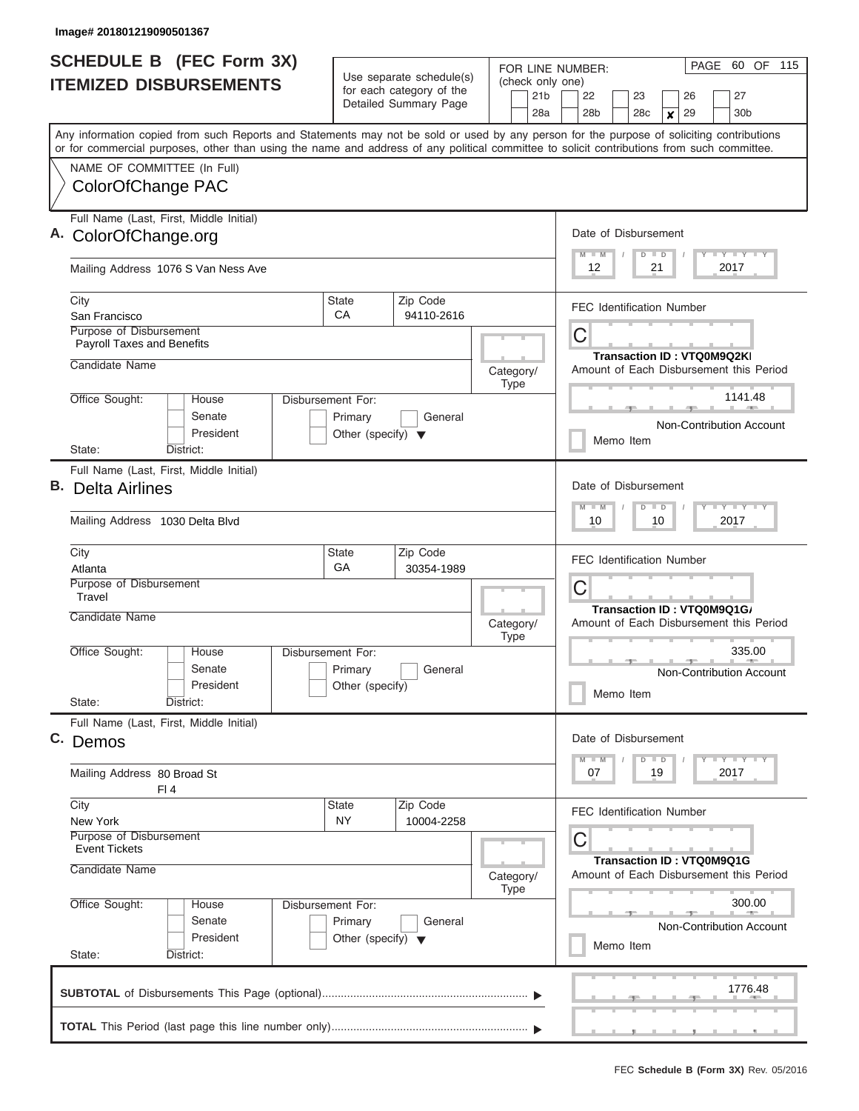| <b>SCHEDULE B (FEC Form 3X)</b><br><b>ITEMIZED DISBURSEMENTS</b>                                                                                                                                                                                                                        | Use separate schedule(s)<br>for each category of the                                   | FOR LINE NUMBER:<br>(check only one) | PAGE<br>60 OF<br>115                                                                                                                    |  |  |  |  |  |  |  |
|-----------------------------------------------------------------------------------------------------------------------------------------------------------------------------------------------------------------------------------------------------------------------------------------|----------------------------------------------------------------------------------------|--------------------------------------|-----------------------------------------------------------------------------------------------------------------------------------------|--|--|--|--|--|--|--|
|                                                                                                                                                                                                                                                                                         | Detailed Summary Page                                                                  | 21 <sub>b</sub><br>28a               | 22<br>23<br>26<br>27<br>28 <sub>b</sub><br>28 <sub>c</sub><br>29<br>30 <sub>b</sub><br>x                                                |  |  |  |  |  |  |  |
| Any information copied from such Reports and Statements may not be sold or used by any person for the purpose of soliciting contributions<br>or for commercial purposes, other than using the name and address of any political committee to solicit contributions from such committee. |                                                                                        |                                      |                                                                                                                                         |  |  |  |  |  |  |  |
| NAME OF COMMITTEE (In Full)<br>ColorOfChange PAC                                                                                                                                                                                                                                        |                                                                                        |                                      |                                                                                                                                         |  |  |  |  |  |  |  |
| Full Name (Last, First, Middle Initial)<br>A. ColorOfChange.org                                                                                                                                                                                                                         |                                                                                        |                                      | Date of Disbursement                                                                                                                    |  |  |  |  |  |  |  |
| Mailing Address 1076 S Van Ness Ave                                                                                                                                                                                                                                                     |                                                                                        |                                      | Y LY LY LY<br>$M$ $M$<br>$D$ $D$<br>12<br>21<br>2017                                                                                    |  |  |  |  |  |  |  |
| City<br>San Francisco<br>Purpose of Disbursement                                                                                                                                                                                                                                        | Zip Code<br><b>State</b><br>CA<br>94110-2616                                           |                                      | <b>FEC Identification Number</b>                                                                                                        |  |  |  |  |  |  |  |
| <b>Payroll Taxes and Benefits</b><br>Candidate Name                                                                                                                                                                                                                                     |                                                                                        | Category/                            | С<br>Transaction ID: VTQ0M9Q2KI<br>Amount of Each Disbursement this Period                                                              |  |  |  |  |  |  |  |
| Office Sought:<br>House<br>Senate<br>President<br>State:<br>District:                                                                                                                                                                                                                   | <b>Disbursement For:</b><br>Primary<br>General<br>Other (specify) $\blacktriangledown$ | <b>Type</b>                          | 1141.48<br>Non-Contribution Account<br>Memo Item                                                                                        |  |  |  |  |  |  |  |
| Full Name (Last, First, Middle Initial)<br>В.<br>Delta Airlines<br>Mailing Address 1030 Delta Blvd                                                                                                                                                                                      |                                                                                        |                                      | Date of Disbursement<br>$T$ $T$ $T$ $T$ $T$ $T$ $T$ $T$ $T$<br>$M - M$<br>$\overline{\mathsf{D}}$<br>$\blacksquare$<br>10<br>10<br>2017 |  |  |  |  |  |  |  |
| City<br>Atlanta<br>Purpose of Disbursement<br>Travel                                                                                                                                                                                                                                    | Zip Code<br><b>State</b><br>GA<br>30354-1989                                           |                                      | <b>FEC Identification Number</b><br>С                                                                                                   |  |  |  |  |  |  |  |
| Candidate Name<br>Office Sought:<br>House                                                                                                                                                                                                                                               | <b>Disbursement For:</b>                                                               | Category/<br><b>Type</b>             | Transaction ID: VTQ0M9Q1G/<br>Amount of Each Disbursement this Period<br>335.00                                                         |  |  |  |  |  |  |  |
| Senate<br>President<br>State:<br>District:                                                                                                                                                                                                                                              | Primary<br>General<br>Other (specify)                                                  |                                      | <b>Non-Contribution Account</b><br>Memo Item                                                                                            |  |  |  |  |  |  |  |
| Full Name (Last, First, Middle Initial)<br>C. Demos                                                                                                                                                                                                                                     |                                                                                        |                                      | Date of Disbursement<br>$T$ $Y$ $T$ $Y$ $T$ $Y$<br>$M$ $M$                                                                              |  |  |  |  |  |  |  |
| Mailing Address 80 Broad St<br>FI4                                                                                                                                                                                                                                                      |                                                                                        |                                      | $D \parallel D$<br>07<br>19<br>2017                                                                                                     |  |  |  |  |  |  |  |
| City<br>New York<br>Purpose of Disbursement<br>Event Tickets                                                                                                                                                                                                                            | <b>State</b><br>Zip Code<br><b>NY</b><br>10004-2258                                    |                                      | <b>FEC Identification Number</b><br>С                                                                                                   |  |  |  |  |  |  |  |
| Candidate Name<br>Office Sought:<br>House                                                                                                                                                                                                                                               | Disbursement For:                                                                      | Category/<br>Type                    | <b>Transaction ID: VTQ0M9Q1G</b><br>Amount of Each Disbursement this Period<br>300.00                                                   |  |  |  |  |  |  |  |
| Senate<br>President<br>State:<br>District:                                                                                                                                                                                                                                              | Primary<br>General<br>Other (specify) $\blacktriangledown$                             |                                      | Non-Contribution Account<br>Memo Item                                                                                                   |  |  |  |  |  |  |  |
|                                                                                                                                                                                                                                                                                         |                                                                                        |                                      | 1776.48                                                                                                                                 |  |  |  |  |  |  |  |
|                                                                                                                                                                                                                                                                                         |                                                                                        |                                      | , <u>, , , , , , , ,</u>                                                                                                                |  |  |  |  |  |  |  |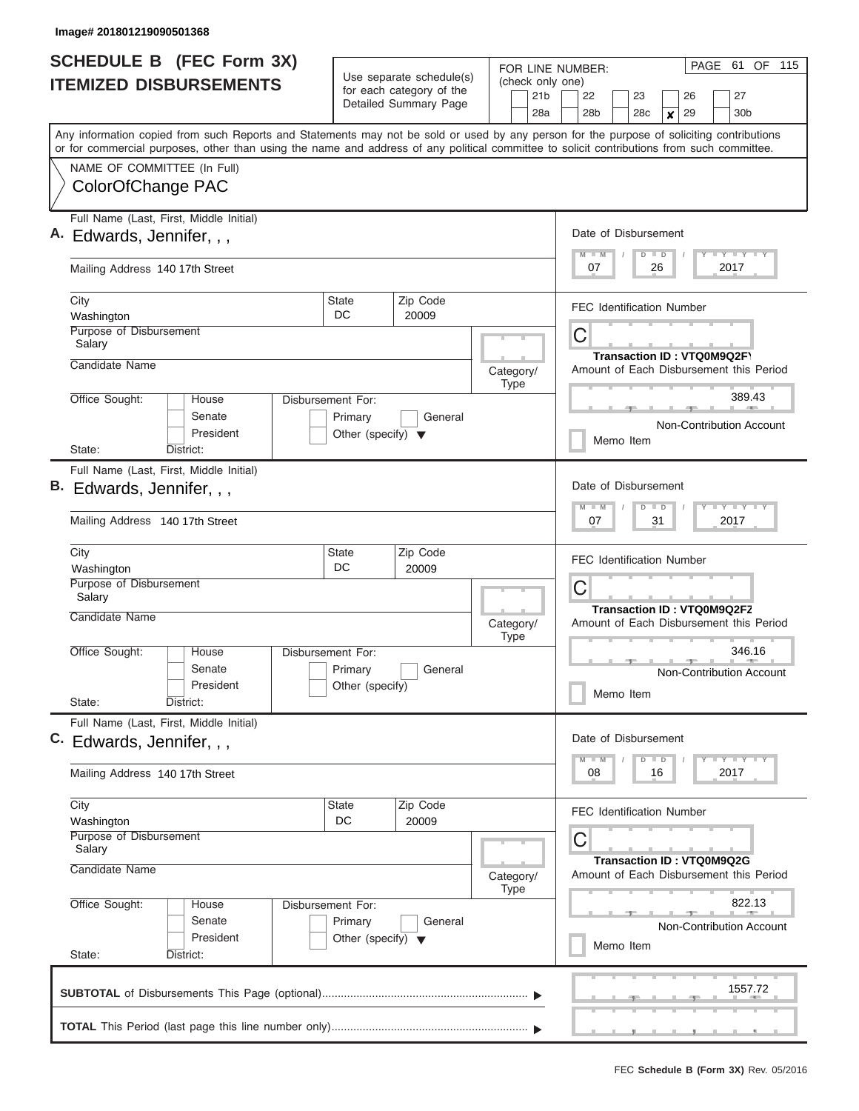| <b>SCHEDULE B</b> (FEC Form 3X)<br><b>ITEMIZED DISBURSEMENTS</b> |                                                                                                                                                                                                                                                                                         |                                                                      | Use separate schedule(s)<br>for each category of the | FOR LINE NUMBER:<br>(check only one) | PAGE<br>61 OF 115                                                          |  |  |  |  |
|------------------------------------------------------------------|-----------------------------------------------------------------------------------------------------------------------------------------------------------------------------------------------------------------------------------------------------------------------------------------|----------------------------------------------------------------------|------------------------------------------------------|--------------------------------------|----------------------------------------------------------------------------|--|--|--|--|
|                                                                  |                                                                                                                                                                                                                                                                                         |                                                                      | Detailed Summary Page                                | 21 <sub>b</sub><br>28a               | 22<br>27<br>23<br>26<br>29<br>28b<br>28c<br>30 <sub>b</sub><br>X           |  |  |  |  |
|                                                                  | Any information copied from such Reports and Statements may not be sold or used by any person for the purpose of soliciting contributions<br>or for commercial purposes, other than using the name and address of any political committee to solicit contributions from such committee. |                                                                      |                                                      |                                      |                                                                            |  |  |  |  |
|                                                                  | NAME OF COMMITTEE (In Full)<br>ColorOfChange PAC                                                                                                                                                                                                                                        |                                                                      |                                                      |                                      |                                                                            |  |  |  |  |
|                                                                  | Full Name (Last, First, Middle Initial)<br>A. Edwards, Jennifer, , ,                                                                                                                                                                                                                    |                                                                      |                                                      |                                      | Date of Disbursement<br>Y FY FY FY<br>$M$ $M$<br>$D$ $D$                   |  |  |  |  |
|                                                                  | Mailing Address 140 17th Street                                                                                                                                                                                                                                                         |                                                                      |                                                      |                                      | 07<br>26<br>2017                                                           |  |  |  |  |
|                                                                  | City<br>Washington                                                                                                                                                                                                                                                                      | State<br>DC.                                                         | Zip Code<br>20009                                    |                                      | <b>FEC Identification Number</b>                                           |  |  |  |  |
|                                                                  | Purpose of Disbursement<br>Salary<br>Candidate Name                                                                                                                                                                                                                                     |                                                                      |                                                      | Category/                            | C<br>Transaction ID: VTQ0M9Q2F)<br>Amount of Each Disbursement this Period |  |  |  |  |
|                                                                  | Office Sought:<br>House<br>Senate<br>President                                                                                                                                                                                                                                          | Disbursement For:<br>Primary<br>Other (specify) $\blacktriangledown$ | General                                              | <b>Type</b>                          | 389.43<br>Non-Contribution Account<br>Memo Item                            |  |  |  |  |
|                                                                  | State:<br>District:                                                                                                                                                                                                                                                                     |                                                                      |                                                      |                                      |                                                                            |  |  |  |  |
| В.                                                               | Full Name (Last, First, Middle Initial)<br>Edwards, Jennifer, , ,                                                                                                                                                                                                                       |                                                                      |                                                      |                                      | Date of Disbursement<br>Y FY FY FY<br>$M - M$<br>$D$ $D$                   |  |  |  |  |
|                                                                  | Mailing Address 140 17th Street                                                                                                                                                                                                                                                         |                                                                      |                                                      |                                      | 2017<br>07<br>31                                                           |  |  |  |  |
|                                                                  | City<br>Washington                                                                                                                                                                                                                                                                      | <b>State</b><br>DC                                                   | Zip Code<br>20009                                    |                                      | <b>FEC Identification Number</b>                                           |  |  |  |  |
|                                                                  | Purpose of Disbursement<br>Salary<br>Candidate Name                                                                                                                                                                                                                                     |                                                                      |                                                      |                                      | С<br>Transaction ID: VTQ0M9Q2F2                                            |  |  |  |  |
|                                                                  |                                                                                                                                                                                                                                                                                         |                                                                      |                                                      | Category/<br><b>Type</b>             | Amount of Each Disbursement this Period                                    |  |  |  |  |
|                                                                  | Office Sought:<br>House<br>Senate<br>President<br>State:<br>District:                                                                                                                                                                                                                   | Disbursement For:<br>Primary<br>Other (specify)                      | General                                              |                                      | 346.16<br>Non-Contribution Account<br>Memo Item                            |  |  |  |  |
|                                                                  | Full Name (Last, First, Middle Initial)<br>C. Edwards, Jennifer, , ,                                                                                                                                                                                                                    |                                                                      |                                                      |                                      | Date of Disbursement<br>$Y$ $Y$ $Y$ $Y$ $Y$<br>$M$ $M$<br>$D$ $D$          |  |  |  |  |
|                                                                  | Mailing Address 140 17th Street                                                                                                                                                                                                                                                         |                                                                      |                                                      |                                      | 2017<br>08<br>16                                                           |  |  |  |  |
|                                                                  | City<br>Washington<br>Purpose of Disbursement                                                                                                                                                                                                                                           | State<br>DC                                                          | Zip Code<br>20009                                    |                                      | <b>FEC Identification Number</b>                                           |  |  |  |  |
|                                                                  | Salary<br>Candidate Name                                                                                                                                                                                                                                                                |                                                                      |                                                      | Category/                            | С<br>Transaction ID: VTQ0M9Q2G<br>Amount of Each Disbursement this Period  |  |  |  |  |
|                                                                  | Office Sought:<br>House<br>Senate<br>President<br>State:<br>District:                                                                                                                                                                                                                   | Disbursement For:<br>Primary<br>Other (specify) $\blacktriangledown$ | General                                              | <b>Type</b>                          | 822.13<br>Non-Contribution Account<br>Memo Item                            |  |  |  |  |
|                                                                  |                                                                                                                                                                                                                                                                                         |                                                                      |                                                      |                                      | 1557.72                                                                    |  |  |  |  |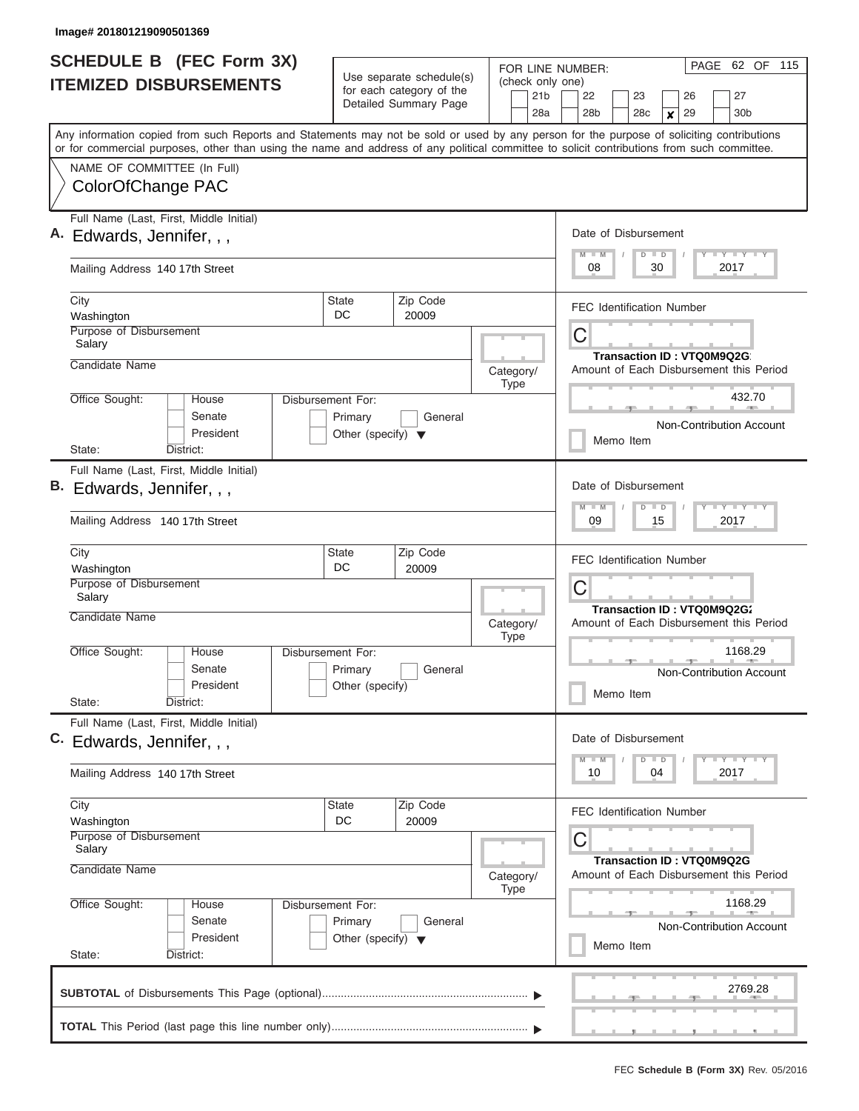| <b>SCHEDULE B (FEC Form 3X)</b><br><b>ITEMIZED DISBURSEMENTS</b>                                           |              | Use separate schedule(s)<br>(check only one)<br>for each category of the<br>Detailed Summary Page<br>28a |                          |                                                                             | PAGE<br>62 OF 115<br>FOR LINE NUMBER:<br>21 <sub>b</sub><br>22<br>27<br>23<br>26<br>28 <sub>b</sub><br>28c<br>29<br>30 <sub>b</sub><br>$\boldsymbol{x}$                                                                                                                                 |  |  |  |
|------------------------------------------------------------------------------------------------------------|--------------|----------------------------------------------------------------------------------------------------------|--------------------------|-----------------------------------------------------------------------------|-----------------------------------------------------------------------------------------------------------------------------------------------------------------------------------------------------------------------------------------------------------------------------------------|--|--|--|
| NAME OF COMMITTEE (In Full)                                                                                |              |                                                                                                          |                          |                                                                             | Any information copied from such Reports and Statements may not be sold or used by any person for the purpose of soliciting contributions<br>or for commercial purposes, other than using the name and address of any political committee to solicit contributions from such committee. |  |  |  |
| ColorOfChange PAC                                                                                          |              |                                                                                                          |                          |                                                                             |                                                                                                                                                                                                                                                                                         |  |  |  |
| Full Name (Last, First, Middle Initial)<br>Edwards, Jennifer, , ,                                          |              |                                                                                                          |                          |                                                                             | Date of Disbursement<br>Y FY FY FY<br>$M$ $M$<br>$D$ $D$                                                                                                                                                                                                                                |  |  |  |
| Mailing Address 140 17th Street                                                                            |              |                                                                                                          |                          |                                                                             | 2017<br>08<br>30                                                                                                                                                                                                                                                                        |  |  |  |
| City<br>Washington                                                                                         |              | <b>State</b><br>DC.                                                                                      | Zip Code<br>20009        |                                                                             | <b>FEC Identification Number</b>                                                                                                                                                                                                                                                        |  |  |  |
| Purpose of Disbursement<br>Salary<br>Candidate Name                                                        |              |                                                                                                          |                          |                                                                             | $\mathsf C$<br><b>Transaction ID: VTQ0M9Q2G</b>                                                                                                                                                                                                                                         |  |  |  |
|                                                                                                            |              |                                                                                                          |                          | Category/<br><b>Type</b>                                                    | Amount of Each Disbursement this Period                                                                                                                                                                                                                                                 |  |  |  |
| Office Sought:<br>House<br>Senate<br>President                                                             |              | Disbursement For:<br>Primary<br>Other (specify) $\blacktriangledown$                                     | General                  |                                                                             | 432.70<br>Non-Contribution Account                                                                                                                                                                                                                                                      |  |  |  |
| State:<br>District:                                                                                        |              |                                                                                                          |                          |                                                                             | Memo Item                                                                                                                                                                                                                                                                               |  |  |  |
| Full Name (Last, First, Middle Initial)<br>В.<br>Edwards, Jennifer, , ,<br>Mailing Address 140 17th Street |              |                                                                                                          |                          |                                                                             | Date of Disbursement<br>Y FY FY FY<br>$M - M$<br>$D$ $D$<br>15<br>2017<br>09                                                                                                                                                                                                            |  |  |  |
| City<br>Washington                                                                                         | <b>State</b> |                                                                                                          |                          |                                                                             | <b>FEC Identification Number</b>                                                                                                                                                                                                                                                        |  |  |  |
| Purpose of Disbursement<br>Salary<br>Candidate Name                                                        |              |                                                                                                          |                          |                                                                             | C<br>Transaction ID: VTQ0M9Q2G;                                                                                                                                                                                                                                                         |  |  |  |
|                                                                                                            |              |                                                                                                          |                          | Category/<br><b>Type</b>                                                    | Amount of Each Disbursement this Period                                                                                                                                                                                                                                                 |  |  |  |
| Office Sought:<br>House<br>Senate<br>President<br>State:<br>District:                                      |              | Disbursement For:<br>Primary<br>Other (specify)                                                          | General                  |                                                                             | 1168.29<br>Non-Contribution Account<br>Memo Item                                                                                                                                                                                                                                        |  |  |  |
| Full Name (Last, First, Middle Initial)<br>C. Edwards, Jennifer, , ,                                       |              |                                                                                                          |                          |                                                                             | Date of Disbursement<br>Y FY FY FY<br>$M - M$<br>$D$ $D$                                                                                                                                                                                                                                |  |  |  |
| Mailing Address 140 17th Street                                                                            |              |                                                                                                          |                          |                                                                             | 2017<br>10<br>04                                                                                                                                                                                                                                                                        |  |  |  |
| City<br>Washington<br>Purpose of Disbursement                                                              |              | State<br>DC                                                                                              | Zip Code<br>20009        |                                                                             | <b>FEC Identification Number</b><br>С                                                                                                                                                                                                                                                   |  |  |  |
| Salary<br>Candidate Name                                                                                   |              |                                                                                                          | Category/<br><b>Type</b> | <b>Transaction ID: VTQ0M9Q2G</b><br>Amount of Each Disbursement this Period |                                                                                                                                                                                                                                                                                         |  |  |  |
| Office Sought:<br>House<br>Senate<br>President                                                             |              | Disbursement For:<br>Primary<br>Other (specify) $\blacktriangledown$                                     |                          | 1168.29<br><b>Non-Contribution Account</b><br>Memo Item                     |                                                                                                                                                                                                                                                                                         |  |  |  |
| State:<br>District:                                                                                        |              |                                                                                                          |                          |                                                                             | 2769.28                                                                                                                                                                                                                                                                                 |  |  |  |
|                                                                                                            |              |                                                                                                          |                          |                                                                             |                                                                                                                                                                                                                                                                                         |  |  |  |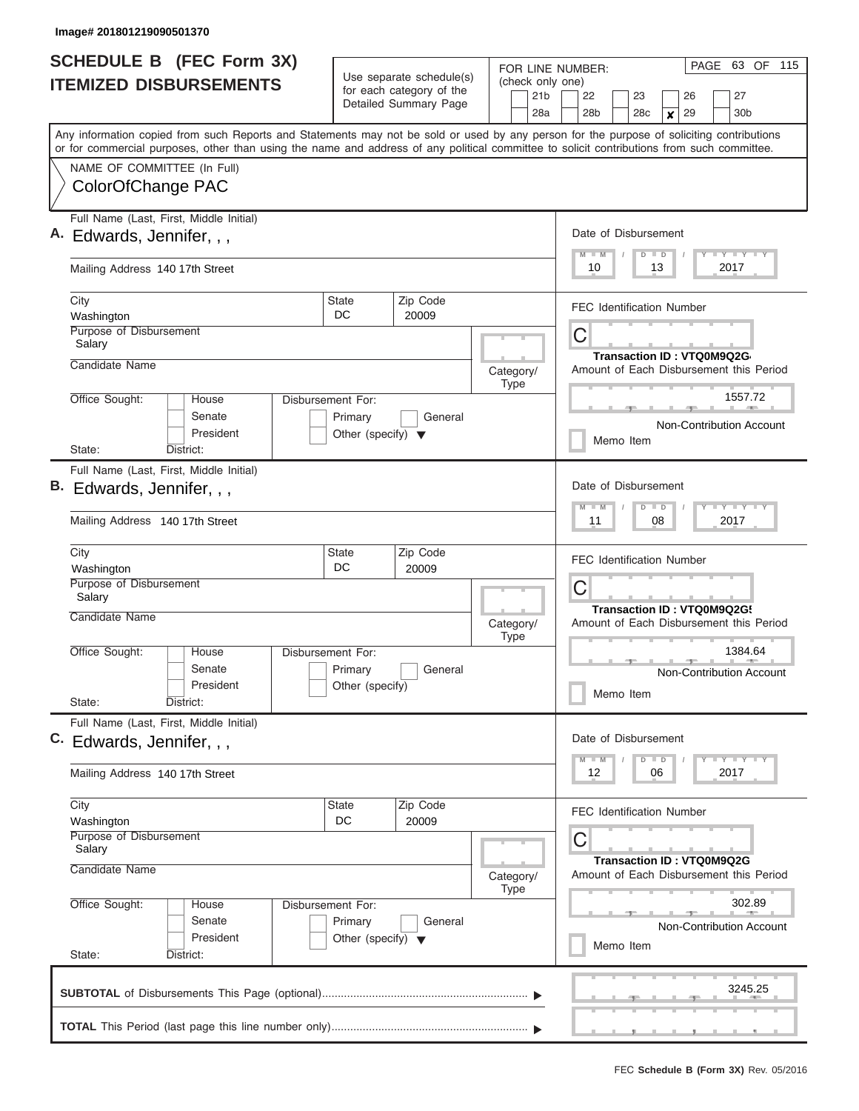| <b>SCHEDULE B</b> (FEC Form 3X)                                                                                                                                                                                                                                                         |                                                                      | Use separate schedule(s)                          | (check only one)                                                             | 63 OF 115<br>PAGE<br>FOR LINE NUMBER:                                                       |  |  |  |  |  |
|-----------------------------------------------------------------------------------------------------------------------------------------------------------------------------------------------------------------------------------------------------------------------------------------|----------------------------------------------------------------------|---------------------------------------------------|------------------------------------------------------------------------------|---------------------------------------------------------------------------------------------|--|--|--|--|--|
| <b>ITEMIZED DISBURSEMENTS</b>                                                                                                                                                                                                                                                           |                                                                      | for each category of the<br>Detailed Summary Page | 21 <sub>b</sub><br>28a                                                       | 27<br>22<br>23<br>26<br>30 <sub>b</sub><br>28 <sub>b</sub><br>28c<br>29<br>$\boldsymbol{x}$ |  |  |  |  |  |
| Any information copied from such Reports and Statements may not be sold or used by any person for the purpose of soliciting contributions<br>or for commercial purposes, other than using the name and address of any political committee to solicit contributions from such committee. |                                                                      |                                                   |                                                                              |                                                                                             |  |  |  |  |  |
| NAME OF COMMITTEE (In Full)<br>ColorOfChange PAC                                                                                                                                                                                                                                        |                                                                      |                                                   |                                                                              |                                                                                             |  |  |  |  |  |
| Full Name (Last, First, Middle Initial)<br>Edwards, Jennifer, , ,                                                                                                                                                                                                                       |                                                                      |                                                   |                                                                              | Date of Disbursement<br>Y FY FY FY<br>$M$ $M$<br>$D$ $D$                                    |  |  |  |  |  |
| Mailing Address 140 17th Street                                                                                                                                                                                                                                                         |                                                                      |                                                   |                                                                              | 2017<br>10<br>13                                                                            |  |  |  |  |  |
| City<br>Washington                                                                                                                                                                                                                                                                      | <b>State</b><br>DC.                                                  | Zip Code<br>20009                                 |                                                                              | <b>FEC Identification Number</b>                                                            |  |  |  |  |  |
| Purpose of Disbursement<br>Salary<br>Candidate Name                                                                                                                                                                                                                                     |                                                                      |                                                   | Category/                                                                    | C<br>Transaction ID: VTQ0M9Q2G<br>Amount of Each Disbursement this Period                   |  |  |  |  |  |
| Office Sought:<br>House<br>Senate<br>President<br>State:                                                                                                                                                                                                                                | Disbursement For:<br>Primary<br>Other (specify) $\blacktriangledown$ | General                                           | <b>Type</b>                                                                  | 1557.72<br>Non-Contribution Account<br>Memo Item                                            |  |  |  |  |  |
| District:<br>Full Name (Last, First, Middle Initial)<br>B. Edwards, Jennifer, , ,<br>Mailing Address 140 17th Street                                                                                                                                                                    |                                                                      |                                                   | Date of Disbursement<br>Y FY FY FY<br>$M - M$<br>$D$ $D$<br>08<br>2017<br>11 |                                                                                             |  |  |  |  |  |
| City<br>Washington<br>Purpose of Disbursement                                                                                                                                                                                                                                           | State<br>DC                                                          | Zip Code<br>20009                                 |                                                                              | <b>FEC Identification Number</b>                                                            |  |  |  |  |  |
| Salary<br>Candidate Name                                                                                                                                                                                                                                                                |                                                                      |                                                   | Category/<br><b>Type</b>                                                     | C<br>Transaction ID: VTQ0M9Q2G!<br>Amount of Each Disbursement this Period                  |  |  |  |  |  |
| Office Sought:<br>House<br>Senate<br>President<br>State:<br>District:                                                                                                                                                                                                                   | Disbursement For:<br>Primary<br>Other (specify)                      | General                                           |                                                                              | 1384.64<br>Non-Contribution Account<br>Memo Item                                            |  |  |  |  |  |
| Full Name (Last, First, Middle Initial)<br>C. Edwards, Jennifer, , ,                                                                                                                                                                                                                    |                                                                      |                                                   |                                                                              | Date of Disbursement<br>$Y$ $Y$ $Y$ $Y$ $Y$ $Y$<br>$M - M$<br>$D$ $D$                       |  |  |  |  |  |
| Mailing Address 140 17th Street                                                                                                                                                                                                                                                         |                                                                      |                                                   |                                                                              | 2017<br>12<br>06                                                                            |  |  |  |  |  |
| City<br>Washington<br>Purpose of Disbursement<br>Salary                                                                                                                                                                                                                                 | State<br>DC                                                          | Zip Code<br>20009                                 |                                                                              | <b>FEC Identification Number</b><br>С                                                       |  |  |  |  |  |
| Candidate Name                                                                                                                                                                                                                                                                          |                                                                      |                                                   | Category/<br><b>Type</b>                                                     | Transaction ID: VTQ0M9Q2G<br>Amount of Each Disbursement this Period                        |  |  |  |  |  |
| Office Sought:<br>House<br>Senate<br>President<br>State:<br>District:                                                                                                                                                                                                                   | Disbursement For:<br>Primary<br>Other (specify) $\blacktriangledown$ | General                                           |                                                                              | 302.89<br>Non-Contribution Account<br>Memo Item                                             |  |  |  |  |  |
|                                                                                                                                                                                                                                                                                         |                                                                      |                                                   |                                                                              | 3245.25                                                                                     |  |  |  |  |  |
|                                                                                                                                                                                                                                                                                         |                                                                      |                                                   |                                                                              |                                                                                             |  |  |  |  |  |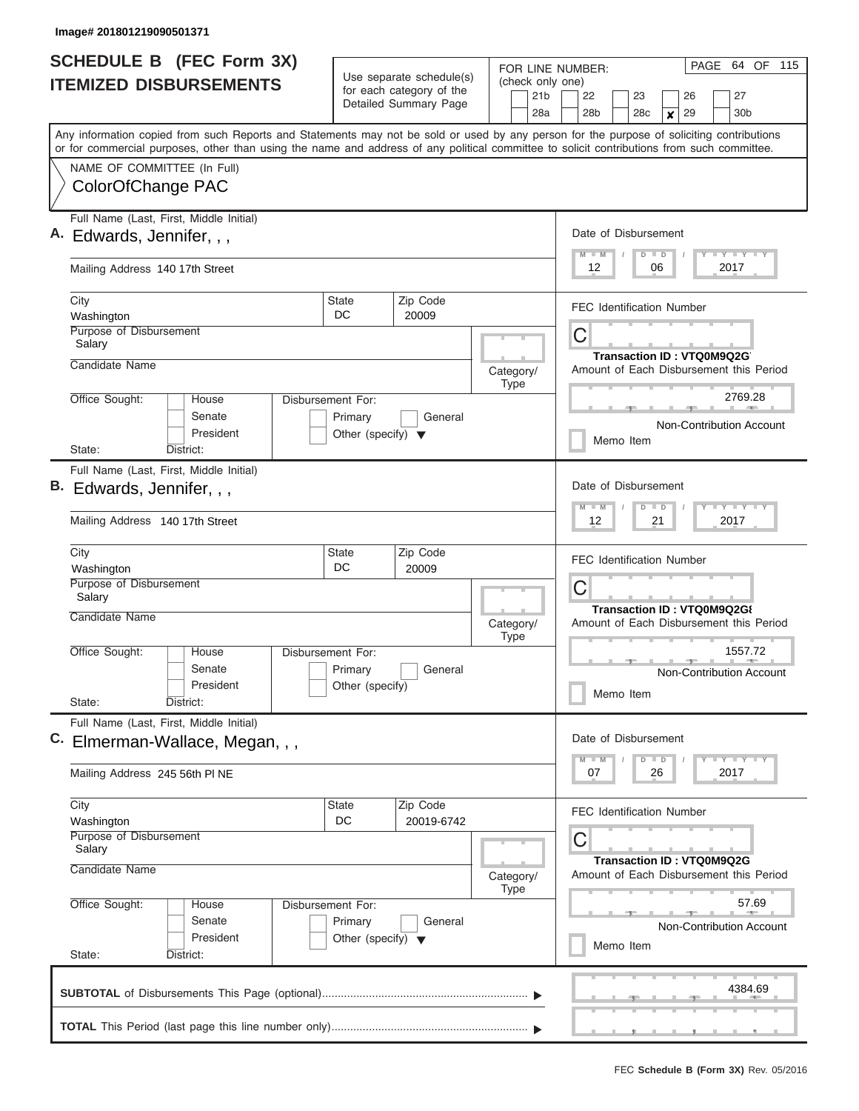ı

| <b>SCHEDULE B</b> (FEC Form 3X)                                                                                                                                                                                                                                                         |                                                                      |                                                      | FOR LINE NUMBER:                    | PAGE<br>64 OF 115                                                            |  |  |  |  |  |
|-----------------------------------------------------------------------------------------------------------------------------------------------------------------------------------------------------------------------------------------------------------------------------------------|----------------------------------------------------------------------|------------------------------------------------------|-------------------------------------|------------------------------------------------------------------------------|--|--|--|--|--|
| <b>ITEMIZED DISBURSEMENTS</b>                                                                                                                                                                                                                                                           |                                                                      | Use separate schedule(s)<br>for each category of the | (check only one)<br>21 <sub>b</sub> | 22<br>27<br>23<br>26                                                         |  |  |  |  |  |
|                                                                                                                                                                                                                                                                                         |                                                                      | Detailed Summary Page                                | 28a                                 | 29<br>28b<br>28c<br>30 <sub>b</sub><br>X                                     |  |  |  |  |  |
| Any information copied from such Reports and Statements may not be sold or used by any person for the purpose of soliciting contributions<br>or for commercial purposes, other than using the name and address of any political committee to solicit contributions from such committee. |                                                                      |                                                      |                                     |                                                                              |  |  |  |  |  |
| NAME OF COMMITTEE (In Full)                                                                                                                                                                                                                                                             |                                                                      |                                                      |                                     |                                                                              |  |  |  |  |  |
| ColorOfChange PAC                                                                                                                                                                                                                                                                       |                                                                      |                                                      |                                     |                                                                              |  |  |  |  |  |
| A. Edwards, Jennifer, , ,                                                                                                                                                                                                                                                               | Full Name (Last, First, Middle Initial)                              |                                                      |                                     |                                                                              |  |  |  |  |  |
| Mailing Address 140 17th Street                                                                                                                                                                                                                                                         | Y FY FY FY<br>$M$ $M$<br>$D$ $D$<br>12<br>06<br>2017                 |                                                      |                                     |                                                                              |  |  |  |  |  |
| City<br>Washington                                                                                                                                                                                                                                                                      | State<br>DC.                                                         | Zip Code<br>20009                                    |                                     | <b>FEC Identification Number</b>                                             |  |  |  |  |  |
| Purpose of Disbursement<br>Salary                                                                                                                                                                                                                                                       |                                                                      |                                                      |                                     | C<br><b>Transaction ID: VTQ0M9Q2G</b>                                        |  |  |  |  |  |
| Candidate Name                                                                                                                                                                                                                                                                          |                                                                      |                                                      | Category/<br><b>Type</b>            | Amount of Each Disbursement this Period                                      |  |  |  |  |  |
| Office Sought:<br>House<br>Senate<br>President                                                                                                                                                                                                                                          | Disbursement For:<br>Primary<br>Other (specify) $\blacktriangledown$ | General                                              |                                     | 2769.28<br>Non-Contribution Account                                          |  |  |  |  |  |
| State:<br>District:                                                                                                                                                                                                                                                                     |                                                                      |                                                      |                                     | Memo Item                                                                    |  |  |  |  |  |
| Full Name (Last, First, Middle Initial)<br>В.<br>Edwards, Jennifer, , ,<br>Mailing Address 140 17th Street                                                                                                                                                                              |                                                                      |                                                      |                                     | Date of Disbursement<br>Y FY FY FY<br>$M - M$<br>$D$ $D$<br>2017<br>12<br>21 |  |  |  |  |  |
| City<br>Washington                                                                                                                                                                                                                                                                      | <b>State</b><br>DC                                                   | Zip Code<br>20009                                    |                                     | <b>FEC Identification Number</b>                                             |  |  |  |  |  |
| Purpose of Disbursement<br>Salary                                                                                                                                                                                                                                                       |                                                                      |                                                      |                                     | С<br>Transaction ID: VTQ0M9Q2G{                                              |  |  |  |  |  |
| Candidate Name                                                                                                                                                                                                                                                                          |                                                                      |                                                      | Category/<br><b>Type</b>            | Amount of Each Disbursement this Period                                      |  |  |  |  |  |
| Office Sought:<br>House<br>Senate<br>President                                                                                                                                                                                                                                          | Disbursement For:<br>Primary<br>Other (specify)                      | General                                              |                                     | 1557.72<br>Non-Contribution Account<br>Memo Item                             |  |  |  |  |  |
| State:<br>District:                                                                                                                                                                                                                                                                     |                                                                      |                                                      |                                     |                                                                              |  |  |  |  |  |
| Full Name (Last, First, Middle Initial)<br>C.<br>Elmerman-Wallace, Megan, , ,                                                                                                                                                                                                           |                                                                      |                                                      |                                     | Date of Disbursement<br>$Y$ $Y$ $Y$ $Y$ $Y$<br>$M$ $M$<br>$D$ $D$            |  |  |  |  |  |
| Mailing Address 245 56th PINE                                                                                                                                                                                                                                                           |                                                                      |                                                      |                                     | 2017<br>07<br>26                                                             |  |  |  |  |  |
| City<br>Washington                                                                                                                                                                                                                                                                      | State<br>DC                                                          | Zip Code<br>20019-6742                               |                                     | <b>FEC Identification Number</b>                                             |  |  |  |  |  |
| Purpose of Disbursement<br>Salary<br>Candidate Name                                                                                                                                                                                                                                     |                                                                      |                                                      | Category/                           | С<br>Transaction ID: VTQ0M9Q2G<br>Amount of Each Disbursement this Period    |  |  |  |  |  |
| Office Sought:<br>House                                                                                                                                                                                                                                                                 | Disbursement For:                                                    |                                                      | <b>Type</b>                         | 57.69                                                                        |  |  |  |  |  |
| Senate<br>President                                                                                                                                                                                                                                                                     | Primary<br>Other (specify) $\blacktriangledown$                      | General                                              |                                     | Non-Contribution Account<br>Memo Item                                        |  |  |  |  |  |
| State:<br>District:                                                                                                                                                                                                                                                                     |                                                                      |                                                      |                                     |                                                                              |  |  |  |  |  |
|                                                                                                                                                                                                                                                                                         |                                                                      |                                                      |                                     | 4384.69                                                                      |  |  |  |  |  |
|                                                                                                                                                                                                                                                                                         |                                                                      |                                                      |                                     |                                                                              |  |  |  |  |  |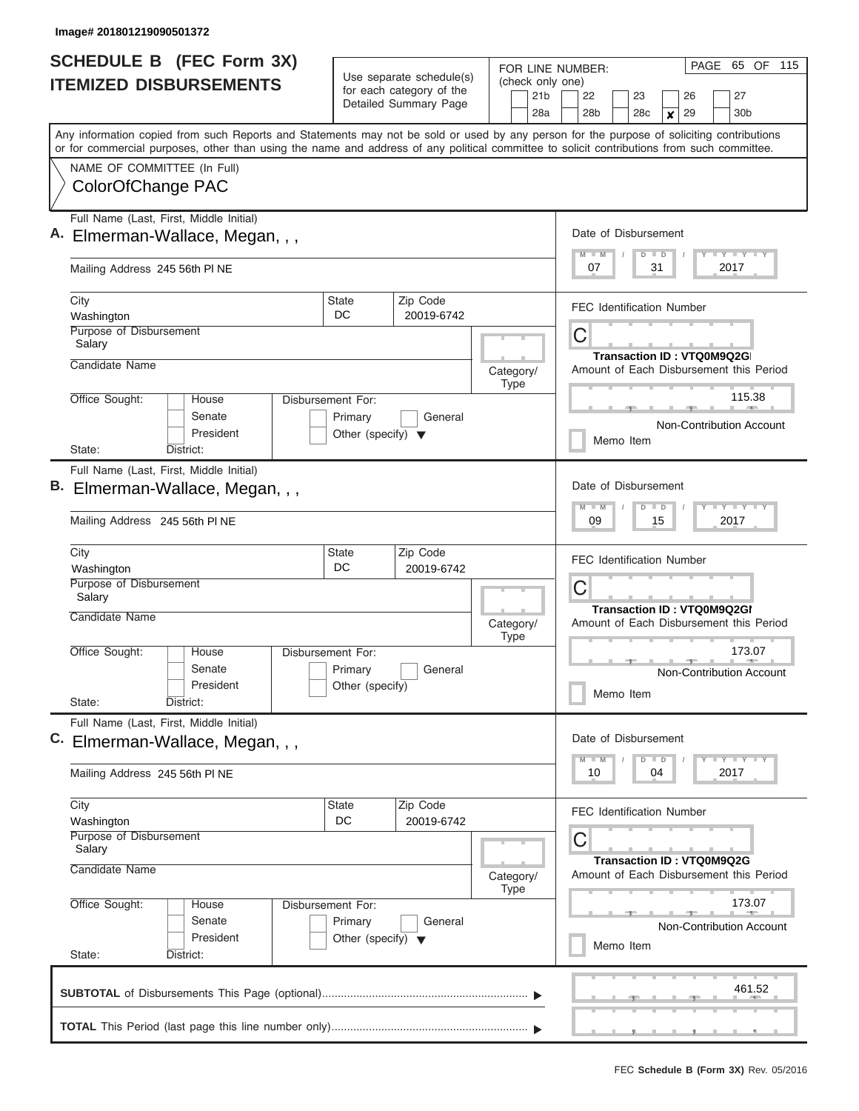| <b>SCHEDULE B (FEC Form 3X)</b><br><b>ITEMIZED DISBURSEMENTS</b>                                                                                                                                                                                                                        |                                                                      | Use separate schedule(s)                          | FOR LINE NUMBER:<br>(check only one)                                             | PAGE 65 OF 115                                                               |  |  |  |  |  |
|-----------------------------------------------------------------------------------------------------------------------------------------------------------------------------------------------------------------------------------------------------------------------------------------|----------------------------------------------------------------------|---------------------------------------------------|----------------------------------------------------------------------------------|------------------------------------------------------------------------------|--|--|--|--|--|
|                                                                                                                                                                                                                                                                                         |                                                                      | for each category of the<br>Detailed Summary Page | 21 <sub>b</sub><br>28a                                                           | 22<br>23<br>26<br>27<br>28 <sub>b</sub><br>29<br>30 <sub>b</sub><br>28c<br>X |  |  |  |  |  |
| Any information copied from such Reports and Statements may not be sold or used by any person for the purpose of soliciting contributions<br>or for commercial purposes, other than using the name and address of any political committee to solicit contributions from such committee. |                                                                      |                                                   |                                                                                  |                                                                              |  |  |  |  |  |
| NAME OF COMMITTEE (In Full)<br>ColorOfChange PAC                                                                                                                                                                                                                                        |                                                                      |                                                   |                                                                                  |                                                                              |  |  |  |  |  |
| Full Name (Last, First, Middle Initial)<br>Elmerman-Wallace, Megan, , ,                                                                                                                                                                                                                 |                                                                      |                                                   |                                                                                  |                                                                              |  |  |  |  |  |
| Mailing Address 245 56th PI NE                                                                                                                                                                                                                                                          |                                                                      |                                                   |                                                                                  |                                                                              |  |  |  |  |  |
| City<br>Washington                                                                                                                                                                                                                                                                      | State<br>DC                                                          | Zip Code<br>20019-6742                            |                                                                                  | <b>FEC Identification Number</b>                                             |  |  |  |  |  |
| Purpose of Disbursement<br>Salary                                                                                                                                                                                                                                                       |                                                                      |                                                   |                                                                                  | C<br>Transaction ID: VTQ0M9Q2G                                               |  |  |  |  |  |
| Candidate Name                                                                                                                                                                                                                                                                          |                                                                      |                                                   | Category/<br><b>Type</b>                                                         | Amount of Each Disbursement this Period                                      |  |  |  |  |  |
| Office Sought:<br>House<br>Senate<br>President                                                                                                                                                                                                                                          | Disbursement For:<br>Primary<br>Other (specify) $\blacktriangledown$ | General                                           |                                                                                  | 115.38<br>Non-Contribution Account                                           |  |  |  |  |  |
| State:<br>District:                                                                                                                                                                                                                                                                     |                                                                      |                                                   |                                                                                  | Memo Item                                                                    |  |  |  |  |  |
| Full Name (Last, First, Middle Initial)<br>Elmerman-Wallace, Megan, , ,                                                                                                                                                                                                                 |                                                                      |                                                   |                                                                                  | Date of Disbursement<br>Y FY FY FY<br>$M - M$<br>$D$ $D$                     |  |  |  |  |  |
| Mailing Address 245 56th PINE                                                                                                                                                                                                                                                           | 2017<br>09<br>15                                                     |                                                   |                                                                                  |                                                                              |  |  |  |  |  |
| City<br>Washington                                                                                                                                                                                                                                                                      | State<br>DC                                                          | Zip Code<br>20019-6742                            |                                                                                  | FEC Identification Number                                                    |  |  |  |  |  |
| Purpose of Disbursement<br>Salary<br>Candidate Name                                                                                                                                                                                                                                     |                                                                      |                                                   |                                                                                  | C<br>Transaction ID: VTQ0M9Q2GI                                              |  |  |  |  |  |
|                                                                                                                                                                                                                                                                                         |                                                                      |                                                   | Category/<br>Amount of Each Disbursement this Period<br><b>Type</b>              |                                                                              |  |  |  |  |  |
| Office Sought:<br>House<br>Senate<br>President                                                                                                                                                                                                                                          | Disbursement For:<br>Primary<br>Other (specify)                      | General                                           |                                                                                  | 173.07<br>Non-Contribution Account<br>Memo Item                              |  |  |  |  |  |
| State:<br>District:<br>Full Name (Last, First, Middle Initial)                                                                                                                                                                                                                          |                                                                      |                                                   |                                                                                  |                                                                              |  |  |  |  |  |
| C.<br>Elmerman-Wallace, Megan, , ,                                                                                                                                                                                                                                                      |                                                                      |                                                   |                                                                                  | Date of Disbursement<br>$Y$ $Y$ $Y$ $Y$ $Y$<br>$M - M$<br>$D$ $D$            |  |  |  |  |  |
| Mailing Address 245 56th PINE                                                                                                                                                                                                                                                           |                                                                      |                                                   |                                                                                  | 2017<br>10<br>04                                                             |  |  |  |  |  |
| City<br>Washington                                                                                                                                                                                                                                                                      | State<br>DC                                                          | Zip Code<br>20019-6742                            |                                                                                  | <b>FEC Identification Number</b>                                             |  |  |  |  |  |
| Purpose of Disbursement<br>Salary<br>Candidate Name                                                                                                                                                                                                                                     |                                                                      | Category/                                         | С<br><b>Transaction ID: VTQ0M9Q2G</b><br>Amount of Each Disbursement this Period |                                                                              |  |  |  |  |  |
| Office Sought:<br>Disbursement For:<br>House                                                                                                                                                                                                                                            | Type                                                                 | 173.07                                            |                                                                                  |                                                                              |  |  |  |  |  |
| Senate<br>President<br>State:<br>District:                                                                                                                                                                                                                                              | Primary<br>Other (specify) $\blacktriangledown$                      | General                                           |                                                                                  | <b>Non-Contribution Account</b><br>Memo Item                                 |  |  |  |  |  |
|                                                                                                                                                                                                                                                                                         |                                                                      |                                                   |                                                                                  | 461.52                                                                       |  |  |  |  |  |
|                                                                                                                                                                                                                                                                                         |                                                                      |                                                   |                                                                                  |                                                                              |  |  |  |  |  |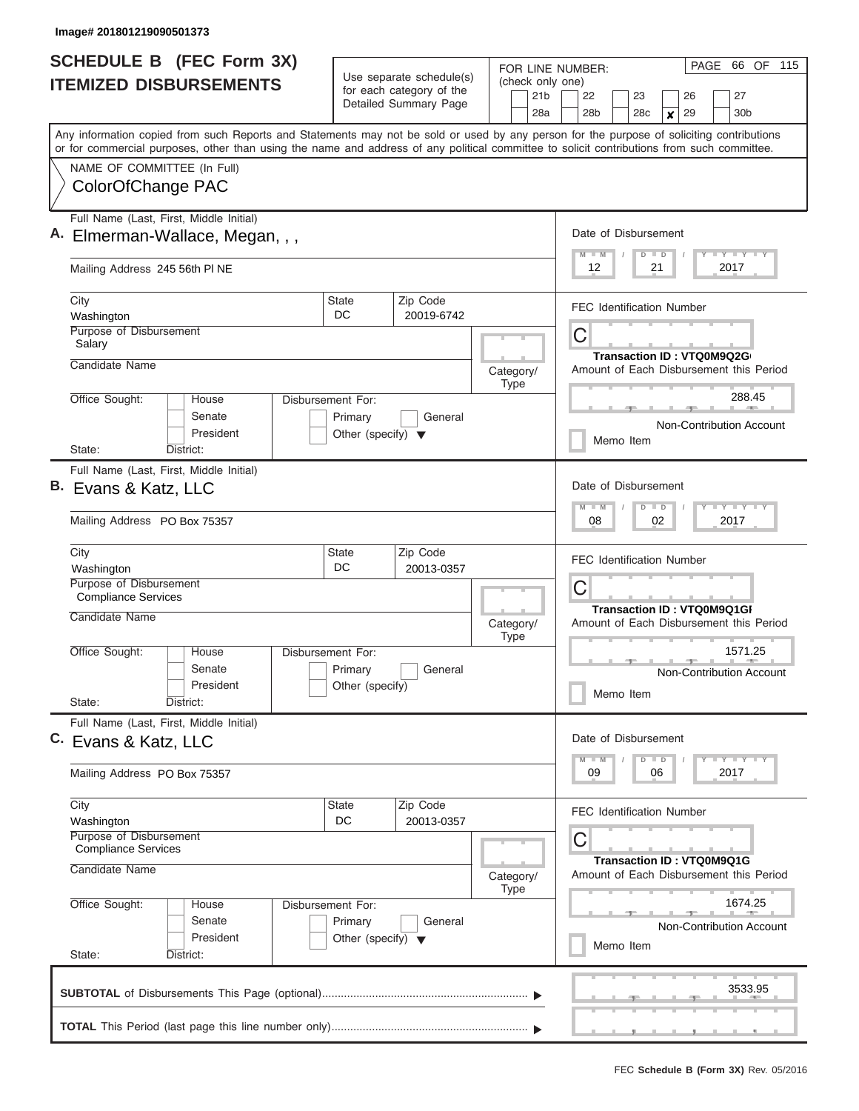| <b>SCHEDULE B</b> (FEC Form 3X)<br><b>ITEMIZED DISBURSEMENTS</b>                                                                                                                                                                                                                                                                            |                                                                      | Use separate schedule(s)<br>for each category of the<br>Detailed Summary Page | FOR LINE NUMBER:<br>(check only one)<br>21 <sub>b</sub><br>28a | 66 OF 115<br>PAGE<br>27<br>22<br>23<br>26<br>28 <sub>b</sub><br>30 <sub>b</sub><br>28c<br>29<br>$\boldsymbol{x}$                                                   |  |  |  |
|---------------------------------------------------------------------------------------------------------------------------------------------------------------------------------------------------------------------------------------------------------------------------------------------------------------------------------------------|----------------------------------------------------------------------|-------------------------------------------------------------------------------|----------------------------------------------------------------|--------------------------------------------------------------------------------------------------------------------------------------------------------------------|--|--|--|
| Any information copied from such Reports and Statements may not be sold or used by any person for the purpose of soliciting contributions<br>or for commercial purposes, other than using the name and address of any political committee to solicit contributions from such committee.<br>NAME OF COMMITTEE (In Full)<br>ColorOfChange PAC |                                                                      |                                                                               |                                                                |                                                                                                                                                                    |  |  |  |
| Full Name (Last, First, Middle Initial)<br>Elmerman-Wallace, Megan, , ,                                                                                                                                                                                                                                                                     |                                                                      |                                                                               |                                                                | Date of Disbursement<br>Y LY LY LY<br>$M$ $M$<br>$D$ $D$<br>12<br>21<br>2017                                                                                       |  |  |  |
| Mailing Address 245 56th PI NE<br>City                                                                                                                                                                                                                                                                                                      | <b>State</b>                                                         | Zip Code                                                                      |                                                                | <b>FEC Identification Number</b>                                                                                                                                   |  |  |  |
| Washington<br>Purpose of Disbursement<br>Salary<br>Candidate Name                                                                                                                                                                                                                                                                           | DC.                                                                  | 20019-6742                                                                    | Category/                                                      | C<br>Transaction ID: VTQ0M9Q2G<br>Amount of Each Disbursement this Period                                                                                          |  |  |  |
| Office Sought:<br>House<br>Senate<br>President<br>State:<br>District:                                                                                                                                                                                                                                                                       | Disbursement For:<br>Primary<br>Other (specify) $\blacktriangledown$ | General                                                                       | <b>Type</b>                                                    | 288.45<br>Non-Contribution Account<br>Memo Item                                                                                                                    |  |  |  |
| Full Name (Last, First, Middle Initial)<br>B. Evans & Katz, LLC<br>Mailing Address PO Box 75357                                                                                                                                                                                                                                             |                                                                      |                                                                               |                                                                |                                                                                                                                                                    |  |  |  |
| City<br>Washington<br>Purpose of Disbursement<br><b>Compliance Services</b><br>Candidate Name                                                                                                                                                                                                                                               | State<br>DC                                                          | Zip Code<br>20013-0357                                                        |                                                                | <b>FEC Identification Number</b><br>C<br>Transaction ID: VTQ0M9Q1GI<br>Amount of Each Disbursement this Period<br>1571.25<br>Non-Contribution Account<br>Memo Item |  |  |  |
| Office Sought:<br>House<br>Senate<br>President<br>State:<br>District:                                                                                                                                                                                                                                                                       | Disbursement For:<br>Primary<br>Other (specify)                      | General                                                                       | Category/<br><b>Type</b>                                       |                                                                                                                                                                    |  |  |  |
| Full Name (Last, First, Middle Initial)<br>C. Evans & Katz, LLC<br>Mailing Address PO Box 75357                                                                                                                                                                                                                                             |                                                                      |                                                                               |                                                                | Date of Disbursement<br>Y FY FY FY<br>$M - M$<br>$D$ $D$<br>09<br>2017<br>06                                                                                       |  |  |  |
| City<br>Washington<br>Purpose of Disbursement<br><b>Compliance Services</b>                                                                                                                                                                                                                                                                 | State<br>DC                                                          | Zip Code<br>20013-0357                                                        |                                                                | <b>FEC Identification Number</b><br>С<br>Transaction ID: VTQ0M9Q1G                                                                                                 |  |  |  |
| Candidate Name<br>Office Sought:<br>House<br>Senate<br>President<br>State:<br>District:                                                                                                                                                                                                                                                     | Disbursement For:<br>Primary<br>Other (specify) $\blacktriangledown$ | General                                                                       | Category/<br><b>Type</b>                                       | Amount of Each Disbursement this Period<br>1674.25<br><b>Non-Contribution Account</b><br>Memo Item                                                                 |  |  |  |
|                                                                                                                                                                                                                                                                                                                                             |                                                                      |                                                                               |                                                                | 3533.95                                                                                                                                                            |  |  |  |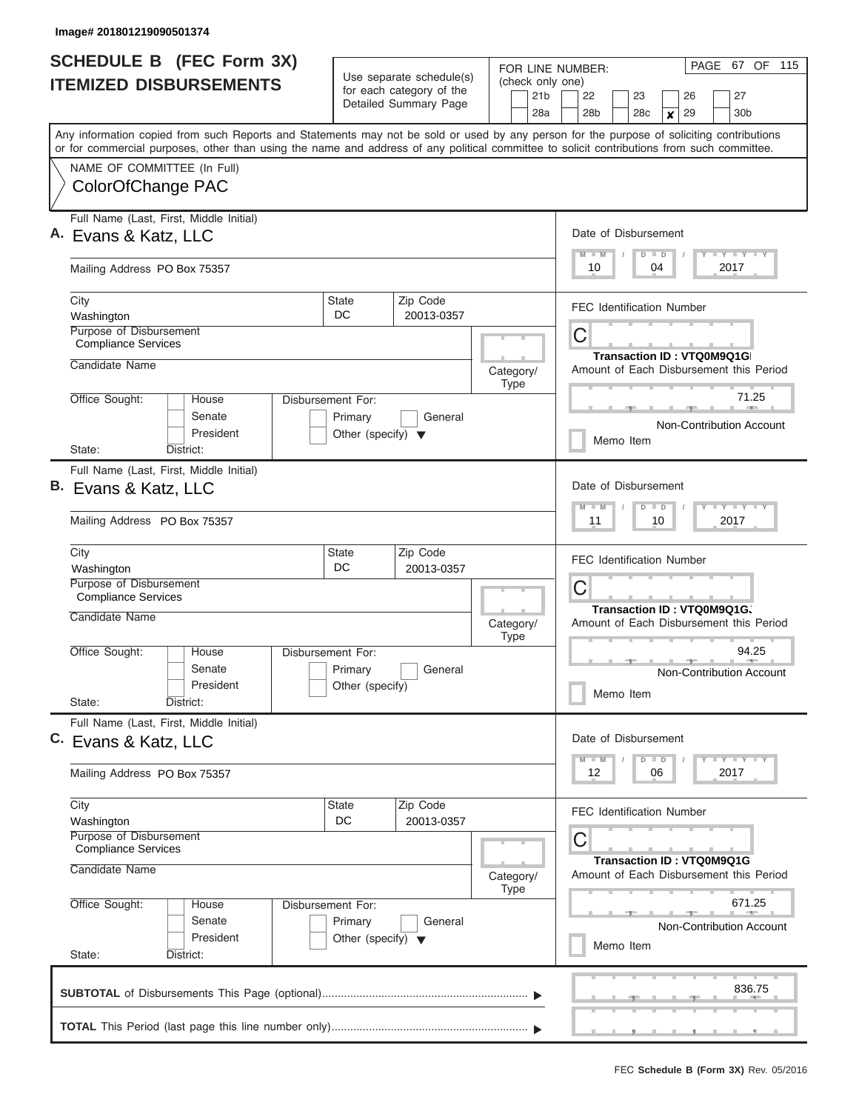| <b>SCHEDULE B</b> (FEC Form 3X)                                                                                                            |                                      |                                                      | FOR LINE NUMBER:                        | PAGE 67 OF 115                                                                            |  |  |  |
|--------------------------------------------------------------------------------------------------------------------------------------------|--------------------------------------|------------------------------------------------------|-----------------------------------------|-------------------------------------------------------------------------------------------|--|--|--|
| <b>ITEMIZED DISBURSEMENTS</b>                                                                                                              |                                      | Use separate schedule(s)<br>for each category of the | (check only one)                        |                                                                                           |  |  |  |
|                                                                                                                                            |                                      | Detailed Summary Page                                | 21 <sub>b</sub><br>28a                  | 22<br>27<br>23<br>26<br>28 <sub>b</sub><br>28c<br>29<br>30 <sub>b</sub><br>$\pmb{\times}$ |  |  |  |
| Any information copied from such Reports and Statements may not be sold or used by any person for the purpose of soliciting contributions  |                                      |                                                      |                                         |                                                                                           |  |  |  |
| or for commercial purposes, other than using the name and address of any political committee to solicit contributions from such committee. |                                      |                                                      |                                         |                                                                                           |  |  |  |
| NAME OF COMMITTEE (In Full)                                                                                                                |                                      |                                                      |                                         |                                                                                           |  |  |  |
| ColorOfChange PAC                                                                                                                          |                                      |                                                      |                                         |                                                                                           |  |  |  |
| Full Name (Last, First, Middle Initial)<br>A. Evans & Katz, LLC                                                                            |                                      |                                                      |                                         | Date of Disbursement                                                                      |  |  |  |
|                                                                                                                                            |                                      |                                                      |                                         | Y I Y I Y I Y<br>$D$ $D$<br>$M$ $M$                                                       |  |  |  |
| Mailing Address PO Box 75357                                                                                                               |                                      |                                                      |                                         | 2017<br>10<br>04                                                                          |  |  |  |
| City<br>Washington                                                                                                                         | State<br>DC                          | Zip Code<br>20013-0357                               |                                         | <b>FEC Identification Number</b>                                                          |  |  |  |
| Purpose of Disbursement                                                                                                                    |                                      |                                                      |                                         | C                                                                                         |  |  |  |
| <b>Compliance Services</b>                                                                                                                 |                                      |                                                      |                                         | Transaction ID: VTQ0M9Q1G                                                                 |  |  |  |
| Candidate Name                                                                                                                             |                                      |                                                      | Category/<br><b>Type</b>                | Amount of Each Disbursement this Period                                                   |  |  |  |
| Office Sought:<br>House                                                                                                                    | Disbursement For:                    |                                                      |                                         | 71.25<br><b>COLLEGE 1999</b>                                                              |  |  |  |
| Senate                                                                                                                                     | Primary                              | General                                              |                                         | Non-Contribution Account                                                                  |  |  |  |
| President<br>State:<br>District:                                                                                                           | Other (specify) $\blacktriangledown$ |                                                      |                                         | Memo Item                                                                                 |  |  |  |
| Full Name (Last, First, Middle Initial)                                                                                                    |                                      |                                                      |                                         |                                                                                           |  |  |  |
| B. Evans & Katz, LLC                                                                                                                       |                                      |                                                      |                                         | Date of Disbursement                                                                      |  |  |  |
| Mailing Address PO Box 75357                                                                                                               |                                      |                                                      |                                         | Y FY FY FY<br>$M - M$<br>$D$ $D$<br>2017<br>11<br>10                                      |  |  |  |
|                                                                                                                                            |                                      |                                                      |                                         |                                                                                           |  |  |  |
| City                                                                                                                                       | State<br>DC                          | Zip Code                                             |                                         | <b>FEC Identification Number</b>                                                          |  |  |  |
| Washington<br>Purpose of Disbursement                                                                                                      |                                      | 20013-0357                                           |                                         | C                                                                                         |  |  |  |
| <b>Compliance Services</b>                                                                                                                 |                                      |                                                      |                                         | Transaction ID: VTQ0M9Q1G、                                                                |  |  |  |
| Candidate Name                                                                                                                             |                                      |                                                      | Category/                               | Amount of Each Disbursement this Period                                                   |  |  |  |
| Office Sought:<br>House                                                                                                                    | Disbursement For:                    |                                                      | <b>Type</b>                             | 94.25                                                                                     |  |  |  |
| Senate                                                                                                                                     | Primary                              | General                                              |                                         | <b>Allen</b><br>Non-Contribution Account                                                  |  |  |  |
| President<br>State:<br>District:                                                                                                           | Other (specify)                      |                                                      |                                         | Memo Item                                                                                 |  |  |  |
| Full Name (Last, First, Middle Initial)                                                                                                    |                                      |                                                      |                                         |                                                                                           |  |  |  |
| C. Evans & Katz, LLC                                                                                                                       |                                      |                                                      |                                         | Date of Disbursement                                                                      |  |  |  |
|                                                                                                                                            |                                      |                                                      |                                         | Y TY TY TY<br>$D$ $D$<br>$M$ $M$<br>2017<br>12                                            |  |  |  |
| Mailing Address PO Box 75357                                                                                                               |                                      |                                                      |                                         | 06                                                                                        |  |  |  |
| City                                                                                                                                       | State                                | Zip Code                                             |                                         | <b>FEC Identification Number</b>                                                          |  |  |  |
| Washington<br>Purpose of Disbursement                                                                                                      | DC                                   | 20013-0357                                           |                                         | С                                                                                         |  |  |  |
| Compliance Services                                                                                                                        |                                      |                                                      |                                         | <b>Transaction ID: VTQ0M9Q1G</b>                                                          |  |  |  |
| Candidate Name                                                                                                                             |                                      | Category/                                            | Amount of Each Disbursement this Period |                                                                                           |  |  |  |
| Office Sought:<br>House                                                                                                                    | Disbursement For:                    |                                                      | <b>Type</b>                             | 671.25                                                                                    |  |  |  |
| Senate                                                                                                                                     | Primary                              | General                                              |                                         | Non-Contribution Account                                                                  |  |  |  |
| President                                                                                                                                  | Other (specify) $\blacktriangledown$ |                                                      |                                         | Memo Item                                                                                 |  |  |  |
| State:<br>District:                                                                                                                        |                                      |                                                      |                                         |                                                                                           |  |  |  |
|                                                                                                                                            |                                      |                                                      |                                         | 836.75                                                                                    |  |  |  |
|                                                                                                                                            |                                      |                                                      |                                         |                                                                                           |  |  |  |
|                                                                                                                                            |                                      |                                                      |                                         |                                                                                           |  |  |  |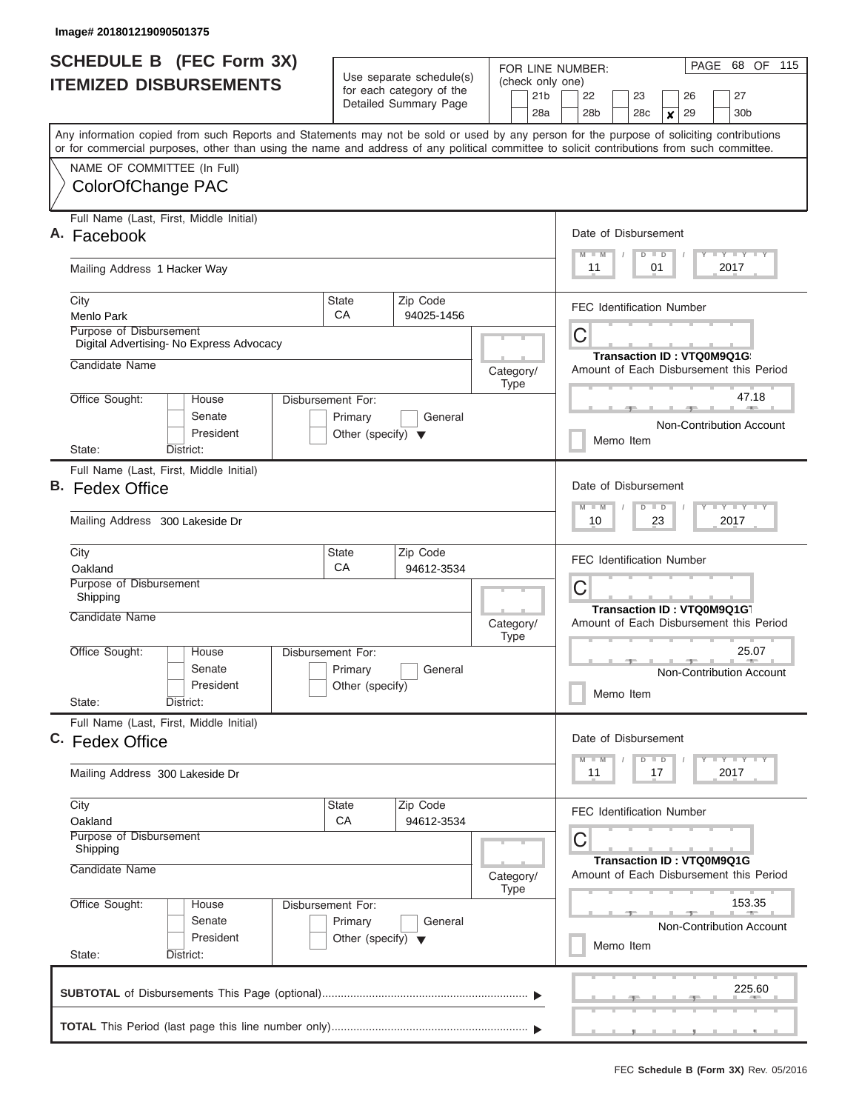| <b>SCHEDULE B</b> (FEC Form 3X)                                                                                                                                                                                                                                                         |                                                                      |                                                                             | FOR LINE NUMBER:                | PAGE<br>68 OF 115                                                                         |  |  |  |  |  |
|-----------------------------------------------------------------------------------------------------------------------------------------------------------------------------------------------------------------------------------------------------------------------------------------|----------------------------------------------------------------------|-----------------------------------------------------------------------------|---------------------------------|-------------------------------------------------------------------------------------------|--|--|--|--|--|
| <b>ITEMIZED DISBURSEMENTS</b>                                                                                                                                                                                                                                                           |                                                                      | Use separate schedule(s)<br>for each category of the                        | (check only one)                |                                                                                           |  |  |  |  |  |
|                                                                                                                                                                                                                                                                                         |                                                                      | Detailed Summary Page                                                       | 21 <sub>b</sub><br>28a          | 22<br>27<br>23<br>26<br>28 <sub>b</sub><br>28c<br>29<br>30 <sub>b</sub><br>$\pmb{\times}$ |  |  |  |  |  |
| Any information copied from such Reports and Statements may not be sold or used by any person for the purpose of soliciting contributions<br>or for commercial purposes, other than using the name and address of any political committee to solicit contributions from such committee. |                                                                      |                                                                             |                                 |                                                                                           |  |  |  |  |  |
| NAME OF COMMITTEE (In Full)                                                                                                                                                                                                                                                             |                                                                      |                                                                             |                                 |                                                                                           |  |  |  |  |  |
| ColorOfChange PAC                                                                                                                                                                                                                                                                       |                                                                      |                                                                             |                                 |                                                                                           |  |  |  |  |  |
| Full Name (Last, First, Middle Initial)<br>A. Facebook                                                                                                                                                                                                                                  | Date of Disbursement                                                 |                                                                             |                                 |                                                                                           |  |  |  |  |  |
| Mailing Address 1 Hacker Way                                                                                                                                                                                                                                                            |                                                                      |                                                                             |                                 | Y I Y I Y I Y<br>$D$ $D$<br>$M$ $M$<br>2017<br>11<br>01                                   |  |  |  |  |  |
| City<br><b>Menlo Park</b>                                                                                                                                                                                                                                                               | State<br>СA                                                          | Zip Code<br>94025-1456                                                      |                                 | <b>FEC Identification Number</b>                                                          |  |  |  |  |  |
| Purpose of Disbursement<br>Digital Advertising- No Express Advocacy                                                                                                                                                                                                                     |                                                                      |                                                                             |                                 | C                                                                                         |  |  |  |  |  |
| Candidate Name                                                                                                                                                                                                                                                                          |                                                                      |                                                                             | Category/<br><b>Type</b>        | Transaction ID: VTQ0M9Q1G<br>Amount of Each Disbursement this Period                      |  |  |  |  |  |
| Office Sought:<br>House<br>Senate                                                                                                                                                                                                                                                       | Disbursement For:<br>Primary                                         | General                                                                     |                                 | 47.18<br><b>CONTRACTOR</b><br>Non-Contribution Account                                    |  |  |  |  |  |
| President<br>State:<br>District:                                                                                                                                                                                                                                                        | Other (specify) $\blacktriangledown$                                 |                                                                             |                                 | Memo Item                                                                                 |  |  |  |  |  |
| Full Name (Last, First, Middle Initial)                                                                                                                                                                                                                                                 |                                                                      |                                                                             |                                 |                                                                                           |  |  |  |  |  |
| <b>B.</b> Fedex Office                                                                                                                                                                                                                                                                  |                                                                      |                                                                             |                                 | Date of Disbursement<br>Y FY FY FY<br>$M - M$<br>$D$ $D$                                  |  |  |  |  |  |
| Mailing Address 300 Lakeside Dr                                                                                                                                                                                                                                                         | 23<br>2017<br>10                                                     |                                                                             |                                 |                                                                                           |  |  |  |  |  |
| City<br>Oakland                                                                                                                                                                                                                                                                         | State<br>CA                                                          | Zip Code<br>94612-3534                                                      |                                 | <b>FEC Identification Number</b>                                                          |  |  |  |  |  |
| Purpose of Disbursement<br>Shipping                                                                                                                                                                                                                                                     |                                                                      |                                                                             | C<br>Transaction ID: VTQ0M9Q1G1 |                                                                                           |  |  |  |  |  |
| Candidate Name                                                                                                                                                                                                                                                                          |                                                                      |                                                                             | Category/<br><b>Type</b>        | Amount of Each Disbursement this Period                                                   |  |  |  |  |  |
| Office Sought:<br>House<br>Senate<br>President                                                                                                                                                                                                                                          | Disbursement For:<br>Primary<br>Other (specify)                      | General                                                                     |                                 | 25.07<br>$\mathbb{R}$ and $\mathbb{R}$<br>Non-Contribution Account<br>Memo Item           |  |  |  |  |  |
| State:<br>District:                                                                                                                                                                                                                                                                     |                                                                      |                                                                             |                                 |                                                                                           |  |  |  |  |  |
| Full Name (Last, First, Middle Initial)<br>C. Fedex Office                                                                                                                                                                                                                              |                                                                      |                                                                             |                                 | Date of Disbursement                                                                      |  |  |  |  |  |
| Mailing Address 300 Lakeside Dr                                                                                                                                                                                                                                                         |                                                                      |                                                                             |                                 | $Y$ $Y$ $Y$ $Y$ $Y$<br>$D$ $D$<br>$M$ $M$<br>2017<br>11<br>17                             |  |  |  |  |  |
| City                                                                                                                                                                                                                                                                                    | State                                                                | Zip Code                                                                    |                                 | <b>FEC Identification Number</b>                                                          |  |  |  |  |  |
| Oakland<br>Purpose of Disbursement<br>Shipping                                                                                                                                                                                                                                          | CA                                                                   | 94612-3534                                                                  | С                               |                                                                                           |  |  |  |  |  |
| Candidate Name                                                                                                                                                                                                                                                                          | Category/<br><b>Type</b>                                             | <b>Transaction ID: VTQ0M9Q1G</b><br>Amount of Each Disbursement this Period |                                 |                                                                                           |  |  |  |  |  |
| Office Sought:<br>House<br>Senate<br>President                                                                                                                                                                                                                                          | Disbursement For:<br>Primary<br>Other (specify) $\blacktriangledown$ | General                                                                     |                                 | 153.35<br>Non-Contribution Account                                                        |  |  |  |  |  |
| State:<br>District:                                                                                                                                                                                                                                                                     |                                                                      |                                                                             |                                 | Memo Item                                                                                 |  |  |  |  |  |
|                                                                                                                                                                                                                                                                                         |                                                                      |                                                                             |                                 | 225.60                                                                                    |  |  |  |  |  |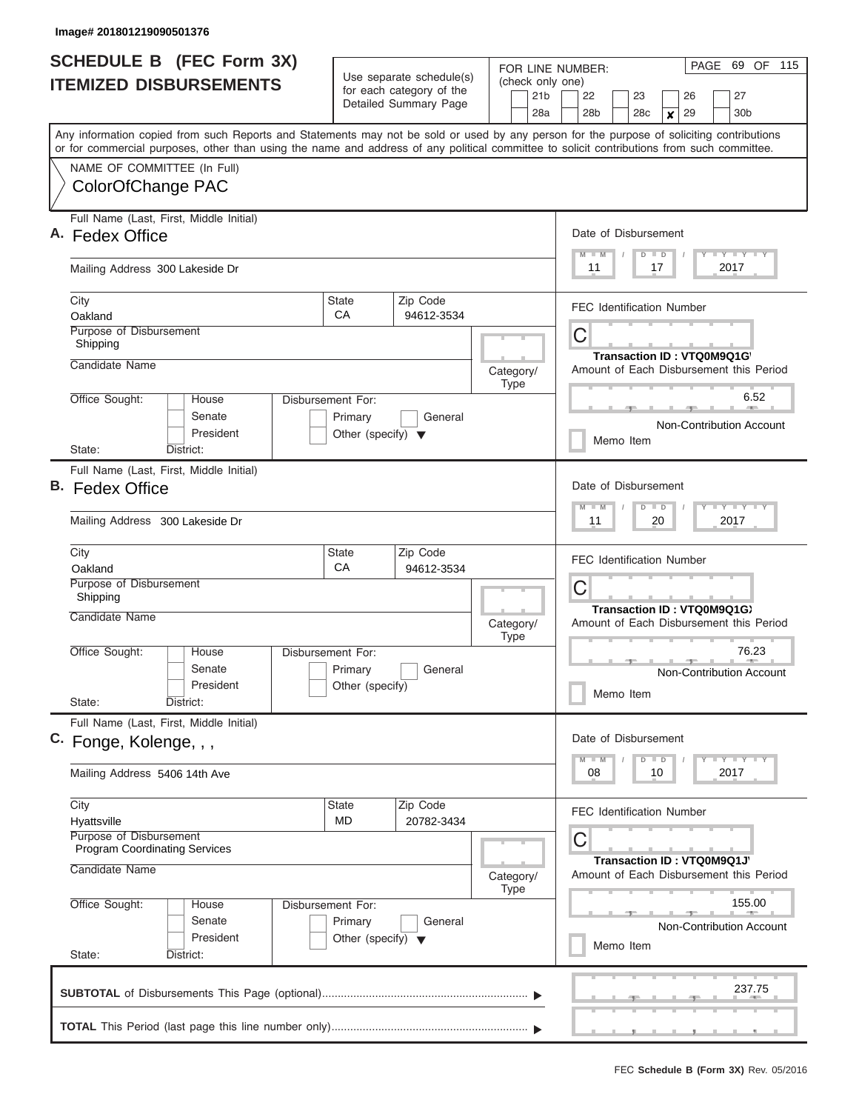|    | <b>SCHEDULE B</b> (FEC Form 3X)<br><b>ITEMIZED DISBURSEMENTS</b>                                                                                                                                                                                                                        | Use separate schedule(s)<br>for each category of the                 | (check only one)            | 21b                              | PAGE 69 OF 115<br>FOR LINE NUMBER: |                                              |           |                            |                                 |          |  |                                          |  |
|----|-----------------------------------------------------------------------------------------------------------------------------------------------------------------------------------------------------------------------------------------------------------------------------------------|----------------------------------------------------------------------|-----------------------------|----------------------------------|------------------------------------|----------------------------------------------|-----------|----------------------------|---------------------------------|----------|--|------------------------------------------|--|
|    |                                                                                                                                                                                                                                                                                         |                                                                      | Detailed Summary Page       |                                  |                                    | 22<br>28b                                    |           | 23<br>28c                  | $\boldsymbol{x}$                | 26<br>29 |  | 27<br>30 <sub>b</sub>                    |  |
|    | Any information copied from such Reports and Statements may not be sold or used by any person for the purpose of soliciting contributions<br>or for commercial purposes, other than using the name and address of any political committee to solicit contributions from such committee. |                                                                      |                             |                                  | 28a                                |                                              |           |                            |                                 |          |  |                                          |  |
|    | NAME OF COMMITTEE (In Full)<br>ColorOfChange PAC                                                                                                                                                                                                                                        |                                                                      |                             |                                  |                                    |                                              |           |                            |                                 |          |  |                                          |  |
|    | Full Name (Last, First, Middle Initial)<br>A. Fedex Office                                                                                                                                                                                                                              |                                                                      |                             |                                  |                                    |                                              |           |                            | Date of Disbursement<br>$D$ $D$ |          |  | Y I Y I Y I Y                            |  |
|    | Mailing Address 300 Lakeside Dr                                                                                                                                                                                                                                                         |                                                                      | $M - M$<br>11<br>17<br>2017 |                                  |                                    |                                              |           |                            |                                 |          |  |                                          |  |
|    | City<br>Oakland                                                                                                                                                                                                                                                                         | <b>State</b><br>CA                                                   | Zip Code<br>94612-3534      |                                  |                                    | <b>FEC Identification Number</b>             |           |                            |                                 |          |  |                                          |  |
|    | Purpose of Disbursement<br>Shipping<br>Candidate Name                                                                                                                                                                                                                                   |                                                                      |                             | Category/                        |                                    | С<br>Amount of Each Disbursement this Period |           | Transaction ID: VTQ0M9Q1G  |                                 |          |  |                                          |  |
|    | Office Sought:<br>House<br>Senate<br>President                                                                                                                                                                                                                                          | Disbursement For:<br>Primary<br>Other (specify) $\blacktriangledown$ | General                     | <b>Type</b>                      |                                    |                                              |           |                            |                                 |          |  | 6.52<br>Non-Contribution Account         |  |
|    | District:<br>State:                                                                                                                                                                                                                                                                     |                                                                      |                             |                                  |                                    |                                              | Memo Item |                            |                                 |          |  |                                          |  |
| В. | Full Name (Last, First, Middle Initial)<br><b>Fedex Office</b>                                                                                                                                                                                                                          |                                                                      |                             |                                  |                                    | Date of Disbursement<br>$M - M$              |           | $D$ $D$                    |                                 |          |  | $T - Y$ $T - Y$ $T - Y$                  |  |
|    | Mailing Address 300 Lakeside Dr                                                                                                                                                                                                                                                         |                                                                      |                             | 11                               |                                    |                                              | 20        |                            |                                 | 2017     |  |                                          |  |
|    | City<br>Oakland                                                                                                                                                                                                                                                                         | <b>State</b><br>CA                                                   | Zip Code<br>94612-3534      | <b>FEC Identification Number</b> |                                    |                                              |           |                            |                                 |          |  |                                          |  |
|    | <b>Purpose of Disbursement</b><br>Shipping                                                                                                                                                                                                                                              |                                                                      |                             |                                  | С<br>Transaction ID: VTQ0M9Q1G)    |                                              |           |                            |                                 |          |  |                                          |  |
|    | Candidate Name                                                                                                                                                                                                                                                                          |                                                                      |                             | Category/<br><b>Type</b>         |                                    | Amount of Each Disbursement this Period      |           |                            |                                 |          |  |                                          |  |
|    | Office Sought:<br>House<br>Senate<br>President<br>State:<br>District:                                                                                                                                                                                                                   | Disbursement For:<br>Primary<br>Other (specify)                      | General                     |                                  |                                    |                                              | Memo Item |                            |                                 |          |  | 76.23<br><b>Non-Contribution Account</b> |  |
|    | Full Name (Last, First, Middle Initial)                                                                                                                                                                                                                                                 |                                                                      |                             |                                  |                                    | Date of Disbursement                         |           |                            |                                 |          |  |                                          |  |
|    | C. Fonge, Kolenge, , ,<br>Mailing Address 5406 14th Ave                                                                                                                                                                                                                                 |                                                                      |                             |                                  |                                    | $M - M$<br>08                                |           | $D$ $D$<br>10              |                                 |          |  | $T - Y$ $T - Y$ $T - Y$<br>2017          |  |
|    | City                                                                                                                                                                                                                                                                                    | <b>State</b>                                                         | Zip Code                    |                                  |                                    | <b>FEC Identification Number</b>             |           |                            |                                 |          |  |                                          |  |
|    | Hyattsville<br>Purpose of Disbursement<br><b>Program Coordinating Services</b>                                                                                                                                                                                                          | <b>MD</b>                                                            | 20782-3434                  |                                  |                                    | С                                            |           |                            |                                 |          |  |                                          |  |
|    | Candidate Name                                                                                                                                                                                                                                                                          |                                                                      |                             | Category/<br>Type                |                                    | Amount of Each Disbursement this Period      |           | Transaction ID: VTQ0M9Q1J' |                                 |          |  |                                          |  |
|    | Office Sought:<br>House<br>Senate<br>President<br>State:<br>District:                                                                                                                                                                                                                   | Disbursement For:<br>Primary<br>Other (specify) $\blacktriangledown$ | General                     |                                  |                                    |                                              | Memo Item |                            |                                 |          |  | 155.00<br>Non-Contribution Account       |  |
|    |                                                                                                                                                                                                                                                                                         |                                                                      |                             |                                  |                                    |                                              |           |                            |                                 |          |  | 237.75                                   |  |
|    |                                                                                                                                                                                                                                                                                         |                                                                      |                             |                                  |                                    |                                              |           |                            |                                 |          |  |                                          |  |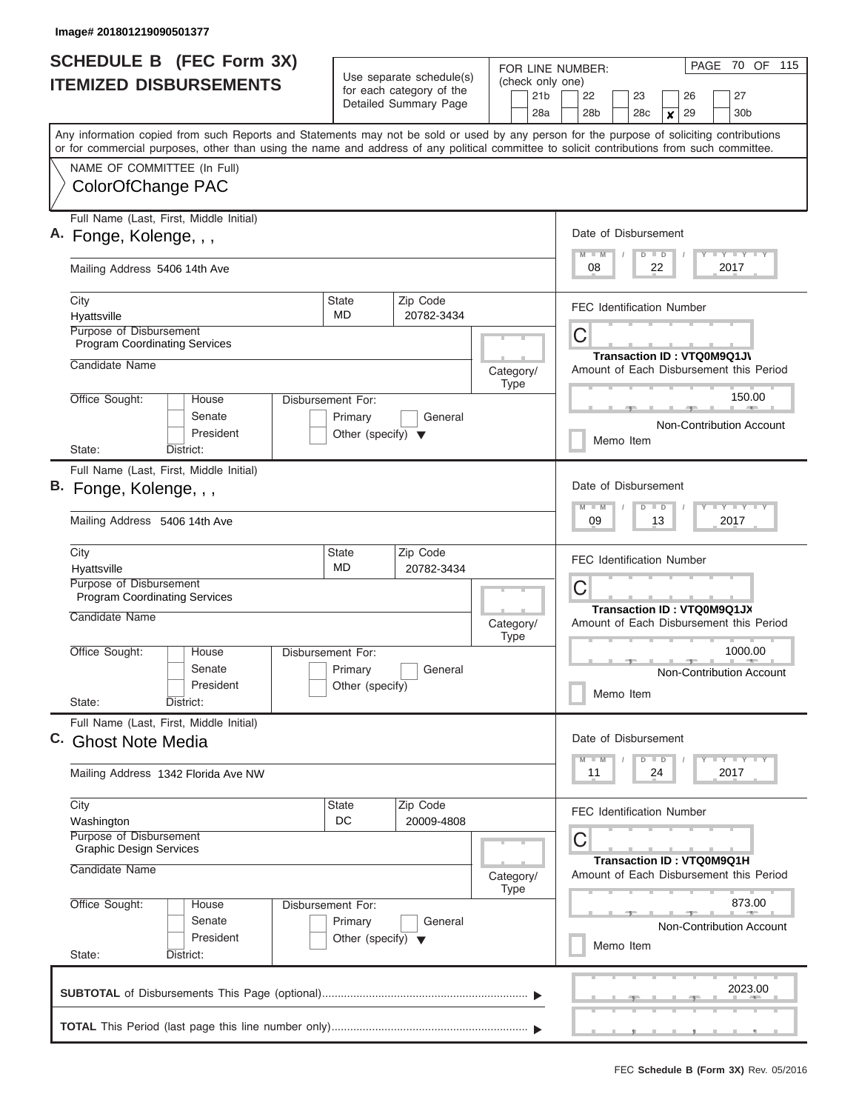| <b>SCHEDULE B</b> (FEC Form 3X)                                                                                                                                                                                                                                                         |                                                      |                        |           |             | PAGE 70 OF 115<br>FOR LINE NUMBER: |                                                                       |                           |                            |    |          |                                                                               |                                                                   |  |
|-----------------------------------------------------------------------------------------------------------------------------------------------------------------------------------------------------------------------------------------------------------------------------------------|------------------------------------------------------|------------------------|-----------|-------------|------------------------------------|-----------------------------------------------------------------------|---------------------------|----------------------------|----|----------|-------------------------------------------------------------------------------|-------------------------------------------------------------------|--|
| <b>ITEMIZED DISBURSEMENTS</b>                                                                                                                                                                                                                                                           | Use separate schedule(s)<br>for each category of the |                        |           |             | (check only one)                   |                                                                       |                           |                            |    |          |                                                                               |                                                                   |  |
|                                                                                                                                                                                                                                                                                         |                                                      | Detailed Summary Page  |           |             | 21 <sub>b</sub><br>28a             | 22<br>28 <sub>b</sub>                                                 |                           | 23<br>28c                  | X  | 26<br>29 |                                                                               | 27<br>30b                                                         |  |
| Any information copied from such Reports and Statements may not be sold or used by any person for the purpose of soliciting contributions<br>or for commercial purposes, other than using the name and address of any political committee to solicit contributions from such committee. |                                                      |                        |           |             |                                    |                                                                       |                           |                            |    |          |                                                                               |                                                                   |  |
| NAME OF COMMITTEE (In Full)                                                                                                                                                                                                                                                             |                                                      |                        |           |             |                                    |                                                                       |                           |                            |    |          |                                                                               |                                                                   |  |
| ColorOfChange PAC                                                                                                                                                                                                                                                                       |                                                      |                        |           |             |                                    |                                                                       |                           |                            |    |          |                                                                               |                                                                   |  |
| Full Name (Last, First, Middle Initial)<br>A. Fonge, Kolenge, , ,                                                                                                                                                                                                                       |                                                      |                        |           |             |                                    | Date of Disbursement<br>$M$ $M$                                       |                           |                            |    |          |                                                                               |                                                                   |  |
| Mailing Address 5406 14th Ave                                                                                                                                                                                                                                                           |                                                      |                        |           |             |                                    | <b>LEY LEY LEY</b><br>$D$ $D$<br>2017<br>08<br>22                     |                           |                            |    |          |                                                                               |                                                                   |  |
| City                                                                                                                                                                                                                                                                                    | State                                                | Zip Code               |           |             |                                    | <b>FEC Identification Number</b>                                      |                           |                            |    |          |                                                                               |                                                                   |  |
| Hyattsville<br>Purpose of Disbursement                                                                                                                                                                                                                                                  | MD                                                   | 20782-3434             |           |             |                                    |                                                                       |                           |                            |    |          |                                                                               |                                                                   |  |
| <b>Program Coordinating Services</b>                                                                                                                                                                                                                                                    |                                                      |                        |           |             |                                    | С                                                                     |                           |                            |    |          |                                                                               |                                                                   |  |
| Candidate Name                                                                                                                                                                                                                                                                          |                                                      |                        | Category/ | <b>Type</b> |                                    |                                                                       |                           | Transaction ID: VTQ0M9Q1JV |    |          |                                                                               | Amount of Each Disbursement this Period                           |  |
| Office Sought:<br>House                                                                                                                                                                                                                                                                 | Disbursement For:                                    |                        |           |             |                                    |                                                                       |                           |                            |    |          |                                                                               | 150.00<br>$10 - 200 - 1$                                          |  |
| Senate<br>President                                                                                                                                                                                                                                                                     | Primary<br>Other (specify) $\blacktriangledown$      | General                |           |             |                                    |                                                                       |                           |                            |    |          |                                                                               | Non-Contribution Account                                          |  |
| State:<br>District:                                                                                                                                                                                                                                                                     |                                                      |                        |           |             |                                    |                                                                       |                           | Memo Item                  |    |          |                                                                               |                                                                   |  |
| Full Name (Last, First, Middle Initial)                                                                                                                                                                                                                                                 |                                                      |                        |           |             |                                    |                                                                       |                           |                            |    |          |                                                                               |                                                                   |  |
| B. Fonge, Kolenge, , ,                                                                                                                                                                                                                                                                  |                                                      |                        |           |             | Date of Disbursement<br>$M - M$    |                                                                       | $D$ $D$                   |                            |    |          | $\mathbf{I} = \mathbf{Y} - \mathbf{I} - \mathbf{Y} - \mathbf{I} - \mathbf{Y}$ |                                                                   |  |
| Mailing Address 5406 14th Ave                                                                                                                                                                                                                                                           |                                                      |                        |           |             |                                    | 09                                                                    |                           |                            | 13 |          |                                                                               | 2017                                                              |  |
| City                                                                                                                                                                                                                                                                                    | <b>State</b>                                         | Zip Code               |           |             |                                    | <b>FEC Identification Number</b>                                      |                           |                            |    |          |                                                                               |                                                                   |  |
| Hyattsville<br>Purpose of Disbursement                                                                                                                                                                                                                                                  | MD                                                   | 20782-3434             |           |             |                                    |                                                                       |                           |                            |    |          |                                                                               |                                                                   |  |
| <b>Program Coordinating Services</b>                                                                                                                                                                                                                                                    |                                                      |                        |           |             |                                    | С                                                                     |                           |                            |    |          |                                                                               |                                                                   |  |
| Candidate Name                                                                                                                                                                                                                                                                          |                                                      |                        | Category/ | <b>Type</b> |                                    | Transaction ID: VTQ0M9Q1JX<br>Amount of Each Disbursement this Period |                           |                            |    |          |                                                                               |                                                                   |  |
| Office Sought:<br>House                                                                                                                                                                                                                                                                 | Disbursement For:                                    |                        |           |             |                                    |                                                                       |                           |                            |    | $-1$     |                                                                               | 1000.00                                                           |  |
| Senate                                                                                                                                                                                                                                                                                  | Primary                                              | General                |           |             |                                    |                                                                       |                           |                            |    |          |                                                                               | Non-Contribution Account                                          |  |
| President<br>State:<br>District:                                                                                                                                                                                                                                                        | Other (specify)                                      |                        |           |             |                                    |                                                                       |                           | Memo Item                  |    |          |                                                                               |                                                                   |  |
| Full Name (Last, First, Middle Initial)<br>C. Ghost Note Media                                                                                                                                                                                                                          |                                                      |                        |           |             |                                    | Date of Disbursement                                                  |                           |                            |    |          |                                                                               |                                                                   |  |
| Mailing Address 1342 Florida Ave NW                                                                                                                                                                                                                                                     |                                                      |                        |           |             |                                    | $M$ $M$<br>11                                                         |                           | $D$ $D$                    | 24 |          |                                                                               | $\Box$ $\Upsilon$ $\Box$ $\Upsilon$ $\Upsilon$ $\Upsilon$<br>2017 |  |
| City<br>Washington                                                                                                                                                                                                                                                                      | State<br>DC                                          | Zip Code<br>20009-4808 |           |             |                                    | <b>FEC Identification Number</b>                                      |                           |                            |    |          |                                                                               |                                                                   |  |
| Purpose of Disbursement<br><b>Graphic Design Services</b>                                                                                                                                                                                                                               |                                                      |                        |           |             |                                    | С                                                                     |                           |                            |    |          |                                                                               |                                                                   |  |
| Candidate Name                                                                                                                                                                                                                                                                          |                                                      | Category/              | Type      |             |                                    |                                                                       | Transaction ID: VTQ0M9Q1H |                            |    |          | Amount of Each Disbursement this Period                                       |                                                                   |  |
| Office Sought:<br>House                                                                                                                                                                                                                                                                 | Disbursement For:                                    |                        |           |             |                                    | 873.00                                                                |                           |                            |    |          |                                                                               |                                                                   |  |
| Senate                                                                                                                                                                                                                                                                                  | Primary                                              | General                |           |             |                                    |                                                                       |                           |                            |    |          |                                                                               | Non-Contribution Account                                          |  |
| President<br>State:<br>District:                                                                                                                                                                                                                                                        | Other (specify) $\blacktriangledown$                 |                        |           |             |                                    |                                                                       |                           | Memo Item                  |    |          |                                                                               |                                                                   |  |
|                                                                                                                                                                                                                                                                                         |                                                      |                        |           |             |                                    |                                                                       |                           |                            |    |          |                                                                               | 2023.00                                                           |  |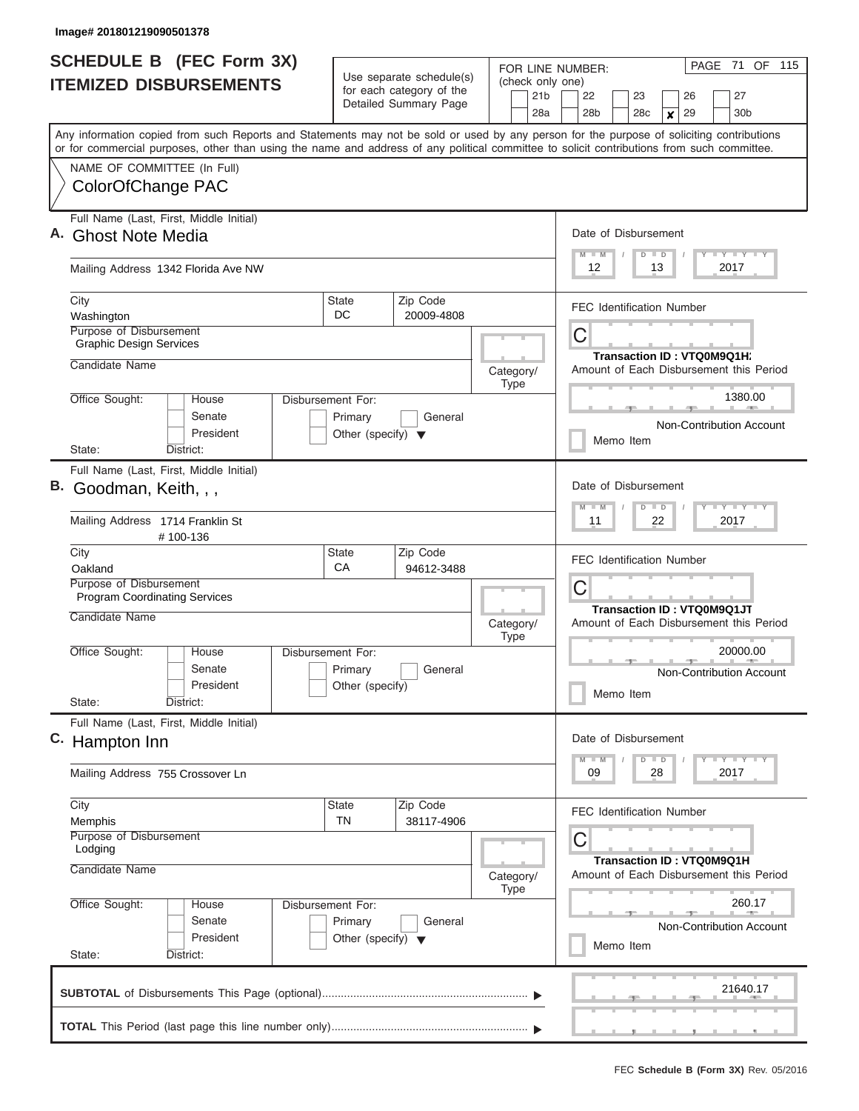| <b>SCHEDULE B</b> (FEC Form 3X)<br><b>ITEMIZED DISBURSEMENTS</b>                                                                                                                                                                                                                        |                                                                      | Use separate schedule(s)<br>for each category of the | FOR LINE NUMBER:<br>(check only one) | PAGE 71 OF 115                                                                            |  |  |  |
|-----------------------------------------------------------------------------------------------------------------------------------------------------------------------------------------------------------------------------------------------------------------------------------------|----------------------------------------------------------------------|------------------------------------------------------|--------------------------------------|-------------------------------------------------------------------------------------------|--|--|--|
|                                                                                                                                                                                                                                                                                         |                                                                      | Detailed Summary Page                                | 21 <sub>b</sub><br>28a               | 22<br>23<br>26<br>27<br>28 <sub>b</sub><br>29<br>30 <sub>b</sub><br>28c<br>$\pmb{\times}$ |  |  |  |
| Any information copied from such Reports and Statements may not be sold or used by any person for the purpose of soliciting contributions<br>or for commercial purposes, other than using the name and address of any political committee to solicit contributions from such committee. |                                                                      |                                                      |                                      |                                                                                           |  |  |  |
| NAME OF COMMITTEE (In Full)<br>ColorOfChange PAC                                                                                                                                                                                                                                        |                                                                      |                                                      |                                      |                                                                                           |  |  |  |
| Full Name (Last, First, Middle Initial)<br>A. Ghost Note Media                                                                                                                                                                                                                          |                                                                      |                                                      |                                      | Date of Disbursement<br>Y LY LY LY<br>$M$ $M$<br>$D$ $D$                                  |  |  |  |
| Mailing Address 1342 Florida Ave NW                                                                                                                                                                                                                                                     |                                                                      |                                                      |                                      | 12<br>13<br>2017                                                                          |  |  |  |
| City<br>Washington                                                                                                                                                                                                                                                                      | State<br>DC.                                                         | Zip Code<br>20009-4808                               |                                      | <b>FEC Identification Number</b>                                                          |  |  |  |
| <b>Purpose of Disbursement</b><br><b>Graphic Design Services</b>                                                                                                                                                                                                                        |                                                                      |                                                      |                                      | C<br>Transaction ID: VTQ0M9Q1H;                                                           |  |  |  |
| Candidate Name                                                                                                                                                                                                                                                                          |                                                                      |                                                      | Category/<br><b>Type</b>             | Amount of Each Disbursement this Period                                                   |  |  |  |
| Office Sought:<br>House<br>Senate<br>President                                                                                                                                                                                                                                          | Disbursement For:<br>Primary<br>Other (specify) $\blacktriangledown$ | General                                              |                                      | 1380.00<br>Non-Contribution Account                                                       |  |  |  |
| State:<br>District:                                                                                                                                                                                                                                                                     |                                                                      |                                                      |                                      | Memo Item                                                                                 |  |  |  |
| Full Name (Last, First, Middle Initial)<br>В.<br>Goodman, Keith, , ,                                                                                                                                                                                                                    |                                                                      |                                                      |                                      |                                                                                           |  |  |  |
| Mailing Address 1714 Franklin St<br>#100-136                                                                                                                                                                                                                                            |                                                                      |                                                      |                                      | 11<br>22<br>2017                                                                          |  |  |  |
| City<br>Oakland                                                                                                                                                                                                                                                                         | State<br>CA                                                          | Zip Code<br>94612-3488                               |                                      | <b>FEC Identification Number</b>                                                          |  |  |  |
| Purpose of Disbursement<br><b>Program Coordinating Services</b>                                                                                                                                                                                                                         |                                                                      |                                                      |                                      | C<br>Transaction ID: VTQ0M9Q1JT                                                           |  |  |  |
| Candidate Name                                                                                                                                                                                                                                                                          |                                                                      |                                                      | Category/<br><b>Type</b>             | Amount of Each Disbursement this Period                                                   |  |  |  |
| Office Sought:<br>House<br>Senate<br>President                                                                                                                                                                                                                                          | Disbursement For:<br>Primary<br>Other (specify)                      | General                                              |                                      | 20000.00<br>$\rightarrow$<br>Non-Contribution Account<br>Memo Item                        |  |  |  |
| State:<br>District:<br>Full Name (Last, First, Middle Initial)                                                                                                                                                                                                                          |                                                                      |                                                      |                                      |                                                                                           |  |  |  |
| C. Hampton Inn                                                                                                                                                                                                                                                                          |                                                                      |                                                      |                                      | Date of Disbursement<br>$D$ $D$<br>Y TY TY TY<br>$M - M$                                  |  |  |  |
| Mailing Address 755 Crossover Ln                                                                                                                                                                                                                                                        |                                                                      |                                                      |                                      | 2017<br>09<br>28                                                                          |  |  |  |
| City<br>Memphis<br>Purpose of Disbursement<br>Lodging                                                                                                                                                                                                                                   | State<br>TN                                                          | Zip Code<br>38117-4906                               |                                      | <b>FEC Identification Number</b><br>С                                                     |  |  |  |
| Candidate Name                                                                                                                                                                                                                                                                          |                                                                      |                                                      | Category/                            | <b>Transaction ID: VTQ0M9Q1H</b><br>Amount of Each Disbursement this Period               |  |  |  |
| Office Sought:<br>House<br>Senate<br>President                                                                                                                                                                                                                                          | Disbursement For:<br>Primary<br>Other (specify) $\blacktriangledown$ | General                                              | <b>Type</b>                          | 260.17<br><b>Non-Contribution Account</b><br>Memo Item                                    |  |  |  |
| State:<br>District:                                                                                                                                                                                                                                                                     |                                                                      |                                                      |                                      |                                                                                           |  |  |  |
|                                                                                                                                                                                                                                                                                         |                                                                      |                                                      |                                      | 21640.17                                                                                  |  |  |  |
|                                                                                                                                                                                                                                                                                         |                                                                      |                                                      |                                      |                                                                                           |  |  |  |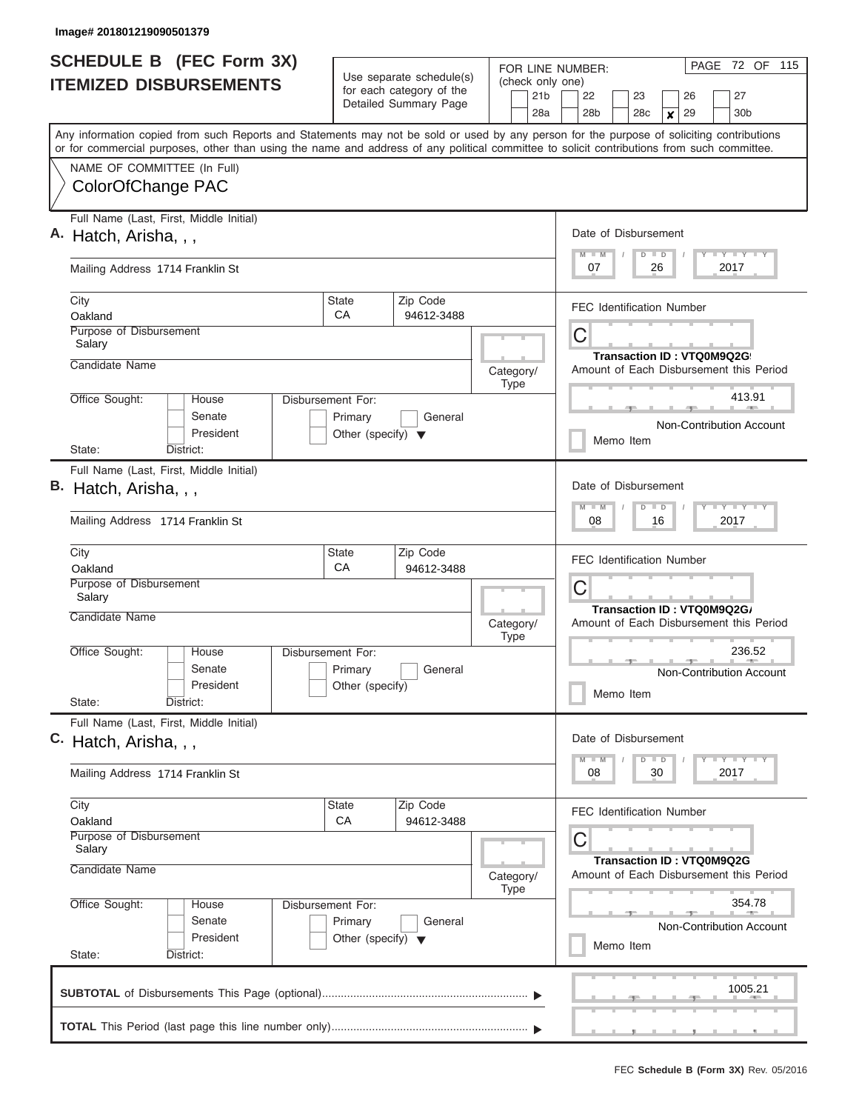| <b>SCHEDULE B</b> (FEC Form 3X)<br><b>ITEMIZED DISBURSEMENTS</b>                                                                                                                                                                                                                        |                                                                      | Use separate schedule(s)<br>for each category of the | FOR LINE NUMBER:<br>(check only one) | PAGE 72 OF 115                                                                              |  |  |  |  |
|-----------------------------------------------------------------------------------------------------------------------------------------------------------------------------------------------------------------------------------------------------------------------------------------|----------------------------------------------------------------------|------------------------------------------------------|--------------------------------------|---------------------------------------------------------------------------------------------|--|--|--|--|
|                                                                                                                                                                                                                                                                                         |                                                                      | Detailed Summary Page                                | 21 <sub>b</sub><br>28a               | 27<br>22<br>23<br>26<br>30 <sub>b</sub><br>28 <sub>b</sub><br>28c<br>29<br>$\boldsymbol{x}$ |  |  |  |  |
| Any information copied from such Reports and Statements may not be sold or used by any person for the purpose of soliciting contributions<br>or for commercial purposes, other than using the name and address of any political committee to solicit contributions from such committee. |                                                                      |                                                      |                                      |                                                                                             |  |  |  |  |
| NAME OF COMMITTEE (In Full)<br>ColorOfChange PAC                                                                                                                                                                                                                                        |                                                                      |                                                      |                                      |                                                                                             |  |  |  |  |
| Full Name (Last, First, Middle Initial)<br>A. Hatch, Arisha, , ,                                                                                                                                                                                                                        |                                                                      |                                                      |                                      | Date of Disbursement<br>Y LY LY LY<br>$M$ $M$<br>$D$ $D$                                    |  |  |  |  |
| Mailing Address 1714 Franklin St                                                                                                                                                                                                                                                        |                                                                      |                                                      |                                      | 2017<br>07<br>26                                                                            |  |  |  |  |
| City<br>Oakland                                                                                                                                                                                                                                                                         | <b>State</b><br>CA                                                   | Zip Code<br>94612-3488                               |                                      | <b>FEC Identification Number</b>                                                            |  |  |  |  |
| Purpose of Disbursement<br>Salary<br>Candidate Name                                                                                                                                                                                                                                     |                                                                      |                                                      |                                      | C<br>Transaction ID: VTQ0M9Q2G                                                              |  |  |  |  |
|                                                                                                                                                                                                                                                                                         |                                                                      |                                                      | Category/<br><b>Type</b>             | Amount of Each Disbursement this Period                                                     |  |  |  |  |
| Office Sought:<br>House<br>Senate<br>President                                                                                                                                                                                                                                          | Disbursement For:<br>Primary<br>Other (specify) $\blacktriangledown$ | General                                              |                                      | 413.91<br>Non-Contribution Account                                                          |  |  |  |  |
| State:<br>District:                                                                                                                                                                                                                                                                     |                                                                      |                                                      |                                      | Memo Item                                                                                   |  |  |  |  |
| Full Name (Last, First, Middle Initial)<br>В.<br>Hatch, Arisha, , ,<br>Mailing Address 1714 Franklin St                                                                                                                                                                                 |                                                                      |                                                      |                                      | Date of Disbursement<br>Y FY FY FY<br>$M - M$<br>$D$ $D$<br>2017<br>08<br>16                |  |  |  |  |
|                                                                                                                                                                                                                                                                                         |                                                                      |                                                      |                                      |                                                                                             |  |  |  |  |
| City<br>Oakland                                                                                                                                                                                                                                                                         | State<br>CA                                                          | Zip Code<br>94612-3488                               |                                      | <b>FEC Identification Number</b>                                                            |  |  |  |  |
| Purpose of Disbursement<br>Salary                                                                                                                                                                                                                                                       |                                                                      |                                                      |                                      | C<br>Transaction ID: VTQ0M9Q2G/                                                             |  |  |  |  |
| Candidate Name                                                                                                                                                                                                                                                                          |                                                                      |                                                      | Category/<br><b>Type</b>             | Amount of Each Disbursement this Period                                                     |  |  |  |  |
| Office Sought:<br>House<br>Senate<br>President<br>State:<br>District:                                                                                                                                                                                                                   | Disbursement For:<br>Primary<br>Other (specify)                      | General                                              |                                      | 236.52<br>Non-Contribution Account<br>Memo Item                                             |  |  |  |  |
| Full Name (Last, First, Middle Initial)                                                                                                                                                                                                                                                 |                                                                      |                                                      |                                      |                                                                                             |  |  |  |  |
| C. Hatch, Arisha, , ,                                                                                                                                                                                                                                                                   |                                                                      |                                                      |                                      | Date of Disbursement<br>Y FY FY FY<br>$M - M$<br>$D$ $D$                                    |  |  |  |  |
| Mailing Address 1714 Franklin St                                                                                                                                                                                                                                                        |                                                                      |                                                      |                                      | 2017<br>08<br>30                                                                            |  |  |  |  |
| City<br>Oakland                                                                                                                                                                                                                                                                         | State<br>CA                                                          | Zip Code<br>94612-3488                               |                                      | <b>FEC Identification Number</b>                                                            |  |  |  |  |
| Purpose of Disbursement<br>Salary                                                                                                                                                                                                                                                       |                                                                      |                                                      |                                      | С                                                                                           |  |  |  |  |
| Candidate Name                                                                                                                                                                                                                                                                          |                                                                      |                                                      | Category/<br><b>Type</b>             | Transaction ID: VTQ0M9Q2G<br>Amount of Each Disbursement this Period                        |  |  |  |  |
| Office Sought:<br>House<br>Senate<br>President                                                                                                                                                                                                                                          | Disbursement For:<br>Primary<br>Other (specify) $\blacktriangledown$ | General                                              |                                      | 354.78<br>Non-Contribution Account<br>Memo Item                                             |  |  |  |  |
| State:<br>District:                                                                                                                                                                                                                                                                     |                                                                      |                                                      |                                      |                                                                                             |  |  |  |  |
|                                                                                                                                                                                                                                                                                         |                                                                      |                                                      |                                      | 1005.21                                                                                     |  |  |  |  |
|                                                                                                                                                                                                                                                                                         |                                                                      |                                                      |                                      |                                                                                             |  |  |  |  |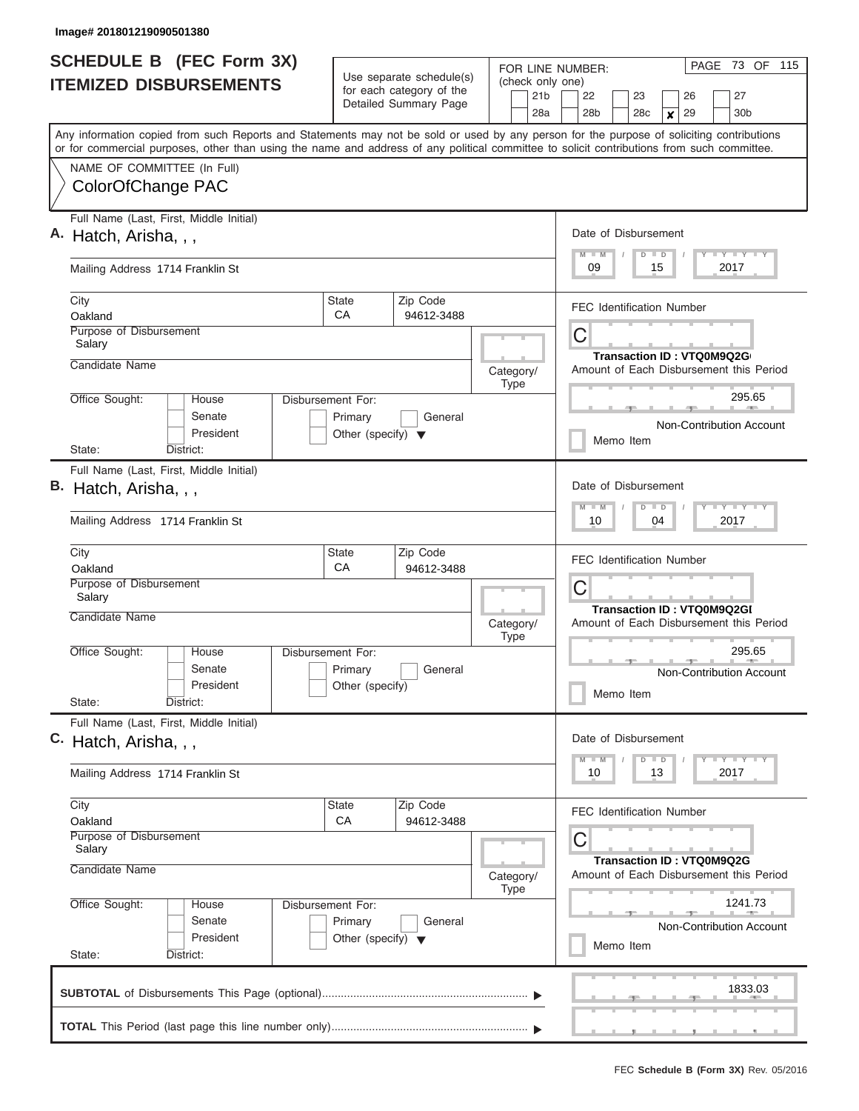| <b>SCHEDULE B</b> (FEC Form 3X) |                                                                                                                                                                                                                                                                                         |                                                                      | Use separate schedule(s)                                 | FOR LINE NUMBER:<br>(check only one) | PAGE 73 OF 115                                                                                                |  |  |  |  |  |  |  |  |  |
|---------------------------------|-----------------------------------------------------------------------------------------------------------------------------------------------------------------------------------------------------------------------------------------------------------------------------------------|----------------------------------------------------------------------|----------------------------------------------------------|--------------------------------------|---------------------------------------------------------------------------------------------------------------|--|--|--|--|--|--|--|--|--|
|                                 | <b>ITEMIZED DISBURSEMENTS</b>                                                                                                                                                                                                                                                           |                                                                      | for each category of the<br>Detailed Summary Page        | 21 <sub>b</sub><br>28a               | 27<br>22<br>23<br>26<br>30 <sub>b</sub><br>28 <sub>b</sub><br>28c<br>29<br>$\boldsymbol{x}$                   |  |  |  |  |  |  |  |  |  |
|                                 | Any information copied from such Reports and Statements may not be sold or used by any person for the purpose of soliciting contributions<br>or for commercial purposes, other than using the name and address of any political committee to solicit contributions from such committee. |                                                                      |                                                          |                                      |                                                                                                               |  |  |  |  |  |  |  |  |  |
|                                 | NAME OF COMMITTEE (In Full)<br>ColorOfChange PAC                                                                                                                                                                                                                                        |                                                                      |                                                          |                                      |                                                                                                               |  |  |  |  |  |  |  |  |  |
|                                 | Full Name (Last, First, Middle Initial)<br>A. Hatch, Arisha, , ,                                                                                                                                                                                                                        |                                                                      | Date of Disbursement<br>Y FY FY FY<br>$M$ $M$<br>$D$ $D$ |                                      |                                                                                                               |  |  |  |  |  |  |  |  |  |
|                                 | Mailing Address 1714 Franklin St                                                                                                                                                                                                                                                        |                                                                      |                                                          |                                      | 09<br>2017<br>15                                                                                              |  |  |  |  |  |  |  |  |  |
|                                 | City<br>Oakland                                                                                                                                                                                                                                                                         | <b>State</b><br>CA                                                   | Zip Code<br>94612-3488                                   |                                      | <b>FEC Identification Number</b>                                                                              |  |  |  |  |  |  |  |  |  |
|                                 | Purpose of Disbursement<br>Salary                                                                                                                                                                                                                                                       |                                                                      |                                                          |                                      | C<br>Transaction ID: VTQ0M9Q2G                                                                                |  |  |  |  |  |  |  |  |  |
|                                 | Candidate Name                                                                                                                                                                                                                                                                          |                                                                      |                                                          | Category/<br><b>Type</b>             | Amount of Each Disbursement this Period                                                                       |  |  |  |  |  |  |  |  |  |
|                                 | Office Sought:<br>House<br>Senate<br>President                                                                                                                                                                                                                                          | Disbursement For:<br>Primary<br>Other (specify) $\blacktriangledown$ | General                                                  |                                      | 295.65<br>Non-Contribution Account                                                                            |  |  |  |  |  |  |  |  |  |
|                                 | State:<br>District:                                                                                                                                                                                                                                                                     |                                                                      |                                                          |                                      | Memo Item                                                                                                     |  |  |  |  |  |  |  |  |  |
| В.                              | Full Name (Last, First, Middle Initial)<br>Hatch, Arisha, , ,<br>Mailing Address 1714 Franklin St                                                                                                                                                                                       |                                                                      |                                                          |                                      | Date of Disbursement<br>Y FY FY FY<br>$M - M$<br>$D$ $D$<br>04<br>2017<br>10                                  |  |  |  |  |  |  |  |  |  |
|                                 | City<br>Oakland                                                                                                                                                                                                                                                                         | State<br>CA                                                          | Zip Code<br>94612-3488                                   |                                      | <b>FEC Identification Number</b>                                                                              |  |  |  |  |  |  |  |  |  |
|                                 | Purpose of Disbursement<br>Salary<br>Candidate Name                                                                                                                                                                                                                                     |                                                                      |                                                          | Category/<br><b>Type</b>             | C<br>Transaction ID: VTQ0M9Q2GI<br>Amount of Each Disbursement this Period                                    |  |  |  |  |  |  |  |  |  |
|                                 | Office Sought:<br>House<br>Senate<br>President<br>State:<br>District:                                                                                                                                                                                                                   | Disbursement For:<br>Primary<br>Other (specify)                      | General                                                  |                                      | 295.65<br>Non-Contribution Account<br>Memo Item                                                               |  |  |  |  |  |  |  |  |  |
|                                 | Full Name (Last, First, Middle Initial)<br>C. Hatch, Arisha, , ,                                                                                                                                                                                                                        |                                                                      |                                                          |                                      | Date of Disbursement<br>Y FY FY FY<br>$M - M$<br>$D$ $D$                                                      |  |  |  |  |  |  |  |  |  |
|                                 | Mailing Address 1714 Franklin St                                                                                                                                                                                                                                                        |                                                                      |                                                          |                                      | 2017<br>10<br>13                                                                                              |  |  |  |  |  |  |  |  |  |
|                                 | City<br>Oakland<br>Purpose of Disbursement<br>Salary<br>Candidate Name                                                                                                                                                                                                                  | State<br><b>CA</b>                                                   | Zip Code<br>94612-3488                                   | Category/                            | <b>FEC Identification Number</b><br>С<br>Transaction ID: VTQ0M9Q2G<br>Amount of Each Disbursement this Period |  |  |  |  |  |  |  |  |  |
|                                 | Office Sought:<br>House<br>Senate<br>President<br>State:<br>District:                                                                                                                                                                                                                   | Disbursement For:<br>Primary<br>Other (specify) $\blacktriangledown$ | General                                                  | <b>Type</b>                          | 1241.73<br><b>Non-Contribution Account</b><br>Memo Item                                                       |  |  |  |  |  |  |  |  |  |
|                                 |                                                                                                                                                                                                                                                                                         |                                                                      |                                                          |                                      | 1833.03                                                                                                       |  |  |  |  |  |  |  |  |  |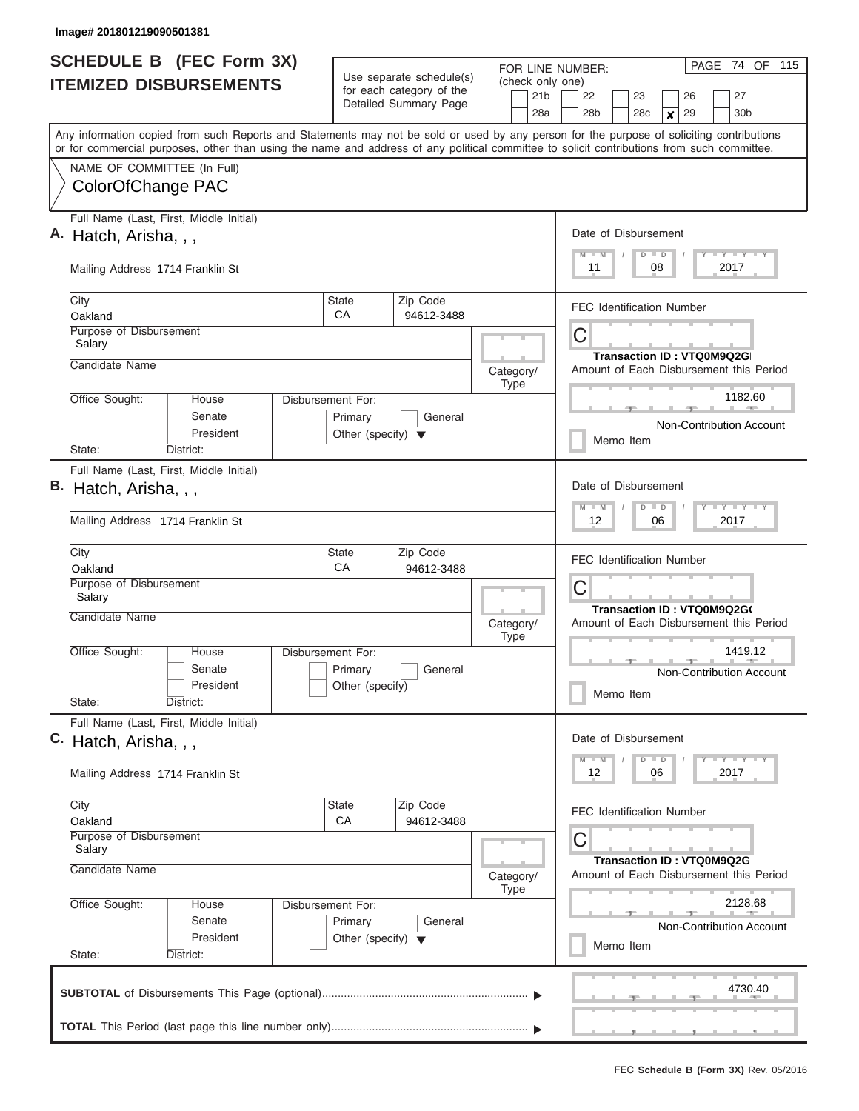| <b>SCHEDULE B</b> (FEC Form 3X)<br><b>ITEMIZED DISBURSEMENTS</b>                                                                                                                                                                                                                        |                                                                      | Use separate schedule(s)<br>for each category of the | FOR LINE NUMBER:<br>(check only one)                                 | PAGE 74 OF 115                                                                              |  |  |  |  |  |  |  |  |  |
|-----------------------------------------------------------------------------------------------------------------------------------------------------------------------------------------------------------------------------------------------------------------------------------------|----------------------------------------------------------------------|------------------------------------------------------|----------------------------------------------------------------------|---------------------------------------------------------------------------------------------|--|--|--|--|--|--|--|--|--|
|                                                                                                                                                                                                                                                                                         |                                                                      | Detailed Summary Page                                | 21 <sub>b</sub><br>28a                                               | 27<br>22<br>23<br>26<br>30 <sub>b</sub><br>28 <sub>b</sub><br>28c<br>29<br>$\boldsymbol{x}$ |  |  |  |  |  |  |  |  |  |
| Any information copied from such Reports and Statements may not be sold or used by any person for the purpose of soliciting contributions<br>or for commercial purposes, other than using the name and address of any political committee to solicit contributions from such committee. |                                                                      |                                                      |                                                                      |                                                                                             |  |  |  |  |  |  |  |  |  |
| NAME OF COMMITTEE (In Full)<br>ColorOfChange PAC                                                                                                                                                                                                                                        |                                                                      |                                                      |                                                                      |                                                                                             |  |  |  |  |  |  |  |  |  |
| Full Name (Last, First, Middle Initial)<br>A. Hatch, Arisha, , ,                                                                                                                                                                                                                        |                                                                      |                                                      |                                                                      | Date of Disbursement<br>Y LY LY LY<br>$M$ $M$<br>$D$ $D$                                    |  |  |  |  |  |  |  |  |  |
| Mailing Address 1714 Franklin St                                                                                                                                                                                                                                                        |                                                                      |                                                      |                                                                      | 08<br>2017<br>11                                                                            |  |  |  |  |  |  |  |  |  |
| City<br>Oakland                                                                                                                                                                                                                                                                         | <b>State</b><br>CA                                                   | Zip Code<br>94612-3488                               |                                                                      | <b>FEC Identification Number</b>                                                            |  |  |  |  |  |  |  |  |  |
| Purpose of Disbursement<br>Salary<br>Candidate Name                                                                                                                                                                                                                                     |                                                                      |                                                      |                                                                      | C<br>Transaction ID: VTQ0M9Q2G                                                              |  |  |  |  |  |  |  |  |  |
|                                                                                                                                                                                                                                                                                         |                                                                      |                                                      | Category/<br><b>Type</b>                                             | Amount of Each Disbursement this Period                                                     |  |  |  |  |  |  |  |  |  |
| Office Sought:<br>House<br>Senate<br>President                                                                                                                                                                                                                                          | Disbursement For:<br>Primary<br>Other (specify) $\blacktriangledown$ | General                                              |                                                                      | 1182.60<br>Non-Contribution Account                                                         |  |  |  |  |  |  |  |  |  |
| State:<br>District:                                                                                                                                                                                                                                                                     |                                                                      |                                                      |                                                                      | Memo Item                                                                                   |  |  |  |  |  |  |  |  |  |
| Full Name (Last, First, Middle Initial)<br>В.<br>Hatch, Arisha, , ,                                                                                                                                                                                                                     |                                                                      |                                                      |                                                                      | Date of Disbursement<br>Y FY FY FY<br>$M - M$<br>$D$ $D$                                    |  |  |  |  |  |  |  |  |  |
| Mailing Address 1714 Franklin St                                                                                                                                                                                                                                                        |                                                                      |                                                      |                                                                      | 06<br>2017<br>12                                                                            |  |  |  |  |  |  |  |  |  |
| City<br>Oakland                                                                                                                                                                                                                                                                         | State<br>CA                                                          | Zip Code<br>94612-3488                               |                                                                      | <b>FEC Identification Number</b>                                                            |  |  |  |  |  |  |  |  |  |
| Purpose of Disbursement<br>Salary                                                                                                                                                                                                                                                       |                                                                      |                                                      |                                                                      | C<br>Transaction ID: VTQ0M9Q2G(                                                             |  |  |  |  |  |  |  |  |  |
| Candidate Name                                                                                                                                                                                                                                                                          |                                                                      |                                                      | Category/<br><b>Type</b>                                             | Amount of Each Disbursement this Period                                                     |  |  |  |  |  |  |  |  |  |
| Office Sought:<br>House<br>Senate<br>President<br>State:<br>District:                                                                                                                                                                                                                   | Disbursement For:<br>Primary<br>Other (specify)                      | General                                              |                                                                      | 1419.12<br>Non-Contribution Account<br>Memo Item                                            |  |  |  |  |  |  |  |  |  |
| Full Name (Last, First, Middle Initial)                                                                                                                                                                                                                                                 |                                                                      |                                                      |                                                                      |                                                                                             |  |  |  |  |  |  |  |  |  |
| C. Hatch, Arisha, , ,                                                                                                                                                                                                                                                                   |                                                                      |                                                      |                                                                      | Date of Disbursement<br>$Y$ $Y$ $Y$ $Y$ $Y$<br>$M - M$<br>$D$ $D$                           |  |  |  |  |  |  |  |  |  |
| Mailing Address 1714 Franklin St                                                                                                                                                                                                                                                        |                                                                      |                                                      |                                                                      | 2017<br>12<br>06                                                                            |  |  |  |  |  |  |  |  |  |
| City<br>Oakland                                                                                                                                                                                                                                                                         | State<br><b>CA</b>                                                   | Zip Code<br>94612-3488                               |                                                                      | <b>FEC Identification Number</b>                                                            |  |  |  |  |  |  |  |  |  |
| Purpose of Disbursement<br>Salary                                                                                                                                                                                                                                                       |                                                                      |                                                      |                                                                      | С                                                                                           |  |  |  |  |  |  |  |  |  |
| Candidate Name                                                                                                                                                                                                                                                                          |                                                                      | Category/<br><b>Type</b>                             | Transaction ID: VTQ0M9Q2G<br>Amount of Each Disbursement this Period |                                                                                             |  |  |  |  |  |  |  |  |  |
| Office Sought:<br>House<br>Senate<br>President                                                                                                                                                                                                                                          | Disbursement For:<br>Primary<br>Other (specify) $\blacktriangledown$ | General                                              |                                                                      | 2128.68<br><b>Non-Contribution Account</b><br>Memo Item                                     |  |  |  |  |  |  |  |  |  |
| State:<br>District:                                                                                                                                                                                                                                                                     |                                                                      |                                                      |                                                                      |                                                                                             |  |  |  |  |  |  |  |  |  |
|                                                                                                                                                                                                                                                                                         |                                                                      |                                                      |                                                                      | 4730.40                                                                                     |  |  |  |  |  |  |  |  |  |
|                                                                                                                                                                                                                                                                                         |                                                                      |                                                      |                                                                      |                                                                                             |  |  |  |  |  |  |  |  |  |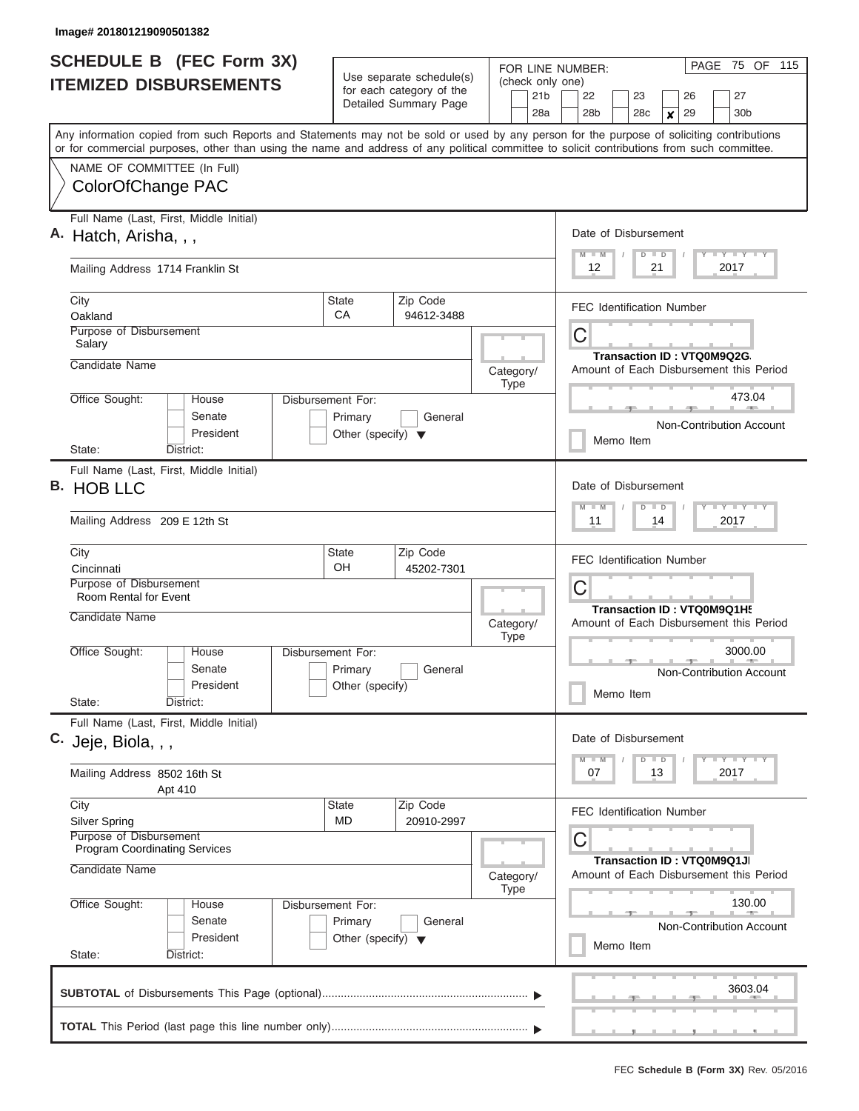| <b>SCHEDULE B</b> (FEC Form 3X) |                                                                                                                                                                                                                                                                                         |                                                                      | Use separate schedule(s)                          | FOR LINE NUMBER:<br>(check only one) | PAGE 75 OF 115                                                                                                   |  |  |  |  |  |  |  |  |  |
|---------------------------------|-----------------------------------------------------------------------------------------------------------------------------------------------------------------------------------------------------------------------------------------------------------------------------------------|----------------------------------------------------------------------|---------------------------------------------------|--------------------------------------|------------------------------------------------------------------------------------------------------------------|--|--|--|--|--|--|--|--|--|
|                                 | <b>ITEMIZED DISBURSEMENTS</b>                                                                                                                                                                                                                                                           |                                                                      | for each category of the<br>Detailed Summary Page | 21 <sub>b</sub><br>28a               | 22<br>27<br>23<br>26<br>28 <sub>b</sub><br>30 <sub>b</sub><br>28c<br>29<br>$\boldsymbol{x}$                      |  |  |  |  |  |  |  |  |  |
|                                 | Any information copied from such Reports and Statements may not be sold or used by any person for the purpose of soliciting contributions<br>or for commercial purposes, other than using the name and address of any political committee to solicit contributions from such committee. |                                                                      |                                                   |                                      |                                                                                                                  |  |  |  |  |  |  |  |  |  |
|                                 | NAME OF COMMITTEE (In Full)<br>ColorOfChange PAC                                                                                                                                                                                                                                        |                                                                      |                                                   |                                      |                                                                                                                  |  |  |  |  |  |  |  |  |  |
|                                 | Full Name (Last, First, Middle Initial)<br>A. Hatch, Arisha, , ,                                                                                                                                                                                                                        |                                                                      |                                                   |                                      | Date of Disbursement<br>Y LY LY LY<br>$M - M$<br>$D$ $D$<br>12<br>21<br>2017<br><b>FEC Identification Number</b> |  |  |  |  |  |  |  |  |  |
|                                 | Mailing Address 1714 Franklin St                                                                                                                                                                                                                                                        |                                                                      |                                                   |                                      |                                                                                                                  |  |  |  |  |  |  |  |  |  |
|                                 | City<br>Oakland                                                                                                                                                                                                                                                                         | <b>State</b><br>CA                                                   | Zip Code<br>94612-3488                            |                                      |                                                                                                                  |  |  |  |  |  |  |  |  |  |
|                                 | Purpose of Disbursement<br>Salary<br>Candidate Name                                                                                                                                                                                                                                     |                                                                      |                                                   |                                      | C<br>Transaction ID: VTQ0M9Q2G                                                                                   |  |  |  |  |  |  |  |  |  |
|                                 |                                                                                                                                                                                                                                                                                         |                                                                      |                                                   | Category/<br><b>Type</b>             | Amount of Each Disbursement this Period                                                                          |  |  |  |  |  |  |  |  |  |
|                                 | Office Sought:<br>House<br>Senate<br>President                                                                                                                                                                                                                                          | Disbursement For:<br>Primary<br>Other (specify) $\blacktriangledown$ | General                                           |                                      | 473.04<br>Non-Contribution Account                                                                               |  |  |  |  |  |  |  |  |  |
|                                 | State:<br>District:                                                                                                                                                                                                                                                                     |                                                                      |                                                   |                                      | Memo Item                                                                                                        |  |  |  |  |  |  |  |  |  |
| В.                              | Full Name (Last, First, Middle Initial)<br><b>HOB LLC</b><br>Mailing Address 209 E 12th St                                                                                                                                                                                              |                                                                      |                                                   |                                      | Date of Disbursement<br>Y FY FY FY<br>$M - M$<br>$D$ $D$<br>2017<br>11<br>14                                     |  |  |  |  |  |  |  |  |  |
|                                 | City<br>Cincinnati                                                                                                                                                                                                                                                                      | State<br><b>OH</b>                                                   | Zip Code<br>45202-7301                            |                                      | <b>FEC Identification Number</b>                                                                                 |  |  |  |  |  |  |  |  |  |
|                                 | Purpose of Disbursement<br>Room Rental for Event<br>Candidate Name                                                                                                                                                                                                                      |                                                                      |                                                   | Category/                            | C<br>Transaction ID: VTQ0M9Q1H!<br>Amount of Each Disbursement this Period                                       |  |  |  |  |  |  |  |  |  |
|                                 | Office Sought:<br>House<br>Senate<br>President<br>State:<br>District:                                                                                                                                                                                                                   | Disbursement For:<br>Primary<br>Other (specify)                      | General                                           | <b>Type</b>                          | 3000.00<br>Non-Contribution Account<br>Memo Item                                                                 |  |  |  |  |  |  |  |  |  |
|                                 | Full Name (Last, First, Middle Initial)<br>C. Jeje, Biola, , ,                                                                                                                                                                                                                          |                                                                      |                                                   |                                      | Date of Disbursement                                                                                             |  |  |  |  |  |  |  |  |  |
|                                 | Mailing Address 8502 16th St<br>Apt 410                                                                                                                                                                                                                                                 |                                                                      |                                                   |                                      | $Y$ $Y$ $Y$ $Y$ $Y$<br>$M - M$<br>$D$ $D$<br>2017<br>07<br>13                                                    |  |  |  |  |  |  |  |  |  |
|                                 | City<br><b>Silver Spring</b><br>Purpose of Disbursement<br><b>Program Coordinating Services</b><br>Candidate Name                                                                                                                                                                       | State<br>MD                                                          | Zip Code<br>20910-2997                            | Category/                            | <b>FEC Identification Number</b><br>С<br>Transaction ID: VTQ0M9Q1JI<br>Amount of Each Disbursement this Period   |  |  |  |  |  |  |  |  |  |
|                                 | Office Sought:<br>Disbursement For:<br>House<br>Senate<br>President                                                                                                                                                                                                                     | <b>Type</b>                                                          | 130.00<br>Non-Contribution Account<br>Memo Item   |                                      |                                                                                                                  |  |  |  |  |  |  |  |  |  |
|                                 | State:<br>District:                                                                                                                                                                                                                                                                     |                                                                      |                                                   |                                      |                                                                                                                  |  |  |  |  |  |  |  |  |  |
|                                 |                                                                                                                                                                                                                                                                                         |                                                                      |                                                   |                                      | 3603.04                                                                                                          |  |  |  |  |  |  |  |  |  |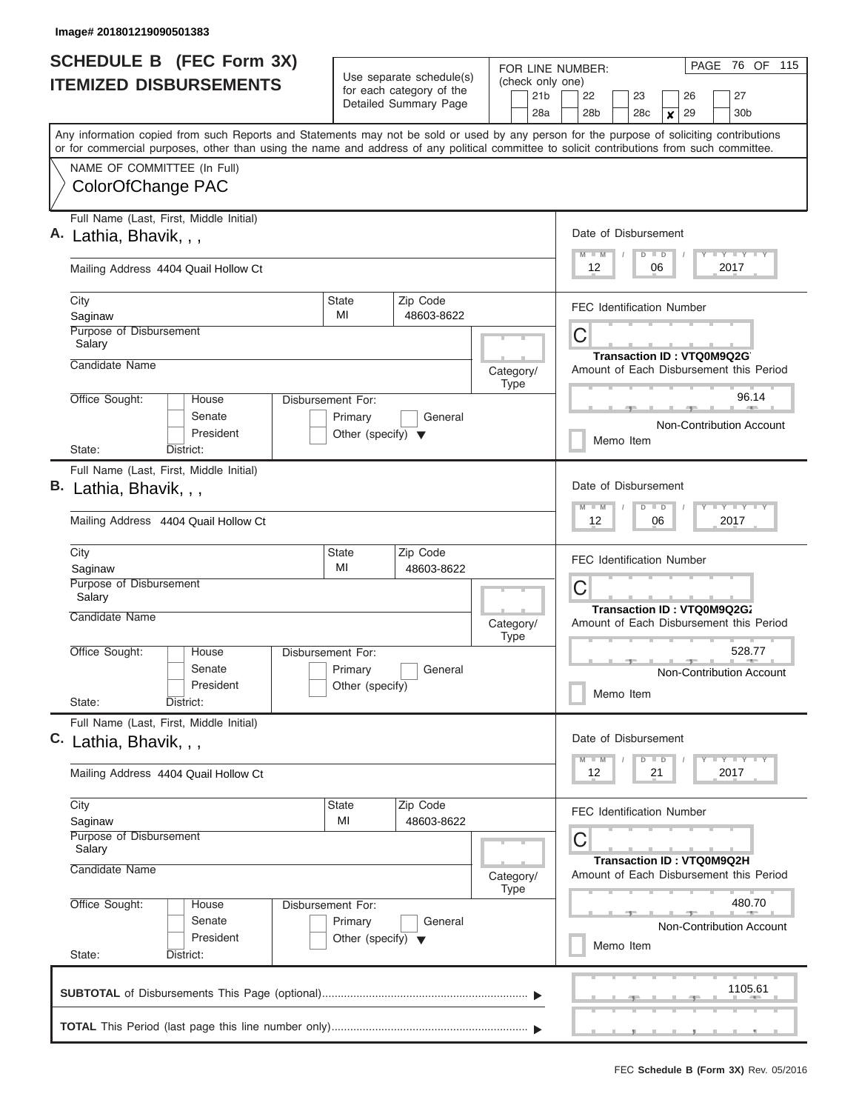| Detailed Summary Page<br>30 <sub>b</sub><br>28a<br>28 <sub>b</sub><br>28c<br>29<br>$\boldsymbol{x}$<br>Any information copied from such Reports and Statements may not be sold or used by any person for the purpose of soliciting contributions<br>or for commercial purposes, other than using the name and address of any political committee to solicit contributions from such committee.<br>NAME OF COMMITTEE (In Full)<br>ColorOfChange PAC<br>Full Name (Last, First, Middle Initial)<br>Date of Disbursement<br>Lathia, Bhavik, , ,<br>Y LY LY LY<br>$M$ $M$<br>$D$ $D$<br>12<br>2017<br>Mailing Address 4404 Quail Hollow Ct<br>06<br>Zip Code<br>City<br><b>State</b><br><b>FEC Identification Number</b><br>MI<br>48603-8622<br>Saginaw<br>Purpose of Disbursement<br>C<br>Salary<br>Transaction ID: VTQ0M9Q2G<br>Candidate Name<br>Category/<br><b>Type</b><br>96.14<br>Office Sought:<br>Disbursement For:<br>House<br>Senate<br>Primary<br>General<br>Non-Contribution Account<br>President<br>Other (specify) $\blacktriangledown$<br>Memo Item<br>State:<br>District:<br>Full Name (Last, First, Middle Initial)<br>Date of Disbursement<br>Lathia, Bhavik, , ,<br>Y FY FY FY<br>$M - M$<br>$D$ $D$<br>Mailing Address 4404 Quail Hollow Ct<br>06<br>2017<br>12<br>Zip Code<br>City<br>State<br><b>FEC Identification Number</b><br>MI<br>48603-8622<br>Saginaw<br>Purpose of Disbursement<br>C<br>Salary<br>Transaction ID: VTQ0M9Q2G7<br>Candidate Name<br>Category/<br><b>Type</b><br>528.77<br>Office Sought:<br>Disbursement For:<br>House<br>Senate<br>Primary<br>General<br>President<br>Other (specify)<br>Memo Item<br>State:<br>District:<br>Full Name (Last, First, Middle Initial)<br>Date of Disbursement<br>Y FY FY FY<br>$M - M$<br>$D$ $D$<br>2017<br>Mailing Address 4404 Quail Hollow Ct<br>12<br>21<br>Zip Code<br>City<br>State<br><b>FEC Identification Number</b><br>MI<br>48603-8622<br>Saginaw<br>Purpose of Disbursement<br>C<br>Salary<br>Transaction ID: VTQ0M9Q2H<br>Candidate Name<br>Category/<br><b>Type</b><br>480.70<br>Office Sought:<br>Disbursement For:<br>House<br>Senate<br>Primary<br>General<br>President<br>Other (specify) $\blacktriangledown$<br>Memo Item<br>State:<br>District:<br>1105.61 | <b>SCHEDULE B</b> (FEC Form 3X)<br><b>ITEMIZED DISBURSEMENTS</b> | Use separate schedule(s)<br>for each category of the | FOR LINE NUMBER:<br>(check only one)<br>21 <sub>b</sub> | PAGE 76 OF 115<br>27<br>22<br>23<br>26  |  |  |  |  |  |  |  |  |
|------------------------------------------------------------------------------------------------------------------------------------------------------------------------------------------------------------------------------------------------------------------------------------------------------------------------------------------------------------------------------------------------------------------------------------------------------------------------------------------------------------------------------------------------------------------------------------------------------------------------------------------------------------------------------------------------------------------------------------------------------------------------------------------------------------------------------------------------------------------------------------------------------------------------------------------------------------------------------------------------------------------------------------------------------------------------------------------------------------------------------------------------------------------------------------------------------------------------------------------------------------------------------------------------------------------------------------------------------------------------------------------------------------------------------------------------------------------------------------------------------------------------------------------------------------------------------------------------------------------------------------------------------------------------------------------------------------------------------------------------------------------------------------------------------------------------------------------------------------------------------------------------------------------------------------------------------------------------------------------------------------------------------------------------------------------------------------------------------------------------------------------------------------------------------------------------------------------------------------------------------------|------------------------------------------------------------------|------------------------------------------------------|---------------------------------------------------------|-----------------------------------------|--|--|--|--|--|--|--|--|
|                                                                                                                                                                                                                                                                                                                                                                                                                                                                                                                                                                                                                                                                                                                                                                                                                                                                                                                                                                                                                                                                                                                                                                                                                                                                                                                                                                                                                                                                                                                                                                                                                                                                                                                                                                                                                                                                                                                                                                                                                                                                                                                                                                                                                                                            |                                                                  |                                                      |                                                         |                                         |  |  |  |  |  |  |  |  |
|                                                                                                                                                                                                                                                                                                                                                                                                                                                                                                                                                                                                                                                                                                                                                                                                                                                                                                                                                                                                                                                                                                                                                                                                                                                                                                                                                                                                                                                                                                                                                                                                                                                                                                                                                                                                                                                                                                                                                                                                                                                                                                                                                                                                                                                            |                                                                  |                                                      |                                                         |                                         |  |  |  |  |  |  |  |  |
|                                                                                                                                                                                                                                                                                                                                                                                                                                                                                                                                                                                                                                                                                                                                                                                                                                                                                                                                                                                                                                                                                                                                                                                                                                                                                                                                                                                                                                                                                                                                                                                                                                                                                                                                                                                                                                                                                                                                                                                                                                                                                                                                                                                                                                                            |                                                                  |                                                      |                                                         |                                         |  |  |  |  |  |  |  |  |
|                                                                                                                                                                                                                                                                                                                                                                                                                                                                                                                                                                                                                                                                                                                                                                                                                                                                                                                                                                                                                                                                                                                                                                                                                                                                                                                                                                                                                                                                                                                                                                                                                                                                                                                                                                                                                                                                                                                                                                                                                                                                                                                                                                                                                                                            |                                                                  |                                                      |                                                         |                                         |  |  |  |  |  |  |  |  |
|                                                                                                                                                                                                                                                                                                                                                                                                                                                                                                                                                                                                                                                                                                                                                                                                                                                                                                                                                                                                                                                                                                                                                                                                                                                                                                                                                                                                                                                                                                                                                                                                                                                                                                                                                                                                                                                                                                                                                                                                                                                                                                                                                                                                                                                            |                                                                  |                                                      |                                                         |                                         |  |  |  |  |  |  |  |  |
|                                                                                                                                                                                                                                                                                                                                                                                                                                                                                                                                                                                                                                                                                                                                                                                                                                                                                                                                                                                                                                                                                                                                                                                                                                                                                                                                                                                                                                                                                                                                                                                                                                                                                                                                                                                                                                                                                                                                                                                                                                                                                                                                                                                                                                                            |                                                                  |                                                      |                                                         |                                         |  |  |  |  |  |  |  |  |
|                                                                                                                                                                                                                                                                                                                                                                                                                                                                                                                                                                                                                                                                                                                                                                                                                                                                                                                                                                                                                                                                                                                                                                                                                                                                                                                                                                                                                                                                                                                                                                                                                                                                                                                                                                                                                                                                                                                                                                                                                                                                                                                                                                                                                                                            |                                                                  |                                                      |                                                         | Amount of Each Disbursement this Period |  |  |  |  |  |  |  |  |
|                                                                                                                                                                                                                                                                                                                                                                                                                                                                                                                                                                                                                                                                                                                                                                                                                                                                                                                                                                                                                                                                                                                                                                                                                                                                                                                                                                                                                                                                                                                                                                                                                                                                                                                                                                                                                                                                                                                                                                                                                                                                                                                                                                                                                                                            |                                                                  |                                                      |                                                         |                                         |  |  |  |  |  |  |  |  |
|                                                                                                                                                                                                                                                                                                                                                                                                                                                                                                                                                                                                                                                                                                                                                                                                                                                                                                                                                                                                                                                                                                                                                                                                                                                                                                                                                                                                                                                                                                                                                                                                                                                                                                                                                                                                                                                                                                                                                                                                                                                                                                                                                                                                                                                            |                                                                  |                                                      |                                                         |                                         |  |  |  |  |  |  |  |  |
|                                                                                                                                                                                                                                                                                                                                                                                                                                                                                                                                                                                                                                                                                                                                                                                                                                                                                                                                                                                                                                                                                                                                                                                                                                                                                                                                                                                                                                                                                                                                                                                                                                                                                                                                                                                                                                                                                                                                                                                                                                                                                                                                                                                                                                                            | В.                                                               |                                                      |                                                         |                                         |  |  |  |  |  |  |  |  |
|                                                                                                                                                                                                                                                                                                                                                                                                                                                                                                                                                                                                                                                                                                                                                                                                                                                                                                                                                                                                                                                                                                                                                                                                                                                                                                                                                                                                                                                                                                                                                                                                                                                                                                                                                                                                                                                                                                                                                                                                                                                                                                                                                                                                                                                            |                                                                  |                                                      |                                                         |                                         |  |  |  |  |  |  |  |  |
|                                                                                                                                                                                                                                                                                                                                                                                                                                                                                                                                                                                                                                                                                                                                                                                                                                                                                                                                                                                                                                                                                                                                                                                                                                                                                                                                                                                                                                                                                                                                                                                                                                                                                                                                                                                                                                                                                                                                                                                                                                                                                                                                                                                                                                                            |                                                                  |                                                      |                                                         | Amount of Each Disbursement this Period |  |  |  |  |  |  |  |  |
|                                                                                                                                                                                                                                                                                                                                                                                                                                                                                                                                                                                                                                                                                                                                                                                                                                                                                                                                                                                                                                                                                                                                                                                                                                                                                                                                                                                                                                                                                                                                                                                                                                                                                                                                                                                                                                                                                                                                                                                                                                                                                                                                                                                                                                                            |                                                                  |                                                      |                                                         |                                         |  |  |  |  |  |  |  |  |
|                                                                                                                                                                                                                                                                                                                                                                                                                                                                                                                                                                                                                                                                                                                                                                                                                                                                                                                                                                                                                                                                                                                                                                                                                                                                                                                                                                                                                                                                                                                                                                                                                                                                                                                                                                                                                                                                                                                                                                                                                                                                                                                                                                                                                                                            |                                                                  |                                                      |                                                         |                                         |  |  |  |  |  |  |  |  |
|                                                                                                                                                                                                                                                                                                                                                                                                                                                                                                                                                                                                                                                                                                                                                                                                                                                                                                                                                                                                                                                                                                                                                                                                                                                                                                                                                                                                                                                                                                                                                                                                                                                                                                                                                                                                                                                                                                                                                                                                                                                                                                                                                                                                                                                            |                                                                  |                                                      |                                                         | Non-Contribution Account                |  |  |  |  |  |  |  |  |
|                                                                                                                                                                                                                                                                                                                                                                                                                                                                                                                                                                                                                                                                                                                                                                                                                                                                                                                                                                                                                                                                                                                                                                                                                                                                                                                                                                                                                                                                                                                                                                                                                                                                                                                                                                                                                                                                                                                                                                                                                                                                                                                                                                                                                                                            | C. Lathia, Bhavik, , ,                                           |                                                      |                                                         |                                         |  |  |  |  |  |  |  |  |
|                                                                                                                                                                                                                                                                                                                                                                                                                                                                                                                                                                                                                                                                                                                                                                                                                                                                                                                                                                                                                                                                                                                                                                                                                                                                                                                                                                                                                                                                                                                                                                                                                                                                                                                                                                                                                                                                                                                                                                                                                                                                                                                                                                                                                                                            |                                                                  |                                                      |                                                         |                                         |  |  |  |  |  |  |  |  |
|                                                                                                                                                                                                                                                                                                                                                                                                                                                                                                                                                                                                                                                                                                                                                                                                                                                                                                                                                                                                                                                                                                                                                                                                                                                                                                                                                                                                                                                                                                                                                                                                                                                                                                                                                                                                                                                                                                                                                                                                                                                                                                                                                                                                                                                            |                                                                  |                                                      |                                                         |                                         |  |  |  |  |  |  |  |  |
|                                                                                                                                                                                                                                                                                                                                                                                                                                                                                                                                                                                                                                                                                                                                                                                                                                                                                                                                                                                                                                                                                                                                                                                                                                                                                                                                                                                                                                                                                                                                                                                                                                                                                                                                                                                                                                                                                                                                                                                                                                                                                                                                                                                                                                                            |                                                                  |                                                      |                                                         |                                         |  |  |  |  |  |  |  |  |
|                                                                                                                                                                                                                                                                                                                                                                                                                                                                                                                                                                                                                                                                                                                                                                                                                                                                                                                                                                                                                                                                                                                                                                                                                                                                                                                                                                                                                                                                                                                                                                                                                                                                                                                                                                                                                                                                                                                                                                                                                                                                                                                                                                                                                                                            |                                                                  |                                                      | Amount of Each Disbursement this Period                 |                                         |  |  |  |  |  |  |  |  |
|                                                                                                                                                                                                                                                                                                                                                                                                                                                                                                                                                                                                                                                                                                                                                                                                                                                                                                                                                                                                                                                                                                                                                                                                                                                                                                                                                                                                                                                                                                                                                                                                                                                                                                                                                                                                                                                                                                                                                                                                                                                                                                                                                                                                                                                            |                                                                  |                                                      |                                                         | Non-Contribution Account                |  |  |  |  |  |  |  |  |
|                                                                                                                                                                                                                                                                                                                                                                                                                                                                                                                                                                                                                                                                                                                                                                                                                                                                                                                                                                                                                                                                                                                                                                                                                                                                                                                                                                                                                                                                                                                                                                                                                                                                                                                                                                                                                                                                                                                                                                                                                                                                                                                                                                                                                                                            |                                                                  |                                                      |                                                         |                                         |  |  |  |  |  |  |  |  |
|                                                                                                                                                                                                                                                                                                                                                                                                                                                                                                                                                                                                                                                                                                                                                                                                                                                                                                                                                                                                                                                                                                                                                                                                                                                                                                                                                                                                                                                                                                                                                                                                                                                                                                                                                                                                                                                                                                                                                                                                                                                                                                                                                                                                                                                            |                                                                  |                                                      |                                                         |                                         |  |  |  |  |  |  |  |  |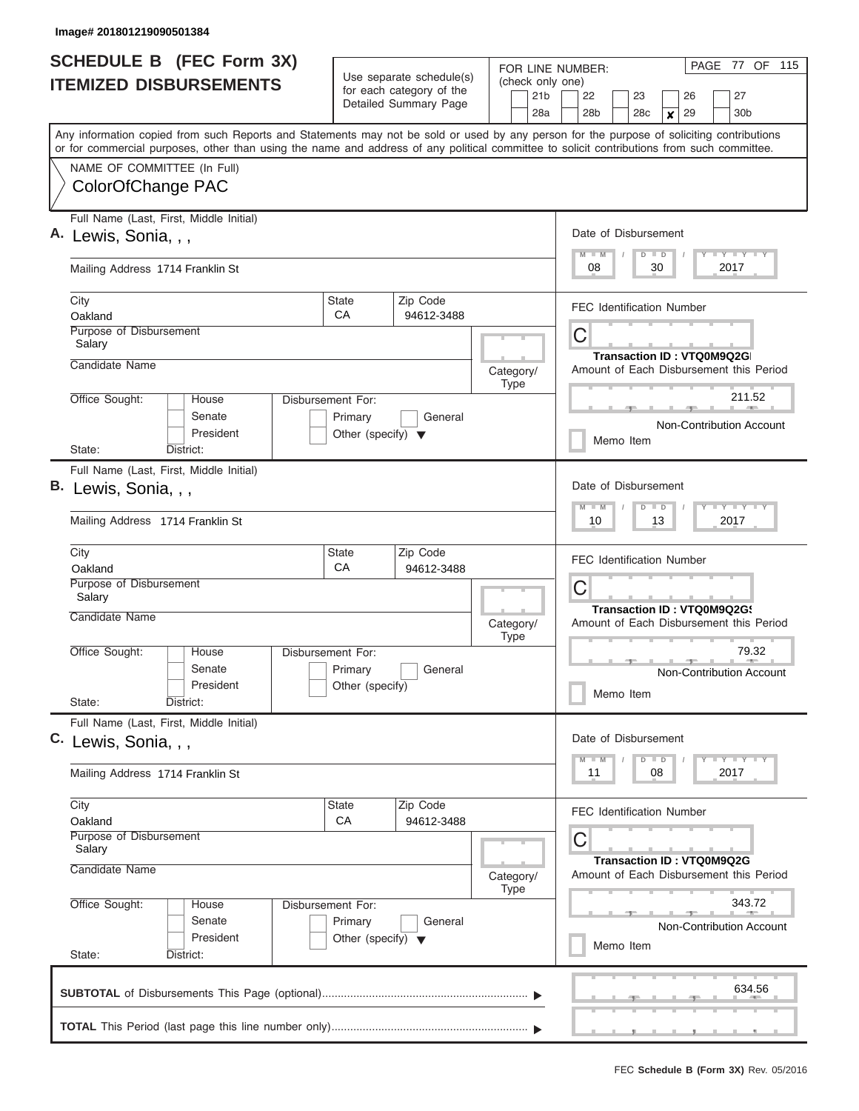| <b>SCHEDULE B (FEC Form 3X)</b><br><b>ITEMIZED DISBURSEMENTS</b>                                                                                                                                                                                                                                                                            |                                                                             | Use separate schedule(s)<br>for each category of the<br>Detailed Summary Page | FOR LINE NUMBER:<br>(check only one)<br>21 <sub>b</sub><br>28a                                                 | PAGE 77 OF 115<br>22<br>23<br>26<br>27<br>28 <sub>b</sub><br>29<br>30 <sub>b</sub><br>28c<br>$\boldsymbol{x}$ |  |  |  |  |  |  |  |  |  |
|---------------------------------------------------------------------------------------------------------------------------------------------------------------------------------------------------------------------------------------------------------------------------------------------------------------------------------------------|-----------------------------------------------------------------------------|-------------------------------------------------------------------------------|----------------------------------------------------------------------------------------------------------------|---------------------------------------------------------------------------------------------------------------|--|--|--|--|--|--|--|--|--|
| Any information copied from such Reports and Statements may not be sold or used by any person for the purpose of soliciting contributions<br>or for commercial purposes, other than using the name and address of any political committee to solicit contributions from such committee.<br>NAME OF COMMITTEE (In Full)<br>ColorOfChange PAC |                                                                             |                                                                               |                                                                                                                |                                                                                                               |  |  |  |  |  |  |  |  |  |
| Full Name (Last, First, Middle Initial)<br>A. Lewis, Sonia, , ,<br>Mailing Address 1714 Franklin St                                                                                                                                                                                                                                         |                                                                             |                                                                               |                                                                                                                | Date of Disbursement<br>Y I Y I Y I Y<br>$M$ $M$<br>$D$ $D$<br>2017<br>08<br>30                               |  |  |  |  |  |  |  |  |  |
| City<br>Oakland<br>Purpose of Disbursement<br>Salary<br>Candidate Name                                                                                                                                                                                                                                                                      | State<br>CA                                                                 | Zip Code<br>94612-3488                                                        |                                                                                                                | <b>FEC Identification Number</b><br>C<br>Transaction ID: VTQ0M9Q2G                                            |  |  |  |  |  |  |  |  |  |
| Office Sought:<br>House<br>Senate<br>President<br>State:<br>District:                                                                                                                                                                                                                                                                       | <b>Disbursement For:</b><br>Primary<br>Other (specify) $\blacktriangledown$ | General                                                                       | Category/<br><b>Type</b>                                                                                       | Amount of Each Disbursement this Period<br>211.52<br>Non-Contribution Account<br>Memo Item                    |  |  |  |  |  |  |  |  |  |
| Full Name (Last, First, Middle Initial)<br>В.<br>Lewis, Sonia, , ,<br>Mailing Address 1714 Franklin St                                                                                                                                                                                                                                      |                                                                             |                                                                               |                                                                                                                | Date of Disbursement<br>Y FY FY FY<br>$M - M$<br>$D$ $D$<br>10<br>13<br>2017                                  |  |  |  |  |  |  |  |  |  |
| City<br>Oakland<br>Purpose of Disbursement<br>Salary<br>Candidate Name                                                                                                                                                                                                                                                                      | Zip Code<br>94612-3488                                                      | Category/<br><b>Type</b>                                                      | <b>FEC Identification Number</b><br>C<br>Transaction ID: VTQ0M9Q2G9<br>Amount of Each Disbursement this Period |                                                                                                               |  |  |  |  |  |  |  |  |  |
| Office Sought:<br>House<br>Senate<br>President<br>State:<br>District:                                                                                                                                                                                                                                                                       | Disbursement For:<br>Primary<br>Other (specify)                             | General                                                                       |                                                                                                                | 79.32<br>Non-Contribution Account<br>Memo Item                                                                |  |  |  |  |  |  |  |  |  |
| Full Name (Last, First, Middle Initial)<br>C. Lewis, Sonia, , ,<br>Mailing Address 1714 Franklin St                                                                                                                                                                                                                                         |                                                                             |                                                                               |                                                                                                                | Date of Disbursement<br>$\frac{1}{2}$<br>$M - M$<br>$D$ $D$<br>2017<br>11<br>08                               |  |  |  |  |  |  |  |  |  |
| City<br>Oakland<br>Purpose of Disbursement<br>Salary<br>Candidate Name                                                                                                                                                                                                                                                                      | State<br>CA                                                                 | Zip Code<br>94612-3488                                                        | Category/<br><b>Type</b>                                                                                       | <b>FEC Identification Number</b><br>C<br>Transaction ID: VTQ0M9Q2G<br>Amount of Each Disbursement this Period |  |  |  |  |  |  |  |  |  |
| Office Sought:<br>House<br>Senate<br>President<br>State:<br>District:                                                                                                                                                                                                                                                                       | Disbursement For:<br>Primary<br>Other (specify) $\blacktriangledown$        | General                                                                       |                                                                                                                | 343.72<br><b>Non-Contribution Account</b><br>Memo Item                                                        |  |  |  |  |  |  |  |  |  |
|                                                                                                                                                                                                                                                                                                                                             |                                                                             |                                                                               |                                                                                                                | 634.56                                                                                                        |  |  |  |  |  |  |  |  |  |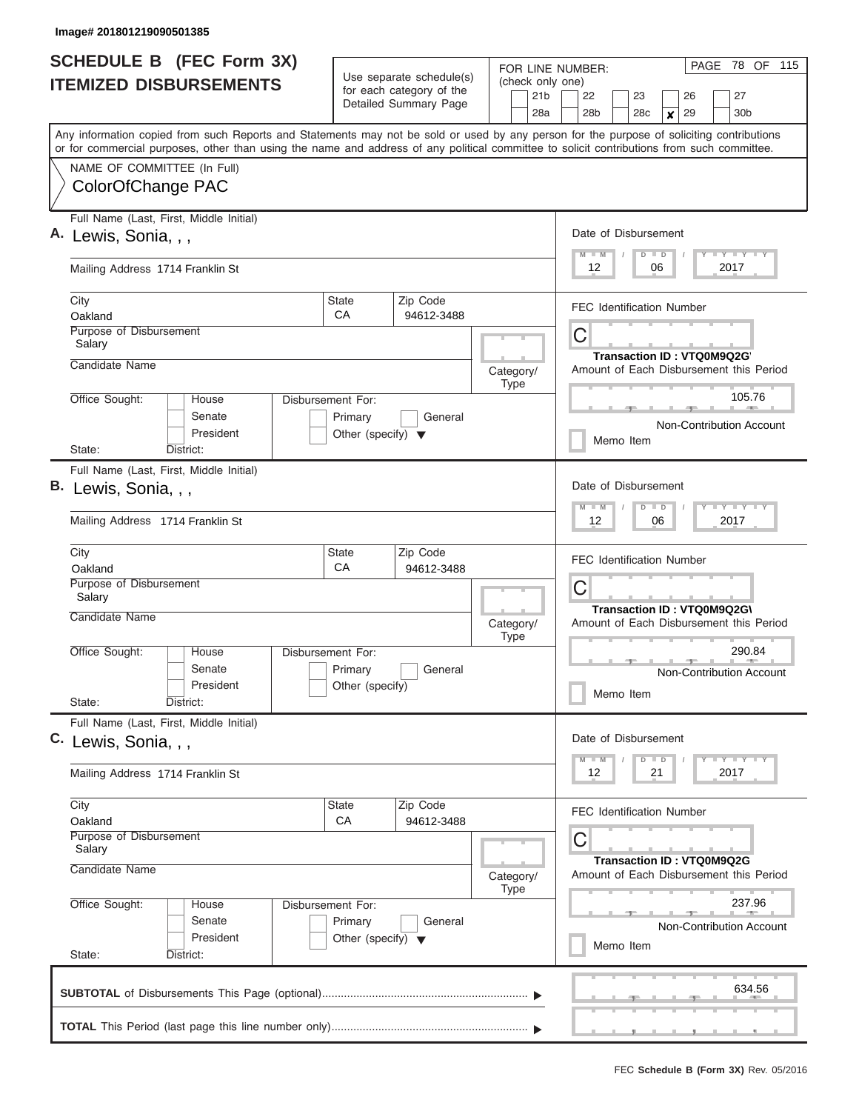| <b>SCHEDULE B</b> (FEC Form 3X)<br><b>ITEMIZED DISBURSEMENTS</b> |                                                                                                                                                                                                                                                                                         |                                                 | Use separate schedule(s)<br>for each category of the<br>Detailed Summary Page | FOR LINE NUMBER:<br>(check only one)<br>21 <sub>b</sub> | PAGE 78 OF 115<br>27<br>22<br>23<br>26                                       |  |  |  |  |  |  |  |  |
|------------------------------------------------------------------|-----------------------------------------------------------------------------------------------------------------------------------------------------------------------------------------------------------------------------------------------------------------------------------------|-------------------------------------------------|-------------------------------------------------------------------------------|---------------------------------------------------------|------------------------------------------------------------------------------|--|--|--|--|--|--|--|--|
|                                                                  |                                                                                                                                                                                                                                                                                         |                                                 |                                                                               | 28a                                                     | 30 <sub>b</sub><br>28 <sub>b</sub><br>28c<br>29<br>$\boldsymbol{x}$          |  |  |  |  |  |  |  |  |
|                                                                  | Any information copied from such Reports and Statements may not be sold or used by any person for the purpose of soliciting contributions<br>or for commercial purposes, other than using the name and address of any political committee to solicit contributions from such committee. |                                                 |                                                                               |                                                         |                                                                              |  |  |  |  |  |  |  |  |
|                                                                  | NAME OF COMMITTEE (In Full)                                                                                                                                                                                                                                                             |                                                 |                                                                               |                                                         |                                                                              |  |  |  |  |  |  |  |  |
|                                                                  | ColorOfChange PAC                                                                                                                                                                                                                                                                       |                                                 |                                                                               |                                                         |                                                                              |  |  |  |  |  |  |  |  |
|                                                                  | Full Name (Last, First, Middle Initial)                                                                                                                                                                                                                                                 |                                                 |                                                                               |                                                         |                                                                              |  |  |  |  |  |  |  |  |
|                                                                  | A. Lewis, Sonia, , ,                                                                                                                                                                                                                                                                    |                                                 |                                                                               |                                                         | Date of Disbursement<br>Y FY FY FY<br>$M$ $M$<br>$D$ $D$<br>12<br>2017<br>06 |  |  |  |  |  |  |  |  |
|                                                                  | Mailing Address 1714 Franklin St                                                                                                                                                                                                                                                        |                                                 |                                                                               |                                                         |                                                                              |  |  |  |  |  |  |  |  |
| City                                                             | Oakland                                                                                                                                                                                                                                                                                 | <b>State</b><br>CA                              | Zip Code<br>94612-3488                                                        |                                                         | <b>FEC Identification Number</b>                                             |  |  |  |  |  |  |  |  |
|                                                                  | Purpose of Disbursement                                                                                                                                                                                                                                                                 |                                                 |                                                                               |                                                         | C                                                                            |  |  |  |  |  |  |  |  |
|                                                                  | Salary<br>Candidate Name                                                                                                                                                                                                                                                                |                                                 |                                                                               |                                                         | Transaction ID: VTQ0M9Q2G                                                    |  |  |  |  |  |  |  |  |
|                                                                  |                                                                                                                                                                                                                                                                                         |                                                 |                                                                               | Category/<br><b>Type</b>                                | Amount of Each Disbursement this Period                                      |  |  |  |  |  |  |  |  |
|                                                                  | Office Sought:<br>House                                                                                                                                                                                                                                                                 | Disbursement For:                               |                                                                               |                                                         | 105.76                                                                       |  |  |  |  |  |  |  |  |
|                                                                  | Senate<br>President                                                                                                                                                                                                                                                                     | Primary<br>Other (specify) $\blacktriangledown$ | General                                                                       |                                                         | Non-Contribution Account                                                     |  |  |  |  |  |  |  |  |
| State:                                                           | District:                                                                                                                                                                                                                                                                               |                                                 |                                                                               |                                                         | Memo Item                                                                    |  |  |  |  |  |  |  |  |
|                                                                  | Full Name (Last, First, Middle Initial)                                                                                                                                                                                                                                                 |                                                 |                                                                               |                                                         |                                                                              |  |  |  |  |  |  |  |  |
| В.                                                               | Lewis, Sonia, , ,                                                                                                                                                                                                                                                                       |                                                 |                                                                               |                                                         | Date of Disbursement                                                         |  |  |  |  |  |  |  |  |
|                                                                  | Mailing Address 1714 Franklin St                                                                                                                                                                                                                                                        |                                                 |                                                                               |                                                         | Y FY FY FY<br>$M - M$<br>$D$ $D$<br>06<br>2017<br>12                         |  |  |  |  |  |  |  |  |
| City                                                             |                                                                                                                                                                                                                                                                                         | State                                           | Zip Code                                                                      |                                                         | <b>FEC Identification Number</b>                                             |  |  |  |  |  |  |  |  |
|                                                                  | Oakland<br>Purpose of Disbursement                                                                                                                                                                                                                                                      | CA                                              | 94612-3488                                                                    |                                                         | C                                                                            |  |  |  |  |  |  |  |  |
|                                                                  | Salary                                                                                                                                                                                                                                                                                  |                                                 |                                                                               |                                                         | Transaction ID: VTQ0M9Q2G\                                                   |  |  |  |  |  |  |  |  |
|                                                                  | Candidate Name                                                                                                                                                                                                                                                                          |                                                 |                                                                               | Category/<br><b>Type</b>                                | Amount of Each Disbursement this Period                                      |  |  |  |  |  |  |  |  |
|                                                                  | Office Sought:<br>House                                                                                                                                                                                                                                                                 | Disbursement For:                               |                                                                               |                                                         | 290.84                                                                       |  |  |  |  |  |  |  |  |
|                                                                  | Senate<br>President                                                                                                                                                                                                                                                                     | Primary<br>Other (specify)                      | General                                                                       |                                                         | Non-Contribution Account                                                     |  |  |  |  |  |  |  |  |
| State:                                                           | District:                                                                                                                                                                                                                                                                               |                                                 |                                                                               |                                                         | Memo Item                                                                    |  |  |  |  |  |  |  |  |
|                                                                  | Full Name (Last, First, Middle Initial)                                                                                                                                                                                                                                                 |                                                 |                                                                               |                                                         |                                                                              |  |  |  |  |  |  |  |  |
|                                                                  | C. Lewis, Sonia, , ,                                                                                                                                                                                                                                                                    |                                                 |                                                                               |                                                         | Date of Disbursement<br>Y FY FY FY                                           |  |  |  |  |  |  |  |  |
|                                                                  | Mailing Address 1714 Franklin St                                                                                                                                                                                                                                                        |                                                 |                                                                               |                                                         | $M - M$<br>$D$ $D$<br>2017<br>12<br>21                                       |  |  |  |  |  |  |  |  |
| City                                                             |                                                                                                                                                                                                                                                                                         | State                                           | Zip Code                                                                      |                                                         | <b>FEC Identification Number</b>                                             |  |  |  |  |  |  |  |  |
|                                                                  | Oakland<br>Purpose of Disbursement                                                                                                                                                                                                                                                      | CA                                              | 94612-3488                                                                    |                                                         | С                                                                            |  |  |  |  |  |  |  |  |
|                                                                  | Salary<br>Candidate Name                                                                                                                                                                                                                                                                |                                                 | Transaction ID: VTQ0M9Q2G                                                     |                                                         |                                                                              |  |  |  |  |  |  |  |  |
|                                                                  |                                                                                                                                                                                                                                                                                         | Category/<br><b>Type</b>                        | Amount of Each Disbursement this Period                                       |                                                         |                                                                              |  |  |  |  |  |  |  |  |
|                                                                  | Office Sought:<br>Disbursement For:<br>House                                                                                                                                                                                                                                            |                                                 | 237.96                                                                        |                                                         |                                                                              |  |  |  |  |  |  |  |  |
|                                                                  | Senate<br>President                                                                                                                                                                                                                                                                     |                                                 | Non-Contribution Account                                                      |                                                         |                                                                              |  |  |  |  |  |  |  |  |
| State:                                                           | District:                                                                                                                                                                                                                                                                               |                                                 | Memo Item                                                                     |                                                         |                                                                              |  |  |  |  |  |  |  |  |
|                                                                  |                                                                                                                                                                                                                                                                                         |                                                 |                                                                               |                                                         | 634.56                                                                       |  |  |  |  |  |  |  |  |
|                                                                  |                                                                                                                                                                                                                                                                                         |                                                 |                                                                               |                                                         |                                                                              |  |  |  |  |  |  |  |  |
|                                                                  |                                                                                                                                                                                                                                                                                         |                                                 |                                                                               |                                                         |                                                                              |  |  |  |  |  |  |  |  |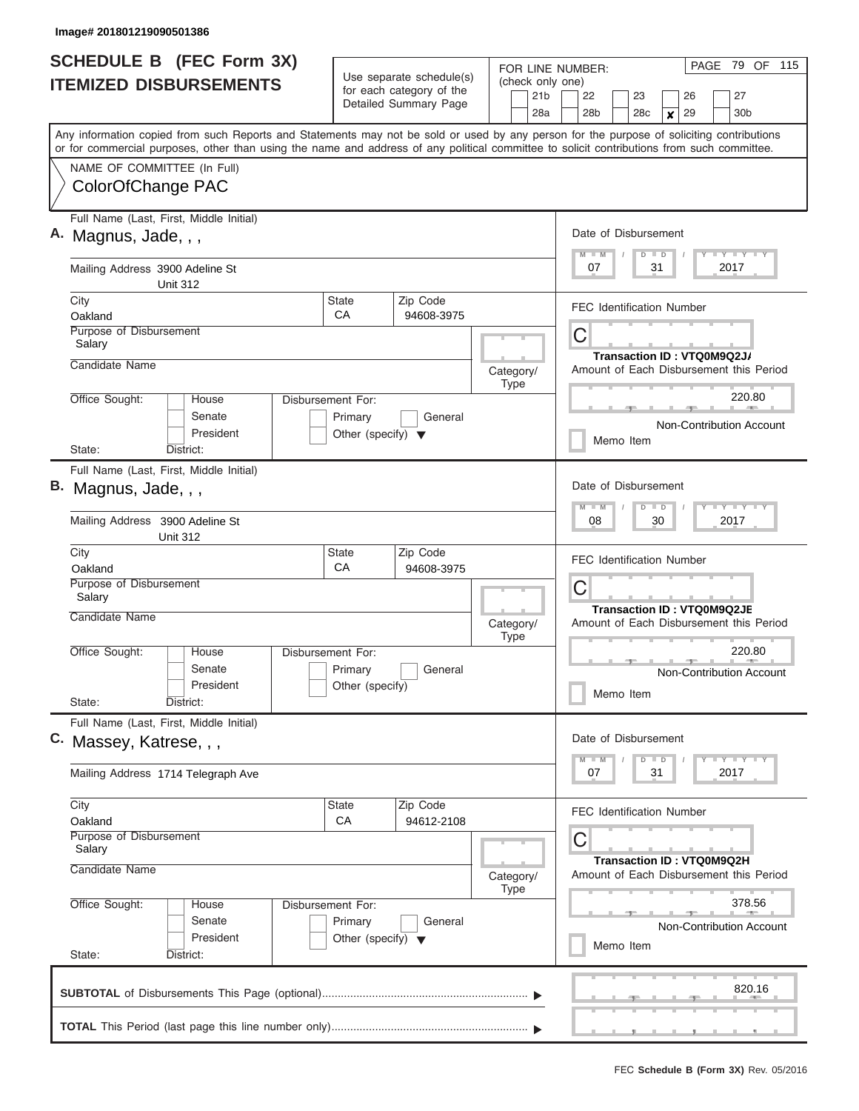|    | <b>SCHEDULE B (FEC Form 3X)</b>                                                                                                                                                                                                                                                         |                                                                             | Use separate schedule(s)                          | FOR LINE NUMBER:                           | 79 OF 115<br>PAGE                                                                                                                   |  |  |  |  |  |  |  |  |  |
|----|-----------------------------------------------------------------------------------------------------------------------------------------------------------------------------------------------------------------------------------------------------------------------------------------|-----------------------------------------------------------------------------|---------------------------------------------------|--------------------------------------------|-------------------------------------------------------------------------------------------------------------------------------------|--|--|--|--|--|--|--|--|--|
|    | <b>ITEMIZED DISBURSEMENTS</b>                                                                                                                                                                                                                                                           |                                                                             | for each category of the<br>Detailed Summary Page | (check only one)<br>21 <sub>b</sub><br>28a | 22<br>23<br>27<br>26<br>28 <sub>b</sub><br>28 <sub>c</sub><br>29<br>30 <sub>b</sub><br>x                                            |  |  |  |  |  |  |  |  |  |
|    | Any information copied from such Reports and Statements may not be sold or used by any person for the purpose of soliciting contributions<br>or for commercial purposes, other than using the name and address of any political committee to solicit contributions from such committee. |                                                                             |                                                   |                                            |                                                                                                                                     |  |  |  |  |  |  |  |  |  |
|    | NAME OF COMMITTEE (In Full)<br>ColorOfChange PAC                                                                                                                                                                                                                                        |                                                                             |                                                   |                                            |                                                                                                                                     |  |  |  |  |  |  |  |  |  |
| А. | Full Name (Last, First, Middle Initial)<br>Magnus, Jade, , ,                                                                                                                                                                                                                            |                                                                             |                                                   |                                            | Date of Disbursement<br>$T$ $T$ $T$ $T$ $T$ $T$ $T$ $T$ $T$ $T$<br>$M$ $M$<br>$D$ $D$<br>07<br>31<br>2017                           |  |  |  |  |  |  |  |  |  |
|    | Mailing Address 3900 Adeline St<br><b>Unit 312</b>                                                                                                                                                                                                                                      |                                                                             |                                                   |                                            |                                                                                                                                     |  |  |  |  |  |  |  |  |  |
|    | City<br>Oakland                                                                                                                                                                                                                                                                         | State<br>СA                                                                 | Zip Code<br>94608-3975                            |                                            | <b>FEC Identification Number</b>                                                                                                    |  |  |  |  |  |  |  |  |  |
|    | Purpose of Disbursement<br>Salary<br>Candidate Name                                                                                                                                                                                                                                     |                                                                             |                                                   | Category/                                  | С<br>Transaction ID: VTQ0M9Q2J/<br>Amount of Each Disbursement this Period                                                          |  |  |  |  |  |  |  |  |  |
|    | Office Sought:<br>House<br>Senate<br>President<br>State:<br>District:                                                                                                                                                                                                                   | <b>Disbursement For:</b><br>Primary<br>Other (specify) $\blacktriangledown$ | General                                           | <b>Type</b>                                | 220.80<br>Non-Contribution Account<br>Memo Item                                                                                     |  |  |  |  |  |  |  |  |  |
|    | Full Name (Last, First, Middle Initial)<br>B. Magnus, Jade, , ,                                                                                                                                                                                                                         |                                                                             |                                                   |                                            | Date of Disbursement<br><b>TEY TEY TEY</b><br>$M - M$<br>$D$ $D$                                                                    |  |  |  |  |  |  |  |  |  |
|    | Mailing Address 3900 Adeline St<br><b>Unit 312</b>                                                                                                                                                                                                                                      |                                                                             |                                                   |                                            | 08<br>30<br>2017                                                                                                                    |  |  |  |  |  |  |  |  |  |
|    | City<br>Oakland<br>Purpose of Disbursement<br>Salary                                                                                                                                                                                                                                    | State<br>CA                                                                 | Zip Code<br>94608-3975                            |                                            | <b>FEC Identification Number</b><br>С                                                                                               |  |  |  |  |  |  |  |  |  |
|    | <b>Candidate Name</b>                                                                                                                                                                                                                                                                   |                                                                             |                                                   | Category/<br><b>Type</b>                   | Transaction ID: VTQ0M9Q2JE<br>Amount of Each Disbursement this Period                                                               |  |  |  |  |  |  |  |  |  |
|    | Office Sought:<br>Disbursement For:<br>House<br>Senate<br>President<br>State:<br>District:                                                                                                                                                                                              | Primary<br>Other (specify)                                                  | General                                           |                                            | 220.80<br>Non-Contribution Account<br>Memo Item                                                                                     |  |  |  |  |  |  |  |  |  |
|    | Full Name (Last, First, Middle Initial)<br>C. Massey, Katrese, , ,                                                                                                                                                                                                                      |                                                                             |                                                   |                                            | Date of Disbursement<br>$\mathbf{I}$ $\mathbf{Y}$ $\mathbf{I}$ $\mathbf{Y}$ $\mathbf{I}$ $\mathbf{Y}$<br>$M - M$<br>$D \parallel D$ |  |  |  |  |  |  |  |  |  |
|    | Mailing Address 1714 Telegraph Ave                                                                                                                                                                                                                                                      |                                                                             |                                                   |                                            | 07<br>31<br>2017                                                                                                                    |  |  |  |  |  |  |  |  |  |
|    | City<br>Oakland                                                                                                                                                                                                                                                                         | State<br>CA                                                                 | Zip Code<br>94612-2108                            |                                            | FEC Identification Number                                                                                                           |  |  |  |  |  |  |  |  |  |
|    | Purpose of Disbursement<br>Salary<br>Candidate Name                                                                                                                                                                                                                                     |                                                                             |                                                   | Category/<br>Type                          | С<br><b>Transaction ID: VTQ0M9Q2H</b><br>Amount of Each Disbursement this Period                                                    |  |  |  |  |  |  |  |  |  |
|    | Office Sought:<br>Disbursement For:<br>House<br>Senate<br>Primary<br>General<br>President<br>Other (specify) $\blacktriangledown$<br>State:<br>District:                                                                                                                                |                                                                             |                                                   |                                            | 378.56<br><b>Non-Contribution Account</b><br>Memo Item                                                                              |  |  |  |  |  |  |  |  |  |
|    |                                                                                                                                                                                                                                                                                         |                                                                             |                                                   |                                            | 820.16                                                                                                                              |  |  |  |  |  |  |  |  |  |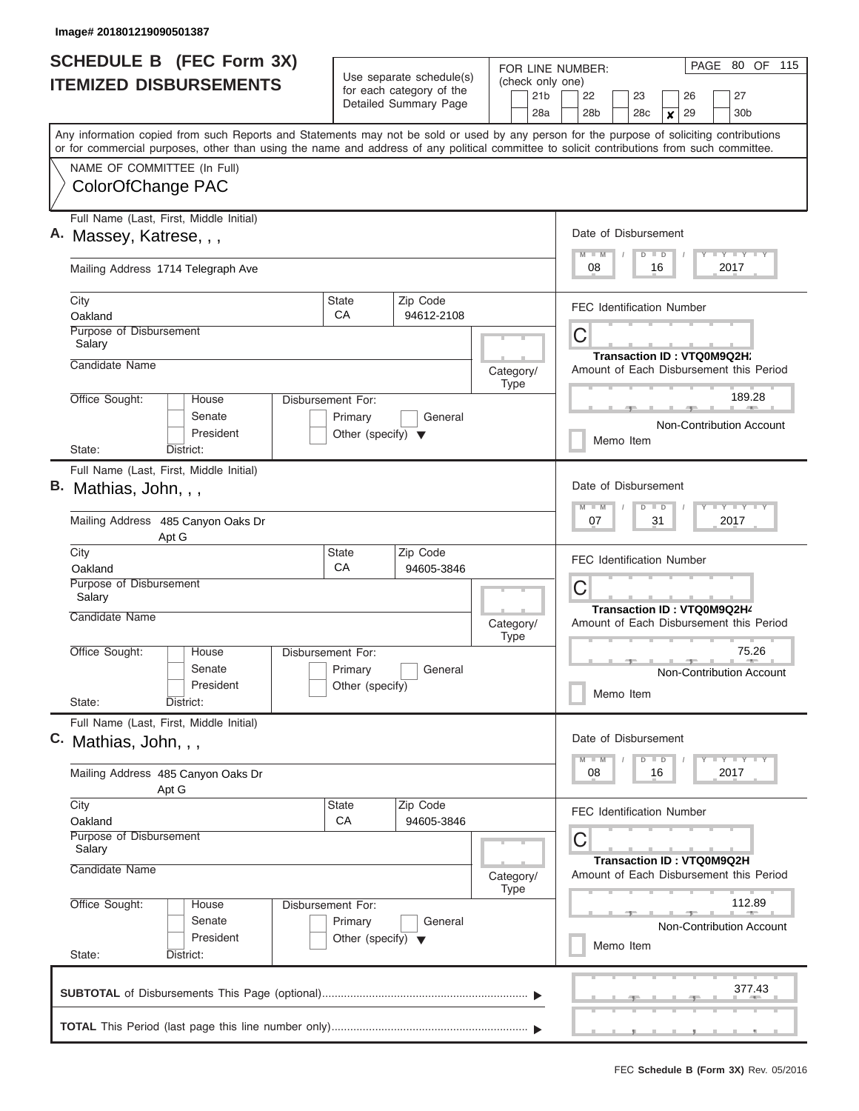| <b>SCHEDULE B</b> (FEC Form 3X)                                                                                                                                                                                                                                                         |                                                                      |                                                      | FOR LINE NUMBER:         | PAGE 80 OF 115                                                                            |  |  |  |  |  |  |  |  |  |  |
|-----------------------------------------------------------------------------------------------------------------------------------------------------------------------------------------------------------------------------------------------------------------------------------------|----------------------------------------------------------------------|------------------------------------------------------|--------------------------|-------------------------------------------------------------------------------------------|--|--|--|--|--|--|--|--|--|--|
| <b>ITEMIZED DISBURSEMENTS</b>                                                                                                                                                                                                                                                           |                                                                      | Use separate schedule(s)<br>for each category of the | (check only one)         |                                                                                           |  |  |  |  |  |  |  |  |  |  |
|                                                                                                                                                                                                                                                                                         |                                                                      | Detailed Summary Page                                | 21 <sub>b</sub><br>28a   | 22<br>27<br>23<br>26<br>28 <sub>b</sub><br>29<br>30 <sub>b</sub><br>28c<br>$\pmb{\times}$ |  |  |  |  |  |  |  |  |  |  |
| Any information copied from such Reports and Statements may not be sold or used by any person for the purpose of soliciting contributions<br>or for commercial purposes, other than using the name and address of any political committee to solicit contributions from such committee. |                                                                      |                                                      |                          |                                                                                           |  |  |  |  |  |  |  |  |  |  |
| NAME OF COMMITTEE (In Full)                                                                                                                                                                                                                                                             |                                                                      |                                                      |                          |                                                                                           |  |  |  |  |  |  |  |  |  |  |
| ColorOfChange PAC                                                                                                                                                                                                                                                                       |                                                                      |                                                      |                          |                                                                                           |  |  |  |  |  |  |  |  |  |  |
| Full Name (Last, First, Middle Initial)<br>A. Massey, Katrese, , ,                                                                                                                                                                                                                      |                                                                      |                                                      |                          | Date of Disbursement                                                                      |  |  |  |  |  |  |  |  |  |  |
| Mailing Address 1714 Telegraph Ave                                                                                                                                                                                                                                                      |                                                                      |                                                      |                          | Y I Y I Y I Y<br>$M$ $M$<br>$D$ $D$<br>2017<br>08<br>16                                   |  |  |  |  |  |  |  |  |  |  |
| City<br>Oakland                                                                                                                                                                                                                                                                         | State<br>CA                                                          | Zip Code<br>94612-2108                               |                          | <b>FEC Identification Number</b>                                                          |  |  |  |  |  |  |  |  |  |  |
| Purpose of Disbursement<br>Salary                                                                                                                                                                                                                                                       |                                                                      |                                                      |                          | C                                                                                         |  |  |  |  |  |  |  |  |  |  |
| Candidate Name                                                                                                                                                                                                                                                                          |                                                                      |                                                      | Category/<br><b>Type</b> | Transaction ID: VTQ0M9Q2H;<br>Amount of Each Disbursement this Period                     |  |  |  |  |  |  |  |  |  |  |
| Office Sought:<br>House<br>Senate<br>President                                                                                                                                                                                                                                          | Disbursement For:<br>Primary<br>Other (specify) $\blacktriangledown$ | General                                              |                          | 189.28<br><b>Burnett Common</b><br>Non-Contribution Account                               |  |  |  |  |  |  |  |  |  |  |
| State:<br>District:                                                                                                                                                                                                                                                                     |                                                                      |                                                      |                          | Memo Item                                                                                 |  |  |  |  |  |  |  |  |  |  |
| Full Name (Last, First, Middle Initial)<br>B. Mathias, John, , ,<br>Mailing Address 485 Canyon Oaks Dr                                                                                                                                                                                  |                                                                      |                                                      |                          | Date of Disbursement<br>Y FY FY FY<br>$M - M$<br>$D$ $D$<br>07<br>31<br>2017              |  |  |  |  |  |  |  |  |  |  |
| Apt G<br>City<br>Oakland                                                                                                                                                                                                                                                                | State<br>CA                                                          | Zip Code<br>94605-3846                               |                          | <b>FEC Identification Number</b>                                                          |  |  |  |  |  |  |  |  |  |  |
| Purpose of Disbursement<br>Salary                                                                                                                                                                                                                                                       |                                                                      |                                                      |                          | C<br>Transaction ID: VTQ0M9Q2H4<br>Amount of Each Disbursement this Period                |  |  |  |  |  |  |  |  |  |  |
| Candidate Name                                                                                                                                                                                                                                                                          |                                                                      |                                                      | Category/<br><b>Type</b> |                                                                                           |  |  |  |  |  |  |  |  |  |  |
| Office Sought:<br>House<br>Senate<br>President                                                                                                                                                                                                                                          | Disbursement For:<br>Primary<br>Other (specify)                      | General                                              |                          | 75.26<br><b>CONTRACTOR</b><br>Non-Contribution Account<br>Memo Item                       |  |  |  |  |  |  |  |  |  |  |
| State:<br>District:<br>Full Name (Last, First, Middle Initial)                                                                                                                                                                                                                          |                                                                      |                                                      |                          | Date of Disbursement                                                                      |  |  |  |  |  |  |  |  |  |  |
| C. Mathias, John, , ,                                                                                                                                                                                                                                                                   |                                                                      |                                                      |                          | Y TY TY TY<br>$M - M$<br>$D$ $D$                                                          |  |  |  |  |  |  |  |  |  |  |
| Mailing Address 485 Canyon Oaks Dr<br>Apt G                                                                                                                                                                                                                                             |                                                                      |                                                      |                          | 08<br>2017<br>16                                                                          |  |  |  |  |  |  |  |  |  |  |
| City<br>Oakland                                                                                                                                                                                                                                                                         | State<br>CA                                                          | Zip Code<br>94605-3846                               |                          | <b>FEC Identification Number</b>                                                          |  |  |  |  |  |  |  |  |  |  |
| Purpose of Disbursement<br>Salary<br>Candidate Name                                                                                                                                                                                                                                     |                                                                      |                                                      |                          | C<br><b>Transaction ID: VTQ0M9Q2H</b>                                                     |  |  |  |  |  |  |  |  |  |  |
|                                                                                                                                                                                                                                                                                         |                                                                      |                                                      | Category/<br><b>Type</b> | Amount of Each Disbursement this Period                                                   |  |  |  |  |  |  |  |  |  |  |
| Office Sought:<br>House<br>Senate<br>President                                                                                                                                                                                                                                          | Disbursement For:<br>Primary<br>Other (specify) $\blacktriangledown$ | General                                              |                          | 112.89<br>Non-Contribution Account<br>Memo Item                                           |  |  |  |  |  |  |  |  |  |  |
| State:<br>District:                                                                                                                                                                                                                                                                     |                                                                      |                                                      |                          |                                                                                           |  |  |  |  |  |  |  |  |  |  |
|                                                                                                                                                                                                                                                                                         |                                                                      |                                                      |                          | 377.43                                                                                    |  |  |  |  |  |  |  |  |  |  |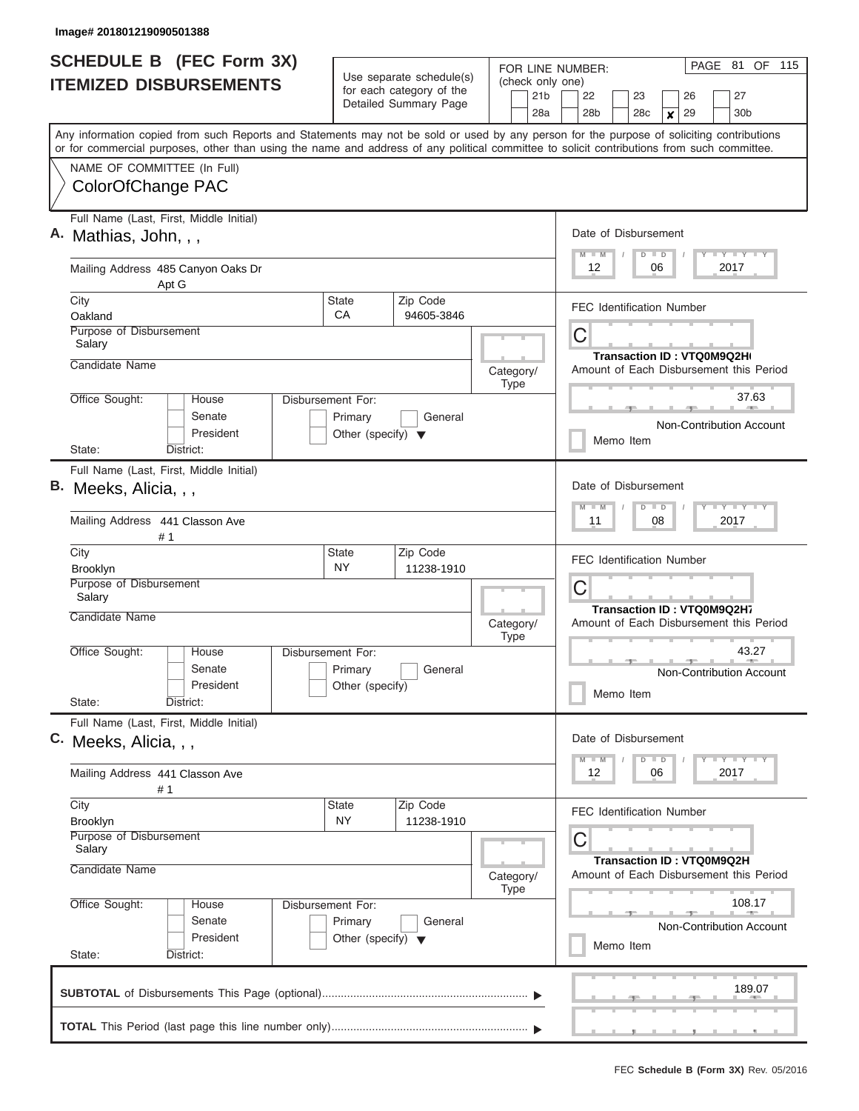| <b>SCHEDULE B</b> (FEC Form 3X)                                                                                                                                           |                                      |                                                      | FOR LINE NUMBER:         | PAGE 81 OF 115                                                                                      |  |  |  |  |  |  |  |  |  |
|---------------------------------------------------------------------------------------------------------------------------------------------------------------------------|--------------------------------------|------------------------------------------------------|--------------------------|-----------------------------------------------------------------------------------------------------|--|--|--|--|--|--|--|--|--|
| <b>ITEMIZED DISBURSEMENTS</b>                                                                                                                                             |                                      | Use separate schedule(s)<br>for each category of the | (check only one)<br>21b  | 22<br>23<br>27<br>26                                                                                |  |  |  |  |  |  |  |  |  |
|                                                                                                                                                                           |                                      | Detailed Summary Page                                | 28a                      | 28 <sub>b</sub><br>28 <sub>c</sub><br>29<br>30 <sub>b</sub><br>$\boldsymbol{x}$                     |  |  |  |  |  |  |  |  |  |
| Any information copied from such Reports and Statements may not be sold or used by any person for the purpose of soliciting contributions                                 |                                      |                                                      |                          |                                                                                                     |  |  |  |  |  |  |  |  |  |
| or for commercial purposes, other than using the name and address of any political committee to solicit contributions from such committee.<br>NAME OF COMMITTEE (In Full) |                                      |                                                      |                          |                                                                                                     |  |  |  |  |  |  |  |  |  |
| ColorOfChange PAC                                                                                                                                                         |                                      |                                                      |                          |                                                                                                     |  |  |  |  |  |  |  |  |  |
| Full Name (Last, First, Middle Initial)                                                                                                                                   |                                      |                                                      |                          |                                                                                                     |  |  |  |  |  |  |  |  |  |
| A. Mathias, John, , ,                                                                                                                                                     |                                      |                                                      |                          | Date of Disbursement<br>Y I Y I Y I Y<br>$M$ $M$<br>$D$ $D$<br>12<br>06<br>2017                     |  |  |  |  |  |  |  |  |  |
| Mailing Address 485 Canyon Oaks Dr<br>Apt G                                                                                                                               |                                      |                                                      |                          |                                                                                                     |  |  |  |  |  |  |  |  |  |
| City<br>Oakland                                                                                                                                                           | <b>State</b><br>СA                   | Zip Code<br>94605-3846                               |                          | <b>FEC Identification Number</b>                                                                    |  |  |  |  |  |  |  |  |  |
| Purpose of Disbursement<br>Salary                                                                                                                                         |                                      |                                                      |                          | С                                                                                                   |  |  |  |  |  |  |  |  |  |
| Candidate Name                                                                                                                                                            |                                      |                                                      |                          | Transaction ID: VTQ0M9Q2H(                                                                          |  |  |  |  |  |  |  |  |  |
|                                                                                                                                                                           |                                      |                                                      | Category/<br>Type        | Amount of Each Disbursement this Period                                                             |  |  |  |  |  |  |  |  |  |
| Office Sought:<br>House<br>Senate                                                                                                                                         | Disbursement For:<br>Primary         | General                                              |                          | 37.63                                                                                               |  |  |  |  |  |  |  |  |  |
| President                                                                                                                                                                 | Other (specify) $\blacktriangledown$ |                                                      |                          | Non-Contribution Account<br>Memo Item                                                               |  |  |  |  |  |  |  |  |  |
| State:<br>District:<br>Full Name (Last, First, Middle Initial)                                                                                                            |                                      |                                                      |                          |                                                                                                     |  |  |  |  |  |  |  |  |  |
| В.<br>Meeks, Alicia, , ,                                                                                                                                                  |                                      |                                                      |                          | Date of Disbursement                                                                                |  |  |  |  |  |  |  |  |  |
|                                                                                                                                                                           |                                      |                                                      |                          | $T$ $Y$ $T$ $Y$ $T$<br>$M - M$<br>$D$ $D$                                                           |  |  |  |  |  |  |  |  |  |
| Mailing Address 441 Classon Ave<br># 1                                                                                                                                    |                                      |                                                      |                          | 11<br>08<br>2017<br><b>FEC Identification Number</b>                                                |  |  |  |  |  |  |  |  |  |
| City<br>Brooklyn                                                                                                                                                          | <b>State</b><br><b>NY</b>            | Zip Code<br>11238-1910                               |                          |                                                                                                     |  |  |  |  |  |  |  |  |  |
| Purpose of Disbursement<br>Salary                                                                                                                                         |                                      |                                                      |                          | С                                                                                                   |  |  |  |  |  |  |  |  |  |
| Candidate Name                                                                                                                                                            |                                      |                                                      | Category/<br><b>Type</b> | Transaction ID: VTQ0M9Q2H7<br>Amount of Each Disbursement this Period                               |  |  |  |  |  |  |  |  |  |
| Office Sought:<br>House                                                                                                                                                   | Disbursement For:                    |                                                      |                          | 43.27                                                                                               |  |  |  |  |  |  |  |  |  |
| Senate<br>President                                                                                                                                                       | Primary<br>Other (specify)           | General                                              |                          | Non-Contribution Account                                                                            |  |  |  |  |  |  |  |  |  |
| State:<br>District:                                                                                                                                                       |                                      |                                                      |                          | Memo Item                                                                                           |  |  |  |  |  |  |  |  |  |
| Full Name (Last, First, Middle Initial)<br>C. Meeks, Alicia, , ,                                                                                                          |                                      |                                                      |                          | Date of Disbursement                                                                                |  |  |  |  |  |  |  |  |  |
|                                                                                                                                                                           |                                      |                                                      |                          | $\mathbf{I}$ $\mathbf{Y}$ $\mathbf{I}$ $\mathbf{Y}$ $\mathbf{I}$ $\mathbf{Y}$<br>$M$ $M$<br>$D$ $D$ |  |  |  |  |  |  |  |  |  |
| Mailing Address 441 Classon Ave<br># 1                                                                                                                                    |                                      |                                                      |                          | 12<br>06<br>2017                                                                                    |  |  |  |  |  |  |  |  |  |
| City<br>Brooklyn                                                                                                                                                          | <b>State</b><br><b>NY</b>            | Zip Code<br>11238-1910                               |                          | FEC Identification Number                                                                           |  |  |  |  |  |  |  |  |  |
| Purpose of Disbursement<br>Salary                                                                                                                                         |                                      |                                                      |                          | С                                                                                                   |  |  |  |  |  |  |  |  |  |
| Candidate Name                                                                                                                                                            |                                      |                                                      | Category/<br>Type        | Transaction ID: VTQ0M9Q2H<br>Amount of Each Disbursement this Period                                |  |  |  |  |  |  |  |  |  |
| Office Sought:<br>Disbursement For:<br>House                                                                                                                              |                                      | 108.17                                               |                          |                                                                                                     |  |  |  |  |  |  |  |  |  |
| Senate<br>President                                                                                                                                                       |                                      | Non-Contribution Account                             |                          |                                                                                                     |  |  |  |  |  |  |  |  |  |
| State:<br>District:                                                                                                                                                       |                                      | Memo Item                                            |                          |                                                                                                     |  |  |  |  |  |  |  |  |  |
|                                                                                                                                                                           |                                      |                                                      |                          |                                                                                                     |  |  |  |  |  |  |  |  |  |
|                                                                                                                                                                           |                                      |                                                      |                          | 189.07                                                                                              |  |  |  |  |  |  |  |  |  |
|                                                                                                                                                                           |                                      |                                                      |                          |                                                                                                     |  |  |  |  |  |  |  |  |  |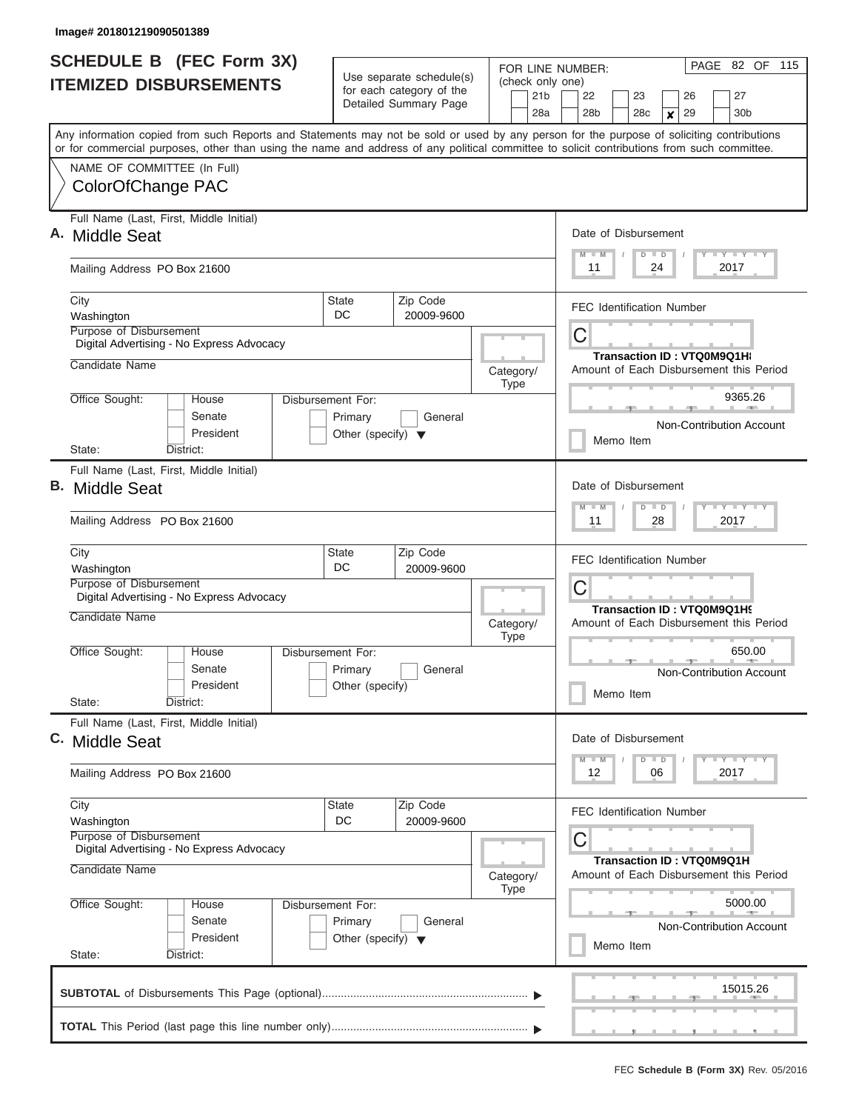|    | <b>SCHEDULE B</b> (FEC Form 3X)                                                                                                                                           | Use separate schedule(s)                      |                                                  | FOR LINE NUMBER:               | PAGE 82 OF 115                                                                |  |  |  |  |  |  |  |  |  |
|----|---------------------------------------------------------------------------------------------------------------------------------------------------------------------------|-----------------------------------------------|--------------------------------------------------|--------------------------------|-------------------------------------------------------------------------------|--|--|--|--|--|--|--|--|--|
|    | <b>ITEMIZED DISBURSEMENTS</b>                                                                                                                                             | for each category of the                      |                                                  | (check only one)<br>21b        | 22<br>23<br>26<br>27                                                          |  |  |  |  |  |  |  |  |  |
|    |                                                                                                                                                                           | Detailed Summary Page                         |                                                  | 28a                            | 28 <sub>b</sub><br>29<br>30 <sub>b</sub><br>28 <sub>c</sub><br>×              |  |  |  |  |  |  |  |  |  |
|    | Any information copied from such Reports and Statements may not be sold or used by any person for the purpose of soliciting contributions                                 |                                               |                                                  |                                |                                                                               |  |  |  |  |  |  |  |  |  |
|    | or for commercial purposes, other than using the name and address of any political committee to solicit contributions from such committee.<br>NAME OF COMMITTEE (In Full) |                                               |                                                  |                                |                                                                               |  |  |  |  |  |  |  |  |  |
|    | ColorOfChange PAC                                                                                                                                                         |                                               |                                                  |                                |                                                                               |  |  |  |  |  |  |  |  |  |
|    | Full Name (Last, First, Middle Initial)<br>A. Middle Seat                                                                                                                 |                                               |                                                  |                                | Date of Disbursement                                                          |  |  |  |  |  |  |  |  |  |
|    | Mailing Address PO Box 21600                                                                                                                                              |                                               |                                                  |                                | Y LY LY LY<br>$M$ $M$<br>$D$ $D$<br>11<br>24<br>2017                          |  |  |  |  |  |  |  |  |  |
|    | City<br>Washington<br>Purpose of Disbursement                                                                                                                             | Zip Code<br><b>State</b><br>DC.<br>20009-9600 |                                                  |                                | <b>FEC Identification Number</b>                                              |  |  |  |  |  |  |  |  |  |
|    | Digital Advertising - No Express Advocacy                                                                                                                                 |                                               |                                                  |                                | С                                                                             |  |  |  |  |  |  |  |  |  |
|    | Candidate Name                                                                                                                                                            |                                               |                                                  | Category/<br>Type              | <b>Transaction ID: VTQ0M9Q1Ht</b><br>Amount of Each Disbursement this Period  |  |  |  |  |  |  |  |  |  |
|    | Office Sought:<br>House<br>Disbursement For:<br>Senate                                                                                                                    | Primary<br>General                            |                                                  |                                | 9365.26<br><b>Non-Contribution Account</b>                                    |  |  |  |  |  |  |  |  |  |
|    | President<br>District:<br>State:                                                                                                                                          | Other (specify) $\blacktriangledown$          |                                                  |                                | Memo Item                                                                     |  |  |  |  |  |  |  |  |  |
| В. | Full Name (Last, First, Middle Initial)<br><b>Middle Seat</b>                                                                                                             |                                               |                                                  |                                | Date of Disbursement                                                          |  |  |  |  |  |  |  |  |  |
|    | Mailing Address PO Box 21600                                                                                                                                              |                                               |                                                  |                                | $T$ $T$ $T$ $T$ $T$ $T$ $T$ $T$ $T$<br>$M - M$<br>$D$ $D$<br>11<br>28<br>2017 |  |  |  |  |  |  |  |  |  |
|    | City<br>Washington                                                                                                                                                        | Zip Code<br><b>State</b><br>DC.<br>20009-9600 |                                                  |                                | <b>FEC Identification Number</b>                                              |  |  |  |  |  |  |  |  |  |
|    | Purpose of Disbursement<br>Digital Advertising - No Express Advocacy                                                                                                      |                                               |                                                  |                                | С<br>Transaction ID: VTQ0M9Q1H9                                               |  |  |  |  |  |  |  |  |  |
|    | Candidate Name                                                                                                                                                            |                                               |                                                  | Category/<br><b>Type</b>       | Amount of Each Disbursement this Period                                       |  |  |  |  |  |  |  |  |  |
|    | Office Sought:<br>House<br>Disbursement For:<br>Senate<br>President                                                                                                       | Primary<br>General<br>Other (specify)         |                                                  |                                | 650.00<br><b>Non-Contribution Account</b><br>Memo Item                        |  |  |  |  |  |  |  |  |  |
|    | State:<br>District:<br>Full Name (Last, First, Middle Initial)                                                                                                            |                                               |                                                  |                                |                                                                               |  |  |  |  |  |  |  |  |  |
|    | C. Middle Seat                                                                                                                                                            |                                               |                                                  |                                | Date of Disbursement<br>$M - M$<br>$D$ $D$                                    |  |  |  |  |  |  |  |  |  |
|    | Mailing Address PO Box 21600                                                                                                                                              |                                               |                                                  |                                | 12<br>06<br>2017                                                              |  |  |  |  |  |  |  |  |  |
|    | City<br>Washington                                                                                                                                                        | <b>State</b><br>Zip Code<br>DC<br>20009-9600  |                                                  |                                | FEC Identification Number                                                     |  |  |  |  |  |  |  |  |  |
|    | Purpose of Disbursement<br>Digital Advertising - No Express Advocacy                                                                                                      |                                               |                                                  | С<br>Transaction ID: VTQ0M9Q1H |                                                                               |  |  |  |  |  |  |  |  |  |
|    | Candidate Name                                                                                                                                                            | Category/<br>Type                             | Amount of Each Disbursement this Period          |                                |                                                                               |  |  |  |  |  |  |  |  |  |
|    | Office Sought:<br>House<br>Disbursement For:<br>Senate<br>President<br>State:<br>District:                                                                                |                                               | 5000.00<br>Non-Contribution Account<br>Memo Item |                                |                                                                               |  |  |  |  |  |  |  |  |  |
|    |                                                                                                                                                                           |                                               |                                                  |                                | 15015.26                                                                      |  |  |  |  |  |  |  |  |  |
|    |                                                                                                                                                                           |                                               |                                                  |                                |                                                                               |  |  |  |  |  |  |  |  |  |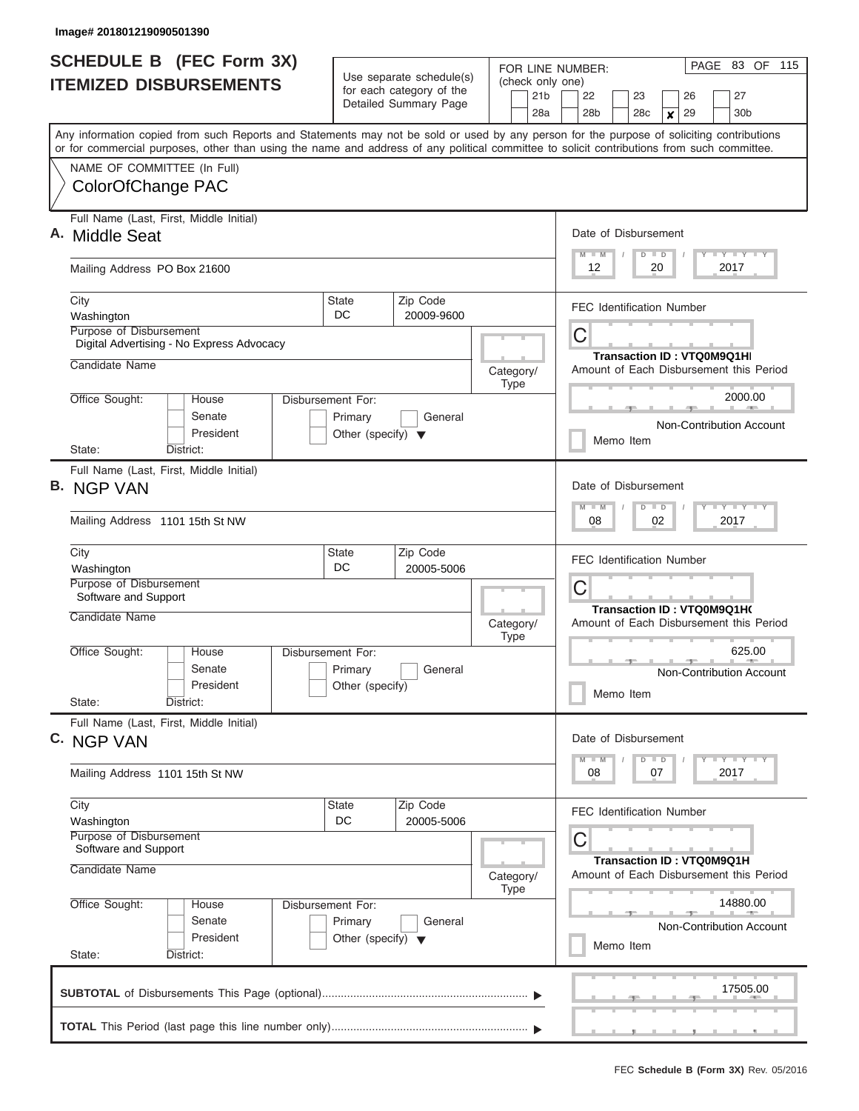| <b>SCHEDULE B</b> (FEC Form 3X)<br><b>ITEMIZED DISBURSEMENTS</b>                                                                                                                                                                                                                        | Use separate schedule(s)<br>for each category of the<br>Detailed Summary Page           | FOR LINE NUMBER:<br>(check only one)<br>21b<br>28a                                                            | PAGE 83 OF<br>115<br>22<br>23<br>26<br>27<br>28 <sub>b</sub><br>28 <sub>c</sub><br>29<br>30 <sub>b</sub><br>×                   |  |  |  |  |  |  |  |  |  |  |
|-----------------------------------------------------------------------------------------------------------------------------------------------------------------------------------------------------------------------------------------------------------------------------------------|-----------------------------------------------------------------------------------------|---------------------------------------------------------------------------------------------------------------|---------------------------------------------------------------------------------------------------------------------------------|--|--|--|--|--|--|--|--|--|--|
| Any information copied from such Reports and Statements may not be sold or used by any person for the purpose of soliciting contributions<br>or for commercial purposes, other than using the name and address of any political committee to solicit contributions from such committee. |                                                                                         |                                                                                                               |                                                                                                                                 |  |  |  |  |  |  |  |  |  |  |
| NAME OF COMMITTEE (In Full)<br>ColorOfChange PAC                                                                                                                                                                                                                                        |                                                                                         |                                                                                                               |                                                                                                                                 |  |  |  |  |  |  |  |  |  |  |
| Full Name (Last, First, Middle Initial)<br>A. Middle Seat                                                                                                                                                                                                                               |                                                                                         |                                                                                                               |                                                                                                                                 |  |  |  |  |  |  |  |  |  |  |
| Mailing Address PO Box 21600                                                                                                                                                                                                                                                            |                                                                                         |                                                                                                               | 12<br>20<br>2017                                                                                                                |  |  |  |  |  |  |  |  |  |  |
| City<br>Washington<br><b>Purpose of Disbursement</b>                                                                                                                                                                                                                                    | Zip Code<br><b>State</b><br>DC.<br>20009-9600                                           |                                                                                                               | <b>FEC Identification Number</b>                                                                                                |  |  |  |  |  |  |  |  |  |  |
| Digital Advertising - No Express Advocacy<br>Candidate Name                                                                                                                                                                                                                             |                                                                                         | Category/                                                                                                     | C<br>Transaction ID: VTQ0M9Q1HI<br>Amount of Each Disbursement this Period                                                      |  |  |  |  |  |  |  |  |  |  |
| Office Sought:<br>House<br>Senate<br>President<br>District:<br>State:                                                                                                                                                                                                                   | Disbursement For:<br>Primary<br>General<br>Other (specify) $\blacktriangledown$         | <b>Type</b>                                                                                                   | 2000.00<br>Non-Contribution Account<br>Memo Item                                                                                |  |  |  |  |  |  |  |  |  |  |
| Full Name (Last, First, Middle Initial)<br><b>B. NGP VAN</b><br>Mailing Address 1101 15th St NW                                                                                                                                                                                         |                                                                                         |                                                                                                               | Date of Disbursement<br>$T$ $T$ $T$ $T$ $T$ $T$ $T$ $T$ $T$<br>$M - M$<br>$\overline{D}$<br>$\blacksquare$<br>08<br>02<br>2017  |  |  |  |  |  |  |  |  |  |  |
| City<br>Washington<br>Purpose of Disbursement<br>Software and Support                                                                                                                                                                                                                   | Zip Code<br><b>State</b><br>DC<br>20005-5006                                            |                                                                                                               | <b>FEC Identification Number</b><br>С                                                                                           |  |  |  |  |  |  |  |  |  |  |
| Candidate Name<br>Office Sought:<br>House<br>Senate<br>President<br>State:<br>District:                                                                                                                                                                                                 | Disbursement For:<br>Primary<br>General<br>Other (specify)                              | Category/<br><b>Type</b>                                                                                      | Transaction ID: VTQ0M9Q1H(<br>Amount of Each Disbursement this Period<br>625.00<br><b>Non-Contribution Account</b><br>Memo Item |  |  |  |  |  |  |  |  |  |  |
| Full Name (Last, First, Middle Initial)<br>C. NGP VAN<br>Mailing Address 1101 15th St NW                                                                                                                                                                                                |                                                                                         |                                                                                                               | Date of Disbursement<br>$T$ $Y$ $Y$ $Y$ $T$<br>$M$ $M$<br>$D \parallel D$<br>08<br>07<br>2017                                   |  |  |  |  |  |  |  |  |  |  |
| City<br>Washington<br>Purpose of Disbursement<br>Software and Support<br>Candidate Name                                                                                                                                                                                                 | Category/                                                                               | <b>FEC Identification Number</b><br>С<br>Transaction ID: VTQ0M9Q1H<br>Amount of Each Disbursement this Period |                                                                                                                                 |  |  |  |  |  |  |  |  |  |  |
| Office Sought:<br>House<br>Senate<br>President<br>State:<br>District:                                                                                                                                                                                                                   | Type<br>Disbursement For:<br>Primary<br>General<br>Other (specify) $\blacktriangledown$ |                                                                                                               |                                                                                                                                 |  |  |  |  |  |  |  |  |  |  |
|                                                                                                                                                                                                                                                                                         |                                                                                         |                                                                                                               | 17505.00                                                                                                                        |  |  |  |  |  |  |  |  |  |  |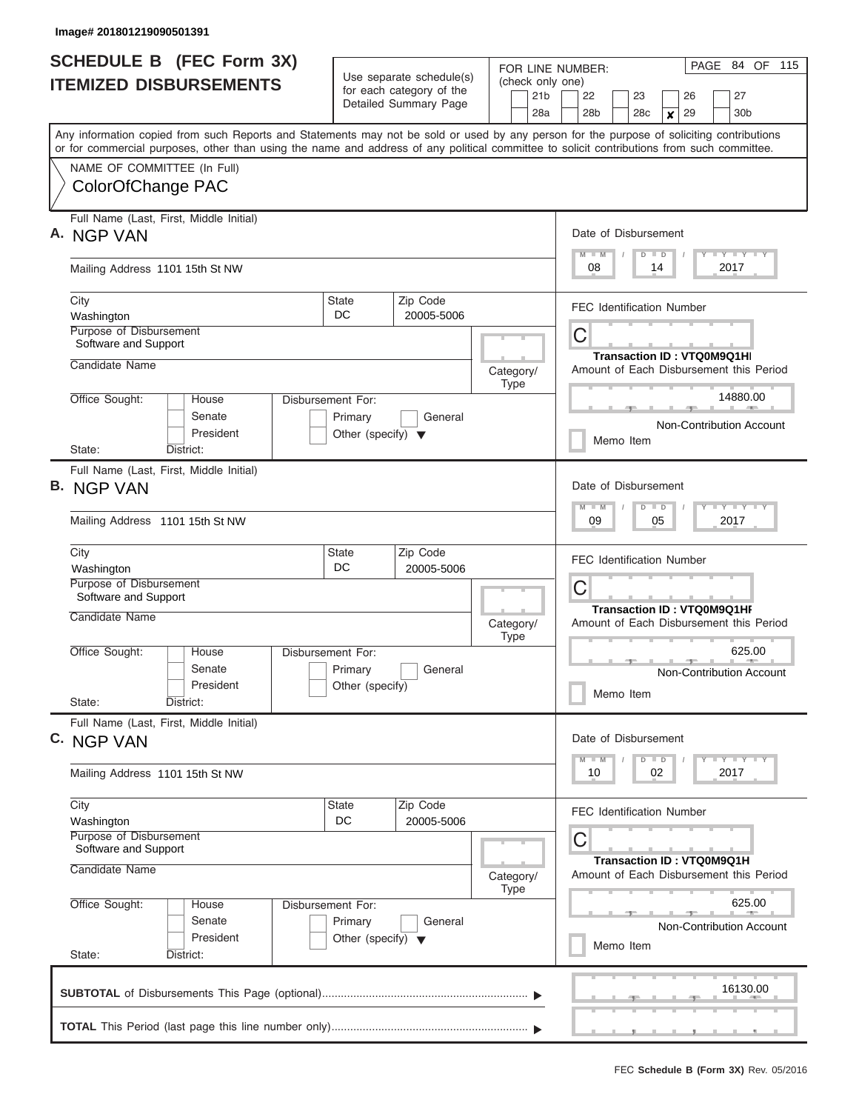| <b>SCHEDULE B (FEC Form 3X)</b> |                                                                                                                                                                                                                                                                                         |                                      |                                                      |                                                                                                                                                                                                                                                                                                        |                 |     | PAGE 84 OF 115<br>FOR LINE NUMBER:                                                        |                                                                      |  |           |         |                  |    |  |                                   |  |  |
|---------------------------------|-----------------------------------------------------------------------------------------------------------------------------------------------------------------------------------------------------------------------------------------------------------------------------------------|--------------------------------------|------------------------------------------------------|--------------------------------------------------------------------------------------------------------------------------------------------------------------------------------------------------------------------------------------------------------------------------------------------------------|-----------------|-----|-------------------------------------------------------------------------------------------|----------------------------------------------------------------------|--|-----------|---------|------------------|----|--|-----------------------------------|--|--|
|                                 | <b>ITEMIZED DISBURSEMENTS</b>                                                                                                                                                                                                                                                           |                                      | Use separate schedule(s)<br>for each category of the |                                                                                                                                                                                                                                                                                                        |                 |     | (check only one)                                                                          |                                                                      |  |           |         |                  |    |  |                                   |  |  |
|                                 |                                                                                                                                                                                                                                                                                         | Detailed Summary Page                |                                                      |                                                                                                                                                                                                                                                                                                        | 21 <sub>b</sub> |     | 22<br>23<br>26                                                                            |                                                                      |  |           |         |                  | 27 |  |                                   |  |  |
|                                 |                                                                                                                                                                                                                                                                                         |                                      |                                                      |                                                                                                                                                                                                                                                                                                        |                 | 28a |                                                                                           | 28b                                                                  |  | 28c       |         | $\boldsymbol{x}$ | 29 |  | 30 <sub>b</sub>                   |  |  |
|                                 | Any information copied from such Reports and Statements may not be sold or used by any person for the purpose of soliciting contributions<br>or for commercial purposes, other than using the name and address of any political committee to solicit contributions from such committee. |                                      |                                                      |                                                                                                                                                                                                                                                                                                        |                 |     |                                                                                           |                                                                      |  |           |         |                  |    |  |                                   |  |  |
|                                 | NAME OF COMMITTEE (In Full)                                                                                                                                                                                                                                                             |                                      |                                                      |                                                                                                                                                                                                                                                                                                        |                 |     |                                                                                           |                                                                      |  |           |         |                  |    |  |                                   |  |  |
|                                 | ColorOfChange PAC                                                                                                                                                                                                                                                                       |                                      |                                                      |                                                                                                                                                                                                                                                                                                        |                 |     |                                                                                           |                                                                      |  |           |         |                  |    |  |                                   |  |  |
|                                 | Full Name (Last, First, Middle Initial)                                                                                                                                                                                                                                                 |                                      |                                                      |                                                                                                                                                                                                                                                                                                        |                 |     |                                                                                           |                                                                      |  |           |         |                  |    |  |                                   |  |  |
|                                 | A. NGP VAN                                                                                                                                                                                                                                                                              |                                      |                                                      |                                                                                                                                                                                                                                                                                                        |                 |     |                                                                                           | Date of Disbursement                                                 |  |           |         |                  |    |  |                                   |  |  |
|                                 | Mailing Address 1101 15th St NW                                                                                                                                                                                                                                                         |                                      |                                                      | $\begin{array}{c c c c c} \hline \multicolumn{3}{c }{\mathsf{I}} & \multicolumn{3}{c}{\mathsf{Y}} & \multicolumn{3}{c}{\mathsf{I}} & \multicolumn{3}{c}{\mathsf{Y}} & \multicolumn{3}{c}{\mathsf{I}} & \multicolumn{3}{c}{\mathsf{Y}} \\ \hline \end{array}$<br>$M$ $M$<br>$D$ $D$<br>08<br>14<br>2017 |                 |     |                                                                                           |                                                                      |  |           |         |                  |    |  |                                   |  |  |
|                                 | City                                                                                                                                                                                                                                                                                    | State                                | Zip Code                                             |                                                                                                                                                                                                                                                                                                        |                 |     |                                                                                           | <b>FEC Identification Number</b>                                     |  |           |         |                  |    |  |                                   |  |  |
|                                 | Washington<br>Purpose of Disbursement                                                                                                                                                                                                                                                   | DC                                   | 20005-5006                                           |                                                                                                                                                                                                                                                                                                        |                 |     |                                                                                           |                                                                      |  |           |         |                  |    |  |                                   |  |  |
|                                 | Software and Support                                                                                                                                                                                                                                                                    |                                      |                                                      |                                                                                                                                                                                                                                                                                                        |                 |     |                                                                                           | C                                                                    |  |           |         |                  |    |  |                                   |  |  |
|                                 | Candidate Name                                                                                                                                                                                                                                                                          |                                      |                                                      | Category/                                                                                                                                                                                                                                                                                              |                 |     |                                                                                           | Amount of Each Disbursement this Period                              |  |           |         |                  |    |  | <b>Transaction ID: VTQ0M9Q1HI</b> |  |  |
|                                 |                                                                                                                                                                                                                                                                                         |                                      |                                                      |                                                                                                                                                                                                                                                                                                        | <b>Type</b>     |     |                                                                                           |                                                                      |  |           |         |                  |    |  |                                   |  |  |
|                                 | Office Sought:<br>House<br>Disbursement For:<br>Senate                                                                                                                                                                                                                                  | Primary                              | General                                              |                                                                                                                                                                                                                                                                                                        |                 |     |                                                                                           |                                                                      |  |           |         |                  |    |  | 14880.00                          |  |  |
|                                 | President                                                                                                                                                                                                                                                                               | Other (specify) $\blacktriangledown$ |                                                      |                                                                                                                                                                                                                                                                                                        |                 |     |                                                                                           |                                                                      |  |           |         |                  |    |  | Non-Contribution Account          |  |  |
|                                 | State:<br>District:                                                                                                                                                                                                                                                                     |                                      |                                                      |                                                                                                                                                                                                                                                                                                        |                 |     |                                                                                           |                                                                      |  | Memo Item |         |                  |    |  |                                   |  |  |
|                                 | Full Name (Last, First, Middle Initial)                                                                                                                                                                                                                                                 |                                      |                                                      |                                                                                                                                                                                                                                                                                                        |                 |     |                                                                                           |                                                                      |  |           |         |                  |    |  |                                   |  |  |
| В.                              | <b>NGP VAN</b>                                                                                                                                                                                                                                                                          |                                      |                                                      |                                                                                                                                                                                                                                                                                                        |                 |     | Date of Disbursement<br>$T - Y$ $T - Y$ $T - Y$<br>$M - M$<br>$D$ $D$<br>09<br>05<br>2017 |                                                                      |  |           |         |                  |    |  |                                   |  |  |
|                                 | Mailing Address 1101 15th St NW                                                                                                                                                                                                                                                         |                                      |                                                      |                                                                                                                                                                                                                                                                                                        |                 |     |                                                                                           |                                                                      |  |           |         |                  |    |  |                                   |  |  |
|                                 | City                                                                                                                                                                                                                                                                                    | State                                | Zip Code                                             |                                                                                                                                                                                                                                                                                                        |                 |     | <b>FEC Identification Number</b>                                                          |                                                                      |  |           |         |                  |    |  |                                   |  |  |
|                                 | Washington<br>Purpose of Disbursement                                                                                                                                                                                                                                                   | DC                                   | 20005-5006                                           |                                                                                                                                                                                                                                                                                                        |                 |     |                                                                                           |                                                                      |  |           |         |                  |    |  |                                   |  |  |
|                                 | Software and Support                                                                                                                                                                                                                                                                    |                                      |                                                      |                                                                                                                                                                                                                                                                                                        |                 |     |                                                                                           | C                                                                    |  |           |         |                  |    |  |                                   |  |  |
|                                 | Candidate Name                                                                                                                                                                                                                                                                          |                                      |                                                      | Category/                                                                                                                                                                                                                                                                                              | <b>Type</b>     |     |                                                                                           | Amount of Each Disbursement this Period                              |  |           |         |                  |    |  | Transaction ID: VTQ0M9Q1HI        |  |  |
|                                 | Office Sought:<br>House<br>Disbursement For:                                                                                                                                                                                                                                            |                                      |                                                      |                                                                                                                                                                                                                                                                                                        |                 |     |                                                                                           |                                                                      |  |           |         |                  |    |  | 625.00                            |  |  |
|                                 | Senate                                                                                                                                                                                                                                                                                  | Primary                              | General                                              |                                                                                                                                                                                                                                                                                                        |                 |     |                                                                                           |                                                                      |  |           |         |                  |    |  | Non-Contribution Account          |  |  |
|                                 | President<br>State:<br>District:                                                                                                                                                                                                                                                        | Other (specify)                      |                                                      |                                                                                                                                                                                                                                                                                                        |                 |     |                                                                                           |                                                                      |  | Memo Item |         |                  |    |  |                                   |  |  |
|                                 | Full Name (Last, First, Middle Initial)                                                                                                                                                                                                                                                 |                                      |                                                      |                                                                                                                                                                                                                                                                                                        |                 |     |                                                                                           |                                                                      |  |           |         |                  |    |  |                                   |  |  |
|                                 | C. NGP VAN                                                                                                                                                                                                                                                                              |                                      |                                                      |                                                                                                                                                                                                                                                                                                        |                 |     |                                                                                           | Date of Disbursement                                                 |  |           |         |                  |    |  |                                   |  |  |
|                                 |                                                                                                                                                                                                                                                                                         |                                      |                                                      |                                                                                                                                                                                                                                                                                                        |                 |     |                                                                                           | $M - M$                                                              |  |           | $D$ $D$ |                  |    |  | <b>LY LY LY</b>                   |  |  |
|                                 | Mailing Address 1101 15th St NW                                                                                                                                                                                                                                                         |                                      |                                                      |                                                                                                                                                                                                                                                                                                        |                 |     |                                                                                           | 10                                                                   |  |           | 02      |                  |    |  | 2017                              |  |  |
|                                 | City                                                                                                                                                                                                                                                                                    | State                                | Zip Code                                             |                                                                                                                                                                                                                                                                                                        |                 |     |                                                                                           | <b>FEC Identification Number</b>                                     |  |           |         |                  |    |  |                                   |  |  |
|                                 | Washington<br>Purpose of Disbursement                                                                                                                                                                                                                                                   | DC                                   | 20005-5006                                           |                                                                                                                                                                                                                                                                                                        |                 |     |                                                                                           |                                                                      |  |           |         |                  |    |  |                                   |  |  |
|                                 | Software and Support                                                                                                                                                                                                                                                                    |                                      |                                                      |                                                                                                                                                                                                                                                                                                        |                 |     |                                                                                           | C                                                                    |  |           |         |                  |    |  |                                   |  |  |
|                                 | Candidate Name<br>Category/                                                                                                                                                                                                                                                             |                                      |                                                      |                                                                                                                                                                                                                                                                                                        |                 |     |                                                                                           | Transaction ID: VTQ0M9Q1H<br>Amount of Each Disbursement this Period |  |           |         |                  |    |  |                                   |  |  |
|                                 | Type<br>Office Sought:<br>Disbursement For:<br>House<br>Senate<br>Primary<br>General                                                                                                                                                                                                    |                                      |                                                      |                                                                                                                                                                                                                                                                                                        |                 |     |                                                                                           |                                                                      |  |           |         |                  |    |  |                                   |  |  |
|                                 |                                                                                                                                                                                                                                                                                         |                                      |                                                      |                                                                                                                                                                                                                                                                                                        |                 |     | 625.00                                                                                    |                                                                      |  |           |         |                  |    |  |                                   |  |  |
|                                 | President<br>Other (specify) $\blacktriangledown$                                                                                                                                                                                                                                       |                                      |                                                      |                                                                                                                                                                                                                                                                                                        |                 |     | Non-Contribution Account                                                                  |                                                                      |  |           |         |                  |    |  |                                   |  |  |
|                                 | State:<br>District:                                                                                                                                                                                                                                                                     |                                      |                                                      |                                                                                                                                                                                                                                                                                                        |                 |     | Memo Item                                                                                 |                                                                      |  |           |         |                  |    |  |                                   |  |  |
|                                 |                                                                                                                                                                                                                                                                                         |                                      |                                                      |                                                                                                                                                                                                                                                                                                        |                 |     |                                                                                           |                                                                      |  |           |         |                  |    |  | 16130.00                          |  |  |
|                                 |                                                                                                                                                                                                                                                                                         |                                      |                                                      |                                                                                                                                                                                                                                                                                                        |                 |     |                                                                                           |                                                                      |  |           |         |                  |    |  |                                   |  |  |
|                                 |                                                                                                                                                                                                                                                                                         |                                      |                                                      |                                                                                                                                                                                                                                                                                                        |                 |     |                                                                                           |                                                                      |  |           |         |                  |    |  |                                   |  |  |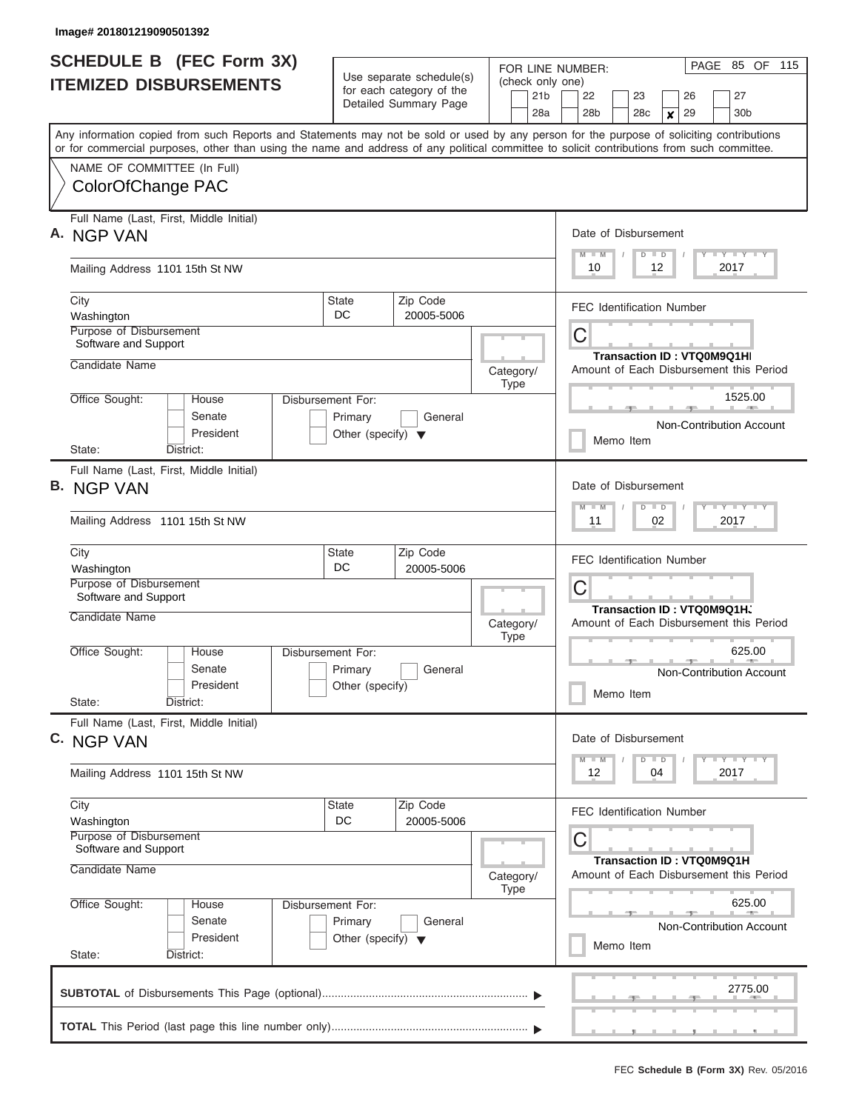| <b>SCHEDULE B</b> (FEC Form 3X) |                                                                                                                                                                           |                                                                      | Use separate schedule(s) |                          |  |                                        | PAGE 85 OF 115<br>FOR LINE NUMBER:                                              |  |                                  |                 |                        |  |                                         |  |  |
|---------------------------------|---------------------------------------------------------------------------------------------------------------------------------------------------------------------------|----------------------------------------------------------------------|--------------------------|--------------------------|--|----------------------------------------|---------------------------------------------------------------------------------|--|----------------------------------|-----------------|------------------------|--|-----------------------------------------|--|--|
|                                 | <b>ITEMIZED DISBURSEMENTS</b>                                                                                                                                             |                                                                      | for each category of the |                          |  | 21 <sub>b</sub>                        | (check only one)<br>27<br>26<br>22<br>23                                        |  |                                  |                 |                        |  |                                         |  |  |
|                                 |                                                                                                                                                                           |                                                                      | Detailed Summary Page    |                          |  | 28a                                    | 28 <sub>b</sub>                                                                 |  | 28c                              |                 | 29<br>$\boldsymbol{x}$ |  | 30 <sub>b</sub>                         |  |  |
|                                 | Any information copied from such Reports and Statements may not be sold or used by any person for the purpose of soliciting contributions                                 |                                                                      |                          |                          |  |                                        |                                                                                 |  |                                  |                 |                        |  |                                         |  |  |
|                                 | or for commercial purposes, other than using the name and address of any political committee to solicit contributions from such committee.<br>NAME OF COMMITTEE (In Full) |                                                                      |                          |                          |  |                                        |                                                                                 |  |                                  |                 |                        |  |                                         |  |  |
|                                 | ColorOfChange PAC                                                                                                                                                         |                                                                      |                          |                          |  |                                        |                                                                                 |  |                                  |                 |                        |  |                                         |  |  |
|                                 | Full Name (Last, First, Middle Initial)<br>A. NGP VAN                                                                                                                     |                                                                      |                          |                          |  |                                        | M                                                                               |  | Date of Disbursement<br>D        |                 |                        |  |                                         |  |  |
|                                 | Mailing Address 1101 15th St NW                                                                                                                                           |                                                                      |                          |                          |  |                                        | $T$ $Y$ $T$ $Y$ $T$ $Y$<br>$\blacksquare$<br>$\blacksquare$<br>10<br>2017<br>12 |  |                                  |                 |                        |  |                                         |  |  |
|                                 | City<br>Washington                                                                                                                                                        | <b>State</b><br>DC                                                   | Zip Code<br>20005-5006   |                          |  |                                        | <b>FEC Identification Number</b>                                                |  |                                  |                 |                        |  |                                         |  |  |
|                                 | Purpose of Disbursement<br>Software and Support<br>Candidate Name                                                                                                         |                                                                      |                          |                          |  | C<br><b>Transaction ID: VTQ0M9Q1HI</b> |                                                                                 |  |                                  |                 |                        |  |                                         |  |  |
|                                 |                                                                                                                                                                           |                                                                      |                          | Category/<br>Type        |  |                                        |                                                                                 |  |                                  |                 |                        |  | Amount of Each Disbursement this Period |  |  |
|                                 | Office Sought:<br>House<br>Senate<br>President                                                                                                                            | Disbursement For:<br>Primary<br>Other (specify) $\blacktriangledown$ | General                  |                          |  | Non-Contribution Account<br>Memo Item  |                                                                                 |  |                                  |                 | 1525.00                |  |                                         |  |  |
|                                 | District:<br>State:                                                                                                                                                       |                                                                      |                          |                          |  |                                        |                                                                                 |  |                                  |                 |                        |  |                                         |  |  |
|                                 | Full Name (Last, First, Middle Initial)<br><b>B. NGP VAN</b>                                                                                                              |                                                                      |                          |                          |  |                                        | W                                                                               |  | Date of Disbursement<br>D        | $\blacksquare$  |                        |  | $T = Y - T - Y - T - Y$                 |  |  |
|                                 | Mailing Address 1101 15th St NW                                                                                                                                           |                                                                      |                          |                          |  |                                        | 11                                                                              |  |                                  | 02              |                        |  | 2017                                    |  |  |
|                                 | City<br>Washington                                                                                                                                                        | <b>State</b><br>DC                                                   | Zip Code<br>20005-5006   |                          |  |                                        |                                                                                 |  | <b>FEC Identification Number</b> |                 |                        |  |                                         |  |  |
|                                 | Purpose of Disbursement<br>Software and Support                                                                                                                           |                                                                      |                          |                          |  |                                        | C<br>Transaction ID: VTQ0M9Q1H、                                                 |  |                                  |                 |                        |  |                                         |  |  |
|                                 | Candidate Name                                                                                                                                                            |                                                                      |                          | Category/<br><b>Type</b> |  |                                        |                                                                                 |  |                                  |                 |                        |  | Amount of Each Disbursement this Period |  |  |
|                                 | Office Sought:<br>Disbursement For:<br>House<br>Senate<br>President                                                                                                       | Primary<br>Other (specify)                                           | General                  |                          |  |                                        |                                                                                 |  | Memo Item                        |                 |                        |  | 625.00<br>Non-Contribution Account      |  |  |
|                                 | State:<br>District:                                                                                                                                                       |                                                                      |                          |                          |  |                                        |                                                                                 |  |                                  |                 |                        |  |                                         |  |  |
|                                 | Full Name (Last, First, Middle Initial)<br>C. NGP VAN                                                                                                                     |                                                                      |                          |                          |  |                                        | $M - M$                                                                         |  | Date of Disbursement             | $D \parallel D$ |                        |  | $T$ $Y$ $T$ $Y$ $T$ $Y$                 |  |  |
|                                 | Mailing Address 1101 15th St NW                                                                                                                                           |                                                                      |                          |                          |  |                                        | 12                                                                              |  |                                  | 04              |                        |  | 2017                                    |  |  |
|                                 | City<br>Washington                                                                                                                                                        | <b>State</b><br>DC                                                   | Zip Code<br>20005-5006   |                          |  |                                        |                                                                                 |  | <b>FEC Identification Number</b> |                 |                        |  |                                         |  |  |
|                                 | Purpose of Disbursement<br>Software and Support                                                                                                                           |                                                                      |                          |                          |  |                                        | C                                                                               |  |                                  |                 |                        |  |                                         |  |  |
|                                 | Candidate Name                                                                                                                                                            |                                                                      |                          | Category/<br>Type        |  |                                        | Transaction ID: VTQ0M9Q1H<br>Amount of Each Disbursement this Period            |  |                                  |                 |                        |  |                                         |  |  |
|                                 | Office Sought:<br>House<br>Senate<br>President<br>State:<br>District:                                                                                                     | Disbursement For:<br>Primary<br>Other (specify) $\blacktriangledown$ | General                  |                          |  |                                        |                                                                                 |  | Memo Item                        |                 |                        |  | 625.00<br>Non-Contribution Account      |  |  |
|                                 |                                                                                                                                                                           |                                                                      |                          |                          |  |                                        |                                                                                 |  |                                  |                 |                        |  | 2775.00                                 |  |  |
|                                 |                                                                                                                                                                           |                                                                      |                          |                          |  |                                        |                                                                                 |  |                                  |                 |                        |  |                                         |  |  |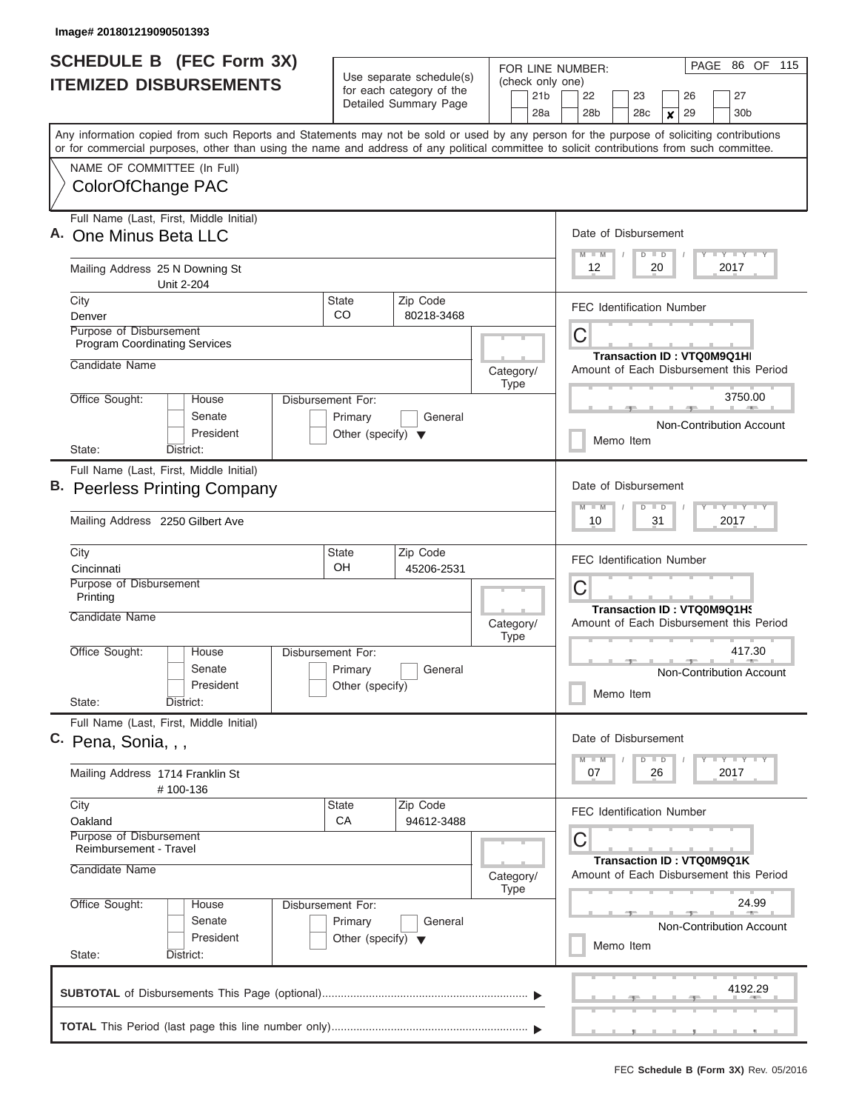|                                                                        | <b>SCHEDULE B (FEC Form 3X)</b><br><b>ITEMIZED DISBURSEMENTS</b>                                                                                                                                                                                                                        |                                                                                 | Use separate schedule(s)<br>for each category of the<br>Detailed Summary Page | FOR LINE NUMBER:<br>(check only one)<br>21 <sub>b</sub><br>28a | 22<br>28 <sub>b</sub>                                                 | 23<br>28 <sub>c</sub>            | 26<br>29<br>×            | PAGE 86 OF 115<br>27<br>30 <sub>b</sub>                              |  |  |  |  |  |  |
|------------------------------------------------------------------------|-----------------------------------------------------------------------------------------------------------------------------------------------------------------------------------------------------------------------------------------------------------------------------------------|---------------------------------------------------------------------------------|-------------------------------------------------------------------------------|----------------------------------------------------------------|-----------------------------------------------------------------------|----------------------------------|--------------------------|----------------------------------------------------------------------|--|--|--|--|--|--|
| NAME OF COMMITTEE (In Full)                                            | Any information copied from such Reports and Statements may not be sold or used by any person for the purpose of soliciting contributions<br>or for commercial purposes, other than using the name and address of any political committee to solicit contributions from such committee. |                                                                                 |                                                                               |                                                                |                                                                       |                                  |                          |                                                                      |  |  |  |  |  |  |
| ColorOfChange PAC                                                      |                                                                                                                                                                                                                                                                                         |                                                                                 |                                                                               |                                                                |                                                                       |                                  |                          |                                                                      |  |  |  |  |  |  |
| One Minus Beta LLC                                                     | Full Name (Last, First, Middle Initial)                                                                                                                                                                                                                                                 |                                                                                 |                                                                               |                                                                | Date of Disbursement<br><b>TY TY TY</b><br>$M$ $M$<br>$D$ $D$         |                                  |                          |                                                                      |  |  |  |  |  |  |
| Mailing Address 25 N Downing St                                        | Unit 2-204                                                                                                                                                                                                                                                                              |                                                                                 |                                                                               |                                                                | 2017<br>12<br>20                                                      |                                  |                          |                                                                      |  |  |  |  |  |  |
| City<br>Denver                                                         |                                                                                                                                                                                                                                                                                         | State<br>CO.                                                                    | Zip Code<br>80218-3468                                                        |                                                                |                                                                       | <b>FEC Identification Number</b> |                          |                                                                      |  |  |  |  |  |  |
| <b>Purpose of Disbursement</b><br><b>Program Coordinating Services</b> |                                                                                                                                                                                                                                                                                         |                                                                                 |                                                                               |                                                                | С                                                                     |                                  |                          |                                                                      |  |  |  |  |  |  |
| Candidate Name                                                         |                                                                                                                                                                                                                                                                                         |                                                                                 |                                                                               | Category/<br><b>Type</b>                                       | Transaction ID: VTQ0M9Q1HI<br>Amount of Each Disbursement this Period |                                  |                          |                                                                      |  |  |  |  |  |  |
| Office Sought:                                                         | House<br>Senate<br>President                                                                                                                                                                                                                                                            | Disbursement For:<br>Primary<br>Other (specify) $\blacktriangledown$            | General                                                                       |                                                                | 3750.00<br>Non-Contribution Account                                   |                                  |                          |                                                                      |  |  |  |  |  |  |
| State:                                                                 | District:                                                                                                                                                                                                                                                                               |                                                                                 |                                                                               |                                                                | Memo Item                                                             |                                  |                          |                                                                      |  |  |  |  |  |  |
|                                                                        | Full Name (Last, First, Middle Initial)<br>B. Peerless Printing Company                                                                                                                                                                                                                 |                                                                                 |                                                                               |                                                                | Date of Disbursement<br>$M - M$                                       | $D$ $D$                          |                          |                                                                      |  |  |  |  |  |  |
| Mailing Address 2250 Gilbert Ave                                       |                                                                                                                                                                                                                                                                                         |                                                                                 |                                                                               |                                                                | 10                                                                    | 31                               |                          | 2017                                                                 |  |  |  |  |  |  |
| City<br>Cincinnati                                                     |                                                                                                                                                                                                                                                                                         | <b>State</b><br>OH                                                              | Zip Code<br>45206-2531                                                        |                                                                | <b>FEC Identification Number</b>                                      |                                  |                          |                                                                      |  |  |  |  |  |  |
| Purpose of Disbursement<br>Printing                                    |                                                                                                                                                                                                                                                                                         |                                                                                 |                                                                               |                                                                | C                                                                     |                                  |                          | Transaction ID: VTQ0M9Q1H9                                           |  |  |  |  |  |  |
| Candidate Name                                                         |                                                                                                                                                                                                                                                                                         |                                                                                 |                                                                               | Category/<br><b>Type</b>                                       |                                                                       |                                  |                          | Amount of Each Disbursement this Period                              |  |  |  |  |  |  |
| Office Sought:<br>State:                                               | House<br>Senate<br>President<br>District:                                                                                                                                                                                                                                               | Disbursement For:<br>Primary<br>Other (specify)                                 | General                                                                       |                                                                | Memo Item                                                             |                                  |                          | 417.30<br>Non-Contribution Account                                   |  |  |  |  |  |  |
|                                                                        | Full Name (Last, First, Middle Initial)                                                                                                                                                                                                                                                 |                                                                                 |                                                                               |                                                                |                                                                       |                                  |                          |                                                                      |  |  |  |  |  |  |
| C. Pena, Sonia, , ,                                                    |                                                                                                                                                                                                                                                                                         |                                                                                 |                                                                               |                                                                | Date of Disbursement<br>$M - M$                                       | $D$ $D$                          |                          | $T - Y$ $T - Y$                                                      |  |  |  |  |  |  |
| Mailing Address 1714 Franklin St                                       | #100-136                                                                                                                                                                                                                                                                                |                                                                                 |                                                                               |                                                                | 07                                                                    | 26                               |                          | 2017                                                                 |  |  |  |  |  |  |
| City<br>Oakland                                                        |                                                                                                                                                                                                                                                                                         | State<br>СA                                                                     | Zip Code<br>94612-3488                                                        |                                                                | <b>FEC Identification Number</b>                                      |                                  |                          |                                                                      |  |  |  |  |  |  |
| Purpose of Disbursement<br><b>Reimbursement - Travel</b>               |                                                                                                                                                                                                                                                                                         |                                                                                 |                                                                               |                                                                | С                                                                     |                                  |                          |                                                                      |  |  |  |  |  |  |
| Candidate Name                                                         |                                                                                                                                                                                                                                                                                         |                                                                                 |                                                                               | Category/<br><b>Type</b>                                       |                                                                       |                                  |                          | Transaction ID: VTQ0M9Q1K<br>Amount of Each Disbursement this Period |  |  |  |  |  |  |
| Office Sought:<br>State:                                               | House<br>Senate<br>President<br>District:                                                                                                                                                                                                                                               | Disbursement For:<br>Primary<br>General<br>Other (specify) $\blacktriangledown$ |                                                                               |                                                                | Memo Item                                                             |                                  |                          | 24.99<br>Non-Contribution Account                                    |  |  |  |  |  |  |
|                                                                        |                                                                                                                                                                                                                                                                                         |                                                                                 |                                                                               |                                                                |                                                                       |                                  |                          | 4192.29                                                              |  |  |  |  |  |  |
|                                                                        |                                                                                                                                                                                                                                                                                         |                                                                                 |                                                                               |                                                                |                                                                       |                                  | $\overline{\phantom{a}}$ |                                                                      |  |  |  |  |  |  |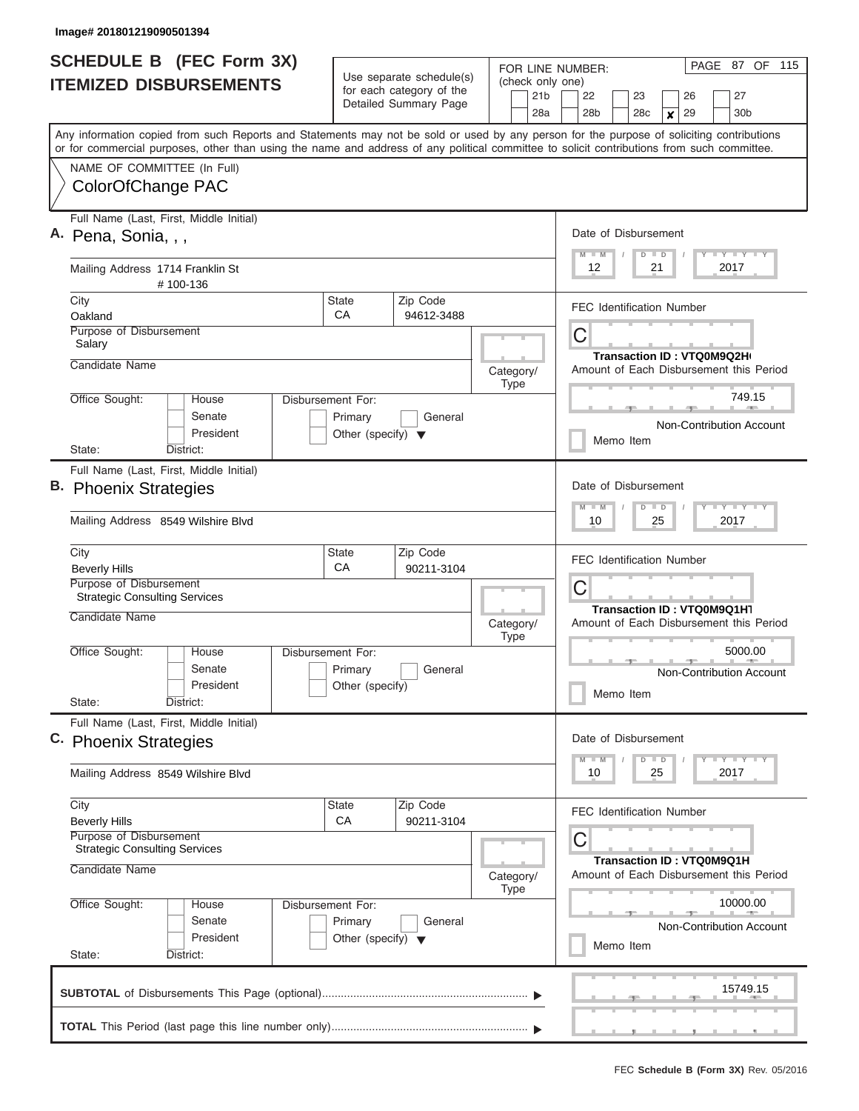| <b>SCHEDULE B</b> (FEC Form 3X)                                                                                                                                                                                                                                                         |                                                                      | Use separate schedule(s)                          |                          | 87 OF 115<br>PAGE<br>FOR LINE NUMBER:<br>(check only one)                                   |  |  |  |  |  |  |
|-----------------------------------------------------------------------------------------------------------------------------------------------------------------------------------------------------------------------------------------------------------------------------------------|----------------------------------------------------------------------|---------------------------------------------------|--------------------------|---------------------------------------------------------------------------------------------|--|--|--|--|--|--|
| <b>ITEMIZED DISBURSEMENTS</b>                                                                                                                                                                                                                                                           |                                                                      | for each category of the<br>Detailed Summary Page | 21 <sub>b</sub><br>28a   | 27<br>22<br>23<br>26<br>30 <sub>b</sub><br>28 <sub>b</sub><br>28c<br>29<br>$\boldsymbol{x}$ |  |  |  |  |  |  |
| Any information copied from such Reports and Statements may not be sold or used by any person for the purpose of soliciting contributions<br>or for commercial purposes, other than using the name and address of any political committee to solicit contributions from such committee. |                                                                      |                                                   |                          |                                                                                             |  |  |  |  |  |  |
| NAME OF COMMITTEE (In Full)<br>ColorOfChange PAC                                                                                                                                                                                                                                        |                                                                      |                                                   |                          |                                                                                             |  |  |  |  |  |  |
| Full Name (Last, First, Middle Initial)<br>A. Pena, Sonia, , ,                                                                                                                                                                                                                          |                                                                      |                                                   |                          | Date of Disbursement<br>Y LY LY LY<br>$M$ $M$<br>$D$ $D$                                    |  |  |  |  |  |  |
| Mailing Address 1714 Franklin St<br>#100-136                                                                                                                                                                                                                                            |                                                                      | 12<br>21<br>2017                                  |                          |                                                                                             |  |  |  |  |  |  |
| City<br>Oakland                                                                                                                                                                                                                                                                         | <b>State</b><br>CA                                                   | Zip Code<br>94612-3488                            |                          | <b>FEC Identification Number</b>                                                            |  |  |  |  |  |  |
| Purpose of Disbursement<br>Salary                                                                                                                                                                                                                                                       |                                                                      |                                                   |                          | C<br>Transaction ID: VTQ0M9Q2H(                                                             |  |  |  |  |  |  |
| Candidate Name                                                                                                                                                                                                                                                                          |                                                                      |                                                   | Category/<br><b>Type</b> | Amount of Each Disbursement this Period                                                     |  |  |  |  |  |  |
| Office Sought:<br>House<br>Senate<br>President                                                                                                                                                                                                                                          | Disbursement For:<br>Primary<br>Other (specify) $\blacktriangledown$ | General                                           |                          | 749.15<br>Non-Contribution Account                                                          |  |  |  |  |  |  |
| State:<br>District:                                                                                                                                                                                                                                                                     |                                                                      |                                                   |                          | Memo Item                                                                                   |  |  |  |  |  |  |
| Full Name (Last, First, Middle Initial)<br>B. Phoenix Strategies<br>Mailing Address 8549 Wilshire Blyd                                                                                                                                                                                  |                                                                      |                                                   |                          | Date of Disbursement<br>Y FY FY FY<br>$M - M$<br>$D$ $D$<br>2017<br>10<br>25                |  |  |  |  |  |  |
| City<br><b>Beverly Hills</b>                                                                                                                                                                                                                                                            | State<br>CA                                                          | Zip Code<br>90211-3104                            |                          | <b>FEC Identification Number</b>                                                            |  |  |  |  |  |  |
| Purpose of Disbursement<br><b>Strategic Consulting Services</b>                                                                                                                                                                                                                         |                                                                      |                                                   |                          | C<br>Transaction ID: VTQ0M9Q1H1                                                             |  |  |  |  |  |  |
| Candidate Name                                                                                                                                                                                                                                                                          |                                                                      |                                                   | Category/<br><b>Type</b> | Amount of Each Disbursement this Period                                                     |  |  |  |  |  |  |
| Office Sought:<br>House<br>Senate<br>President                                                                                                                                                                                                                                          | Disbursement For:<br>Primary<br>Other (specify)                      | General                                           |                          | 5000.00<br>Non-Contribution Account<br>Memo Item                                            |  |  |  |  |  |  |
| State:<br>District:                                                                                                                                                                                                                                                                     |                                                                      |                                                   |                          |                                                                                             |  |  |  |  |  |  |
| Full Name (Last, First, Middle Initial)<br>C. Phoenix Strategies                                                                                                                                                                                                                        |                                                                      |                                                   |                          | Date of Disbursement<br>$Y$ $Y$ $Y$ $Y$ $Y$                                                 |  |  |  |  |  |  |
| Mailing Address 8549 Wilshire Blvd                                                                                                                                                                                                                                                      |                                                                      |                                                   |                          | $M - M$<br>$D$ $D$<br>2017<br>10<br>25                                                      |  |  |  |  |  |  |
| City<br><b>Beverly Hills</b><br>Purpose of Disbursement                                                                                                                                                                                                                                 | State<br><b>CA</b>                                                   | Zip Code<br>90211-3104                            |                          | <b>FEC Identification Number</b><br>C                                                       |  |  |  |  |  |  |
| <b>Strategic Consulting Services</b><br>Candidate Name                                                                                                                                                                                                                                  |                                                                      |                                                   | Category/<br><b>Type</b> | Transaction ID: VTQ0M9Q1H<br>Amount of Each Disbursement this Period                        |  |  |  |  |  |  |
| Office Sought:<br>House<br>Senate<br>President                                                                                                                                                                                                                                          | Disbursement For:<br>Primary<br>Other (specify) $\blacktriangledown$ | General                                           |                          | 10000.00<br><b>Non-Contribution Account</b><br>Memo Item                                    |  |  |  |  |  |  |
| State:<br>District:                                                                                                                                                                                                                                                                     |                                                                      |                                                   |                          |                                                                                             |  |  |  |  |  |  |
|                                                                                                                                                                                                                                                                                         |                                                                      |                                                   |                          | 15749.15                                                                                    |  |  |  |  |  |  |
|                                                                                                                                                                                                                                                                                         |                                                                      |                                                   |                          |                                                                                             |  |  |  |  |  |  |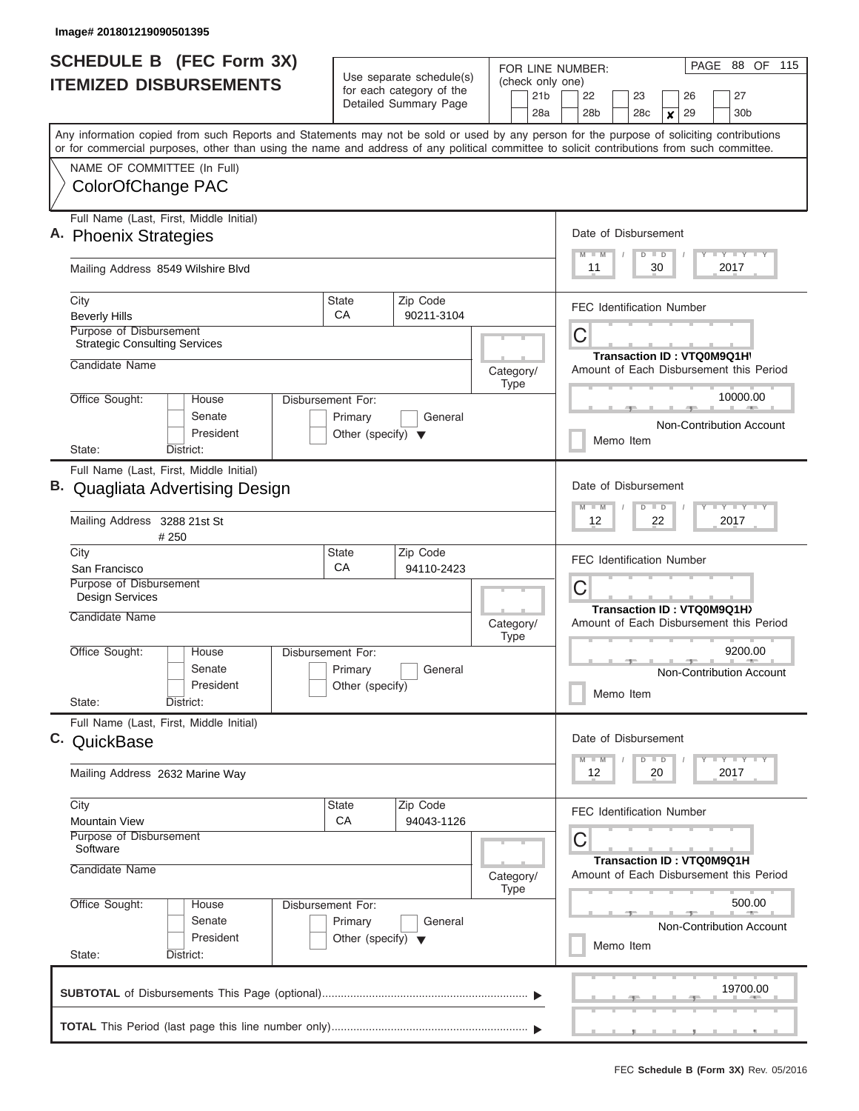ı

| <b>SCHEDULE B</b> (FEC Form 3X) |                                                                                                                                                                                                                                                                                         |                                                 |                                                                       |  |                                     |  | FOR LINE NUMBER:                                                                                                                                                                                                                                                                               |  |                                  |         |      |  | PAGE 88 OF 115                          |  |
|---------------------------------|-----------------------------------------------------------------------------------------------------------------------------------------------------------------------------------------------------------------------------------------------------------------------------------------|-------------------------------------------------|-----------------------------------------------------------------------|--|-------------------------------------|--|------------------------------------------------------------------------------------------------------------------------------------------------------------------------------------------------------------------------------------------------------------------------------------------------|--|----------------------------------|---------|------|--|-----------------------------------------|--|
|                                 | <b>ITEMIZED DISBURSEMENTS</b>                                                                                                                                                                                                                                                           |                                                 | Use separate schedule(s)<br>for each category of the                  |  | (check only one)<br>21 <sub>b</sub> |  | 22                                                                                                                                                                                                                                                                                             |  |                                  |         | 26   |  |                                         |  |
|                                 |                                                                                                                                                                                                                                                                                         |                                                 | Detailed Summary Page                                                 |  | 28a                                 |  | 28 <sub>b</sub>                                                                                                                                                                                                                                                                                |  | 23<br>28c                        | X       | 29   |  | 27<br>30b                               |  |
|                                 | Any information copied from such Reports and Statements may not be sold or used by any person for the purpose of soliciting contributions<br>or for commercial purposes, other than using the name and address of any political committee to solicit contributions from such committee. |                                                 |                                                                       |  |                                     |  |                                                                                                                                                                                                                                                                                                |  |                                  |         |      |  |                                         |  |
|                                 | NAME OF COMMITTEE (In Full)                                                                                                                                                                                                                                                             |                                                 |                                                                       |  |                                     |  |                                                                                                                                                                                                                                                                                                |  |                                  |         |      |  |                                         |  |
|                                 | ColorOfChange PAC                                                                                                                                                                                                                                                                       |                                                 |                                                                       |  |                                     |  |                                                                                                                                                                                                                                                                                                |  |                                  |         |      |  |                                         |  |
|                                 | Full Name (Last, First, Middle Initial)<br>A. Phoenix Strategies                                                                                                                                                                                                                        |                                                 |                                                                       |  |                                     |  | Date of Disbursement                                                                                                                                                                                                                                                                           |  |                                  |         |      |  |                                         |  |
|                                 | Mailing Address 8549 Wilshire Blvd                                                                                                                                                                                                                                                      |                                                 |                                                                       |  |                                     |  | $\begin{array}{c c c c c c} \hline \multicolumn{3}{c }{\mathsf{I}} & \multicolumn{3}{c}{\mathsf{Y}} & \multicolumn{3}{c}{\mathsf{I}} & \multicolumn{3}{c}{\mathsf{Y}} & \multicolumn{3}{c}{\mathsf{I}} & \multicolumn{3}{c}{\mathsf{Y}} \end{array}$<br>$M$ $M$<br>$D$ $D$<br>2017<br>11<br>30 |  |                                  |         |      |  |                                         |  |
|                                 | City<br><b>Beverly Hills</b>                                                                                                                                                                                                                                                            | State<br>CA                                     | Zip Code<br>90211-3104                                                |  |                                     |  | <b>FEC Identification Number</b>                                                                                                                                                                                                                                                               |  |                                  |         |      |  |                                         |  |
|                                 | Purpose of Disbursement<br><b>Strategic Consulting Services</b>                                                                                                                                                                                                                         |                                                 |                                                                       |  |                                     |  | С                                                                                                                                                                                                                                                                                              |  |                                  |         |      |  |                                         |  |
|                                 | Candidate Name                                                                                                                                                                                                                                                                          |                                                 |                                                                       |  | Category/                           |  |                                                                                                                                                                                                                                                                                                |  | Transaction ID: VTQ0M9Q1H\       |         |      |  | Amount of Each Disbursement this Period |  |
|                                 | Office Sought:<br>House                                                                                                                                                                                                                                                                 | Disbursement For:                               |                                                                       |  | <b>Type</b>                         |  |                                                                                                                                                                                                                                                                                                |  |                                  |         |      |  | 10000.00<br><b>CONTRACTOR</b>           |  |
|                                 | Senate<br>President                                                                                                                                                                                                                                                                     | Primary<br>Other (specify) $\blacktriangledown$ | General                                                               |  |                                     |  |                                                                                                                                                                                                                                                                                                |  | Memo Item                        |         |      |  | Non-Contribution Account                |  |
|                                 | District:<br>State:                                                                                                                                                                                                                                                                     |                                                 |                                                                       |  |                                     |  |                                                                                                                                                                                                                                                                                                |  |                                  |         |      |  |                                         |  |
|                                 | Full Name (Last, First, Middle Initial)<br>B. Quagliata Advertising Design                                                                                                                                                                                                              |                                                 |                                                                       |  |                                     |  |                                                                                                                                                                                                                                                                                                |  | Date of Disbursement             | $D$ $D$ |      |  | $T = Y - T - Y - T - Y$                 |  |
|                                 | Mailing Address 3288 21st St<br>#250                                                                                                                                                                                                                                                    |                                                 |                                                                       |  |                                     |  | $M - M$<br>12                                                                                                                                                                                                                                                                                  |  |                                  | 22      |      |  | 2017                                    |  |
|                                 | State<br>City<br>Zip Code<br>CA<br>San Francisco<br>94110-2423                                                                                                                                                                                                                          |                                                 |                                                                       |  |                                     |  |                                                                                                                                                                                                                                                                                                |  | <b>FEC Identification Number</b> |         |      |  |                                         |  |
|                                 | Purpose of Disbursement<br><b>Design Services</b>                                                                                                                                                                                                                                       |                                                 |                                                                       |  |                                     |  | С<br>Transaction ID: VTQ0M9Q1H)                                                                                                                                                                                                                                                                |  |                                  |         |      |  |                                         |  |
|                                 | Candidate Name                                                                                                                                                                                                                                                                          |                                                 |                                                                       |  | Category/<br><b>Type</b>            |  |                                                                                                                                                                                                                                                                                                |  |                                  |         |      |  | Amount of Each Disbursement this Period |  |
|                                 | Office Sought:<br>House                                                                                                                                                                                                                                                                 | Disbursement For:                               |                                                                       |  |                                     |  |                                                                                                                                                                                                                                                                                                |  |                                  |         | $-1$ |  | 9200.00                                 |  |
|                                 | Senate<br>President                                                                                                                                                                                                                                                                     | Primary<br>Other (specify)                      | General                                                               |  |                                     |  |                                                                                                                                                                                                                                                                                                |  |                                  |         |      |  | Non-Contribution Account                |  |
|                                 | State:<br>District:                                                                                                                                                                                                                                                                     |                                                 |                                                                       |  |                                     |  |                                                                                                                                                                                                                                                                                                |  | Memo Item                        |         |      |  |                                         |  |
| C.                              | Full Name (Last, First, Middle Initial)<br>QuickBase                                                                                                                                                                                                                                    |                                                 |                                                                       |  |                                     |  | Date of Disbursement                                                                                                                                                                                                                                                                           |  |                                  |         |      |  |                                         |  |
|                                 | Mailing Address 2632 Marine Way                                                                                                                                                                                                                                                         |                                                 |                                                                       |  |                                     |  | $M$ $M$<br>12                                                                                                                                                                                                                                                                                  |  | $D$ $D$                          | 20      |      |  | $T - Y$ $T - Y$<br>2017                 |  |
|                                 | City<br><b>Mountain View</b>                                                                                                                                                                                                                                                            | State<br>CA                                     | Zip Code<br>94043-1126                                                |  |                                     |  | <b>FEC Identification Number</b>                                                                                                                                                                                                                                                               |  |                                  |         |      |  |                                         |  |
|                                 | Purpose of Disbursement<br>Software                                                                                                                                                                                                                                                     |                                                 |                                                                       |  |                                     |  | С                                                                                                                                                                                                                                                                                              |  |                                  |         |      |  |                                         |  |
|                                 | Candidate Name                                                                                                                                                                                                                                                                          |                                                 | Transaction ID : VTQ0M9Q1H<br>Amount of Each Disbursement this Period |  |                                     |  |                                                                                                                                                                                                                                                                                                |  |                                  |         |      |  |                                         |  |
|                                 | Office Sought:<br>House                                                                                                                                                                                                                                                                 | Disbursement For:                               |                                                                       |  | <b>Type</b>                         |  |                                                                                                                                                                                                                                                                                                |  |                                  |         |      |  | 500.00                                  |  |
|                                 | Senate<br>President                                                                                                                                                                                                                                                                     | Primary<br>Other (specify) $\blacktriangledown$ | General                                                               |  |                                     |  |                                                                                                                                                                                                                                                                                                |  |                                  |         |      |  | Non-Contribution Account                |  |
|                                 | State:<br>District:                                                                                                                                                                                                                                                                     |                                                 |                                                                       |  |                                     |  |                                                                                                                                                                                                                                                                                                |  | Memo Item                        |         |      |  |                                         |  |
|                                 |                                                                                                                                                                                                                                                                                         |                                                 |                                                                       |  |                                     |  |                                                                                                                                                                                                                                                                                                |  |                                  |         |      |  | 19700.00                                |  |
|                                 |                                                                                                                                                                                                                                                                                         |                                                 |                                                                       |  |                                     |  |                                                                                                                                                                                                                                                                                                |  | .                                |         |      |  |                                         |  |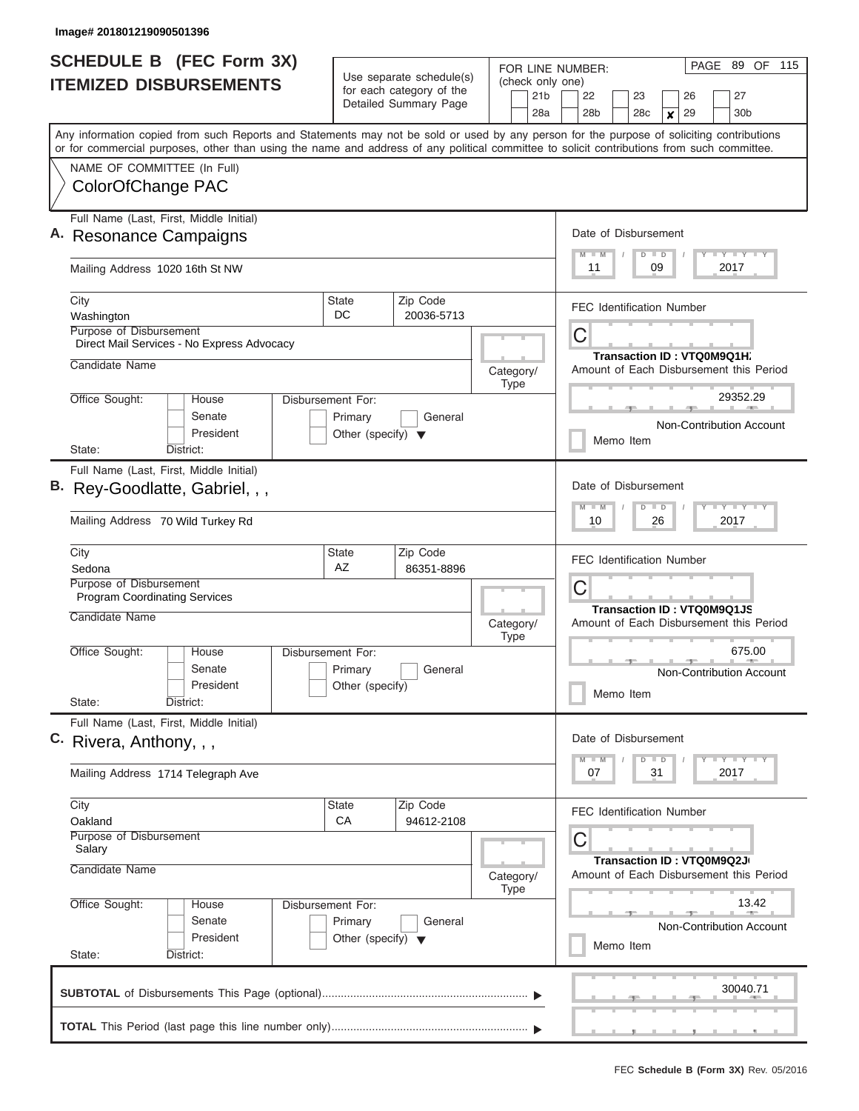| <b>SCHEDULE B</b> (FEC Form 3X)                                                                                                                                           | Use separate schedule(s)                                   |                          |           |             |                                        | PAGE 89 OF 115<br>FOR LINE NUMBER:                                   |  |                            |                                             |   |    |  |                                 |       |  |
|---------------------------------------------------------------------------------------------------------------------------------------------------------------------------|------------------------------------------------------------|--------------------------|-----------|-------------|----------------------------------------|----------------------------------------------------------------------|--|----------------------------|---------------------------------------------|---|----|--|---------------------------------|-------|--|
| <b>ITEMIZED DISBURSEMENTS</b>                                                                                                                                             |                                                            | for each category of the |           |             | (check only one)<br>21b                | 22<br>23<br>26<br>27                                                 |  |                            |                                             |   |    |  |                                 |       |  |
|                                                                                                                                                                           |                                                            | Detailed Summary Page    |           |             | 28a                                    | 28 <sub>b</sub>                                                      |  | 28 <sub>c</sub>            |                                             | × | 29 |  | 30 <sub>b</sub>                 |       |  |
| Any information copied from such Reports and Statements may not be sold or used by any person for the purpose of soliciting contributions                                 |                                                            |                          |           |             |                                        |                                                                      |  |                            |                                             |   |    |  |                                 |       |  |
| or for commercial purposes, other than using the name and address of any political committee to solicit contributions from such committee.<br>NAME OF COMMITTEE (In Full) |                                                            |                          |           |             |                                        |                                                                      |  |                            |                                             |   |    |  |                                 |       |  |
| ColorOfChange PAC                                                                                                                                                         |                                                            |                          |           |             |                                        |                                                                      |  |                            |                                             |   |    |  |                                 |       |  |
|                                                                                                                                                                           |                                                            |                          |           |             |                                        |                                                                      |  |                            |                                             |   |    |  |                                 |       |  |
| Full Name (Last, First, Middle Initial)                                                                                                                                   |                                                            |                          |           |             |                                        | Date of Disbursement                                                 |  |                            |                                             |   |    |  |                                 |       |  |
| <b>Resonance Campaigns</b>                                                                                                                                                |                                                            |                          |           |             |                                        | Y LY LY LY<br>$M$ $M$<br>$D$ $D$                                     |  |                            |                                             |   |    |  |                                 |       |  |
| Mailing Address 1020 16th St NW                                                                                                                                           |                                                            |                          |           |             |                                        | 11<br>09<br>2017                                                     |  |                            |                                             |   |    |  |                                 |       |  |
| City                                                                                                                                                                      | <b>State</b>                                               | Zip Code                 |           |             |                                        | <b>FEC Identification Number</b>                                     |  |                            |                                             |   |    |  |                                 |       |  |
| Washington<br>Purpose of Disbursement                                                                                                                                     | DC.                                                        | 20036-5713               |           |             |                                        |                                                                      |  |                            |                                             |   |    |  |                                 |       |  |
| Direct Mail Services - No Express Advocacy                                                                                                                                |                                                            |                          |           |             |                                        | С                                                                    |  |                            |                                             |   |    |  |                                 |       |  |
| Candidate Name                                                                                                                                                            |                                                            |                          | Category/ |             |                                        | Amount of Each Disbursement this Period                              |  | Transaction ID: VTQ0M9Q1H. |                                             |   |    |  |                                 |       |  |
|                                                                                                                                                                           |                                                            |                          |           | Type        |                                        |                                                                      |  |                            |                                             |   |    |  |                                 |       |  |
| Office Sought:<br>House<br>Senate                                                                                                                                         | Disbursement For:<br>Primary<br>General                    |                          |           |             |                                        |                                                                      |  |                            |                                             |   |    |  | 29352.29                        |       |  |
| President                                                                                                                                                                 | Other (specify) $\blacktriangledown$                       |                          |           |             |                                        |                                                                      |  |                            |                                             |   |    |  | <b>Non-Contribution Account</b> |       |  |
| State:<br>District:                                                                                                                                                       |                                                            |                          |           |             |                                        |                                                                      |  | Memo Item                  |                                             |   |    |  |                                 |       |  |
| Full Name (Last, First, Middle Initial)                                                                                                                                   |                                                            |                          |           |             |                                        |                                                                      |  |                            |                                             |   |    |  |                                 |       |  |
| B. Rey-Goodlatte, Gabriel, , ,                                                                                                                                            |                                                            |                          |           |             |                                        | Date of Disbursement                                                 |  |                            |                                             |   |    |  |                                 |       |  |
| Mailing Address 70 Wild Turkey Rd                                                                                                                                         |                                                            |                          |           |             |                                        | $M - M$<br>$D$ $D$<br>10<br>26                                       |  |                            | $T$ $T$ $T$ $T$ $T$ $T$ $T$ $T$ $T$<br>2017 |   |    |  |                                 |       |  |
| City                                                                                                                                                                      | <b>State</b>                                               | Zip Code                 |           |             |                                        | <b>FEC Identification Number</b>                                     |  |                            |                                             |   |    |  |                                 |       |  |
| Sedona<br>Purpose of Disbursement                                                                                                                                         | AZ                                                         | 86351-8896               |           |             |                                        |                                                                      |  |                            |                                             |   |    |  |                                 |       |  |
| <b>Program Coordinating Services</b>                                                                                                                                      |                                                            |                          |           |             | С<br><b>Transaction ID: VTQ0M9Q1JS</b> |                                                                      |  |                            |                                             |   |    |  |                                 |       |  |
| Candidate Name                                                                                                                                                            |                                                            |                          | Category/ | <b>Type</b> |                                        | Amount of Each Disbursement this Period                              |  |                            |                                             |   |    |  |                                 |       |  |
| Office Sought:<br>House<br>Disbursement For:                                                                                                                              |                                                            |                          |           |             |                                        |                                                                      |  |                            |                                             |   |    |  | 675.00                          |       |  |
| Senate<br>President                                                                                                                                                       | Primary<br>Other (specify)                                 | General                  |           |             |                                        |                                                                      |  |                            |                                             |   |    |  | <b>Non-Contribution Account</b> |       |  |
| State:<br>District:                                                                                                                                                       |                                                            |                          |           |             |                                        |                                                                      |  | Memo Item                  |                                             |   |    |  |                                 |       |  |
| Full Name (Last, First, Middle Initial)                                                                                                                                   |                                                            |                          |           |             |                                        |                                                                      |  |                            |                                             |   |    |  |                                 |       |  |
| C. Rivera, Anthony, , ,                                                                                                                                                   |                                                            |                          |           |             |                                        | Date of Disbursement                                                 |  |                            |                                             |   |    |  |                                 |       |  |
| Mailing Address 1714 Telegraph Ave                                                                                                                                        |                                                            |                          |           |             |                                        | $M - M$<br>07                                                        |  |                            | $D$ $D$<br>31                               |   |    |  | <b>LY LY LY</b><br>2017         |       |  |
| City                                                                                                                                                                      | <b>State</b>                                               | Zip Code                 |           |             |                                        | <b>FEC Identification Number</b>                                     |  |                            |                                             |   |    |  |                                 |       |  |
| Oakland<br>Purpose of Disbursement                                                                                                                                        | CA                                                         | 94612-2108               |           |             |                                        |                                                                      |  |                            |                                             |   |    |  |                                 |       |  |
| Salary                                                                                                                                                                    |                                                            |                          |           |             |                                        | С                                                                    |  |                            |                                             |   |    |  |                                 |       |  |
| Candidate Name                                                                                                                                                            | House<br>Disbursement For:<br>Senate<br>Primary<br>General |                          | Category/ |             |                                        | Transaction ID: VTQ0M9Q2J<br>Amount of Each Disbursement this Period |  |                            |                                             |   |    |  |                                 |       |  |
| Office Sought:                                                                                                                                                            |                                                            |                          |           | Type        |                                        |                                                                      |  |                            |                                             |   |    |  |                                 | 13.42 |  |
|                                                                                                                                                                           |                                                            |                          |           |             |                                        |                                                                      |  |                            |                                             |   |    |  | Non-Contribution Account        |       |  |
| President                                                                                                                                                                 | Other (specify) $\blacktriangledown$                       |                          |           |             |                                        |                                                                      |  | Memo Item                  |                                             |   |    |  |                                 |       |  |
| State:<br>District:                                                                                                                                                       |                                                            |                          |           |             |                                        |                                                                      |  |                            |                                             |   |    |  |                                 |       |  |
|                                                                                                                                                                           |                                                            |                          |           |             |                                        |                                                                      |  |                            |                                             |   |    |  | 30040.71                        |       |  |
|                                                                                                                                                                           |                                                            |                          |           |             |                                        |                                                                      |  |                            |                                             |   |    |  |                                 |       |  |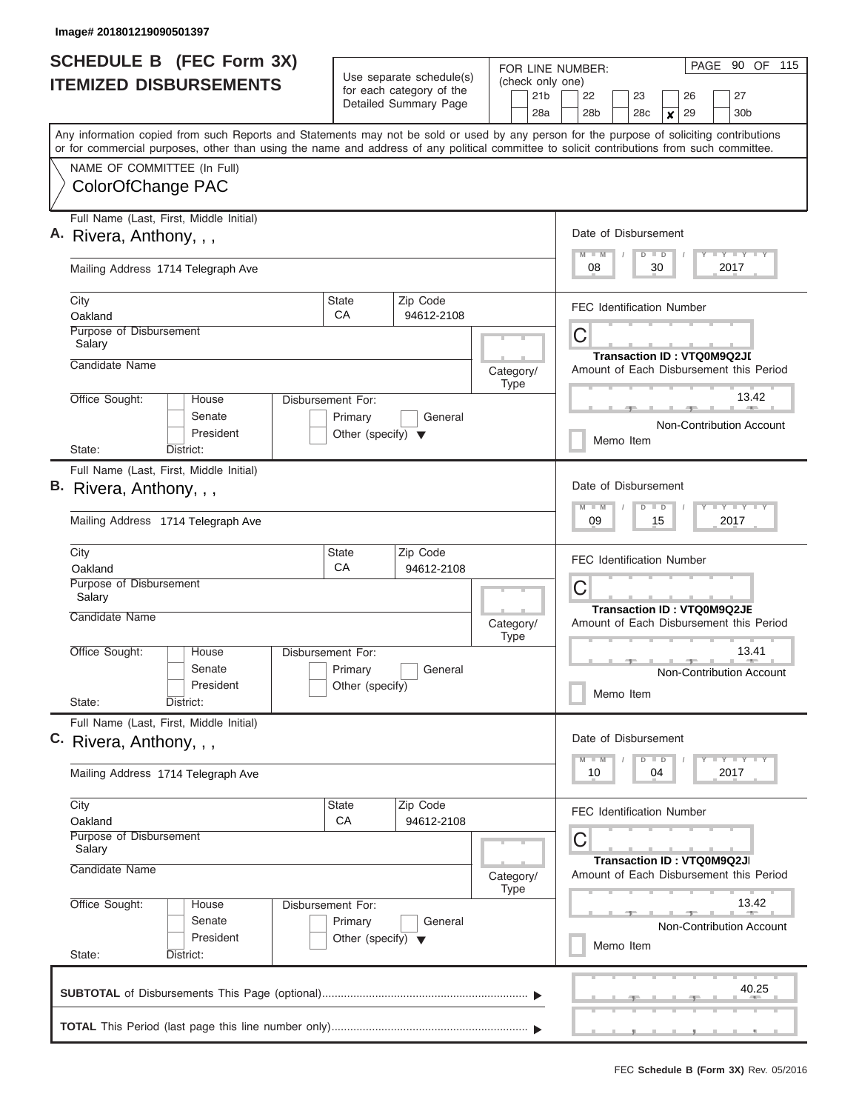| <b>SCHEDULE B</b> (FEC Form 3X)<br><b>ITEMIZED DISBURSEMENTS</b>                                                                                                                                                                                                                                                       |                                                                      | Use separate schedule(s)<br>for each category of the<br>Detailed Summary Page | FOR LINE NUMBER:<br>(check only one)<br>21 <sub>b</sub> | 90 OF 115<br>PAGE<br>27<br>22<br>23<br>26                                                                                      |  |  |  |  |  |
|------------------------------------------------------------------------------------------------------------------------------------------------------------------------------------------------------------------------------------------------------------------------------------------------------------------------|----------------------------------------------------------------------|-------------------------------------------------------------------------------|---------------------------------------------------------|--------------------------------------------------------------------------------------------------------------------------------|--|--|--|--|--|
| Any information copied from such Reports and Statements may not be sold or used by any person for the purpose of soliciting contributions<br>or for commercial purposes, other than using the name and address of any political committee to solicit contributions from such committee.<br>NAME OF COMMITTEE (In Full) |                                                                      |                                                                               | 28a                                                     | 30 <sub>b</sub><br>28 <sub>b</sub><br>28c<br>29<br>$\boldsymbol{x}$                                                            |  |  |  |  |  |
| ColorOfChange PAC                                                                                                                                                                                                                                                                                                      |                                                                      |                                                                               |                                                         |                                                                                                                                |  |  |  |  |  |
| Full Name (Last, First, Middle Initial)<br>A. Rivera, Anthony, , ,                                                                                                                                                                                                                                                     |                                                                      |                                                                               |                                                         | Date of Disbursement<br>Y LY LY LY<br>$M$ $M$<br>$D$ $D$                                                                       |  |  |  |  |  |
| Mailing Address 1714 Telegraph Ave                                                                                                                                                                                                                                                                                     |                                                                      |                                                                               |                                                         | 08<br>2017<br>30                                                                                                               |  |  |  |  |  |
| City<br>Oakland                                                                                                                                                                                                                                                                                                        | <b>State</b><br>CA                                                   | Zip Code<br>94612-2108                                                        |                                                         | <b>FEC Identification Number</b>                                                                                               |  |  |  |  |  |
| Purpose of Disbursement<br>Salary<br>Candidate Name                                                                                                                                                                                                                                                                    |                                                                      |                                                                               | Category/                                               | C<br><b>Transaction ID: VTQ0M9Q2JI</b><br>Amount of Each Disbursement this Period                                              |  |  |  |  |  |
| Office Sought:<br>House<br>Senate<br>President                                                                                                                                                                                                                                                                         | Disbursement For:<br>Primary<br>Other (specify) $\blacktriangledown$ | General                                                                       | <b>Type</b>                                             | 13.42<br>Non-Contribution Account<br>Memo Item                                                                                 |  |  |  |  |  |
| State:<br>District:<br>Full Name (Last, First, Middle Initial)<br>B. Rivera, Anthony, , ,<br>Mailing Address 1714 Telegraph Ave                                                                                                                                                                                        |                                                                      |                                                                               |                                                         | Date of Disbursement<br>Y FY FY FY<br>$M - M$<br>$D$ $D$<br>2017<br>09<br>15                                                   |  |  |  |  |  |
| City<br>Oakland<br>Purpose of Disbursement<br>Salary                                                                                                                                                                                                                                                                   | State<br>CA                                                          | Zip Code<br>94612-2108                                                        |                                                         | <b>FEC Identification Number</b><br>C<br>Transaction ID: VTQ0M9Q2JE                                                            |  |  |  |  |  |
| Candidate Name<br>Office Sought:<br>House<br>Senate<br>President<br>State:<br>District:                                                                                                                                                                                                                                | Disbursement For:<br>Primary<br>Other (specify)                      | General                                                                       | Category/<br><b>Type</b>                                | Amount of Each Disbursement this Period<br>13.41<br>Non-Contribution Account<br>Memo Item                                      |  |  |  |  |  |
| Full Name (Last, First, Middle Initial)<br>C. Rivera, Anthony, , ,<br>Mailing Address 1714 Telegraph Ave                                                                                                                                                                                                               |                                                                      |                                                                               |                                                         | Date of Disbursement<br>Y LY LY LY<br>$M - M$<br>$D$ $D$<br>2017<br>10<br>04                                                   |  |  |  |  |  |
| City<br>Oakland<br>Purpose of Disbursement<br>Salary                                                                                                                                                                                                                                                                   | State<br>CA                                                          | Zip Code<br>94612-2108                                                        |                                                         | <b>FEC Identification Number</b><br>С                                                                                          |  |  |  |  |  |
| Candidate Name<br>Office Sought:<br>House<br>Senate<br>President<br>State:<br>District:                                                                                                                                                                                                                                | Disbursement For:<br>Primary<br>Other (specify) $\blacktriangledown$ | General                                                                       | Category/<br><b>Type</b>                                | Transaction ID: VTQ0M9Q2JI<br>Amount of Each Disbursement this Period<br>13.42<br><b>Non-Contribution Account</b><br>Memo Item |  |  |  |  |  |
|                                                                                                                                                                                                                                                                                                                        |                                                                      |                                                                               |                                                         | 40.25                                                                                                                          |  |  |  |  |  |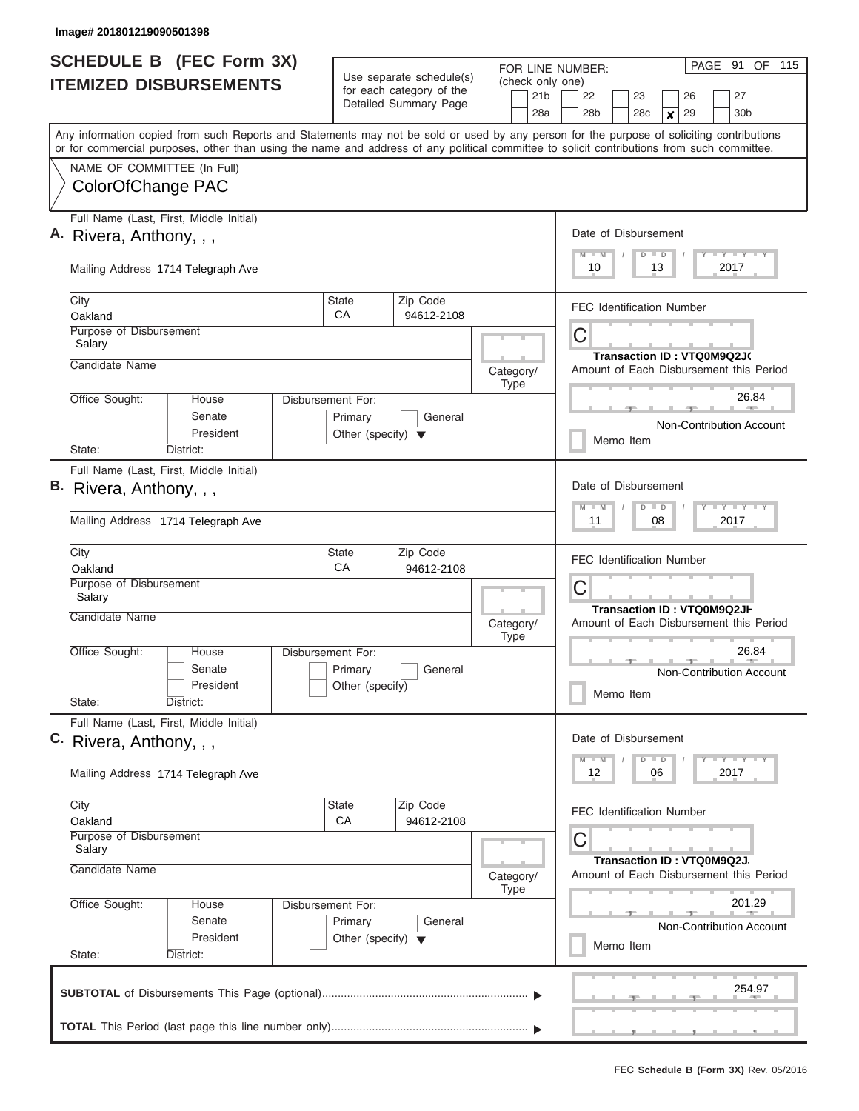| <b>SCHEDULE B (FEC Form 3X)</b> |                                                                                                                                                                                                                                                                                         |                                                                             | Use separate schedule(s) |                          |                                     | FOR LINE NUMBER:                                                          |                  |                            |    |    |  |                                                                                       | PAGE 91 OF 115 |
|---------------------------------|-----------------------------------------------------------------------------------------------------------------------------------------------------------------------------------------------------------------------------------------------------------------------------------------|-----------------------------------------------------------------------------|--------------------------|--------------------------|-------------------------------------|---------------------------------------------------------------------------|------------------|----------------------------|----|----|--|---------------------------------------------------------------------------------------|----------------|
|                                 | <b>ITEMIZED DISBURSEMENTS</b>                                                                                                                                                                                                                                                           |                                                                             | for each category of the |                          | (check only one)<br>21 <sub>b</sub> | 22                                                                        |                  | 23                         |    | 26 |  | 27                                                                                    |                |
|                                 |                                                                                                                                                                                                                                                                                         |                                                                             | Detailed Summary Page    |                          | 28a                                 | 28 <sub>b</sub>                                                           |                  | 28 <sub>c</sub>            | x  | 29 |  | 30 <sub>b</sub>                                                                       |                |
|                                 | Any information copied from such Reports and Statements may not be sold or used by any person for the purpose of soliciting contributions<br>or for commercial purposes, other than using the name and address of any political committee to solicit contributions from such committee. |                                                                             |                          |                          |                                     |                                                                           |                  |                            |    |    |  |                                                                                       |                |
|                                 | NAME OF COMMITTEE (In Full)                                                                                                                                                                                                                                                             |                                                                             |                          |                          |                                     |                                                                           |                  |                            |    |    |  |                                                                                       |                |
|                                 | ColorOfChange PAC                                                                                                                                                                                                                                                                       |                                                                             |                          |                          |                                     |                                                                           |                  |                            |    |    |  |                                                                                       |                |
|                                 | Full Name (Last, First, Middle Initial)<br>A. Rivera, Anthony, , ,                                                                                                                                                                                                                      |                                                                             |                          |                          |                                     | Date of Disbursement                                                      |                  |                            |    |    |  |                                                                                       |                |
|                                 | Mailing Address 1714 Telegraph Ave                                                                                                                                                                                                                                                      |                                                                             |                          |                          |                                     | $T$ $T$ $T$ $T$ $T$ $T$ $T$ $T$<br>$M$ $M$<br>$D$ $D$<br>10<br>13<br>2017 |                  |                            |    |    |  |                                                                                       |                |
| City<br>Oakland                 |                                                                                                                                                                                                                                                                                         | State<br>СA                                                                 | Zip Code<br>94612-2108   |                          |                                     | <b>FEC Identification Number</b>                                          |                  |                            |    |    |  |                                                                                       |                |
| Salary                          | Purpose of Disbursement                                                                                                                                                                                                                                                                 |                                                                             |                          |                          |                                     | С<br>Transaction ID: VTQ0M9Q2J(                                           |                  |                            |    |    |  |                                                                                       |                |
| Candidate Name                  |                                                                                                                                                                                                                                                                                         |                                                                             |                          | Category/<br><b>Type</b> |                                     | Amount of Each Disbursement this Period                                   |                  |                            |    |    |  |                                                                                       |                |
| Office Sought:                  | House<br>Senate<br>President                                                                                                                                                                                                                                                            | <b>Disbursement For:</b><br>Primary<br>Other (specify) $\blacktriangledown$ | General                  |                          |                                     |                                                                           |                  |                            |    |    |  | 26.84<br>Non-Contribution Account                                                     |                |
| State:                          | District:                                                                                                                                                                                                                                                                               |                                                                             |                          |                          |                                     |                                                                           | Memo Item        |                            |    |    |  |                                                                                       |                |
|                                 | Full Name (Last, First, Middle Initial)                                                                                                                                                                                                                                                 |                                                                             |                          |                          |                                     |                                                                           |                  |                            |    |    |  |                                                                                       |                |
| В.                              | Rivera, Anthony, , ,                                                                                                                                                                                                                                                                    |                                                                             |                          |                          |                                     | Date of Disbursement<br>$M - M$                                           |                  | $D$ $D$                    |    |    |  | $T$ $Y$ $T$ $Y$ $T$                                                                   |                |
|                                 | Mailing Address 1714 Telegraph Ave                                                                                                                                                                                                                                                      |                                                                             |                          |                          |                                     |                                                                           | 11<br>08<br>2017 |                            |    |    |  |                                                                                       |                |
| City<br>Oakland                 |                                                                                                                                                                                                                                                                                         | State<br>CA                                                                 | Zip Code<br>94612-2108   |                          |                                     | <b>FEC Identification Number</b>                                          |                  |                            |    |    |  |                                                                                       |                |
| Salary<br><b>Candidate Name</b> | Purpose of Disbursement                                                                                                                                                                                                                                                                 |                                                                             |                          |                          |                                     | С                                                                         |                  | Transaction ID: VTQ0M9Q2JH |    |    |  |                                                                                       |                |
|                                 |                                                                                                                                                                                                                                                                                         |                                                                             |                          | Category/<br><b>Type</b> |                                     | Amount of Each Disbursement this Period                                   |                  |                            |    |    |  | 26.84                                                                                 |                |
| Office Sought:                  | House<br>Senate<br>President                                                                                                                                                                                                                                                            | Disbursement For:<br>Primary<br>Other (specify)                             | General                  |                          |                                     |                                                                           |                  |                            |    |    |  | Non-Contribution Account                                                              |                |
| State:                          | District:                                                                                                                                                                                                                                                                               |                                                                             |                          |                          |                                     |                                                                           | Memo Item        |                            |    |    |  |                                                                                       |                |
|                                 | Full Name (Last, First, Middle Initial)<br>C. Rivera, Anthony, , ,                                                                                                                                                                                                                      |                                                                             |                          |                          |                                     | Date of Disbursement                                                      |                  |                            |    |    |  |                                                                                       |                |
|                                 | Mailing Address 1714 Telegraph Ave                                                                                                                                                                                                                                                      |                                                                             |                          |                          |                                     | $M$ $M$<br>12                                                             |                  | $D$ $D$                    | 06 |    |  | $\mathbf{I}$ $\mathbf{Y}$ $\mathbf{I}$ $\mathbf{Y}$ $\mathbf{I}$ $\mathbf{Y}$<br>2017 |                |
| City<br>Oakland                 |                                                                                                                                                                                                                                                                                         | State<br>CA                                                                 | Zip Code<br>94612-2108   |                          |                                     | FEC Identification Number                                                 |                  |                            |    |    |  |                                                                                       |                |
| Salary                          | Purpose of Disbursement                                                                                                                                                                                                                                                                 |                                                                             |                          |                          |                                     | С                                                                         |                  | Transaction ID: VTQ0M9Q2J. |    |    |  |                                                                                       |                |
|                                 | Candidate Name                                                                                                                                                                                                                                                                          |                                                                             |                          | Category/<br>Type        |                                     | Amount of Each Disbursement this Period                                   |                  |                            |    |    |  |                                                                                       |                |
| Office Sought:<br>State:        | House<br>Senate<br>President<br>District:                                                                                                                                                                                                                                               | Disbursement For:<br>Primary<br>Other (specify) $\blacktriangledown$        | General                  |                          |                                     |                                                                           | Memo Item        |                            |    |    |  | 201.29<br>Non-Contribution Account                                                    |                |
|                                 |                                                                                                                                                                                                                                                                                         |                                                                             |                          |                          |                                     |                                                                           |                  |                            |    |    |  | 254.97                                                                                |                |
|                                 |                                                                                                                                                                                                                                                                                         |                                                                             |                          |                          |                                     |                                                                           |                  |                            |    |    |  |                                                                                       |                |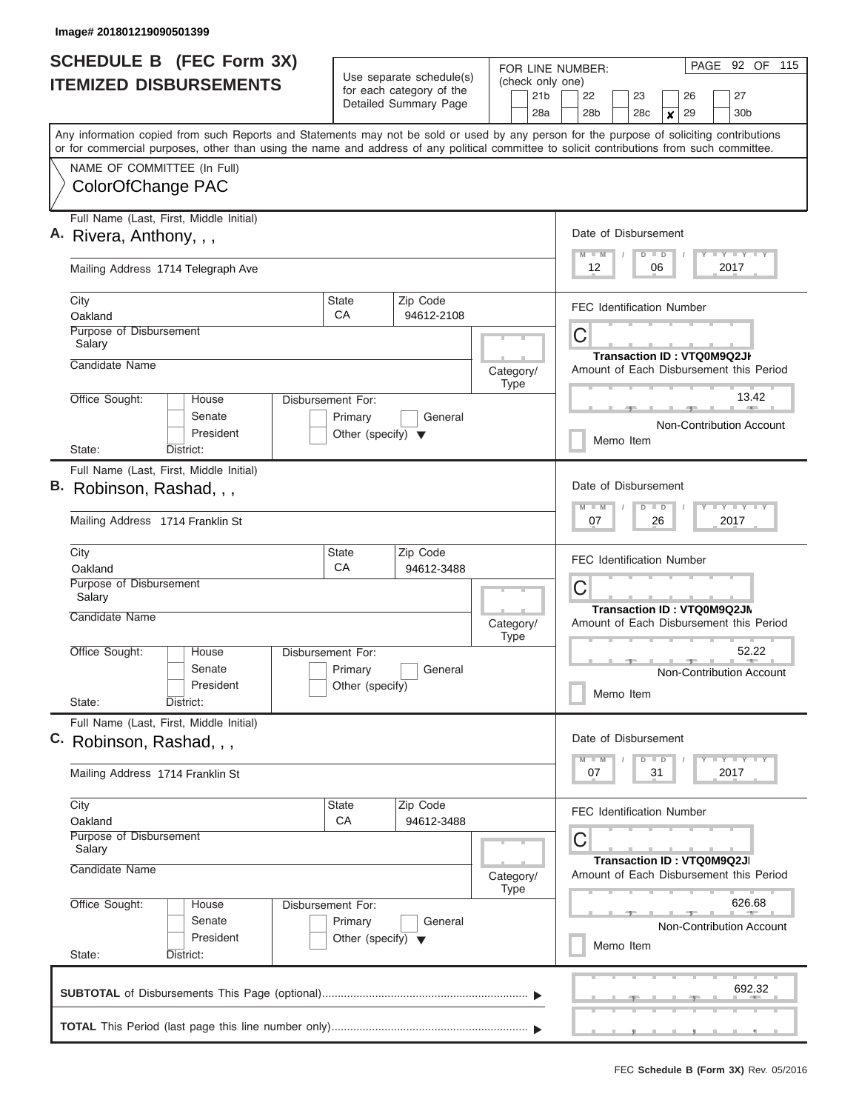| <b>SCHEDULE B (FEC Form 3X)</b><br><b>ITEMIZED DISBURSEMENTS</b>                                                                                                                                                                                                                                                       |                                                                      | Use separate schedule(s)<br>for each category of the<br>Detailed Summary Page | FOR LINE NUMBER:<br>(check only one)<br>21 <sub>b</sub><br>28a | PAGE<br>92 OF 115<br>22<br>27<br>23<br>26<br>28 <sub>b</sub><br>28c<br>29<br>30 <sub>b</sub><br>$\boldsymbol{x}$ |  |  |  |  |
|------------------------------------------------------------------------------------------------------------------------------------------------------------------------------------------------------------------------------------------------------------------------------------------------------------------------|----------------------------------------------------------------------|-------------------------------------------------------------------------------|----------------------------------------------------------------|------------------------------------------------------------------------------------------------------------------|--|--|--|--|
| Any information copied from such Reports and Statements may not be sold or used by any person for the purpose of soliciting contributions<br>or for commercial purposes, other than using the name and address of any political committee to solicit contributions from such committee.<br>NAME OF COMMITTEE (In Full) |                                                                      |                                                                               |                                                                |                                                                                                                  |  |  |  |  |
| ColorOfChange PAC                                                                                                                                                                                                                                                                                                      |                                                                      |                                                                               |                                                                |                                                                                                                  |  |  |  |  |
| Full Name (Last, First, Middle Initial)<br>A. Rivera, Anthony, , ,                                                                                                                                                                                                                                                     |                                                                      |                                                                               |                                                                | Date of Disbursement<br>Y FY FY FY<br>$M$ $M$<br>$D$ $D$                                                         |  |  |  |  |
| Mailing Address 1714 Telegraph Ave                                                                                                                                                                                                                                                                                     |                                                                      |                                                                               |                                                                | 2017<br>12<br>06                                                                                                 |  |  |  |  |
| City<br>Oakland                                                                                                                                                                                                                                                                                                        | <b>State</b><br>СA                                                   | Zip Code<br>94612-2108                                                        |                                                                | <b>FEC Identification Number</b>                                                                                 |  |  |  |  |
| Purpose of Disbursement<br>Salary                                                                                                                                                                                                                                                                                      |                                                                      |                                                                               |                                                                | C<br>Transaction ID: VTQ0M9Q2JI                                                                                  |  |  |  |  |
| Candidate Name                                                                                                                                                                                                                                                                                                         |                                                                      |                                                                               | Category/<br><b>Type</b>                                       | Amount of Each Disbursement this Period                                                                          |  |  |  |  |
| Office Sought:<br>House<br>Senate<br>President                                                                                                                                                                                                                                                                         | Disbursement For:<br>Primary<br>Other (specify) $\blacktriangledown$ | General                                                                       |                                                                | 13.42<br>Non-Contribution Account                                                                                |  |  |  |  |
| State:<br>District:                                                                                                                                                                                                                                                                                                    |                                                                      |                                                                               |                                                                | Memo Item                                                                                                        |  |  |  |  |
| Full Name (Last, First, Middle Initial)<br>B. Robinson, Rashad, , ,<br>Mailing Address 1714 Franklin St                                                                                                                                                                                                                |                                                                      |                                                                               |                                                                | Date of Disbursement<br>Y FY FY FY<br>$M - M$<br>$D$ $D$<br>07<br>26<br>2017                                     |  |  |  |  |
| City<br>Oakland                                                                                                                                                                                                                                                                                                        | <b>State</b><br>CA                                                   | Zip Code<br>94612-3488                                                        |                                                                | <b>FEC Identification Number</b>                                                                                 |  |  |  |  |
| Purpose of Disbursement<br>Salary<br>Candidate Name                                                                                                                                                                                                                                                                    |                                                                      |                                                                               |                                                                | C<br>Transaction ID: VTQ0M9Q2JN<br>Amount of Each Disbursement this Period                                       |  |  |  |  |
| Office Sought:<br>House<br>Senate<br>President<br>State:<br>District:                                                                                                                                                                                                                                                  | <b>Disbursement For:</b><br>Primary<br>Other (specify)               | General                                                                       | Category/<br><b>Type</b>                                       | 52.22<br>Non-Contribution Account<br>Memo Item                                                                   |  |  |  |  |
| Full Name (Last, First, Middle Initial)<br>C. Robinson, Rashad, , ,                                                                                                                                                                                                                                                    |                                                                      |                                                                               |                                                                | Date of Disbursement<br>Y FY FY FY<br>$M$ $M$<br>$D$ $D$                                                         |  |  |  |  |
| Mailing Address 1714 Franklin St                                                                                                                                                                                                                                                                                       |                                                                      |                                                                               |                                                                | 2017<br>07<br>31                                                                                                 |  |  |  |  |
| City<br>Oakland<br>Purpose of Disbursement<br>Salary                                                                                                                                                                                                                                                                   | <b>State</b><br>CA                                                   | Zip Code<br>94612-3488                                                        |                                                                | <b>FEC Identification Number</b><br>С                                                                            |  |  |  |  |
| Candidate Name                                                                                                                                                                                                                                                                                                         |                                                                      |                                                                               | Category/<br><b>Type</b>                                       | Transaction ID: VTQ0M9Q2JI<br>Amount of Each Disbursement this Period                                            |  |  |  |  |
| Office Sought:<br>House<br>Senate<br>President                                                                                                                                                                                                                                                                         | Disbursement For:<br>Primary<br>Other (specify) $\blacktriangledown$ | General                                                                       |                                                                | 626.68<br><b>Non-Contribution Account</b><br>Memo Item                                                           |  |  |  |  |
| State:<br>District:                                                                                                                                                                                                                                                                                                    |                                                                      |                                                                               |                                                                | 692.32                                                                                                           |  |  |  |  |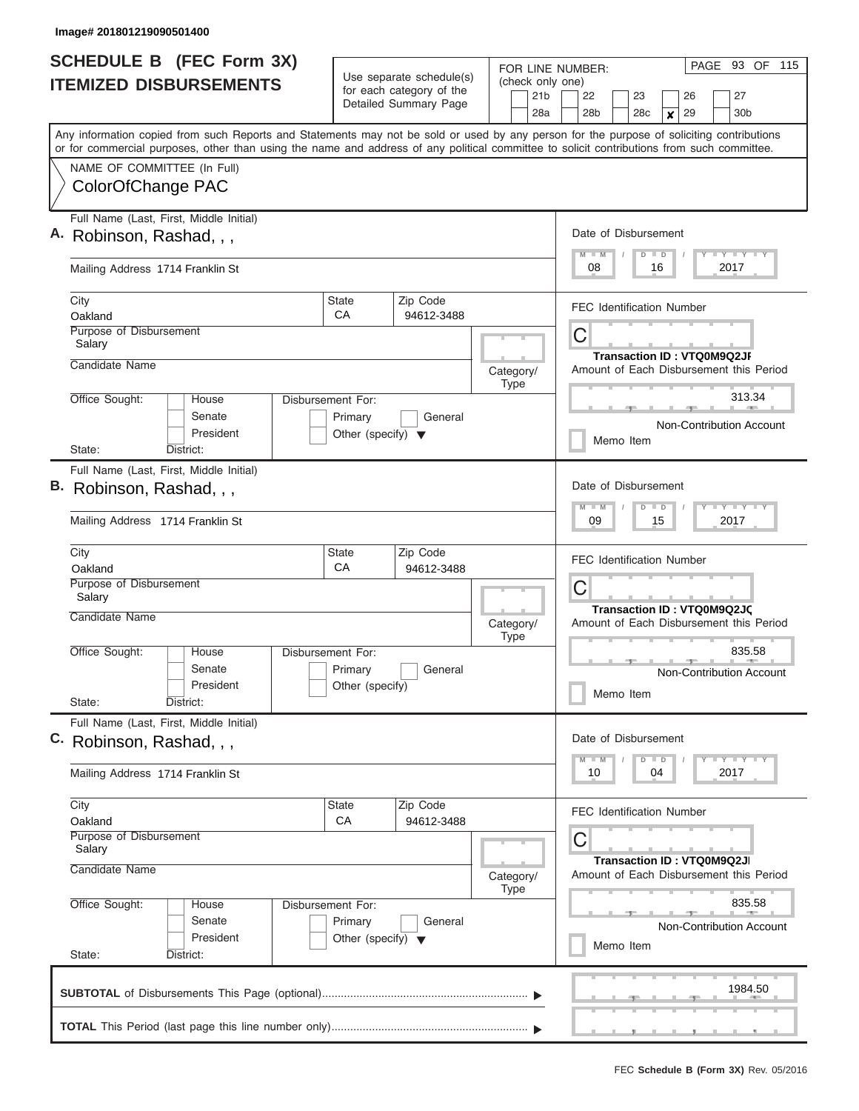| <b>SCHEDULE B</b> (FEC Form 3X)                                                                                                                                                                                                                                                         |                                                                                 | Use separate schedule(s)                          |                                                                     | PAGE 93 OF 115<br>FOR LINE NUMBER:                                                                |  |  |  |  |  |  |
|-----------------------------------------------------------------------------------------------------------------------------------------------------------------------------------------------------------------------------------------------------------------------------------------|---------------------------------------------------------------------------------|---------------------------------------------------|---------------------------------------------------------------------|---------------------------------------------------------------------------------------------------|--|--|--|--|--|--|
| <b>ITEMIZED DISBURSEMENTS</b>                                                                                                                                                                                                                                                           |                                                                                 | for each category of the<br>Detailed Summary Page | (check only one)<br>21b<br>28a                                      | 22<br>27<br>23<br>26<br>28b<br>28c<br>29<br>30b<br>$\boldsymbol{x}$                               |  |  |  |  |  |  |
| Any information copied from such Reports and Statements may not be sold or used by any person for the purpose of soliciting contributions<br>or for commercial purposes, other than using the name and address of any political committee to solicit contributions from such committee. |                                                                                 |                                                   |                                                                     |                                                                                                   |  |  |  |  |  |  |
| NAME OF COMMITTEE (In Full)<br>ColorOfChange PAC                                                                                                                                                                                                                                        |                                                                                 |                                                   |                                                                     |                                                                                                   |  |  |  |  |  |  |
| Full Name (Last, First, Middle Initial)<br>A. Robinson, Rashad, , ,                                                                                                                                                                                                                     |                                                                                 |                                                   |                                                                     | Date of Disbursement<br>Y I Y I Y I Y<br>$M$ $M$<br>$D$ $D$                                       |  |  |  |  |  |  |
| Mailing Address 1714 Franklin St                                                                                                                                                                                                                                                        |                                                                                 |                                                   |                                                                     | 08<br>16<br>2017                                                                                  |  |  |  |  |  |  |
| City<br>Oakland<br><b>Purpose of Disbursement</b><br>Salary<br>Candidate Name                                                                                                                                                                                                           | <b>State</b><br>СA                                                              | Zip Code<br>94612-3488                            |                                                                     | <b>FEC Identification Number</b><br>С<br><b>Transaction ID: VTQ0M9Q2JF</b>                        |  |  |  |  |  |  |
| Office Sought:<br>House<br>Senate<br>President<br>State:<br>District:                                                                                                                                                                                                                   | Disbursement For:<br>Primary<br>Other (specify) $\blacktriangledown$            | General                                           | Category/<br><b>Type</b>                                            | Amount of Each Disbursement this Period<br>313.34<br>Non-Contribution Account<br>Memo Item        |  |  |  |  |  |  |
| Full Name (Last, First, Middle Initial)<br>B. Robinson, Rashad, , ,<br>Mailing Address 1714 Franklin St                                                                                                                                                                                 |                                                                                 |                                                   |                                                                     | Date of Disbursement<br>$T$ $Y$ $T$ $Y$ $T$<br>$M - M$<br>$D$ $D$<br>09<br>15<br>2017             |  |  |  |  |  |  |
| City<br>Oakland<br>Purpose of Disbursement<br>Salary<br>Candidate Name                                                                                                                                                                                                                  | <b>State</b><br>CA                                                              |                                                   | <b>FEC Identification Number</b><br>С<br>Transaction ID: VTQ0M9Q2JC |                                                                                                   |  |  |  |  |  |  |
| Office Sought:<br>House<br>Senate<br>President<br>District:<br>State:                                                                                                                                                                                                                   | Disbursement For:<br>Primary<br>Other (specify)                                 | General                                           | Category/<br><b>Type</b>                                            | Amount of Each Disbursement this Period<br>835.58<br>Non-Contribution Account<br>Memo Item        |  |  |  |  |  |  |
| Full Name (Last, First, Middle Initial)<br>C. Robinson, Rashad, , ,<br>Mailing Address 1714 Franklin St                                                                                                                                                                                 |                                                                                 |                                                   |                                                                     | Date of Disbursement<br><b>LY LY LY</b><br>$M$ $M$<br>$D$ $D$<br>10<br>04<br>2017                 |  |  |  |  |  |  |
| City<br>Oakland<br>Purpose of Disbursement<br>Salary                                                                                                                                                                                                                                    | <b>State</b><br>CA                                                              | Zip Code<br>94612-3488                            |                                                                     | <b>FEC Identification Number</b><br>С<br>Transaction ID: VTQ0M9Q2JI                               |  |  |  |  |  |  |
| Candidate Name<br>Office Sought:<br>House<br>Senate<br>President<br>State:<br>District:                                                                                                                                                                                                 | Disbursement For:<br>Primary<br>General<br>Other (specify) $\blacktriangledown$ |                                                   | Category/<br>Type                                                   | Amount of Each Disbursement this Period<br>835.58<br><b>Non-Contribution Account</b><br>Memo Item |  |  |  |  |  |  |
|                                                                                                                                                                                                                                                                                         |                                                                                 |                                                   |                                                                     | 1984.50                                                                                           |  |  |  |  |  |  |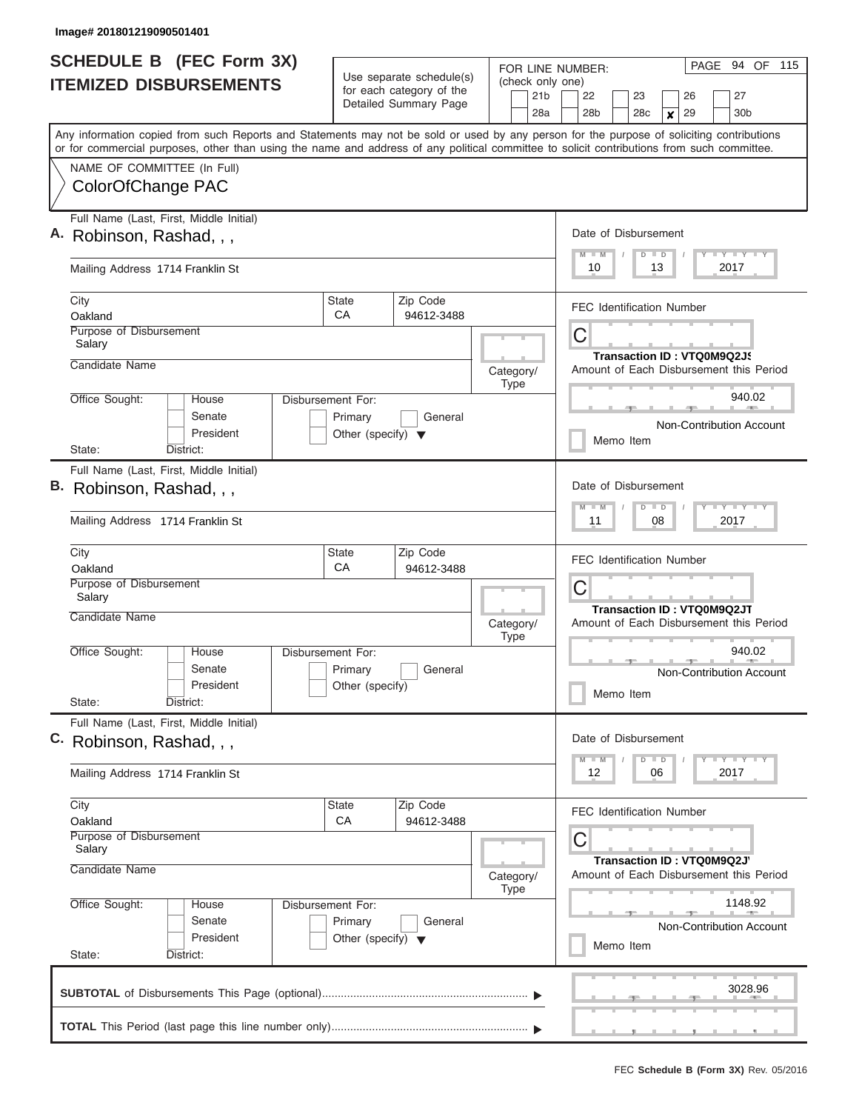| <b>SCHEDULE B</b> (FEC Form 3X) |                                                                                                                                                                                                                                                                                         |                                      |                                                                               | FOR LINE NUMBER:                    | PAGE 94 OF 115                          |  |  |  |  |  |
|---------------------------------|-----------------------------------------------------------------------------------------------------------------------------------------------------------------------------------------------------------------------------------------------------------------------------------------|--------------------------------------|-------------------------------------------------------------------------------|-------------------------------------|-----------------------------------------|--|--|--|--|--|
|                                 | <b>ITEMIZED DISBURSEMENTS</b>                                                                                                                                                                                                                                                           |                                      | Use separate schedule(s)<br>for each category of the<br>Detailed Summary Page | (check only one)<br>21 <sub>b</sub> | 22<br>27<br>23<br>26                    |  |  |  |  |  |
|                                 |                                                                                                                                                                                                                                                                                         |                                      |                                                                               | 28a                                 | 28b<br>28c<br>29<br>30b<br>X            |  |  |  |  |  |
|                                 | Any information copied from such Reports and Statements may not be sold or used by any person for the purpose of soliciting contributions<br>or for commercial purposes, other than using the name and address of any political committee to solicit contributions from such committee. |                                      |                                                                               |                                     |                                         |  |  |  |  |  |
|                                 | NAME OF COMMITTEE (In Full)                                                                                                                                                                                                                                                             |                                      |                                                                               |                                     |                                         |  |  |  |  |  |
|                                 | ColorOfChange PAC                                                                                                                                                                                                                                                                       |                                      |                                                                               |                                     |                                         |  |  |  |  |  |
| Α.                              | Full Name (Last, First, Middle Initial)                                                                                                                                                                                                                                                 |                                      |                                                                               |                                     | Date of Disbursement                    |  |  |  |  |  |
|                                 | Robinson, Rashad, , ,                                                                                                                                                                                                                                                                   |                                      |                                                                               |                                     | Y I Y I Y I Y<br>$D$ $D$<br>$M$ $M$     |  |  |  |  |  |
|                                 | Mailing Address 1714 Franklin St                                                                                                                                                                                                                                                        |                                      |                                                                               |                                     | 2017<br>10<br>13                        |  |  |  |  |  |
|                                 | City<br>Oakland                                                                                                                                                                                                                                                                         | <b>State</b><br>CA                   | Zip Code<br>94612-3488                                                        |                                     | <b>FEC Identification Number</b>        |  |  |  |  |  |
|                                 | Purpose of Disbursement<br>Salary                                                                                                                                                                                                                                                       |                                      |                                                                               |                                     | C                                       |  |  |  |  |  |
|                                 | Candidate Name                                                                                                                                                                                                                                                                          |                                      |                                                                               |                                     | Transaction ID: VTQ0M9Q2JS              |  |  |  |  |  |
|                                 |                                                                                                                                                                                                                                                                                         |                                      |                                                                               | Category/<br><b>Type</b>            | Amount of Each Disbursement this Period |  |  |  |  |  |
|                                 | Office Sought:<br>House<br>Senate                                                                                                                                                                                                                                                       | Disbursement For:<br>Primary         | General                                                                       |                                     | 940.02<br><b>Burnett Common</b>         |  |  |  |  |  |
|                                 | President                                                                                                                                                                                                                                                                               | Other (specify) $\blacktriangledown$ |                                                                               |                                     | Non-Contribution Account<br>Memo Item   |  |  |  |  |  |
|                                 | State:<br>District:                                                                                                                                                                                                                                                                     |                                      |                                                                               |                                     |                                         |  |  |  |  |  |
|                                 | Full Name (Last, First, Middle Initial)<br>B. Robinson, Rashad, , ,                                                                                                                                                                                                                     |                                      |                                                                               |                                     | Date of Disbursement                    |  |  |  |  |  |
|                                 |                                                                                                                                                                                                                                                                                         |                                      |                                                                               |                                     | Y FY FY FY<br>$M - M$<br>$D$ $D$        |  |  |  |  |  |
|                                 | Mailing Address 1714 Franklin St                                                                                                                                                                                                                                                        |                                      |                                                                               |                                     | 11<br>08<br>2017                        |  |  |  |  |  |
|                                 | City<br>Oakland                                                                                                                                                                                                                                                                         | State<br>CA                          | Zip Code<br>94612-3488                                                        |                                     | <b>FEC Identification Number</b>        |  |  |  |  |  |
|                                 | Purpose of Disbursement                                                                                                                                                                                                                                                                 |                                      |                                                                               |                                     | С                                       |  |  |  |  |  |
|                                 | Salary<br>Candidate Name                                                                                                                                                                                                                                                                |                                      |                                                                               |                                     | Transaction ID: VTQ0M9Q2JT              |  |  |  |  |  |
|                                 |                                                                                                                                                                                                                                                                                         |                                      |                                                                               | Category/<br><b>Type</b>            | Amount of Each Disbursement this Period |  |  |  |  |  |
|                                 | Office Sought:<br>House<br>Senate                                                                                                                                                                                                                                                       | Disbursement For:<br>Primary         | General                                                                       |                                     | 940.02                                  |  |  |  |  |  |
|                                 | President                                                                                                                                                                                                                                                                               | Other (specify)                      |                                                                               |                                     | Non-Contribution Account<br>Memo Item   |  |  |  |  |  |
|                                 | State:<br>District:                                                                                                                                                                                                                                                                     |                                      |                                                                               |                                     |                                         |  |  |  |  |  |
|                                 | Full Name (Last, First, Middle Initial)<br>C. Robinson, Rashad, , ,                                                                                                                                                                                                                     |                                      |                                                                               |                                     | Date of Disbursement                    |  |  |  |  |  |
|                                 |                                                                                                                                                                                                                                                                                         |                                      |                                                                               |                                     | $D$ $D$<br>Y FY FY FY<br>$M - M$        |  |  |  |  |  |
|                                 | Mailing Address 1714 Franklin St                                                                                                                                                                                                                                                        |                                      |                                                                               |                                     | 12<br>2017<br>06                        |  |  |  |  |  |
|                                 | City<br>Oakland                                                                                                                                                                                                                                                                         | State<br>CA                          | Zip Code<br>94612-3488                                                        |                                     | <b>FEC Identification Number</b>        |  |  |  |  |  |
|                                 | Purpose of Disbursement                                                                                                                                                                                                                                                                 |                                      |                                                                               |                                     | С                                       |  |  |  |  |  |
|                                 | Salary<br>Candidate Name                                                                                                                                                                                                                                                                |                                      |                                                                               |                                     | Transaction ID: VTQ0M9Q2J'              |  |  |  |  |  |
|                                 |                                                                                                                                                                                                                                                                                         |                                      |                                                                               | Category/<br><b>Type</b>            | Amount of Each Disbursement this Period |  |  |  |  |  |
|                                 | Office Sought:<br>House<br>Senate                                                                                                                                                                                                                                                       | Disbursement For:<br>Primary         | General                                                                       |                                     | 1148.92                                 |  |  |  |  |  |
|                                 | President                                                                                                                                                                                                                                                                               | Other (specify) $\blacktriangledown$ |                                                                               |                                     | Non-Contribution Account<br>Memo Item   |  |  |  |  |  |
|                                 | State:<br>District:                                                                                                                                                                                                                                                                     |                                      |                                                                               |                                     |                                         |  |  |  |  |  |
|                                 |                                                                                                                                                                                                                                                                                         |                                      |                                                                               |                                     | 3028.96                                 |  |  |  |  |  |
|                                 |                                                                                                                                                                                                                                                                                         |                                      |                                                                               |                                     |                                         |  |  |  |  |  |
|                                 |                                                                                                                                                                                                                                                                                         |                                      |                                                                               |                                     |                                         |  |  |  |  |  |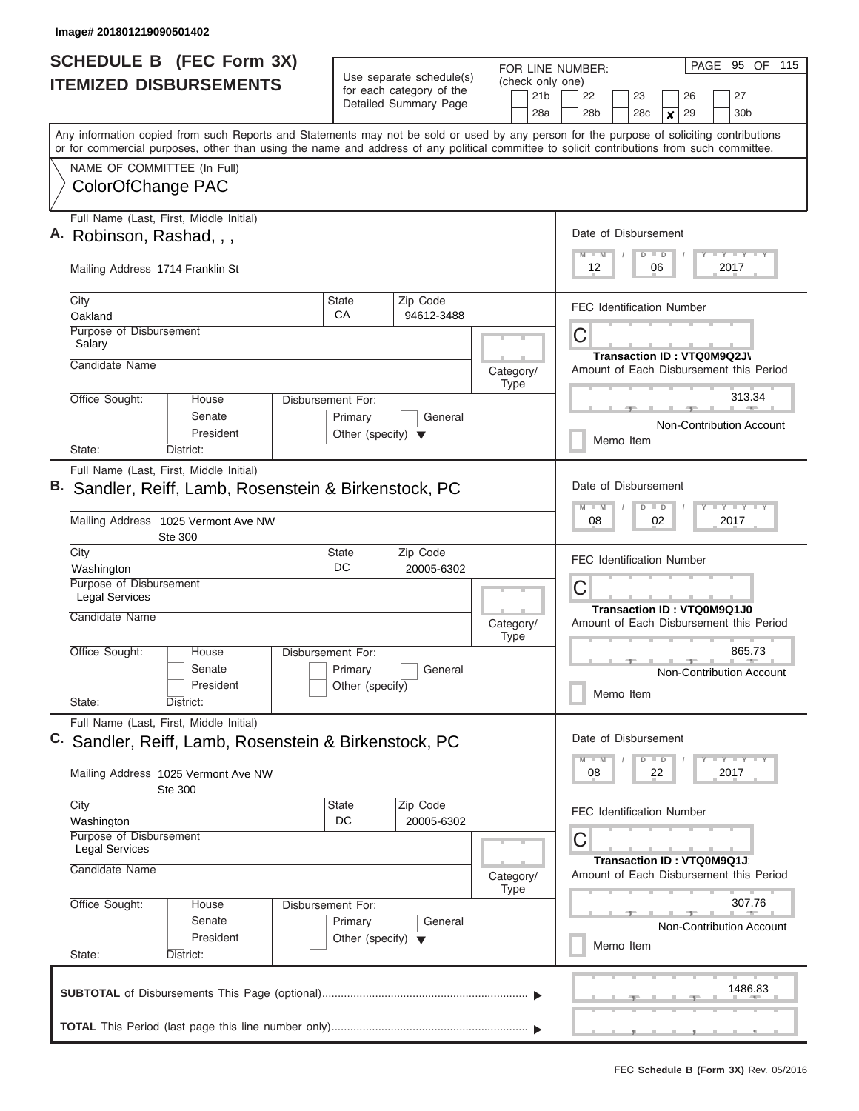| <b>SCHEDULE B</b> (FEC Form 3X)                                                                                                                                                                                                                                                         |                                                                      |                                                                               | FOR LINE NUMBER:                           | PAGE 95 OF 115                                                                            |  |  |  |  |  |
|-----------------------------------------------------------------------------------------------------------------------------------------------------------------------------------------------------------------------------------------------------------------------------------------|----------------------------------------------------------------------|-------------------------------------------------------------------------------|--------------------------------------------|-------------------------------------------------------------------------------------------|--|--|--|--|--|
| <b>ITEMIZED DISBURSEMENTS</b>                                                                                                                                                                                                                                                           |                                                                      | Use separate schedule(s)<br>for each category of the<br>Detailed Summary Page | (check only one)<br>21 <sub>b</sub><br>28a | 22<br>23<br>26<br>27<br>28 <sub>b</sub><br>30 <sub>b</sub><br>28c<br>29<br>$\pmb{\times}$ |  |  |  |  |  |
| Any information copied from such Reports and Statements may not be sold or used by any person for the purpose of soliciting contributions<br>or for commercial purposes, other than using the name and address of any political committee to solicit contributions from such committee. |                                                                      |                                                                               |                                            |                                                                                           |  |  |  |  |  |
| NAME OF COMMITTEE (In Full)<br>ColorOfChange PAC                                                                                                                                                                                                                                        |                                                                      |                                                                               |                                            |                                                                                           |  |  |  |  |  |
| Full Name (Last, First, Middle Initial)<br>Robinson, Rashad, , ,                                                                                                                                                                                                                        |                                                                      |                                                                               |                                            | Date of Disbursement<br>Y FY FY FY<br>$D$ $D$<br>$M$ $M$                                  |  |  |  |  |  |
| Mailing Address 1714 Franklin St                                                                                                                                                                                                                                                        |                                                                      |                                                                               |                                            | 12<br>06<br>2017                                                                          |  |  |  |  |  |
| City<br>Oakland                                                                                                                                                                                                                                                                         | State<br>СA                                                          | Zip Code<br>94612-3488                                                        |                                            | <b>FEC Identification Number</b>                                                          |  |  |  |  |  |
| Purpose of Disbursement<br>Salary                                                                                                                                                                                                                                                       |                                                                      |                                                                               |                                            | C<br>Transaction ID: VTQ0M9Q2JV                                                           |  |  |  |  |  |
| Candidate Name                                                                                                                                                                                                                                                                          |                                                                      |                                                                               | Category/<br><b>Type</b>                   | Amount of Each Disbursement this Period                                                   |  |  |  |  |  |
| Office Sought:<br>House<br>Senate<br>President                                                                                                                                                                                                                                          | Disbursement For:<br>Primary<br>Other (specify) $\blacktriangledown$ | General                                                                       |                                            | 313.34<br>Non-Contribution Account<br>Memo Item                                           |  |  |  |  |  |
| State:<br>District:                                                                                                                                                                                                                                                                     |                                                                      |                                                                               |                                            |                                                                                           |  |  |  |  |  |
| Full Name (Last, First, Middle Initial)<br>B. Sandler, Reiff, Lamb, Rosenstein & Birkenstock, PC                                                                                                                                                                                        |                                                                      |                                                                               |                                            | Date of Disbursement<br>Y FY FY FY<br>$M - M$<br>$D$ $D$                                  |  |  |  |  |  |
| Mailing Address 1025 Vermont Ave NW<br>Ste 300                                                                                                                                                                                                                                          |                                                                      |                                                                               |                                            | 08<br>02<br>2017                                                                          |  |  |  |  |  |
| City<br>Washington                                                                                                                                                                                                                                                                      | State<br>DC                                                          | Zip Code<br>20005-6302                                                        |                                            | <b>FEC Identification Number</b>                                                          |  |  |  |  |  |
| Purpose of Disbursement<br><b>Legal Services</b>                                                                                                                                                                                                                                        |                                                                      |                                                                               |                                            | C<br>Transaction ID: VTQ0M9Q1J0                                                           |  |  |  |  |  |
| Candidate Name                                                                                                                                                                                                                                                                          |                                                                      |                                                                               | Category/<br><b>Type</b>                   | Amount of Each Disbursement this Period                                                   |  |  |  |  |  |
| Office Sought:<br>House<br>Senate<br>President<br>State:<br>District:                                                                                                                                                                                                                   | Disbursement For:<br>Primary<br>Other (specify)                      | General                                                                       |                                            | 865.73<br>Non-Contribution Account<br>Memo Item                                           |  |  |  |  |  |
| Full Name (Last, First, Middle Initial)                                                                                                                                                                                                                                                 |                                                                      |                                                                               |                                            | Date of Disbursement                                                                      |  |  |  |  |  |
| C.<br>Sandler, Reiff, Lamb, Rosenstein & Birkenstock, PC                                                                                                                                                                                                                                |                                                                      |                                                                               |                                            | Y FY FY FY<br>$M - M$<br>$D$ $D$                                                          |  |  |  |  |  |
| Mailing Address 1025 Vermont Ave NW<br>Ste 300                                                                                                                                                                                                                                          |                                                                      |                                                                               |                                            | 08<br>22<br>2017                                                                          |  |  |  |  |  |
| City<br>Washington                                                                                                                                                                                                                                                                      | State<br>DC                                                          | Zip Code<br>20005-6302                                                        |                                            | <b>FEC Identification Number</b>                                                          |  |  |  |  |  |
| Purpose of Disbursement<br><b>Legal Services</b>                                                                                                                                                                                                                                        |                                                                      |                                                                               |                                            | С<br>Transaction ID: VTQ0M9Q1J                                                            |  |  |  |  |  |
| Candidate Name                                                                                                                                                                                                                                                                          |                                                                      |                                                                               | Category/<br><b>Type</b>                   | Amount of Each Disbursement this Period                                                   |  |  |  |  |  |
| Office Sought:<br>House<br>Senate<br>President<br>State:<br>District:                                                                                                                                                                                                                   | Disbursement For:<br>Primary<br>Other (specify) $\blacktriangledown$ | General                                                                       |                                            | 307.76<br><b>Non-Contribution Account</b><br>Memo Item                                    |  |  |  |  |  |
|                                                                                                                                                                                                                                                                                         |                                                                      |                                                                               |                                            | 1486.83                                                                                   |  |  |  |  |  |
|                                                                                                                                                                                                                                                                                         |                                                                      |                                                                               |                                            |                                                                                           |  |  |  |  |  |
|                                                                                                                                                                                                                                                                                         |                                                                      |                                                                               |                                            |                                                                                           |  |  |  |  |  |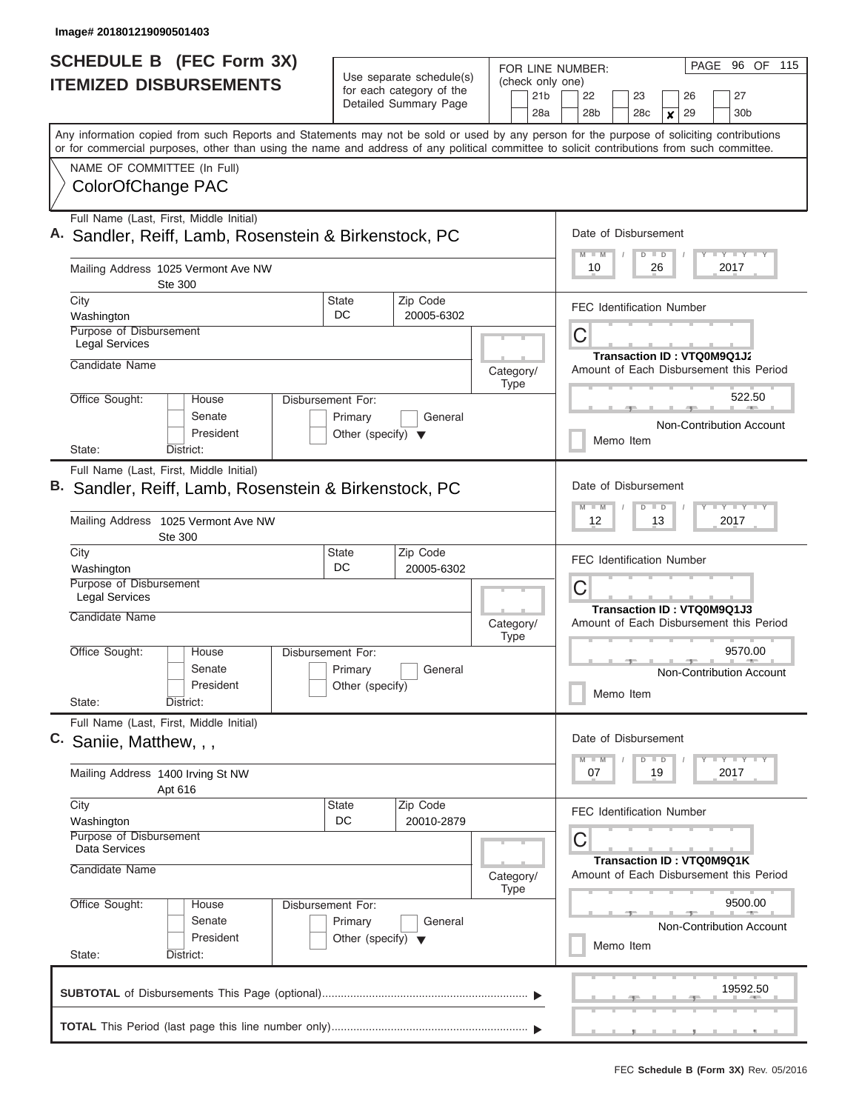| <b>SCHEDULE B</b> (FEC Form 3X)<br>Use separate schedule(s)<br><b>ITEMIZED DISBURSEMENTS</b><br>for each category of the                                                                                                                                                                |                                                                                 |                        | PAGE 96 OF 115<br>FOR LINE NUMBER:<br>(check only one)                                                  |  |  |  |  |  |  |  |
|-----------------------------------------------------------------------------------------------------------------------------------------------------------------------------------------------------------------------------------------------------------------------------------------|---------------------------------------------------------------------------------|------------------------|---------------------------------------------------------------------------------------------------------|--|--|--|--|--|--|--|
|                                                                                                                                                                                                                                                                                         | Detailed Summary Page                                                           | 21 <sub>b</sub><br>28a | 22<br>27<br>23<br>26<br>28 <sub>b</sub><br>28 <sub>c</sub><br>29<br>30 <sub>b</sub><br>$\boldsymbol{x}$ |  |  |  |  |  |  |  |
| Any information copied from such Reports and Statements may not be sold or used by any person for the purpose of soliciting contributions<br>or for commercial purposes, other than using the name and address of any political committee to solicit contributions from such committee. |                                                                                 |                        |                                                                                                         |  |  |  |  |  |  |  |
| NAME OF COMMITTEE (In Full)<br>ColorOfChange PAC                                                                                                                                                                                                                                        |                                                                                 |                        |                                                                                                         |  |  |  |  |  |  |  |
| Full Name (Last, First, Middle Initial)<br>Sandler, Reiff, Lamb, Rosenstein & Birkenstock, PC                                                                                                                                                                                           |                                                                                 |                        | Date of Disbursement<br><b>LY LY LY</b><br>$M$ $M$<br>$D$ $D$                                           |  |  |  |  |  |  |  |
| Mailing Address 1025 Vermont Ave NW<br><b>Ste 300</b>                                                                                                                                                                                                                                   |                                                                                 |                        | 10<br>26<br>2017                                                                                        |  |  |  |  |  |  |  |
| City<br>Washington                                                                                                                                                                                                                                                                      | Zip Code<br><b>State</b><br>DC<br>20005-6302                                    |                        | <b>FEC Identification Number</b>                                                                        |  |  |  |  |  |  |  |
| Purpose of Disbursement<br><b>Legal Services</b><br>Candidate Name                                                                                                                                                                                                                      |                                                                                 | Category/              | С<br>Transaction ID: VTQ0M9Q1J2<br>Amount of Each Disbursement this Period                              |  |  |  |  |  |  |  |
| Office Sought:<br>House<br>Senate<br>President<br>District:<br>State:                                                                                                                                                                                                                   | Disbursement For:<br>Primary<br>General<br>Other (specify) $\blacktriangledown$ | <b>Type</b>            | 522.50<br>Non-Contribution Account<br>Memo Item                                                         |  |  |  |  |  |  |  |
| Full Name (Last, First, Middle Initial)<br>Sandler, Reiff, Lamb, Rosenstein & Birkenstock, PC<br>Mailing Address 1025 Vermont Ave NW                                                                                                                                                    |                                                                                 |                        | Date of Disbursement<br>$T - Y$ $T - Y$ $T - Y$<br>$M - M$<br>$D$ $D$<br>12<br>13<br>2017               |  |  |  |  |  |  |  |
| Ste 300<br>City<br>Washington<br>Purpose of Disbursement                                                                                                                                                                                                                                | Zip Code<br><b>State</b><br>DC<br>20005-6302                                    |                        | <b>FEC Identification Number</b>                                                                        |  |  |  |  |  |  |  |
| <b>Legal Services</b><br>Candidate Name                                                                                                                                                                                                                                                 |                                                                                 | Category/              | С<br><b>Transaction ID: VTQ0M9Q1J3</b><br>Amount of Each Disbursement this Period                       |  |  |  |  |  |  |  |
| Office Sought:<br>House<br>Senate<br>President<br>State:<br>District:                                                                                                                                                                                                                   | Disbursement For:<br>Primary<br>General<br>Other (specify)                      | <b>Type</b>            | 9570.00<br><b>Non-Contribution Account</b><br>Memo Item                                                 |  |  |  |  |  |  |  |
| Full Name (Last, First, Middle Initial)<br>C. Saniie, Matthew, , ,                                                                                                                                                                                                                      |                                                                                 |                        | Date of Disbursement<br>$T - Y$ $T - Y$<br>$M - M$<br>$D$ $D$                                           |  |  |  |  |  |  |  |
| Mailing Address 1400 Irving St NW<br>Apt 616                                                                                                                                                                                                                                            |                                                                                 |                        | 07<br>19<br>2017                                                                                        |  |  |  |  |  |  |  |
| City<br>Washington<br>Purpose of Disbursement<br>Data Services                                                                                                                                                                                                                          | Zip Code<br>State<br>DC<br>20010-2879                                           |                        | FEC Identification Number<br>С<br>Transaction ID: VTQ0M9Q1K                                             |  |  |  |  |  |  |  |
| Candidate Name                                                                                                                                                                                                                                                                          |                                                                                 | Category/<br>Type      | Amount of Each Disbursement this Period                                                                 |  |  |  |  |  |  |  |
| Office Sought:<br>House<br>Senate<br>President<br>State:<br>District:                                                                                                                                                                                                                   | Disbursement For:<br>Primary<br>General<br>Other (specify) $\blacktriangledown$ |                        | 9500.00<br>Non-Contribution Account<br>Memo Item                                                        |  |  |  |  |  |  |  |
|                                                                                                                                                                                                                                                                                         |                                                                                 |                        | 19592.50                                                                                                |  |  |  |  |  |  |  |
|                                                                                                                                                                                                                                                                                         |                                                                                 |                        |                                                                                                         |  |  |  |  |  |  |  |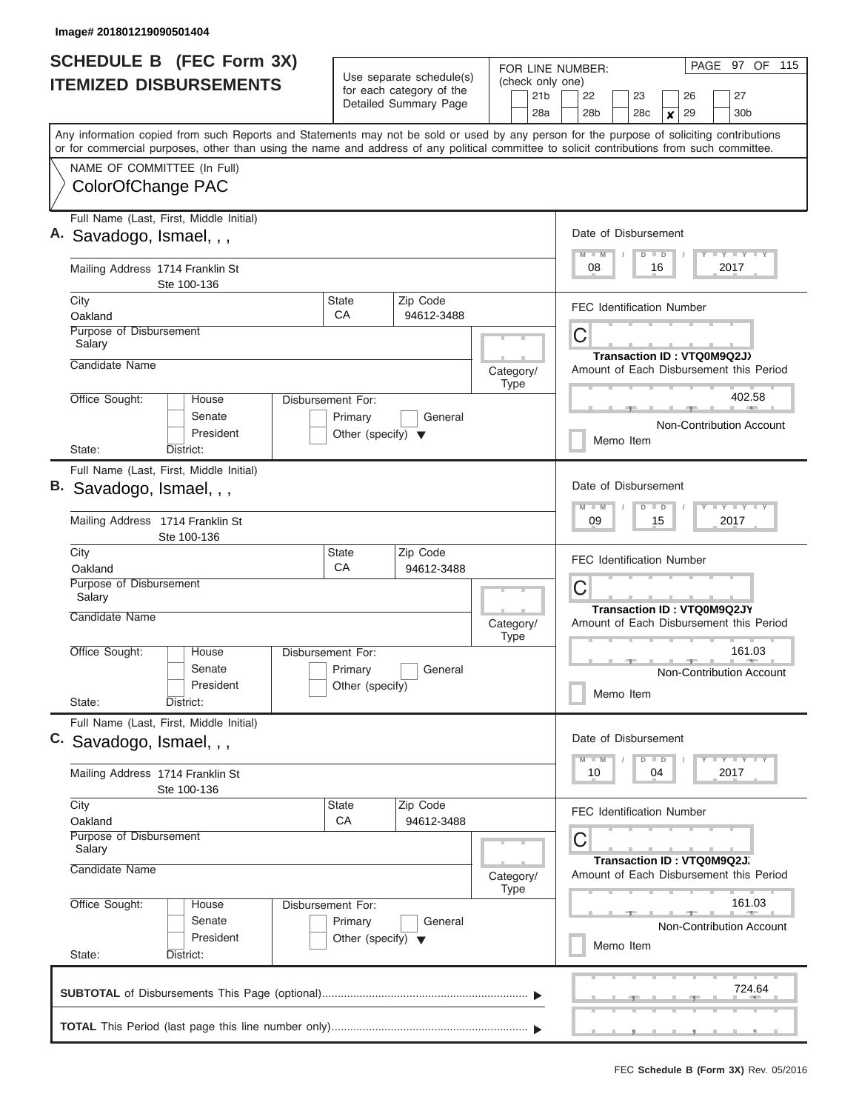| <b>SCHEDULE B (FEC Form 3X)</b>                                                                                                                                                                                                                                                         |                                                                      |                                                                               | FOR LINE NUMBER:                           | PAGE 97 OF 115                                                                                                 |
|-----------------------------------------------------------------------------------------------------------------------------------------------------------------------------------------------------------------------------------------------------------------------------------------|----------------------------------------------------------------------|-------------------------------------------------------------------------------|--------------------------------------------|----------------------------------------------------------------------------------------------------------------|
| <b>ITEMIZED DISBURSEMENTS</b>                                                                                                                                                                                                                                                           |                                                                      | Use separate schedule(s)<br>for each category of the<br>Detailed Summary Page | (check only one)<br>21 <sub>b</sub><br>28a | 27<br>22<br>23<br>26<br>28 <sub>b</sub><br>28c<br>29<br>30 <sub>b</sub><br>$\boldsymbol{x}$                    |
| Any information copied from such Reports and Statements may not be sold or used by any person for the purpose of soliciting contributions<br>or for commercial purposes, other than using the name and address of any political committee to solicit contributions from such committee. |                                                                      |                                                                               |                                            |                                                                                                                |
| NAME OF COMMITTEE (In Full)<br>ColorOfChange PAC                                                                                                                                                                                                                                        |                                                                      |                                                                               |                                            |                                                                                                                |
| Full Name (Last, First, Middle Initial)<br>Savadogo, Ismael, , ,                                                                                                                                                                                                                        |                                                                      |                                                                               |                                            | Date of Disbursement<br>Y LY LY LY<br>$M$ $M$<br>$D$ $D$                                                       |
| Mailing Address 1714 Franklin St<br>Ste 100-136                                                                                                                                                                                                                                         |                                                                      |                                                                               |                                            | 08<br>2017<br>16                                                                                               |
| City<br>Oakland                                                                                                                                                                                                                                                                         | <b>State</b><br>СA                                                   | Zip Code<br>94612-3488                                                        |                                            | <b>FEC Identification Number</b>                                                                               |
| Purpose of Disbursement<br>Salary                                                                                                                                                                                                                                                       |                                                                      |                                                                               |                                            | C<br>Transaction ID: VTQ0M9Q2J)                                                                                |
| Candidate Name                                                                                                                                                                                                                                                                          |                                                                      |                                                                               | Category/<br><b>Type</b>                   | Amount of Each Disbursement this Period                                                                        |
| Office Sought:<br>House<br>Senate<br>President                                                                                                                                                                                                                                          | Disbursement For:<br>Primary<br>Other (specify) $\blacktriangledown$ | General                                                                       |                                            | 402.58<br>Non-Contribution Account                                                                             |
| State:<br>District:                                                                                                                                                                                                                                                                     |                                                                      |                                                                               |                                            | Memo Item                                                                                                      |
| Full Name (Last, First, Middle Initial)<br>Savadogo, Ismael, , ,                                                                                                                                                                                                                        |                                                                      | Date of Disbursement<br>Y FY FY FY<br>$M - M$<br>$D$ $D$                      |                                            |                                                                                                                |
| Mailing Address 1714 Franklin St<br>Ste 100-136                                                                                                                                                                                                                                         |                                                                      |                                                                               |                                            | 09<br>2017<br>15                                                                                               |
| City<br>Oakland                                                                                                                                                                                                                                                                         | State<br>СA                                                          | Zip Code<br>94612-3488                                                        |                                            | <b>FEC Identification Number</b>                                                                               |
| Purpose of Disbursement<br>Salary<br>Candidate Name                                                                                                                                                                                                                                     |                                                                      |                                                                               | Category/                                  | C<br><b>Transaction ID: VTQ0M9Q2JY</b><br>Amount of Each Disbursement this Period                              |
| Office Sought:<br>House<br>Senate<br>President<br>State:<br>District:                                                                                                                                                                                                                   | Disbursement For:<br>Primary<br>Other (specify)                      | General                                                                       | <b>Type</b>                                | 161.03<br>Non-Contribution Account<br>Memo Item                                                                |
| Full Name (Last, First, Middle Initial)<br>C. Savadogo, Ismael, , ,                                                                                                                                                                                                                     |                                                                      |                                                                               |                                            | Date of Disbursement                                                                                           |
| Mailing Address 1714 Franklin St<br>Ste 100-136                                                                                                                                                                                                                                         |                                                                      |                                                                               |                                            | Y TY TY TY<br>$M - M$<br>$D$ $D$<br>10<br>2017<br>04                                                           |
| City<br>Oakland<br>Purpose of Disbursement<br>Salary<br>Candidate Name                                                                                                                                                                                                                  | <b>State</b><br>CA                                                   | Zip Code<br>94612-3488                                                        | Category/                                  | <b>FEC Identification Number</b><br>C<br>Transaction ID: VTQ0M9Q2J.<br>Amount of Each Disbursement this Period |
| Office Sought:<br>House<br>Senate                                                                                                                                                                                                                                                       | Disbursement For:<br>Primary                                         | General                                                                       | Type                                       | 161.03<br>Non-Contribution Account                                                                             |
| President<br>State:<br>District:                                                                                                                                                                                                                                                        | Other (specify) $\blacktriangledown$                                 |                                                                               |                                            | Memo Item                                                                                                      |
|                                                                                                                                                                                                                                                                                         |                                                                      |                                                                               |                                            | 724.64                                                                                                         |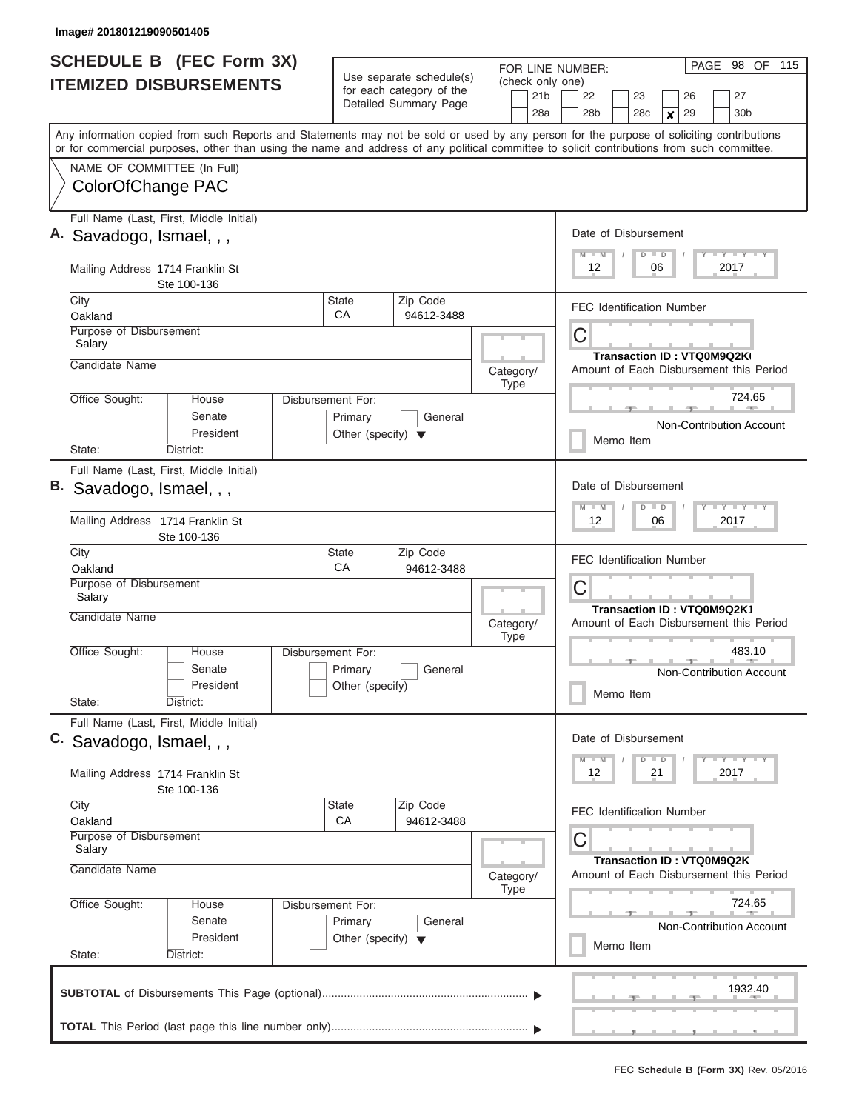| <b>SCHEDULE B</b> (FEC Form 3X)<br><b>ITEMIZED DISBURSEMENTS</b>                                                                                                                                                                                                                        |                                      | Use separate schedule(s)<br>for each category of the<br>Detailed Summary Page | FOR LINE NUMBER:<br>(check only one)<br>21 <sub>b</sub> | 98 OF 115<br>PAGE<br>27<br>22<br>23<br>26                             |
|-----------------------------------------------------------------------------------------------------------------------------------------------------------------------------------------------------------------------------------------------------------------------------------------|--------------------------------------|-------------------------------------------------------------------------------|---------------------------------------------------------|-----------------------------------------------------------------------|
|                                                                                                                                                                                                                                                                                         |                                      |                                                                               | 28a                                                     | 30 <sub>b</sub><br>28 <sub>b</sub><br>28c<br>29<br>$\boldsymbol{x}$   |
| Any information copied from such Reports and Statements may not be sold or used by any person for the purpose of soliciting contributions<br>or for commercial purposes, other than using the name and address of any political committee to solicit contributions from such committee. |                                      |                                                                               |                                                         |                                                                       |
| NAME OF COMMITTEE (In Full)                                                                                                                                                                                                                                                             |                                      |                                                                               |                                                         |                                                                       |
| ColorOfChange PAC                                                                                                                                                                                                                                                                       |                                      |                                                                               |                                                         |                                                                       |
| Full Name (Last, First, Middle Initial)                                                                                                                                                                                                                                                 |                                      |                                                                               |                                                         |                                                                       |
| Savadogo, Ismael, , ,                                                                                                                                                                                                                                                                   |                                      |                                                                               |                                                         | Date of Disbursement<br>Y LY LY LY<br>$M$ $M$<br>$D$ $D$              |
| Mailing Address 1714 Franklin St<br>Ste 100-136                                                                                                                                                                                                                                         |                                      |                                                                               |                                                         | 12<br>2017<br>06                                                      |
| City                                                                                                                                                                                                                                                                                    | <b>State</b>                         | Zip Code                                                                      |                                                         | <b>FEC Identification Number</b>                                      |
| Oakland<br>Purpose of Disbursement                                                                                                                                                                                                                                                      | CA                                   | 94612-3488                                                                    |                                                         |                                                                       |
| Salary                                                                                                                                                                                                                                                                                  |                                      |                                                                               |                                                         | C                                                                     |
| Candidate Name                                                                                                                                                                                                                                                                          |                                      |                                                                               | Category/                                               | Transaction ID: VTQ0M9Q2KI<br>Amount of Each Disbursement this Period |
|                                                                                                                                                                                                                                                                                         |                                      |                                                                               | <b>Type</b>                                             |                                                                       |
| Office Sought:<br>House<br>Senate                                                                                                                                                                                                                                                       | Disbursement For:<br>Primary         | General                                                                       |                                                         | 724.65                                                                |
| President                                                                                                                                                                                                                                                                               | Other (specify) $\blacktriangledown$ |                                                                               |                                                         | Non-Contribution Account                                              |
| State:<br>District:                                                                                                                                                                                                                                                                     |                                      |                                                                               |                                                         | Memo Item                                                             |
| Full Name (Last, First, Middle Initial)                                                                                                                                                                                                                                                 |                                      |                                                                               |                                                         |                                                                       |
| В.<br>Savadogo, Ismael, , ,                                                                                                                                                                                                                                                             |                                      |                                                                               |                                                         | Date of Disbursement                                                  |
| Mailing Address 1714 Franklin St<br>Ste 100-136                                                                                                                                                                                                                                         |                                      |                                                                               |                                                         | Y FY FY FY<br>$M - M$<br>$D$ $D$<br>06<br>2017<br>12                  |
| City                                                                                                                                                                                                                                                                                    | State                                | Zip Code                                                                      |                                                         | <b>FEC Identification Number</b>                                      |
| Oakland                                                                                                                                                                                                                                                                                 | CA                                   | 94612-3488                                                                    |                                                         |                                                                       |
| Purpose of Disbursement<br>Salary                                                                                                                                                                                                                                                       |                                      |                                                                               |                                                         | C                                                                     |
| Candidate Name                                                                                                                                                                                                                                                                          |                                      |                                                                               | Category/<br><b>Type</b>                                | Transaction ID: VTQ0M9Q2K1<br>Amount of Each Disbursement this Period |
| Office Sought:<br>House                                                                                                                                                                                                                                                                 | Disbursement For:                    |                                                                               |                                                         | 483.10                                                                |
| Senate                                                                                                                                                                                                                                                                                  | Primary                              | General                                                                       |                                                         | Non-Contribution Account                                              |
| President<br>State:<br>District:                                                                                                                                                                                                                                                        | Other (specify)                      |                                                                               |                                                         | Memo Item                                                             |
| Full Name (Last, First, Middle Initial)                                                                                                                                                                                                                                                 |                                      |                                                                               |                                                         |                                                                       |
| C. Savadogo, Ismael, , ,                                                                                                                                                                                                                                                                |                                      |                                                                               |                                                         | Date of Disbursement<br>$Y$ $Y$ $Y$ $Y$ $Y$<br>$M - M$<br>$D$ $D$     |
| Mailing Address 1714 Franklin St<br>Ste 100-136                                                                                                                                                                                                                                         |                                      |                                                                               |                                                         | 2017<br>12<br>21                                                      |
| City                                                                                                                                                                                                                                                                                    | State                                | Zip Code                                                                      |                                                         | <b>FEC Identification Number</b>                                      |
| Oakland<br>Purpose of Disbursement<br>Salary                                                                                                                                                                                                                                            | <b>CA</b>                            | 94612-3488                                                                    |                                                         | С                                                                     |
| Candidate Name                                                                                                                                                                                                                                                                          |                                      |                                                                               | Category/<br><b>Type</b>                                | Transaction ID: VTQ0M9Q2K<br>Amount of Each Disbursement this Period  |
| Office Sought:<br>House                                                                                                                                                                                                                                                                 | Disbursement For:                    |                                                                               |                                                         | 724.65                                                                |
| Senate                                                                                                                                                                                                                                                                                  | Primary                              | General                                                                       |                                                         | Non-Contribution Account                                              |
| President                                                                                                                                                                                                                                                                               | Other (specify) $\blacktriangledown$ |                                                                               |                                                         | Memo Item                                                             |
| State:<br>District:                                                                                                                                                                                                                                                                     |                                      |                                                                               |                                                         |                                                                       |
|                                                                                                                                                                                                                                                                                         |                                      |                                                                               |                                                         | 1932.40                                                               |
|                                                                                                                                                                                                                                                                                         |                                      |                                                                               |                                                         |                                                                       |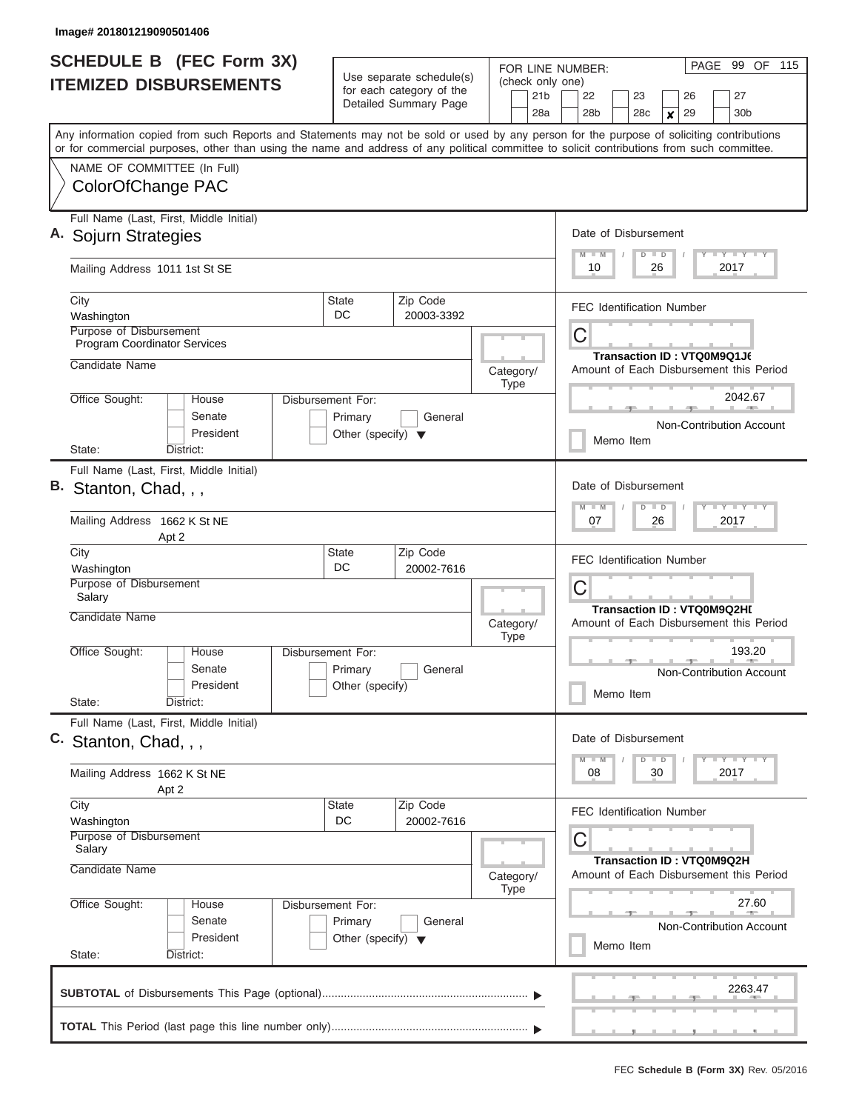|                               | <b>SCHEDULE B</b> (FEC Form 3X)                                                                                                                                                                                                                                                         | Use separate schedule(s)                                             |                          | PAGE 99 OF 115<br>FOR LINE NUMBER:<br>(check only one) |             |                 |   |               |                      |                 |               |                  |                                   |      |                                           |                                         |
|-------------------------------|-----------------------------------------------------------------------------------------------------------------------------------------------------------------------------------------------------------------------------------------------------------------------------------------|----------------------------------------------------------------------|--------------------------|--------------------------------------------------------|-------------|-----------------|---|---------------|----------------------|-----------------|---------------|------------------|-----------------------------------|------|-------------------------------------------|-----------------------------------------|
| <b>ITEMIZED DISBURSEMENTS</b> |                                                                                                                                                                                                                                                                                         |                                                                      | for each category of the |                                                        |             | 21 <sub>b</sub> |   | 22            |                      | 23              |               |                  | 26                                |      | 27                                        |                                         |
|                               |                                                                                                                                                                                                                                                                                         | Detailed Summary Page                                                |                          |                                                        |             | 28a             |   | 28b           |                      | 28 <sub>c</sub> |               | $\boldsymbol{x}$ | 29                                |      | 30b                                       |                                         |
|                               | Any information copied from such Reports and Statements may not be sold or used by any person for the purpose of soliciting contributions<br>or for commercial purposes, other than using the name and address of any political committee to solicit contributions from such committee. |                                                                      |                          |                                                        |             |                 |   |               |                      |                 |               |                  |                                   |      |                                           |                                         |
|                               | NAME OF COMMITTEE (In Full)                                                                                                                                                                                                                                                             |                                                                      |                          |                                                        |             |                 |   |               |                      |                 |               |                  |                                   |      |                                           |                                         |
|                               | ColorOfChange PAC                                                                                                                                                                                                                                                                       |                                                                      |                          |                                                        |             |                 |   |               |                      |                 |               |                  |                                   |      |                                           |                                         |
|                               | Full Name (Last, First, Middle Initial)<br>A. Sojurn Strategies                                                                                                                                                                                                                         |                                                                      |                          |                                                        |             |                 |   |               | Date of Disbursement |                 |               |                  |                                   |      | Y I Y I Y I Y                             |                                         |
|                               | Mailing Address 1011 1st St SE                                                                                                                                                                                                                                                          |                                                                      |                          |                                                        |             |                 |   | $M$ $M$<br>10 |                      |                 | $D$ $D$<br>26 |                  |                                   | 2017 |                                           |                                         |
|                               | City<br>Washington                                                                                                                                                                                                                                                                      | <b>State</b><br>DC                                                   | Zip Code<br>20003-3392   |                                                        |             |                 |   |               |                      |                 |               |                  | <b>FEC Identification Number</b>  |      |                                           |                                         |
|                               | Purpose of Disbursement<br><b>Program Coordinator Services</b>                                                                                                                                                                                                                          |                                                                      |                          |                                                        |             |                 | С |               |                      |                 |               |                  |                                   |      |                                           |                                         |
|                               | Candidate Name                                                                                                                                                                                                                                                                          |                                                                      |                          | Category/                                              | <b>Type</b> |                 |   |               |                      |                 |               |                  | Transaction ID: VTQ0M9Q1J6        |      |                                           | Amount of Each Disbursement this Period |
|                               | Office Sought:<br>House                                                                                                                                                                                                                                                                 | Disbursement For:                                                    |                          |                                                        |             |                 |   |               |                      |                 |               |                  |                                   |      | 2042.67                                   |                                         |
|                               | Senate<br>President                                                                                                                                                                                                                                                                     | Primary<br>Other (specify) $\blacktriangledown$                      | General                  |                                                        |             |                 |   |               | Memo Item            |                 |               |                  |                                   |      | Non-Contribution Account                  |                                         |
|                               | District:<br>State:<br>Full Name (Last, First, Middle Initial)                                                                                                                                                                                                                          |                                                                      |                          |                                                        |             |                 |   |               |                      |                 |               |                  |                                   |      |                                           |                                         |
| В.                            | Stanton, Chad, , ,                                                                                                                                                                                                                                                                      |                                                                      |                          |                                                        |             |                 |   |               | Date of Disbursement |                 |               |                  |                                   |      |                                           |                                         |
|                               | Mailing Address 1662 K St NE<br>Apt 2                                                                                                                                                                                                                                                   |                                                                      |                          |                                                        |             |                 |   | $M - M$<br>07 |                      |                 | $D$ $D$<br>26 |                  |                                   | 2017 | <b>TEY TEY TEY</b>                        |                                         |
|                               | City<br>Washington                                                                                                                                                                                                                                                                      | <b>State</b><br>DC                                                   | Zip Code<br>20002-7616   |                                                        |             |                 |   |               |                      |                 |               |                  | <b>FEC Identification Number</b>  |      |                                           |                                         |
|                               | Purpose of Disbursement<br>Salary                                                                                                                                                                                                                                                       |                                                                      |                          |                                                        |             |                 | С |               |                      |                 |               |                  |                                   |      |                                           |                                         |
|                               | Candidate Name                                                                                                                                                                                                                                                                          |                                                                      |                          | Category/                                              | <b>Type</b> |                 |   |               |                      |                 |               |                  | <b>Transaction ID: VTQ0M9Q2HI</b> |      |                                           | Amount of Each Disbursement this Period |
|                               | Office Sought:<br>House<br>Senate<br>President                                                                                                                                                                                                                                          | Disbursement For:<br>Primary<br>Other (specify)                      | General                  |                                                        |             |                 |   |               |                      |                 |               |                  |                                   |      | 193.20<br><b>Non-Contribution Account</b> |                                         |
|                               | State:<br>District:                                                                                                                                                                                                                                                                     |                                                                      |                          |                                                        |             |                 |   |               | Memo Item            |                 |               |                  |                                   |      |                                           |                                         |
|                               | Full Name (Last, First, Middle Initial)<br>C. Stanton, Chad, , ,                                                                                                                                                                                                                        |                                                                      |                          |                                                        |             |                 |   |               | Date of Disbursement |                 |               |                  |                                   |      |                                           |                                         |
|                               | Mailing Address 1662 K St NE                                                                                                                                                                                                                                                            |                                                                      |                          |                                                        |             |                 |   | $M - M$<br>08 |                      |                 | $D$ $D$<br>30 |                  |                                   | 2017 | $T - Y$ $T - Y$ $T - Y$                   |                                         |
|                               | Apt 2<br>City<br>Washington                                                                                                                                                                                                                                                             | <b>State</b><br>DC                                                   | Zip Code<br>20002-7616   |                                                        |             |                 |   |               |                      |                 |               |                  | <b>FEC Identification Number</b>  |      |                                           |                                         |
|                               | Purpose of Disbursement<br>Salary                                                                                                                                                                                                                                                       |                                                                      |                          |                                                        |             |                 | С |               |                      |                 |               |                  |                                   |      |                                           |                                         |
|                               | Candidate Name                                                                                                                                                                                                                                                                          |                                                                      |                          | Category/                                              | Type        |                 |   |               |                      |                 |               |                  | Transaction ID: VTQ0M9Q2H         |      |                                           | Amount of Each Disbursement this Period |
|                               | Office Sought:<br>House<br>Senate<br>President                                                                                                                                                                                                                                          | Disbursement For:<br>Primary<br>Other (specify) $\blacktriangledown$ | General                  |                                                        |             |                 |   |               | Memo Item            |                 |               |                  |                                   |      | 27.60                                     | <b>Non-Contribution Account</b>         |
|                               | State:<br>District:                                                                                                                                                                                                                                                                     |                                                                      |                          |                                                        |             |                 |   |               |                      |                 |               |                  |                                   |      | 2263.47                                   |                                         |
|                               |                                                                                                                                                                                                                                                                                         |                                                                      |                          |                                                        |             |                 |   |               |                      |                 |               |                  |                                   |      |                                           |                                         |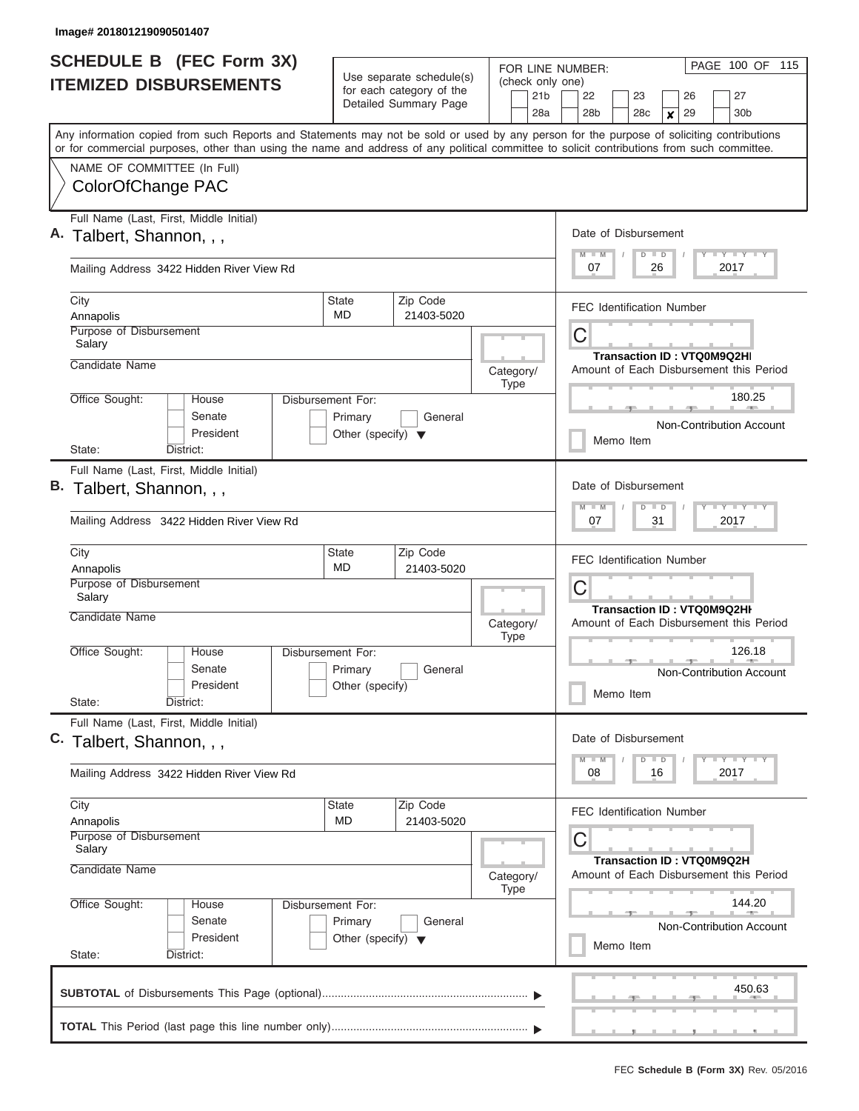| <b>SCHEDULE B</b> (FEC Form 3X)                                                                                                                                                                                                                                                         |                                                                      |                                                                               | FOR LINE NUMBER:                           | PAGE 100 OF 115                                                                           |
|-----------------------------------------------------------------------------------------------------------------------------------------------------------------------------------------------------------------------------------------------------------------------------------------|----------------------------------------------------------------------|-------------------------------------------------------------------------------|--------------------------------------------|-------------------------------------------------------------------------------------------|
| <b>ITEMIZED DISBURSEMENTS</b>                                                                                                                                                                                                                                                           |                                                                      | Use separate schedule(s)<br>for each category of the<br>Detailed Summary Page | (check only one)<br>21 <sub>b</sub><br>28a | 22<br>27<br>23<br>26<br>28 <sub>b</sub><br>29<br>30 <sub>b</sub><br>28c<br>$\pmb{\times}$ |
| Any information copied from such Reports and Statements may not be sold or used by any person for the purpose of soliciting contributions<br>or for commercial purposes, other than using the name and address of any political committee to solicit contributions from such committee. |                                                                      |                                                                               |                                            |                                                                                           |
| NAME OF COMMITTEE (In Full)<br>ColorOfChange PAC                                                                                                                                                                                                                                        |                                                                      |                                                                               |                                            |                                                                                           |
| Full Name (Last, First, Middle Initial)<br>A. Talbert, Shannon, , ,                                                                                                                                                                                                                     |                                                                      |                                                                               |                                            | Date of Disbursement<br>Y I Y I Y I Y<br>$D$ $D$<br>$M$ $M$                               |
| Mailing Address 3422 Hidden River View Rd                                                                                                                                                                                                                                               |                                                                      |                                                                               |                                            | 2017<br>07<br>26                                                                          |
| City<br>Annapolis                                                                                                                                                                                                                                                                       | State<br><b>MD</b>                                                   | Zip Code<br>21403-5020                                                        |                                            | <b>FEC Identification Number</b>                                                          |
| Purpose of Disbursement<br>Salary                                                                                                                                                                                                                                                       |                                                                      |                                                                               |                                            | C<br><b>Transaction ID: VTQ0M9Q2HI</b>                                                    |
| Candidate Name                                                                                                                                                                                                                                                                          |                                                                      |                                                                               | Category/<br><b>Type</b>                   | Amount of Each Disbursement this Period                                                   |
| Office Sought:<br>House<br>Senate<br>President                                                                                                                                                                                                                                          | Disbursement For:<br>Primary<br>Other (specify) $\blacktriangledown$ | General                                                                       |                                            | 180.25<br>11. PER 11.<br>Non-Contribution Account<br>Memo Item                            |
| State:<br>District:<br>Full Name (Last, First, Middle Initial)<br>B. Talbert, Shannon, , ,<br>Mailing Address 3422 Hidden River View Rd                                                                                                                                                 |                                                                      |                                                                               |                                            | Date of Disbursement<br>Y FY FY FY<br>$M - M$<br>$D$ $D$<br>07<br>31<br>2017              |
| City<br>Annapolis<br>Purpose of Disbursement                                                                                                                                                                                                                                            | State<br><b>MD</b>                                                   | Zip Code<br>21403-5020                                                        |                                            | <b>FEC Identification Number</b>                                                          |
| Salary<br>Candidate Name                                                                                                                                                                                                                                                                |                                                                      |                                                                               | Category/<br><b>Type</b>                   | C<br><b>Transaction ID: VTQ0M9Q2HI</b><br>Amount of Each Disbursement this Period         |
| Office Sought:<br>House<br>Senate<br>President<br>State:<br>District:                                                                                                                                                                                                                   | Disbursement For:<br>Primary<br>Other (specify)                      | General                                                                       |                                            | 126.18<br>$1 - 40$<br>Non-Contribution Account<br>Memo Item                               |
| Full Name (Last, First, Middle Initial)<br>C. Talbert, Shannon,                                                                                                                                                                                                                         |                                                                      |                                                                               |                                            | Date of Disbursement<br>$Y$ $Y$ $Y$ $Y$ $Y$<br>$M - M$<br>$D$ $D$                         |
| Mailing Address 3422 Hidden River View Rd                                                                                                                                                                                                                                               |                                                                      |                                                                               |                                            | 08<br>2017<br>16                                                                          |
| City<br>Annapolis<br>Purpose of Disbursement<br>Salary                                                                                                                                                                                                                                  | State<br>MD                                                          | Zip Code<br>21403-5020                                                        |                                            | <b>FEC Identification Number</b><br>C                                                     |
| Candidate Name                                                                                                                                                                                                                                                                          |                                                                      |                                                                               | Category/<br><b>Type</b>                   | <b>Transaction ID: VTQ0M9Q2H</b><br>Amount of Each Disbursement this Period               |
| Office Sought:<br>House<br>Senate<br>President<br>State:<br>District:                                                                                                                                                                                                                   | Disbursement For:<br>Primary<br>Other (specify) $\blacktriangledown$ | General                                                                       |                                            | 144.20<br>Non-Contribution Account<br>Memo Item                                           |
|                                                                                                                                                                                                                                                                                         |                                                                      |                                                                               |                                            | 450.63                                                                                    |
|                                                                                                                                                                                                                                                                                         |                                                                      |                                                                               |                                            |                                                                                           |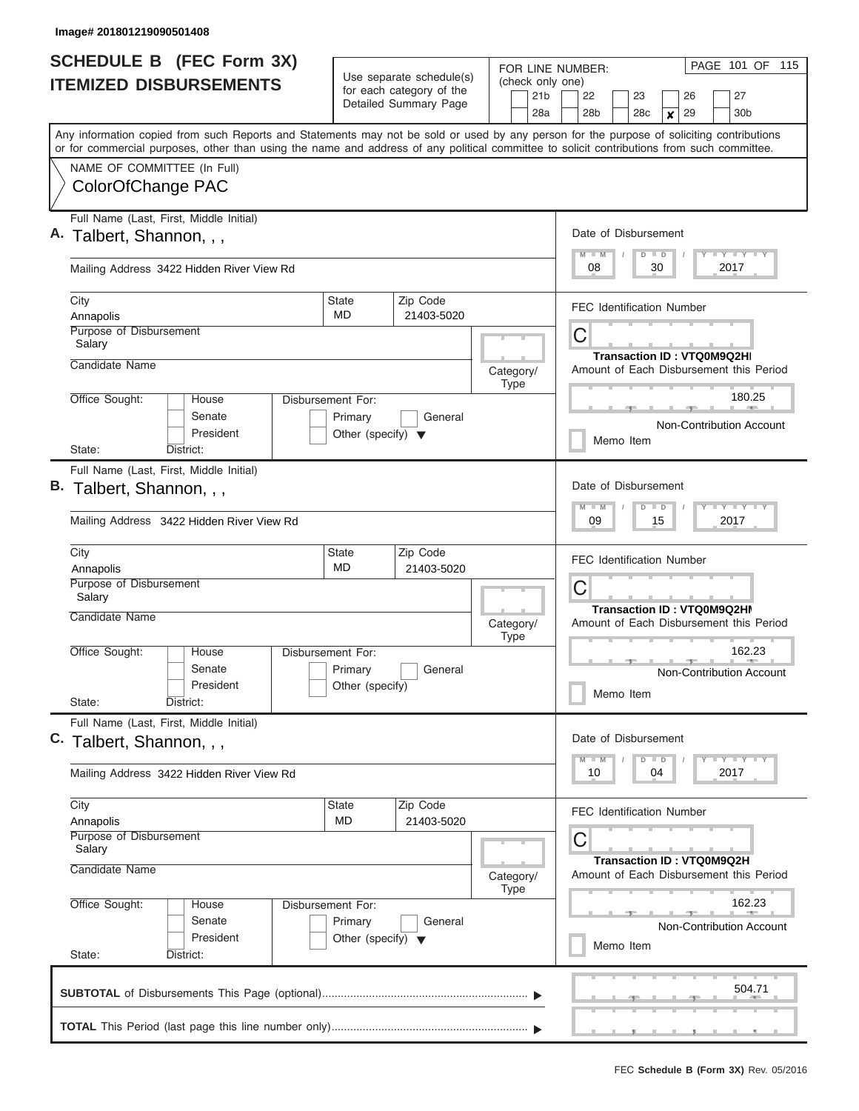| <b>SCHEDULE B (FEC Form 3X)</b><br><b>ITEMIZED DISBURSEMENTS</b>                                                                                                                                                                                                                        | Use separate schedule(s)<br>for each category of the                 |                        | FOR LINE NUMBER:<br>(check only one)<br>21 <sub>b</sub> | PAGE 101 OF 115<br>22<br>27<br>23<br>26                                               |
|-----------------------------------------------------------------------------------------------------------------------------------------------------------------------------------------------------------------------------------------------------------------------------------------|----------------------------------------------------------------------|------------------------|---------------------------------------------------------|---------------------------------------------------------------------------------------|
|                                                                                                                                                                                                                                                                                         |                                                                      | Detailed Summary Page  | 28a                                                     | 28b<br>30b<br>28 <sub>c</sub><br>29<br>×                                              |
| Any information copied from such Reports and Statements may not be sold or used by any person for the purpose of soliciting contributions<br>or for commercial purposes, other than using the name and address of any political committee to solicit contributions from such committee. |                                                                      |                        |                                                         |                                                                                       |
| NAME OF COMMITTEE (In Full)<br>ColorOfChange PAC                                                                                                                                                                                                                                        |                                                                      |                        |                                                         |                                                                                       |
| Full Name (Last, First, Middle Initial)<br>A. Talbert, Shannon, , ,                                                                                                                                                                                                                     |                                                                      |                        |                                                         | Date of Disbursement<br>$T$ $T$ $T$ $T$ $T$ $T$ $T$ $T$ $T$ $T$<br>$M$ $M$<br>$D$ $D$ |
| Mailing Address 3422 Hidden River View Rd                                                                                                                                                                                                                                               |                                                                      |                        |                                                         | 08<br>30<br>2017                                                                      |
| City<br>Annapolis<br>Purpose of Disbursement                                                                                                                                                                                                                                            | <b>State</b><br>MD.                                                  | Zip Code<br>21403-5020 |                                                         | <b>FEC Identification Number</b><br>С                                                 |
| Salary<br>Candidate Name                                                                                                                                                                                                                                                                |                                                                      |                        | Category/<br><b>Type</b>                                | <b>Transaction ID: VTQ0M9Q2HI</b><br>Amount of Each Disbursement this Period          |
| Office Sought:<br>House<br>Senate<br>President                                                                                                                                                                                                                                          | Disbursement For:<br>Primary<br>Other (specify) $\blacktriangledown$ | General                |                                                         | 180.25<br>Non-Contribution Account<br>Memo Item                                       |
| District:<br>State:                                                                                                                                                                                                                                                                     |                                                                      |                        |                                                         |                                                                                       |
| Full Name (Last, First, Middle Initial)<br>B. Talbert, Shannon, , ,                                                                                                                                                                                                                     |                                                                      |                        |                                                         | Date of Disbursement<br>$T - Y$ $T - Y$ $T - Y$<br>$M - M$<br>$D$ $D$                 |
| Mailing Address 3422 Hidden River View Rd                                                                                                                                                                                                                                               |                                                                      |                        |                                                         | 09<br>15<br>2017                                                                      |
| City<br>Annapolis                                                                                                                                                                                                                                                                       | State<br><b>MD</b>                                                   | Zip Code<br>21403-5020 |                                                         | <b>FEC Identification Number</b>                                                      |
| Purpose of Disbursement<br>Salary                                                                                                                                                                                                                                                       |                                                                      |                        |                                                         | С<br>Transaction ID: VTQ0M9Q2HI                                                       |
| <b>Candidate Name</b>                                                                                                                                                                                                                                                                   |                                                                      |                        | Category/<br><b>Type</b>                                | Amount of Each Disbursement this Period                                               |
| Office Sought:<br>House<br>Senate<br>President<br>State:<br>District:                                                                                                                                                                                                                   | Disbursement For:<br>Primary<br>Other (specify)                      | General                |                                                         | 162.23<br>Non-Contribution Account<br>Memo Item                                       |
| Full Name (Last, First, Middle Initial)<br>C. Talbert, Shannon, , ,                                                                                                                                                                                                                     |                                                                      |                        |                                                         | Date of Disbursement                                                                  |
| Mailing Address 3422 Hidden River View Rd                                                                                                                                                                                                                                               |                                                                      |                        |                                                         | <b>LY LY LY</b><br>$M - M$<br>$D$ $D$<br>10<br>04<br>2017                             |
| City<br>Annapolis                                                                                                                                                                                                                                                                       | State<br><b>MD</b>                                                   | Zip Code<br>21403-5020 |                                                         | <b>FEC Identification Number</b>                                                      |
| Purpose of Disbursement<br>Salary                                                                                                                                                                                                                                                       |                                                                      |                        |                                                         | С<br>Transaction ID: VTQ0M9Q2H                                                        |
| Candidate Name                                                                                                                                                                                                                                                                          |                                                                      |                        | Category/<br><b>Type</b>                                | Amount of Each Disbursement this Period                                               |
| Office Sought:<br>House<br>Senate<br>President<br>State:<br>District:                                                                                                                                                                                                                   | Disbursement For:<br>Primary<br>Other (specify) $\blacktriangledown$ | General                |                                                         | 162.23<br>Non-Contribution Account<br>Memo Item                                       |
|                                                                                                                                                                                                                                                                                         |                                                                      |                        |                                                         | 504.71                                                                                |
|                                                                                                                                                                                                                                                                                         |                                                                      |                        |                                                         |                                                                                       |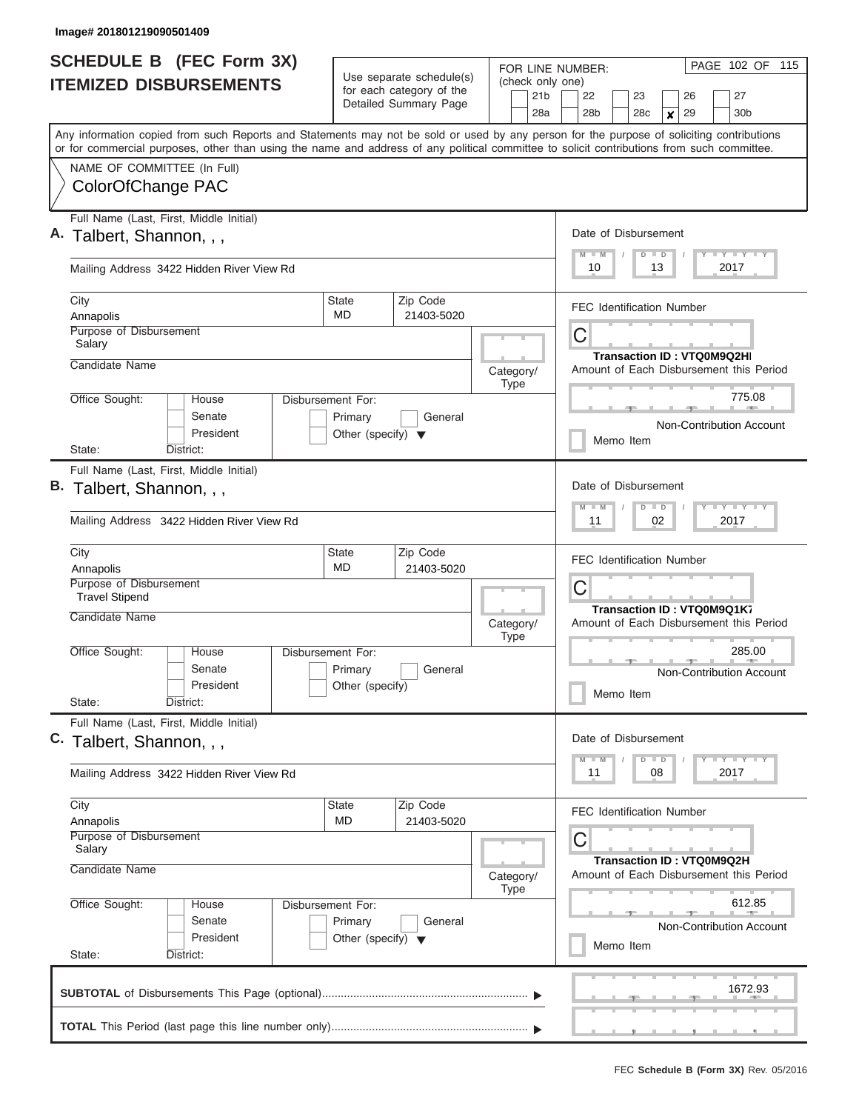| <b>SCHEDULE B (FEC Form 3X)</b><br><b>ITEMIZED DISBURSEMENTS</b>                                                                                                                                                                                                                        | Use separate schedule(s)<br>for each category of the                 |                        | FOR LINE NUMBER:<br>(check only one)<br>21 <sub>b</sub> | PAGE 102 OF 115<br>22<br>27<br>23<br>26                                                    |
|-----------------------------------------------------------------------------------------------------------------------------------------------------------------------------------------------------------------------------------------------------------------------------------------|----------------------------------------------------------------------|------------------------|---------------------------------------------------------|--------------------------------------------------------------------------------------------|
|                                                                                                                                                                                                                                                                                         |                                                                      | Detailed Summary Page  | 28a                                                     | 28b<br>30b<br>28 <sub>c</sub><br>29<br>×                                                   |
| Any information copied from such Reports and Statements may not be sold or used by any person for the purpose of soliciting contributions<br>or for commercial purposes, other than using the name and address of any political committee to solicit contributions from such committee. |                                                                      |                        |                                                         |                                                                                            |
| NAME OF COMMITTEE (In Full)<br>ColorOfChange PAC                                                                                                                                                                                                                                        |                                                                      |                        |                                                         |                                                                                            |
| Full Name (Last, First, Middle Initial)<br>A. Talbert, Shannon, , ,                                                                                                                                                                                                                     |                                                                      |                        |                                                         | Date of Disbursement<br>$T$ $T$ $T$ $T$ $T$ $T$ $T$ $T$ $T$ $T$<br>$M$ $M$<br>$D$ $D$<br>Y |
| Mailing Address 3422 Hidden River View Rd                                                                                                                                                                                                                                               |                                                                      |                        |                                                         | 10<br>13<br>2017                                                                           |
| City<br>Annapolis<br>Purpose of Disbursement                                                                                                                                                                                                                                            | <b>State</b><br>MD.                                                  | Zip Code<br>21403-5020 |                                                         | <b>FEC Identification Number</b><br>С                                                      |
| Salary<br>Candidate Name                                                                                                                                                                                                                                                                |                                                                      |                        | Category/<br><b>Type</b>                                | <b>Transaction ID: VTQ0M9Q2HI</b><br>Amount of Each Disbursement this Period               |
| Office Sought:<br>House<br>Senate<br>President                                                                                                                                                                                                                                          | Disbursement For:<br>Primary<br>Other (specify) $\blacktriangledown$ | General                |                                                         | 775.08<br>Non-Contribution Account<br>Memo Item                                            |
| District:<br>State:                                                                                                                                                                                                                                                                     |                                                                      |                        |                                                         |                                                                                            |
| Full Name (Last, First, Middle Initial)<br>B. Talbert, Shannon, , ,                                                                                                                                                                                                                     |                                                                      |                        |                                                         | Date of Disbursement<br>$T - Y$ $T - Y$ $T - Y$<br>$M - M$<br>$D$ $D$                      |
| Mailing Address 3422 Hidden River View Rd                                                                                                                                                                                                                                               |                                                                      |                        |                                                         | 11<br>02<br>2017                                                                           |
| City<br>Annapolis                                                                                                                                                                                                                                                                       | State<br><b>MD</b>                                                   | Zip Code<br>21403-5020 |                                                         | <b>FEC Identification Number</b>                                                           |
| Purpose of Disbursement<br><b>Travel Stipend</b>                                                                                                                                                                                                                                        |                                                                      |                        |                                                         | С<br>Transaction ID: VTQ0M9Q1K7                                                            |
| <b>Candidate Name</b>                                                                                                                                                                                                                                                                   |                                                                      |                        | Category/<br><b>Type</b>                                | Amount of Each Disbursement this Period                                                    |
| Office Sought:<br>House<br>Senate<br>President<br>State:<br>District:                                                                                                                                                                                                                   | Disbursement For:<br>Primary<br>Other (specify)                      | General                |                                                         | 285.00<br>Non-Contribution Account<br>Memo Item                                            |
| Full Name (Last, First, Middle Initial)<br>C. Talbert, Shannon, , ,                                                                                                                                                                                                                     |                                                                      |                        |                                                         | Date of Disbursement                                                                       |
| Mailing Address 3422 Hidden River View Rd                                                                                                                                                                                                                                               |                                                                      |                        |                                                         | <b>LY LY LY</b><br>$M$ $M$<br>$D$ $D$<br>11<br>08<br>2017                                  |
| City<br>Annapolis                                                                                                                                                                                                                                                                       | State<br>MD                                                          | Zip Code<br>21403-5020 |                                                         | <b>FEC Identification Number</b>                                                           |
| Purpose of Disbursement<br>Salary                                                                                                                                                                                                                                                       |                                                                      |                        |                                                         | С<br>Transaction ID: VTQ0M9Q2H                                                             |
| Candidate Name                                                                                                                                                                                                                                                                          |                                                                      |                        | Category/<br><b>Type</b>                                | Amount of Each Disbursement this Period<br>612.85                                          |
| Office Sought:<br>House<br>Senate<br>President<br>State:<br>District:                                                                                                                                                                                                                   | Disbursement For:<br>Primary<br>Other (specify) $\blacktriangledown$ | General                |                                                         | Non-Contribution Account<br>Memo Item                                                      |
|                                                                                                                                                                                                                                                                                         |                                                                      |                        |                                                         | 1672.93                                                                                    |
|                                                                                                                                                                                                                                                                                         |                                                                      |                        |                                                         |                                                                                            |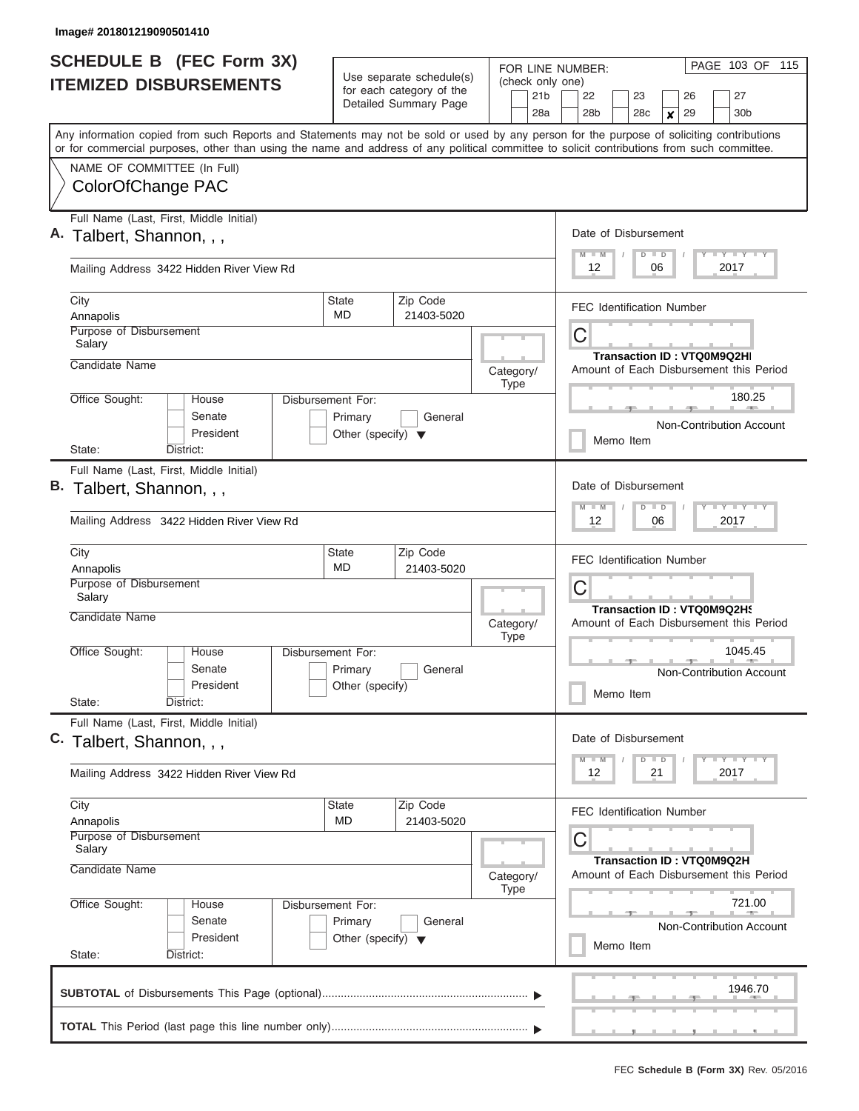ı

| <b>SCHEDULE B</b> (FEC Form 3X)                                                                                                                                                                                                                                                         |                                                                      |                                                                               | FOR LINE NUMBER:                           | PAGE 103 OF 115                                                                                               |
|-----------------------------------------------------------------------------------------------------------------------------------------------------------------------------------------------------------------------------------------------------------------------------------------|----------------------------------------------------------------------|-------------------------------------------------------------------------------|--------------------------------------------|---------------------------------------------------------------------------------------------------------------|
| <b>ITEMIZED DISBURSEMENTS</b>                                                                                                                                                                                                                                                           |                                                                      | Use separate schedule(s)<br>for each category of the<br>Detailed Summary Page | (check only one)<br>21 <sub>b</sub><br>28a | 27<br>22<br>23<br>26<br>28 <sub>b</sub><br>29<br>30 <sub>b</sub><br>28 <sub>c</sub><br>X                      |
| Any information copied from such Reports and Statements may not be sold or used by any person for the purpose of soliciting contributions<br>or for commercial purposes, other than using the name and address of any political committee to solicit contributions from such committee. |                                                                      |                                                                               |                                            |                                                                                                               |
| NAME OF COMMITTEE (In Full)<br>ColorOfChange PAC                                                                                                                                                                                                                                        |                                                                      |                                                                               |                                            |                                                                                                               |
| Full Name (Last, First, Middle Initial)<br>A. Talbert, Shannon, , ,                                                                                                                                                                                                                     |                                                                      |                                                                               |                                            | Date of Disbursement<br>Y FY FY FY<br>$D$ $D$<br>$M$ $M$                                                      |
| Mailing Address 3422 Hidden River View Rd                                                                                                                                                                                                                                               |                                                                      |                                                                               |                                            | 12<br>06<br>2017                                                                                              |
| City<br>Annapolis                                                                                                                                                                                                                                                                       | State<br><b>MD</b>                                                   | Zip Code<br>21403-5020                                                        |                                            | <b>FEC Identification Number</b>                                                                              |
| Purpose of Disbursement<br>Salary                                                                                                                                                                                                                                                       |                                                                      |                                                                               |                                            | C<br><b>Transaction ID: VTQ0M9Q2HI</b>                                                                        |
| Candidate Name                                                                                                                                                                                                                                                                          |                                                                      |                                                                               | Category/<br><b>Type</b>                   | Amount of Each Disbursement this Period<br>180.25                                                             |
| Office Sought:<br>House<br>Senate<br>President                                                                                                                                                                                                                                          | Disbursement For:<br>Primary<br>Other (specify) $\blacktriangledown$ | General                                                                       |                                            | Non-Contribution Account<br>Memo Item                                                                         |
| State:<br>District:<br>Full Name (Last, First, Middle Initial)<br>B. Talbert, Shannon, , ,<br>Mailing Address 3422 Hidden River View Rd                                                                                                                                                 |                                                                      |                                                                               |                                            | Date of Disbursement<br>Y FY FY FY<br>$M - M$<br>$D$ $D$<br>12<br>06<br>2017                                  |
| City<br>Annapolis<br>Purpose of Disbursement                                                                                                                                                                                                                                            | <b>State</b><br><b>MD</b>                                            | Zip Code<br>21403-5020                                                        |                                            | <b>FEC Identification Number</b><br>C                                                                         |
| Salary<br>Candidate Name                                                                                                                                                                                                                                                                |                                                                      |                                                                               | Category/<br><b>Type</b>                   | Transaction ID: VTQ0M9Q2H9<br>Amount of Each Disbursement this Period                                         |
| Office Sought:<br>House<br>Senate<br>President<br>State:<br>District:                                                                                                                                                                                                                   | Disbursement For:<br>Primary<br>Other (specify)                      | General                                                                       |                                            | 1045.45<br>$\rightarrow$<br>Non-Contribution Account<br>Memo Item                                             |
| Full Name (Last, First, Middle Initial)<br>C. Talbert, Shannon, , ,                                                                                                                                                                                                                     |                                                                      |                                                                               |                                            | Date of Disbursement<br>$D$ $D$<br>Y FY FY FY<br>$M$ $M$                                                      |
| Mailing Address 3422 Hidden River View Rd                                                                                                                                                                                                                                               |                                                                      |                                                                               |                                            | 12<br>21<br>2017                                                                                              |
| City<br>Annapolis<br>Purpose of Disbursement<br>Salary<br>Candidate Name                                                                                                                                                                                                                | State<br>MD                                                          | Zip Code<br>21403-5020                                                        | Category/                                  | <b>FEC Identification Number</b><br>С<br>Transaction ID: VTQ0M9Q2H<br>Amount of Each Disbursement this Period |
| Office Sought:<br>House<br>Senate<br>President<br>State:<br>District:                                                                                                                                                                                                                   | Disbursement For:<br>Primary<br>Other (specify) $\blacktriangledown$ | General                                                                       | <b>Type</b>                                | 721.00<br>Non-Contribution Account<br>Memo Item                                                               |
|                                                                                                                                                                                                                                                                                         |                                                                      |                                                                               |                                            | 1946.70<br>.                                                                                                  |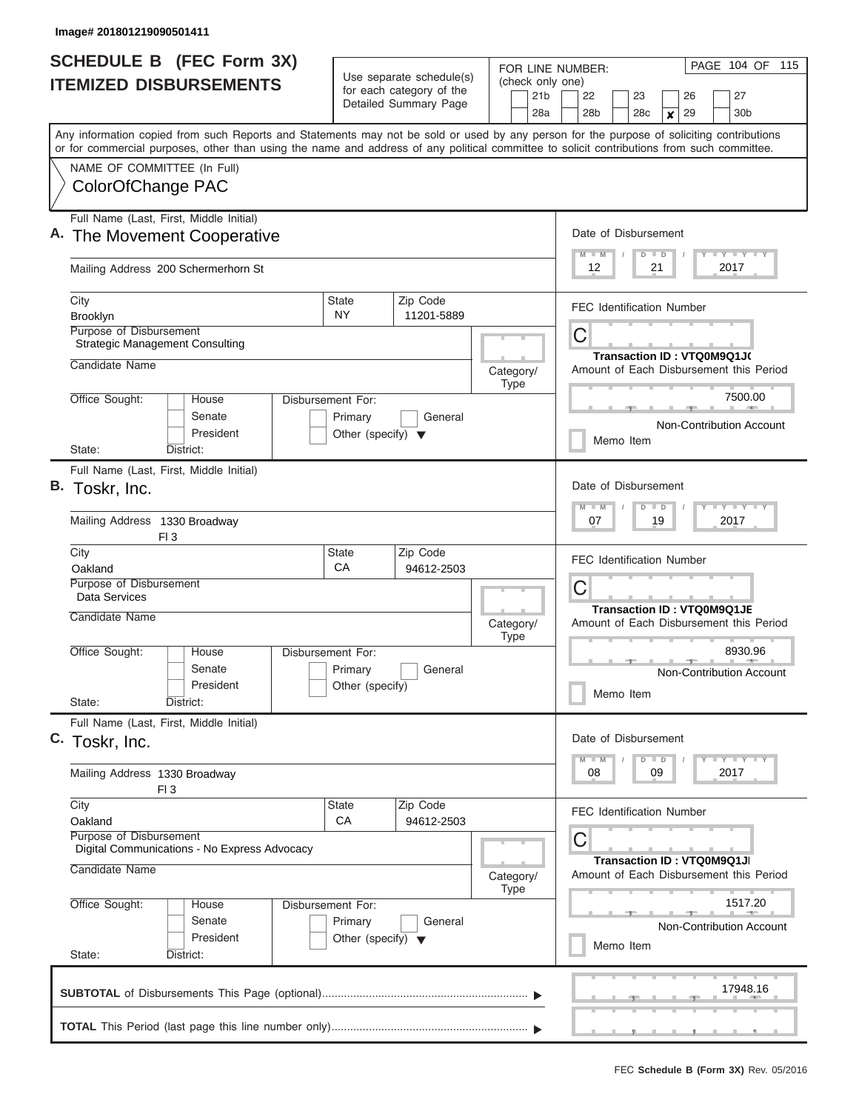| <b>SCHEDULE B (FEC Form 3X)</b><br><b>ITEMIZED DISBURSEMENTS</b>                                                                                                                                                                                                                                                                            |                                                                      | Use separate schedule(s)<br>for each category of the<br>Detailed Summary Page | FOR LINE NUMBER:<br>(check only one)<br>21 <sub>b</sub><br>28a | PAGE 104 OF 115<br>27<br>22<br>23<br>26<br>29<br>28 <sub>b</sub><br>28c<br>30 <sub>b</sub><br>× |
|---------------------------------------------------------------------------------------------------------------------------------------------------------------------------------------------------------------------------------------------------------------------------------------------------------------------------------------------|----------------------------------------------------------------------|-------------------------------------------------------------------------------|----------------------------------------------------------------|-------------------------------------------------------------------------------------------------|
| Any information copied from such Reports and Statements may not be sold or used by any person for the purpose of soliciting contributions<br>or for commercial purposes, other than using the name and address of any political committee to solicit contributions from such committee.<br>NAME OF COMMITTEE (In Full)<br>ColorOfChange PAC |                                                                      |                                                                               |                                                                |                                                                                                 |
| Full Name (Last, First, Middle Initial)<br>A. The Movement Cooperative                                                                                                                                                                                                                                                                      |                                                                      |                                                                               |                                                                | Date of Disbursement<br>Y LY LY LY<br>$M$ $M$<br>$D$ $D$                                        |
| Mailing Address 200 Schermerhorn St<br>City                                                                                                                                                                                                                                                                                                 | <b>State</b>                                                         | Zip Code                                                                      |                                                                | 12<br>2017<br>21                                                                                |
| Brooklyn<br>Purpose of Disbursement<br><b>Strategic Management Consulting</b>                                                                                                                                                                                                                                                               | <b>NY</b>                                                            | 11201-5889                                                                    |                                                                | <b>FEC Identification Number</b><br>C                                                           |
| Candidate Name<br>Office Sought:<br>House                                                                                                                                                                                                                                                                                                   | Disbursement For:                                                    |                                                                               | Category/<br><b>Type</b>                                       | Transaction ID: VTQ0M9Q1J(<br>Amount of Each Disbursement this Period<br>7500.00                |
| Senate<br>President<br>District:<br>State:                                                                                                                                                                                                                                                                                                  | Primary<br>Other (specify) $\blacktriangledown$                      | General                                                                       |                                                                | Non-Contribution Account<br>Memo Item                                                           |
| Full Name (Last, First, Middle Initial)<br>B. Toskr, Inc.                                                                                                                                                                                                                                                                                   |                                                                      |                                                                               |                                                                | Date of Disbursement<br>Y FY FY FY<br>$M - M$<br>$D$ $D$                                        |
| Mailing Address 1330 Broadway<br>FI3                                                                                                                                                                                                                                                                                                        |                                                                      |                                                                               |                                                                | 19<br>07<br>2017                                                                                |
| City<br>Oakland<br>Purpose of Disbursement<br>Data Services                                                                                                                                                                                                                                                                                 | State<br>CA                                                          | Zip Code<br>94612-2503                                                        |                                                                | <b>FEC Identification Number</b><br>C                                                           |
| Candidate Name<br>Office Sought:<br>House                                                                                                                                                                                                                                                                                                   | Disbursement For:                                                    |                                                                               | Category/<br><b>Type</b>                                       | <b>Transaction ID: VTQ0M9Q1JE</b><br>Amount of Each Disbursement this Period<br>8930.96         |
| Senate<br>President<br>State:<br>District:                                                                                                                                                                                                                                                                                                  | Primary<br>Other (specify)                                           | General                                                                       |                                                                | Non-Contribution Account<br>Memo Item                                                           |
| Full Name (Last, First, Middle Initial)<br>C. Toskr, Inc.                                                                                                                                                                                                                                                                                   |                                                                      |                                                                               |                                                                | Date of Disbursement<br>$Y$ $Y$ $Y$ $Y$ $Y$ $Y$<br>$M - M$<br>$D$ $D$                           |
| Mailing Address 1330 Broadway<br>FI <sub>3</sub>                                                                                                                                                                                                                                                                                            |                                                                      |                                                                               |                                                                | 2017<br>08<br>09                                                                                |
| City<br>Oakland<br>Purpose of Disbursement                                                                                                                                                                                                                                                                                                  | State<br>CA                                                          | Zip Code<br>94612-2503                                                        |                                                                | <b>FEC Identification Number</b><br>С                                                           |
| Digital Communications - No Express Advocacy<br>Candidate Name                                                                                                                                                                                                                                                                              |                                                                      |                                                                               | Category/<br><b>Type</b>                                       | Transaction ID: VTQ0M9Q1JI<br>Amount of Each Disbursement this Period                           |
| Office Sought:<br>House<br>Senate<br>President<br>State:<br>District:                                                                                                                                                                                                                                                                       | Disbursement For:<br>Primary<br>Other (specify) $\blacktriangledown$ | General                                                                       |                                                                | 1517.20<br><b>Non-Contribution Account</b><br>Memo Item                                         |
|                                                                                                                                                                                                                                                                                                                                             |                                                                      |                                                                               |                                                                | 17948.16                                                                                        |
|                                                                                                                                                                                                                                                                                                                                             |                                                                      |                                                                               |                                                                |                                                                                                 |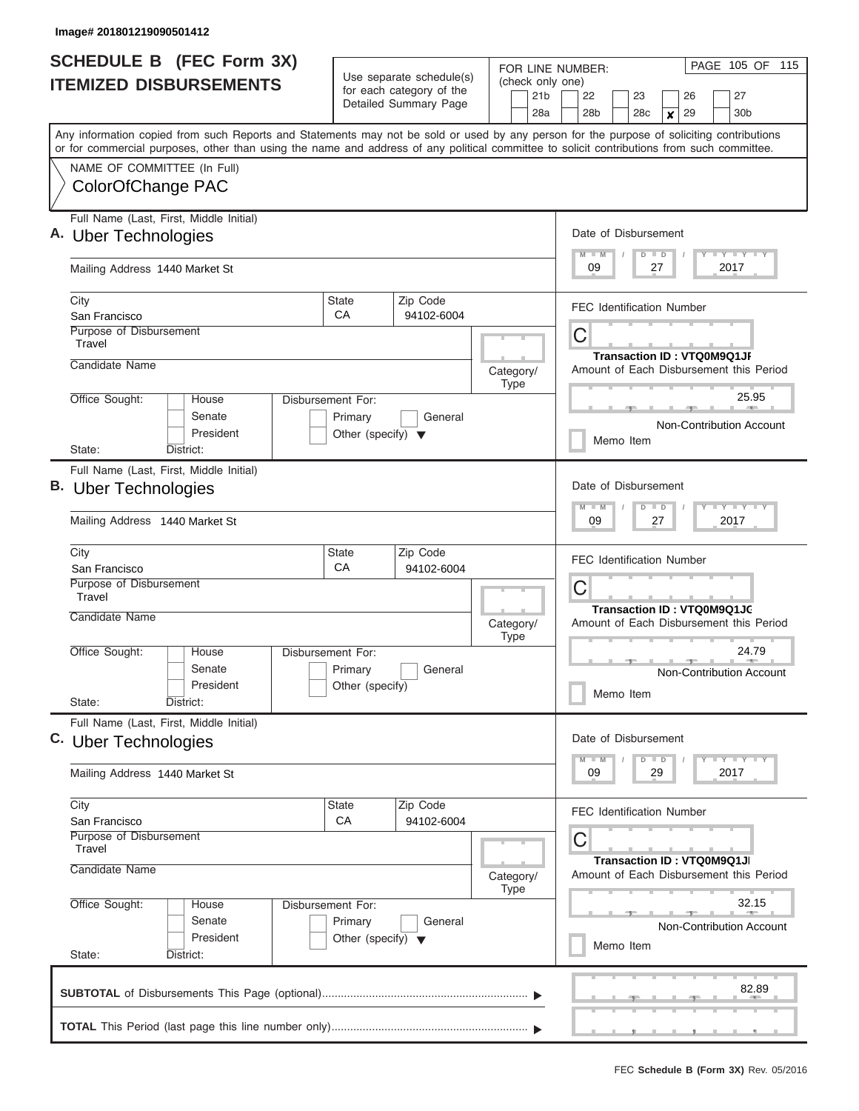| <b>SCHEDULE B</b> (FEC Form 3X)<br><b>ITEMIZED DISBURSEMENTS</b>                                                                                                                                                                                                                        |                                                                      | Use separate schedule(s)<br>for each category of the<br>Detailed Summary Page | FOR LINE NUMBER:<br>(check only one)<br>21 <sub>b</sub><br>28a | PAGE 105 OF 115<br>27<br>22<br>23<br>26<br>28 <sub>b</sub><br>28 <sub>c</sub><br>29<br>30 <sub>b</sub> |
|-----------------------------------------------------------------------------------------------------------------------------------------------------------------------------------------------------------------------------------------------------------------------------------------|----------------------------------------------------------------------|-------------------------------------------------------------------------------|----------------------------------------------------------------|--------------------------------------------------------------------------------------------------------|
| Any information copied from such Reports and Statements may not be sold or used by any person for the purpose of soliciting contributions<br>or for commercial purposes, other than using the name and address of any political committee to solicit contributions from such committee. |                                                                      |                                                                               |                                                                | ×                                                                                                      |
| NAME OF COMMITTEE (In Full)<br>ColorOfChange PAC                                                                                                                                                                                                                                        |                                                                      |                                                                               |                                                                |                                                                                                        |
| Full Name (Last, First, Middle Initial)<br>A. Uber Technologies                                                                                                                                                                                                                         |                                                                      |                                                                               |                                                                | Date of Disbursement<br><b>TEY LY LY</b><br>$M$ $M$<br>$D$ $D$                                         |
| Mailing Address 1440 Market St                                                                                                                                                                                                                                                          |                                                                      |                                                                               |                                                                | 09<br>2017<br>27                                                                                       |
| City<br>San Francisco                                                                                                                                                                                                                                                                   | <b>State</b><br>CA                                                   | Zip Code<br>94102-6004                                                        |                                                                | <b>FEC Identification Number</b>                                                                       |
| Purpose of Disbursement<br>Travel                                                                                                                                                                                                                                                       |                                                                      |                                                                               |                                                                | С<br><b>Transaction ID: VTQ0M9Q1JF</b>                                                                 |
| Candidate Name                                                                                                                                                                                                                                                                          |                                                                      |                                                                               | Category/<br><b>Type</b>                                       | Amount of Each Disbursement this Period                                                                |
| Office Sought:<br>House<br>Senate<br>President                                                                                                                                                                                                                                          | Disbursement For:<br>Primary<br>Other (specify) $\blacktriangledown$ | General                                                                       |                                                                | 25.95<br>Non-Contribution Account                                                                      |
| State:<br>District:                                                                                                                                                                                                                                                                     |                                                                      |                                                                               |                                                                | Memo Item                                                                                              |
| Full Name (Last, First, Middle Initial)<br>B. Uber Technologies                                                                                                                                                                                                                         |                                                                      |                                                                               |                                                                | Date of Disbursement<br>$T$ $Y$ $T$ $Y$ $T$<br>$M - M$<br>$D$ $D$                                      |
| Mailing Address 1440 Market St                                                                                                                                                                                                                                                          |                                                                      |                                                                               |                                                                | 09<br>27<br>2017                                                                                       |
| City<br>San Francisco                                                                                                                                                                                                                                                                   | <b>State</b><br>CA                                                   | Zip Code<br>94102-6004                                                        |                                                                | <b>FEC Identification Number</b>                                                                       |
| Purpose of Disbursement<br>Travel                                                                                                                                                                                                                                                       |                                                                      |                                                                               |                                                                | C<br><b>Transaction ID: VTQ0M9Q1JC</b>                                                                 |
| Candidate Name                                                                                                                                                                                                                                                                          |                                                                      |                                                                               | Category/<br><b>Type</b>                                       | Amount of Each Disbursement this Period                                                                |
| Office Sought:<br>House<br>Senate<br>President<br>State:<br>District:                                                                                                                                                                                                                   | <b>Disbursement For:</b><br>Primary<br>Other (specify)               | General                                                                       |                                                                | 24.79<br>Non-Contribution Account<br>Memo Item                                                         |
| Full Name (Last, First, Middle Initial)                                                                                                                                                                                                                                                 |                                                                      |                                                                               |                                                                |                                                                                                        |
| C. Uber Technologies                                                                                                                                                                                                                                                                    |                                                                      |                                                                               |                                                                | Date of Disbursement<br>$T - Y$ $T - Y$<br>$D$ $D$<br>$M - M$                                          |
| Mailing Address 1440 Market St                                                                                                                                                                                                                                                          |                                                                      |                                                                               |                                                                | 09<br>29<br>2017                                                                                       |
| City<br>San Francisco                                                                                                                                                                                                                                                                   | State<br>СA                                                          | Zip Code<br>94102-6004                                                        |                                                                | <b>FEC Identification Number</b>                                                                       |
| Purpose of Disbursement<br>Travel                                                                                                                                                                                                                                                       |                                                                      |                                                                               |                                                                | С                                                                                                      |
| Candidate Name                                                                                                                                                                                                                                                                          |                                                                      |                                                                               | Category/<br><b>Type</b>                                       | Transaction ID: VTQ0M9Q1JI<br>Amount of Each Disbursement this Period                                  |
| Office Sought:<br>House<br>Senate<br>President                                                                                                                                                                                                                                          | Disbursement For:<br>Primary<br>Other (specify) $\blacktriangledown$ | General                                                                       |                                                                | 32.15<br>Non-Contribution Account<br>Memo Item                                                         |
| State:<br>District:                                                                                                                                                                                                                                                                     |                                                                      |                                                                               |                                                                | 82.89                                                                                                  |
|                                                                                                                                                                                                                                                                                         |                                                                      |                                                                               |                                                                | ___                                                                                                    |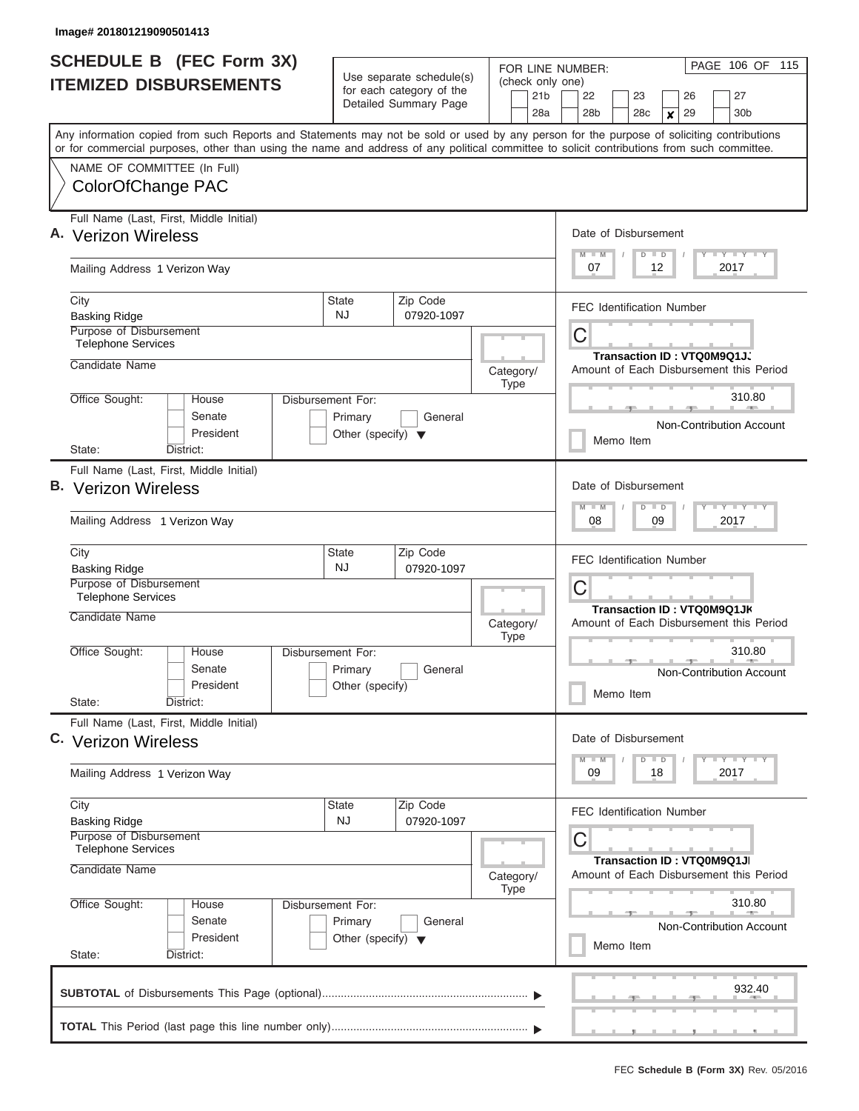|                                                                                                                                                                                                                                                                                         |                                                                      | for each category of the | 21 <sub>b</sub>          | (check only one)<br>22<br>23<br>26<br>27                                                  |
|-----------------------------------------------------------------------------------------------------------------------------------------------------------------------------------------------------------------------------------------------------------------------------------------|----------------------------------------------------------------------|--------------------------|--------------------------|-------------------------------------------------------------------------------------------|
|                                                                                                                                                                                                                                                                                         |                                                                      | Detailed Summary Page    | 28a                      | 28 <sub>b</sub><br>28 <sub>c</sub><br>29<br>30 <sub>b</sub><br>$\mathbf{x}$               |
| Any information copied from such Reports and Statements may not be sold or used by any person for the purpose of soliciting contributions<br>or for commercial purposes, other than using the name and address of any political committee to solicit contributions from such committee. |                                                                      |                          |                          |                                                                                           |
| NAME OF COMMITTEE (In Full)<br>ColorOfChange PAC                                                                                                                                                                                                                                        |                                                                      |                          |                          |                                                                                           |
| Full Name (Last, First, Middle Initial)<br>A. Verizon Wireless                                                                                                                                                                                                                          |                                                                      |                          |                          | Date of Disbursement                                                                      |
| Mailing Address 1 Verizon Way                                                                                                                                                                                                                                                           |                                                                      |                          |                          | <b>TEY TEY TEY</b><br>$M$ $M$<br>$D$ $D$<br>07<br>12<br>2017                              |
| City<br><b>Basking Ridge</b>                                                                                                                                                                                                                                                            | State<br>NJ.                                                         | Zip Code<br>07920-1097   |                          | <b>FEC Identification Number</b>                                                          |
| Purpose of Disbursement<br><b>Telephone Services</b>                                                                                                                                                                                                                                    |                                                                      |                          |                          | C<br>Transaction ID: VTQ0M9Q1JJ                                                           |
| Candidate Name                                                                                                                                                                                                                                                                          |                                                                      |                          | Category/<br><b>Type</b> | Amount of Each Disbursement this Period                                                   |
| Office Sought:<br>House<br>Senate<br>President                                                                                                                                                                                                                                          | Disbursement For:<br>Primary<br>Other (specify) $\blacktriangledown$ | General                  |                          | 310.80<br>Non-Contribution Account<br>Memo Item                                           |
| District:<br>State:                                                                                                                                                                                                                                                                     |                                                                      |                          |                          |                                                                                           |
| Full Name (Last, First, Middle Initial)<br><b>B.</b> Verizon Wireless<br>Mailing Address 1 Verizon Way                                                                                                                                                                                  |                                                                      |                          |                          | Date of Disbursement<br>$T = Y - T - Y - T - Y$<br>$M - M$<br>$D$ $D$<br>08<br>09<br>2017 |
| City<br><b>Basking Ridge</b>                                                                                                                                                                                                                                                            | State<br><b>NJ</b>                                                   | Zip Code<br>07920-1097   |                          | <b>FEC Identification Number</b>                                                          |
| Purpose of Disbursement<br><b>Telephone Services</b><br>Candidate Name                                                                                                                                                                                                                  |                                                                      |                          |                          | C<br>Transaction ID: VTQ0M9Q1JK                                                           |
| Office Sought:<br>House                                                                                                                                                                                                                                                                 | Disbursement For:                                                    |                          | Category/<br><b>Type</b> | Amount of Each Disbursement this Period<br>310.80                                         |
| Senate<br>President<br>State:<br>District:                                                                                                                                                                                                                                              | Primary<br>Other (specify)                                           | General                  |                          | Non-Contribution Account<br>Memo Item                                                     |
| Full Name (Last, First, Middle Initial)<br>C. Verizon Wireless                                                                                                                                                                                                                          |                                                                      |                          |                          | Date of Disbursement                                                                      |
| Mailing Address 1 Verizon Way                                                                                                                                                                                                                                                           |                                                                      |                          |                          | $T$ $Y$ $T$ $Y$ $T$ $Y$<br>$M - M$<br>$D$ $D$<br>09<br>18<br>2017                         |
| City<br><b>Basking Ridge</b>                                                                                                                                                                                                                                                            | State<br><b>NJ</b>                                                   | Zip Code<br>07920-1097   |                          | <b>FEC Identification Number</b>                                                          |
| Purpose of Disbursement<br><b>Telephone Services</b><br>Candidate Name                                                                                                                                                                                                                  |                                                                      |                          | Category/<br><b>Type</b> | С<br>Transaction ID : VTQ0M9Q1JI<br>Amount of Each Disbursement this Period               |
| Office Sought:<br>House<br>Senate<br>President<br>State:<br>District:                                                                                                                                                                                                                   | Disbursement For:<br>Primary<br>Other (specify) $\blacktriangledown$ | General                  |                          | 310.80<br>Non-Contribution Account<br>Memo Item                                           |
|                                                                                                                                                                                                                                                                                         |                                                                      |                          |                          | 932.40                                                                                    |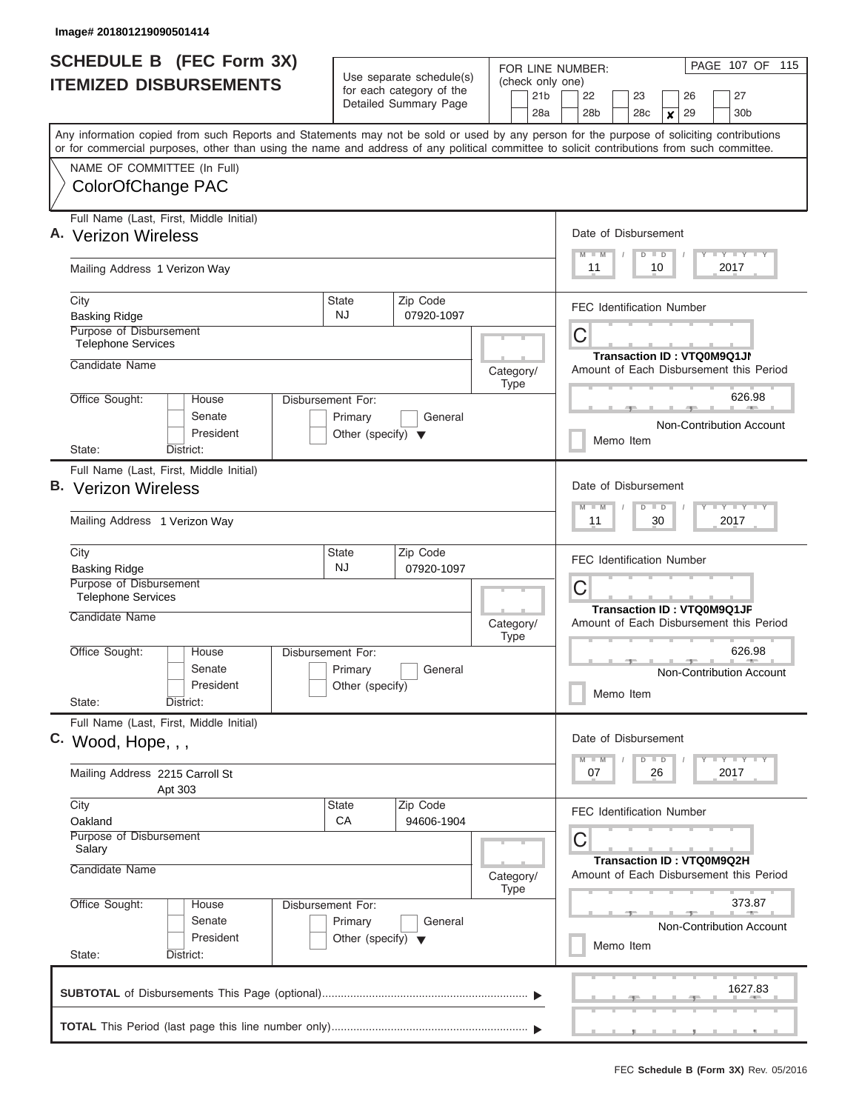| <b>SCHEDULE B (FEC Form 3X)</b><br><b>ITEMIZED DISBURSEMENTS</b>                                                                                                                                                                                                                        | Use separate schedule(s)<br>for each category of the<br>Detailed Summary Page | FOR LINE NUMBER:<br>(check only one)<br>21b | PAGE 107 OF 115<br>22<br>23<br>27<br>26                                                                                                 |
|-----------------------------------------------------------------------------------------------------------------------------------------------------------------------------------------------------------------------------------------------------------------------------------------|-------------------------------------------------------------------------------|---------------------------------------------|-----------------------------------------------------------------------------------------------------------------------------------------|
| Any information copied from such Reports and Statements may not be sold or used by any person for the purpose of soliciting contributions<br>or for commercial purposes, other than using the name and address of any political committee to solicit contributions from such committee. |                                                                               | 28a                                         | 28 <sub>b</sub><br>28 <sub>c</sub><br>29<br>30 <sub>b</sub><br>$\boldsymbol{x}$                                                         |
| NAME OF COMMITTEE (In Full)<br>ColorOfChange PAC                                                                                                                                                                                                                                        |                                                                               |                                             |                                                                                                                                         |
| Full Name (Last, First, Middle Initial)<br>A. Verizon Wireless                                                                                                                                                                                                                          |                                                                               |                                             | Date of Disbursement<br>$T$ $Y$ $T$ $Y$ $T$ $Y$<br>$M$ $M$<br>$D$ $D$                                                                   |
| Mailing Address 1 Verizon Way                                                                                                                                                                                                                                                           |                                                                               |                                             | 11<br>10<br>2017                                                                                                                        |
| City<br><b>Basking Ridge</b><br>Purpose of Disbursement                                                                                                                                                                                                                                 | Zip Code<br><b>State</b><br>NJ.<br>07920-1097                                 |                                             | <b>FEC Identification Number</b><br>С                                                                                                   |
| <b>Telephone Services</b><br>Candidate Name                                                                                                                                                                                                                                             |                                                                               | Category/<br>Type                           | Transaction ID: VTQ0M9Q1JN<br>Amount of Each Disbursement this Period                                                                   |
| Office Sought:<br><b>Disbursement For:</b><br>House<br>Senate<br>President<br>State:<br>District:                                                                                                                                                                                       | Primary<br>General<br>Other (specify) $\blacktriangledown$                    |                                             | 626.98<br>Non-Contribution Account<br>Memo Item                                                                                         |
| Full Name (Last, First, Middle Initial)<br><b>B.</b> Verizon Wireless<br>Mailing Address 1 Verizon Way                                                                                                                                                                                  |                                                                               |                                             | Date of Disbursement<br>$T$ $Y$ $T$ $Y$ $T$<br>$\overline{\mathsf{M}}$<br>$- M$<br>$\overline{D}$<br>$\blacksquare$<br>11<br>30<br>2017 |
| City<br><b>Basking Ridge</b><br>Purpose of Disbursement<br><b>Telephone Services</b>                                                                                                                                                                                                    | Zip Code<br><b>State</b><br>NJ<br>07920-1097                                  |                                             | <b>FEC Identification Number</b><br>С                                                                                                   |
| Candidate Name                                                                                                                                                                                                                                                                          |                                                                               | Category/<br><b>Type</b>                    | Transaction ID: VTQ0M9Q1JF<br>Amount of Each Disbursement this Period                                                                   |
| Office Sought:<br>Disbursement For:<br>House<br>Senate<br>President<br>State:<br>District:                                                                                                                                                                                              | Primary<br>General<br>Other (specify)                                         |                                             | 626.98<br><b>Non-Contribution Account</b><br>Memo Item                                                                                  |
| Full Name (Last, First, Middle Initial)<br>C. Wood, Hope, , ,                                                                                                                                                                                                                           |                                                                               |                                             | Date of Disbursement<br>$T - Y$ $T - Y$<br>$M - M$<br>$D \parallel D$                                                                   |
| Mailing Address 2215 Carroll St<br>Apt 303                                                                                                                                                                                                                                              |                                                                               |                                             | 07<br>26<br>2017                                                                                                                        |
| City<br>Oakland<br>Purpose of Disbursement<br>Salary                                                                                                                                                                                                                                    | <b>State</b><br>Zip Code<br>CA<br>94606-1904                                  |                                             | <b>FEC Identification Number</b><br>С                                                                                                   |
| Candidate Name                                                                                                                                                                                                                                                                          |                                                                               | Category/<br>Type                           | Transaction ID: VTQ0M9Q2H<br>Amount of Each Disbursement this Period                                                                    |
| Office Sought:<br>Disbursement For:<br>House<br>Senate<br>President<br>State:<br>District:                                                                                                                                                                                              | Primary<br>General<br>Other (specify) $\blacktriangledown$                    |                                             | 373.87<br><b>Non-Contribution Account</b><br>Memo Item                                                                                  |
|                                                                                                                                                                                                                                                                                         |                                                                               |                                             | 1627.83                                                                                                                                 |
|                                                                                                                                                                                                                                                                                         |                                                                               |                                             |                                                                                                                                         |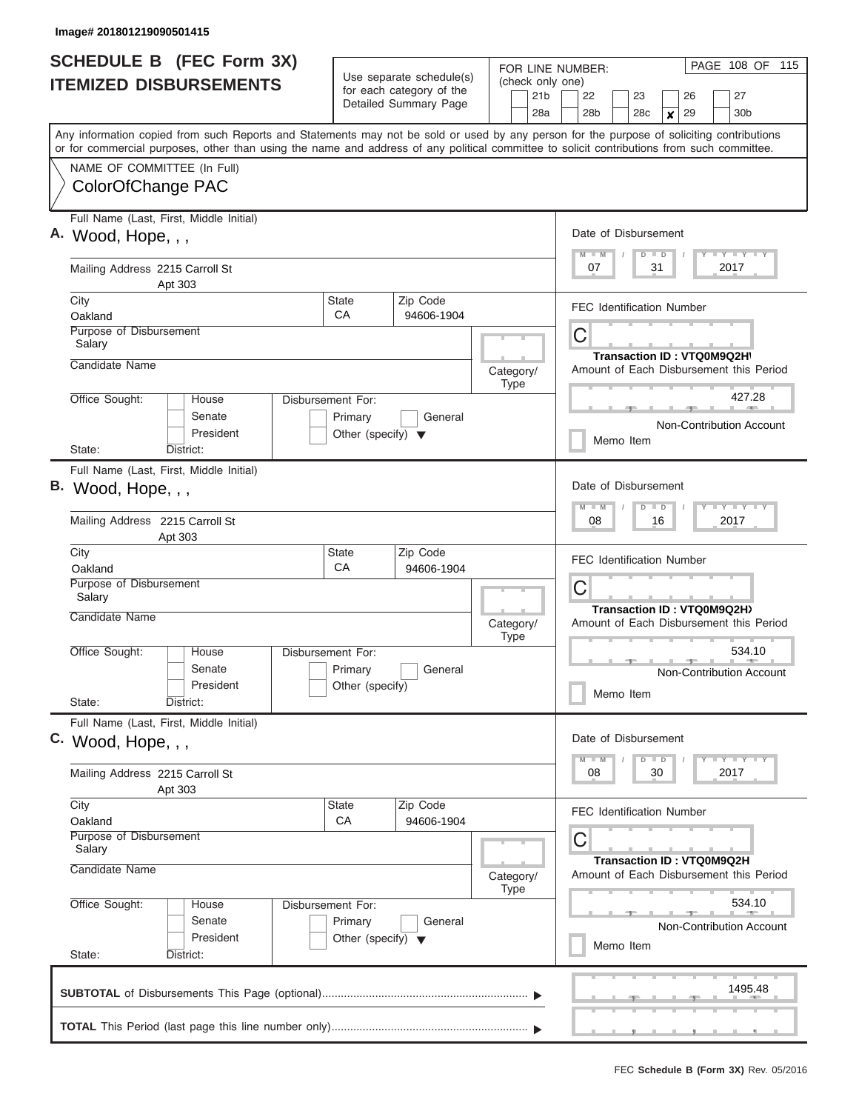| <b>SCHEDULE B</b> (FEC Form 3X)                                                                                                                                                                                                                                                         |                                                                      |                                                                               | FOR LINE NUMBER:                           | PAGE 108 OF 115                                                                           |
|-----------------------------------------------------------------------------------------------------------------------------------------------------------------------------------------------------------------------------------------------------------------------------------------|----------------------------------------------------------------------|-------------------------------------------------------------------------------|--------------------------------------------|-------------------------------------------------------------------------------------------|
| <b>ITEMIZED DISBURSEMENTS</b>                                                                                                                                                                                                                                                           |                                                                      | Use separate schedule(s)<br>for each category of the<br>Detailed Summary Page | (check only one)<br>21 <sub>b</sub><br>28a | 22<br>23<br>26<br>27<br>28 <sub>b</sub><br>30 <sub>b</sub><br>28c<br>29<br>$\pmb{\times}$ |
| Any information copied from such Reports and Statements may not be sold or used by any person for the purpose of soliciting contributions<br>or for commercial purposes, other than using the name and address of any political committee to solicit contributions from such committee. |                                                                      |                                                                               |                                            |                                                                                           |
| NAME OF COMMITTEE (In Full)<br>ColorOfChange PAC                                                                                                                                                                                                                                        |                                                                      |                                                                               |                                            |                                                                                           |
| Full Name (Last, First, Middle Initial)<br>A. Wood, Hope, , ,                                                                                                                                                                                                                           |                                                                      |                                                                               |                                            | Date of Disbursement<br>Y FY FY FY<br>$M$ $M$<br>$D$ $D$                                  |
| Mailing Address 2215 Carroll St<br>Apt 303                                                                                                                                                                                                                                              |                                                                      |                                                                               |                                            | 07<br>31<br>2017                                                                          |
| City<br>Oakland                                                                                                                                                                                                                                                                         | State<br>СA                                                          | Zip Code<br>94606-1904                                                        |                                            | <b>FEC Identification Number</b>                                                          |
| Purpose of Disbursement<br>Salary<br>Candidate Name                                                                                                                                                                                                                                     |                                                                      |                                                                               |                                            | C<br>Transaction ID: VTQ0M9Q2H\                                                           |
| Office Sought:<br>House                                                                                                                                                                                                                                                                 |                                                                      |                                                                               | Category/<br><b>Type</b>                   | Amount of Each Disbursement this Period<br>427.28                                         |
| Senate<br>President                                                                                                                                                                                                                                                                     | Disbursement For:<br>Primary<br>Other (specify) $\blacktriangledown$ | General                                                                       |                                            | Non-Contribution Account<br>Memo Item                                                     |
| State:<br>District:<br>Full Name (Last, First, Middle Initial)<br>B. Wood, Hope, , ,                                                                                                                                                                                                    |                                                                      |                                                                               |                                            | Date of Disbursement<br>Y FY FY FY<br>$M - M$<br>$D$ $D$                                  |
| Mailing Address 2215 Carroll St<br>Apt 303                                                                                                                                                                                                                                              |                                                                      |                                                                               |                                            | 08<br>16<br>2017                                                                          |
| City<br>Oakland<br>Purpose of Disbursement                                                                                                                                                                                                                                              | State<br>CA                                                          | Zip Code<br>94606-1904                                                        |                                            | <b>FEC Identification Number</b>                                                          |
| Salary<br>Candidate Name                                                                                                                                                                                                                                                                |                                                                      |                                                                               | Category/<br><b>Type</b>                   | C<br>Transaction ID: VTQ0M9Q2H)<br>Amount of Each Disbursement this Period                |
| Office Sought:<br>House<br>Senate<br>President<br>State:<br>District:                                                                                                                                                                                                                   | Disbursement For:<br>Primary<br>Other (specify)                      | General                                                                       |                                            | 534.10<br>Non-Contribution Account<br>Memo Item                                           |
| Full Name (Last, First, Middle Initial)<br>C. Wood, Hope, , ,                                                                                                                                                                                                                           |                                                                      |                                                                               |                                            | Date of Disbursement                                                                      |
| Mailing Address 2215 Carroll St<br>Apt 303                                                                                                                                                                                                                                              |                                                                      |                                                                               |                                            | $D$ $D$<br>Y FY FY FY<br>$M - M$<br>08<br>30<br>2017                                      |
| City<br>Oakland<br>Purpose of Disbursement                                                                                                                                                                                                                                              | State<br>CA                                                          | Zip Code<br>94606-1904                                                        |                                            | <b>FEC Identification Number</b>                                                          |
| Salary<br>Candidate Name                                                                                                                                                                                                                                                                |                                                                      |                                                                               | Category/<br><b>Type</b>                   | С<br>Transaction ID: VTQ0M9Q2H<br>Amount of Each Disbursement this Period                 |
| Office Sought:<br>House<br>Senate<br>President<br>State:<br>District:                                                                                                                                                                                                                   | Disbursement For:<br>Primary<br>Other (specify) $\blacktriangledown$ | General                                                                       |                                            | 534.10<br><b>Non-Contribution Account</b><br>Memo Item                                    |
|                                                                                                                                                                                                                                                                                         |                                                                      |                                                                               |                                            | 1495.48                                                                                   |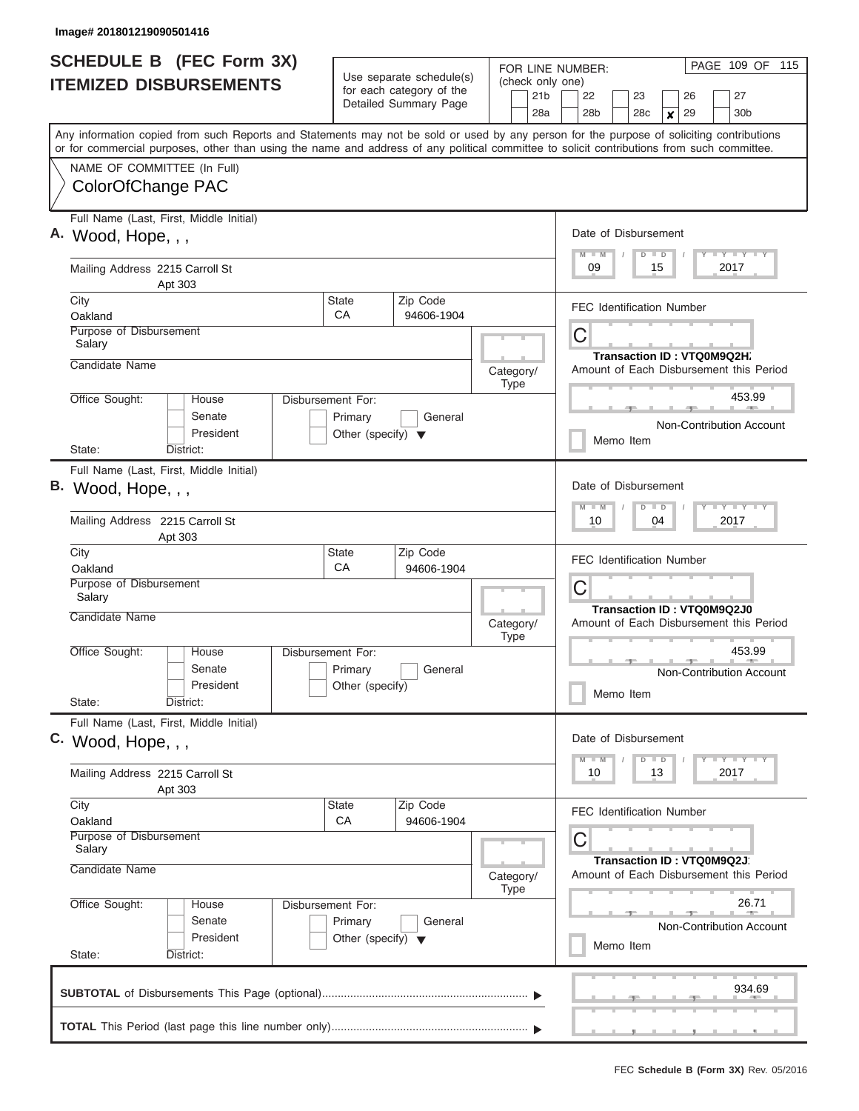| <b>SCHEDULE B</b> (FEC Form 3X)                                                                                                                                                                                                                                                         |                                                                                                                             |                        | FOR LINE NUMBER:         | PAGE 109 OF 115                                                                           |  |  |  |
|-----------------------------------------------------------------------------------------------------------------------------------------------------------------------------------------------------------------------------------------------------------------------------------------|-----------------------------------------------------------------------------------------------------------------------------|------------------------|--------------------------|-------------------------------------------------------------------------------------------|--|--|--|
| <b>ITEMIZED DISBURSEMENTS</b>                                                                                                                                                                                                                                                           | Use separate schedule(s)<br>(check only one)<br>for each category of the<br>21 <sub>b</sub><br>Detailed Summary Page<br>28a |                        |                          | 22<br>23<br>26<br>27<br>28 <sub>b</sub><br>30 <sub>b</sub><br>28c<br>29<br>$\pmb{\times}$ |  |  |  |
| Any information copied from such Reports and Statements may not be sold or used by any person for the purpose of soliciting contributions<br>or for commercial purposes, other than using the name and address of any political committee to solicit contributions from such committee. |                                                                                                                             |                        |                          |                                                                                           |  |  |  |
| NAME OF COMMITTEE (In Full)<br>ColorOfChange PAC                                                                                                                                                                                                                                        |                                                                                                                             |                        |                          |                                                                                           |  |  |  |
| Full Name (Last, First, Middle Initial)<br>A. Wood, Hope, , ,                                                                                                                                                                                                                           |                                                                                                                             |                        |                          | Date of Disbursement<br>Y FY FY FY<br>$M$ $M$<br>$D$ $D$                                  |  |  |  |
| Mailing Address 2215 Carroll St<br>Apt 303                                                                                                                                                                                                                                              |                                                                                                                             |                        |                          | 09<br>15<br>2017                                                                          |  |  |  |
| City<br>Oakland                                                                                                                                                                                                                                                                         | State<br>СA                                                                                                                 | Zip Code<br>94606-1904 |                          | <b>FEC Identification Number</b><br>C                                                     |  |  |  |
| Salary                                                                                                                                                                                                                                                                                  | Purpose of Disbursement                                                                                                     |                        |                          |                                                                                           |  |  |  |
| Candidate Name                                                                                                                                                                                                                                                                          |                                                                                                                             |                        | Category/<br><b>Type</b> | Amount of Each Disbursement this Period                                                   |  |  |  |
| Office Sought:<br>House<br>Senate<br>President                                                                                                                                                                                                                                          | Disbursement For:<br>Primary<br>Other (specify) $\blacktriangledown$                                                        | General                |                          | 453.99<br>Non-Contribution Account<br>Memo Item                                           |  |  |  |
| State:<br>District:<br>Full Name (Last, First, Middle Initial)<br>B. Wood, Hope, , ,                                                                                                                                                                                                    |                                                                                                                             |                        |                          | Date of Disbursement<br>Y FY FY FY<br>$M - M$<br>$D$ $D$                                  |  |  |  |
| Mailing Address 2215 Carroll St<br>Apt 303                                                                                                                                                                                                                                              |                                                                                                                             |                        |                          | 10<br>04<br>2017                                                                          |  |  |  |
| City<br>Oakland<br>Purpose of Disbursement                                                                                                                                                                                                                                              | State<br>CA                                                                                                                 | Zip Code<br>94606-1904 |                          | <b>FEC Identification Number</b>                                                          |  |  |  |
| Salary<br>Candidate Name                                                                                                                                                                                                                                                                | C<br><b>Transaction ID: VTQ0M9Q2J0</b><br>Amount of Each Disbursement this Period                                           |                        |                          |                                                                                           |  |  |  |
| Office Sought:<br>House<br>Senate<br>President<br>State:<br>District:                                                                                                                                                                                                                   | Disbursement For:<br>Primary<br>Other (specify)                                                                             | General                | <b>Type</b>              | 453.99<br>Non-Contribution Account<br>Memo Item                                           |  |  |  |
| Full Name (Last, First, Middle Initial)<br>C. Wood, Hope, , ,                                                                                                                                                                                                                           |                                                                                                                             |                        |                          | Date of Disbursement                                                                      |  |  |  |
| Mailing Address 2215 Carroll St<br>Apt 303                                                                                                                                                                                                                                              |                                                                                                                             |                        |                          | $D$ $D$<br>Y FY FY FY<br>$M - M$<br>10<br>13<br>2017                                      |  |  |  |
| City<br>Oakland<br>Purpose of Disbursement                                                                                                                                                                                                                                              | State<br>CA                                                                                                                 | Zip Code<br>94606-1904 |                          | <b>FEC Identification Number</b><br>С                                                     |  |  |  |
| Salary<br>Candidate Name                                                                                                                                                                                                                                                                |                                                                                                                             |                        | Category/                | Transaction ID: VTQ0M9Q2J<br>Amount of Each Disbursement this Period                      |  |  |  |
| Office Sought:<br>House<br>Senate<br>President<br>State:<br>District:                                                                                                                                                                                                                   | Disbursement For:<br>Primary<br>Other (specify) $\blacktriangledown$                                                        | General                | <b>Type</b>              | 26.71<br><b>Non-Contribution Account</b><br>Memo Item                                     |  |  |  |
|                                                                                                                                                                                                                                                                                         |                                                                                                                             |                        |                          | 934.69                                                                                    |  |  |  |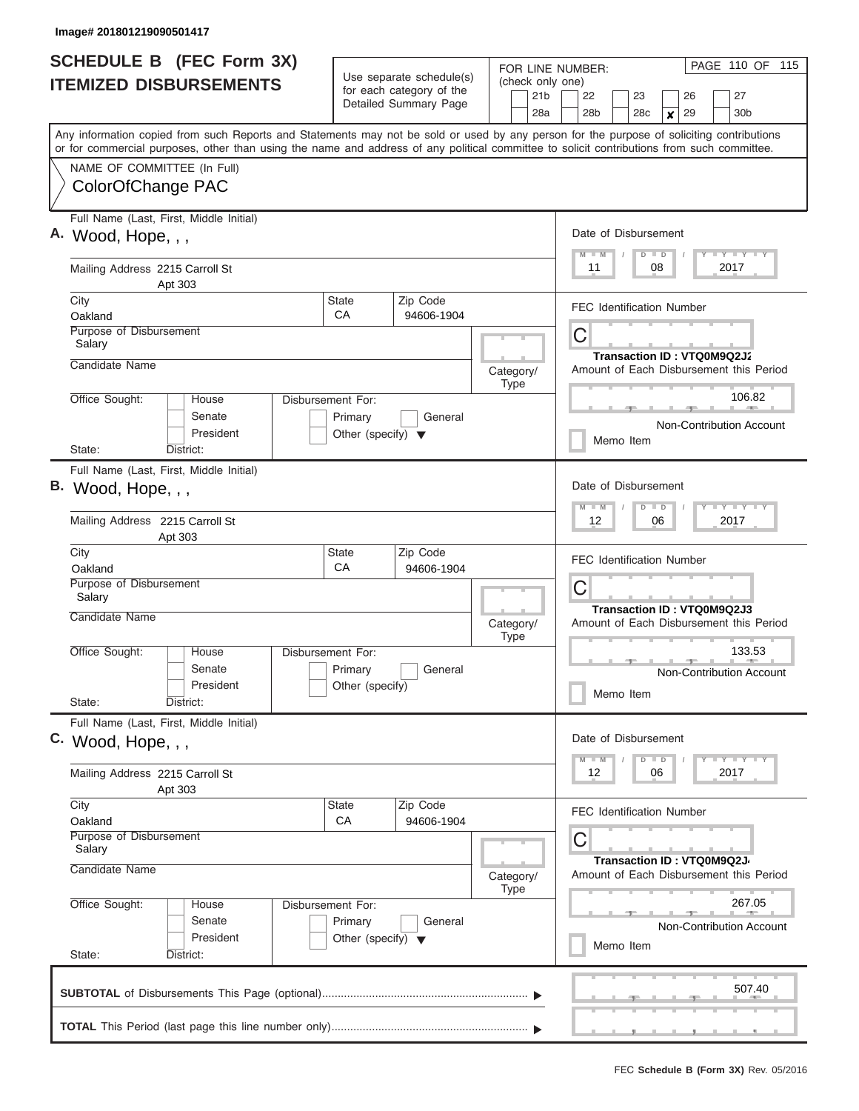| <b>SCHEDULE B</b> (FEC Form 3X)<br>Use separate schedule(s)                                                                                                                                                                                                                             |                                                                       |                                                                              | FOR LINE NUMBER:<br>(check only one) | PAGE 110 OF 115                                                                             |  |  |  |  |
|-----------------------------------------------------------------------------------------------------------------------------------------------------------------------------------------------------------------------------------------------------------------------------------------|-----------------------------------------------------------------------|------------------------------------------------------------------------------|--------------------------------------|---------------------------------------------------------------------------------------------|--|--|--|--|
| <b>ITEMIZED DISBURSEMENTS</b>                                                                                                                                                                                                                                                           |                                                                       | for each category of the<br>Detailed Summary Page                            | 21 <sub>b</sub><br>28a               | 27<br>22<br>23<br>26<br>30 <sub>b</sub><br>28 <sub>b</sub><br>28c<br>29<br>$\boldsymbol{x}$ |  |  |  |  |
| Any information copied from such Reports and Statements may not be sold or used by any person for the purpose of soliciting contributions<br>or for commercial purposes, other than using the name and address of any political committee to solicit contributions from such committee. |                                                                       |                                                                              |                                      |                                                                                             |  |  |  |  |
| NAME OF COMMITTEE (In Full)<br>ColorOfChange PAC                                                                                                                                                                                                                                        |                                                                       |                                                                              |                                      |                                                                                             |  |  |  |  |
| Full Name (Last, First, Middle Initial)<br>A. Wood, Hope, , ,                                                                                                                                                                                                                           | Date of Disbursement<br>Y LY LY LY<br>$M$ $M$<br>$D$ $D$              |                                                                              |                                      |                                                                                             |  |  |  |  |
| Mailing Address 2215 Carroll St<br>Apt 303                                                                                                                                                                                                                                              |                                                                       |                                                                              |                                      | 08<br>2017<br>11                                                                            |  |  |  |  |
| City<br>Oakland                                                                                                                                                                                                                                                                         | <b>State</b><br>СA                                                    | Zip Code<br>94606-1904                                                       |                                      | <b>FEC Identification Number</b>                                                            |  |  |  |  |
| Purpose of Disbursement<br>Salary                                                                                                                                                                                                                                                       |                                                                       |                                                                              |                                      | C<br>Transaction ID: VTQ0M9Q2J2                                                             |  |  |  |  |
| Candidate Name                                                                                                                                                                                                                                                                          |                                                                       |                                                                              | Category/<br><b>Type</b>             | Amount of Each Disbursement this Period                                                     |  |  |  |  |
| Office Sought:<br>House<br>Senate<br>President                                                                                                                                                                                                                                          | Disbursement For:<br>Primary<br>Other (specify) $\blacktriangledown$  | General                                                                      |                                      | 106.82<br>Non-Contribution Account                                                          |  |  |  |  |
| State:<br>District:                                                                                                                                                                                                                                                                     |                                                                       |                                                                              |                                      | Memo Item                                                                                   |  |  |  |  |
| Full Name (Last, First, Middle Initial)<br>$B.$ Wood, Hope, $, ,$<br>Mailing Address 2215 Carroll St                                                                                                                                                                                    |                                                                       | Date of Disbursement<br>Y FY FY FY<br>$M - M$<br>$D$ $D$<br>06<br>2017<br>12 |                                      |                                                                                             |  |  |  |  |
| Apt 303<br>City                                                                                                                                                                                                                                                                         | State<br>CA                                                           | Zip Code<br>94606-1904                                                       |                                      | <b>FEC Identification Number</b>                                                            |  |  |  |  |
| Oakland<br>Purpose of Disbursement<br>Salary                                                                                                                                                                                                                                            | C                                                                     |                                                                              |                                      |                                                                                             |  |  |  |  |
| Candidate Name                                                                                                                                                                                                                                                                          | Transaction ID: VTQ0M9Q2J3<br>Amount of Each Disbursement this Period |                                                                              |                                      |                                                                                             |  |  |  |  |
| Office Sought:<br>House<br>Senate<br>President<br>State:<br>District:                                                                                                                                                                                                                   | Disbursement For:<br>Primary<br>Other (specify)                       | General                                                                      |                                      | 133.53<br>Non-Contribution Account<br>Memo Item                                             |  |  |  |  |
| Full Name (Last, First, Middle Initial)<br>C. Wood, Hope, , ,                                                                                                                                                                                                                           |                                                                       |                                                                              |                                      | Date of Disbursement                                                                        |  |  |  |  |
| Mailing Address 2215 Carroll St<br>Apt 303                                                                                                                                                                                                                                              |                                                                       |                                                                              |                                      | Y FY FY FY<br>$M - M$<br>$D$ $D$<br>2017<br>12<br>06                                        |  |  |  |  |
| City<br>Oakland<br>Purpose of Disbursement<br>Salary                                                                                                                                                                                                                                    | State<br>CA                                                           | Zip Code<br>94606-1904                                                       |                                      | <b>FEC Identification Number</b><br>С                                                       |  |  |  |  |
| Candidate Name                                                                                                                                                                                                                                                                          |                                                                       |                                                                              | Category/<br><b>Type</b>             | Transaction ID: VTQ0M9Q2J<br>Amount of Each Disbursement this Period                        |  |  |  |  |
| Office Sought:<br>House<br>Senate<br>President<br>State:<br>District:                                                                                                                                                                                                                   | Disbursement For:<br>Primary<br>Other (specify) $\blacktriangledown$  | General                                                                      |                                      | 267.05<br>Non-Contribution Account<br>Memo Item                                             |  |  |  |  |
|                                                                                                                                                                                                                                                                                         |                                                                       |                                                                              |                                      | 507.40                                                                                      |  |  |  |  |
|                                                                                                                                                                                                                                                                                         |                                                                       |                                                                              |                                      |                                                                                             |  |  |  |  |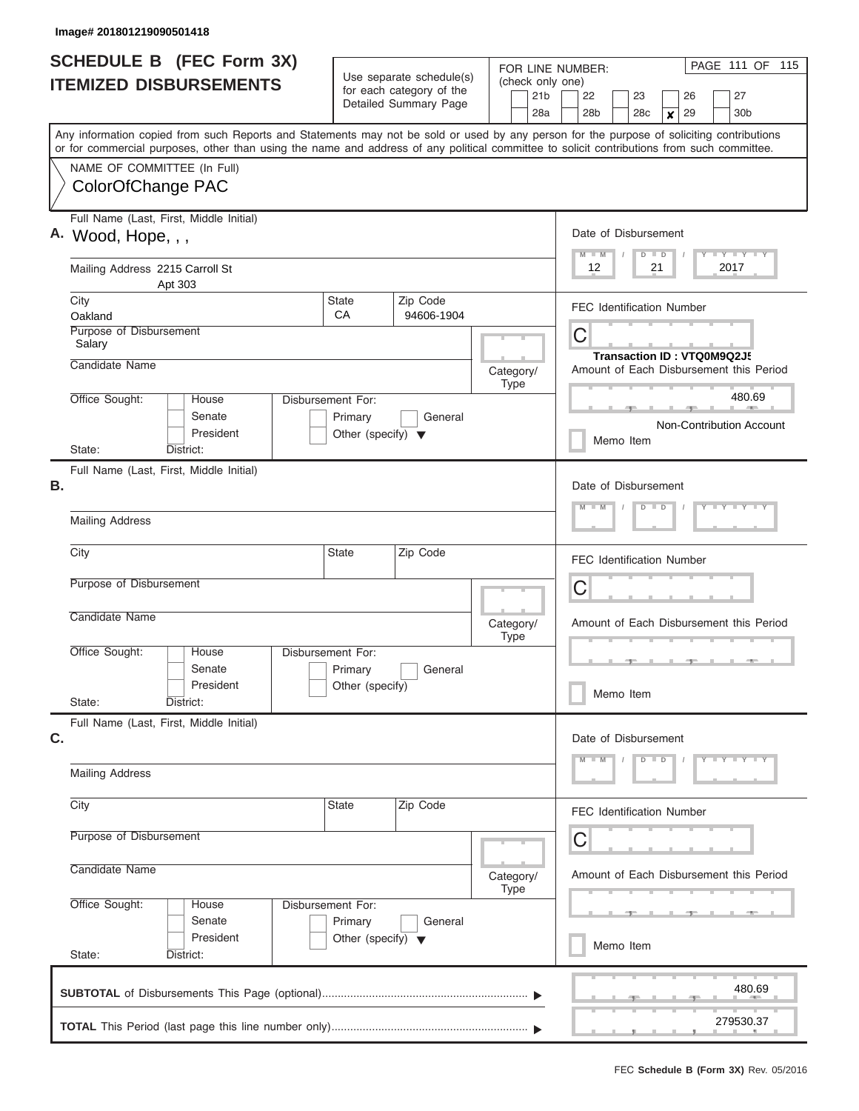| <b>SCHEDULE B (FEC Form 3X)</b><br><b>ITEMIZED DISBURSEMENTS</b>                                                                                                                                                                                                                        | Use separate schedule(s)<br>for each category of the<br>Detailed Summary Page |                        | FOR LINE NUMBER:<br>(check only one)<br>21 <sub>b</sub> | PAGE 111 OF 115<br>22<br>23<br>26<br>27                                         |  |  |  |
|-----------------------------------------------------------------------------------------------------------------------------------------------------------------------------------------------------------------------------------------------------------------------------------------|-------------------------------------------------------------------------------|------------------------|---------------------------------------------------------|---------------------------------------------------------------------------------|--|--|--|
| Any information copied from such Reports and Statements may not be sold or used by any person for the purpose of soliciting contributions<br>or for commercial purposes, other than using the name and address of any political committee to solicit contributions from such committee. |                                                                               |                        | 28a                                                     | 28 <sub>b</sub><br>29<br>30 <sub>b</sub><br>28 <sub>c</sub><br>$\boldsymbol{x}$ |  |  |  |
| NAME OF COMMITTEE (In Full)<br>ColorOfChange PAC                                                                                                                                                                                                                                        |                                                                               |                        |                                                         |                                                                                 |  |  |  |
| Full Name (Last, First, Middle Initial)<br>A. Wood, Hope, , ,                                                                                                                                                                                                                           |                                                                               |                        |                                                         | Date of Disbursement<br>Y L Y L Y L Y<br>$M$ $M$<br>$D$ $D$                     |  |  |  |
| Mailing Address 2215 Carroll St<br>Apt 303                                                                                                                                                                                                                                              |                                                                               |                        |                                                         | 12<br>21<br>2017                                                                |  |  |  |
| City<br>Oakland                                                                                                                                                                                                                                                                         | <b>State</b><br>CA                                                            | Zip Code<br>94606-1904 |                                                         | <b>FEC Identification Number</b>                                                |  |  |  |
| Purpose of Disbursement<br>Salary                                                                                                                                                                                                                                                       |                                                                               |                        |                                                         | C<br>Transaction ID: VTQ0M9Q2J5                                                 |  |  |  |
| Candidate Name                                                                                                                                                                                                                                                                          |                                                                               |                        | Category/<br><b>Type</b>                                | Amount of Each Disbursement this Period                                         |  |  |  |
| Office Sought:<br>House<br>Senate<br>President                                                                                                                                                                                                                                          | Disbursement For:<br>Primary<br>Other (specify) $\blacktriangledown$          | General                |                                                         | 480.69<br>Non-Contribution Account<br>Memo Item                                 |  |  |  |
| District:<br>State:<br>Full Name (Last, First, Middle Initial)                                                                                                                                                                                                                          |                                                                               |                        |                                                         |                                                                                 |  |  |  |
| В.                                                                                                                                                                                                                                                                                      | Date of Disbursement<br>Y LY LY LY<br>$M - M$<br>$D$ $D$                      |                        |                                                         |                                                                                 |  |  |  |
| <b>Mailing Address</b>                                                                                                                                                                                                                                                                  |                                                                               |                        |                                                         |                                                                                 |  |  |  |
| City                                                                                                                                                                                                                                                                                    | <b>State</b>                                                                  | Zip Code               |                                                         | <b>FEC Identification Number</b>                                                |  |  |  |
| Purpose of Disbursement                                                                                                                                                                                                                                                                 |                                                                               |                        |                                                         | C                                                                               |  |  |  |
| Candidate Name                                                                                                                                                                                                                                                                          |                                                                               |                        | Category/<br><b>Type</b>                                | Amount of Each Disbursement this Period                                         |  |  |  |
| Office Sought:<br>House<br>Senate<br>President                                                                                                                                                                                                                                          | <b>Disbursement For:</b><br>Primary<br>Other (specify)                        | General                |                                                         | Memo Item                                                                       |  |  |  |
| State:<br>District:<br>Full Name (Last, First, Middle Initial)                                                                                                                                                                                                                          |                                                                               |                        |                                                         |                                                                                 |  |  |  |
| C.                                                                                                                                                                                                                                                                                      |                                                                               |                        |                                                         | Date of Disbursement<br>Y TY TY TY<br>$D$ $D$                                   |  |  |  |
| <b>Mailing Address</b>                                                                                                                                                                                                                                                                  |                                                                               |                        |                                                         |                                                                                 |  |  |  |
| City                                                                                                                                                                                                                                                                                    | <b>State</b>                                                                  | Zip Code               |                                                         | FEC Identification Number                                                       |  |  |  |
| Purpose of Disbursement<br>Candidate Name                                                                                                                                                                                                                                               |                                                                               |                        |                                                         | С                                                                               |  |  |  |
|                                                                                                                                                                                                                                                                                         |                                                                               |                        | Category/<br><b>Type</b>                                | Amount of Each Disbursement this Period                                         |  |  |  |
| Office Sought:<br>House<br>Senate<br>President                                                                                                                                                                                                                                          | Disbursement For:<br>Primary<br>Other (specify) $\blacktriangledown$          | General                |                                                         |                                                                                 |  |  |  |
| State:<br>District:                                                                                                                                                                                                                                                                     |                                                                               |                        |                                                         | Memo Item                                                                       |  |  |  |
|                                                                                                                                                                                                                                                                                         |                                                                               |                        |                                                         | 480.69                                                                          |  |  |  |
|                                                                                                                                                                                                                                                                                         |                                                                               |                        |                                                         | 279530.37                                                                       |  |  |  |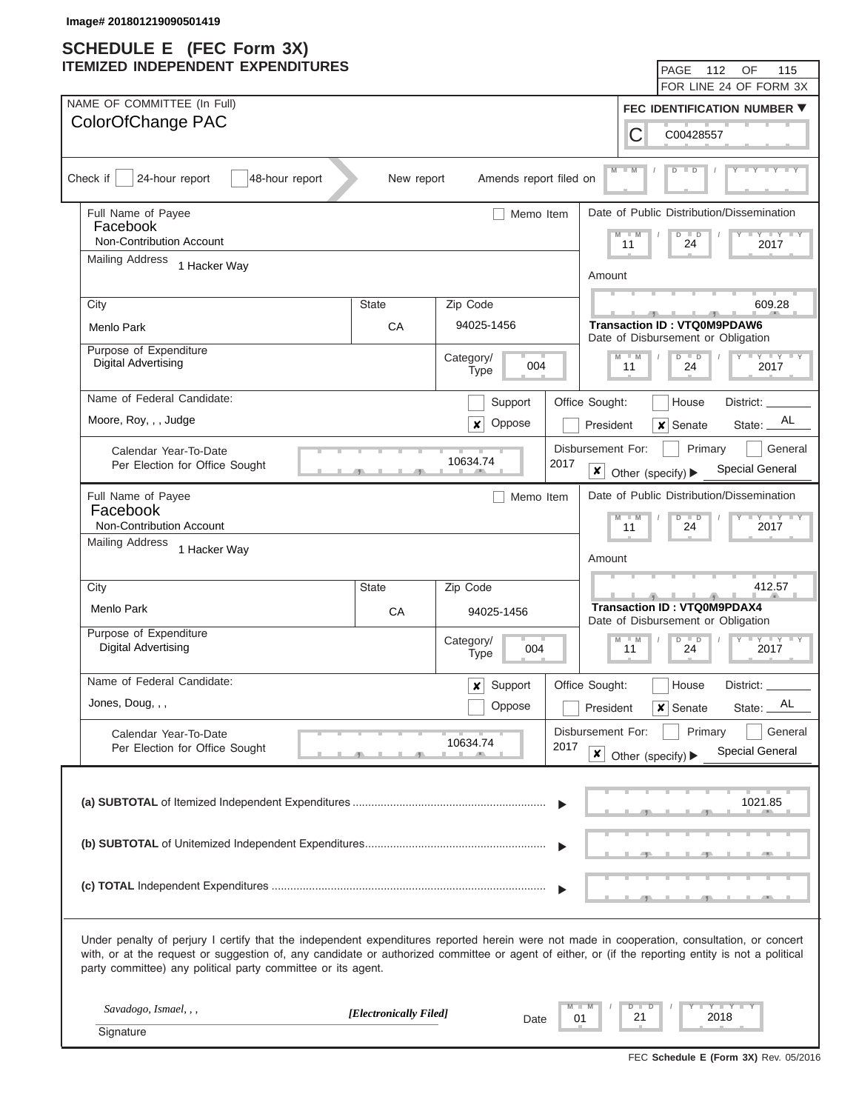| IIEMIZEU INDEPENDENI EXPENDITURES                                                                                                                                                                                                                                                                                                                                 |                        |                                 |                        | PAGE<br>112<br>OF<br>115<br>FOR LINE 24 OF FORM 3X                                                                            |
|-------------------------------------------------------------------------------------------------------------------------------------------------------------------------------------------------------------------------------------------------------------------------------------------------------------------------------------------------------------------|------------------------|---------------------------------|------------------------|-------------------------------------------------------------------------------------------------------------------------------|
| NAME OF COMMITTEE (In Full)                                                                                                                                                                                                                                                                                                                                       |                        |                                 |                        |                                                                                                                               |
| ColorOfChange PAC                                                                                                                                                                                                                                                                                                                                                 |                        |                                 |                        | <b>FEC IDENTIFICATION NUMBER ▼</b>                                                                                            |
|                                                                                                                                                                                                                                                                                                                                                                   |                        |                                 |                        | С<br>C00428557                                                                                                                |
| Check if<br>24-hour report<br>48-hour report                                                                                                                                                                                                                                                                                                                      | New report             | Amends report filed on          |                        | $M - M$<br>$\overline{D}$<br>$\mathbf{y}$ $\mathbf{y}$ $\mathbf{y}$ $\mathbf{y}$ $\mathbf{y}$<br>$\overline{D}$               |
| Full Name of Payee                                                                                                                                                                                                                                                                                                                                                |                        | Memo Item                       |                        | Date of Public Distribution/Dissemination                                                                                     |
| Facebook                                                                                                                                                                                                                                                                                                                                                          |                        |                                 |                        | $\mathsf{L} \mathsf{Y} \mathsf{L} \mathsf{Y} \mathsf{L} \mathsf{Y}$<br>W<br>$D$ $D$<br>M                                      |
| Non-Contribution Account<br><b>Mailing Address</b>                                                                                                                                                                                                                                                                                                                |                        |                                 |                        | 24<br>11<br>2017                                                                                                              |
| 1 Hacker Way                                                                                                                                                                                                                                                                                                                                                      |                        |                                 |                        | Amount                                                                                                                        |
| City                                                                                                                                                                                                                                                                                                                                                              | State                  | Zip Code                        |                        | 609.28                                                                                                                        |
| Menlo Park                                                                                                                                                                                                                                                                                                                                                        | CA                     | 94025-1456                      |                        | <b>Transaction ID: VTQ0M9PDAW6</b>                                                                                            |
| Purpose of Expenditure                                                                                                                                                                                                                                                                                                                                            |                        |                                 |                        | Date of Disbursement or Obligation                                                                                            |
| <b>Digital Advertising</b>                                                                                                                                                                                                                                                                                                                                        |                        | Category/<br>004<br><b>Type</b> |                        | $ \gamma$ $  \gamma$ $  \gamma$<br>M<br>$\overline{D}$<br>$\overline{p}$<br>$-M$<br>2017<br>11<br>24                          |
| Name of Federal Candidate:                                                                                                                                                                                                                                                                                                                                        |                        | Support                         | Office Sought:         | District: _<br>House                                                                                                          |
| Moore, Roy, , , Judge                                                                                                                                                                                                                                                                                                                                             |                        | Oppose<br>x                     |                        | AL<br>$\boldsymbol{\mathsf{x}}$<br>Senate<br>President<br>State:                                                              |
| Calendar Year-To-Date                                                                                                                                                                                                                                                                                                                                             |                        |                                 |                        | Disbursement For:<br>Primary<br>General                                                                                       |
| Per Election for Office Sought                                                                                                                                                                                                                                                                                                                                    |                        | 10634.74                        | 2017<br>$\pmb{\times}$ | <b>Special General</b><br>Other (specify) ▶                                                                                   |
| Full Name of Payee                                                                                                                                                                                                                                                                                                                                                |                        | Memo Item                       |                        | Date of Public Distribution/Dissemination                                                                                     |
| Facebook<br>Non-Contribution Account                                                                                                                                                                                                                                                                                                                              |                        |                                 |                        | $-\gamma$ $-\gamma$ $-\gamma$<br>$M - M$<br>$D$ $D$<br>11<br>24<br>2017                                                       |
| <b>Mailing Address</b><br>1 Hacker Way                                                                                                                                                                                                                                                                                                                            |                        |                                 |                        |                                                                                                                               |
|                                                                                                                                                                                                                                                                                                                                                                   |                        |                                 |                        | Amount                                                                                                                        |
| City                                                                                                                                                                                                                                                                                                                                                              | State                  | Zip Code                        |                        | 412.57                                                                                                                        |
| Menlo Park                                                                                                                                                                                                                                                                                                                                                        | CA                     | 94025-1456                      |                        | <b>Transaction ID: VTQ0M9PDAX4</b>                                                                                            |
| Purpose of Expenditure                                                                                                                                                                                                                                                                                                                                            |                        | Category/                       |                        | Date of Disbursement or Obligation<br>$\mathbf{I} = \mathbf{Y} - \mathbf{I} - \mathbf{Y}$<br>M<br>$\overline{D}$<br>$-M$<br>D |
| <b>Digital Advertising</b>                                                                                                                                                                                                                                                                                                                                        |                        | 004<br><b>Type</b>              |                        | 24<br>2017<br>11                                                                                                              |
| Name of Federal Candidate:                                                                                                                                                                                                                                                                                                                                        |                        | Support<br>x                    | Office Sought:         | District: _<br>House                                                                                                          |
| Jones, Doug, , ,                                                                                                                                                                                                                                                                                                                                                  |                        | Oppose                          |                        | AL<br>$x$ Senate<br>State:<br>President                                                                                       |
| Calendar Year-To-Date                                                                                                                                                                                                                                                                                                                                             |                        |                                 |                        | Disbursement For:<br>Primary<br>General                                                                                       |
| Per Election for Office Sought                                                                                                                                                                                                                                                                                                                                    |                        | 10634.74                        | 2017<br>$\pmb{\times}$ | Special General<br>Other (specify) ▶                                                                                          |
|                                                                                                                                                                                                                                                                                                                                                                   |                        |                                 |                        | 1021.85                                                                                                                       |
|                                                                                                                                                                                                                                                                                                                                                                   |                        |                                 |                        |                                                                                                                               |
|                                                                                                                                                                                                                                                                                                                                                                   |                        |                                 |                        |                                                                                                                               |
|                                                                                                                                                                                                                                                                                                                                                                   |                        |                                 |                        |                                                                                                                               |
|                                                                                                                                                                                                                                                                                                                                                                   |                        |                                 |                        |                                                                                                                               |
| Under penalty of perjury I certify that the independent expenditures reported herein were not made in cooperation, consultation, or concert<br>with, or at the request or suggestion of, any candidate or authorized committee or agent of either, or (if the reporting entity is not a political<br>party committee) any political party committee or its agent. |                        |                                 |                        |                                                                                                                               |
| Savadogo, Ismael, , ,                                                                                                                                                                                                                                                                                                                                             | [Electronically Filed] |                                 |                        | $Y = Y = Y$<br>$\overline{\mathsf{D}}$<br>D =                                                                                 |
| Signature                                                                                                                                                                                                                                                                                                                                                         |                        | Date                            | 01                     | 21<br>2018                                                                                                                    |
|                                                                                                                                                                                                                                                                                                                                                                   |                        |                                 |                        |                                                                                                                               |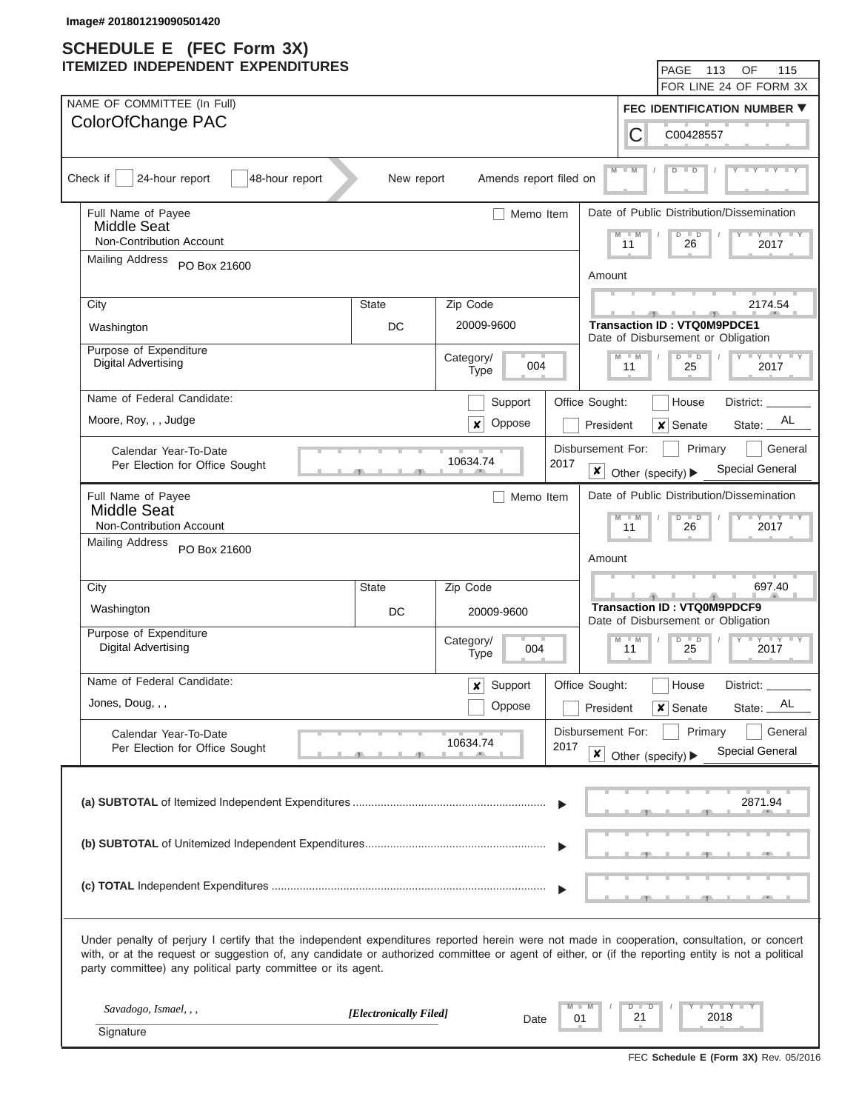| IIEMIZEU INDEPENDENI EXPENDITURES                                                                                                                                                                                                                                                                                                                                 |                        |                                 |                        | PAGE<br>113<br>OF<br>FOR LINE 24 OF FORM 3X                                                                                   | 115 |
|-------------------------------------------------------------------------------------------------------------------------------------------------------------------------------------------------------------------------------------------------------------------------------------------------------------------------------------------------------------------|------------------------|---------------------------------|------------------------|-------------------------------------------------------------------------------------------------------------------------------|-----|
| NAME OF COMMITTEE (In Full)                                                                                                                                                                                                                                                                                                                                       |                        |                                 |                        | <b>FEC IDENTIFICATION NUMBER ▼</b>                                                                                            |     |
| ColorOfChange PAC                                                                                                                                                                                                                                                                                                                                                 |                        |                                 |                        |                                                                                                                               |     |
|                                                                                                                                                                                                                                                                                                                                                                   |                        |                                 |                        | С<br>C00428557                                                                                                                |     |
| Check if<br>24-hour report<br>48-hour report                                                                                                                                                                                                                                                                                                                      | New report             | Amends report filed on          |                        | $M - M$<br>$\overline{D}$<br>$\mathbf{y}$ $\mathbf{y}$ $\mathbf{y}$ $\mathbf{y}$ $\mathbf{y}$<br>$\overline{D}$               |     |
| Full Name of Payee                                                                                                                                                                                                                                                                                                                                                |                        | Memo Item                       |                        | Date of Public Distribution/Dissemination                                                                                     |     |
| Middle Seat<br>Non-Contribution Account                                                                                                                                                                                                                                                                                                                           |                        |                                 |                        | $\mathsf{L} \mathsf{Y} \mathsf{L} \mathsf{Y} \mathsf{L} \mathsf{Y}$<br>W<br>$D$ $D$<br>M                                      |     |
| <b>Mailing Address</b>                                                                                                                                                                                                                                                                                                                                            |                        |                                 |                        | 26<br>11<br>2017                                                                                                              |     |
| PO Box 21600                                                                                                                                                                                                                                                                                                                                                      |                        |                                 |                        | Amount                                                                                                                        |     |
| City                                                                                                                                                                                                                                                                                                                                                              | <b>State</b>           | Zip Code                        |                        | 2174.54                                                                                                                       |     |
| Washington                                                                                                                                                                                                                                                                                                                                                        | 20009-9600<br>DC       |                                 |                        |                                                                                                                               |     |
| Purpose of Expenditure                                                                                                                                                                                                                                                                                                                                            |                        |                                 |                        | Date of Disbursement or Obligation                                                                                            |     |
| <b>Digital Advertising</b>                                                                                                                                                                                                                                                                                                                                        |                        | Category/<br>004<br><b>Type</b> |                        | $ \gamma$ $  \gamma$ $  \gamma$<br>M<br>$\overline{D}$<br>$\overline{p}$<br>$-M$<br>2017<br>11<br>25                          |     |
| Name of Federal Candidate:                                                                                                                                                                                                                                                                                                                                        |                        | Support                         | Office Sought:         | District: _<br>House                                                                                                          |     |
| Moore, Roy, , , Judge                                                                                                                                                                                                                                                                                                                                             |                        | Oppose<br>x                     |                        | AL<br>$\boldsymbol{\mathsf{x}}$<br>Senate<br>President<br>State:                                                              |     |
| Calendar Year-To-Date                                                                                                                                                                                                                                                                                                                                             |                        |                                 | Disbursement For:      | Primary<br>General                                                                                                            |     |
| Per Election for Office Sought                                                                                                                                                                                                                                                                                                                                    |                        | 10634.74                        | 2017<br>$\pmb{\times}$ | <b>Special General</b><br>Other (specify) ▶                                                                                   |     |
| Full Name of Payee                                                                                                                                                                                                                                                                                                                                                |                        | Memo Item                       |                        | Date of Public Distribution/Dissemination                                                                                     |     |
| <b>Middle Seat</b><br>Non-Contribution Account                                                                                                                                                                                                                                                                                                                    |                        |                                 |                        | $-\gamma$ $-\gamma$ $-\gamma$<br>$M - M$<br>$D$ $D$<br>26<br>11<br>2017                                                       |     |
| <b>Mailing Address</b><br>PO Box 21600                                                                                                                                                                                                                                                                                                                            |                        |                                 |                        |                                                                                                                               |     |
|                                                                                                                                                                                                                                                                                                                                                                   |                        |                                 |                        | Amount                                                                                                                        |     |
| City                                                                                                                                                                                                                                                                                                                                                              | State                  | Zip Code                        |                        | 697.40                                                                                                                        |     |
| Washington                                                                                                                                                                                                                                                                                                                                                        | DC                     | 20009-9600                      |                        | <b>Transaction ID: VTQ0M9PDCF9</b>                                                                                            |     |
| Purpose of Expenditure                                                                                                                                                                                                                                                                                                                                            |                        | Category/                       |                        | Date of Disbursement or Obligation<br>$\mathbf{I} = \mathbf{Y} - \mathbf{I} - \mathbf{Y}$<br>M<br>$\overline{D}$<br>$-M$<br>D |     |
| <b>Digital Advertising</b>                                                                                                                                                                                                                                                                                                                                        |                        | 004<br><b>Type</b>              |                        | 25<br>2017<br>11                                                                                                              |     |
| Name of Federal Candidate:                                                                                                                                                                                                                                                                                                                                        |                        | Support<br>x                    | Office Sought:         | District: _<br>House                                                                                                          |     |
| Jones, Doug, , ,                                                                                                                                                                                                                                                                                                                                                  |                        | Oppose                          |                        | AL<br>$x$ Senate<br>State:<br>President                                                                                       |     |
| Calendar Year-To-Date                                                                                                                                                                                                                                                                                                                                             |                        |                                 | Disbursement For:      | Primary<br>General                                                                                                            |     |
| Per Election for Office Sought                                                                                                                                                                                                                                                                                                                                    |                        | 10634.74                        | 2017<br>$\pmb{\times}$ | Special General<br>Other (specify) ▶                                                                                          |     |
|                                                                                                                                                                                                                                                                                                                                                                   |                        |                                 |                        |                                                                                                                               |     |
|                                                                                                                                                                                                                                                                                                                                                                   |                        |                                 |                        | 2871.94                                                                                                                       |     |
|                                                                                                                                                                                                                                                                                                                                                                   |                        |                                 |                        |                                                                                                                               |     |
|                                                                                                                                                                                                                                                                                                                                                                   |                        |                                 |                        |                                                                                                                               |     |
|                                                                                                                                                                                                                                                                                                                                                                   |                        |                                 |                        |                                                                                                                               |     |
|                                                                                                                                                                                                                                                                                                                                                                   |                        |                                 |                        |                                                                                                                               |     |
|                                                                                                                                                                                                                                                                                                                                                                   |                        |                                 |                        |                                                                                                                               |     |
| Under penalty of perjury I certify that the independent expenditures reported herein were not made in cooperation, consultation, or concert<br>with, or at the request or suggestion of, any candidate or authorized committee or agent of either, or (if the reporting entity is not a political<br>party committee) any political party committee or its agent. |                        |                                 |                        |                                                                                                                               |     |
| Savadogo, Ismael, , ,                                                                                                                                                                                                                                                                                                                                             |                        |                                 |                        | $Y = Y = Y$<br>$\overline{\mathsf{D}}$<br>D =                                                                                 |     |
| Signature                                                                                                                                                                                                                                                                                                                                                         | [Electronically Filed] | Date                            | 01                     | 21<br>2018                                                                                                                    |     |
|                                                                                                                                                                                                                                                                                                                                                                   |                        |                                 |                        |                                                                                                                               |     |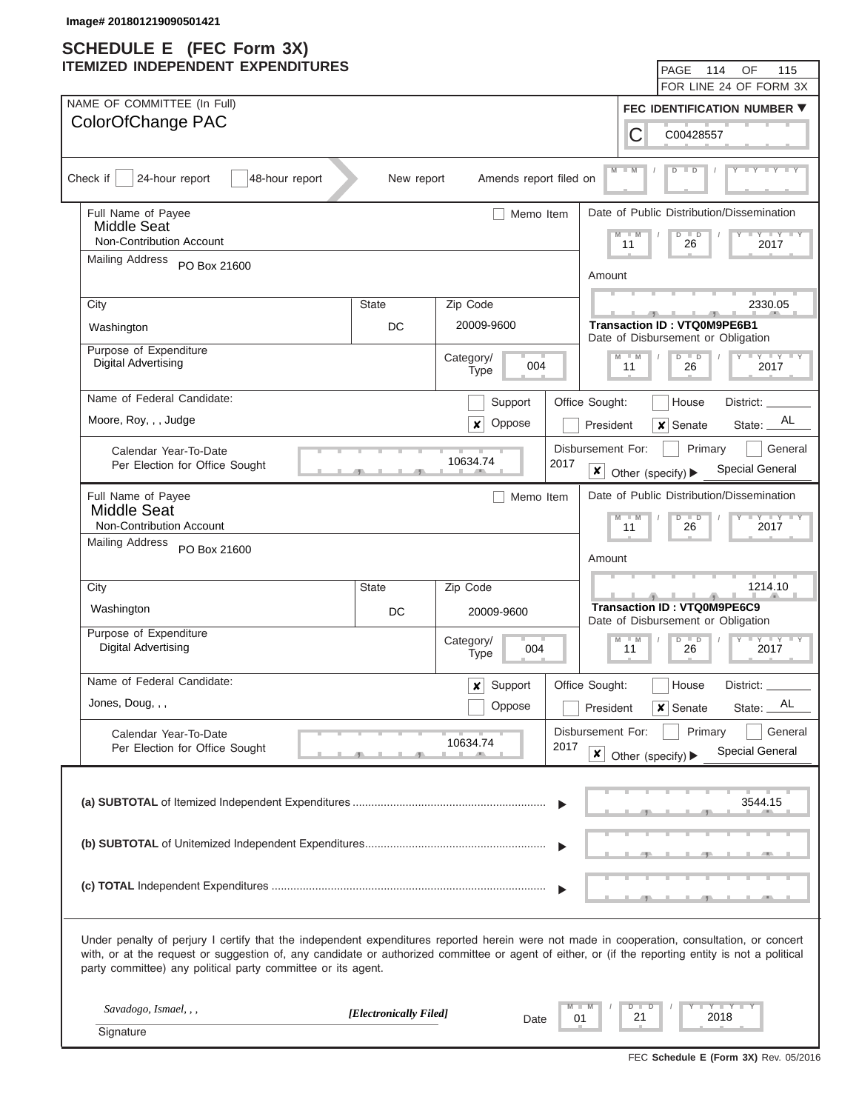| IIEMIZEU INDEPENDENI EXPENDITURES                                                                                                                                                                                                                                                                                                                                 |                        |                                                                          |                                             |                              | PAGE<br>114                                                              | OF<br>115<br>FOR LINE 24 OF FORM 3X                                                   |
|-------------------------------------------------------------------------------------------------------------------------------------------------------------------------------------------------------------------------------------------------------------------------------------------------------------------------------------------------------------------|------------------------|--------------------------------------------------------------------------|---------------------------------------------|------------------------------|--------------------------------------------------------------------------|---------------------------------------------------------------------------------------|
| NAME OF COMMITTEE (In Full)                                                                                                                                                                                                                                                                                                                                       |                        |                                                                          |                                             |                              |                                                                          | <b>FEC IDENTIFICATION NUMBER ▼</b>                                                    |
| ColorOfChange PAC                                                                                                                                                                                                                                                                                                                                                 |                        |                                                                          |                                             | С                            | C00428557                                                                |                                                                                       |
| Check if<br>24-hour report<br>48-hour report                                                                                                                                                                                                                                                                                                                      | New report             | Amends report filed on                                                   |                                             | $M - M$                      | $D$ $D$                                                                  | $T - Y$ $T - Y$ $T - Y$                                                               |
| Full Name of Payee<br>Middle Seat                                                                                                                                                                                                                                                                                                                                 |                        | Memo Item                                                                |                                             |                              |                                                                          | Date of Public Distribution/Dissemination                                             |
| Non-Contribution Account                                                                                                                                                                                                                                                                                                                                          |                        |                                                                          |                                             | M<br>$-M$<br>11              | $\overline{D}$<br>$\Box$<br>26                                           | $\mathbf{I}$ $\mathbf{Y}$ $\mathbf{I}$ $\mathbf{Y}$ $\mathbf{I}$ $\mathbf{Y}$<br>2017 |
| <b>Mailing Address</b><br>PO Box 21600                                                                                                                                                                                                                                                                                                                            |                        |                                                                          |                                             | Amount                       |                                                                          |                                                                                       |
| City                                                                                                                                                                                                                                                                                                                                                              | <b>State</b>           | Zip Code                                                                 |                                             |                              |                                                                          | 2330.05                                                                               |
| Washington                                                                                                                                                                                                                                                                                                                                                        | DC                     | 20009-9600                                                               |                                             |                              | <b>Transaction ID: VTQ0M9PE6B1</b><br>Date of Disbursement or Obligation |                                                                                       |
| Purpose of Expenditure<br><b>Digital Advertising</b>                                                                                                                                                                                                                                                                                                              |                        | Category/<br>004<br><b>Type</b>                                          |                                             | M<br>W<br>11                 | $\overline{D}$<br>$\overline{D}$<br>26                                   | $T - Y$ $T - Y$<br>2017                                                               |
| Name of Federal Candidate:                                                                                                                                                                                                                                                                                                                                        |                        | Support                                                                  | Office Sought:                              |                              | House                                                                    | District: _                                                                           |
| Moore, Roy, , , Judge                                                                                                                                                                                                                                                                                                                                             |                        | Oppose<br>×                                                              |                                             | President                    | $\boldsymbol{\mathsf{x}}$<br>Senate                                      | AL<br>State:                                                                          |
| Calendar Year-To-Date<br>Per Election for Office Sought                                                                                                                                                                                                                                                                                                           |                        | 10634.74                                                                 | Disbursement For:<br>2017<br>$\pmb{\times}$ | Other (specify) ▶            | Primary                                                                  | General<br><b>Special General</b>                                                     |
| Full Name of Payee<br><b>Middle Seat</b><br>Non-Contribution Account                                                                                                                                                                                                                                                                                              |                        | Memo Item                                                                |                                             | M<br>$-M$                    | $\overline{D}$<br>$\Box$                                                 | Date of Public Distribution/Dissemination<br>$Y = Y = Y$                              |
| <b>Mailing Address</b><br>PO Box 21600                                                                                                                                                                                                                                                                                                                            |                        |                                                                          |                                             | 11<br>Amount                 | 26                                                                       | 2017                                                                                  |
| City                                                                                                                                                                                                                                                                                                                                                              | State                  | Zip Code                                                                 |                                             |                              |                                                                          | 1214.10                                                                               |
| Washington                                                                                                                                                                                                                                                                                                                                                        |                        | <b>Transaction ID: VTQ0M9PE6C9</b><br>Date of Disbursement or Obligation |                                             |                              |                                                                          |                                                                                       |
| Purpose of Expenditure<br><b>Digital Advertising</b>                                                                                                                                                                                                                                                                                                              |                        | Category/<br>004<br><b>Type</b>                                          |                                             | $\overline{M}$<br>$-M$<br>11 | $\overline{D}$<br>D<br>26                                                | $T - Y$ $T - Y$<br>2017                                                               |
| Name of Federal Candidate:                                                                                                                                                                                                                                                                                                                                        |                        | Support<br>x                                                             | Office Sought:                              |                              | House                                                                    | District: _                                                                           |
| Jones, Doug, , ,                                                                                                                                                                                                                                                                                                                                                  |                        | Oppose                                                                   |                                             | President                    | $x$ Senate                                                               | AL<br>State:                                                                          |
| Calendar Year-To-Date<br>Per Election for Office Sought                                                                                                                                                                                                                                                                                                           |                        | 10634.74                                                                 | Disbursement For:<br>2017<br>$\pmb{\times}$ | Other (specify) ▶            | Primary                                                                  | General<br>Special General                                                            |
|                                                                                                                                                                                                                                                                                                                                                                   |                        |                                                                          |                                             |                              |                                                                          | 3544.15                                                                               |
|                                                                                                                                                                                                                                                                                                                                                                   |                        |                                                                          |                                             |                              |                                                                          |                                                                                       |
| Under penalty of perjury I certify that the independent expenditures reported herein were not made in cooperation, consultation, or concert<br>with, or at the request or suggestion of, any candidate or authorized committee or agent of either, or (if the reporting entity is not a political<br>party committee) any political party committee or its agent. |                        |                                                                          |                                             |                              |                                                                          |                                                                                       |
| Savadogo, Ismael, , ,                                                                                                                                                                                                                                                                                                                                             | [Electronically Filed] | Date                                                                     | 01                                          | D .<br>D<br>21               | 2018                                                                     | Y I Y I Y                                                                             |
| Signature                                                                                                                                                                                                                                                                                                                                                         |                        |                                                                          |                                             |                              |                                                                          |                                                                                       |